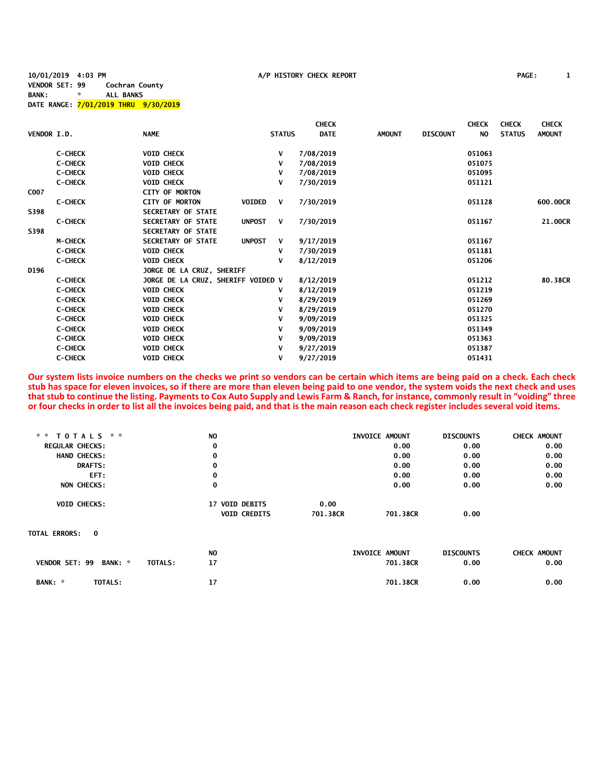**10/01/2019 4:03 PM A/P HISTORY CHECK REPORT PAGE: 1 VENDOR SET: 99 Cochran County BANK: \* ALL BANKS DATE RANGE: 7/01/2019 THRU 9/30/2019**

|             |                |                                    |                    |               | <b>CHECK</b> |               |                 | <b>CHECK</b>   | <b>CHECK</b>  | <b>CHECK</b>  |
|-------------|----------------|------------------------------------|--------------------|---------------|--------------|---------------|-----------------|----------------|---------------|---------------|
| VENDOR I.D. |                | <b>NAME</b>                        |                    | <b>STATUS</b> | <b>DATE</b>  | <b>AMOUNT</b> | <b>DISCOUNT</b> | N <sub>O</sub> | <b>STATUS</b> | <b>AMOUNT</b> |
|             | <b>C-CHECK</b> | <b>VOID CHECK</b>                  |                    | V             | 7/08/2019    |               |                 | 051063         |               |               |
|             | <b>C-CHECK</b> | <b>VOID CHECK</b>                  |                    | v             | 7/08/2019    |               |                 | 051075         |               |               |
|             | <b>C-CHECK</b> | <b>VOID CHECK</b>                  |                    | v             | 7/08/2019    |               |                 | 051095         |               |               |
|             | <b>C-CHECK</b> | <b>VOID CHECK</b>                  |                    | v             | 7/30/2019    |               |                 | 051121         |               |               |
| C007        |                | <b>CITY OF MORTON</b>              |                    |               |              |               |                 |                |               |               |
|             | <b>C-CHECK</b> | <b>CITY OF MORTON</b>              | <b>VOIDED</b>      | V             | 7/30/2019    |               |                 | 051128         |               | 600.00CR      |
| S398        |                | <b>SECRETARY OF STATE</b>          |                    |               |              |               |                 |                |               |               |
|             | <b>C-CHECK</b> | <b>SECRETARY OF STATE</b>          | <b>UNPOST</b><br>V |               | 7/30/2019    |               |                 | 051167         |               | 21.00CR       |
| S398        |                | <b>SECRETARY OF STATE</b>          |                    |               |              |               |                 |                |               |               |
|             | <b>M-CHECK</b> | SECRETARY OF STATE                 | <b>UNPOST</b>      | V             | 9/17/2019    |               |                 | 051167         |               |               |
|             | <b>C-CHECK</b> | <b>VOID CHECK</b>                  | v                  |               | 7/30/2019    |               |                 | 051181         |               |               |
|             | <b>C-CHECK</b> | <b>VOID CHECK</b>                  | v                  |               | 8/12/2019    |               |                 | 051206         |               |               |
| D196        |                | JORGE DE LA CRUZ, SHERIFF          |                    |               |              |               |                 |                |               |               |
|             | <b>C-CHECK</b> | JORGE DE LA CRUZ, SHERIFF VOIDED V |                    |               | 8/12/2019    |               |                 | 051212         |               | 80.38CR       |
|             | <b>C-CHECK</b> | <b>VOID CHECK</b>                  | v                  |               | 8/12/2019    |               |                 | 051219         |               |               |
|             | <b>C-CHECK</b> | <b>VOID CHECK</b>                  | v                  |               | 8/29/2019    |               |                 | 051269         |               |               |
|             | <b>C-CHECK</b> | <b>VOID CHECK</b>                  |                    | v             | 8/29/2019    |               |                 | 051270         |               |               |
|             | <b>C-CHECK</b> | <b>VOID CHECK</b>                  |                    | v             | 9/09/2019    |               |                 | 051325         |               |               |
|             | <b>C-CHECK</b> | <b>VOID CHECK</b>                  |                    | v             | 9/09/2019    |               |                 | 051349         |               |               |
|             | <b>C-CHECK</b> | <b>VOID CHECK</b>                  |                    | v             | 9/09/2019    |               |                 | 051363         |               |               |
|             | <b>C-CHECK</b> | <b>VOID CHECK</b>                  |                    | v             | 9/27/2019    |               |                 | 051387         |               |               |
|             | <b>C-CHECK</b> | <b>VOID CHECK</b>                  | ٧                  |               | 9/27/2019    |               |                 | 051431         |               |               |

**Our system lists invoice numbers on the checks we print so vendors can be certain which items are being paid on a check. Each check stub has space for eleven invoices, so if there are more than eleven being paid to one vendor, the system voids the next check and uses that stub to continue the listing. Payments to Cox Auto Supply and Lewis Farm & Ranch, for instance, commonly result in "voiding" three or four checks in order to list all the invoices being paid, and that is the main reason each check register includes several void items.**

| $*$ * TOTALS * *       |                           | NO.                      |          | INVOICE AMOUNT | <b>DISCOUNTS</b> | <b>CHECK AMOUNT</b> |
|------------------------|---------------------------|--------------------------|----------|----------------|------------------|---------------------|
| <b>REGULAR CHECKS:</b> |                           | 0                        |          | 0.00           | 0.00             | 0.00                |
| <b>HAND CHECKS:</b>    |                           | $\bf{0}$                 |          | 0.00           | 0.00             | 0.00                |
|                        | <b>DRAFTS:</b>            | 0                        |          | 0.00           | 0.00             | 0.00                |
|                        | EFT:                      | 0                        |          | 0.00           | 0.00             | 0.00                |
| NON CHECKS:            |                           | 0                        |          | 0.00           | 0.00             | 0.00                |
| <b>VOID CHECKS:</b>    |                           | <b>VOID DEBITS</b><br>17 | 0.00     |                |                  |                     |
|                        |                           | <b>VOID CREDITS</b>      | 701.38CR | 701.38CR       | 0.00             |                     |
| <b>TOTAL ERRORS: 0</b> |                           |                          |          |                |                  |                     |
|                        |                           | N <sub>O</sub>           |          | INVOICE AMOUNT | <b>DISCOUNTS</b> | <b>CHECK AMOUNT</b> |
| <b>VENDOR SET: 99</b>  | BANK: *<br><b>TOTALS:</b> | 17                       |          | 701.38CR       | 0.00             | 0.00                |
| BANK: *                | TOTALS:                   | 17                       |          | 701.38CR       | 0.00             | 0.00                |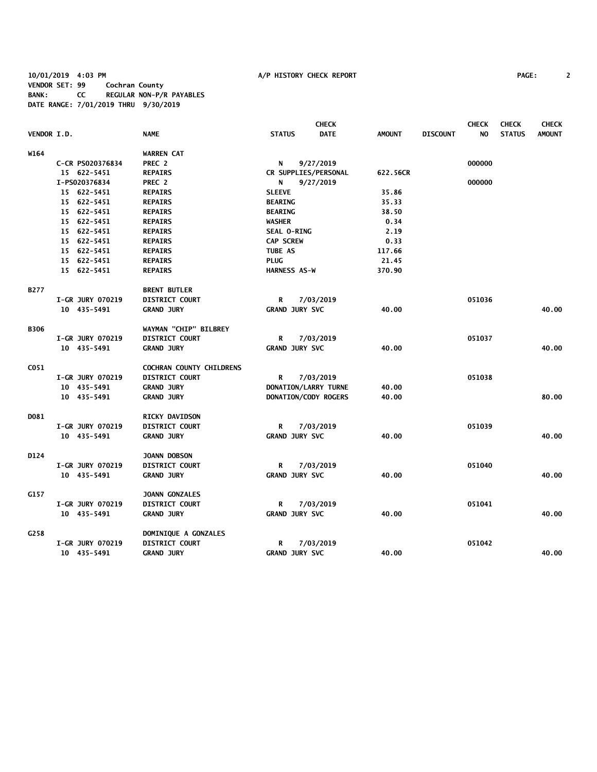**10/01/2019 4:03 PM A/P HISTORY CHECK REPORT PAGE: 2 VENDOR SET: 99 Cochran County BANK: CC REGULAR NON-P/R PAYABLES DATE RANGE: 7/01/2019 THRU 9/30/2019**

|                    |                         |                                 |                       | <b>CHECK</b>         |               |                 | <b>CHECK</b> | <b>CHECK</b>  | <b>CHECK</b>  |
|--------------------|-------------------------|---------------------------------|-----------------------|----------------------|---------------|-----------------|--------------|---------------|---------------|
| <b>VENDOR I.D.</b> |                         | <b>NAME</b>                     | <b>STATUS</b>         | <b>DATE</b>          | <b>AMOUNT</b> | <b>DISCOUNT</b> | NO.          | <b>STATUS</b> | <b>AMOUNT</b> |
| W164               |                         | <b>WARREN CAT</b>               |                       |                      |               |                 |              |               |               |
|                    | C-CR PS020376834        | PREC 2                          | N                     | 9/27/2019            |               |                 | 000000       |               |               |
|                    | 15 622-5451             | <b>REPAIRS</b>                  |                       | CR SUPPLIES/PERSONAL | 622.56CR      |                 |              |               |               |
|                    | I-PS020376834           | PREC 2                          | N                     | 9/27/2019            |               |                 | 000000       |               |               |
|                    | 15 622-5451             | <b>REPAIRS</b>                  | <b>SLEEVE</b>         |                      | 35.86         |                 |              |               |               |
|                    | 15 622-5451             | <b>REPAIRS</b>                  | <b>BEARING</b>        |                      | 35.33         |                 |              |               |               |
|                    | 15 622-5451             | <b>REPAIRS</b>                  | <b>BEARING</b>        |                      | 38.50         |                 |              |               |               |
|                    | 15 622-5451             | <b>REPAIRS</b>                  | <b>WASHER</b>         |                      | 0.34          |                 |              |               |               |
|                    | 15 622-5451             | <b>REPAIRS</b>                  | SEAL O-RING           |                      | 2.19          |                 |              |               |               |
|                    | 15 622-5451             | <b>REPAIRS</b>                  | <b>CAP SCREW</b>      |                      | 0.33          |                 |              |               |               |
|                    | 15 622-5451             | <b>REPAIRS</b>                  | <b>TUBE AS</b>        |                      | 117.66        |                 |              |               |               |
|                    | 15 622-5451             | <b>REPAIRS</b>                  | <b>PLUG</b>           |                      | 21.45         |                 |              |               |               |
|                    | 15 622-5451             | <b>REPAIRS</b>                  | <b>HARNESS AS-W</b>   |                      | 370.90        |                 |              |               |               |
| B277               |                         | <b>BRENT BUTLER</b>             |                       |                      |               |                 |              |               |               |
|                    | <b>I-GR JURY 070219</b> | DISTRICT COURT                  | R                     | 7/03/2019            |               |                 | 051036       |               |               |
|                    | 10 435-5491             | <b>GRAND JURY</b>               | <b>GRAND JURY SVC</b> |                      | 40.00         |                 |              |               | 40.00         |
| <b>B306</b>        |                         | WAYMAN "CHIP" BILBREY           |                       |                      |               |                 |              |               |               |
|                    | <b>I-GR JURY 070219</b> | <b>DISTRICT COURT</b>           | R                     | 7/03/2019            |               |                 | 051037       |               |               |
|                    | 10 435-5491             | <b>GRAND JURY</b>               | <b>GRAND JURY SVC</b> |                      | 40.00         |                 |              |               | 40.00         |
| C051               |                         | <b>COCHRAN COUNTY CHILDRENS</b> |                       |                      |               |                 |              |               |               |
|                    | I-GR JURY 070219        | <b>DISTRICT COURT</b>           | R                     | 7/03/2019            |               |                 | 051038       |               |               |
|                    | 10 435-5491             | <b>GRAND JURY</b>               |                       | DONATION/LARRY TURNE | 40.00         |                 |              |               |               |
|                    | 10 435-5491             | <b>GRAND JURY</b>               |                       | DONATION/CODY ROGERS | 40.00         |                 |              |               | 80.00         |
| DO81               |                         | <b>RICKY DAVIDSON</b>           |                       |                      |               |                 |              |               |               |
|                    | I-GR JURY 070219        | <b>DISTRICT COURT</b>           | R                     | 7/03/2019            |               |                 | 051039       |               |               |
|                    | 10 435-5491             | <b>GRAND JURY</b>               | <b>GRAND JURY SVC</b> |                      | 40.00         |                 |              |               | 40.00         |
| D124               |                         | JOANN DOBSON                    |                       |                      |               |                 |              |               |               |
|                    | <b>I-GR JURY 070219</b> | DISTRICT COURT                  | R                     | 7/03/2019            |               |                 | 051040       |               |               |
|                    | 10 435-5491             | <b>GRAND JURY</b>               | <b>GRAND JURY SVC</b> |                      | 40.00         |                 |              |               | 40.00         |
| G157               |                         | <b>JOANN GONZALES</b>           |                       |                      |               |                 |              |               |               |
|                    | I-GR JURY 070219        | <b>DISTRICT COURT</b>           | R                     | 7/03/2019            |               |                 | 051041       |               |               |
|                    | 10 435-5491             | <b>GRAND JURY</b>               | <b>GRAND JURY SVC</b> |                      | 40.00         |                 |              |               | 40.00         |
| G258               |                         | DOMINIQUE A GONZALES            |                       |                      |               |                 |              |               |               |
|                    | <b>I-GR JURY 070219</b> | <b>DISTRICT COURT</b>           | R                     | 7/03/2019            |               |                 | 051042       |               |               |
|                    | 10 435-5491             | <b>GRAND JURY</b>               | <b>GRAND JURY SVC</b> |                      | 40.00         |                 |              |               | 40.00         |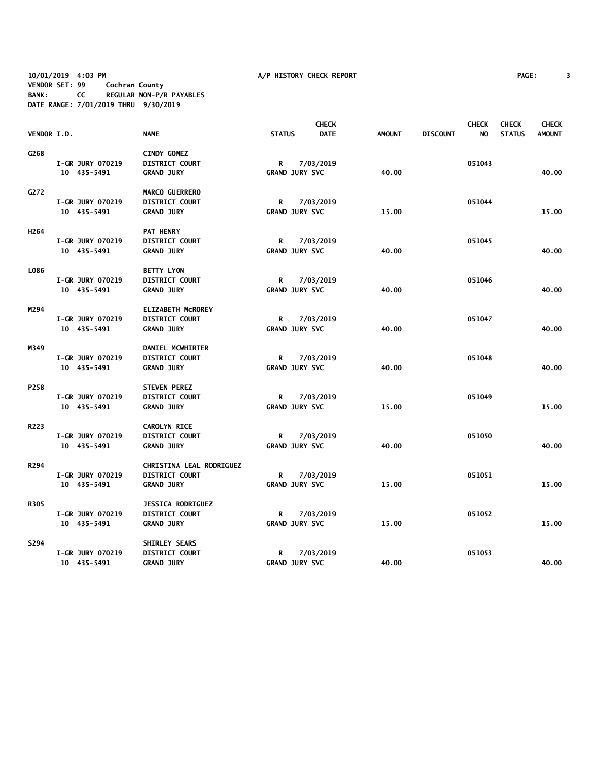**10/01/2019 4:03 PM A/P HISTORY CHECK REPORT PAGE: 3 VENDOR SET: 99 Cochran County BANK: CC REGULAR NON-P/R PAYABLES DATE RANGE: 7/01/2019 THRU 9/30/2019**

|                  |                         |                          |               |                       | <b>CHECK</b> |               |                 | <b>CHECK</b> | <b>CHECK</b>  | <b>CHECK</b>  |
|------------------|-------------------------|--------------------------|---------------|-----------------------|--------------|---------------|-----------------|--------------|---------------|---------------|
| VENDOR I.D.      |                         | <b>NAME</b>              | <b>STATUS</b> |                       | <b>DATE</b>  | <b>AMOUNT</b> | <b>DISCOUNT</b> | NO.          | <b>STATUS</b> | <b>AMOUNT</b> |
| G268             |                         | <b>CINDY GOMEZ</b>       |               |                       |              |               |                 |              |               |               |
|                  | <b>I-GR JURY 070219</b> | <b>DISTRICT COURT</b>    | R             |                       | 7/03/2019    |               |                 | 051043       |               |               |
|                  | 10 435-5491             | <b>GRAND JURY</b>        |               | <b>GRAND JURY SVC</b> |              | 40.00         |                 |              |               | 40.00         |
| G272             |                         | <b>MARCO GUERRERO</b>    |               |                       |              |               |                 |              |               |               |
|                  | <b>I-GR JURY 070219</b> | <b>DISTRICT COURT</b>    | R             |                       | 7/03/2019    |               |                 | 051044       |               |               |
|                  | 10 435-5491             | <b>GRAND JURY</b>        |               | <b>GRAND JURY SVC</b> |              | 15.00         |                 |              |               | 15.00         |
| H <sub>264</sub> |                         | <b>PAT HENRY</b>         |               |                       |              |               |                 |              |               |               |
|                  | I-GR JURY 070219        | <b>DISTRICT COURT</b>    | R             |                       | 7/03/2019    |               |                 | 051045       |               |               |
|                  | 10 435-5491             | <b>GRAND JURY</b>        |               | <b>GRAND JURY SVC</b> |              | 40.00         |                 |              |               | 40.00         |
| L086             |                         | <b>BETTY LYON</b>        |               |                       |              |               |                 |              |               |               |
|                  | <b>I-GR JURY 070219</b> | <b>DISTRICT COURT</b>    | R             |                       | 7/03/2019    |               |                 | 051046       |               |               |
|                  | 10 435-5491             | <b>GRAND JURY</b>        |               | <b>GRAND JURY SVC</b> |              | 40.00         |                 |              |               | 40.00         |
| M294             |                         | <b>ELIZABETH MCROREY</b> |               |                       |              |               |                 |              |               |               |
|                  | <b>I-GR JURY 070219</b> | <b>DISTRICT COURT</b>    | R             |                       | 7/03/2019    |               |                 | 051047       |               |               |
|                  | 10 435-5491             | <b>GRAND JURY</b>        |               | <b>GRAND JURY SVC</b> |              | 40.00         |                 |              |               | 40.00         |
| M349             |                         | DANIEL MCWHIRTER         |               |                       |              |               |                 |              |               |               |
|                  | <b>I-GR JURY 070219</b> | <b>DISTRICT COURT</b>    | R             |                       | 7/03/2019    |               |                 | 051048       |               |               |
|                  | 10 435-5491             | <b>GRAND JURY</b>        |               | <b>GRAND JURY SVC</b> |              | 40.00         |                 |              |               | 40.00         |
| P258             |                         | <b>STEVEN PEREZ</b>      |               |                       |              |               |                 |              |               |               |
|                  | I-GR JURY 070219        | <b>DISTRICT COURT</b>    | R             |                       | 7/03/2019    |               |                 | 051049       |               |               |
|                  | 10 435-5491             | <b>GRAND JURY</b>        |               | <b>GRAND JURY SVC</b> |              | 15.00         |                 |              |               | 15.00         |
| R223             |                         | <b>CAROLYN RICE</b>      |               |                       |              |               |                 |              |               |               |
|                  | <b>I-GR JURY 070219</b> | <b>DISTRICT COURT</b>    | R             |                       | 7/03/2019    |               |                 | 051050       |               |               |
|                  | 10 435-5491             | <b>GRAND JURY</b>        |               | <b>GRAND JURY SVC</b> |              | 40.00         |                 |              |               | 40.00         |
| R294             |                         | CHRISTINA LEAL RODRIGUEZ |               |                       |              |               |                 |              |               |               |
|                  | <b>I-GR JURY 070219</b> | <b>DISTRICT COURT</b>    | R             |                       | 7/03/2019    |               |                 | 051051       |               |               |
|                  | 10 435-5491             | <b>GRAND JURY</b>        |               | <b>GRAND JURY SVC</b> |              | 15.00         |                 |              |               | 15.00         |
| <b>R305</b>      |                         | <b>JESSICA RODRIGUEZ</b> |               |                       |              |               |                 |              |               |               |
|                  | <b>I-GR JURY 070219</b> | <b>DISTRICT COURT</b>    | R             |                       | 7/03/2019    |               |                 | 051052       |               |               |
|                  | 10 435-5491             | <b>GRAND JURY</b>        |               | <b>GRAND JURY SVC</b> |              | 15.00         |                 |              |               | 15.00         |
| S294             |                         | SHIRLEY SEARS            |               |                       |              |               |                 |              |               |               |
|                  | I-GR JURY 070219        | <b>DISTRICT COURT</b>    | R             |                       | 7/03/2019    |               |                 | 051053       |               |               |
|                  | 10 435-5491             | <b>GRAND JURY</b>        |               | <b>GRAND JURY SVC</b> |              | 40.00         |                 |              |               | 40.00         |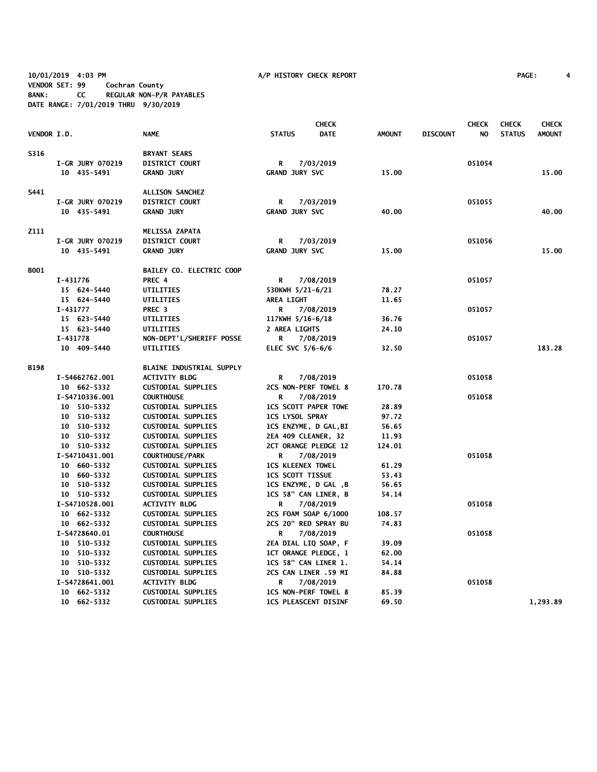**10/01/2019 4:03 PM A/P HISTORY CHECK REPORT PAGE: 4 VENDOR SET: 99 Cochran County BANK: CC REGULAR NON-P/R PAYABLES DATE RANGE: 7/01/2019 THRU 9/30/2019**

|                    |                            |                                                        |                                                            | <b>CHECK</b> |                |                 | <b>CHECK</b> | <b>CHECK</b>  | <b>CHECK</b>  |
|--------------------|----------------------------|--------------------------------------------------------|------------------------------------------------------------|--------------|----------------|-----------------|--------------|---------------|---------------|
| <b>VENDOR I.D.</b> |                            | <b>NAME</b>                                            | <b>STATUS</b>                                              | <b>DATE</b>  | <b>AMOUNT</b>  | <b>DISCOUNT</b> | NO           | <b>STATUS</b> | <b>AMOUNT</b> |
| S316               |                            | <b>BRYANT SEARS</b>                                    |                                                            |              |                |                 |              |               |               |
|                    | I-GR JURY 070219           | DISTRICT COURT                                         | R                                                          | 7/03/2019    |                |                 | 051054       |               |               |
|                    | 10 435-5491                | <b>GRAND JURY</b>                                      | <b>GRAND JURY SVC</b>                                      |              | 15.00          |                 |              |               | 15.00         |
| S441               |                            | ALLISON SANCHEZ                                        |                                                            |              |                |                 |              |               |               |
|                    | <b>I-GR JURY 070219</b>    | <b>DISTRICT COURT</b>                                  | R                                                          | 7/03/2019    |                |                 | 051055       |               |               |
|                    | 10 435-5491                | <b>GRAND JURY</b>                                      | <b>GRAND JURY SVC</b>                                      |              | 40.00          |                 |              |               | 40.00         |
| Z111               |                            | MELISSA ZAPATA                                         |                                                            |              |                |                 |              |               |               |
|                    | I-GR JURY 070219           | <b>DISTRICT COURT</b>                                  | R                                                          | 7/03/2019    |                |                 | 051056       |               |               |
|                    | 10 435-5491                | <b>GRAND JURY</b>                                      | <b>GRAND JURY SVC</b>                                      |              | 15.00          |                 |              |               | 15.00         |
| B001               |                            | BAILEY CO. ELECTRIC COOP                               |                                                            |              |                |                 |              |               |               |
|                    | I-431776                   | PREC 4                                                 | R                                                          | 7/08/2019    |                |                 | 051057       |               |               |
|                    | 15 624-5440                | UTILITIES                                              | 530KWH 5/21-6/21                                           |              | 78.27          |                 |              |               |               |
|                    | 15 624-5440                | UTILITIES                                              | <b>AREA LIGHT</b>                                          |              | 11.65          |                 |              |               |               |
|                    | I-431777                   | PREC <sub>3</sub>                                      | R                                                          | 7/08/2019    |                |                 | 051057       |               |               |
|                    | 15 623-5440                | UTILITIES                                              | 117KWH 5/16-6/18                                           |              | 36.76          |                 |              |               |               |
|                    | 15 623-5440                | UTILITIES                                              | <b>2 AREA LIGHTS</b>                                       |              | 24.10          |                 |              |               |               |
|                    | I-431778                   | <b>NON-DEPT'L/SHERIFF POSSE</b>                        | R                                                          | 7/08/2019    |                |                 | 051057       |               |               |
|                    | 10 409-5440                | <b>UTILITIES</b>                                       | ELEC SVC 5/6-6/6                                           |              | 32.50          |                 |              |               | 183.28        |
| <b>B198</b>        |                            | <b>BLAINE INDUSTRIAL SUPPLY</b>                        |                                                            |              |                |                 |              |               |               |
|                    | I-S4662762.001             | <b>ACTIVITY BLDG</b>                                   | R                                                          | 7/08/2019    |                |                 | 051058       |               |               |
|                    | 10 662-5332                | <b>CUSTODIAL SUPPLIES</b>                              | 2CS NON-PERF TOWEL 8                                       |              | 170.78         |                 |              |               |               |
|                    | I-S4710336.001             | <b>COURTHOUSE</b>                                      | R                                                          | 7/08/2019    |                |                 | 051058       |               |               |
|                    | 10 510-5332                | <b>CUSTODIAL SUPPLIES</b>                              | <b>1CS SCOTT PAPER TOWE</b>                                |              | 28.89          |                 |              |               |               |
|                    | 10 510-5332                | <b>CUSTODIAL SUPPLIES</b>                              | <b>1CS LYSOL SPRAY</b>                                     |              | 97.72          |                 |              |               |               |
|                    | 10 510-5332                | <b>CUSTODIAL SUPPLIES</b>                              | <b>1CS ENZYME, D GAL, BI</b>                               |              | 56.65          |                 |              |               |               |
|                    | 10 510-5332                | <b>CUSTODIAL SUPPLIES</b>                              | 2EA 409 CLEANER, 32                                        |              | 11.93          |                 |              |               |               |
|                    | 10 510-5332                | <b>CUSTODIAL SUPPLIES</b>                              | 2CT ORANGE PLEDGE 12                                       |              | 124.01         |                 |              |               |               |
|                    | I-S4710431.001             | <b>COURTHOUSE/PARK</b>                                 | R                                                          | 7/08/2019    |                |                 | 051058       |               |               |
|                    | 10 660-5332                | <b>CUSTODIAL SUPPLIES</b>                              | <b>ICS KLEENEX TOWEL</b>                                   |              | 61.29          |                 |              |               |               |
|                    | 10 660-5332                | <b>CUSTODIAL SUPPLIES</b>                              | <b>ICS SCOTT TISSUE</b>                                    |              | 53.43          |                 |              |               |               |
|                    | 10 510-5332                | <b>CUSTODIAL SUPPLIES</b>                              | 1CS ENZYME, D GAL, B                                       |              | 56.65          |                 |              |               |               |
|                    | 10 510-5332                | <b>CUSTODIAL SUPPLIES</b>                              | 1CS 58" CAN LINER, B                                       |              | 54.14          |                 |              |               |               |
|                    | I-S4710528.001             | <b>ACTIVITY BLDG</b>                                   | R                                                          | 7/08/2019    |                |                 | 051058       |               |               |
|                    | 10 662-5332                | <b>CUSTODIAL SUPPLIES</b>                              | 2CS FOAM SOAP 6/1000                                       |              | 108.57         |                 |              |               |               |
|                    | 10 662-5332                | <b>CUSTODIAL SUPPLIES</b>                              | 2CS 20" RED SPRAY BU                                       |              | 74.83          |                 |              |               |               |
|                    | I-S4728640.01              | <b>COURTHOUSE</b>                                      | R                                                          | 7/08/2019    |                |                 | 051058       |               |               |
|                    | 10 510-5332                | <b>CUSTODIAL SUPPLIES</b>                              | 2EA DIAL LIQ SOAP, F                                       |              | 39.09          |                 |              |               |               |
|                    | 10 510-5332                | <b>CUSTODIAL SUPPLIES</b>                              | <b>1CT ORANGE PLEDGE, 1</b>                                |              | 62.00          |                 |              |               |               |
|                    | 10 510-5332                | <b>CUSTODIAL SUPPLIES</b>                              | 1CS 58" CAN LINER 1.                                       |              | 54.14          |                 |              |               |               |
|                    | 10 510-5332                | <b>CUSTODIAL SUPPLIES</b>                              | 2CS CAN LINER .59 MI                                       |              | 84.88          |                 |              |               |               |
|                    | I-S4728641.001             | <b>ACTIVITY BLDG</b>                                   | R                                                          | 7/08/2019    |                |                 | 051058       |               |               |
|                    | 10 662-5332<br>10 662-5332 | <b>CUSTODIAL SUPPLIES</b><br><b>CUSTODIAL SUPPLIES</b> | <b>ICS NON-PERF TOWEL 8</b><br><b>ICS PLEASCENT DISINF</b> |              | 85.39<br>69.50 |                 |              |               | 1,293.89      |
|                    |                            |                                                        |                                                            |              |                |                 |              |               |               |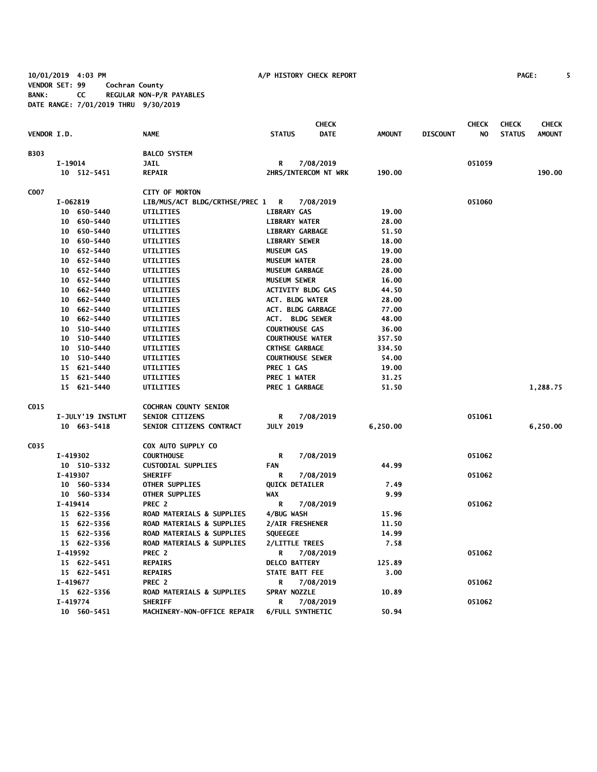**10/01/2019 4:03 PM A/P HISTORY CHECK REPORT PAGE: 5 VENDOR SET: 99 Cochran County BANK: CC REGULAR NON-P/R PAYABLES DATE RANGE: 7/01/2019 THRU 9/30/2019**

|                    |                   |                                  |                          | <b>CHECK</b>         |               |                 | <b>CHECK</b> | <b>CHECK</b>  | <b>CHECK</b>  |
|--------------------|-------------------|----------------------------------|--------------------------|----------------------|---------------|-----------------|--------------|---------------|---------------|
| <b>VENDOR I.D.</b> |                   | <b>NAME</b>                      | <b>STATUS</b>            | <b>DATE</b>          | <b>AMOUNT</b> | <b>DISCOUNT</b> | NO.          | <b>STATUS</b> | <b>AMOUNT</b> |
| B303               |                   | <b>BALCO SYSTEM</b>              |                          |                      |               |                 |              |               |               |
|                    | I-19014           | <b>JAIL</b>                      | R                        | 7/08/2019            |               |                 | 051059       |               |               |
|                    | 10 512-5451       | <b>REPAIR</b>                    |                          | 2HRS/INTERCOM NT WRK | 190.00        |                 |              |               | 190.00        |
| C007               |                   | <b>CITY OF MORTON</b>            |                          |                      |               |                 |              |               |               |
|                    | I-062819          | LIB/MUS/ACT BLDG/CRTHSE/PREC 1 R |                          | 7/08/2019            |               |                 | 051060       |               |               |
|                    | 10 650-5440       | <b>UTILITIES</b>                 | <b>LIBRARY GAS</b>       |                      | 19.00         |                 |              |               |               |
|                    | 10 650-5440       | UTILITIES                        | <b>LIBRARY WATER</b>     |                      | 28.00         |                 |              |               |               |
|                    | 10 650-5440       | UTILITIES                        | <b>LIBRARY GARBAGE</b>   |                      | 51.50         |                 |              |               |               |
|                    | 10 650-5440       | UTILITIES                        | <b>LIBRARY SEWER</b>     |                      | 18.00         |                 |              |               |               |
|                    | 10 652-5440       | UTILITIES                        | <b>MUSEUM GAS</b>        |                      | 19.00         |                 |              |               |               |
|                    | 10 652-5440       | UTILITIES                        | <b>MUSEUM WATER</b>      |                      | 28.00         |                 |              |               |               |
|                    | 10 652-5440       | UTILITIES                        | <b>MUSEUM GARBAGE</b>    |                      | 28.00         |                 |              |               |               |
|                    | 10 652-5440       | UTILITIES                        | <b>MUSEUM SEWER</b>      |                      | 16.00         |                 |              |               |               |
|                    | 10 662-5440       | UTILITIES                        | <b>ACTIVITY BLDG GAS</b> |                      | 44.50         |                 |              |               |               |
|                    | 10 662-5440       | UTILITIES                        | <b>ACT. BLDG WATER</b>   |                      | 28.00         |                 |              |               |               |
|                    | 10 662-5440       | UTILITIES                        | ACT. BLDG GARBAGE        |                      | 77.00         |                 |              |               |               |
|                    | 10 662-5440       | UTILITIES                        | <b>ACT. BLDG SEWER</b>   |                      | 48.00         |                 |              |               |               |
|                    | 10 510-5440       | <b>UTILITIES</b>                 | <b>COURTHOUSE GAS</b>    |                      | 36.00         |                 |              |               |               |
|                    | 10 510-5440       | UTILITIES                        | <b>COURTHOUSE WATER</b>  |                      | 357.50        |                 |              |               |               |
|                    | 10 510-5440       | UTILITIES                        | <b>CRTHSE GARBAGE</b>    |                      | 334.50        |                 |              |               |               |
|                    | 10 510-5440       | UTILITIES                        | <b>COURTHOUSE SEWER</b>  |                      | 54.00         |                 |              |               |               |
|                    | 15 621-5440       | UTILITIES                        | PREC 1 GAS               |                      | 19.00         |                 |              |               |               |
|                    | 15 621-5440       | UTILITIES                        | PREC 1 WATER             |                      | 31.25         |                 |              |               |               |
|                    | 15 621-5440       | UTILITIES                        | PREC 1 GARBAGE           |                      | 51.50         |                 |              |               | 1,288.75      |
| C015               |                   | <b>COCHRAN COUNTY SENIOR</b>     |                          |                      |               |                 |              |               |               |
|                    | I-JULY'19 INSTLMT | SENIOR CITIZENS                  | R                        | 7/08/2019            |               |                 | 051061       |               |               |
|                    | 10 663-5418       | SENIOR CITIZENS CONTRACT         | <b>JULY 2019</b>         |                      | 6,250.00      |                 |              |               | 6,250.00      |
| CO35               |                   | COX AUTO SUPPLY CO               |                          |                      |               |                 |              |               |               |
|                    | I-419302          | <b>COURTHOUSE</b>                | R                        | 7/08/2019            |               |                 | 051062       |               |               |
|                    | 10 510-5332       | <b>CUSTODIAL SUPPLIES</b>        | <b>FAN</b>               |                      | 44.99         |                 |              |               |               |
|                    | I-419307          | <b>SHERIFF</b>                   | R                        | 7/08/2019            |               |                 | 051062       |               |               |
|                    | 10 560-5334       | OTHER SUPPLIES                   | <b>QUICK DETAILER</b>    |                      | 7.49          |                 |              |               |               |
|                    | 10 560-5334       | <b>OTHER SUPPLIES</b>            | <b>WAX</b>               |                      | 9.99          |                 |              |               |               |
|                    | I-419414          | PREC 2                           | R                        | 7/08/2019            |               |                 | 051062       |               |               |
|                    | 15 622-5356       | ROAD MATERIALS & SUPPLIES        | 4/BUG WASH               |                      | 15.96         |                 |              |               |               |
|                    | 15 622-5356       | ROAD MATERIALS & SUPPLIES        | 2/AIR FRESHENER          |                      | 11.50         |                 |              |               |               |
|                    | 15 622-5356       | ROAD MATERIALS & SUPPLIES        | <b>SQUEEGEE</b>          |                      | 14.99         |                 |              |               |               |
|                    | 15 622-5356       | ROAD MATERIALS & SUPPLIES        | 2/LITTLE TREES           |                      | 7.58          |                 |              |               |               |
|                    | I-419592          | PREC 2                           | R                        | 7/08/2019            |               |                 | 051062       |               |               |
|                    | 15 622-5451       | <b>REPAIRS</b>                   | <b>DELCO BATTERY</b>     |                      | 125.89        |                 |              |               |               |
|                    | 15 622-5451       | <b>REPAIRS</b>                   | STATE BATT FEE           |                      | 3.00          |                 |              |               |               |
|                    | I-419677          | PREC 2                           | R                        | 7/08/2019            |               |                 | 051062       |               |               |
|                    | 15 622-5356       | ROAD MATERIALS & SUPPLIES        | SPRAY NOZZLE             |                      | 10.89         |                 |              |               |               |
|                    | I-419774          | <b>SHERIFF</b>                   | R                        | 7/08/2019            |               |                 | 051062       |               |               |

 **10 560-5451 MACHINERY-NON-OFFICE REPAIR 6/FULL SYNTHETIC 50.94**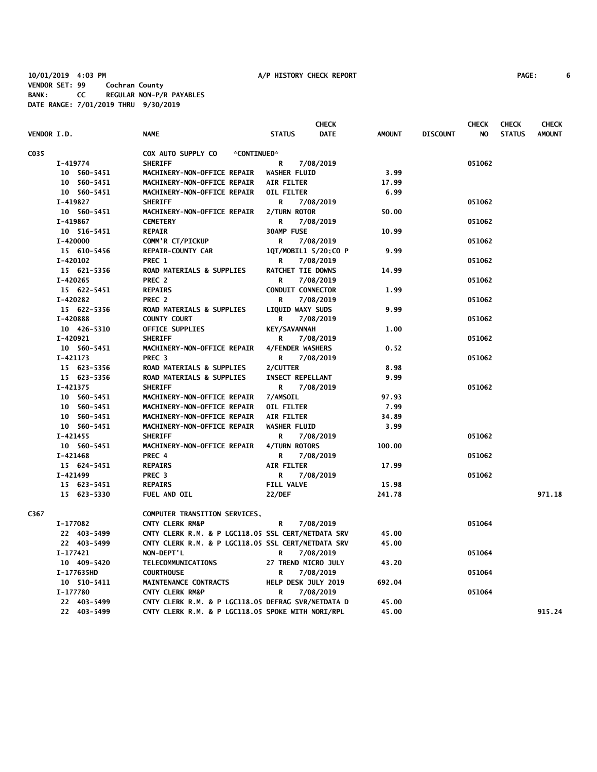|                    |             |                                                    |                          | <b>CHECK</b>         |               |                 | <b>CHECK</b> | <b>CHECK</b>  | <b>CHECK</b>  |
|--------------------|-------------|----------------------------------------------------|--------------------------|----------------------|---------------|-----------------|--------------|---------------|---------------|
| <b>VENDOR I.D.</b> |             | <b>NAME</b>                                        | <b>STATUS</b>            | <b>DATE</b>          | <b>AMOUNT</b> | <b>DISCOUNT</b> | NO.          | <b>STATUS</b> | <b>AMOUNT</b> |
| C035               |             | COX AUTO SUPPLY CO<br>*CONTINUED*                  |                          |                      |               |                 |              |               |               |
|                    | I-419774    | <b>SHERIFF</b>                                     | R                        | 7/08/2019            |               |                 | 051062       |               |               |
|                    | 10 560-5451 | MACHINERY-NON-OFFICE REPAIR                        | <b>WASHER FLUID</b>      |                      | 3.99          |                 |              |               |               |
|                    | 10 560-5451 | MACHINERY-NON-OFFICE REPAIR                        | <b>AIR FILTER</b>        |                      | 17.99         |                 |              |               |               |
|                    | 10 560-5451 | MACHINERY-NON-OFFICE REPAIR                        | OIL FILTER               |                      | 6.99          |                 |              |               |               |
|                    | I-419827    | <b>SHERIFF</b>                                     | R                        | 7/08/2019            |               |                 | 051062       |               |               |
|                    | 10 560-5451 | MACHINERY-NON-OFFICE REPAIR                        | 2/TURN ROTOR             |                      | 50.00         |                 |              |               |               |
|                    | I-419867    | <b>CEMETERY</b>                                    | R                        | 7/08/2019            |               |                 | 051062       |               |               |
|                    | 10 516-5451 | <b>REPAIR</b>                                      | 30AMP FUSE               |                      | 10.99         |                 |              |               |               |
|                    | I-420000    | COMM'R CT/PICKUP                                   | R                        | 7/08/2019            |               |                 | 051062       |               |               |
|                    | 15 610-5456 | <b>REPAIR-COUNTY CAR</b>                           |                          | 1QT/MOBIL1 5/20;CO P | 9.99          |                 |              |               |               |
|                    | I-420102    | PREC 1                                             | R                        | 7/08/2019            |               |                 | 051062       |               |               |
|                    | 15 621-5356 | <b>ROAD MATERIALS &amp; SUPPLIES</b>               | RATCHET TIE DOWNS        |                      | 14.99         |                 |              |               |               |
|                    | I-420265    | PREC 2                                             | R                        | 7/08/2019            |               |                 | 051062       |               |               |
|                    | 15 622-5451 | <b>REPAIRS</b>                                     | <b>CONDUIT CONNECTOR</b> |                      | 1.99          |                 |              |               |               |
|                    | I-420282    | PREC <sub>2</sub>                                  | R                        | 7/08/2019            |               |                 | 051062       |               |               |
|                    | 15 622-5356 | ROAD MATERIALS & SUPPLIES                          | LIQUID WAXY SUDS         |                      | 9.99          |                 |              |               |               |
|                    | I-420888    | <b>COUNTY COURT</b>                                | R                        | 7/08/2019            |               |                 | 051062       |               |               |
|                    | 10 426-5310 | <b>OFFICE SUPPLIES</b>                             | <b>KEY/SAVANNAH</b>      |                      | 1.00          |                 |              |               |               |
|                    | I-420921    | <b>SHERIFF</b>                                     | R                        | 7/08/2019            |               |                 | 051062       |               |               |
|                    | 10 560-5451 | MACHINERY-NON-OFFICE REPAIR                        | 4/FENDER WASHERS         |                      | 0.52          |                 |              |               |               |
|                    | I-421173    | PREC <sub>3</sub>                                  | R                        | 7/08/2019            |               |                 | 051062       |               |               |
|                    | 15 623-5356 | ROAD MATERIALS & SUPPLIES                          | 2/CUTTER                 |                      | 8.98          |                 |              |               |               |
|                    | 15 623-5356 | ROAD MATERIALS & SUPPLIES                          | <b>INSECT REPELLANT</b>  |                      | 9.99          |                 |              |               |               |
|                    | I-421375    | <b>SHERIFF</b>                                     | R                        | 7/08/2019            |               |                 | 051062       |               |               |
|                    | 10 560-5451 | MACHINERY-NON-OFFICE REPAIR                        | 7/AMSOIL                 |                      | 97.93         |                 |              |               |               |
|                    | 10 560-5451 | MACHINERY-NON-OFFICE REPAIR                        | OIL FILTER               |                      | 7.99          |                 |              |               |               |
|                    | 10 560-5451 | MACHINERY-NON-OFFICE REPAIR                        | <b>AIR FILTER</b>        |                      | 34.89         |                 |              |               |               |
|                    | 10 560-5451 | MACHINERY-NON-OFFICE REPAIR                        | WASHER FLUID             |                      | 3.99          |                 |              |               |               |
|                    | I-421455    | <b>SHERIFF</b>                                     | R                        | 7/08/2019            |               |                 | 051062       |               |               |
|                    | 10 560-5451 | MACHINERY-NON-OFFICE REPAIR                        | 4/TURN ROTORS            |                      | 100.00        |                 |              |               |               |
|                    | I-421468    | PREC 4                                             | R                        | 7/08/2019            |               |                 | 051062       |               |               |
|                    | 15 624-5451 | <b>REPAIRS</b>                                     | <b>AIR FILTER</b>        |                      | 17.99         |                 |              |               |               |
|                    | I-421499    | PREC <sub>3</sub>                                  | R                        | 7/08/2019            |               |                 | 051062       |               |               |
|                    | 15 623-5451 | <b>REPAIRS</b>                                     | <b>FILL VALVE</b>        |                      | 15.98         |                 |              |               |               |
|                    | 15 623-5330 | FUEL AND OIL                                       | <b>22/DEF</b>            |                      | 241.78        |                 |              |               | 971.18        |
| C367               |             | COMPUTER TRANSITION SERVICES,                      |                          |                      |               |                 |              |               |               |
|                    | I-177082    | <b>CNTY CLERK RM&amp;P</b>                         | R                        | 7/08/2019            |               |                 | 051064       |               |               |
|                    | 22 403-5499 | CNTY CLERK R.M. & P LGC118.05 SSL CERT/NETDATA SRV |                          |                      | 45.00         |                 |              |               |               |
|                    | 22 403-5499 | CNTY CLERK R.M. & P LGC118.05 SSL CERT/NETDATA SRV |                          |                      | 45.00         |                 |              |               |               |
|                    | I-177421    | NON-DEPT'L                                         | R                        | 7/08/2019            |               |                 | 051064       |               |               |
|                    | 10 409-5420 | <b>TELECOMMUNICATIONS</b>                          | 27 TREND MICRO JULY      |                      | 43.20         |                 |              |               |               |
|                    | I-177635HD  | <b>COURTHOUSE</b>                                  | R                        | 7/08/2019            |               |                 | 051064       |               |               |
|                    | 10 510-5411 | MAINTENANCE CONTRACTS                              | HELP DESK JULY 2019      |                      | 692.04        |                 |              |               |               |
|                    | I-177780    | CNTY CLERK RM&P                                    | R                        | 7/08/2019            |               |                 | 051064       |               |               |
|                    | 22 403-5499 | CNTY CLERK R.M. & P LGC118.05 DEFRAG SVR/NETDATA D |                          |                      | 45.00         |                 |              |               |               |
|                    | 22 403-5499 | CNTY CLERK R.M. & P LGC118.05 SPOKE WITH NORI/RPL  |                          |                      | 45.00         |                 |              |               | 915.24        |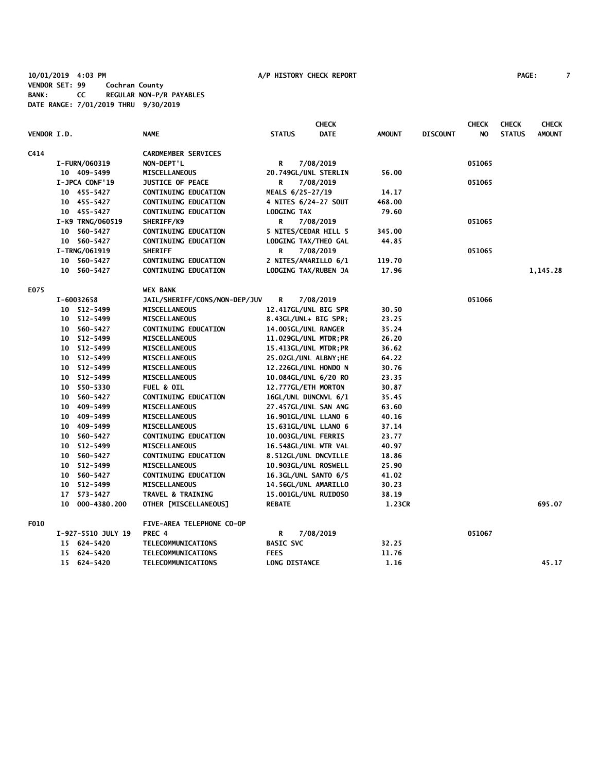**10/01/2019 4:03 PM A/P HISTORY CHECK REPORT PAGE: 7 VENDOR SET: 99 Cochran County BANK: CC REGULAR NON-P/R PAYABLES DATE RANGE: 7/01/2019 THRU 9/30/2019**

|                    |    |                    |                               |                      | <b>CHECK</b>          |               |                 | <b>CHECK</b> | <b>CHECK</b>  | <b>CHECK</b>  |
|--------------------|----|--------------------|-------------------------------|----------------------|-----------------------|---------------|-----------------|--------------|---------------|---------------|
| <b>VENDOR I.D.</b> |    |                    | <b>NAME</b>                   | <b>STATUS</b>        | <b>DATE</b>           | <b>AMOUNT</b> | <b>DISCOUNT</b> | NO.          | <b>STATUS</b> | <b>AMOUNT</b> |
| C414               |    |                    | <b>CARDMEMBER SERVICES</b>    |                      |                       |               |                 |              |               |               |
|                    |    | I-FURN/060319      | NON-DEPT'L                    | R                    | 7/08/2019             |               |                 | 051065       |               |               |
|                    |    | 10 409-5499        | MISCELLANEOUS                 |                      | 20.749GL/UNL STERLIN  | 56.00         |                 |              |               |               |
|                    |    | I-JPCA CONF'19     | <b>JUSTICE OF PEACE</b>       | R                    | 7/08/2019             |               |                 | 051065       |               |               |
|                    |    | 10 455-5427        | <b>CONTINUING EDUCATION</b>   | MEALS 6/25-27/19     |                       | 14.17         |                 |              |               |               |
|                    |    | 10 455-5427        | CONTINUING EDUCATION          |                      | 4 NITES 6/24-27 SOUT  | 468.00        |                 |              |               |               |
|                    |    | 10 455-5427        | <b>CONTINUING EDUCATION</b>   | LODGING TAX          |                       | 79.60         |                 |              |               |               |
|                    |    | I-K9 TRNG/060519   | SHERIFF/K9                    | R                    | 7/08/2019             |               |                 | 051065       |               |               |
|                    |    | 10 560-5427        | <b>CONTINUING EDUCATION</b>   |                      | 5 NITES/CEDAR HILL 5  | 345.00        |                 |              |               |               |
|                    |    | 10 560-5427        | <b>CONTINUING EDUCATION</b>   |                      | LODGING TAX/THEO GAL  | 44.85         |                 |              |               |               |
|                    |    | I-TRNG/061919      | <b>SHERIFF</b>                | R                    | 7/08/2019             |               |                 | 051065       |               |               |
|                    |    | 10 560-5427        | <b>CONTINUING EDUCATION</b>   |                      | 2 NITES/AMARILLO 6/1  | 119.70        |                 |              |               |               |
|                    |    | 10 560-5427        | <b>CONTINUING EDUCATION</b>   |                      | LODGING TAX/RUBEN JA  | 17.96         |                 |              |               | 1,145.28      |
| E075               |    |                    | <b>WEX BANK</b>               |                      |                       |               |                 |              |               |               |
|                    |    | I-60032658         | JAIL/SHERIFF/CONS/NON-DEP/JUV | R                    | 7/08/2019             |               |                 | 051066       |               |               |
|                    |    | 10 512-5499        | <b>MISCELLANEOUS</b>          |                      | 12.417GL/UNL BIG SPR  | 30.50         |                 |              |               |               |
|                    |    | 10 512-5499        | MISCELLANEOUS                 |                      | 8.43GL/UNL+ BIG SPR;  | 23.25         |                 |              |               |               |
|                    |    | 10 560-5427        | CONTINUING EDUCATION          |                      | 14.005GL/UNL RANGER   | 35.24         |                 |              |               |               |
|                    |    | 10 512-5499        | <b>MISCELLANEOUS</b>          |                      | 11.029GL/UNL MTDR; PR | 26.20         |                 |              |               |               |
|                    |    | 10 512-5499        | MISCELLANEOUS                 |                      | 15.413GL/UNL MTDR; PR | 36.62         |                 |              |               |               |
|                    |    | 10 512-5499        | <b>MISCELLANEOUS</b>          |                      | 25.02GL/UNL ALBNY; HE | 64.22         |                 |              |               |               |
|                    |    | 10 512-5499        | MISCELLANEOUS                 |                      | 12.226GL/UNL HONDO N  | 30.76         |                 |              |               |               |
|                    |    | 10 512-5499        | <b>MISCELLANEOUS</b>          |                      | 10.084GL/UNL 6/20 RO  | 23.35         |                 |              |               |               |
|                    |    | 10 550-5330        | <b>FUEL &amp; OIL</b>         |                      | 12.777GL/ETH MORTON   | 30.87         |                 |              |               |               |
|                    | 10 | 560-5427           | <b>CONTINUING EDUCATION</b>   |                      | 16GL/UNL DUNCNVL 6/1  | 35.45         |                 |              |               |               |
|                    | 10 | 409-5499           | <b>MISCELLANEOUS</b>          |                      | 27.457GL/UNL SAN ANG  | 63.60         |                 |              |               |               |
|                    |    | 10 409-5499        | MISCELLANEOUS                 |                      | 16.901GL/UNL LLANO 6  | 40.16         |                 |              |               |               |
|                    |    | 10 409-5499        | MISCELLANEOUS                 |                      | 15.631GL/UNL LLANO 6  | 37.14         |                 |              |               |               |
|                    |    | 10 560-5427        | <b>CONTINUING EDUCATION</b>   |                      | 10.003GL/UNL FERRIS   | 23.77         |                 |              |               |               |
|                    |    | 10 512-5499        | <b>MISCELLANEOUS</b>          |                      | 16.548GL/UNL WTR VAL  | 40.97         |                 |              |               |               |
|                    | 10 | 560-5427           | <b>CONTINUING EDUCATION</b>   |                      | 8.512GL/UNL DNCVILLE  | 18.86         |                 |              |               |               |
|                    | 10 | 512-5499           | MISCELLANEOUS                 |                      | 10.903GL/UNL ROSWELL  | 25.90         |                 |              |               |               |
|                    | 10 | 560-5427           | <b>CONTINUING EDUCATION</b>   |                      | 16.3GL/UNL SANTO 6/5  | 41.02         |                 |              |               |               |
|                    |    | 10 512-5499        | <b>MISCELLANEOUS</b>          |                      | 14.56GL/UNL AMARILLO  | 30.23         |                 |              |               |               |
|                    |    | 17 573-5427        | TRAVEL & TRAINING             |                      | 15.001GL/UNL RUIDOSO  | 38.19         |                 |              |               |               |
|                    | 10 | 000-4380.200       | OTHER [MISCELLANEOUS]         | <b>REBATE</b>        |                       | 1.23CR        |                 |              |               | 695.07        |
| F010               |    |                    | FIVE-AREA TELEPHONE CO-OP     |                      |                       |               |                 |              |               |               |
|                    |    | I-927-5510 JULY 19 | PREC 4                        | R                    | 7/08/2019             |               |                 | 051067       |               |               |
|                    |    | 15 624-5420        | TELECOMMUNICATIONS            | <b>BASIC SVC</b>     |                       | 32.25         |                 |              |               |               |
|                    |    | 15 624-5420        | TELECOMMUNICATIONS            | <b>FEES</b>          |                       | 11.76         |                 |              |               |               |
|                    |    | 15 624-5420        | TELECOMMUNICATIONS            | <b>LONG DISTANCE</b> |                       | 1.16          |                 |              |               | 45.17         |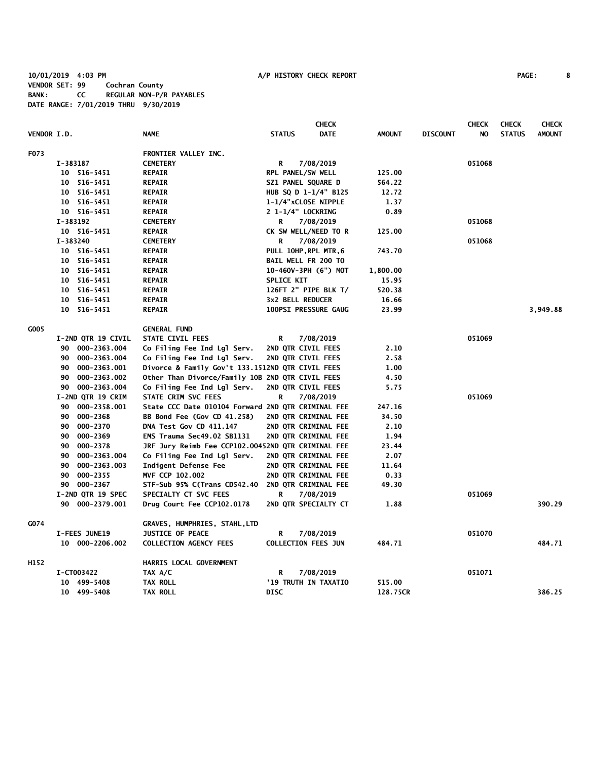**10/01/2019 4:03 PM A/P HISTORY CHECK REPORT PAGE: 8 VENDOR SET: 99 Cochran County BANK: CC REGULAR NON-P/R PAYABLES DATE RANGE: 7/01/2019 THRU 9/30/2019**

|                    |                    |                                                    |                            | <b>CHECK</b>         |               |                 | <b>CHECK</b> | <b>CHECK</b>  | <b>CHECK</b>  |
|--------------------|--------------------|----------------------------------------------------|----------------------------|----------------------|---------------|-----------------|--------------|---------------|---------------|
| <b>VENDOR I.D.</b> |                    | <b>NAME</b>                                        | <b>STATUS</b>              | <b>DATE</b>          | <b>AMOUNT</b> | <b>DISCOUNT</b> | NO.          | <b>STATUS</b> | <b>AMOUNT</b> |
| F073               |                    | FRONTIER VALLEY INC.                               |                            |                      |               |                 |              |               |               |
|                    | I-383187           | <b>CEMETERY</b>                                    | R                          | 7/08/2019            |               |                 | 051068       |               |               |
|                    | 10 516-5451        | <b>REPAIR</b>                                      | RPL PANEL/SW WELL          |                      | 125.00        |                 |              |               |               |
|                    | 10 516-5451        | <b>REPAIR</b>                                      | SZ1 PANEL SQUARE D         |                      | 564.22        |                 |              |               |               |
|                    | 10<br>516–5451     | <b>REPAIR</b>                                      |                            | HUB SQ D 1-1/4" B125 | 12.72         |                 |              |               |               |
|                    | 10 516-5451        | <b>REPAIR</b>                                      | 1-1/4"xCLOSE NIPPLE        |                      | 1.37          |                 |              |               |               |
|                    | 10 516-5451        | <b>REPAIR</b>                                      | 2 1-1/4" LOCKRING          |                      | 0.89          |                 |              |               |               |
|                    | I-383192           | <b>CEMETERY</b>                                    | R                          | 7/08/2019            |               |                 | 051068       |               |               |
|                    | 10 516-5451        | <b>REPAIR</b>                                      |                            | CK SW WELL/NEED TO R | 125.00        |                 |              |               |               |
|                    | I-383240           | <b>CEMETERY</b>                                    | R                          | 7/08/2019            |               |                 | 051068       |               |               |
|                    | 10 516-5451        | <b>REPAIR</b>                                      | PULL 10HP, RPL MTR, 6      |                      | 743.70        |                 |              |               |               |
|                    | 516-5451<br>10     | <b>REPAIR</b>                                      | <b>BAIL WELL FR 200 TO</b> |                      |               |                 |              |               |               |
|                    | 10 516-5451        | <b>REPAIR</b>                                      |                            | 10-460V-3PH (6") MOT | 1,800.00      |                 |              |               |               |
|                    | 10 516-5451        | <b>REPAIR</b>                                      | SPLICE KIT                 |                      | 15.95         |                 |              |               |               |
|                    | 10<br>516–5451     | <b>REPAIR</b>                                      |                            | 126FT 2" PIPE BLK T/ | 520.38        |                 |              |               |               |
|                    | 516-5451<br>10     | <b>REPAIR</b>                                      | 3x2 BELL REDUCER           |                      | 16.66         |                 |              |               |               |
|                    | 10<br>516-5451     | <b>REPAIR</b>                                      |                            | 100PSI PRESSURE GAUG | 23.99         |                 |              |               | 3,949.88      |
| G005               |                    | <b>GENERAL FUND</b>                                |                            |                      |               |                 |              |               |               |
|                    | I-2ND QTR 19 CIVIL | STATE CIVIL FEES                                   | R                          | 7/08/2019            |               |                 | 051069       |               |               |
|                    | 90 000-2363.004    | Co Filing Fee Ind Lgl Serv.                        | 2ND QTR CIVIL FEES         |                      | 2.10          |                 |              |               |               |
|                    | 90 000-2363.004    | Co Filing Fee Ind Lgl Serv.                        | 2ND QTR CIVIL FEES         |                      | 2.58          |                 |              |               |               |
|                    | 90 000-2363.001    | Divorce & Family Gov't 133.1512ND QTR CIVIL FEES   |                            |                      | 1.00          |                 |              |               |               |
|                    | 90 000-2363.002    | Other Than Divorce/Family 10B 2ND QTR CIVIL FEES   |                            |                      | 4.50          |                 |              |               |               |
|                    | 90 000-2363.004    | Co Filing Fee Ind Lgl Serv.                        | 2ND QTR CIVIL FEES         |                      | 5.75          |                 |              |               |               |
|                    | I-2ND QTR 19 CRIM  | STATE CRIM SVC FEES                                | R                          | 7/08/2019            |               |                 | 051069       |               |               |
|                    | 90 000-2358.001    | State CCC Date 010104 Forward 2ND QTR CRIMINAL FEE |                            |                      | 247.16        |                 |              |               |               |
|                    | 000-2368<br>90     | BB Bond Fee (Gov CD 41.258)                        |                            | 2ND QTR CRIMINAL FEE | 34.50         |                 |              |               |               |
|                    | 000-2370<br>90     | DNA Test Gov CD 411.147                            |                            | 2ND QTR CRIMINAL FEE | 2.10          |                 |              |               |               |
|                    | 000-2369<br>90     | EMS Trauma Sec49.02 SB1131                         |                            | 2ND QTR CRIMINAL FEE | 1.94          |                 |              |               |               |
|                    | 000-2378<br>90     | JRF Jury Reimb Fee CCP102.00452ND QTR CRIMINAL FEE |                            |                      | 23.44         |                 |              |               |               |
|                    | 000-2363.004<br>90 | Co Filing Fee Ind Lgl Serv.                        |                            | 2ND QTR CRIMINAL FEE | 2.07          |                 |              |               |               |
|                    | 000-2363.003<br>90 | Indigent Defense Fee                               |                            | 2ND QTR CRIMINAL FEE | 11.64         |                 |              |               |               |
|                    | 90<br>000-2355     | MVF CCP 102.002                                    |                            | 2ND QTR CRIMINAL FEE | 0.33          |                 |              |               |               |
|                    | 000-2367<br>90     | STF-Sub 95% C(Trans CD542.40                       |                            | 2ND QTR CRIMINAL FEE | 49.30         |                 |              |               |               |
|                    | I-2ND QTR 19 SPEC  | SPECIALTY CT SVC FEES                              | R                          | 7/08/2019            |               |                 | 051069       |               |               |
|                    | 90 000-2379.001    | Drug Court Fee CCP102.0178                         |                            | 2ND QTR SPECIALTY CT | 1.88          |                 |              |               | 390.29        |
| G074               |                    | GRAVES, HUMPHRIES, STAHL, LTD                      |                            |                      |               |                 |              |               |               |
|                    | I-FEES JUNE19      | <b>JUSTICE OF PEACE</b>                            | R                          | 7/08/2019            |               |                 | 051070       |               |               |
|                    | 10 000-2206.002    | <b>COLLECTION AGENCY FEES</b>                      | <b>COLLECTION FEES JUN</b> |                      | 484.71        |                 |              |               | 484.71        |
| H152               |                    | HARRIS LOCAL GOVERNMENT                            |                            |                      |               |                 |              |               |               |
|                    | I-CT003422         | TAX A/C                                            | R                          | 7/08/2019            |               |                 | 051071       |               |               |
|                    | 10 499-5408        | TAX ROLL                                           |                            | '19 TRUTH IN TAXATIO | 515.00        |                 |              |               |               |
|                    | 10 499-5408        | <b>TAX ROLL</b>                                    | <b>DISC</b>                |                      | 128.75CR      |                 |              |               | 386.25        |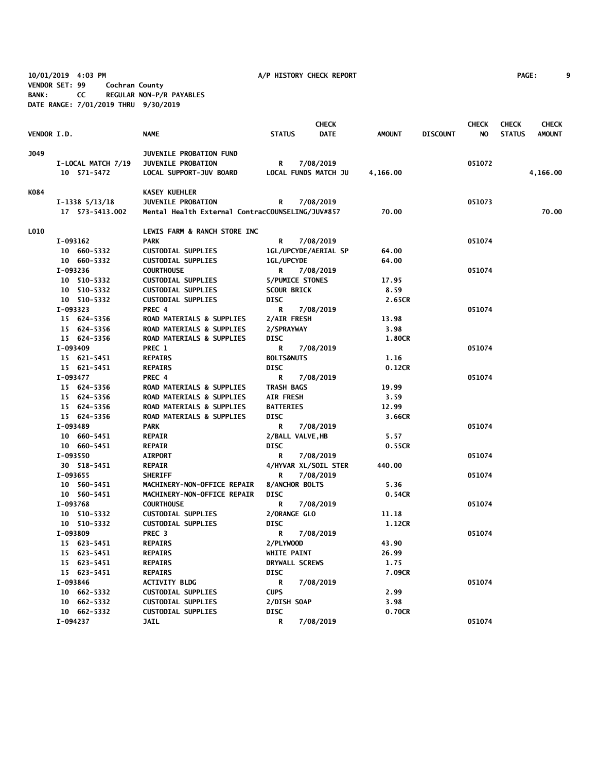**10/01/2019 4:03 PM A/P HISTORY CHECK REPORT PAGE: 9 VENDOR SET: 99 Cochran County BANK: CC REGULAR NON-P/R PAYABLES DATE RANGE: 7/01/2019 THRU 9/30/2019**

|                    |                    |                                                  |                        | <b>CHECK</b>         |               |                 | <b>CHECK</b> | <b>CHECK</b>  | <b>CHECK</b>  |
|--------------------|--------------------|--------------------------------------------------|------------------------|----------------------|---------------|-----------------|--------------|---------------|---------------|
| <b>VENDOR I.D.</b> |                    | <b>NAME</b>                                      | <b>STATUS</b>          | <b>DATE</b>          | <b>AMOUNT</b> | <b>DISCOUNT</b> | NO           | <b>STATUS</b> | <b>AMOUNT</b> |
| J049               |                    | JUVENILE PROBATION FUND                          |                        |                      |               |                 |              |               |               |
|                    | I-LOCAL MATCH 7/19 | <b>JUVENILE PROBATION</b>                        | R                      | 7/08/2019            |               |                 | 051072       |               |               |
|                    | 10 571-5472        | LOCAL SUPPORT-JUV BOARD                          |                        | LOCAL FUNDS MATCH JU | 4,166.00      |                 |              |               | 4,166.00      |
| K084               |                    | <b>KASEY KUEHLER</b>                             |                        |                      |               |                 |              |               |               |
|                    | $I-1338$ $5/13/18$ | <b>JUVENILE PROBATION</b>                        | R                      | 7/08/2019            |               |                 | 051073       |               |               |
|                    | 17 573-5413.002    | Mental Health External ContracCOUNSELING/JUV#857 |                        |                      | 70.00         |                 |              |               | 70.00         |
|                    |                    |                                                  |                        |                      |               |                 |              |               |               |
| <b>LO10</b>        |                    | LEWIS FARM & RANCH STORE INC                     |                        |                      |               |                 |              |               |               |
|                    | I-093162           | <b>PARK</b>                                      | R                      | 7/08/2019            |               |                 | 051074       |               |               |
|                    | 10 660-5332        | <b>CUSTODIAL SUPPLIES</b>                        |                        | 1GL/UPCYDE/AERIAL SP | 64.00         |                 |              |               |               |
|                    | 10 660-5332        | <b>CUSTODIAL SUPPLIES</b>                        | <b>1GL/UPCYDE</b>      |                      | 64.00         |                 |              |               |               |
|                    | I-093236           | <b>COURTHOUSE</b>                                | R                      | 7/08/2019            |               |                 | 051074       |               |               |
|                    | 10 510-5332        | <b>CUSTODIAL SUPPLIES</b>                        | <b>5/PUMICE STONES</b> |                      | 17.95         |                 |              |               |               |
|                    | 10 510-5332        | <b>CUSTODIAL SUPPLIES</b>                        | <b>SCOUR BRICK</b>     |                      | 8.59          |                 |              |               |               |
|                    | 10 510-5332        | <b>CUSTODIAL SUPPLIES</b>                        | <b>DISC</b>            |                      | 2.65CR        |                 |              |               |               |
|                    | I-093323           | PREC 4                                           | R                      | 7/08/2019            |               |                 | 051074       |               |               |
|                    | 15 624-5356        | ROAD MATERIALS & SUPPLIES                        | 2/AIR FRESH            |                      | 13.98         |                 |              |               |               |
|                    | 15 624-5356        | ROAD MATERIALS & SUPPLIES                        | 2/SPRAYWAY             |                      | 3.98          |                 |              |               |               |
|                    | 15 624-5356        | ROAD MATERIALS & SUPPLIES                        | <b>DISC</b>            |                      | 1.80CR        |                 |              |               |               |
|                    | I-093409           | PREC 1                                           | R                      | 7/08/2019            |               |                 | 051074       |               |               |
|                    | 15 621-5451        | <b>REPAIRS</b>                                   | <b>BOLTS&amp;NUTS</b>  |                      | 1.16          |                 |              |               |               |
|                    | 15 621-5451        | <b>REPAIRS</b>                                   | <b>DISC</b>            |                      | 0.12CR        |                 |              |               |               |
|                    | I-093477           | PREC 4                                           | R                      | 7/08/2019            |               |                 | 051074       |               |               |
|                    | 15 624-5356        | <b>ROAD MATERIALS &amp; SUPPLIES</b>             | <b>TRASH BAGS</b>      |                      | 19.99         |                 |              |               |               |
|                    | 15 624-5356        | ROAD MATERIALS & SUPPLIES                        | <b>AIR FRESH</b>       |                      | 3.59          |                 |              |               |               |
|                    | 15 624-5356        | ROAD MATERIALS & SUPPLIES                        | <b>BATTERIES</b>       |                      | 12.99         |                 |              |               |               |
|                    | 15 624-5356        | ROAD MATERIALS & SUPPLIES                        | <b>DISC</b>            |                      | 3.66CR        |                 |              |               |               |
|                    | I-093489           | <b>PARK</b>                                      | R                      | 7/08/2019            |               |                 | 051074       |               |               |
|                    | 10 660-5451        | <b>REPAIR</b>                                    | 2/BALL VALVE, HB       |                      | 5.57          |                 |              |               |               |
|                    | 10 660-5451        | <b>REPAIR</b>                                    | <b>DISC</b>            |                      | 0.55CR        |                 |              |               |               |
|                    | I-093550           | <b>AIRPORT</b>                                   | R                      | 7/08/2019            |               |                 | 051074       |               |               |
|                    | 30 518-5451        | <b>REPAIR</b>                                    |                        | 4/HYVAR XL/SOIL STER | 440.00        |                 |              |               |               |
|                    | I-093655           | <b>SHERIFF</b>                                   | R                      | 7/08/2019            |               |                 | 051074       |               |               |
|                    | 10 560-5451        | MACHINERY-NON-OFFICE REPAIR                      | 8/ANCHOR BOLTS         |                      | 5.36          |                 |              |               |               |
|                    | 10 560-5451        | MACHINERY-NON-OFFICE REPAIR                      | <b>DISC</b>            |                      | 0.54CR        |                 |              |               |               |
|                    | I-093768           | <b>COURTHOUSE</b>                                | R                      | 7/08/2019            |               |                 | 051074       |               |               |
|                    | 10 510-5332        | <b>CUSTODIAL SUPPLIES</b>                        | 2/ORANGE GLO           |                      | 11.18         |                 |              |               |               |
|                    | 10 510-5332        | <b>CUSTODIAL SUPPLIES</b>                        | <b>DISC</b>            |                      | 1.12CR        |                 |              |               |               |
|                    | I-093809           | PREC <sub>3</sub>                                | R                      | 7/08/2019            |               |                 | 051074       |               |               |
|                    | 15 623-5451        | <b>REPAIRS</b>                                   | 2/PLYWOOD              |                      | 43.90         |                 |              |               |               |
|                    | 15 623-5451        | <b>REPAIRS</b>                                   | <b>WHITE PAINT</b>     |                      | 26.99         |                 |              |               |               |
|                    | 15 623-5451        | <b>REPAIRS</b>                                   | DRYWALL SCREWS         |                      | 1.75          |                 |              |               |               |
|                    | 15 623-5451        | <b>REPAIRS</b>                                   | <b>DISC</b>            |                      | 7.09CR        |                 |              |               |               |
|                    | I-093846           | <b>ACTIVITY BLDG</b>                             | R                      | 7/08/2019            |               |                 | 051074       |               |               |
|                    | 10 662-5332        | <b>CUSTODIAL SUPPLIES</b>                        | <b>CUPS</b>            |                      | 2.99          |                 |              |               |               |
|                    | 10 662-5332        | <b>CUSTODIAL SUPPLIES</b>                        | 2/DISH SOAP            |                      | 3.98          |                 |              |               |               |
|                    | 10 662-5332        | <b>CUSTODIAL SUPPLIES</b>                        | <b>DISC</b>            |                      | 0.70CR        |                 |              |               |               |
|                    | I-094237           | <b>JAIL</b>                                      | R                      | 7/08/2019            |               |                 | 051074       |               |               |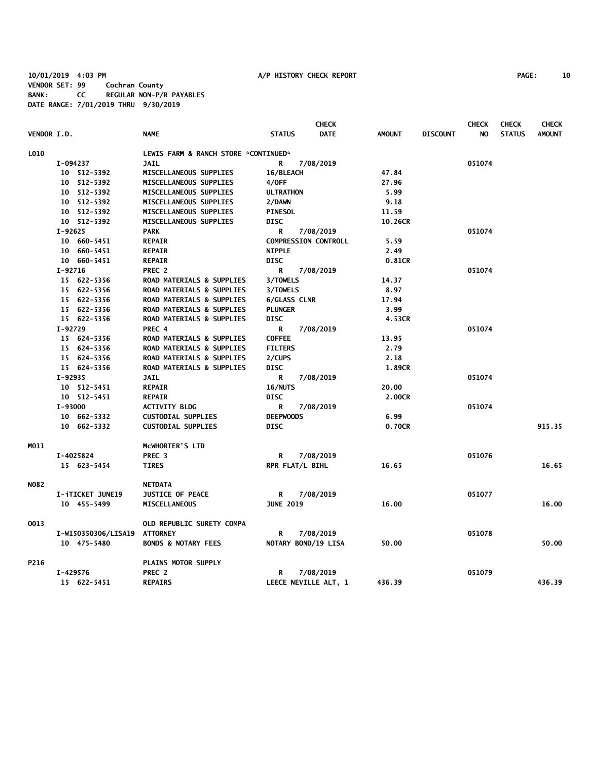**10/01/2019 4:03 PM A/P HISTORY CHECK REPORT PAGE: 10 VENDOR SET: 99 Cochran County BANK: CC REGULAR NON-P/R PAYABLES DATE RANGE: 7/01/2019 THRU 9/30/2019**

| <b>PAGE:</b> |  | 10 |
|--------------|--|----|
|--------------|--|----|

|                    |           |                     |                                      |                     | <b>CHECK</b>                |               |                 | <b>CHECK</b> | <b>CHECK</b>  | <b>CHECK</b>  |
|--------------------|-----------|---------------------|--------------------------------------|---------------------|-----------------------------|---------------|-----------------|--------------|---------------|---------------|
| <b>VENDOR I.D.</b> |           |                     | <b>NAME</b>                          | <b>STATUS</b>       | <b>DATE</b>                 | <b>AMOUNT</b> | <b>DISCOUNT</b> | NO.          | <b>STATUS</b> | <b>AMOUNT</b> |
| L010               |           |                     | LEWIS FARM & RANCH STORE *CONTINUED* |                     |                             |               |                 |              |               |               |
|                    | I-094237  |                     | <b>JAIL</b>                          | R                   | 7/08/2019                   |               |                 | 051074       |               |               |
|                    |           | 10 512-5392         | MISCELLANEOUS SUPPLIES               | 16/BLEACH           |                             | 47.84         |                 |              |               |               |
|                    |           | 10 512-5392         | MISCELLANEOUS SUPPLIES               | 4/0FF               |                             | 27.96         |                 |              |               |               |
|                    |           | 10 512-5392         | MISCELLANEOUS SUPPLIES               | <b>ULTRATHON</b>    |                             | 5.99          |                 |              |               |               |
|                    |           | 10 512-5392         | MISCELLANEOUS SUPPLIES               | 2/DAWN              |                             | 9.18          |                 |              |               |               |
|                    |           | 10 512-5392         | MISCELLANEOUS SUPPLIES               | <b>PINESOL</b>      |                             | 11.59         |                 |              |               |               |
|                    |           | 10 512-5392         | MISCELLANEOUS SUPPLIES               | DISC                |                             | 10.26CR       |                 |              |               |               |
|                    | I-92625   |                     | <b>PARK</b>                          | R                   | 7/08/2019                   |               |                 | 051074       |               |               |
|                    |           | 10 660-5451         | <b>REPAIR</b>                        |                     | <b>COMPRESSION CONTROLL</b> | 5.59          |                 |              |               |               |
|                    |           | 10 660-5451         | <b>REPAIR</b>                        | <b>NIPPLE</b>       |                             | 2.49          |                 |              |               |               |
|                    |           | 10 660-5451         | <b>REPAIR</b>                        | <b>DISC</b>         |                             | 0.81CR        |                 |              |               |               |
|                    | $I-92716$ |                     | PREC 2                               | R                   | 7/08/2019                   |               |                 | 051074       |               |               |
|                    |           | 15 622-5356         | ROAD MATERIALS & SUPPLIES            | 3/TOWELS            |                             | 14.37         |                 |              |               |               |
|                    |           | 15 622-5356         | <b>ROAD MATERIALS &amp; SUPPLIES</b> | 3/TOWELS            |                             | 8.97          |                 |              |               |               |
|                    |           | 15 622-5356         | ROAD MATERIALS & SUPPLIES            | <b>6/GLASS CLNR</b> |                             | 17.94         |                 |              |               |               |
|                    |           | 15 622-5356         | ROAD MATERIALS & SUPPLIES            | <b>PLUNGER</b>      |                             | 3.99          |                 |              |               |               |
|                    |           | 15 622-5356         | ROAD MATERIALS & SUPPLIES            | <b>DISC</b>         |                             | 4.53CR        |                 |              |               |               |
|                    | I-92729   |                     | PREC 4                               | R                   | 7/08/2019                   |               |                 | 051074       |               |               |
|                    |           | 15 624-5356         | ROAD MATERIALS & SUPPLIES            | <b>COFFEE</b>       |                             | 13.95         |                 |              |               |               |
|                    |           | 15 624-5356         | ROAD MATERIALS & SUPPLIES            | <b>FILTERS</b>      |                             | 2.79          |                 |              |               |               |
|                    |           | 15 624-5356         | ROAD MATERIALS & SUPPLIES            | 2/CUPS              |                             | 2.18          |                 |              |               |               |
|                    |           | 15 624-5356         | ROAD MATERIALS & SUPPLIES            | DISC                |                             | 1.89CR        |                 |              |               |               |
|                    | I-92935   |                     | <b>JAIL</b>                          | R                   | 7/08/2019                   |               |                 | 051074       |               |               |
|                    |           | 10 512-5451         | <b>REPAIR</b>                        | 16/NUTS             |                             | 20.00         |                 |              |               |               |
|                    |           | 10 512-5451         | <b>REPAIR</b>                        | <b>DISC</b>         |                             | 2.00CR        |                 |              |               |               |
|                    | I-93000   |                     | <b>ACTIVITY BLDG</b>                 | R                   | 7/08/2019                   |               |                 | 051074       |               |               |
|                    |           | 10 662-5332         | <b>CUSTODIAL SUPPLIES</b>            | <b>DEEPWOODS</b>    |                             | 6.99          |                 |              |               |               |
|                    |           | 10 662-5332         | <b>CUSTODIAL SUPPLIES</b>            | <b>DISC</b>         |                             | 0.70CR        |                 |              |               | 915.35        |
|                    |           |                     |                                      |                     |                             |               |                 |              |               |               |
| MO11               |           |                     | MCWHORTER'S LTD                      |                     |                             |               |                 |              |               |               |
|                    |           | I-4025824           | PREC <sub>3</sub>                    | R                   | 7/08/2019                   |               |                 | 051076       |               |               |
|                    |           | 15 623-5454         | <b>TIRES</b>                         | RPR FLAT/L BIHL     |                             | 16.65         |                 |              |               | 16.65         |
| N082               |           |                     | <b>NETDATA</b>                       |                     |                             |               |                 |              |               |               |
|                    |           | I-iTICKET JUNE19    | <b>JUSTICE OF PEACE</b>              | R                   | 7/08/2019                   |               |                 | 051077       |               |               |
|                    |           | 10 455-5499         | <b>MISCELLANEOUS</b>                 | <b>JUNE 2019</b>    |                             | 16.00         |                 |              |               | 16.00         |
| 0013               |           |                     | OLD REPUBLIC SURETY COMPA            |                     |                             |               |                 |              |               |               |
|                    |           | I-W150350306/LISA19 | <b>ATTORNEY</b>                      | R                   | 7/08/2019                   |               |                 | 051078       |               |               |
|                    |           | 10 475-5480         | <b>BONDS &amp; NOTARY FEES</b>       |                     | NOTARY BOND/19 LISA         | 50.00         |                 |              |               | 50.00         |
|                    |           |                     |                                      |                     |                             |               |                 |              |               |               |
| P216               |           |                     | PLAINS MOTOR SUPPLY                  |                     |                             |               |                 | 051079       |               |               |
|                    | I-429576  |                     | PREC 2                               | R                   | 7/08/2019                   |               |                 |              |               |               |
|                    |           | 15 622-5451         | <b>REPAIRS</b>                       |                     | LEECE NEVILLE ALT, 1        | 436.39        |                 |              |               | 436.39        |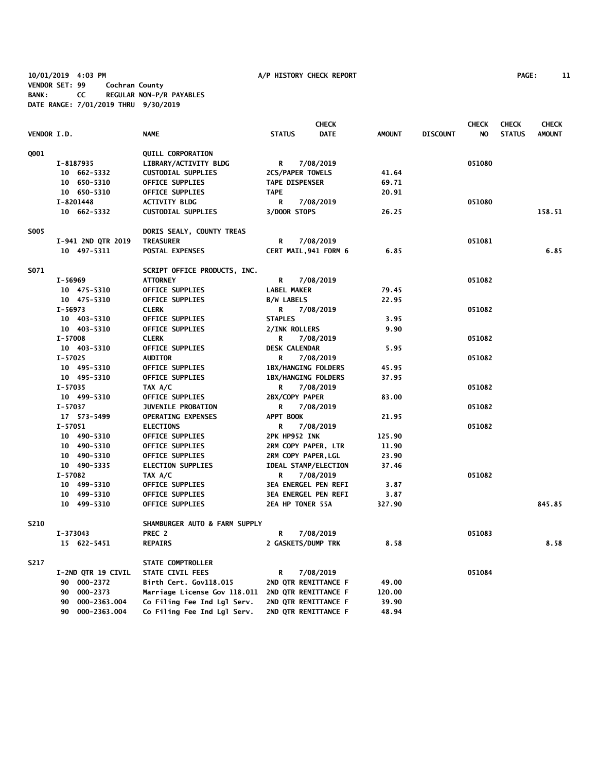**10/01/2019 4:03 PM A/P HISTORY CHECK REPORT PAGE: 11 VENDOR SET: 99 Cochran County BANK: CC REGULAR NON-P/R PAYABLES DATE RANGE: 7/01/2019 THRU 9/30/2019**

|             |                    |                                                   |                             | <b>CHECK</b> |               |                 | <b>CHECK</b> | <b>CHECK</b>  | <b>CHECK</b>  |
|-------------|--------------------|---------------------------------------------------|-----------------------------|--------------|---------------|-----------------|--------------|---------------|---------------|
| VENDOR I.D. |                    | <b>NAME</b>                                       | <b>STATUS</b>               | <b>DATE</b>  | <b>AMOUNT</b> | <b>DISCOUNT</b> | NO.          | <b>STATUS</b> | <b>AMOUNT</b> |
| Q001        |                    | <b>QUILL CORPORATION</b>                          |                             |              |               |                 |              |               |               |
|             | I-8187935          | LIBRARY/ACTIVITY BLDG                             | R                           | 7/08/2019    |               |                 | 051080       |               |               |
|             | 10 662-5332        | <b>CUSTODIAL SUPPLIES</b>                         | 2CS/PAPER TOWELS            |              | 41.64         |                 |              |               |               |
|             | 10 650-5310        | OFFICE SUPPLIES                                   | <b>TAPE DISPENSER</b>       |              | 69.71         |                 |              |               |               |
|             | 10 650-5310        | OFFICE SUPPLIES                                   | <b>TAPE</b>                 |              | 20.91         |                 |              |               |               |
|             | I-8201448          | <b>ACTIVITY BLDG</b>                              | R                           | 7/08/2019    |               |                 | 051080       |               |               |
|             | 10 662-5332        | <b>CUSTODIAL SUPPLIES</b>                         | 3/DOOR STOPS                |              | 26.25         |                 |              |               | 158.51        |
| <b>S005</b> |                    | DORIS SEALY, COUNTY TREAS                         |                             |              |               |                 |              |               |               |
|             | I-941 2ND QTR 2019 | <b>TREASURER</b>                                  | R                           | 7/08/2019    |               |                 | 051081       |               |               |
|             | 10 497-5311        | POSTAL EXPENSES                                   | CERT MAIL, 941 FORM 6       |              | 6.85          |                 |              |               | 6.85          |
| S071        |                    | SCRIPT OFFICE PRODUCTS, INC.                      |                             |              |               |                 |              |               |               |
|             | I-56969            | ATTORNEY                                          | R                           | 7/08/2019    |               |                 | 051082       |               |               |
|             | 10 475-5310        | OFFICE SUPPLIES                                   | <b>LABEL MAKER</b>          |              | 79.45         |                 |              |               |               |
|             | 10 475-5310        | <b>OFFICE SUPPLIES</b>                            | <b>B/W LABELS</b>           |              | 22.95         |                 |              |               |               |
|             | I-56973            | <b>CLERK</b>                                      | R                           | 7/08/2019    |               |                 | 051082       |               |               |
|             | 10 403-5310        | OFFICE SUPPLIES                                   | <b>STAPLES</b>              |              | 3.95          |                 |              |               |               |
|             | 10 403-5310        | <b>OFFICE SUPPLIES</b>                            | 2/INK ROLLERS               |              | 9.90          |                 |              |               |               |
|             | $I - 57008$        | <b>CLERK</b>                                      | R                           | 7/08/2019    |               |                 | 051082       |               |               |
|             | 10 403-5310        | <b>OFFICE SUPPLIES</b>                            | <b>DESK CALENDAR</b>        |              | 5.95          |                 |              |               |               |
|             | I-57025            | <b>AUDITOR</b>                                    | R                           | 7/08/2019    |               |                 | 051082       |               |               |
|             | 10 495-5310        | OFFICE SUPPLIES                                   | 1BX/HANGING FOLDERS         |              | 45.95         |                 |              |               |               |
|             | 10 495-5310        | OFFICE SUPPLIES                                   | <b>1BX/HANGING FOLDERS</b>  |              | 37.95         |                 |              |               |               |
|             | I-57035            | TAX A/C                                           | R                           | 7/08/2019    |               |                 | 051082       |               |               |
|             | 10 499-5310        | OFFICE SUPPLIES                                   | 2BX/COPY PAPER              |              | 83.00         |                 |              |               |               |
|             | I-57037            | <b>JUVENILE PROBATION</b>                         | R                           | 7/08/2019    |               |                 | 051082       |               |               |
|             | 17 573-5499        | <b>OPERATING EXPENSES</b>                         | APPT BOOK                   |              | 21.95         |                 |              |               |               |
|             | $I-57051$          | <b>ELECTIONS</b>                                  | R                           | 7/08/2019    |               |                 | 051082       |               |               |
|             | 10 490-5310        | <b>OFFICE SUPPLIES</b>                            | 2PK HP952 INK               |              | 125.90        |                 |              |               |               |
|             | 10 490-5310        | <b>OFFICE SUPPLIES</b>                            | 2RM COPY PAPER, LTR         |              | 11.90         |                 |              |               |               |
|             | 10 490-5310        | <b>OFFICE SUPPLIES</b>                            | 2RM COPY PAPER, LGL         |              | 23.90         |                 |              |               |               |
|             | 10 490-5335        | <b>ELECTION SUPPLIES</b>                          | <b>IDEAL STAMP/ELECTION</b> |              | 37.46         |                 |              |               |               |
|             | I-57082            | TAX A/C                                           | R                           | 7/08/2019    |               |                 | 051082       |               |               |
|             | 10 499-5310        | <b>OFFICE SUPPLIES</b>                            | <b>3EA ENERGEL PEN REFI</b> |              | 3.87          |                 |              |               |               |
|             | 10 499-5310        | OFFICE SUPPLIES                                   | <b>3EA ENERGEL PEN REFI</b> |              | 3.87          |                 |              |               |               |
|             | 10 499-5310        | <b>OFFICE SUPPLIES</b>                            | 2EA HP TONER 55A            |              | 327.90        |                 |              |               | 845.85        |
| S210        |                    | SHAMBURGER AUTO & FARM SUPPLY                     |                             |              |               |                 |              |               |               |
|             | I-373043           | PREC 2                                            | R                           | 7/08/2019    |               |                 | 051083       |               |               |
|             | 15 622-5451        | <b>REPAIRS</b>                                    | 2 GASKETS/DUMP TRK          |              | 8.58          |                 |              |               | 8.58          |
| S217        |                    | STATE COMPTROLLER                                 |                             |              |               |                 |              |               |               |
|             | I-2ND QTR 19 CIVIL | STATE CIVIL FEES                                  | R                           | 7/08/2019    |               |                 | 051084       |               |               |
|             | 90 000-2372        | Birth Cert. Gov118.015                            | 2ND QTR REMITTANCE F        |              | 49.00         |                 |              |               |               |
|             | 90 000-2373        | Marriage License Gov 118.011 2ND QTR REMITTANCE F |                             |              | 120.00        |                 |              |               |               |
|             | 000-2363.004<br>90 | Co Filing Fee Ind Lgl Serv.                       | 2ND QTR REMITTANCE F        |              | 39.90         |                 |              |               |               |
|             | 90<br>000-2363.004 | Co Filing Fee Ind Lgl Serv.                       | 2ND QTR REMITTANCE F        |              | 48.94         |                 |              |               |               |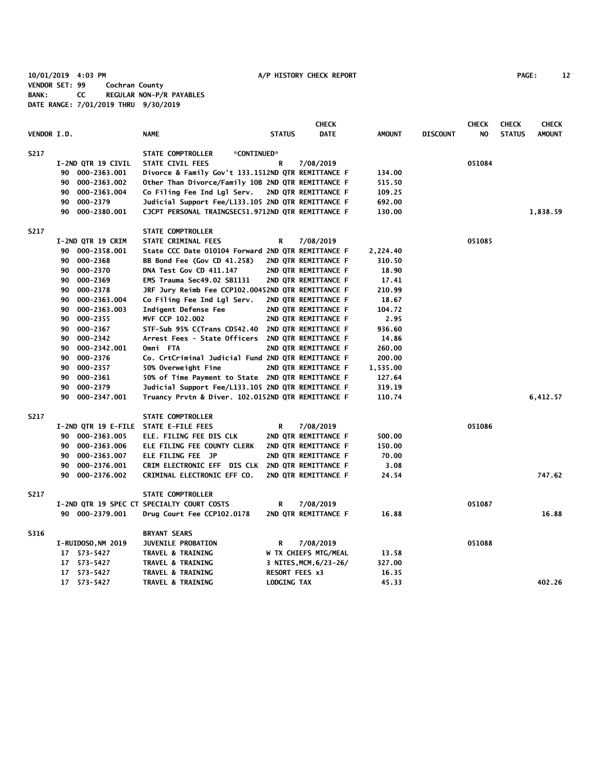**10/01/2019 4:03 PM A/P HISTORY CHECK REPORT PAGE: 12 VENDOR SET: 99 Cochran County BANK: CC REGULAR NON-P/R PAYABLES DATE RANGE: 7/01/2019 THRU 9/30/2019**

|                    |    |                    |                                                    |                       | <b>CHECK</b>           |               |                 | <b>CHECK</b> | <b>CHECK</b>  | <b>CHECK</b>  |
|--------------------|----|--------------------|----------------------------------------------------|-----------------------|------------------------|---------------|-----------------|--------------|---------------|---------------|
| <b>VENDOR I.D.</b> |    |                    | <b>NAME</b>                                        | <b>STATUS</b>         | <b>DATE</b>            | <b>AMOUNT</b> | <b>DISCOUNT</b> | NO           | <b>STATUS</b> | <b>AMOUNT</b> |
| S217               |    |                    | STATE COMPTROLLER<br>*CONTINUED*                   |                       |                        |               |                 |              |               |               |
|                    |    | I-2ND QTR 19 CIVIL | STATE CIVIL FEES                                   | R                     | 7/08/2019              |               |                 | 051084       |               |               |
|                    |    | 90 000-2363.001    | Divorce & Family Gov't 133.1512ND QTR REMITTANCE F |                       |                        | 134.00        |                 |              |               |               |
|                    | 90 | 000-2363.002       | Other Than Divorce/Family 10B 2ND QTR REMITTANCE F |                       |                        | 515.50        |                 |              |               |               |
|                    | 90 | 000-2363.004       | Co Filing Fee Ind Lgl Serv.                        |                       | 2ND QTR REMITTANCE F   | 109.25        |                 |              |               |               |
|                    | 90 | 000-2379           | Judicial Support Fee/L133.105 2ND QTR REMITTANCE F |                       |                        | 692.00        |                 |              |               |               |
|                    | 90 | 000-2380.001       | CJCPT PERSONAL TRAINGSEC51.9712ND QTR REMITTANCE F |                       |                        | 130.00        |                 |              |               | 1,838.59      |
| S217               |    |                    | <b>STATE COMPTROLLER</b>                           |                       |                        |               |                 |              |               |               |
|                    |    | I-2ND QTR 19 CRIM  | STATE CRIMINAL FEES                                | R                     | 7/08/2019              |               |                 | 051085       |               |               |
|                    | 90 | 000-2358.001       | State CCC Date 010104 Forward 2ND QTR REMITTANCE F |                       |                        | 2,224.40      |                 |              |               |               |
|                    | 90 | 000-2368           | BB Bond Fee (Gov CD 41.258)                        |                       | 2ND QTR REMITTANCE F   | 310.50        |                 |              |               |               |
|                    | 90 | 000-2370           | DNA Test Gov CD 411.147                            |                       | 2ND QTR REMITTANCE F   | 18.90         |                 |              |               |               |
|                    | 90 | 000-2369           | EMS Trauma Sec49.02 SB1131                         |                       | 2ND QTR REMITTANCE F   | 17.41         |                 |              |               |               |
|                    | 90 | 000-2378           | JRF Jury Reimb Fee CCP102.00452ND QTR REMITTANCE F |                       |                        | 210.99        |                 |              |               |               |
|                    | 90 | 000-2363.004       | Co Filing Fee Ind Lgl Serv.                        |                       | 2ND QTR REMITTANCE F   | 18.67         |                 |              |               |               |
|                    | 90 | 000-2363.003       | Indigent Defense Fee                               |                       | 2ND QTR REMITTANCE F   | 104.72        |                 |              |               |               |
|                    | 90 | 000-2355           | MVF CCP 102.002                                    |                       | 2ND QTR REMITTANCE F   | 2.95          |                 |              |               |               |
|                    | 90 | 000-2367           | STF-Sub 95% C(Trans CD542.40                       |                       | 2ND QTR REMITTANCE F   | 936.60        |                 |              |               |               |
|                    | 90 | 000-2342           | Arrest Fees - State Officers                       |                       | 2ND QTR REMITTANCE F   | 14.86         |                 |              |               |               |
|                    | 90 | 000-2342.001       | Omni FTA                                           |                       | 2ND QTR REMITTANCE F   | 260.00        |                 |              |               |               |
|                    | 90 | 000-2376           | Co. CrtCriminal Judicial Fund 2ND QTR REMITTANCE F |                       |                        | 200.00        |                 |              |               |               |
|                    | 90 | 000-2357           | 50% Overweight Fine                                |                       | 2ND QTR REMITTANCE F   | 1,535.00      |                 |              |               |               |
|                    | 90 | 000-2361           | 50% of Time Payment to State 2ND QTR REMITTANCE F  |                       |                        | 127.64        |                 |              |               |               |
|                    | 90 | 000-2379           | Judicial Support Fee/L133.105 2ND QTR REMITTANCE F |                       |                        | 319.19        |                 |              |               |               |
|                    | 90 | 000-2347.001       | Truancy Prvtn & Diver. 102.0152ND QTR REMITTANCE F |                       |                        | 110.74        |                 |              |               | 6,412.57      |
| S217               |    |                    | STATE COMPTROLLER                                  |                       |                        |               |                 |              |               |               |
|                    |    |                    | I-2ND QTR 19 E-FILE STATE E-FILE FEES              | R                     | 7/08/2019              |               |                 | 051086       |               |               |
|                    |    | 90 000-2363.005    | ELE. FILING FEE DIS CLK                            |                       | 2ND QTR REMITTANCE F   | 500.00        |                 |              |               |               |
|                    | 90 | 000-2363.006       | ELE FILING FEE COUNTY CLERK                        |                       | 2ND QTR REMITTANCE F   | 150.00        |                 |              |               |               |
|                    | 90 | 000-2363.007       | ELE FILING FEE JP                                  |                       | 2ND QTR REMITTANCE F   | 70.00         |                 |              |               |               |
|                    | 90 | 000-2376.001       | CRIM ELECTRONIC EFF DIS CLK                        |                       | 2ND QTR REMITTANCE F   | 3.08          |                 |              |               |               |
|                    | 90 | 000-2376.002       | CRIMINAL ELECTRONIC EFF CO.                        |                       | 2ND QTR REMITTANCE F   | 24.54         |                 |              |               | 747.62        |
| S217               |    |                    | STATE COMPTROLLER                                  |                       |                        |               |                 |              |               |               |
|                    |    |                    | I-2ND QTR 19 SPEC CT SPECIALTY COURT COSTS         | R                     | 7/08/2019              |               |                 | 051087       |               |               |
|                    |    | 90 000-2379.001    | Drug Court Fee CCP102.0178                         |                       | 2ND QTR REMITTANCE F   | 16.88         |                 |              |               | 16.88         |
| S316               |    |                    | <b>BRYANT SEARS</b>                                |                       |                        |               |                 |              |               |               |
|                    |    | I-RUIDOSO, NM 2019 | <b>JUVENILE PROBATION</b>                          | R                     | 7/08/2019              |               |                 | 051088       |               |               |
|                    |    | 17 573-5427        | <b>TRAVEL &amp; TRAINING</b>                       |                       | W TX CHIEFS MTG/MEAL   | 13.58         |                 |              |               |               |
|                    | 17 | 573-5427           | <b>TRAVEL &amp; TRAINING</b>                       |                       | 3 NITES, MCM, 6/23-26/ | 327.00        |                 |              |               |               |
|                    | 17 | 573-5427           | <b>TRAVEL &amp; TRAINING</b>                       | <b>RESORT FEES x3</b> |                        | 16.35         |                 |              |               |               |
|                    |    | 17 573-5427        | <b>TRAVEL &amp; TRAINING</b>                       | LODGING TAX           |                        | 45.33         |                 |              |               | 402.26        |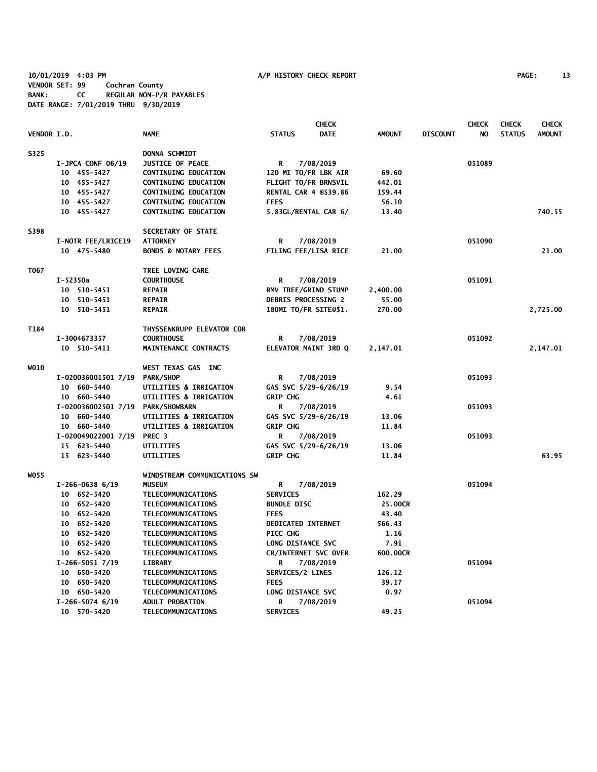**10/01/2019 4:03 PM A/P HISTORY CHECK REPORT PAGE: 13 VENDOR SET: 99 Cochran County BANK: CC REGULAR NON-P/R PAYABLES DATE RANGE: 7/01/2019 THRU 9/30/2019**

|             |                            |                                |                              | <b>CHECK</b> |               |                 | <b>CHECK</b> | <b>CHECK</b>  | <b>CHECK</b>  |
|-------------|----------------------------|--------------------------------|------------------------------|--------------|---------------|-----------------|--------------|---------------|---------------|
| VENDOR I.D. |                            | <b>NAME</b>                    | <b>STATUS</b>                | <b>DATE</b>  | <b>AMOUNT</b> | <b>DISCOUNT</b> | NO.          | <b>STATUS</b> | <b>AMOUNT</b> |
| S325        |                            | <b>DONNA SCHMIDT</b>           |                              |              |               |                 |              |               |               |
|             | $I-JPCA CONF 06/19$        | <b>JUSTICE OF PEACE</b>        | R                            | 7/08/2019    |               |                 | 051089       |               |               |
|             | 10 455-5427                | <b>CONTINUING EDUCATION</b>    | 120 MI TO/FR LBK AIR         |              | 69.60         |                 |              |               |               |
|             | 10 455-5427                | <b>CONTINUING EDUCATION</b>    | FLIGHT TO/FR BRNSVIL         |              | 442.01        |                 |              |               |               |
|             | 10 455-5427                | <b>CONTINUING EDUCATION</b>    | <b>RENTAL CAR 4 0\$39.86</b> |              | 159.44        |                 |              |               |               |
|             | 10 455-5427                | <b>CONTINUING EDUCATION</b>    | <b>FEES</b>                  |              | 56.10         |                 |              |               |               |
|             | 10 455-5427                | CONTINUING EDUCATION           | 5.83GL/RENTAL CAR 6/         |              | 13.40         |                 |              |               | 740.55        |
| S398        |                            | SECRETARY OF STATE             |                              |              |               |                 |              |               |               |
|             | I-NOTR FEE/LRICE19         | <b>ATTORNEY</b>                | R                            | 7/08/2019    |               |                 | 051090       |               |               |
|             | 10 475-5480                | <b>BONDS &amp; NOTARY FEES</b> | FILING FEE/LISA RICE         |              | 21.00         |                 |              |               | 21.00         |
| T067        |                            | TREE LOVING CARE               |                              |              |               |                 |              |               |               |
|             | I-52350a                   | <b>COURTHOUSE</b>              | R                            | 7/08/2019    |               |                 | 051091       |               |               |
|             | 10 510-5451                | <b>REPAIR</b>                  | RMV TREE/GRIND STUMP         |              | 2,400.00      |                 |              |               |               |
|             | 10 510-5451                | <b>REPAIR</b>                  | DEBRIS PROCESSING 2          |              | 55.00         |                 |              |               |               |
|             | 10 510-5451                | <b>REPAIR</b>                  | 180MI TO/FR SITE@\$1.        |              | 270.00        |                 |              |               | 2,725.00      |
| T184        |                            | THYSSENKRUPP ELEVATOR COR      |                              |              |               |                 |              |               |               |
|             | I-3004673357               | <b>COURTHOUSE</b>              | R                            | 7/08/2019    |               |                 | 051092       |               |               |
|             | 10 510-5411                | MAINTENANCE CONTRACTS          | ELEVATOR MAINT 3RD Q         |              | 2,147.01      |                 |              |               | 2,147.01      |
| WO10        |                            | WEST TEXAS GAS INC             |                              |              |               |                 |              |               |               |
|             | I-020036001501 7/19        | <b>PARK/SHOP</b>               | R                            | 7/08/2019    |               |                 | 051093       |               |               |
|             | 10 660-5440                | UTILITIES & IRRIGATION         | GAS SVC 5/29-6/26/19         |              | 9.54          |                 |              |               |               |
|             | 10 660-5440                | UTILITIES & IRRIGATION         | <b>GRIP CHG</b>              |              | 4.61          |                 |              |               |               |
|             | I-020036002501 7/19        | <b>PARK/SHOWBARN</b>           | R                            | 7/08/2019    |               |                 | 051093       |               |               |
|             | 10 660-5440                | UTILITIES & IRRIGATION         | GAS SVC 5/29-6/26/19         |              | 13.06         |                 |              |               |               |
|             | 10 660-5440                | UTILITIES & IRRIGATION         | <b>GRIP CHG</b>              |              | 11.84         |                 |              |               |               |
|             | I-020049022001 7/19 PREC 3 |                                | R                            | 7/08/2019    |               |                 | 051093       |               |               |
|             | 15 623-5440                | UTILITIES                      | GAS SVC 5/29-6/26/19         |              | 13.06         |                 |              |               |               |
|             | 15 623-5440                | UTILITIES                      | <b>GRIP CHG</b>              |              | 11.84         |                 |              |               | 63.95         |
| W055        |                            | WINDSTREAM COMMUNICATIONS SW   |                              |              |               |                 |              |               |               |
|             | $I-266-0638$ 6/19          | <b>MUSEUM</b>                  | R                            | 7/08/2019    |               |                 | 051094       |               |               |
|             | 10 652-5420                | TELECOMMUNICATIONS             | <b>SERVICES</b>              |              | 162.29        |                 |              |               |               |
|             | 10 652-5420                | TELECOMMUNICATIONS             | <b>BUNDLE DISC</b>           |              | 25.00CR       |                 |              |               |               |
|             | 10 652-5420                | TELECOMMUNICATIONS             | <b>FEES</b>                  |              | 43.40         |                 |              |               |               |
|             | 10 652-5420                | TELECOMMUNICATIONS             | <b>DEDICATED INTERNET</b>    |              | 566.43        |                 |              |               |               |
|             | 10 652-5420                | TELECOMMUNICATIONS             | <b>PICC CHG</b>              |              | 1.16          |                 |              |               |               |
|             | 10 652-5420                | TELECOMMUNICATIONS             | LONG DISTANCE SVC            |              | 7.91          |                 |              |               |               |
|             | 10 652-5420                | TELECOMMUNICATIONS             | CR/INTERNET SVC OVER         |              | 600.00CR      |                 |              |               |               |
|             | $I-266-50517/19$           | LIBRARY                        | R                            | 7/08/2019    |               |                 | 051094       |               |               |
|             | 10 650-5420                | TELECOMMUNICATIONS             | SERVICES/2 LINES             |              | 126.12        |                 |              |               |               |
|             | 10 650-5420                | TELECOMMUNICATIONS             | <b>FEES</b>                  |              | 39.17         |                 |              |               |               |
|             | 10 650-5420                | TELECOMMUNICATIONS             | LONG DISTANCE SVC            |              | 0.97          |                 |              |               |               |
|             | $I-266-5074$ 6/19          | <b>ADULT PROBATION</b>         | R                            | 7/08/2019    |               |                 | 051094       |               |               |
|             | 10 570-5420                | TELECOMMUNICATIONS             | <b>SERVICES</b>              |              | 49.25         |                 |              |               |               |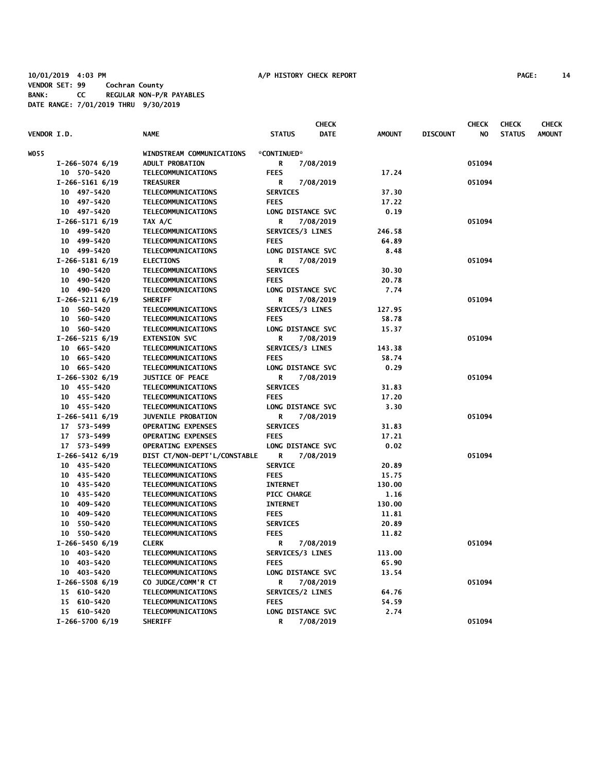|                    |                   |                                          |                   | <b>CHECK</b> |               |                 | <b>CHECK</b> | <b>CHECK</b>  | <b>CHECK</b>  |
|--------------------|-------------------|------------------------------------------|-------------------|--------------|---------------|-----------------|--------------|---------------|---------------|
| <b>VENDOR I.D.</b> |                   | <b>NAME</b>                              | <b>STATUS</b>     | <b>DATE</b>  | <b>AMOUNT</b> | <b>DISCOUNT</b> | NO           | <b>STATUS</b> | <b>AMOUNT</b> |
| WO 55              |                   | WINDSTREAM COMMUNICATIONS                | *CONTINUED*       |              |               |                 |              |               |               |
|                    | $I-266-5074$ 6/19 | <b>ADULT PROBATION</b>                   | R                 | 7/08/2019    |               |                 | 051094       |               |               |
|                    | 10 570-5420       | TELECOMMUNICATIONS                       | <b>FEES</b>       |              | 17.24         |                 |              |               |               |
|                    | $I-266-51616/19$  | <b>TREASURER</b>                         | R                 | 7/08/2019    |               |                 | 051094       |               |               |
|                    | 10 497-5420       | TELECOMMUNICATIONS                       | <b>SERVICES</b>   |              | 37.30         |                 |              |               |               |
|                    | 10 497-5420       | TELECOMMUNICATIONS                       | <b>FEES</b>       |              | 17.22         |                 |              |               |               |
|                    | 10 497-5420       | TELECOMMUNICATIONS                       | LONG DISTANCE SVC |              | 0.19          |                 |              |               |               |
|                    | $I-266-51716/19$  | TAX A/C                                  | R                 | 7/08/2019    |               |                 | 051094       |               |               |
|                    | 10 499-5420       | TELECOMMUNICATIONS                       | SERVICES/3 LINES  |              | 246.58        |                 |              |               |               |
|                    | 10 499-5420       | TELECOMMUNICATIONS                       | <b>FEES</b>       |              | 64.89         |                 |              |               |               |
|                    | 10 499-5420       | TELECOMMUNICATIONS                       | LONG DISTANCE SVC |              | 8.48          |                 |              |               |               |
|                    | $I-266-51816/19$  | <b>ELECTIONS</b>                         | R                 | 7/08/2019    |               |                 | 051094       |               |               |
|                    | 10 490-5420       | TELECOMMUNICATIONS                       | <b>SERVICES</b>   |              | 30.30         |                 |              |               |               |
|                    | 10 490-5420       | TELECOMMUNICATIONS                       | <b>FEES</b>       |              | 20.78         |                 |              |               |               |
|                    | 10 490-5420       | TELECOMMUNICATIONS                       | LONG DISTANCE SVC |              | 7.74          |                 |              |               |               |
|                    | $I-266-52116/19$  | <b>SHERIFF</b>                           | R                 | 7/08/2019    |               |                 | 051094       |               |               |
|                    | 10 560-5420       | TELECOMMUNICATIONS                       | SERVICES/3 LINES  |              | 127.95        |                 |              |               |               |
|                    | 10 560-5420       | TELECOMMUNICATIONS                       | <b>FEES</b>       |              | 58.78         |                 |              |               |               |
|                    | 10 560-5420       | TELECOMMUNICATIONS                       | LONG DISTANCE SVC |              | 15.37         |                 |              |               |               |
|                    | $I-266-5215$ 6/19 | <b>EXTENSION SVC</b>                     | R                 | 7/08/2019    |               |                 | 051094       |               |               |
|                    | 10 665-5420       | TELECOMMUNICATIONS                       | SERVICES/3 LINES  |              | 143.38        |                 |              |               |               |
|                    | 10 665-5420       | TELECOMMUNICATIONS                       | <b>FEES</b>       |              | 58.74         |                 |              |               |               |
|                    | 10 665-5420       | TELECOMMUNICATIONS                       | LONG DISTANCE SVC |              | 0.29          |                 |              |               |               |
|                    | $I-266-5302$ 6/19 | <b>JUSTICE OF PEACE</b>                  | R                 | 7/08/2019    |               |                 | 051094       |               |               |
|                    | 10 455-5420       | TELECOMMUNICATIONS                       | <b>SERVICES</b>   |              | 31.83         |                 |              |               |               |
|                    | 10 455-5420       | TELECOMMUNICATIONS                       | <b>FEES</b>       |              | 17.20         |                 |              |               |               |
|                    | 10 455-5420       | TELECOMMUNICATIONS                       | LONG DISTANCE SVC |              | 3.30          |                 |              |               |               |
|                    | $I-266-54116/19$  | <b>JUVENILE PROBATION</b>                | R                 | 7/08/2019    |               |                 | 051094       |               |               |
|                    | 17 573-5499       | <b>OPERATING EXPENSES</b>                | <b>SERVICES</b>   |              | 31.83         |                 |              |               |               |
|                    | 17 573-5499       | <b>OPERATING EXPENSES</b>                | <b>FEES</b>       |              | 17.21         |                 |              |               |               |
|                    | 17 573-5499       | <b>OPERATING EXPENSES</b>                | LONG DISTANCE SVC |              | 0.02          |                 |              |               |               |
|                    | $I-266-5412$ 6/19 | DIST CT/NON-DEPT'L/CONSTABLE             | R                 | 7/08/2019    |               |                 | 051094       |               |               |
|                    | 10 435-5420       | TELECOMMUNICATIONS                       | <b>SERVICE</b>    |              | 20.89         |                 |              |               |               |
|                    | 10 435-5420       | TELECOMMUNICATIONS                       | <b>FEES</b>       |              | 15.75         |                 |              |               |               |
|                    | 10 435-5420       | TELECOMMUNICATIONS                       | <b>INTERNET</b>   |              | 130.00        |                 |              |               |               |
|                    | 10 435-5420       | TELECOMMUNICATIONS                       | PICC CHARGE       |              | 1.16          |                 |              |               |               |
|                    | 10 409-5420       | TELECOMMUNICATIONS                       | <b>INTERNET</b>   |              | 130.00        |                 |              |               |               |
|                    | 10 409-5420       | TELECOMMUNICATIONS                       | <b>FEES</b>       |              | 11.81         |                 |              |               |               |
|                    | 10 550-5420       | TELECOMMUNICATIONS                       | <b>SERVICES</b>   |              | 20.89         |                 |              |               |               |
|                    | 10 550-5420       | TELECOMMUNICATIONS                       | <b>FEES</b>       |              | 11.82         |                 |              |               |               |
|                    | $I-266-54506/19$  | <b>CLERK</b>                             | R                 | 7/08/2019    |               |                 | 051094       |               |               |
|                    | 10 403-5420       | TELECOMMUNICATIONS                       | SERVICES/3 LINES  |              | 113.00        |                 |              |               |               |
|                    | 10 403-5420       | TELECOMMUNICATIONS                       | <b>FEES</b>       |              | 65.90         |                 |              |               |               |
|                    | 10 403-5420       | TELECOMMUNICATIONS                       | LONG DISTANCE SVC |              | 13.54         |                 |              |               |               |
|                    | $I-266-5508$ 6/19 | CO JUDGE/COMM'R CT                       | R                 | 7/08/2019    |               |                 | 051094       |               |               |
|                    | 15 610-5420       |                                          | SERVICES/2 LINES  |              | 64.76         |                 |              |               |               |
|                    | 15 610-5420       | TELECOMMUNICATIONS<br>TELECOMMUNICATIONS | <b>FEES</b>       |              | 54.59         |                 |              |               |               |
|                    | 15 610-5420       | TELECOMMUNICATIONS                       | LONG DISTANCE SVC |              | 2.74          |                 |              |               |               |
|                    | $I-266-5700$ 6/19 | <b>SHERIFF</b>                           | R                 | 7/08/2019    |               |                 | 051094       |               |               |
|                    |                   |                                          |                   |              |               |                 |              |               |               |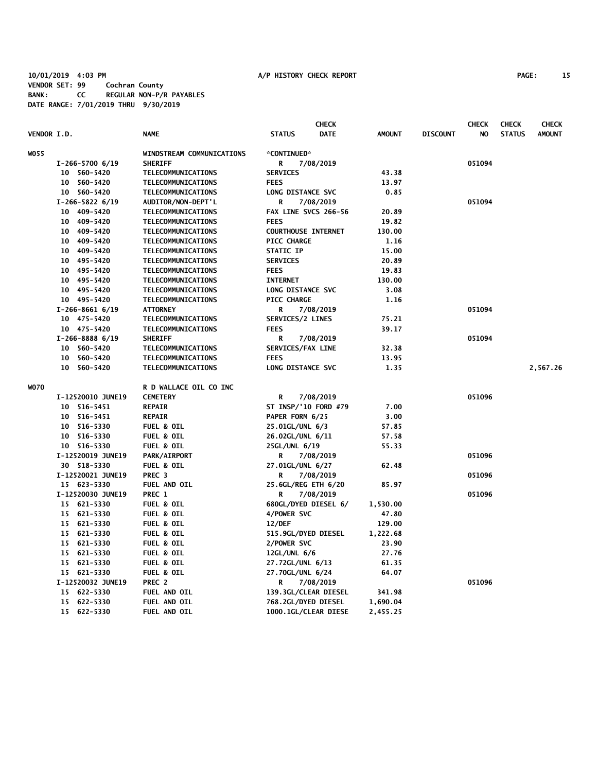# **10/01/2019 4:03 PM A/P HISTORY CHECK REPORT PAGE: 15 VENDOR SET: 99 Cochran County BANK: CC REGULAR NON-P/R PAYABLES DATE RANGE: 7/01/2019 THRU 9/30/2019**

| <b>VENDOR I.D.</b> |                   | <b>NAME</b>               | <b>STATUS</b>              | <b>CHECK</b><br><b>DATE</b> | <b>AMOUNT</b> | <b>DISCOUNT</b> | <b>CHECK</b><br>NO. | <b>CHECK</b><br><b>STATUS</b> | <b>CHECK</b><br><b>AMOUNT</b> |
|--------------------|-------------------|---------------------------|----------------------------|-----------------------------|---------------|-----------------|---------------------|-------------------------------|-------------------------------|
|                    |                   |                           |                            |                             |               |                 |                     |                               |                               |
| WO55               |                   | WINDSTREAM COMMUNICATIONS | *CONTINUED*                |                             |               |                 |                     |                               |                               |
|                    | $I-266-5700$ 6/19 | <b>SHERIFF</b>            | R<br>7/08/2019             |                             |               |                 | 051094              |                               |                               |
|                    | 10 560-5420       | TELECOMMUNICATIONS        | <b>SERVICES</b>            |                             | 43.38         |                 |                     |                               |                               |
|                    | 10<br>560-5420    | TELECOMMUNICATIONS        | <b>FEES</b>                |                             | 13.97         |                 |                     |                               |                               |
|                    | 10 560-5420       | TELECOMMUNICATIONS        | LONG DISTANCE SVC          |                             | 0.85          |                 |                     |                               |                               |
|                    | $I-266-5822$ 6/19 | AUDITOR/NON-DEPT'L        | R<br>7/08/2019             |                             |               |                 | 051094              |                               |                               |
|                    | 10 409-5420       | TELECOMMUNICATIONS        | FAX LINE SVCS 266-56       |                             | 20.89         |                 |                     |                               |                               |
|                    | 10 409-5420       | TELECOMMUNICATIONS        | <b>FEES</b>                |                             | 19.82         |                 |                     |                               |                               |
|                    | 10 409-5420       | TELECOMMUNICATIONS        | <b>COURTHOUSE INTERNET</b> |                             | 130.00        |                 |                     |                               |                               |
|                    | 10 409-5420       | TELECOMMUNICATIONS        | <b>PICC CHARGE</b>         |                             | 1.16          |                 |                     |                               |                               |
|                    | 10 409-5420       | TELECOMMUNICATIONS        | STATIC IP                  |                             | 15.00         |                 |                     |                               |                               |
|                    | 10 495-5420       | TELECOMMUNICATIONS        | <b>SERVICES</b>            |                             | 20.89         |                 |                     |                               |                               |
|                    | 10 495-5420       | TELECOMMUNICATIONS        | <b>FEES</b>                |                             | 19.83         |                 |                     |                               |                               |
|                    | 10 495-5420       | TELECOMMUNICATIONS        | <b>INTERNET</b>            |                             | 130.00        |                 |                     |                               |                               |
|                    | 10 495-5420       | TELECOMMUNICATIONS        | LONG DISTANCE SVC          |                             | 3.08          |                 |                     |                               |                               |
|                    | 10 495-5420       | TELECOMMUNICATIONS        | PICC CHARGE                |                             | 1.16          |                 |                     |                               |                               |
|                    | $I-266-8661$ 6/19 | <b>ATTORNEY</b>           | R<br>7/08/2019             |                             |               |                 | 051094              |                               |                               |
|                    | 10 475-5420       | TELECOMMUNICATIONS        | SERVICES/2 LINES           |                             | 75.21         |                 |                     |                               |                               |
|                    | 10 475-5420       | TELECOMMUNICATIONS        | <b>FEES</b>                |                             | 39.17         |                 |                     |                               |                               |
|                    | $I-266-88886/19$  | <b>SHERIFF</b>            | R<br>7/08/2019             |                             |               |                 | 051094              |                               |                               |
|                    | 10 560-5420       | TELECOMMUNICATIONS        | SERVICES/FAX LINE          |                             | 32.38         |                 |                     |                               |                               |
|                    | 560-5420<br>10    | TELECOMMUNICATIONS        | <b>FEES</b>                |                             | 13.95         |                 |                     |                               |                               |
|                    | 10<br>560-5420    | TELECOMMUNICATIONS        | LONG DISTANCE SVC          |                             | 1.35          |                 |                     |                               | 2,567.26                      |
| WO70               |                   | R D WALLACE OIL CO INC    |                            |                             |               |                 |                     |                               |                               |
|                    | I-12520010 JUNE19 | <b>CEMETERY</b>           | R<br>7/08/2019             |                             |               |                 | 051096              |                               |                               |
|                    | 10 516-5451       | <b>REPAIR</b>             | ST INSP/'10 FORD #79       |                             | 7.00          |                 |                     |                               |                               |
|                    | 10 516-5451       | <b>REPAIR</b>             | PAPER FORM 6/25            |                             | 3.00          |                 |                     |                               |                               |
|                    | 10 516-5330       | <b>FUEL &amp; OIL</b>     | 25.01GL/UNL 6/3            |                             | 57.85         |                 |                     |                               |                               |
|                    | 10 516-5330       | <b>FUEL &amp; OIL</b>     | 26.02GL/UNL 6/11           |                             | 57.58         |                 |                     |                               |                               |
|                    | 10 516-5330       | <b>FUEL &amp; OIL</b>     | 25GL/UNL 6/19              |                             | 55.33         |                 |                     |                               |                               |
|                    | I-12520019 JUNE19 | <b>PARK/AIRPORT</b>       | R<br>7/08/2019             |                             |               |                 | 051096              |                               |                               |
|                    | 30 518-5330       | FUEL & OIL                | 27.01GL/UNL 6/27           |                             | 62.48         |                 |                     |                               |                               |
|                    | I-12520021 JUNE19 | PREC <sub>3</sub>         | 7/08/2019<br>R             |                             |               |                 | 051096              |                               |                               |
|                    | 15 623-5330       | FUEL AND OIL              | 25.6GL/REG ETH 6/20        |                             | 85.97         |                 |                     |                               |                               |
|                    | I-12520030 JUNE19 | PREC 1                    | R<br>7/08/2019             |                             |               |                 | 051096              |                               |                               |
|                    | 15 621-5330       | <b>FUEL &amp; OIL</b>     | 680GL/DYED DIESEL 6/       |                             | 1,530.00      |                 |                     |                               |                               |
|                    | 15 621-5330       | <b>FUEL &amp; OIL</b>     | 4/POWER SVC                |                             | 47.80         |                 |                     |                               |                               |
|                    | 15 621-5330       | <b>FUEL &amp; OIL</b>     | 12/DEF                     |                             | 129.00        |                 |                     |                               |                               |
|                    | 15 621-5330       | <b>FUEL &amp; OIL</b>     | 515.9GL/DYED DIESEL        |                             | 1,222.68      |                 |                     |                               |                               |
|                    | 15 621-5330       | FUEL & OIL                | 2/POWER SVC                |                             | 23.90         |                 |                     |                               |                               |
|                    | 15 621-5330       | <b>FUEL &amp; OIL</b>     | 12GL/UNL 6/6               |                             | 27.76         |                 |                     |                               |                               |
|                    | 15 621-5330       | <b>FUEL &amp; OIL</b>     | 27.72GL/UNL 6/13           |                             | 61.35         |                 |                     |                               |                               |
|                    | 15 621-5330       | <b>FUEL &amp; OIL</b>     | 27.70GL/UNL 6/24           |                             | 64.07         |                 |                     |                               |                               |
|                    | I-12520032 JUNE19 | PREC 2                    | R<br>7/08/2019             |                             |               |                 | 051096              |                               |                               |
|                    | 15 622-5330       | FUEL AND OIL              | 139.3GL/CLEAR DIESEL       |                             | 341.98        |                 |                     |                               |                               |
|                    | 15 622-5330       | FUEL AND OIL              | 768.2GL/DYED DIESEL        |                             | 1,690.04      |                 |                     |                               |                               |
|                    | 15 622-5330       | FUEL AND OIL              | 1000.1GL/CLEAR DIESE       |                             | 2,455.25      |                 |                     |                               |                               |
|                    |                   |                           |                            |                             |               |                 |                     |                               |                               |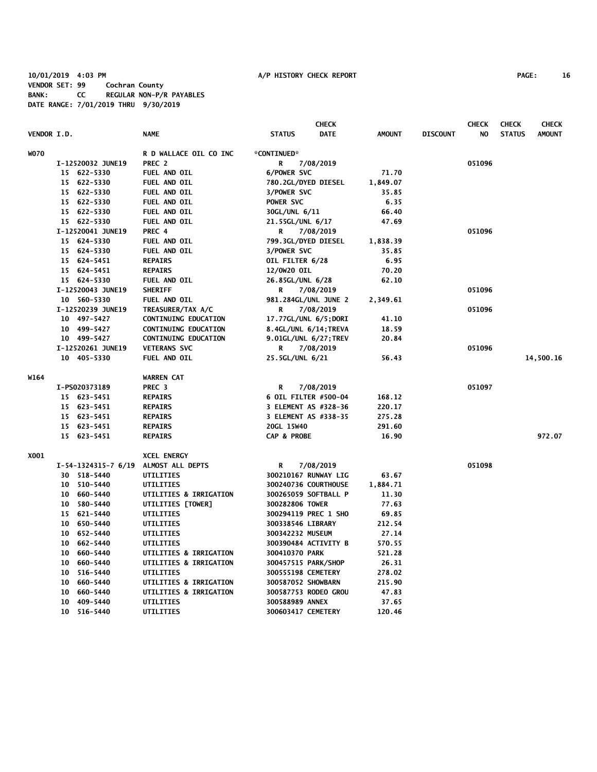# **10/01/2019 4:03 PM A/P HISTORY CHECK REPORT PAGE: 16 VENDOR SET: 99 Cochran County BANK: CC REGULAR NON-P/R PAYABLES DATE RANGE: 7/01/2019 THRU 9/30/2019**

| <b>CHECK</b> |    |                     |                             |                       |             |               | <b>CHECK</b>    | <b>CHECK</b> | <b>CHECK</b>  |               |
|--------------|----|---------------------|-----------------------------|-----------------------|-------------|---------------|-----------------|--------------|---------------|---------------|
| VENDOR I.D.  |    |                     | <b>NAME</b>                 | <b>STATUS</b>         | <b>DATE</b> | <b>AMOUNT</b> | <b>DISCOUNT</b> | NO           | <b>STATUS</b> | <b>AMOUNT</b> |
| <b>WO70</b>  |    |                     | R D WALLACE OIL CO INC      | *CONTINUED*           |             |               |                 |              |               |               |
|              |    | I-12520032 JUNE19   | PREC <sub>2</sub>           | R                     | 7/08/2019   |               |                 | 051096       |               |               |
|              |    | 15 622-5330         | FUEL AND OIL                | 6/POWER SVC           |             | 71.70         |                 |              |               |               |
|              |    | 15 622-5330         | FUEL AND OIL                | 780.2GL/DYED DIESEL   |             | 1,849.07      |                 |              |               |               |
|              |    | 15 622-5330         | FUEL AND OIL                | 3/POWER SVC           |             | 35.85         |                 |              |               |               |
|              |    | 15 622-5330         | FUEL AND OIL                | POWER SVC             |             | 6.35          |                 |              |               |               |
|              |    | 15 622-5330         | FUEL AND OIL                | 30GL/UNL 6/11         |             | 66.40         |                 |              |               |               |
|              |    | 15 622-5330         | FUEL AND OIL                | 21.55GL/UNL 6/17      |             | 47.69         |                 |              |               |               |
|              |    | I-12520041 JUNE19   | PREC <sub>4</sub>           | R                     | 7/08/2019   |               |                 | 051096       |               |               |
|              |    | 15 624-5330         | FUEL AND OIL                | 799.3GL/DYED DIESEL   |             | 1,838.39      |                 |              |               |               |
|              |    | 15 624-5330         | FUEL AND OIL                | 3/POWER SVC           |             | 35.85         |                 |              |               |               |
|              |    | 15 624-5451         | <b>REPAIRS</b>              | OIL FILTER 6/28       |             | 6.95          |                 |              |               |               |
|              |    | 15 624-5451         | <b>REPAIRS</b>              | 12/0W20 OIL           |             | 70.20         |                 |              |               |               |
|              |    | 15 624-5330         | FUEL AND OIL                | 26.85GL/UNL 6/28      |             | 62.10         |                 |              |               |               |
|              |    | I-12520043 JUNE19   | <b>SHERIFF</b>              | R                     | 7/08/2019   |               |                 | 051096       |               |               |
|              |    | 10 560-5330         | FUEL AND OIL                | 981.284GL/UNL JUNE 2  |             | 2,349.61      |                 |              |               |               |
|              |    | I-12520239 JUNE19   | TREASURER/TAX A/C           | R                     | 7/08/2019   |               |                 | 051096       |               |               |
|              |    | 10 497-5427         | <b>CONTINUING EDUCATION</b> | 17.77GL/UNL 6/5;DORI  |             | 41.10         |                 |              |               |               |
|              |    | 10 499-5427         | <b>CONTINUING EDUCATION</b> | 8.4GL/UNL 6/14; TREVA |             | 18.59         |                 |              |               |               |
|              |    | 10 499-5427         | <b>CONTINUING EDUCATION</b> | 9.01GL/UNL 6/27; TREV |             | 20.84         |                 |              |               |               |
|              |    | I-12520261 JUNE19   | <b>VETERANS SVC</b>         | R                     | 7/08/2019   |               |                 | 051096       |               |               |
|              |    | 10 405-5330         | FUEL AND OIL                | 25.5GL/UNL 6/21       |             | 56.43         |                 |              |               | 14,500.16     |
| W164         |    |                     | <b>WARREN CAT</b>           |                       |             |               |                 |              |               |               |
|              |    | I-PS020373189       | PREC <sub>3</sub>           | R                     | 7/08/2019   |               |                 | 051097       |               |               |
|              |    | 15 623-5451         | <b>REPAIRS</b>              | 6 OIL FILTER #500-04  |             | 168.12        |                 |              |               |               |
|              |    | 15 623-5451         | <b>REPAIRS</b>              | 3 ELEMENT AS #328-36  |             | 220.17        |                 |              |               |               |
|              |    | 15 623-5451         | <b>REPAIRS</b>              | 3 ELEMENT AS #338-35  |             | 275.28        |                 |              |               |               |
|              |    | 15 623-5451         | <b>REPAIRS</b>              | 20GL 15W40            |             | 291.60        |                 |              |               |               |
|              |    | 15 623-5451         | <b>REPAIRS</b>              | CAP & PROBE           |             | 16.90         |                 |              |               | 972.07        |
| X001         |    |                     | <b>XCEL ENERGY</b>          |                       |             |               |                 |              |               |               |
|              |    | I-54-1324315-7 6/19 | ALMOST ALL DEPTS            | R                     | 7/08/2019   |               |                 | 051098       |               |               |
|              | 30 | 518-5440            | UTILITIES                   | 300210167 RUNWAY LIG  |             | 63.67         |                 |              |               |               |
|              |    | 10 510-5440         | UTILITIES                   | 300240736 COURTHOUSE  |             | 1,884.71      |                 |              |               |               |
|              | 10 | 660-5440            | UTILITIES & IRRIGATION      | 300265059 SOFTBALL P  |             | 11.30         |                 |              |               |               |
|              | 10 | 580-5440            | UTILITIES [TOWER]           | 300282806 TOWER       |             | 77.63         |                 |              |               |               |
|              |    | 15 621-5440         | UTILITIES                   | 300294119 PREC 1 SHO  |             | 69.85         |                 |              |               |               |
|              | 10 | 650-5440            | UTILITIES                   | 300338546 LIBRARY     |             | 212.54        |                 |              |               |               |
|              |    | 10 652-5440         | UTILITIES                   | 300342232 MUSEUM      |             | 27.14         |                 |              |               |               |
|              | 10 | 662-5440            | UTILITIES                   | 300390484 ACTIVITY B  |             | 570.55        |                 |              |               |               |
|              | 10 | 660-5440            | UTILITIES & IRRIGATION      | 300410370 PARK        |             | 521.28        |                 |              |               |               |
|              | 10 | 660-5440            | UTILITIES & IRRIGATION      | 300457515 PARK/SHOP   |             | 26.31         |                 |              |               |               |
|              | 10 | 516-5440            | UTILITIES                   | 300555198 CEMETERY    |             | 278.02        |                 |              |               |               |
|              | 10 | 660-5440            | UTILITIES & IRRIGATION      | 300587052 SHOWBARN    |             | 215.90        |                 |              |               |               |
|              | 10 | 660-5440            | UTILITIES & IRRIGATION      | 300587753 RODEO GROU  |             | 47.83         |                 |              |               |               |
|              | 10 | 409-5440            | UTILITIES                   | 300588989 ANNEX       |             | 37.65         |                 |              |               |               |
|              |    | 10 516-5440         | UTILITIES                   | 300603417 CEMETERY    |             | 120.46        |                 |              |               |               |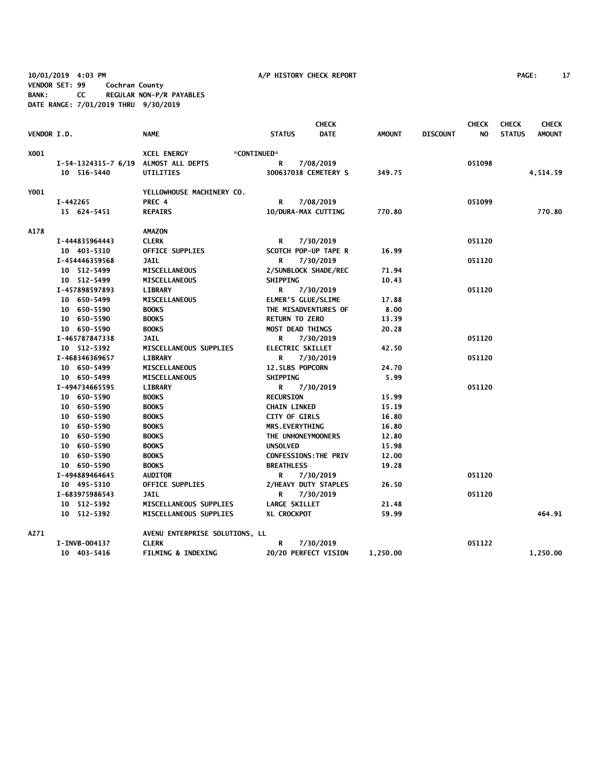**10/01/2019 4:03 PM A/P HISTORY CHECK REPORT PAGE: 17 VENDOR SET: 99 Cochran County BANK: CC REGULAR NON-P/R PAYABLES DATE RANGE: 7/01/2019 THRU 9/30/2019**

|                    |                     |                                |                           | <b>CHECK</b> |               |                 | <b>CHECK</b> | <b>CHECK</b>  | <b>CHECK</b>  |
|--------------------|---------------------|--------------------------------|---------------------------|--------------|---------------|-----------------|--------------|---------------|---------------|
| <b>VENDOR I.D.</b> |                     | <b>NAME</b>                    | <b>STATUS</b>             | <b>DATE</b>  | <b>AMOUNT</b> | <b>DISCOUNT</b> | NO.          | <b>STATUS</b> | <b>AMOUNT</b> |
| X001               |                     | <b>XCEL ENERGY</b>             | *CONTINUED*               |              |               |                 |              |               |               |
|                    | I-54-1324315-7 6/19 | ALMOST ALL DEPTS               | R                         | 7/08/2019    |               |                 | 051098       |               |               |
|                    | 10 516-5440         | UTILITIES                      | 300637038 CEMETERY S      |              | 349.75        |                 |              |               | 4,514.59      |
| Y001               |                     | YELLOWHOUSE MACHINERY CO.      |                           |              |               |                 |              |               |               |
|                    | I-442265            | PREC 4                         | R                         | 7/08/2019    |               |                 | 051099       |               |               |
|                    | 15 624-5451         | <b>REPAIRS</b>                 | 10/DURA-MAX CUTTING       |              | 770.80        |                 |              |               | 770.80        |
| A178               |                     | <b>AMAZON</b>                  |                           |              |               |                 |              |               |               |
|                    | I-444835964443      | <b>CLERK</b>                   | R                         | 7/30/2019    |               |                 | 051120       |               |               |
|                    | 10 403-5310         | <b>OFFICE SUPPLIES</b>         | SCOTCH POP-UP TAPE R      |              | 16.99         |                 |              |               |               |
|                    | I-454446359568      | <b>JAIL</b>                    | R                         | 7/30/2019    |               |                 | 051120       |               |               |
|                    | 10 512-5499         | <b>MISCELLANEOUS</b>           | 2/SUNBLOCK SHADE/REC      |              | 71.94         |                 |              |               |               |
|                    | 10 512-5499         | <b>MISCELLANEOUS</b>           | <b>SHIPPING</b>           |              | 10.43         |                 |              |               |               |
|                    | I-457898597893      | <b>LIBRARY</b>                 | R                         | 7/30/2019    |               |                 | 051120       |               |               |
|                    | 10 650-5499         | <b>MISCELLANEOUS</b>           | <b>ELMER'S GLUE/SLIME</b> |              | 17.88         |                 |              |               |               |
|                    | 10 650-5590         | <b>BOOKS</b>                   | THE MISADVENTURES OF      |              | 8.00          |                 |              |               |               |
|                    | 10 650-5590         | <b>BOOKS</b>                   | <b>RETURN TO ZERO</b>     |              | 13.39         |                 |              |               |               |
|                    | 10 650-5590         | <b>BOOKS</b>                   | <b>MOST DEAD THINGS</b>   |              | 20.28         |                 |              |               |               |
|                    | I-465787847338      | <b>JAIL</b>                    | R                         | 7/30/2019    |               |                 | 051120       |               |               |
|                    | 10 512-5392         | MISCELLANEOUS SUPPLIES         | <b>ELECTRIC SKILLET</b>   |              | 42.50         |                 |              |               |               |
|                    | I-468346369657      | <b>LIBRARY</b>                 | R                         | 7/30/2019    |               |                 | 051120       |               |               |
|                    | 10 650-5499         | MISCELLANEOUS                  | 12.5LBS POPCORN           |              | 24.70         |                 |              |               |               |
|                    | 10 650-5499         | MISCELLANEOUS                  | <b>SHIPPING</b>           |              | 5.99          |                 |              |               |               |
|                    | I-494734665595      | <b>LIBRARY</b>                 | R                         | 7/30/2019    |               |                 | 051120       |               |               |
|                    | 10 650-5590         | <b>BOOKS</b>                   | <b>RECURSION</b>          |              | 15.99         |                 |              |               |               |
|                    | 10 650-5590         | <b>BOOKS</b>                   | <b>CHAIN LINKED</b>       |              | 15.19         |                 |              |               |               |
|                    | 10 650-5590         | <b>BOOKS</b>                   | <b>CITY OF GIRLS</b>      |              | 16.80         |                 |              |               |               |
|                    | 10 650-5590         | <b>BOOKS</b>                   | <b>MRS.EVERYTHING</b>     |              | 16.80         |                 |              |               |               |
|                    | 10 650-5590         | <b>BOOKS</b>                   | THE UNHONEYMOONERS        |              | 12.80         |                 |              |               |               |
|                    | 10 650-5590         | <b>BOOKS</b>                   | <b>UNSOLVED</b>           |              | 15.98         |                 |              |               |               |
|                    | 10 650-5590         | <b>BOOKS</b>                   | CONFESSIONS: THE PRIV     |              | 12.00         |                 |              |               |               |
|                    | 10 650-5590         | <b>BOOKS</b>                   | <b>BREATHLESS</b>         |              | 19.28         |                 |              |               |               |
|                    | I-494889464645      | <b>AUDITOR</b>                 | R                         | 7/30/2019    |               |                 | 051120       |               |               |
|                    | 10 495-5310         | <b>OFFICE SUPPLIES</b>         | 2/HEAVY DUTY STAPLES      |              | 26.50         |                 |              |               |               |
|                    | I-683975986543      | <b>JAIL</b>                    | R                         | 7/30/2019    |               |                 | 051120       |               |               |
|                    | 10 512-5392         | MISCELLANEOUS SUPPLIES         | <b>LARGE SKILLET</b>      |              | 21.48         |                 |              |               |               |
|                    | 10 512-5392         | MISCELLANEOUS SUPPLIES         | XL CROCKPOT               |              | 59.99         |                 |              |               | 464.91        |
| A271               |                     | AVENU ENTERPRISE SOLUTIONS, LL |                           |              |               |                 |              |               |               |
|                    | I-INVB-004137       | <b>CLERK</b>                   | R                         | 7/30/2019    |               |                 | 051122       |               |               |
|                    | 10 403-5416         | <b>FILMING &amp; INDEXING</b>  | 20/20 PERFECT VISION      |              | 1,250.00      |                 |              |               | 1,250.00      |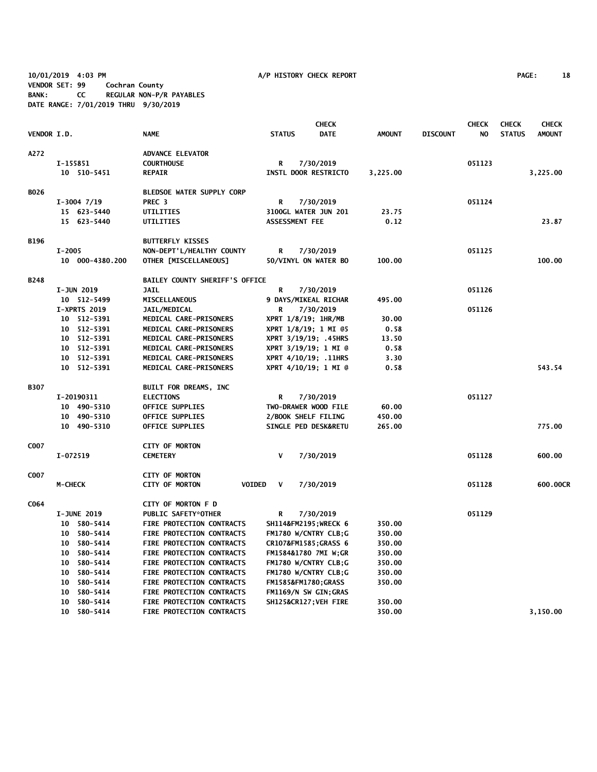**10/01/2019 4:03 PM A/P HISTORY CHECK REPORT PAGE: 18 VENDOR SET: 99 Cochran County BANK: CC REGULAR NON-P/R PAYABLES DATE RANGE: 7/01/2019 THRU 9/30/2019**

|             |                                       | <b>CHECK</b>                           |                              | <b>CHECK</b>  | <b>CHECK</b>    | <b>CHECK</b> |               |               |
|-------------|---------------------------------------|----------------------------------------|------------------------------|---------------|-----------------|--------------|---------------|---------------|
| VENDOR I.D. |                                       | <b>NAME</b>                            | <b>STATUS</b><br><b>DATE</b> | <b>AMOUNT</b> | <b>DISCOUNT</b> | NO.          | <b>STATUS</b> | <b>AMOUNT</b> |
| A272        |                                       | <b>ADVANCE ELEVATOR</b>                |                              |               |                 |              |               |               |
|             | I-155851                              | <b>COURTHOUSE</b>                      | 7/30/2019<br>R               |               |                 | 051123       |               |               |
|             | 10 510-5451                           | <b>REPAIR</b>                          | INSTL DOOR RESTRICTO         | 3,225.00      |                 |              |               | 3,225.00      |
| <b>BO26</b> |                                       | <b>BLEDSOE WATER SUPPLY CORP</b>       |                              |               |                 |              |               |               |
|             | $I-3004$ $7/19$                       | PREC <sub>3</sub>                      | R<br>7/30/2019               |               |                 | 051124       |               |               |
|             | 15 623-5440                           | <b>UTILITIES</b>                       | 3100GL WATER JUN 201         | 23.75         |                 |              |               |               |
|             | 15 623-5440                           | UTILITIES                              | ASSESSMENT FEE               | 0.12          |                 |              |               | 23.87         |
| <b>B196</b> |                                       | <b>BUTTERFLY KISSES</b>                |                              |               |                 |              |               |               |
|             | $I - 2005$                            | NON-DEPT'L/HEALTHY COUNTY              | R<br>7/30/2019               |               |                 | 051125       |               |               |
|             | 10 000-4380.200                       | OTHER [MISCELLANEOUS]                  | 50/VINYL ON WATER BO         | 100.00        |                 |              |               | 100.00        |
| <b>B248</b> |                                       | <b>BAILEY COUNTY SHERIFF'S OFFICE</b>  |                              |               |                 |              |               |               |
|             | I-JUN 2019                            | <b>JAIL</b>                            | R<br>7/30/2019               |               |                 | 051126       |               |               |
|             | 10 512-5499                           | <b>MISCELLANEOUS</b>                   | 9 DAYS/MIKEAL RICHAR         | 495.00        |                 |              |               |               |
|             | <b>I-XPRTS 2019</b>                   | <b>JAIL/MEDICAL</b>                    | 7/30/2019<br>R               |               |                 | 051126       |               |               |
|             | 10 512-5391                           | MEDICAL CARE-PRISONERS                 | XPRT 1/8/19; 1HR/MB          | 30.00         |                 |              |               |               |
|             | 10 512-5391                           | MEDICAL CARE-PRISONERS                 | XPRT 1/8/19; 1 MI 05         | 0.58          |                 |              |               |               |
|             | 10 512-5391                           | MEDICAL CARE-PRISONERS                 | XPRT 3/19/19; .45HRS         | 13.50         |                 |              |               |               |
|             | 10 512-5391                           | MEDICAL CARE-PRISONERS                 | XPRT 3/19/19; 1 MI @         | 0.58          |                 |              |               |               |
|             | 10 512-5391                           | MEDICAL CARE-PRISONERS                 | XPRT 4/10/19; .11HRS         | 3.30          |                 |              |               |               |
|             | 10 512-5391                           | MEDICAL CARE-PRISONERS                 | XPRT 4/10/19; 1 MI @         | 0.58          |                 |              |               | 543.54        |
| <b>B307</b> |                                       | BUILT FOR DREAMS, INC                  |                              |               |                 |              |               |               |
|             | I-20190311                            | <b>ELECTIONS</b>                       | R<br>7/30/2019               |               |                 | 051127       |               |               |
|             | 10 490-5310                           | <b>OFFICE SUPPLIES</b>                 | TWO-DRAWER WOOD FILE         | 60.00         |                 |              |               |               |
|             | 10 490-5310                           | <b>OFFICE SUPPLIES</b>                 | 2/BOOK SHELF FILING          | 450.00        |                 |              |               |               |
|             | 10 490-5310                           | <b>OFFICE SUPPLIES</b>                 | SINGLE PED DESK&RETU         | 265.00        |                 |              |               | 775.00        |
| C007        |                                       | <b>CITY OF MORTON</b>                  |                              |               |                 |              |               |               |
|             | I-072519                              | <b>CEMETERY</b>                        | $\mathsf{V}$<br>7/30/2019    |               |                 | 051128       |               | 600.00        |
| C007        |                                       | <b>CITY OF MORTON</b>                  |                              |               |                 |              |               |               |
|             | M-CHECK                               | <b>VOIDED</b><br><b>CITY OF MORTON</b> | V<br>7/30/2019               |               |                 | 051128       |               | 600.00CR      |
| C064        |                                       | CITY OF MORTON F D                     |                              |               |                 |              |               |               |
|             | <b>I-JUNE 2019</b>                    | PUBLIC SAFETY*OTHER                    | R<br>7/30/2019               |               |                 | 051129       |               |               |
|             | 10 580-5414                           | FIRE PROTECTION CONTRACTS              | SH114&FM2195 WRECK 6         | 350.00        |                 |              |               |               |
|             | 10 580-5414                           | FIRE PROTECTION CONTRACTS              | FM1780 W/CNTRY CLB;G         | 350.00        |                 |              |               |               |
|             | 10 580-5414                           | FIRE PROTECTION CONTRACTS              | CR107&FM1585GRASS 6          | 350.00        |                 |              |               |               |
|             | 10 580-5414                           | <b>FIRE PROTECTION CONTRACTS</b>       | FM1584&1780 7MI W;GR         | 350.00        |                 |              |               |               |
|             | 10 580-5414                           | <b>FIRE PROTECTION CONTRACTS</b>       | FM1780 W/CNTRY CLB;G         | 350.00        |                 |              |               |               |
|             | 580-5414<br>10                        | FIRE PROTECTION CONTRACTS              | FM1780 W/CNTRY CLB;G         | 350.00        |                 |              |               |               |
|             | 580-5414<br>10                        | FIRE PROTECTION CONTRACTS              | FM1585&FM1780GRASS           | 350.00        |                 |              |               |               |
|             | 580-5414<br>10                        | FIRE PROTECTION CONTRACTS              | FM1169/N SW GIN; GRAS        |               |                 |              |               |               |
|             | 10<br>580-5414<br>$10-10$<br>580-5414 | FIRE PROTECTION CONTRACTS              | SH125&CR127 VEH FIRE         | 350.00        |                 |              |               | 3,150.00      |
|             |                                       | <b>FIRE PROTECTION CONTRACTS</b>       |                              | 350.00        |                 |              |               |               |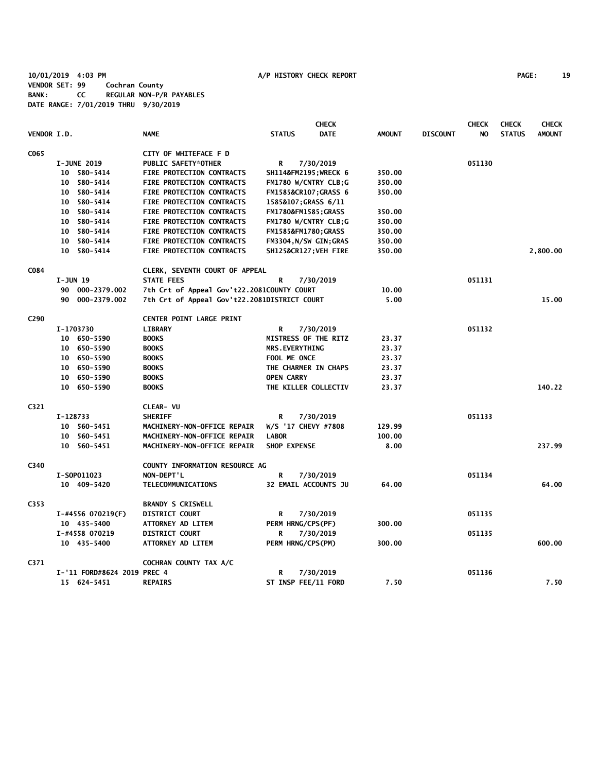**10/01/2019 4:03 PM A/P HISTORY CHECK REPORT PAGE: 19 VENDOR SET: 99 Cochran County BANK: CC REGULAR NON-P/R PAYABLES DATE RANGE: 7/01/2019 THRU 9/30/2019**

|                    |            |                             |                                              |                             | <b>CHECK</b> |               |                 | <b>CHECK</b> | <b>CHECK</b>  | <b>CHECK</b>  |
|--------------------|------------|-----------------------------|----------------------------------------------|-----------------------------|--------------|---------------|-----------------|--------------|---------------|---------------|
| <b>VENDOR I.D.</b> |            |                             | <b>NAME</b>                                  | <b>STATUS</b>               | <b>DATE</b>  | <b>AMOUNT</b> | <b>DISCOUNT</b> | NO.          | <b>STATUS</b> | <b>AMOUNT</b> |
| C065               |            |                             | CITY OF WHITEFACE F D                        |                             |              |               |                 |              |               |               |
|                    |            | I-JUNE 2019                 | PUBLIC SAFETY*OTHER                          | R                           | 7/30/2019    |               |                 | 051130       |               |               |
|                    |            | 10 580-5414                 | FIRE PROTECTION CONTRACTS                    | SH114&FM2195 WRECK 6        |              | 350.00        |                 |              |               |               |
|                    |            | 10 580-5414                 | FIRE PROTECTION CONTRACTS                    | FM1780 W/CNTRY CLB;G        |              | 350.00        |                 |              |               |               |
|                    |            | 10 580-5414                 | FIRE PROTECTION CONTRACTS                    | FM1585&CR107GRASS 6         |              | 350.00        |                 |              |               |               |
|                    |            | 10 580-5414                 | FIRE PROTECTION CONTRACTS                    | 1585&107; GRASS 6/11        |              |               |                 |              |               |               |
|                    |            | 10 580-5414                 | FIRE PROTECTION CONTRACTS                    | FM1780&FM1585 GRASS         |              | 350.00        |                 |              |               |               |
|                    |            | 10 580-5414                 | FIRE PROTECTION CONTRACTS                    | FM1780 W/CNTRY CLB;G        |              | 350.00        |                 |              |               |               |
|                    |            | 10 580-5414                 | FIRE PROTECTION CONTRACTS                    | FM1585&FM1780GRASS          |              | 350.00        |                 |              |               |               |
|                    |            | 10 580-5414                 | FIRE PROTECTION CONTRACTS                    | FM3304, N/SW GIN; GRAS      |              | 350.00        |                 |              |               |               |
|                    |            | 10 580-5414                 | FIRE PROTECTION CONTRACTS                    | SH125&CR127 VEH FIRE        |              | 350.00        |                 |              |               | 2,800.00      |
| C084               |            |                             | CLERK, SEVENTH COURT OF APPEAL               |                             |              |               |                 |              |               |               |
|                    | $I-JUN$ 19 |                             | <b>STATE FEES</b>                            | R                           | 7/30/2019    |               |                 | 051131       |               |               |
|                    |            | 90 000-2379.002             | 7th Crt of Appeal Gov't22.2081COUNTY COURT   |                             |              | 10.00         |                 |              |               |               |
|                    |            | 90 000-2379.002             | 7th Crt of Appeal Gov't22.2081DISTRICT COURT |                             |              | 5.00          |                 |              |               | 15.00         |
| C290               |            |                             | <b>CENTER POINT LARGE PRINT</b>              |                             |              |               |                 |              |               |               |
|                    |            | I-1703730                   | <b>LIBRARY</b>                               | R                           | 7/30/2019    |               |                 | 051132       |               |               |
|                    |            | 10 650-5590                 | <b>BOOKS</b>                                 | <b>MISTRESS OF THE RITZ</b> |              | 23.37         |                 |              |               |               |
|                    |            | 10 650-5590                 | <b>BOOKS</b>                                 | <b>MRS.EVERYTHING</b>       |              | 23.37         |                 |              |               |               |
|                    |            | 10 650-5590                 | <b>BOOKS</b>                                 | FOOL ME ONCE                |              | 23.37         |                 |              |               |               |
|                    |            | 10 650-5590                 | <b>BOOKS</b>                                 | THE CHARMER IN CHAPS        |              | 23.37         |                 |              |               |               |
|                    |            | 10 650-5590                 | <b>BOOKS</b>                                 | <b>OPEN CARRY</b>           |              | 23.37         |                 |              |               |               |
|                    |            | 10 650-5590                 | <b>BOOKS</b>                                 | THE KILLER COLLECTIV        |              | 23.37         |                 |              |               | 140.22        |
| C321               |            |                             | CLEAR- VU                                    |                             |              |               |                 |              |               |               |
|                    | I-128733   |                             | <b>SHERIFF</b>                               | R                           | 7/30/2019    |               |                 | 051133       |               |               |
|                    |            | 10 560-5451                 | MACHINERY-NON-OFFICE REPAIR                  | W/S '17 CHEVY #7808         |              | 129.99        |                 |              |               |               |
|                    |            | 10 560-5451                 | MACHINERY-NON-OFFICE REPAIR                  | <b>LABOR</b>                |              | 100.00        |                 |              |               |               |
|                    |            | 10 560-5451                 | MACHINERY-NON-OFFICE REPAIR                  | SHOP EXPENSE                |              | 8.00          |                 |              |               | 237.99        |
| C340               |            |                             | COUNTY INFORMATION RESOURCE AG               |                             |              |               |                 |              |               |               |
|                    |            | I-S0P011023                 | NON-DEPT'L                                   | R                           | 7/30/2019    |               |                 | 051134       |               |               |
|                    |            | 10 409-5420                 | TELECOMMUNICATIONS                           | 32 EMAIL ACCOUNTS JU        |              | 64.00         |                 |              |               | 64.00         |
| C <sub>353</sub>   |            |                             | <b>BRANDY S CRISWELL</b>                     |                             |              |               |                 |              |               |               |
|                    |            | $I$ -#4556 070219(F)        | <b>DISTRICT COURT</b>                        | R                           | 7/30/2019    |               |                 | 051135       |               |               |
|                    |            | 10 435-5400                 | ATTORNEY AD LITEM                            | PERM HRNG/CPS(PF)           |              | 300.00        |                 |              |               |               |
|                    |            | I-#4558 070219              | <b>DISTRICT COURT</b>                        | R                           | 7/30/2019    |               |                 | 051135       |               |               |
|                    |            | 10 435-5400                 | ATTORNEY AD LITEM                            | PERM HRNG/CPS(PM)           |              | 300.00        |                 |              |               | 600.00        |
| C371               |            |                             | COCHRAN COUNTY TAX A/C                       |                             |              |               |                 |              |               |               |
|                    |            | I-'11 FORD#8624 2019 PREC 4 |                                              | R                           | 7/30/2019    |               |                 | 051136       |               |               |
|                    |            | 15 624-5451                 | <b>REPAIRS</b>                               | ST INSP FEE/11 FORD         |              | 7.50          |                 |              |               | 7.50          |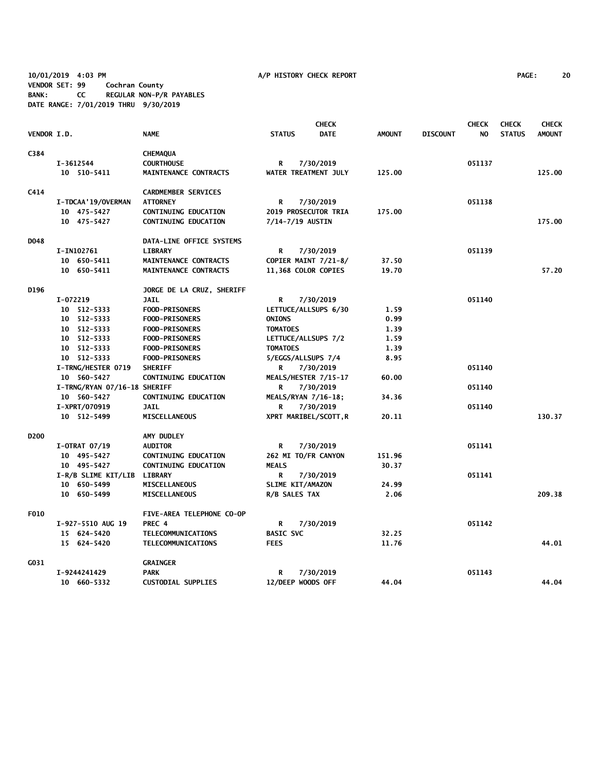**10/01/2019 4:03 PM A/P HISTORY CHECK REPORT PAGE: 20 VENDOR SET: 99 Cochran County BANK: CC REGULAR NON-P/R PAYABLES DATE RANGE: 7/01/2019 THRU 9/30/2019**

|                    |            |                              |                             |                  | <b>CHECK</b>          |               |                 | <b>CHECK</b> | <b>CHECK</b>  | <b>CHECK</b>  |
|--------------------|------------|------------------------------|-----------------------------|------------------|-----------------------|---------------|-----------------|--------------|---------------|---------------|
| <b>VENDOR I.D.</b> |            |                              | <b>NAME</b>                 | <b>STATUS</b>    | <b>DATE</b>           | <b>AMOUNT</b> | <b>DISCOUNT</b> | NO.          | <b>STATUS</b> | <b>AMOUNT</b> |
| C384               |            |                              | <b>CHEMAQUA</b>             |                  |                       |               |                 |              |               |               |
|                    | I-3612544  |                              | <b>COURTHOUSE</b>           | R                | 7/30/2019             |               |                 | 051137       |               |               |
|                    |            | 10 510-5411                  | MAINTENANCE CONTRACTS       |                  | WATER TREATMENT JULY  | 125.00        |                 |              |               | 125.00        |
| C414               |            |                              | <b>CARDMEMBER SERVICES</b>  |                  |                       |               |                 |              |               |               |
|                    |            | <b>I-TDCAA'19/OVERMAN</b>    | <b>ATTORNEY</b>             | R                | 7/30/2019             |               |                 | 051138       |               |               |
|                    |            | 10 475-5427                  | <b>CONTINUING EDUCATION</b> |                  | 2019 PROSECUTOR TRIA  | 175.00        |                 |              |               |               |
|                    |            | 10 475-5427                  | <b>CONTINUING EDUCATION</b> | 7/14-7/19 AUSTIN |                       |               |                 |              |               | 175.00        |
| D048               |            |                              | DATA-LINE OFFICE SYSTEMS    |                  |                       |               |                 |              |               |               |
|                    | I-IN102761 |                              | <b>LIBRARY</b>              | R                | 7/30/2019             |               |                 | 051139       |               |               |
|                    |            | 10 650-5411                  | MAINTENANCE CONTRACTS       |                  | COPIER MAINT 7/21-8/  | 37.50         |                 |              |               |               |
|                    |            | 10 650-5411                  | MAINTENANCE CONTRACTS       |                  | 11,368 COLOR COPIES   | 19.70         |                 |              |               | 57.20         |
| D196               |            |                              | JORGE DE LA CRUZ, SHERIFF   |                  |                       |               |                 |              |               |               |
|                    | I-072219   |                              | <b>JAIL</b>                 | R                | 7/30/2019             |               |                 | 051140       |               |               |
|                    |            | 10 512-5333                  | <b>FOOD-PRISONERS</b>       |                  | LETTUCE/ALLSUPS 6/30  | 1.59          |                 |              |               |               |
|                    |            | 10 512-5333                  | <b>FOOD-PRISONERS</b>       | <b>ONIONS</b>    |                       | 0.99          |                 |              |               |               |
|                    |            | 10 512-5333                  | <b>FOOD-PRISONERS</b>       | <b>TOMATOES</b>  |                       | 1.39          |                 |              |               |               |
|                    |            | 10 512-5333                  | <b>FOOD-PRISONERS</b>       |                  | LETTUCE/ALLSUPS 7/2   | 1.59          |                 |              |               |               |
|                    |            | 10 512-5333                  | <b>FOOD-PRISONERS</b>       | <b>TOMATOES</b>  |                       | 1.39          |                 |              |               |               |
|                    |            | 10 512-5333                  | <b>FOOD-PRISONERS</b>       |                  | 5/EGGS/ALLSUPS 7/4    | 8.95          |                 |              |               |               |
|                    |            | I-TRNG/HESTER 0719           | <b>SHERIFF</b>              | R                | 7/30/2019             |               |                 | 051140       |               |               |
|                    |            | 10 560-5427                  | <b>CONTINUING EDUCATION</b> |                  | MEALS/HESTER 7/15-17  | 60.00         |                 |              |               |               |
|                    |            | I-TRNG/RYAN 07/16-18 SHERIFF |                             | R                | 7/30/2019             |               |                 | 051140       |               |               |
|                    |            | 10 560-5427                  | <b>CONTINUING EDUCATION</b> |                  | MEALS/RYAN 7/16-18;   | 34.36         |                 |              |               |               |
|                    |            | I-XPRT/070919                | <b>JAIL</b>                 | R                | 7/30/2019             |               |                 | 051140       |               |               |
|                    |            | 10 512-5499                  | <b>MISCELLANEOUS</b>        |                  | XPRT MARIBEL/SCOTT, R | 20.11         |                 |              |               | 130.37        |
| D <sub>200</sub>   |            |                              | AMY DUDLEY                  |                  |                       |               |                 |              |               |               |
|                    |            | <b>I-OTRAT 07/19</b>         | <b>AUDITOR</b>              | R                | 7/30/2019             |               |                 | 051141       |               |               |
|                    |            | 10 495-5427                  | <b>CONTINUING EDUCATION</b> |                  | 262 MI TO/FR CANYON   | 151.96        |                 |              |               |               |
|                    |            | 10 495-5427                  | <b>CONTINUING EDUCATION</b> | <b>MEALS</b>     |                       | 30.37         |                 |              |               |               |
|                    |            | I-R/B SLIME KIT/LIB          | <b>LIBRARY</b>              | R                | 7/30/2019             |               |                 | 051141       |               |               |
|                    |            | 10 650-5499                  | <b>MISCELLANEOUS</b>        | SLIME KIT/AMAZON |                       | 24.99         |                 |              |               |               |
|                    |            | 10 650-5499                  | <b>MISCELLANEOUS</b>        | R/B SALES TAX    |                       | 2.06          |                 |              |               | 209.38        |
| F010               |            |                              | FIVE-AREA TELEPHONE CO-OP   |                  |                       |               |                 |              |               |               |
|                    |            | I-927-5510 AUG 19            | PREC 4                      | R                | 7/30/2019             |               |                 | 051142       |               |               |
|                    |            | 15 624-5420                  | TELECOMMUNICATIONS          | <b>BASIC SVC</b> |                       | 32.25         |                 |              |               |               |
|                    |            | 15 624-5420                  | TELECOMMUNICATIONS          | <b>FEES</b>      |                       | 11.76         |                 |              |               | 44.01         |
| G031               |            |                              | <b>GRAINGER</b>             |                  |                       |               |                 |              |               |               |
|                    |            | I-9244241429                 | <b>PARK</b>                 | R                | 7/30/2019             |               |                 | 051143       |               |               |
|                    |            | 10 660-5332                  | <b>CUSTODIAL SUPPLIES</b>   |                  | 12/DEEP WOODS OFF     | 44.04         |                 |              |               | 44.04         |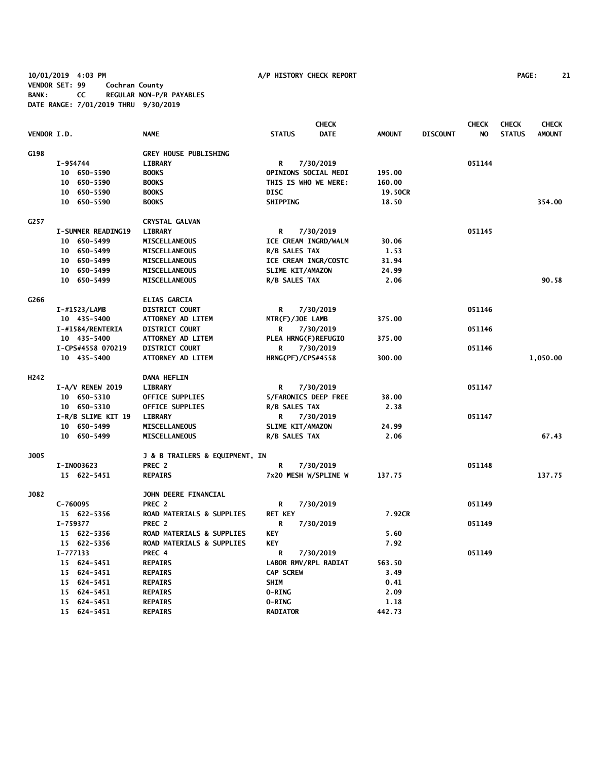**10/01/2019 4:03 PM A/P HISTORY CHECK REPORT PAGE: 21 VENDOR SET: 99 Cochran County BANK: CC REGULAR NON-P/R PAYABLES DATE RANGE: 7/01/2019 THRU 9/30/2019**

|                  |                           |                                      |                          | <b>CHECK</b> |               |                 | <b>CHECK</b> | <b>CHECK</b>  | <b>CHECK</b>  |
|------------------|---------------------------|--------------------------------------|--------------------------|--------------|---------------|-----------------|--------------|---------------|---------------|
| VENDOR I.D.      |                           | <b>NAME</b>                          | <b>STATUS</b>            | <b>DATE</b>  | <b>AMOUNT</b> | <b>DISCOUNT</b> | NO.          | <b>STATUS</b> | <b>AMOUNT</b> |
| G198             |                           | <b>GREY HOUSE PUBLISHING</b>         |                          |              |               |                 |              |               |               |
|                  | I-954744                  | <b>LIBRARY</b>                       | R                        | 7/30/2019    |               |                 | 051144       |               |               |
|                  | 10 650-5590               | <b>BOOKS</b>                         | OPINIONS SOCIAL MEDI     |              | 195.00        |                 |              |               |               |
|                  | 10 650-5590               | <b>BOOKS</b>                         | THIS IS WHO WE WERE:     |              | 160.00        |                 |              |               |               |
|                  | 10 650-5590               | <b>BOOKS</b>                         | <b>DISC</b>              |              | 19.50CR       |                 |              |               |               |
|                  | 10 650-5590               | <b>BOOKS</b>                         | <b>SHIPPING</b>          |              | 18.50         |                 |              |               | 354.00        |
| G257             |                           | <b>CRYSTAL GALVAN</b>                |                          |              |               |                 |              |               |               |
|                  | <b>I-SUMMER READING19</b> | <b>LIBRARY</b>                       | R                        | 7/30/2019    |               |                 | 051145       |               |               |
|                  | 10 650-5499               | <b>MISCELLANEOUS</b>                 | ICE CREAM INGRD/WALM     |              | 30.06         |                 |              |               |               |
|                  | 10 650-5499               | <b>MISCELLANEOUS</b>                 | R/B SALES TAX            |              | 1.53          |                 |              |               |               |
|                  | 10 650-5499               | MISCELLANEOUS                        | ICE CREAM INGR/COSTC     |              | 31.94         |                 |              |               |               |
|                  | 10 650-5499               | <b>MISCELLANEOUS</b>                 | SLIME KIT/AMAZON         |              | 24.99         |                 |              |               |               |
|                  | 10 650-5499               | MISCELLANEOUS                        | R/B SALES TAX            |              | 2.06          |                 |              |               | 90.58         |
| G266             |                           | <b>ELIAS GARCIA</b>                  |                          |              |               |                 |              |               |               |
|                  | I-#1523/LAMB              | <b>DISTRICT COURT</b>                | R                        | 7/30/2019    |               |                 | 051146       |               |               |
|                  | 10 435-5400               | <b>ATTORNEY AD LITEM</b>             | MTR(F)/JOE LAMB          |              | 375.00        |                 |              |               |               |
|                  | I-#1584/RENTERIA          | <b>DISTRICT COURT</b>                | R                        | 7/30/2019    |               |                 | 051146       |               |               |
|                  | 10 435-5400               | ATTORNEY AD LITEM                    | PLEA HRNG(F)REFUGIO      |              | 375.00        |                 |              |               |               |
|                  | I-CPS#4558 070219         | <b>DISTRICT COURT</b>                | R                        | 7/30/2019    |               |                 | 051146       |               |               |
|                  | 10 435-5400               | <b>ATTORNEY AD LITEM</b>             | <b>HRNG(PF)/CPS#4558</b> |              | 300.00        |                 |              |               | 1,050.00      |
| H <sub>242</sub> |                           | <b>DANA HEFLIN</b>                   |                          |              |               |                 |              |               |               |
|                  | $I-A/V$ RENEW 2019        | <b>LIBRARY</b>                       | R                        | 7/30/2019    |               |                 | 051147       |               |               |
|                  | 10 650-5310               | <b>OFFICE SUPPLIES</b>               | 5/FARONICS DEEP FREE     |              | 38.00         |                 |              |               |               |
|                  | 10 650-5310               | <b>OFFICE SUPPLIES</b>               | R/B SALES TAX            |              | 2.38          |                 |              |               |               |
|                  | I-R/B SLIME KIT 19        | <b>LIBRARY</b>                       | R                        | 7/30/2019    |               |                 | 051147       |               |               |
|                  | 10 650-5499               | MISCELLANEOUS                        | SLIME KIT/AMAZON         |              | 24.99         |                 |              |               |               |
|                  | 10 650-5499               | MISCELLANEOUS                        | R/B SALES TAX            |              | 2.06          |                 |              |               | 67.43         |
| <b>J005</b>      |                           | J & B TRAILERS & EQUIPMENT, IN       |                          |              |               |                 |              |               |               |
|                  | I-IN003623                | PREC <sub>2</sub>                    | R                        | 7/30/2019    |               |                 | 051148       |               |               |
|                  | 15 622-5451               | <b>REPAIRS</b>                       | 7x20 MESH W/SPLINE W     |              | 137.75        |                 |              |               | 137.75        |
| J082             |                           | JOHN DEERE FINANCIAL                 |                          |              |               |                 |              |               |               |
|                  | $C-760095$                | PREC <sub>2</sub>                    | R                        | 7/30/2019    |               |                 | 051149       |               |               |
|                  | 15 622-5356               | <b>ROAD MATERIALS &amp; SUPPLIES</b> | <b>RET KEY</b>           |              | 7.92CR        |                 |              |               |               |
|                  | I-759377                  | PREC <sub>2</sub>                    | R                        | 7/30/2019    |               |                 | 051149       |               |               |
|                  | 15 622-5356               | ROAD MATERIALS & SUPPLIES            | <b>KEY</b>               |              | 5.60          |                 |              |               |               |
|                  | 15 622-5356               | ROAD MATERIALS & SUPPLIES            | <b>KEY</b>               |              | 7.92          |                 |              |               |               |
|                  | I-777133                  | PREC 4                               | R                        | 7/30/2019    |               |                 | 051149       |               |               |
|                  | 15 624-5451               | <b>REPAIRS</b>                       | LABOR RMV/RPL RADIAT     |              | 563.50        |                 |              |               |               |
|                  | 15 624-5451               | <b>REPAIRS</b>                       | <b>CAP SCREW</b>         |              | 3.49          |                 |              |               |               |
|                  | 15 624-5451               | <b>REPAIRS</b>                       | <b>SHIM</b>              |              | 0.41          |                 |              |               |               |
|                  | 15 624-5451               | <b>REPAIRS</b>                       | 0-RING                   |              | 2.09          |                 |              |               |               |
|                  | 15 624-5451               | <b>REPAIRS</b>                       | <b>O-RING</b>            |              | 1.18          |                 |              |               |               |
|                  | 15 624-5451               | <b>REPAIRS</b>                       | <b>RADIATOR</b>          |              | 442.73        |                 |              |               |               |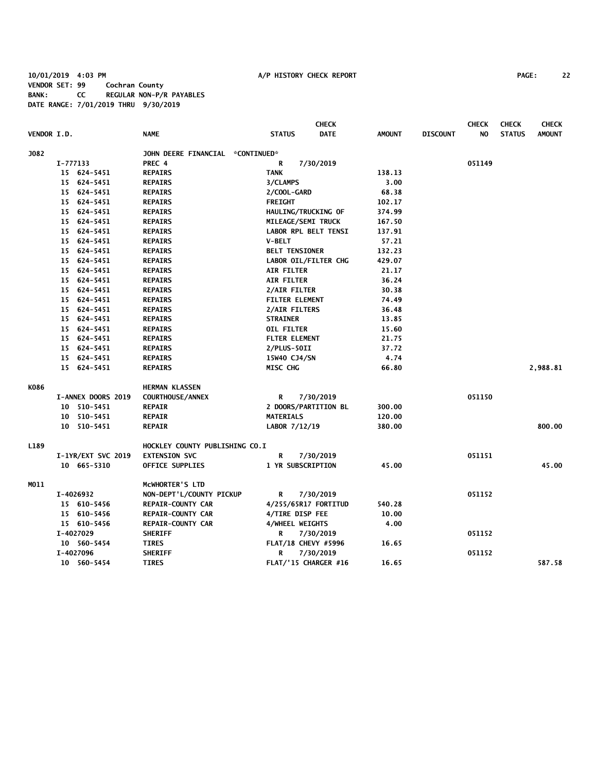**10/01/2019 4:03 PM A/P HISTORY CHECK REPORT PAGE: 22 VENDOR SET: 99 Cochran County BANK: CC REGULAR NON-P/R PAYABLES DATE RANGE: 7/01/2019 THRU 9/30/2019**

|      | VENDOR I.D.        | <b>NAME</b>                                           | <b>CHECK</b><br><b>DATE</b><br><b>STATUS</b> | <b>AMOUNT</b> | <b>DISCOUNT</b> | <b>CHECK</b><br>NO. | <b>CHECK</b><br><b>STATUS</b> | <b>CHECK</b><br><b>AMOUNT</b> |
|------|--------------------|-------------------------------------------------------|----------------------------------------------|---------------|-----------------|---------------------|-------------------------------|-------------------------------|
| J082 |                    |                                                       |                                              |               |                 |                     |                               |                               |
|      | I-777133           | JOHN DEERE FINANCIAL *CONTINUED*<br>PREC <sub>4</sub> | R                                            |               |                 | 051149              |                               |                               |
|      | 15 624-5451        | <b>REPAIRS</b>                                        | 7/30/2019<br><b>TANK</b>                     | 138.13        |                 |                     |                               |                               |
|      | 15 624-5451        | <b>REPAIRS</b>                                        | 3/CLAMPS                                     | 3.00          |                 |                     |                               |                               |
|      | 15 624-5451        | <b>REPAIRS</b>                                        | 2/COOL-GARD                                  | 68.38         |                 |                     |                               |                               |
|      | 15 624-5451        | <b>REPAIRS</b>                                        | <b>FREIGHT</b>                               | 102.17        |                 |                     |                               |                               |
|      | 15 624-5451        | <b>REPAIRS</b>                                        | HAULING/TRUCKING OF                          | 374.99        |                 |                     |                               |                               |
|      | 15 624-5451        | <b>REPAIRS</b>                                        | MILEAGE/SEMI TRUCK                           | 167.50        |                 |                     |                               |                               |
|      | 15 624-5451        | <b>REPAIRS</b>                                        | <b>LABOR RPL BELT TENSI</b>                  | 137.91        |                 |                     |                               |                               |
|      | 15 624-5451        | <b>REPAIRS</b>                                        | <b>V-BELT</b>                                | 57.21         |                 |                     |                               |                               |
|      | 15 624-5451        | <b>REPAIRS</b>                                        | <b>BELT TENSIONER</b>                        | 132.23        |                 |                     |                               |                               |
|      | 15 624-5451        | <b>REPAIRS</b>                                        | LABOR OIL/FILTER CHG                         | 429.07        |                 |                     |                               |                               |
|      | 15 624-5451        | <b>REPAIRS</b>                                        | <b>AIR FILTER</b>                            | 21.17         |                 |                     |                               |                               |
|      | 15 624-5451        | <b>REPAIRS</b>                                        | <b>AIR FILTER</b>                            | 36.24         |                 |                     |                               |                               |
|      | 15 624-5451        | <b>REPAIRS</b>                                        | 2/AIR FILTER                                 | 30.38         |                 |                     |                               |                               |
|      | 15 624-5451        | <b>REPAIRS</b>                                        | <b>FILTER ELEMENT</b>                        | 74.49         |                 |                     |                               |                               |
|      | 15 624-5451        | <b>REPAIRS</b>                                        | 2/AIR FILTERS                                | 36.48         |                 |                     |                               |                               |
|      | 15 624-5451        | <b>REPAIRS</b>                                        | <b>STRAINER</b>                              | 13.85         |                 |                     |                               |                               |
|      | 15 624-5451        | <b>REPAIRS</b>                                        | OIL FILTER                                   | 15.60         |                 |                     |                               |                               |
|      | 15 624-5451        | <b>REPAIRS</b>                                        | <b>FLTER ELEMENT</b>                         | 21.75         |                 |                     |                               |                               |
|      | 15 624-5451        | <b>REPAIRS</b>                                        | 2/PLUS-50II                                  | 37.72         |                 |                     |                               |                               |
|      | 15 624-5451        | <b>REPAIRS</b>                                        | 15W40 CJ4/SN                                 | 4.74          |                 |                     |                               |                               |
|      | 15 624-5451        | <b>REPAIRS</b>                                        | MISC CHG                                     | 66.80         |                 |                     |                               | 2,988.81                      |
| K086 |                    | <b>HERMAN KLASSEN</b>                                 |                                              |               |                 |                     |                               |                               |
|      | I-ANNEX DOORS 2019 | <b>COURTHOUSE/ANNEX</b>                               | R<br>7/30/2019                               |               |                 | 051150              |                               |                               |
|      | 10 510-5451        | <b>REPAIR</b>                                         | 2 DOORS/PARTITION BL                         | 300.00        |                 |                     |                               |                               |
|      | 510-5451<br>10     | <b>REPAIR</b>                                         | <b>MATERIALS</b>                             | 120.00        |                 |                     |                               |                               |
|      | 10 510-5451        | <b>REPAIR</b>                                         | LABOR 7/12/19                                | 380.00        |                 |                     |                               | 800.00                        |
| L189 |                    | HOCKLEY COUNTY PUBLISHING CO.I                        |                                              |               |                 |                     |                               |                               |
|      | I-1YR/EXT SVC 2019 | <b>EXTENSION SVC</b>                                  | R<br>7/30/2019                               |               |                 | 051151              |                               |                               |
|      | 10 665-5310        | OFFICE SUPPLIES                                       | 1 YR SUBSCRIPTION                            | 45.00         |                 |                     |                               | 45.00                         |
| M011 |                    | MCWHORTER'S LTD                                       |                                              |               |                 |                     |                               |                               |
|      | I-4026932          | NON-DEPT'L/COUNTY PICKUP                              | R<br>7/30/2019                               |               |                 | 051152              |                               |                               |
|      | 15 610-5456        | <b>REPAIR-COUNTY CAR</b>                              | 4/255/65R17 FORTITUD                         | 540.28        |                 |                     |                               |                               |
|      | 15 610-5456        | <b>REPAIR-COUNTY CAR</b>                              | 4/TIRE DISP FEE                              | 10.00         |                 |                     |                               |                               |
|      | 15 610-5456        | <b>REPAIR-COUNTY CAR</b>                              | <b>4/WHEEL WEIGHTS</b>                       | 4.00          |                 |                     |                               |                               |
|      | I-4027029          | <b>SHERIFF</b>                                        | 7/30/2019<br>R                               |               |                 | 051152              |                               |                               |
|      | 10 560-5454        | <b>TIRES</b>                                          | FLAT/18 CHEVY #5996                          | 16.65         |                 |                     |                               |                               |
|      | I-4027096          | <b>SHERIFF</b>                                        | 7/30/2019<br>R                               |               |                 | 051152              |                               |                               |
|      | 10 560-5454        | <b>TIRES</b>                                          | FLAT/'15 CHARGER #16                         | 16.65         |                 |                     |                               | 587.58                        |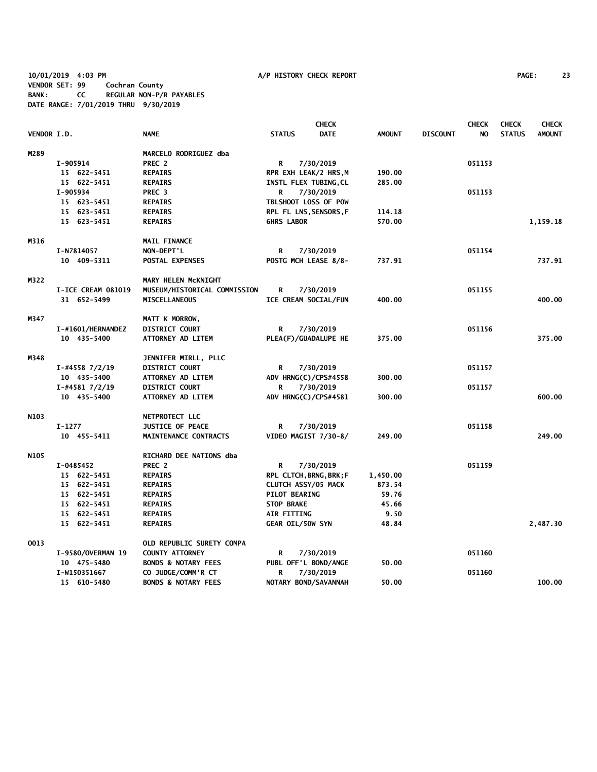**10/01/2019 4:03 PM A/P HISTORY CHECK REPORT PAGE: 23 VENDOR SET: 99 Cochran County BANK: CC REGULAR NON-P/R PAYABLES DATE RANGE: 7/01/2019 THRU 9/30/2019**

|             |                    |                                | <b>CHECK</b>                 |               |                 | <b>CHECK</b> | <b>CHECK</b>  | <b>CHECK</b>  |
|-------------|--------------------|--------------------------------|------------------------------|---------------|-----------------|--------------|---------------|---------------|
| VENDOR I.D. |                    | <b>NAME</b>                    | <b>STATUS</b><br><b>DATE</b> | <b>AMOUNT</b> | <b>DISCOUNT</b> | NO.          | <b>STATUS</b> | <b>AMOUNT</b> |
| M289        |                    | MARCELO RODRIGUEZ dba          |                              |               |                 |              |               |               |
|             | I-905914           | PREC <sub>2</sub>              | R<br>7/30/2019               |               |                 | 051153       |               |               |
|             | 15 622-5451        | <b>REPAIRS</b>                 | RPR EXH LEAK/2 HRS, M        | 190.00        |                 |              |               |               |
|             | 15 622-5451        | <b>REPAIRS</b>                 | INSTL FLEX TUBING, CL        | 285.00        |                 |              |               |               |
|             | I-905934           | PREC <sub>3</sub>              | 7/30/2019<br>R               |               |                 | 051153       |               |               |
|             | 15 623-5451        | <b>REPAIRS</b>                 | TBLSHOOT LOSS OF POW         |               |                 |              |               |               |
|             | 15 623-5451        | <b>REPAIRS</b>                 | RPL FL LNS, SENSORS, F       | 114.18        |                 |              |               |               |
|             | 15 623-5451        | <b>REPAIRS</b>                 | <b>GHRS LABOR</b>            | 570.00        |                 |              |               | 1,159.18      |
| M316        |                    | <b>MAIL FINANCE</b>            |                              |               |                 |              |               |               |
|             | I-N7814057         | NON-DEPT'L                     | R<br>7/30/2019               |               |                 | 051154       |               |               |
|             | 10 409-5311        | POSTAL EXPENSES                | POSTG MCH LEASE 8/8-         | 737.91        |                 |              |               | 737.91        |
| M322        |                    | MARY HELEN MCKNIGHT            |                              |               |                 |              |               |               |
|             | I-ICE CREAM 081019 | MUSEUM/HISTORICAL COMMISSION   | R<br>7/30/2019               |               |                 | 051155       |               |               |
|             | 31 652-5499        | <b>MISCELLANEOUS</b>           | ICE CREAM SOCIAL/FUN         | 400.00        |                 |              |               | 400.00        |
| M347        |                    | MATT K MORROW,                 |                              |               |                 |              |               |               |
|             | I-#1601/HERNANDEZ  | <b>DISTRICT COURT</b>          | R<br>7/30/2019               |               |                 | 051156       |               |               |
|             | 10 435-5400        | ATTORNEY AD LITEM              | PLEA(F)/GUADALUPE HE         | 375.00        |                 |              |               | 375.00        |
| M348        |                    | JENNIFER MIRLL, PLLC           |                              |               |                 |              |               |               |
|             | $I$ -#4558 7/2/19  | <b>DISTRICT COURT</b>          | R<br>7/30/2019               |               |                 | 051157       |               |               |
|             | 10 435-5400        | ATTORNEY AD LITEM              | ADV HRNG(C)/CPS#4558         | 300.00        |                 |              |               |               |
|             | $I$ -#4581 7/2/19  | <b>DISTRICT COURT</b>          | R<br>7/30/2019               |               |                 | 051157       |               |               |
|             | 10 435-5400        | <b>ATTORNEY AD LITEM</b>       | ADV HRNG(C)/CPS#4581         | 300.00        |                 |              |               | 600.00        |
| N103        |                    | NETPROTECT LLC                 |                              |               |                 |              |               |               |
|             | $I-1277$           | <b>JUSTICE OF PEACE</b>        | R<br>7/30/2019               |               |                 | 051158       |               |               |
|             | 10 455-5411        | MAINTENANCE CONTRACTS          | VIDEO MAGIST 7/30-8/         | 249.00        |                 |              |               | 249.00        |
| N105        |                    | RICHARD DEE NATIONS dba        |                              |               |                 |              |               |               |
|             | I-0485452          | PREC 2                         | R<br>7/30/2019               |               |                 | 051159       |               |               |
|             | 15 622-5451        | <b>REPAIRS</b>                 | RPL CLTCH, BRNG, BRK; F      | 1,450.00      |                 |              |               |               |
|             | 15 622-5451        | <b>REPAIRS</b>                 | CLUTCH ASSY/05 MACK          | 873.54        |                 |              |               |               |
|             | 15 622-5451        | <b>REPAIRS</b>                 | PILOT BEARING                | 59.76         |                 |              |               |               |
|             | 15 622-5451        | <b>REPAIRS</b>                 | <b>STOP BRAKE</b>            | 45.66         |                 |              |               |               |
|             | 15 622-5451        | <b>REPAIRS</b>                 | AIR FITTING                  | 9.50          |                 |              |               |               |
|             | 15 622-5451        | <b>REPAIRS</b>                 | <b>GEAR OIL/50W SYN</b>      | 48.84         |                 |              |               | 2,487.30      |
| 0013        |                    | OLD REPUBLIC SURETY COMPA      |                              |               |                 |              |               |               |
|             | I-9580/OVERMAN 19  | <b>COUNTY ATTORNEY</b>         | 7/30/2019<br>R               |               |                 | 051160       |               |               |
|             | 10 475-5480        | <b>BONDS &amp; NOTARY FEES</b> | PUBL OFF'L BOND/ANGE         | 50.00         |                 |              |               |               |
|             | I-W150351667       | CO JUDGE/COMM'R CT             | 7/30/2019<br>R               |               |                 | 051160       |               |               |
|             | 15 610-5480        | <b>BONDS &amp; NOTARY FEES</b> | NOTARY BOND/SAVANNAH         | 50.00         |                 |              |               | 100.00        |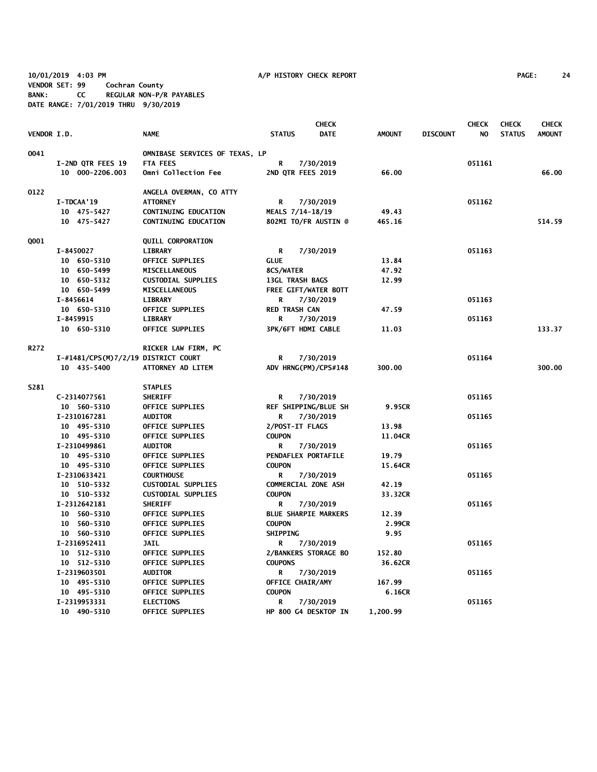**10/01/2019 4:03 PM A/P HISTORY CHECK REPORT PAGE: 24 VENDOR SET: 99 Cochran County BANK: CC REGULAR NON-P/R PAYABLES DATE RANGE: 7/01/2019 THRU 9/30/2019**

|                    |                                     |                                     |                        | <b>CHECK</b>                |               |                 | <b>CHECK</b> | <b>CHECK</b>  | <b>CHECK</b>  |
|--------------------|-------------------------------------|-------------------------------------|------------------------|-----------------------------|---------------|-----------------|--------------|---------------|---------------|
| <b>VENDOR I.D.</b> |                                     | <b>NAME</b>                         | <b>STATUS</b>          | <b>DATE</b>                 | <b>AMOUNT</b> | <b>DISCOUNT</b> | NO.          | <b>STATUS</b> | <b>AMOUNT</b> |
| 0041               |                                     | OMNIBASE SERVICES OF TEXAS, LP      |                        |                             |               |                 |              |               |               |
|                    | I-2ND QTR FEES 19                   | <b>FTA FEES</b>                     | R                      | 7/30/2019                   |               |                 | 051161       |               |               |
|                    | 10 000-2206.003                     | Omni Collection Fee                 | 2ND QTR FEES 2019      |                             | 66.00         |                 |              |               | 66.00         |
| 0122               |                                     | ANGELA OVERMAN, CO ATTY             |                        |                             |               |                 |              |               |               |
|                    | I-TDCAA'19                          | <b>ATTORNEY</b>                     | R                      | 7/30/2019                   |               |                 | 051162       |               |               |
|                    | 10 475-5427                         | <b>CONTINUING EDUCATION</b>         | MEALS 7/14-18/19       |                             | 49.43         |                 |              |               |               |
|                    | 10 475-5427                         | <b>CONTINUING EDUCATION</b>         |                        | 802MI TO/FR AUSTIN @        | 465.16        |                 |              |               | 514.59        |
| Q001               |                                     | <b>QUILL CORPORATION</b>            |                        |                             |               |                 |              |               |               |
|                    | I-8450027                           | <b>LIBRARY</b>                      | R                      | 7/30/2019                   |               |                 | 051163       |               |               |
|                    | 10 650-5310                         | OFFICE SUPPLIES                     | <b>GLUE</b>            |                             | 13.84         |                 |              |               |               |
|                    | 10 650-5499                         | <b>MISCELLANEOUS</b>                | 8CS/WATER              |                             | 47.92         |                 |              |               |               |
|                    | 10 650-5332                         | <b>CUSTODIAL SUPPLIES</b>           | <b>13GL TRASH BAGS</b> |                             | 12.99         |                 |              |               |               |
|                    | 10 650-5499                         | <b>MISCELLANEOUS</b>                |                        | FREE GIFT/WATER BOTT        |               |                 |              |               |               |
|                    | I-8456614                           | <b>LIBRARY</b>                      | R                      | 7/30/2019                   |               |                 | 051163       |               |               |
|                    | 10 650-5310                         | OFFICE SUPPLIES                     | <b>RED TRASH CAN</b>   |                             | 47.59         |                 |              |               |               |
|                    | I-8459915                           | <b>LIBRARY</b>                      | R                      | 7/30/2019                   |               |                 | 051163       |               |               |
|                    | 10 650-5310                         | <b>OFFICE SUPPLIES</b>              | 3PK/6FT HDMI CABLE     |                             | 11.03         |                 |              |               | 133.37        |
| R272               |                                     | RICKER LAW FIRM, PC                 |                        |                             |               |                 |              |               |               |
|                    | I-#1481/CPS(M)7/2/19 DISTRICT COURT |                                     | R                      | 7/30/2019                   |               |                 | 051164       |               |               |
|                    | 10 435-5400                         | ATTORNEY AD LITEM                   |                        | ADV HRNG(PM)/CPS#148        | 300.00        |                 |              |               | 300.00        |
| S281               |                                     | <b>STAPLES</b>                      |                        |                             |               |                 |              |               |               |
|                    | C-2314077561                        | <b>SHERIFF</b>                      | R                      | 7/30/2019                   |               |                 | 051165       |               |               |
|                    | 10 560-5310                         | <b>OFFICE SUPPLIES</b>              |                        | <b>REF SHIPPING/BLUE SH</b> | 9.95CR        |                 |              |               |               |
|                    | I-2310167281                        | <b>AUDITOR</b>                      | R                      | 7/30/2019                   |               |                 | 051165       |               |               |
|                    | 10 495-5310                         | OFFICE SUPPLIES                     | 2/POST-IT FLAGS        |                             | 13.98         |                 |              |               |               |
|                    | 10 495-5310                         | <b>OFFICE SUPPLIES</b>              | <b>COUPON</b>          |                             | 11.04CR       |                 |              |               |               |
|                    | I-2310499861                        | <b>AUDITOR</b>                      | R                      | 7/30/2019                   |               |                 | 051165       |               |               |
|                    | 10 495-5310                         | <b>OFFICE SUPPLIES</b>              | PENDAFLEX PORTAFILE    |                             | 19.79         |                 |              |               |               |
|                    | 10 495-5310                         | OFFICE SUPPLIES                     | <b>COUPON</b>          |                             | 15.64CR       |                 |              |               |               |
|                    | I-2310633421                        | <b>COURTHOUSE</b>                   | R                      | 7/30/2019                   |               |                 | 051165       |               |               |
|                    | 10 510-5332                         | <b>CUSTODIAL SUPPLIES</b>           | COMMERCIAL ZONE ASH    |                             | 42.19         |                 |              |               |               |
|                    | 10 510-5332                         | <b>CUSTODIAL SUPPLIES</b>           | <b>COUPON</b>          |                             | 33.32CR       |                 |              |               |               |
|                    | I-2312642181                        | <b>SHERIFF</b>                      | R                      | 7/30/2019                   |               |                 | 051165       |               |               |
|                    | 10 560-5310                         | <b>OFFICE SUPPLIES</b>              |                        | <b>BLUE SHARPIE MARKERS</b> | 12.39         |                 |              |               |               |
|                    | 10 560-5310                         | OFFICE SUPPLIES                     | <b>COUPON</b>          |                             | 2.99CR        |                 |              |               |               |
|                    | 10 560-5310                         | <b>OFFICE SUPPLIES</b>              | <b>SHIPPING</b>        |                             | 9.95          |                 |              |               |               |
|                    | I-2316952411                        | <b>JAIL</b>                         | R                      | 7/30/2019                   |               |                 | 051165       |               |               |
|                    | 10 512-5310                         | OFFICE SUPPLIES                     |                        | 2/BANKERS STORAGE BO        | 152.80        |                 |              |               |               |
|                    | 10 512-5310                         | <b>OFFICE SUPPLIES</b>              | <b>COUPONS</b>         |                             | 36.62CR       |                 |              |               |               |
|                    | I-2319603501                        | <b>AUDITOR</b>                      | R                      | 7/30/2019                   |               |                 | 051165       |               |               |
|                    | 10 495-5310                         | OFFICE SUPPLIES                     | OFFICE CHAIR/AMY       |                             | 167.99        |                 |              |               |               |
|                    | 10 495-5310<br>I-2319953331         | OFFICE SUPPLIES<br><b>ELECTIONS</b> | <b>COUPON</b><br>R     | 7/30/2019                   | 6.16CR        |                 | 051165       |               |               |
|                    | 10 490-5310                         | <b>OFFICE SUPPLIES</b>              |                        | HP 800 G4 DESKTOP IN        | 1,200.99      |                 |              |               |               |
|                    |                                     |                                     |                        |                             |               |                 |              |               |               |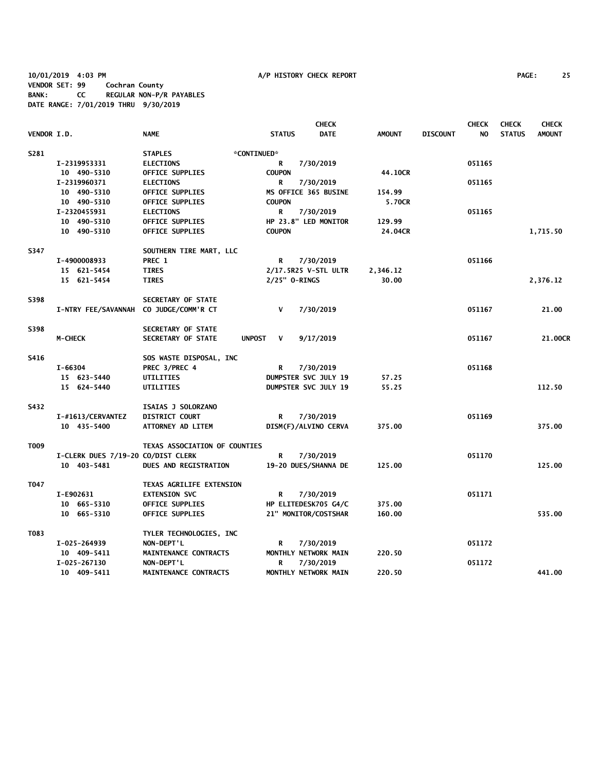**10/01/2019 4:03 PM A/P HISTORY CHECK REPORT PAGE: 25 VENDOR SET: 99 Cochran County BANK: CC REGULAR NON-P/R PAYABLES DATE RANGE: 7/01/2019 THRU 9/30/2019**

|             |                                        |                                 |                    | <b>CHECK</b>                |               |                 | <b>CHECK</b> | <b>CHECK</b>  | <b>CHECK</b>  |
|-------------|----------------------------------------|---------------------------------|--------------------|-----------------------------|---------------|-----------------|--------------|---------------|---------------|
| VENDOR I.D. |                                        | <b>NAME</b>                     | <b>STATUS</b>      | <b>DATE</b>                 | <b>AMOUNT</b> | <b>DISCOUNT</b> | NO.          | <b>STATUS</b> | <b>AMOUNT</b> |
| S281        |                                        | <b>STAPLES</b>                  | *CONTINUED*        |                             |               |                 |              |               |               |
|             | I-2319953331                           | <b>ELECTIONS</b>                | R                  | 7/30/2019                   |               |                 | 051165       |               |               |
|             | 10 490-5310                            | <b>OFFICE SUPPLIES</b>          | <b>COUPON</b>      |                             | 44.10CR       |                 |              |               |               |
|             | I-2319960371                           | <b>ELECTIONS</b>                | R                  | 7/30/2019                   |               |                 | 051165       |               |               |
|             | 10 490-5310                            | <b>OFFICE SUPPLIES</b>          |                    | MS OFFICE 365 BUSINE        | 154.99        |                 |              |               |               |
|             | 10 490-5310                            | <b>OFFICE SUPPLIES</b>          | <b>COUPON</b>      |                             | 5.70CR        |                 |              |               |               |
|             | I-2320455931                           | <b>ELECTIONS</b>                | R                  | 7/30/2019                   |               |                 | 051165       |               |               |
|             | 10 490-5310                            | OFFICE SUPPLIES                 |                    | HP 23.8" LED MONITOR        | 129.99        |                 |              |               |               |
|             | 10 490-5310                            | <b>OFFICE SUPPLIES</b>          | <b>COUPON</b>      |                             | 24.04CR       |                 |              |               | 1,715.50      |
| S347        |                                        | SOUTHERN TIRE MART, LLC         |                    |                             |               |                 |              |               |               |
|             | I-4900008933                           | PREC 1                          | R                  | 7/30/2019                   |               |                 | 051166       |               |               |
|             | 15 621-5454                            | <b>TIRES</b>                    |                    | 2/17.5R25 V-STL ULTR        | 2,346.12      |                 |              |               |               |
|             | 15 621-5454                            | <b>TIRES</b>                    | 2/25" 0-RINGS      |                             | 30.00         |                 |              |               | 2,376.12      |
| S398        |                                        | SECRETARY OF STATE              |                    |                             |               |                 |              |               |               |
|             | I-NTRY FEE/SAVANNAH CO JUDGE/COMM'R CT |                                 | $\mathbf v$        | 7/30/2019                   |               |                 | 051167       |               | 21.00         |
| S398        |                                        | SECRETARY OF STATE              |                    |                             |               |                 |              |               |               |
|             | <b>M-CHECK</b>                         | SECRETARY OF STATE              | <b>UNPOST</b><br>V | 9/17/2019                   |               |                 | 051167       |               | 21.00CR       |
| S416        |                                        | SOS WASTE DISPOSAL, INC         |                    |                             |               |                 |              |               |               |
|             | I-66304                                | PREC 3/PREC 4                   | R                  | 7/30/2019                   |               |                 | 051168       |               |               |
|             | 15 623-5440                            | UTILITIES                       |                    | DUMPSTER SVC JULY 19        | 57.25         |                 |              |               |               |
|             | 15 624-5440                            | UTILITIES                       |                    | <b>DUMPSTER SVC JULY 19</b> | 55.25         |                 |              |               | 112.50        |
| S432        |                                        | ISAIAS J SOLORZANO              |                    |                             |               |                 |              |               |               |
|             | I-#1613/CERVANTEZ                      | <b>DISTRICT COURT</b>           | R                  | 7/30/2019                   |               |                 | 051169       |               |               |
|             | 10 435-5400                            | ATTORNEY AD LITEM               |                    | DISM(F)/ALVINO CERVA        | 375.00        |                 |              |               | 375.00        |
| T009        |                                        | TEXAS ASSOCIATION OF COUNTIES   |                    |                             |               |                 |              |               |               |
|             | I-CLERK DUES 7/19-20 CO/DIST CLERK     |                                 | R                  | 7/30/2019                   |               |                 | 051170       |               |               |
|             | 10 403-5481                            | <b>DUES AND REGISTRATION</b>    |                    | 19-20 DUES/SHANNA DE        | 125.00        |                 |              |               | 125.00        |
| T047        |                                        | <b>TEXAS AGRILIFE EXTENSION</b> |                    |                             |               |                 |              |               |               |
|             | I-E902631                              | <b>EXTENSION SVC</b>            | R                  | 7/30/2019                   |               |                 | 051171       |               |               |
|             | 10 665-5310                            | <b>OFFICE SUPPLIES</b>          |                    | HP ELITEDESK705 G4/C        | 375.00        |                 |              |               |               |
|             | 10 665-5310                            | <b>OFFICE SUPPLIES</b>          |                    | 21" MONITOR/COSTSHAR        | 160.00        |                 |              |               | 535.00        |
| T083        |                                        | TYLER TECHNOLOGIES, INC         |                    |                             |               |                 |              |               |               |
|             | I-025-264939                           | NON-DEPT'L                      | R                  | 7/30/2019                   |               |                 | 051172       |               |               |
|             | 10 409-5411                            | MAINTENANCE CONTRACTS           |                    | MONTHLY NETWORK MAIN        | 220.50        |                 |              |               |               |
|             | I-025-267130                           | NON-DEPT'L                      | R                  | 7/30/2019                   |               |                 | 051172       |               |               |
|             | 10 409-5411                            | MAINTENANCE CONTRACTS           |                    | MONTHLY NETWORK MAIN        | 220.50        |                 |              |               | 441.00        |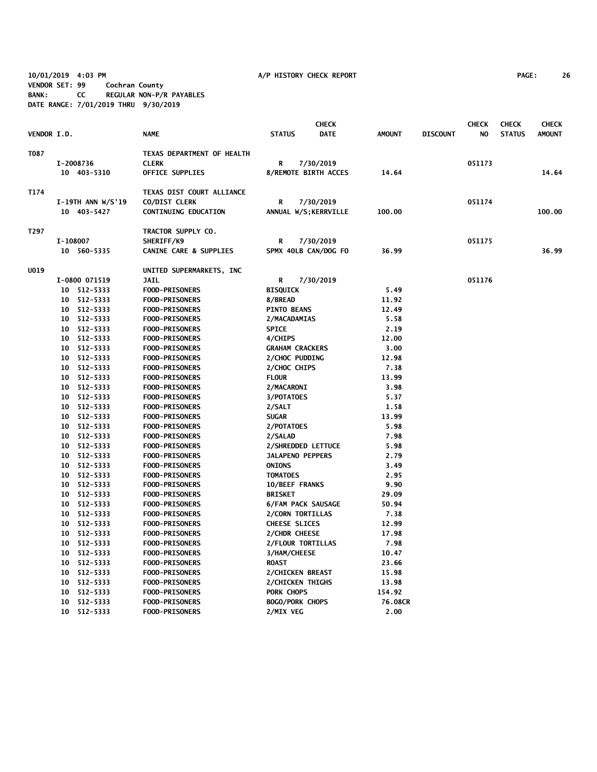**10/01/2019 4:03 PM A/P HISTORY CHECK REPORT PAGE: 26 VENDOR SET: 99 Cochran County BANK: CC REGULAR NON-P/R PAYABLES DATE RANGE: 7/01/2019 THRU 9/30/2019**

|                    |          |                   |                                   |                           | <b>CHECK</b>          |               |                 | <b>CHECK</b> | <b>CHECK</b>  | <b>CHECK</b>  |
|--------------------|----------|-------------------|-----------------------------------|---------------------------|-----------------------|---------------|-----------------|--------------|---------------|---------------|
| <b>VENDOR I.D.</b> |          |                   | <b>NAME</b>                       | <b>STATUS</b>             | <b>DATE</b>           | <b>AMOUNT</b> | <b>DISCOUNT</b> | NO           | <b>STATUS</b> | <b>AMOUNT</b> |
| T087               |          |                   | TEXAS DEPARTMENT OF HEALTH        |                           |                       |               |                 |              |               |               |
|                    |          | I-2008736         | <b>CLERK</b>                      | R                         | 7/30/2019             |               |                 | 051173       |               |               |
|                    |          | 10 403-5310       | <b>OFFICE SUPPLIES</b>            |                           | 8/REMOTE BIRTH ACCES  | 14.64         |                 |              |               | 14.64         |
| T174               |          |                   | TEXAS DIST COURT ALLIANCE         |                           |                       |               |                 |              |               |               |
|                    |          | I-19TH ANN W/S'19 | CO/DIST CLERK                     | R                         | 7/30/2019             |               |                 | 051174       |               |               |
|                    |          | 10 403-5427       | <b>CONTINUING EDUCATION</b>       |                           | ANNUAL W/S; KERRVILLE | 100.00        |                 |              |               | 100.00        |
| T297               |          |                   | TRACTOR SUPPLY CO.                |                           |                       |               |                 |              |               |               |
|                    | I-108007 |                   | SHERIFF/K9                        | R                         | 7/30/2019             |               |                 | 051175       |               |               |
|                    |          | 10 560-5335       | <b>CANINE CARE &amp; SUPPLIES</b> |                           | SPMX 40LB CAN/DOG FO  | 36.99         |                 |              |               | 36.99         |
| UO19               |          |                   | UNITED SUPERMARKETS, INC.         |                           |                       |               |                 |              |               |               |
|                    |          | I-0800 071519     | <b>JAIL</b>                       | R                         | 7/30/2019             |               |                 | 051176       |               |               |
|                    |          | 10 512-5333       | FOOD-PRISONERS                    | <b>BISQUICK</b>           |                       | 5.49          |                 |              |               |               |
|                    |          | 10 512-5333       | <b>FOOD-PRISONERS</b>             | 8/BREAD                   |                       | 11.92         |                 |              |               |               |
|                    |          | 10 512-5333       | <b>FOOD-PRISONERS</b>             | <b>PINTO BEANS</b>        |                       | 12.49         |                 |              |               |               |
|                    |          | 10 512-5333       | FOOD-PRISONERS                    | 2/MACADAMIAS              |                       | 5.58          |                 |              |               |               |
|                    |          | 10 512-5333       | <b>FOOD-PRISONERS</b>             | <b>SPICE</b>              |                       | 2.19          |                 |              |               |               |
|                    |          | 10 512-5333       | <b>FOOD-PRISONERS</b>             | 4/CHIPS                   |                       | 12.00         |                 |              |               |               |
|                    |          | 10 512-5333       | <b>FOOD-PRISONERS</b>             | <b>GRAHAM CRACKERS</b>    |                       | 3.00          |                 |              |               |               |
|                    |          | 10 512-5333       | <b>FOOD-PRISONERS</b>             | 2/CHOC PUDDING            |                       | 12.98         |                 |              |               |               |
|                    |          | 10 512-5333       | <b>FOOD-PRISONERS</b>             | 2/CHOC CHIPS              |                       | 7.38          |                 |              |               |               |
|                    |          | 10 512-5333       | <b>FOOD-PRISONERS</b>             | <b>FLOUR</b>              |                       | 13.99         |                 |              |               |               |
|                    |          | 10 512-5333       | <b>FOOD-PRISONERS</b>             | 2/MACARONI                |                       | 3.98          |                 |              |               |               |
|                    |          | 10 512-5333       | <b>FOOD-PRISONERS</b>             | 3/POTATOES                |                       | 5.37          |                 |              |               |               |
|                    |          | 10 512-5333       | <b>FOOD-PRISONERS</b>             | 2/SALT                    |                       | 1.58          |                 |              |               |               |
|                    |          | 10 512-5333       | <b>FOOD-PRISONERS</b>             | <b>SUGAR</b>              |                       | 13.99         |                 |              |               |               |
|                    |          | 10 512-5333       | <b>FOOD-PRISONERS</b>             | 2/POTATOES                |                       | 5.98          |                 |              |               |               |
|                    |          | 10 512-5333       | <b>FOOD-PRISONERS</b>             | 2/SALAD                   |                       | 7.98          |                 |              |               |               |
|                    |          | 10 512-5333       | <b>FOOD-PRISONERS</b>             | 2/SHREDDED LETTUCE        |                       | 5.98          |                 |              |               |               |
|                    |          | 10 512-5333       | <b>FOOD-PRISONERS</b>             | <b>JALAPENO PEPPERS</b>   |                       | 2.79          |                 |              |               |               |
|                    |          | 10 512-5333       | <b>FOOD-PRISONERS</b>             | <b>ONIONS</b>             |                       | 3.49          |                 |              |               |               |
|                    |          | 10 512-5333       | <b>FOOD-PRISONERS</b>             | <b>TOMATOES</b>           |                       | 2.95          |                 |              |               |               |
|                    |          | 10 512-5333       | <b>FOOD-PRISONERS</b>             | <b>10/BEEF FRANKS</b>     |                       | 9.90          |                 |              |               |               |
|                    |          | 10 512-5333       | <b>FOOD-PRISONERS</b>             | <b>BRISKET</b>            |                       | 29.09         |                 |              |               |               |
|                    |          | 10 512-5333       | <b>FOOD-PRISONERS</b>             | <b>6/FAM PACK SAUSAGE</b> |                       | 50.94         |                 |              |               |               |
|                    |          | 10 512-5333       | <b>FOOD-PRISONERS</b>             | 2/CORN TORTILLAS          |                       | 7.38          |                 |              |               |               |
|                    |          | 10 512-5333       | <b>FOOD-PRISONERS</b>             | <b>CHEESE SLICES</b>      |                       | 12.99         |                 |              |               |               |
|                    |          | 10 512-5333       | <b>FOOD-PRISONERS</b>             | 2/CHDR CHEESE             |                       | 17.98         |                 |              |               |               |
|                    |          | 10 512-5333       | <b>FOOD-PRISONERS</b>             | 2/FLOUR TORTILLAS         |                       | 7.98          |                 |              |               |               |
|                    |          | 10 512-5333       | <b>FOOD-PRISONERS</b>             | 3/HAM/CHEESE              |                       | 10.47         |                 |              |               |               |
|                    |          | 10 512-5333       | <b>FOOD-PRISONERS</b>             | <b>ROAST</b>              |                       | 23.66         |                 |              |               |               |
|                    |          | 10 512-5333       | <b>FOOD-PRISONERS</b>             | 2/CHICKEN BREAST          |                       | 15.98         |                 |              |               |               |
|                    |          | 10 512-5333       | <b>FOOD-PRISONERS</b>             | 2/CHICKEN THIGHS          |                       | 13.98         |                 |              |               |               |
|                    | 10       | 512-5333          | <b>FOOD-PRISONERS</b>             | PORK CHOPS                |                       | 154.92        |                 |              |               |               |
|                    | 10       | 512-5333          | <b>FOOD-PRISONERS</b>             | <b>BOGO/PORK CHOPS</b>    |                       | 76.08CR       |                 |              |               |               |
|                    | 10       | 512-5333          | <b>FOOD-PRISONERS</b>             | 2/MIX VEG                 |                       | 2.00          |                 |              |               |               |
|                    |          |                   |                                   |                           |                       |               |                 |              |               |               |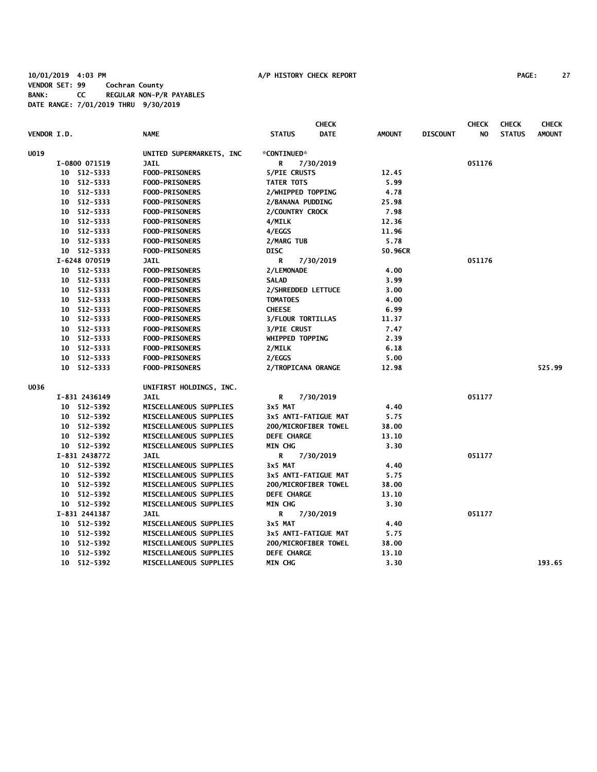# **10/01/2019 4:03 PM A/P HISTORY CHECK REPORT PAGE: 27 VENDOR SET: 99 Cochran County BANK: CC REGULAR NON-P/R PAYABLES DATE RANGE: 7/01/2019 THRU 9/30/2019**

| <b>VENDOR I.D.</b>         | <b>NAME</b>               | <b>CHECK</b><br><b>STATUS</b><br><b>DATE</b> | <b>AMOUNT</b> | <b>DISCOUNT</b> | <b>CHECK</b><br>NO | <b>CHECK</b><br><b>STATUS</b> | <b>CHECK</b><br><b>AMOUNT</b> |
|----------------------------|---------------------------|----------------------------------------------|---------------|-----------------|--------------------|-------------------------------|-------------------------------|
|                            |                           |                                              |               |                 |                    |                               |                               |
| <b>U019</b>                | UNITED SUPERMARKETS, INC. | *CONTINUED*                                  |               |                 |                    |                               |                               |
| I-0800 071519              | <b>JAIL</b>               | 7/30/2019<br>R                               |               |                 | 051176             |                               |                               |
| 10 512-5333                | <b>FOOD-PRISONERS</b>     | <b>5/PIE CRUSTS</b>                          | 12.45         |                 |                    |                               |                               |
| 10 512-5333                | <b>FOOD-PRISONERS</b>     | <b>TATER TOTS</b>                            | 5.99<br>4.78  |                 |                    |                               |                               |
| 10 512-5333<br>10 512-5333 | <b>FOOD-PRISONERS</b>     | 2/WHIPPED TOPPING                            | 25.98         |                 |                    |                               |                               |
|                            | <b>FOOD-PRISONERS</b>     | 2/BANANA PUDDING                             |               |                 |                    |                               |                               |
| 10 512-5333                | <b>FOOD-PRISONERS</b>     | 2/COUNTRY CROCK                              | 7.98          |                 |                    |                               |                               |
| 10 512-5333                | FOOD-PRISONERS            | 4/MILK                                       | 12.36         |                 |                    |                               |                               |
| 10 512-5333                | <b>FOOD-PRISONERS</b>     | 4/EGGS                                       | 11.96         |                 |                    |                               |                               |
| 10 512-5333                | <b>FOOD-PRISONERS</b>     | 2/MARG TUB                                   | 5.78          |                 |                    |                               |                               |
| 10 512-5333                | <b>FOOD-PRISONERS</b>     | <b>DISC</b>                                  | 50.96CR       |                 |                    |                               |                               |
| I-6248 070519              | <b>JAIL</b>               | R<br>7/30/2019                               |               |                 | 051176             |                               |                               |
| 10 512-5333                | <b>FOOD-PRISONERS</b>     | 2/LEMONADE                                   | 4.00          |                 |                    |                               |                               |
| 10 512-5333                | <b>FOOD-PRISONERS</b>     | <b>SALAD</b>                                 | 3.99          |                 |                    |                               |                               |
| 10 512-5333                | <b>FOOD-PRISONERS</b>     | 2/SHREDDED LETTUCE                           | 3.00          |                 |                    |                               |                               |
| 10 512-5333                | <b>FOOD-PRISONERS</b>     | <b>TOMATOES</b>                              | 4.00          |                 |                    |                               |                               |
| 10 512-5333                | <b>FOOD-PRISONERS</b>     | <b>CHEESE</b>                                | 6.99          |                 |                    |                               |                               |
| 512-5333<br>10             | <b>FOOD-PRISONERS</b>     | <b>3/FLOUR TORTILLAS</b>                     | 11.37         |                 |                    |                               |                               |
| 10 512-5333                | FOOD-PRISONERS            | <b>3/PIE CRUST</b>                           | 7.47          |                 |                    |                               |                               |
| 10 512-5333                | <b>FOOD-PRISONERS</b>     | WHIPPED TOPPING                              | 2.39          |                 |                    |                               |                               |
| 10 512-5333                | <b>FOOD-PRISONERS</b>     | 2/MILK                                       | 6.18          |                 |                    |                               |                               |
| 512-5333<br>10             | <b>FOOD-PRISONERS</b>     | 2/EGGS                                       | 5.00          |                 |                    |                               |                               |
| 10 512-5333                | <b>FOOD-PRISONERS</b>     | 2/TROPICANA ORANGE                           | 12.98         |                 |                    |                               | 525.99                        |
| U036                       | UNIFIRST HOLDINGS, INC.   |                                              |               |                 |                    |                               |                               |
| I-831 2436149              | <b>JAIL</b>               | R<br>7/30/2019                               |               |                 | 051177             |                               |                               |
| 10 512-5392                | MISCELLANEOUS SUPPLIES    | 3x5 MAT                                      | 4.40          |                 |                    |                               |                               |
| 10 512-5392                | MISCELLANEOUS SUPPLIES    | 3x5 ANTI-FATIGUE MAT                         | 5.75          |                 |                    |                               |                               |
| 10 512-5392                | MISCELLANEOUS SUPPLIES    | 200/MICROFIBER TOWEL                         | 38.00         |                 |                    |                               |                               |
| 10 512-5392                | MISCELLANEOUS SUPPLIES    | <b>DEFE CHARGE</b>                           | 13.10         |                 |                    |                               |                               |
| 10 512-5392                | MISCELLANEOUS SUPPLIES    | <b>MIN CHG</b>                               | 3.30          |                 |                    |                               |                               |
| I-831 2438772              | <b>JAIL</b>               | R<br>7/30/2019                               |               |                 | 051177             |                               |                               |
| 10 512-5392                | MISCELLANEOUS SUPPLIES    | 3x5 MAT                                      | 4.40          |                 |                    |                               |                               |
| 10 512-5392                | MISCELLANEOUS SUPPLIES    | 3x5 ANTI-FATIGUE MAT                         | 5.75          |                 |                    |                               |                               |
| 10 512-5392                | MISCELLANEOUS SUPPLIES    | 200/MICROFIBER TOWEL                         | 38.00         |                 |                    |                               |                               |
| 10 512-5392                | MISCELLANEOUS SUPPLIES    | <b>DEFE CHARGE</b>                           | 13.10         |                 |                    |                               |                               |
| 10 512-5392                | MISCELLANEOUS SUPPLIES    | <b>MIN CHG</b>                               | 3.30          |                 |                    |                               |                               |
| I-831 2441387              | <b>JAIL</b>               | R<br>7/30/2019                               |               |                 | 051177             |                               |                               |
| 10 512-5392                | MISCELLANEOUS SUPPLIES    | 3x5 MAT                                      | 4.40          |                 |                    |                               |                               |
| 10 512-5392                | MISCELLANEOUS SUPPLIES    | 3x5 ANTI-FATIGUE MAT                         | 5.75          |                 |                    |                               |                               |
| 512-5392<br>10             | MISCELLANEOUS SUPPLIES    | 200/MICROFIBER TOWEL                         | 38.00         |                 |                    |                               |                               |
| 512-5392<br>10             | MISCELLANEOUS SUPPLIES    | <b>DEFE CHARGE</b>                           | 13.10         |                 |                    |                               |                               |
| 10 512-5392                | MISCELLANEOUS SUPPLIES    | <b>MIN CHG</b>                               | 3.30          |                 |                    |                               | 193.65                        |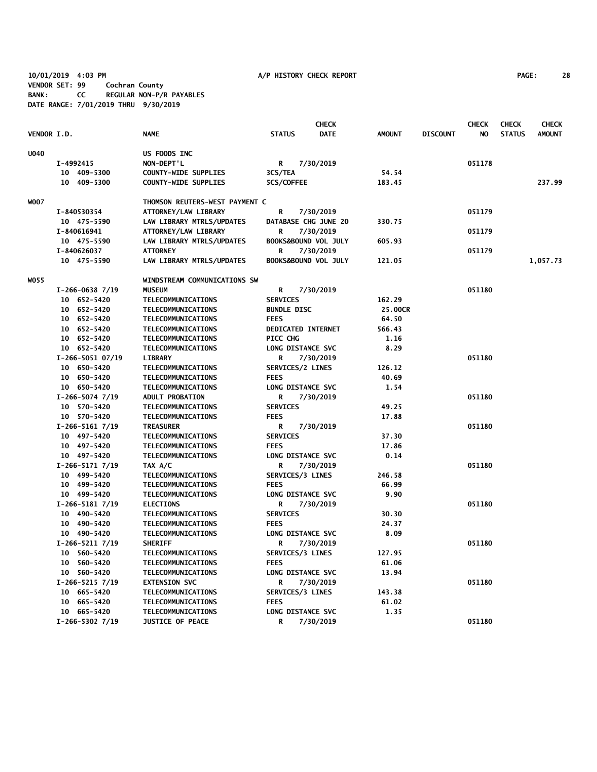**10/01/2019 4:03 PM A/P HISTORY CHECK REPORT PAGE: 28 VENDOR SET: 99 Cochran County BANK: CC REGULAR NON-P/R PAYABLES DATE RANGE: 7/01/2019 THRU 9/30/2019**

|             |                     |                                |                           | <b>CHECK</b>         |               |                 | <b>CHECK</b> | <b>CHECK</b>  | <b>CHECK</b>  |
|-------------|---------------------|--------------------------------|---------------------------|----------------------|---------------|-----------------|--------------|---------------|---------------|
| VENDOR I.D. |                     | <b>NAME</b>                    | <b>STATUS</b>             | <b>DATE</b>          | <b>AMOUNT</b> | <b>DISCOUNT</b> | NO           | <b>STATUS</b> | <b>AMOUNT</b> |
| <b>U040</b> |                     | US FOODS INC                   |                           |                      |               |                 |              |               |               |
|             | I-4992415           | NON-DEPT'L                     | R                         | 7/30/2019            |               |                 | 051178       |               |               |
|             | 10 409-5300         | COUNTY-WIDE SUPPLIES           | 3CS/TEA                   |                      | 54.54         |                 |              |               |               |
|             | 409-5300<br>10      | <b>COUNTY-WIDE SUPPLIES</b>    | 5CS/COFFEE                |                      | 183.45        |                 |              |               | 237.99        |
| WOO7        |                     | THOMSON REUTERS-WEST PAYMENT C |                           |                      |               |                 |              |               |               |
|             | I-840530354         | ATTORNEY/LAW LIBRARY           | R                         | 7/30/2019            |               |                 | 051179       |               |               |
|             | 10 475-5590         | LAW LIBRARY MTRLS/UPDATES      |                           | DATABASE CHG JUNE 20 | 330.75        |                 |              |               |               |
|             | I-840616941         | ATTORNEY/LAW LIBRARY           | R                         | 7/30/2019            |               |                 | 051179       |               |               |
|             | 10 475-5590         | LAW LIBRARY MTRLS/UPDATES      |                           | BOOKS&BOUND VOL JULY | 605.93        |                 |              |               |               |
|             | I-840626037         | <b>ATTORNEY</b>                | R                         | 7/30/2019            |               |                 | 051179       |               |               |
|             | 10 475-5590         | LAW LIBRARY MTRLS/UPDATES      |                           | BOOKS&BOUND VOL JULY | 121.05        |                 |              |               | 1,057.73      |
| WO 55       |                     | WINDSTREAM COMMUNICATIONS SW   |                           |                      |               |                 |              |               |               |
|             | $I-266-0638$ 7/19   | <b>MUSEUM</b>                  | R                         | 7/30/2019            |               |                 | 051180       |               |               |
|             | 10 652-5420         | <b>TELECOMMUNICATIONS</b>      | <b>SERVICES</b>           |                      | 162.29        |                 |              |               |               |
|             | 10 652-5420         | TELECOMMUNICATIONS             | <b>BUNDLE DISC</b>        |                      | 25.00CR       |                 |              |               |               |
|             | 10 652-5420         | <b>TELECOMMUNICATIONS</b>      | <b>FEES</b>               |                      | 64.50         |                 |              |               |               |
|             | 10 652-5420         | TELECOMMUNICATIONS             | <b>DEDICATED INTERNET</b> |                      | 566.43        |                 |              |               |               |
|             | 10 652-5420         | TELECOMMUNICATIONS             | PICC CHG                  |                      | 1.16          |                 |              |               |               |
|             | 10 652-5420         | <b>TELECOMMUNICATIONS</b>      | LONG DISTANCE SVC         |                      | 8.29          |                 |              |               |               |
|             | $I-266-5051$ 07/19  | <b>LIBRARY</b>                 | R                         | 7/30/2019            |               |                 | 051180       |               |               |
|             | 10 650-5420         | TELECOMMUNICATIONS             | SERVICES/2 LINES          |                      | 126.12        |                 |              |               |               |
|             | 10 650-5420         | TELECOMMUNICATIONS             | <b>FEES</b>               |                      | 40.69         |                 |              |               |               |
|             | 10 650-5420         | TELECOMMUNICATIONS             | LONG DISTANCE SVC         |                      | 1.54          |                 |              |               |               |
|             | $I-266-5074$ 7/19   | <b>ADULT PROBATION</b>         | R                         | 7/30/2019            |               |                 | 051180       |               |               |
|             | 10 570-5420         | TELECOMMUNICATIONS             | <b>SERVICES</b>           |                      | 49.25         |                 |              |               |               |
|             | 10 570-5420         | TELECOMMUNICATIONS             | <b>FEES</b>               |                      | 17.88         |                 |              |               |               |
|             | $I-266-51617/19$    | <b>TREASURER</b>               | R                         | 7/30/2019            |               |                 | 051180       |               |               |
|             | 10 497-5420         | TELECOMMUNICATIONS             | <b>SERVICES</b>           |                      | 37.30         |                 |              |               |               |
|             | 10 497-5420         | <b>TELECOMMUNICATIONS</b>      | <b>FEES</b>               |                      | 17.86         |                 |              |               |               |
|             | 10 497-5420         | TELECOMMUNICATIONS             | LONG DISTANCE SVC         |                      | 0.14          |                 |              |               |               |
|             | $I-266-51717/19$    | TAX A/C                        | R                         | 7/30/2019            |               |                 | 051180       |               |               |
|             | 10 499-5420         | TELECOMMUNICATIONS             | SERVICES/3 LINES          |                      | 246.58        |                 |              |               |               |
|             | 10 499-5420         | TELECOMMUNICATIONS             | <b>FEES</b>               |                      | 66.99         |                 |              |               |               |
|             | 10 499-5420         | TELECOMMUNICATIONS             | LONG DISTANCE SVC         |                      | 9.90          |                 |              |               |               |
|             | $I-266-51817/19$    | <b>ELECTIONS</b>               | R                         | 7/30/2019            |               |                 | 051180       |               |               |
|             | 10 490-5420         | TELECOMMUNICATIONS             | <b>SERVICES</b>           |                      | 30.30         |                 |              |               |               |
|             | 10 490-5420         | TELECOMMUNICATIONS             | <b>FEES</b>               |                      | 24.37         |                 |              |               |               |
|             | 10 490-5420         | TELECOMMUNICATIONS             | LONG DISTANCE SVC         |                      | 8.09          |                 |              |               |               |
|             | $I-266-5211$ $7/19$ | <b>SHERIFF</b>                 | R                         | 7/30/2019            |               |                 | 051180       |               |               |
|             | 10 560-5420         | TELECOMMUNICATIONS             | SERVICES/3 LINES          |                      | 127.95        |                 |              |               |               |
|             | 10 560-5420         | TELECOMMUNICATIONS             | <b>FEES</b>               |                      | 61.06         |                 |              |               |               |
|             | 10 560-5420         | TELECOMMUNICATIONS             | LONG DISTANCE SVC         |                      | 13.94         |                 |              |               |               |
|             | $I-266-5215$ 7/19   | <b>EXTENSION SVC</b>           | R                         | 7/30/2019            |               |                 | 051180       |               |               |
|             | 10 665-5420         | <b>TELECOMMUNICATIONS</b>      | SERVICES/3 LINES          |                      | 143.38        |                 |              |               |               |
|             | 10 665-5420         | TELECOMMUNICATIONS             | <b>FEES</b>               |                      | 61.02         |                 |              |               |               |
|             | 10 665-5420         | <b>TELECOMMUNICATIONS</b>      | LONG DISTANCE SVC         |                      | 1.35          |                 |              |               |               |
|             | $I-266-5302$ 7/19   | <b>JUSTICE OF PEACE</b>        | R                         | 7/30/2019            |               |                 | 051180       |               |               |
|             |                     |                                |                           |                      |               |                 |              |               |               |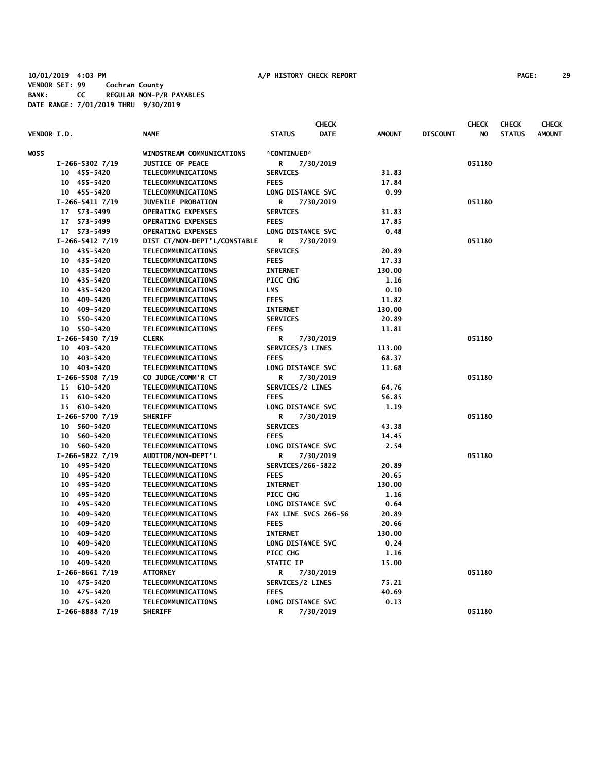# **10/01/2019 4:03 PM A/P HISTORY CHECK REPORT PAGE: 29 VENDOR SET: 99 Cochran County BANK: CC REGULAR NON-P/R PAYABLES DATE RANGE: 7/01/2019 THRU 9/30/2019**

|             |    |                   |                              |                      | <b>CHECK</b> |               |                 | <b>CHECK</b> | <b>CHECK</b>  | <b>CHECK</b>  |
|-------------|----|-------------------|------------------------------|----------------------|--------------|---------------|-----------------|--------------|---------------|---------------|
| VENDOR I.D. |    |                   | <b>NAME</b>                  | <b>STATUS</b>        | <b>DATE</b>  | <b>AMOUNT</b> | <b>DISCOUNT</b> | NO.          | <b>STATUS</b> | <b>AMOUNT</b> |
| <b>WO55</b> |    |                   | WINDSTREAM COMMUNICATIONS    | *CONTINUED*          |              |               |                 |              |               |               |
|             |    | $I-266-5302$ 7/19 | <b>JUSTICE OF PEACE</b>      | R                    | 7/30/2019    |               |                 | 051180       |               |               |
|             |    | 10 455-5420       | TELECOMMUNICATIONS           | <b>SERVICES</b>      |              | 31.83         |                 |              |               |               |
|             |    | 10 455-5420       | TELECOMMUNICATIONS           | <b>FEES</b>          |              | 17.84         |                 |              |               |               |
|             |    | 10 455-5420       | TELECOMMUNICATIONS           | LONG DISTANCE SVC    |              | 0.99          |                 |              |               |               |
|             |    | $I-266-5411$ 7/19 | <b>JUVENILE PROBATION</b>    | R                    | 7/30/2019    |               |                 | 051180       |               |               |
|             |    | 17 573-5499       | <b>OPERATING EXPENSES</b>    | <b>SERVICES</b>      |              | 31.83         |                 |              |               |               |
|             |    | 17 573-5499       | <b>OPERATING EXPENSES</b>    | <b>FEES</b>          |              | 17.85         |                 |              |               |               |
|             |    | 17 573-5499       | <b>OPERATING EXPENSES</b>    | LONG DISTANCE SVC    |              | 0.48          |                 |              |               |               |
|             |    | $I-266-5412$ 7/19 | DIST CT/NON-DEPT'L/CONSTABLE | R                    | 7/30/2019    |               |                 | 051180       |               |               |
|             |    | 10 435-5420       | TELECOMMUNICATIONS           | <b>SERVICES</b>      |              | 20.89         |                 |              |               |               |
|             |    | 10 435-5420       | TELECOMMUNICATIONS           | <b>FEES</b>          |              | 17.33         |                 |              |               |               |
|             |    | 10 435-5420       | TELECOMMUNICATIONS           | <b>INTERNET</b>      |              | 130.00        |                 |              |               |               |
|             |    | 10 435-5420       | TELECOMMUNICATIONS           | PICC CHG             |              | 1.16          |                 |              |               |               |
|             |    | 10 435-5420       | TELECOMMUNICATIONS           | <b>LMS</b>           |              | 0.10          |                 |              |               |               |
|             |    | 10 409-5420       | TELECOMMUNICATIONS           | <b>FEES</b>          |              | 11.82         |                 |              |               |               |
|             | 10 | 409-5420          | TELECOMMUNICATIONS           | <b>INTERNET</b>      |              | 130.00        |                 |              |               |               |
|             |    | 10 550-5420       | TELECOMMUNICATIONS           | <b>SERVICES</b>      |              | 20.89         |                 |              |               |               |
|             |    | 10 550-5420       | TELECOMMUNICATIONS           | <b>FEES</b>          |              | 11.81         |                 |              |               |               |
|             |    | $I-266-54507/19$  | <b>CLERK</b>                 | R                    | 7/30/2019    |               |                 | 051180       |               |               |
|             |    | 10 403-5420       | TELECOMMUNICATIONS           | SERVICES/3 LINES     |              | 113.00        |                 |              |               |               |
|             |    | 10 403-5420       | TELECOMMUNICATIONS           | <b>FEES</b>          |              | 68.37         |                 |              |               |               |
|             |    | 10 403-5420       | TELECOMMUNICATIONS           | LONG DISTANCE SVC    |              | 11.68         |                 |              |               |               |
|             |    | $I-266-5508$ 7/19 | CO JUDGE/COMM'R CT           | R                    | 7/30/2019    |               |                 | 051180       |               |               |
|             |    | 15 610-5420       | TELECOMMUNICATIONS           | SERVICES/2 LINES     |              | 64.76         |                 |              |               |               |
|             |    | 15 610-5420       | TELECOMMUNICATIONS           | <b>FEES</b>          |              | 56.85         |                 |              |               |               |
|             |    | 15 610-5420       | TELECOMMUNICATIONS           | LONG DISTANCE SVC    |              | 1.19          |                 |              |               |               |
|             |    | I-266-5700 7/19   | <b>SHERIFF</b>               | R                    | 7/30/2019    |               |                 | 051180       |               |               |
|             |    | 10 560-5420       | TELECOMMUNICATIONS           | <b>SERVICES</b>      |              | 43.38         |                 |              |               |               |
|             |    | 10 560-5420       | TELECOMMUNICATIONS           | <b>FEES</b>          |              | 14.45         |                 |              |               |               |
|             |    | 10 560-5420       | TELECOMMUNICATIONS           | LONG DISTANCE SVC    |              | 2.54          |                 |              |               |               |
|             |    | $I-266-5822$ 7/19 | AUDITOR/NON-DEPT'L           | R                    | 7/30/2019    |               |                 | 051180       |               |               |
|             |    | 10 495-5420       | TELECOMMUNICATIONS           | SERVICES/266-5822    |              | 20.89         |                 |              |               |               |
|             |    | 10 495-5420       | TELECOMMUNICATIONS           | <b>FEES</b>          |              | 20.65         |                 |              |               |               |
|             |    | 10 495-5420       | TELECOMMUNICATIONS           | <b>INTERNET</b>      |              | 130.00        |                 |              |               |               |
|             |    | 10 495-5420       | TELECOMMUNICATIONS           | PICC CHG             |              | 1.16          |                 |              |               |               |
|             |    | 10 495-5420       | TELECOMMUNICATIONS           | LONG DISTANCE SVC    |              | 0.64          |                 |              |               |               |
|             |    | 10 409-5420       | TELECOMMUNICATIONS           | FAX LINE SVCS 266-56 |              | 20.89         |                 |              |               |               |
|             |    | 10 409-5420       | TELECOMMUNICATIONS           | <b>FEES</b>          |              | 20.66         |                 |              |               |               |
|             |    | 10 409-5420       | TELECOMMUNICATIONS           | <b>INTERNET</b>      |              | 130.00        |                 |              |               |               |
|             | 10 | 409-5420          | TELECOMMUNICATIONS           | LONG DISTANCE SVC    |              | 0.24          |                 |              |               |               |
|             |    | 10 409-5420       | TELECOMMUNICATIONS           | PICC CHG             |              | 1.16          |                 |              |               |               |
|             |    | 10 409-5420       | TELECOMMUNICATIONS           | <b>STATIC IP</b>     |              | 15.00         |                 |              |               |               |
|             |    | $I-266-86617/19$  | <b>ATTORNEY</b>              | R                    | 7/30/2019    |               |                 | 051180       |               |               |
|             |    | 10 475-5420       | TELECOMMUNICATIONS           | SERVICES/2 LINES     |              | 75.21         |                 |              |               |               |
|             |    | 10 475-5420       | TELECOMMUNICATIONS           | <b>FEES</b>          |              | 40.69         |                 |              |               |               |
|             |    | 10 475-5420       | TELECOMMUNICATIONS           | LONG DISTANCE SVC    |              | 0.13          |                 |              |               |               |
|             |    | $I-266-88887/19$  | <b>SHERIFF</b>               | R                    | 7/30/2019    |               |                 | 051180       |               |               |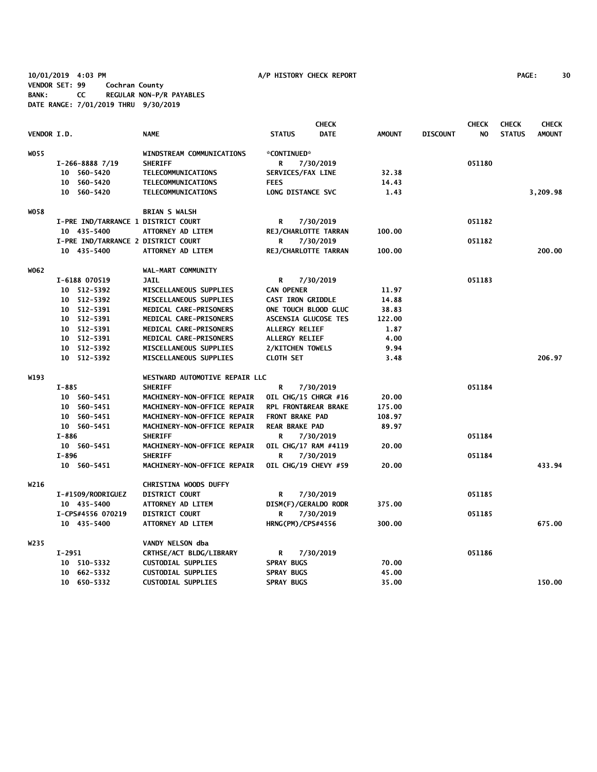**10/01/2019 4:03 PM A/P HISTORY CHECK REPORT PAGE: 30 VENDOR SET: 99 Cochran County BANK: CC REGULAR NON-P/R PAYABLES DATE RANGE: 7/01/2019 THRU 9/30/2019**

|             |                   |                                     |                          | <b>CHECK</b>                   |                 | <b>CHECK</b> | <b>CHECK</b>  | <b>CHECK</b>  |
|-------------|-------------------|-------------------------------------|--------------------------|--------------------------------|-----------------|--------------|---------------|---------------|
| VENDOR I.D. |                   | <b>NAME</b>                         | <b>STATUS</b>            | <b>DATE</b><br><b>AMOUNT</b>   | <b>DISCOUNT</b> | NO.          | <b>STATUS</b> | <b>AMOUNT</b> |
| W055        |                   | WINDSTREAM COMMUNICATIONS           | *CONTINUED*              |                                |                 |              |               |               |
|             | $I-266-88887/19$  | <b>SHERIFF</b>                      | R                        | 7/30/2019                      |                 | 051180       |               |               |
|             | 10 560-5420       | TELECOMMUNICATIONS                  | SERVICES/FAX LINE        | 32.38                          |                 |              |               |               |
|             | 10 560-5420       | TELECOMMUNICATIONS                  | <b>FEES</b>              | 14.43                          |                 |              |               |               |
|             | 10 560-5420       | TELECOMMUNICATIONS                  | LONG DISTANCE SVC        | 1.43                           |                 |              |               | 3,209.98      |
| W058        |                   | <b>BRIAN S WALSH</b>                |                          |                                |                 |              |               |               |
|             |                   | I-PRE IND/TARRANCE 1 DISTRICT COURT | R                        | 7/30/2019                      |                 | 051182       |               |               |
|             | 10 435-5400       | ATTORNEY AD LITEM                   |                          | REJ/CHARLOTTE TARRAN<br>100.00 |                 |              |               |               |
|             |                   | I-PRE IND/TARRANCE 2 DISTRICT COURT | R                        | 7/30/2019                      |                 | 051182       |               |               |
|             | 10 435-5400       | ATTORNEY AD LITEM                   |                          | REJ/CHARLOTTE TARRAN<br>100.00 |                 |              |               | 200.00        |
| W062        |                   | WAL-MART COMMUNITY                  |                          |                                |                 |              |               |               |
|             | I-6188 070519     | <b>JAIL</b>                         | R                        | 7/30/2019                      |                 | 051183       |               |               |
|             | 10 512-5392       | MISCELLANEOUS SUPPLIES              | <b>CAN OPENER</b>        | 11.97                          |                 |              |               |               |
|             | 10 512-5392       | MISCELLANEOUS SUPPLIES              | <b>CAST IRON GRIDDLE</b> | 14.88                          |                 |              |               |               |
|             | 10 512-5391       | MEDICAL CARE-PRISONERS              |                          | ONE TOUCH BLOOD GLUC<br>38.83  |                 |              |               |               |
|             | 10 512-5391       | MEDICAL CARE-PRISONERS              |                          | 122.00<br>ASCENSIA GLUCOSE TES |                 |              |               |               |
|             | 10 512-5391       | MEDICAL CARE-PRISONERS              | ALLERGY RELIEF           | 1.87                           |                 |              |               |               |
|             | 10 512-5391       | MEDICAL CARE-PRISONERS              | ALLERGY RELIEF           | 4.00                           |                 |              |               |               |
|             | 10 512-5392       | MISCELLANEOUS SUPPLIES              | 2/KITCHEN TOWELS         | 9.94                           |                 |              |               |               |
|             | 10 512-5392       | MISCELLANEOUS SUPPLIES              | <b>CLOTH SET</b>         | 3.48                           |                 |              |               | 206.97        |
| W193        |                   | WESTWARD AUTOMOTIVE REPAIR LLC      |                          |                                |                 |              |               |               |
|             | I-885             | <b>SHERIFF</b>                      | R                        | 7/30/2019                      |                 | 051184       |               |               |
|             | 10 560-5451       | MACHINERY-NON-OFFICE REPAIR         |                          | OIL CHG/15 CHRGR #16<br>20.00  |                 |              |               |               |
|             | 10 560-5451       | MACHINERY-NON-OFFICE REPAIR         |                          | RPL FRONT&REAR BRAKE<br>175.00 |                 |              |               |               |
|             | 10 560-5451       | MACHINERY-NON-OFFICE REPAIR         | <b>FRONT BRAKE PAD</b>   | 108.97                         |                 |              |               |               |
|             | 10 560-5451       | MACHINERY-NON-OFFICE REPAIR         | <b>REAR BRAKE PAD</b>    | 89.97                          |                 |              |               |               |
|             | I-886             | <b>SHERIFF</b>                      | R                        | 7/30/2019                      |                 | 051184       |               |               |
|             | 10 560-5451       | MACHINERY-NON-OFFICE REPAIR         |                          | OIL CHG/17 RAM #4119<br>20.00  |                 |              |               |               |
|             | $I - 896$         | <b>SHERIFF</b>                      | R                        | 7/30/2019                      |                 | 051184       |               |               |
|             | 10 560-5451       | <b>MACHINERY-NON-OFFICE REPAIR</b>  |                          | OIL CHG/19 CHEVY #59<br>20.00  |                 |              |               | 433.94        |
| W216        |                   | CHRISTINA WOODS DUFFY               |                          |                                |                 |              |               |               |
|             | I-#1509/RODRIGUEZ | <b>DISTRICT COURT</b>               | R                        | 7/30/2019                      |                 | 051185       |               |               |
|             | 10 435-5400       | ATTORNEY AD LITEM                   |                          | DISM(F)/GERALDO RODR<br>375.00 |                 |              |               |               |
|             | I-CPS#4556 070219 | <b>DISTRICT COURT</b>               | R                        | 7/30/2019                      |                 | 051185       |               |               |
|             | 10 435-5400       | <b>ATTORNEY AD LITEM</b>            | <b>HRNG(PM)/CPS#4556</b> | 300.00                         |                 |              |               | 675.00        |
| W235        |                   | VANDY NELSON dba                    |                          |                                |                 |              |               |               |
|             | I-2951            | CRTHSE/ACT BLDG/LIBRARY             | R                        | 7/30/2019                      |                 | 051186       |               |               |
|             | 10 510-5332       | <b>CUSTODIAL SUPPLIES</b>           | <b>SPRAY BUGS</b>        | 70.00                          |                 |              |               |               |
|             | 10 662-5332       | <b>CUSTODIAL SUPPLIES</b>           | <b>SPRAY BUGS</b>        | 45.00                          |                 |              |               |               |
|             | 10 650-5332       | <b>CUSTODIAL SUPPLIES</b>           | <b>SPRAY BUGS</b>        | 35.00                          |                 |              |               | 150.00        |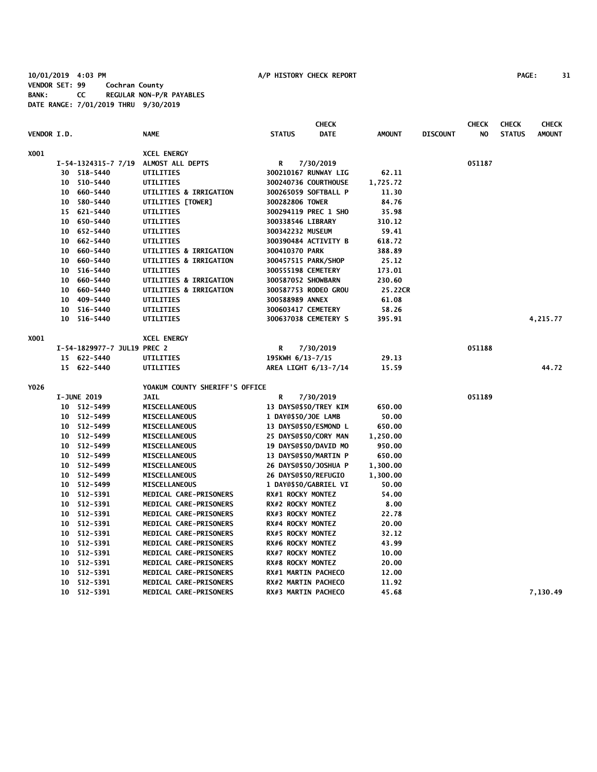**10/01/2019 4:03 PM A/P HISTORY CHECK REPORT PAGE: 31 VENDOR SET: 99 Cochran County BANK: CC REGULAR NON-P/R PAYABLES DATE RANGE: 7/01/2019 THRU 9/30/2019**

|             |         |                             | <b>CHECK</b>                      |                     |                            |               |                 | <b>CHECK</b> | <b>CHECK</b>  | <b>CHECK</b>  |
|-------------|---------|-----------------------------|-----------------------------------|---------------------|----------------------------|---------------|-----------------|--------------|---------------|---------------|
| VENDOR I.D. |         |                             | <b>NAME</b>                       | <b>STATUS</b>       | <b>DATE</b>                | <b>AMOUNT</b> | <b>DISCOUNT</b> | NO           | <b>STATUS</b> | <b>AMOUNT</b> |
| X001        |         |                             | <b>XCEL ENERGY</b>                |                     |                            |               |                 |              |               |               |
|             |         | I-54-1324315-7 7/19         | ALMOST ALL DEPTS                  | R                   | 7/30/2019                  |               |                 | 051187       |               |               |
|             |         | 30 518-5440                 | UTILITIES                         |                     | 300210167 RUNWAY LIG       | 62.11         |                 |              |               |               |
|             | 10      | 510-5440                    | UTILITIES                         |                     | 300240736 COURTHOUSE       | 1,725.72      |                 |              |               |               |
|             | $10-10$ | 660-5440                    | <b>UTILITIES &amp; IRRIGATION</b> |                     | 300265059 SOFTBALL P       | 11.30         |                 |              |               |               |
|             |         | 10 580-5440                 | UTILITIES [TOWER]                 | 300282806 TOWER     |                            | 84.76         |                 |              |               |               |
|             |         | 15 621-5440                 | UTILITIES                         |                     | 300294119 PREC 1 SHO       | 35.98         |                 |              |               |               |
|             |         | 10 650-5440                 | UTILITIES                         | 300338546 LIBRARY   |                            | 310.12        |                 |              |               |               |
|             | $10-10$ | 652-5440                    | UTILITIES                         | 300342232 MUSEUM    |                            | 59.41         |                 |              |               |               |
|             | 10      | 662-5440                    | UTILITIES                         |                     | 300390484 ACTIVITY B       | 618.72        |                 |              |               |               |
|             | 10      | 660-5440                    | <b>UTILITIES &amp; IRRIGATION</b> | 300410370 PARK      |                            | 388.89        |                 |              |               |               |
|             | 10      | 660-5440                    | <b>UTILITIES &amp; IRRIGATION</b> |                     | 300457515 PARK/SHOP        | 25.12         |                 |              |               |               |
|             | 10      | 516-5440                    | UTILITIES                         | 300555198 CEMETERY  |                            | 173.01        |                 |              |               |               |
|             | 10      | 660-5440                    | <b>UTILITIES &amp; IRRIGATION</b> | 300587052 SHOWBARN  |                            | 230.60        |                 |              |               |               |
|             | 10      | 660-5440                    | UTILITIES & IRRIGATION            |                     | 300587753 RODEO GROU       | 25.22CR       |                 |              |               |               |
|             | 10      | 409-5440                    | UTILITIES                         | 300588989 ANNEX     |                            | 61.08         |                 |              |               |               |
|             |         | 10 516-5440                 | UTILITIES                         | 300603417 CEMETERY  |                            | 58.26         |                 |              |               |               |
|             |         | 10 516-5440                 | UTILITIES                         |                     | 300637038 CEMETERY S       | 395.91        |                 |              |               | 4,215.77      |
| X001        |         |                             | <b>XCEL ENERGY</b>                |                     |                            |               |                 |              |               |               |
|             |         | I-54-1829977-7 JUL19 PREC 2 |                                   | R                   | 7/30/2019                  |               |                 | 051188       |               |               |
|             |         | 15 622-5440                 | UTILITIES                         | 195KWH 6/13-7/15    |                            | 29.13         |                 |              |               |               |
|             |         | 15 622-5440                 | UTILITIES                         |                     | AREA LIGHT 6/13-7/14       | 15.59         |                 |              |               | 44.72         |
| Y026        |         |                             | YOAKUM COUNTY SHERIFF'S OFFICE    |                     |                            |               |                 |              |               |               |
|             |         | <b>I-JUNE 2019</b>          | <b>JAIL</b>                       | R                   | 7/30/2019                  |               |                 | 051189       |               |               |
|             |         | 10 512-5499                 | <b>MISCELLANEOUS</b>              |                     | 13 DAYS@\$50/TREY KIM      | 650.00        |                 |              |               |               |
|             |         | 10 512-5499                 | <b>MISCELLANEOUS</b>              | 1 DAY@\$50/JOE LAMB |                            | 50.00         |                 |              |               |               |
|             |         | 10 512-5499                 | MISCELLANEOUS                     |                     | 13 DAYS@\$50/ESMOND L      | 650.00        |                 |              |               |               |
|             |         | 10 512-5499                 | <b>MISCELLANEOUS</b>              |                     | 25 DAYS@\$50/CORY MAN      | 1,250.00      |                 |              |               |               |
|             |         | 10 512-5499                 | <b>MISCELLANEOUS</b>              |                     | 19 DAYS@\$50/DAVID MO      | 950.00        |                 |              |               |               |
|             |         | 10 512-5499                 | MISCELLANEOUS                     |                     | 13 DAYS@\$50/MARTIN P      | 650.00        |                 |              |               |               |
|             |         | 10 512-5499                 | <b>MISCELLANEOUS</b>              |                     | 26 DAYS@\$50/JOSHUA P      | 1,300.00      |                 |              |               |               |
|             |         | 10 512-5499                 | MISCELLANEOUS                     |                     | 26 DAYS@\$50/REFUGIO       | 1,300.00      |                 |              |               |               |
|             |         | 10 512-5499                 | <b>MISCELLANEOUS</b>              |                     | 1 DAY@\$50/GABRIEL VI      | 50.00         |                 |              |               |               |
|             |         | 10 512-5391                 | MEDICAL CARE-PRISONERS            | RX#1 ROCKY MONTEZ   |                            | 54.00         |                 |              |               |               |
|             |         | 10 512-5391                 | MEDICAL CARE-PRISONERS            | RX#2 ROCKY MONTEZ   |                            | 8.00          |                 |              |               |               |
|             |         | 10 512-5391                 | MEDICAL CARE-PRISONERS            | RX#3 ROCKY MONTEZ   |                            | 22.78         |                 |              |               |               |
|             | 10      | 512-5391                    | MEDICAL CARE-PRISONERS            | RX#4 ROCKY MONTEZ   |                            | 20.00         |                 |              |               |               |
|             | 10      | 512-5391                    | <b>MEDICAL CARE-PRISONERS</b>     | RX#5 ROCKY MONTEZ   |                            | 32.12         |                 |              |               |               |
|             | 10      | 512-5391                    | <b>MEDICAL CARE-PRISONERS</b>     | RX#6 ROCKY MONTEZ   |                            | 43.99         |                 |              |               |               |
|             | 10      | 512-5391                    | MEDICAL CARE-PRISONERS            | RX#7 ROCKY MONTEZ   |                            | 10.00         |                 |              |               |               |
|             |         | 10 512-5391                 | MEDICAL CARE-PRISONERS            | RX#8 ROCKY MONTEZ   |                            | 20.00         |                 |              |               |               |
|             | 10      | 512-5391                    | <b>MEDICAL CARE-PRISONERS</b>     |                     | RX#1 MARTIN PACHECO        | 12.00         |                 |              |               |               |
|             | 10      | 512-5391                    | MEDICAL CARE-PRISONERS            |                     | RX#2 MARTIN PACHECO        | 11.92         |                 |              |               |               |
|             |         | 10 512-5391                 | <b>MEDICAL CARE-PRISONERS</b>     |                     | <b>RX#3 MARTIN PACHECO</b> | 45.68         |                 |              |               | 7,130.49      |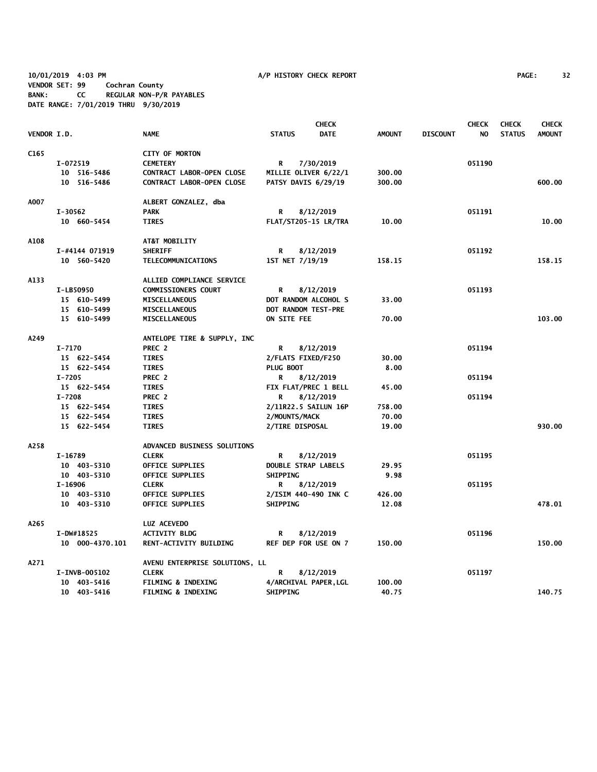**10/01/2019 4:03 PM A/P HISTORY CHECK REPORT PAGE: 32 VENDOR SET: 99 Cochran County BANK: CC REGULAR NON-P/R PAYABLES DATE RANGE: 7/01/2019 THRU 9/30/2019**

|                  |                 |                                |                             | <b>CHECK</b>                |               |                 | <b>CHECK</b> | <b>CHECK</b>  | <b>CHECK</b>  |
|------------------|-----------------|--------------------------------|-----------------------------|-----------------------------|---------------|-----------------|--------------|---------------|---------------|
| VENDOR I.D.      |                 | <b>NAME</b>                    | <b>STATUS</b>               | <b>DATE</b>                 | <b>AMOUNT</b> | <b>DISCOUNT</b> | NO.          | <b>STATUS</b> | <b>AMOUNT</b> |
| C <sub>165</sub> |                 | <b>CITY OF MORTON</b>          |                             |                             |               |                 |              |               |               |
|                  | I-072519        | <b>CEMETERY</b>                | R                           | 7/30/2019                   |               |                 | 051190       |               |               |
|                  | 10 516-5486     | CONTRACT LABOR-OPEN CLOSE      | MILLIE OLIVER 6/22/1        |                             | 300.00        |                 |              |               |               |
|                  | 10 516-5486     | CONTRACT LABOR-OPEN CLOSE      | PATSY DAVIS 6/29/19         |                             | 300.00        |                 |              |               | 600.00        |
| A007             |                 | ALBERT GONZALEZ, dba           |                             |                             |               |                 |              |               |               |
|                  | $I-30562$       | <b>PARK</b>                    | R                           | 8/12/2019                   |               |                 | 051191       |               |               |
|                  | 10 660-5454     | <b>TIRES</b>                   |                             | <b>FLAT/ST205-15 LR/TRA</b> | 10.00         |                 |              |               | 10.00         |
| A108             |                 | AT&T MOBILITY                  |                             |                             |               |                 |              |               |               |
|                  | I-#4144 071919  | <b>SHERIFF</b>                 | R                           | 8/12/2019                   |               |                 | 051192       |               |               |
|                  | 10 560-5420     | TELECOMMUNICATIONS             | 1ST NET 7/19/19             |                             | 158.15        |                 |              |               | 158.15        |
| A133             |                 | ALLIED COMPLIANCE SERVICE      |                             |                             |               |                 |              |               |               |
|                  | I-LB50950       | <b>COMMISSIONERS COURT</b>     | R                           | 8/12/2019                   |               |                 | 051193       |               |               |
|                  | 15 610-5499     | MISCELLANEOUS                  | DOT RANDOM ALCOHOL S        |                             | 33.00         |                 |              |               |               |
|                  | 15 610-5499     | MISCELLANEOUS                  | DOT RANDOM TEST-PRE         |                             |               |                 |              |               |               |
|                  | 15 610-5499     | MISCELLANEOUS                  | ON SITE FEE                 |                             | 70.00         |                 |              |               | 103.00        |
| A249             |                 | ANTELOPE TIRE & SUPPLY, INC    |                             |                             |               |                 |              |               |               |
|                  | I-7170          | PREC 2                         | R                           | 8/12/2019                   |               |                 | 051194       |               |               |
|                  | 15 622-5454     | <b>TIRES</b>                   | 2/FLATS FIXED/F250          |                             | 30.00         |                 |              |               |               |
|                  | 15 622-5454     | <b>TIRES</b>                   | PLUG BOOT                   |                             | 8.00          |                 |              |               |               |
|                  | $I - 7205$      | PREC 2                         | R                           | 8/12/2019                   |               |                 | 051194       |               |               |
|                  | 15 622-5454     | <b>TIRES</b>                   |                             | FIX FLAT/PREC 1 BELL        | 45.00         |                 |              |               |               |
|                  | $I - 7208$      | PREC 2                         | R                           | 8/12/2019                   |               |                 | 051194       |               |               |
|                  | 15 622-5454     | <b>TIRES</b>                   | 2/11R22.5 SAILUN 16P        |                             | 758.00        |                 |              |               |               |
|                  | 15 622-5454     | <b>TIRES</b>                   | 2/MOUNTS/MACK               |                             | 70.00         |                 |              |               |               |
|                  | 15 622-5454     | <b>TIRES</b>                   | 2/TIRE DISPOSAL             |                             | 19.00         |                 |              |               | 930.00        |
| A258             |                 | ADVANCED BUSINESS SOLUTIONS    |                             |                             |               |                 |              |               |               |
|                  | I-16789         | <b>CLERK</b>                   | R                           | 8/12/2019                   |               |                 | 051195       |               |               |
|                  | 10 403-5310     | <b>OFFICE SUPPLIES</b>         | <b>DOUBLE STRAP LABELS</b>  |                             | 29.95         |                 |              |               |               |
|                  | 10 403-5310     | OFFICE SUPPLIES                | <b>SHIPPING</b>             |                             | 9.98          |                 |              |               |               |
|                  | I-16906         | <b>CLERK</b>                   | R                           | 8/12/2019                   |               |                 | 051195       |               |               |
|                  | 10 403-5310     | <b>OFFICE SUPPLIES</b>         |                             | 2/ISIM 440-490 INK C        | 426.00        |                 |              |               |               |
|                  | 10 403-5310     | <b>OFFICE SUPPLIES</b>         | <b>SHIPPING</b>             |                             | 12.08         |                 |              |               | 478.01        |
| A265             |                 | LUZ ACEVEDO                    |                             |                             |               |                 |              |               |               |
|                  | I-DW#18525      | <b>ACTIVITY BLDG</b>           | R                           | 8/12/2019                   |               |                 | 051196       |               |               |
|                  | 10 000-4370.101 | <b>RENT-ACTIVITY BUILDING</b>  | <b>REF DEP FOR USE ON 7</b> |                             | 150.00        |                 |              |               | 150.00        |
| A271             |                 | AVENU ENTERPRISE SOLUTIONS, LL |                             |                             |               |                 |              |               |               |
|                  | I-INVB-005102   | <b>CLERK</b>                   | R                           | 8/12/2019                   |               |                 | 051197       |               |               |
|                  | 10 403-5416     | <b>FILMING &amp; INDEXING</b>  |                             | 4/ARCHIVAL PAPER, LGL       | 100.00        |                 |              |               |               |
|                  | 10 403-5416     | <b>FILMING &amp; INDEXING</b>  | <b>SHIPPING</b>             |                             | 40.75         |                 |              |               | 140.75        |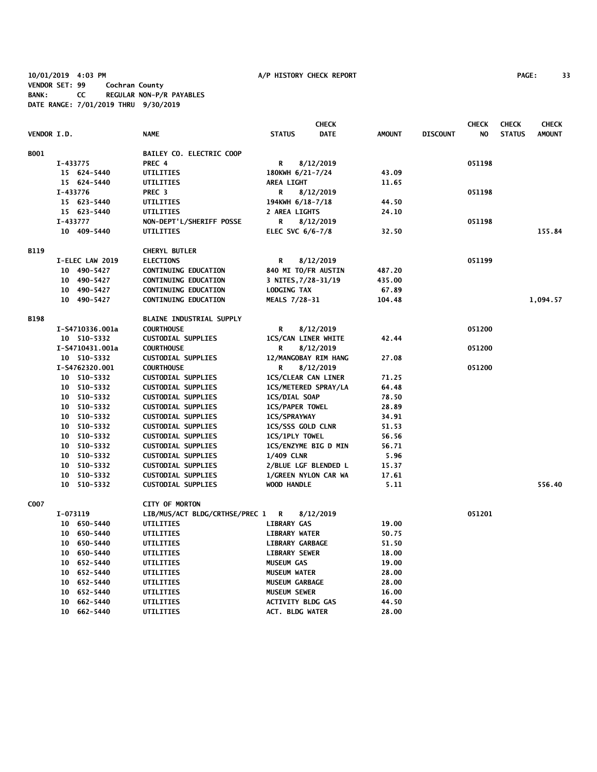**10/01/2019 4:03 PM A/P HISTORY CHECK REPORT PAGE: 33 VENDOR SET: 99 Cochran County BANK: CC REGULAR NON-P/R PAYABLES DATE RANGE: 7/01/2019 THRU 9/30/2019**

|             |          |                 |                                 |                                              | <b>CHECK</b>         |                |                 | <b>CHECK</b> | <b>CHECK</b>  | <b>CHECK</b>  |
|-------------|----------|-----------------|---------------------------------|----------------------------------------------|----------------------|----------------|-----------------|--------------|---------------|---------------|
| VENDOR I.D. |          |                 | <b>NAME</b>                     | <b>STATUS</b>                                | <b>DATE</b>          | <b>AMOUNT</b>  | <b>DISCOUNT</b> | NO.          | <b>STATUS</b> | <b>AMOUNT</b> |
| <b>B001</b> |          |                 | BAILEY CO. ELECTRIC COOP        |                                              |                      |                |                 |              |               |               |
|             | I-433775 |                 | PREC 4                          | R                                            | 8/12/2019            |                |                 | 051198       |               |               |
|             |          | 15 624-5440     | UTILITIES                       | 180KWH 6/21-7/24                             |                      | 43.09          |                 |              |               |               |
|             |          | 15 624-5440     | UTILITIES                       | <b>AREA LIGHT</b>                            |                      | 11.65          |                 |              |               |               |
|             | I-433776 |                 | PREC <sub>3</sub>               | R                                            | 8/12/2019            |                |                 | 051198       |               |               |
|             |          | 15 623-5440     | UTILITIES                       | 194KWH 6/18-7/18                             |                      | 44.50          |                 |              |               |               |
|             |          | 15 623-5440     | UTILITIES                       | 2 AREA LIGHTS                                |                      | 24.10          |                 |              |               |               |
|             | I-433777 |                 | NON-DEPT'L/SHERIFF POSSE        | R                                            | 8/12/2019            |                |                 | 051198       |               |               |
|             |          | 10 409-5440     | UTILITIES                       | ELEC SVC 6/6-7/8                             |                      | 32.50          |                 |              |               | 155.84        |
|             |          |                 |                                 |                                              |                      |                |                 |              |               |               |
| <b>B119</b> |          |                 | <b>CHERYL BUTLER</b>            |                                              |                      |                |                 |              |               |               |
|             |          | I-ELEC LAW 2019 | <b>ELECTIONS</b>                | R                                            | 8/12/2019            |                |                 | 051199       |               |               |
|             |          | 10 490-5427     | CONTINUING EDUCATION            | 840 MI TO/FR AUSTIN                          |                      | 487.20         |                 |              |               |               |
|             |          | 10 490-5427     | <b>CONTINUING EDUCATION</b>     | 3 NITES, 7/28-31/19                          |                      | 435.00         |                 |              |               |               |
|             |          | 10 490-5427     | CONTINUING EDUCATION            | <b>LODGING TAX</b>                           |                      | 67.89          |                 |              |               |               |
|             |          | 10 490-5427     | CONTINUING EDUCATION            | MEALS 7/28-31                                |                      | 104.48         |                 |              |               | 1,094.57      |
| <b>B198</b> |          |                 | <b>BLAINE INDUSTRIAL SUPPLY</b> |                                              |                      |                |                 |              |               |               |
|             |          | I-S4710336.001a | <b>COURTHOUSE</b>               | R                                            | 8/12/2019            |                |                 | 051200       |               |               |
|             |          | 10 510-5332     | <b>CUSTODIAL SUPPLIES</b>       | <b>1CS/CAN LINER WHITE</b>                   |                      | 42.44          |                 |              |               |               |
|             |          | I-S4710431.001a | <b>COURTHOUSE</b>               | R                                            | 8/12/2019            |                |                 | 051200       |               |               |
|             |          | 10 510-5332     | <b>CUSTODIAL SUPPLIES</b>       |                                              | 12/MANGOBAY RIM HANG | 27.08          |                 |              |               |               |
|             |          | I-S4762320.001  | <b>COURTHOUSE</b>               | R                                            | 8/12/2019            |                |                 | 051200       |               |               |
|             |          | 10 510-5332     | <b>CUSTODIAL SUPPLIES</b>       | <b>1CS/CLEAR CAN LINER</b>                   |                      | 71.25          |                 |              |               |               |
|             |          | 10 510-5332     | <b>CUSTODIAL SUPPLIES</b>       |                                              | 1CS/METERED SPRAY/LA | 64.48          |                 |              |               |               |
|             |          | 10 510-5332     | <b>CUSTODIAL SUPPLIES</b>       | <b>1CS/DIAL SOAP</b>                         |                      | 78.50          |                 |              |               |               |
|             |          | 10 510-5332     | <b>CUSTODIAL SUPPLIES</b>       | <b>1CS/PAPER TOWEL</b>                       |                      | 28.89          |                 |              |               |               |
|             |          | 10 510-5332     | <b>CUSTODIAL SUPPLIES</b>       | 1CS/SPRAYWAY                                 |                      | 34.91          |                 |              |               |               |
|             |          | 10 510-5332     | <b>CUSTODIAL SUPPLIES</b>       | 1CS/SSS GOLD CLNR                            |                      | 51.53          |                 |              |               |               |
|             |          | 10 510-5332     | <b>CUSTODIAL SUPPLIES</b>       | 1CS/1PLY TOWEL                               |                      | 56.56          |                 |              |               |               |
|             |          | 10 510-5332     | <b>CUSTODIAL SUPPLIES</b>       |                                              | 1CS/ENZYME BIG D MIN | 56.71          |                 |              |               |               |
|             |          | 10 510-5332     | CUSTODIAL SUPPLIES              | <b>1/409 CLNR</b>                            |                      | 5.96           |                 |              |               |               |
|             |          | 10 510-5332     | <b>CUSTODIAL SUPPLIES</b>       |                                              | 2/BLUE LGF BLENDED L | 15.37          |                 |              |               |               |
|             |          | 10 510-5332     | <b>CUSTODIAL SUPPLIES</b>       |                                              | 1/GREEN NYLON CAR WA | 17.61          |                 |              |               |               |
|             |          | 10 510-5332     | <b>CUSTODIAL SUPPLIES</b>       | <b>WOOD HANDLE</b>                           |                      | 5.11           |                 |              |               | 556.40        |
| C007        |          |                 | <b>CITY OF MORTON</b>           |                                              |                      |                |                 |              |               |               |
|             | I-073119 |                 | LIB/MUS/ACT BLDG/CRTHSE/PREC 1  | <b>R</b>                                     | 8/12/2019            |                |                 | 051201       |               |               |
|             |          | 10 650-5440     | UTILITIES                       | <b>LIBRARY GAS</b>                           |                      | 19.00          |                 |              |               |               |
|             |          | 10 650-5440     | UTILITIES                       | <b>LIBRARY WATER</b>                         |                      | 50.75          |                 |              |               |               |
|             |          | 10 650-5440     | UTILITIES                       | <b>LIBRARY GARBAGE</b>                       |                      | 51.50          |                 |              |               |               |
|             |          | 10 650-5440     | UTILITIES                       | <b>LIBRARY SEWER</b>                         |                      | 18.00          |                 |              |               |               |
|             |          | 10 652-5440     |                                 | <b>MUSEUM GAS</b>                            |                      |                |                 |              |               |               |
|             |          | 10 652-5440     | UTILITIES<br>UTILITIES          | <b>MUSEUM WATER</b>                          |                      | 19.00<br>28.00 |                 |              |               |               |
|             |          | 10 652-5440     |                                 |                                              |                      |                |                 |              |               |               |
|             |          | 10 652-5440     | UTILITIES                       | <b>MUSEUM GARBAGE</b><br><b>MUSEUM SEWER</b> |                      | 28.00          |                 |              |               |               |
|             |          | 10 662-5440     | UTILITIES                       | <b>ACTIVITY BLDG GAS</b>                     |                      | 16.00          |                 |              |               |               |
|             |          | 10 662-5440     | UTILITIES                       | <b>ACT. BLDG WATER</b>                       |                      | 44.50<br>28.00 |                 |              |               |               |
|             |          |                 | UTILITIES                       |                                              |                      |                |                 |              |               |               |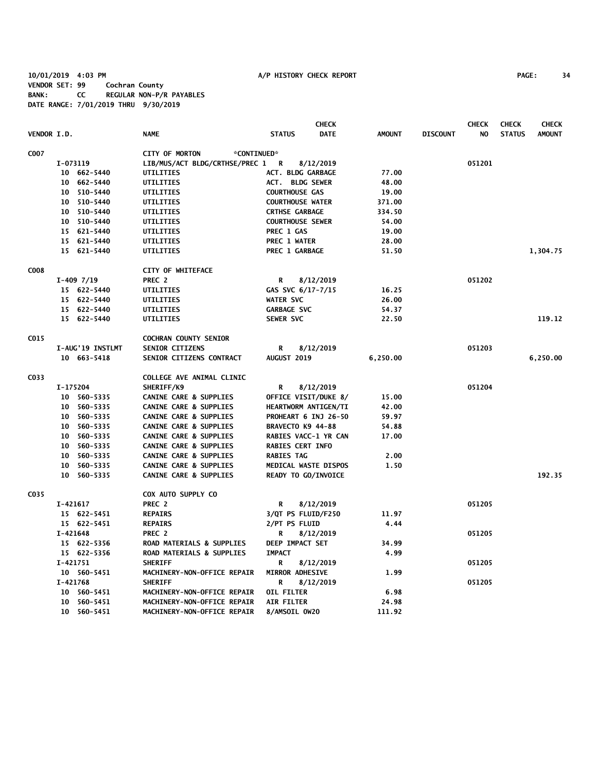**10/01/2019 4:03 PM A/P HISTORY CHECK REPORT PAGE: 34 VENDOR SET: 99 Cochran County BANK: CC REGULAR NON-P/R PAYABLES DATE RANGE: 7/01/2019 THRU 9/30/2019**

|             |          |                  |                                      |                          | <b>CHECK</b> |               |                 | <b>CHECK</b> | <b>CHECK</b>  | <b>CHECK</b>  |
|-------------|----------|------------------|--------------------------------------|--------------------------|--------------|---------------|-----------------|--------------|---------------|---------------|
| VENDOR I.D. |          |                  | <b>NAME</b>                          | <b>STATUS</b>            | <b>DATE</b>  | <b>AMOUNT</b> | <b>DISCOUNT</b> | NO.          | <b>STATUS</b> | <b>AMOUNT</b> |
| C007        |          |                  | <b>CITY OF MORTON</b><br>*CONTINUED* |                          |              |               |                 |              |               |               |
|             | I-073119 |                  | LIB/MUS/ACT BLDG/CRTHSE/PREC 1       | $\mathbf{R}$             | 8/12/2019    |               |                 | 051201       |               |               |
|             |          | 10 662-5440      | UTILITIES                            | <b>ACT. BLDG GARBAGE</b> |              | 77.00         |                 |              |               |               |
|             |          | 10 662-5440      | <b>UTILITIES</b>                     | <b>ACT. BLDG SEWER</b>   |              | 48.00         |                 |              |               |               |
|             |          | 10 510-5440      | UTILITIES                            | <b>COURTHOUSE GAS</b>    |              | 19.00         |                 |              |               |               |
|             |          | 10 510-5440      | <b>UTILITIES</b>                     | <b>COURTHOUSE WATER</b>  |              | 371.00        |                 |              |               |               |
|             |          | 10 510-5440      | UTILITIES                            | <b>CRTHSE GARBAGE</b>    |              | 334.50        |                 |              |               |               |
|             |          | 10 510-5440      | UTILITIES                            | <b>COURTHOUSE SEWER</b>  |              | 54.00         |                 |              |               |               |
|             |          | 15 621-5440      | UTILITIES                            | PREC 1 GAS               |              | 19.00         |                 |              |               |               |
|             |          | 15 621-5440      | UTILITIES                            | PREC 1 WATER             |              | 28.00         |                 |              |               |               |
|             |          | 15 621-5440      | UTILITIES                            | PREC 1 GARBAGE           |              | 51.50         |                 |              |               | 1,304.75      |
| C008        |          |                  | <b>CITY OF WHITEFACE</b>             |                          |              |               |                 |              |               |               |
|             |          | $I-409$ $7/19$   | PREC <sub>2</sub>                    | R                        | 8/12/2019    |               |                 | 051202       |               |               |
|             |          | 15 622-5440      | UTILITIES                            | GAS SVC 6/17-7/15        |              | 16.25         |                 |              |               |               |
|             |          | 15 622-5440      | UTILITIES                            | <b>WATER SVC</b>         |              | 26.00         |                 |              |               |               |
|             |          | 15 622-5440      | UTILITIES                            | <b>GARBAGE SVC</b>       |              | 54.37         |                 |              |               |               |
|             |          | 15 622-5440      | UTILITIES                            | SEWER SVC                |              | 22.50         |                 |              |               | 119.12        |
| C015        |          |                  | <b>COCHRAN COUNTY SENIOR</b>         |                          |              |               |                 |              |               |               |
|             |          | I-AUG'19 INSTLMT | <b>SENIOR CITIZENS</b>               | R                        | 8/12/2019    |               |                 | 051203       |               |               |
|             |          | 10 663-5418      | SENIOR CITIZENS CONTRACT             | AUGUST 2019              |              | 6,250.00      |                 |              |               | 6,250.00      |
| C033        |          |                  | COLLEGE AVE ANIMAL CLINIC            |                          |              |               |                 |              |               |               |
|             | I-175204 |                  | SHERIFF/K9                           | R                        | 8/12/2019    |               |                 | 051204       |               |               |
|             |          | 10 560-5335      | <b>CANINE CARE &amp; SUPPLIES</b>    | OFFICE VISIT/DUKE 8/     |              | 15.00         |                 |              |               |               |
|             |          | 10 560-5335      | <b>CANINE CARE &amp; SUPPLIES</b>    | HEARTWORM ANTIGEN/TI     |              | 42.00         |                 |              |               |               |
|             |          | 10 560-5335      | <b>CANINE CARE &amp; SUPPLIES</b>    | PROHEART 6 INJ 26-50     |              | 59.97         |                 |              |               |               |
|             |          | 10 560-5335      | <b>CANINE CARE &amp; SUPPLIES</b>    | BRAVECTO K9 44-88        |              | 54.88         |                 |              |               |               |
|             |          | 10 560-5335      | <b>CANINE CARE &amp; SUPPLIES</b>    | RABIES VACC-1 YR CAN     |              | 17.00         |                 |              |               |               |
|             |          | 10 560-5335      | <b>CANINE CARE &amp; SUPPLIES</b>    | <b>RABIES CERT INFO</b>  |              |               |                 |              |               |               |
|             |          | 10 560-5335      | <b>CANINE CARE &amp; SUPPLIES</b>    | <b>RABIES TAG</b>        |              | 2.00          |                 |              |               |               |
|             | 10       | 560-5335         | <b>CANINE CARE &amp; SUPPLIES</b>    | MEDICAL WASTE DISPOS     |              | 1.50          |                 |              |               |               |
|             |          | 10 560-5335      | <b>CANINE CARE &amp; SUPPLIES</b>    | READY TO GO/INVOICE      |              |               |                 |              |               | 192.35        |
| C035        |          |                  | COX AUTO SUPPLY CO                   |                          |              |               |                 |              |               |               |
|             | I-421617 |                  | PREC 2                               | R                        | 8/12/2019    |               |                 | 051205       |               |               |
|             |          | 15 622-5451      | <b>REPAIRS</b>                       | 3/QT PS FLUID/F250       |              | 11.97         |                 |              |               |               |
|             |          | 15 622-5451      | <b>REPAIRS</b>                       | 2/PT PS FLUID            |              | 4.44          |                 |              |               |               |
|             | I-421648 |                  | PREC <sub>2</sub>                    | R                        | 8/12/2019    |               |                 | 051205       |               |               |
|             |          | 15 622-5356      | ROAD MATERIALS & SUPPLIES            | DEEP IMPACT SET          |              | 34.99         |                 |              |               |               |
|             |          | 15 622-5356      | ROAD MATERIALS & SUPPLIES            | <b>IMPACT</b>            |              | 4.99          |                 |              |               |               |
|             | I-421751 |                  | <b>SHERIFF</b>                       | R                        | 8/12/2019    |               |                 | 051205       |               |               |
|             |          | 10 560-5451      | MACHINERY-NON-OFFICE REPAIR          | <b>MIRROR ADHESIVE</b>   |              | 1.99          |                 |              |               |               |
|             | I-421768 |                  | <b>SHERIFF</b>                       | R                        | 8/12/2019    |               |                 | 051205       |               |               |
|             |          | 10 560-5451      | MACHINERY-NON-OFFICE REPAIR          | OIL FILTER               |              | 6.98          |                 |              |               |               |
|             |          | 10 560-5451      | MACHINERY-NON-OFFICE REPAIR          | <b>AIR FILTER</b>        |              | 24.98         |                 |              |               |               |
|             |          | 10 560-5451      | MACHINERY-NON-OFFICE REPAIR          | <b>8/AMSOIL OW20</b>     |              | 111.92        |                 |              |               |               |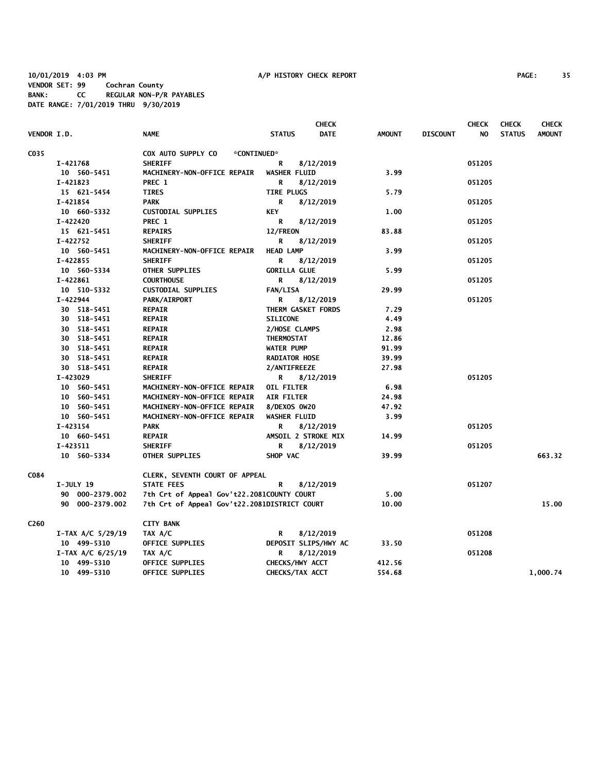**10/01/2019 4:03 PM A/P HISTORY CHECK REPORT PAGE: 35 VENDOR SET: 99 Cochran County BANK: CC REGULAR NON-P/R PAYABLES DATE RANGE: 7/01/2019 THRU 9/30/2019**

|                    |                         |                                              | <b>CHECK</b>                 |               | <b>CHECK</b>           | <b>CHECK</b>  | <b>CHECK</b>  |
|--------------------|-------------------------|----------------------------------------------|------------------------------|---------------|------------------------|---------------|---------------|
| <b>VENDOR I.D.</b> |                         | <b>NAME</b>                                  | <b>STATUS</b><br><b>DATE</b> | <b>AMOUNT</b> | <b>DISCOUNT</b><br>NO. | <b>STATUS</b> | <b>AMOUNT</b> |
| C035               |                         | COX AUTO SUPPLY CO<br>*CONTINUED*            |                              |               |                        |               |               |
|                    | I-421768                | <b>SHERIFF</b>                               | R<br>8/12/2019               |               | 051205                 |               |               |
|                    | 10 560-5451             | MACHINERY-NON-OFFICE REPAIR                  | <b>WASHER FLUID</b>          | 3.99          |                        |               |               |
|                    | I-421823                | PREC 1                                       | R<br>8/12/2019               |               | 051205                 |               |               |
|                    | 15 621-5454             | <b>TIRES</b>                                 | <b>TIRE PLUGS</b>            | 5.79          |                        |               |               |
|                    | I-421854                | <b>PARK</b>                                  | R<br>8/12/2019               |               | 051205                 |               |               |
|                    | 10 660-5332             | <b>CUSTODIAL SUPPLIES</b>                    | KEY                          | 1.00          |                        |               |               |
|                    | I-422420                | PREC 1                                       | R<br>8/12/2019               |               | 051205                 |               |               |
|                    | 15 621-5451             | <b>REPAIRS</b>                               | 12/FREON                     | 83.88         |                        |               |               |
|                    | I-422752                | <b>SHERIFF</b>                               | R<br>8/12/2019               |               | 051205                 |               |               |
|                    | 10 560-5451             | MACHINERY-NON-OFFICE REPAIR                  | <b>HEAD LAMP</b>             | 3.99          |                        |               |               |
|                    | I-422855                | <b>SHERIFF</b>                               | R<br>8/12/2019               |               | 051205                 |               |               |
|                    | 10 560-5334             | OTHER SUPPLIES                               | <b>GORILLA GLUE</b>          | 5.99          |                        |               |               |
|                    | I-422861                | <b>COURTHOUSE</b>                            | R<br>8/12/2019               |               | 051205                 |               |               |
|                    | 10 510-5332             | <b>CUSTODIAL SUPPLIES</b>                    | <b>FAN/LISA</b>              | 29.99         |                        |               |               |
|                    | I-422944                | <b>PARK/AIRPORT</b>                          | R<br>8/12/2019               |               | 051205                 |               |               |
|                    | 30 518-5451             | <b>REPAIR</b>                                | THERM GASKET FORDS           | 7.29          |                        |               |               |
|                    | 30 518-5451             | <b>REPAIR</b>                                | <b>SILICONE</b>              | 4.49          |                        |               |               |
|                    | 30 518-5451             | <b>REPAIR</b>                                | 2/HOSE CLAMPS                | 2.98          |                        |               |               |
|                    | 30 518-5451             | <b>REPAIR</b>                                | THERMOSTAT                   | 12.86         |                        |               |               |
|                    | 30 518-5451             | <b>REPAIR</b>                                | <b>WATER PUMP</b>            | 91.99         |                        |               |               |
|                    | 30 518-5451             | <b>REPAIR</b>                                | <b>RADIATOR HOSE</b>         | 39.99         |                        |               |               |
|                    | 30 518-5451             | <b>REPAIR</b>                                | 2/ANTIFREEZE                 | 27.98         |                        |               |               |
|                    | I-423029                | <b>SHERIFF</b>                               | R<br>8/12/2019               |               | 051205                 |               |               |
|                    | 10 560-5451             | MACHINERY-NON-OFFICE REPAIR                  | OIL FILTER                   | 6.98          |                        |               |               |
|                    | 10 560-5451             | MACHINERY-NON-OFFICE REPAIR                  | <b>AIR FILTER</b>            | 24.98         |                        |               |               |
|                    | 10 560-5451             | MACHINERY-NON-OFFICE REPAIR                  | 8/DEXOS 0W20                 | 47.92         |                        |               |               |
|                    | 10 560-5451             | MACHINERY-NON-OFFICE REPAIR                  | WASHER FLUID                 | 3.99          |                        |               |               |
|                    | I-423154                | <b>PARK</b>                                  | R<br>8/12/2019               | 14.99         | 051205                 |               |               |
|                    | 10 660-5451             | <b>REPAIR</b>                                | AMSOIL 2 STROKE MIX          |               |                        |               |               |
|                    | I-423511<br>10 560-5334 | <b>SHERIFF</b><br>OTHER SUPPLIES             | 8/12/2019<br>R<br>SHOP VAC   | 39.99         | 051205                 |               | 663.32        |
|                    |                         |                                              |                              |               |                        |               |               |
| C084               |                         | CLERK, SEVENTH COURT OF APPEAL               |                              |               |                        |               |               |
|                    | <b>I-JULY 19</b>        | <b>STATE FEES</b>                            | R<br>8/12/2019               |               | 051207                 |               |               |
|                    | 90 000-2379.002         | 7th Crt of Appeal Gov't22.2081COUNTY COURT   |                              | 5.00          |                        |               |               |
|                    | 90 000-2379.002         | 7th Crt of Appeal Gov't22.2081DISTRICT COURT |                              |               |                        |               | 15.00         |
| C260               |                         | <b>CITY BANK</b>                             |                              |               |                        |               |               |
|                    | $I-TAX A/C 5/29/19$     | TAX A/C                                      | 8/12/2019<br>R               |               | 051208                 |               |               |
|                    | 10 499-5310             | OFFICE SUPPLIES                              | DEPOSIT SLIPS/HWY AC         | 33.50         |                        |               |               |
|                    | $I-TAX A/C 6/25/19$     | TAX A/C                                      | 8/12/2019<br>R               |               | 051208                 |               |               |
|                    | 10 499-5310             | OFFICE SUPPLIES                              | CHECKS/HWY ACCT              | 412.56        |                        |               |               |
|                    | 10 499-5310             | OFFICE SUPPLIES                              | CHECKS/TAX ACCT              | 554.68        |                        |               | 1,000.74      |
|                    |                         |                                              |                              |               |                        |               |               |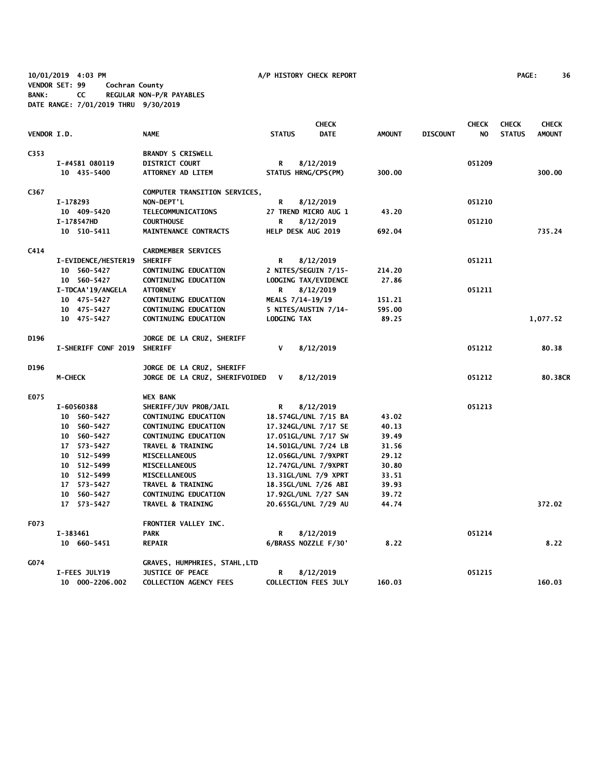**10/01/2019 4:03 PM A/P HISTORY CHECK REPORT PAGE: 36 VENDOR SET: 99 Cochran County BANK: CC REGULAR NON-P/R PAYABLES DATE RANGE: 7/01/2019 THRU 9/30/2019**

|             |                     |                                |                             | <b>CHECK</b> |               |                 | <b>CHECK</b> | <b>CHECK</b>  | <b>CHECK</b>  |
|-------------|---------------------|--------------------------------|-----------------------------|--------------|---------------|-----------------|--------------|---------------|---------------|
| VENDOR I.D. |                     | <b>NAME</b>                    | <b>STATUS</b>               | <b>DATE</b>  | <b>AMOUNT</b> | <b>DISCOUNT</b> | NO.          | <b>STATUS</b> | <b>AMOUNT</b> |
| C353        |                     | <b>BRANDY S CRISWELL</b>       |                             |              |               |                 |              |               |               |
|             | I-#4581 080119      | <b>DISTRICT COURT</b>          | R                           | 8/12/2019    |               |                 | 051209       |               |               |
|             | 10 435-5400         | ATTORNEY AD LITEM              | STATUS HRNG/CPS(PM)         |              | 300.00        |                 |              |               | 300.00        |
| C367        |                     | COMPUTER TRANSITION SERVICES,  |                             |              |               |                 |              |               |               |
|             | I-178293            | NON-DEPT'L                     | R                           | 8/12/2019    |               |                 | 051210       |               |               |
|             | 10 409-5420         | TELECOMMUNICATIONS             | 27 TREND MICRO AUG 1        |              | 43.20         |                 |              |               |               |
|             | I-178547HD          | <b>COURTHOUSE</b>              | R                           | 8/12/2019    |               |                 | 051210       |               |               |
|             | 10 510-5411         | MAINTENANCE CONTRACTS          | HELP DESK AUG 2019          |              | 692.04        |                 |              |               | 735.24        |
| C414        |                     | <b>CARDMEMBER SERVICES</b>     |                             |              |               |                 |              |               |               |
|             | I-EVIDENCE/HESTER19 | <b>SHERIFF</b>                 | R                           | 8/12/2019    |               |                 | 051211       |               |               |
|             | 10 560-5427         | CONTINUING EDUCATION           | 2 NITES/SEGUIN 7/15-        |              | 214.20        |                 |              |               |               |
|             | 10 560-5427         | <b>CONTINUING EDUCATION</b>    | LODGING TAX/EVIDENCE        |              | 27.86         |                 |              |               |               |
|             | I-TDCAA'19/ANGELA   | <b>ATTORNEY</b>                | R                           | 8/12/2019    |               |                 | 051211       |               |               |
|             | 10 475-5427         | CONTINUING EDUCATION           | MEALS 7/14-19/19            |              | 151.21        |                 |              |               |               |
|             | 10 475-5427         | <b>CONTINUING EDUCATION</b>    | 5 NITES/AUSTIN 7/14-        |              | 595.00        |                 |              |               |               |
|             | 10 475-5427         | CONTINUING EDUCATION           | LODGING TAX                 |              | 89.25         |                 |              |               | 1,077.52      |
| D196        |                     | JORGE DE LA CRUZ, SHERIFF      |                             |              |               |                 |              |               |               |
|             | I-SHERIFF CONF 2019 | <b>SHERIFF</b>                 | V                           | 8/12/2019    |               |                 | 051212       |               | 80.38         |
| D196        |                     | JORGE DE LA CRUZ, SHERIFF      |                             |              |               |                 |              |               |               |
|             | <b>M-CHECK</b>      | JORGE DE LA CRUZ, SHERIFVOIDED | V                           | 8/12/2019    |               |                 | 051212       |               | 80.38CR       |
| E075        |                     | <b>WEX BANK</b>                |                             |              |               |                 |              |               |               |
|             | I-60560388          | SHERIFF/JUV PROB/JAIL          | R                           | 8/12/2019    |               |                 | 051213       |               |               |
|             | 10 560-5427         | <b>CONTINUING EDUCATION</b>    | 18.574GL/UNL 7/15 BA        |              | 43.02         |                 |              |               |               |
|             | 10 560-5427         | CONTINUING EDUCATION           | 17.324GL/UNL 7/17 SE        |              | 40.13         |                 |              |               |               |
|             | 10 560-5427         | CONTINUING EDUCATION           | 17.051GL/UNL 7/17 SW        |              | 39.49         |                 |              |               |               |
|             | 17 573-5427         | <b>TRAVEL &amp; TRAINING</b>   | 14.501GL/UNL 7/24 LB        |              | 31.56         |                 |              |               |               |
|             | 10 512-5499         | MISCELLANEOUS                  | 12.056GL/UNL 7/9XPRT        |              | 29.12         |                 |              |               |               |
|             | 10 512-5499         | MISCELLANEOUS                  | 12.747GL/UNL 7/9XPRT        |              | 30.80         |                 |              |               |               |
|             | 10 512-5499         | <b>MISCELLANEOUS</b>           | 13.31GL/UNL 7/9 XPRT        |              | 33.51         |                 |              |               |               |
|             | 17 573-5427         | <b>TRAVEL &amp; TRAINING</b>   | 18.35GL/UNL 7/26 ABI        |              | 39.93         |                 |              |               |               |
|             | 10 560-5427         | <b>CONTINUING EDUCATION</b>    | 17.92GL/UNL 7/27 SAN        |              | 39.72         |                 |              |               |               |
|             | 17 573-5427         | <b>TRAVEL &amp; TRAINING</b>   | 20.655GL/UNL 7/29 AU        |              | 44.74         |                 |              |               | 372.02        |
| F073        |                     | FRONTIER VALLEY INC.           |                             |              |               |                 |              |               |               |
|             | I-383461            | <b>PARK</b>                    | R                           | 8/12/2019    |               |                 | 051214       |               |               |
|             | 10 660-5451         | <b>REPAIR</b>                  | 6/BRASS NOZZLE F/30'        |              | 8.22          |                 |              |               | 8.22          |
| G074        |                     | GRAVES, HUMPHRIES, STAHL, LTD  |                             |              |               |                 |              |               |               |
|             | I-FEES JULY19       | <b>JUSTICE OF PEACE</b>        | R                           | 8/12/2019    |               |                 | 051215       |               |               |
|             | 10 000-2206.002     | <b>COLLECTION AGENCY FEES</b>  | <b>COLLECTION FEES JULY</b> |              | 160.03        |                 |              |               | 160.03        |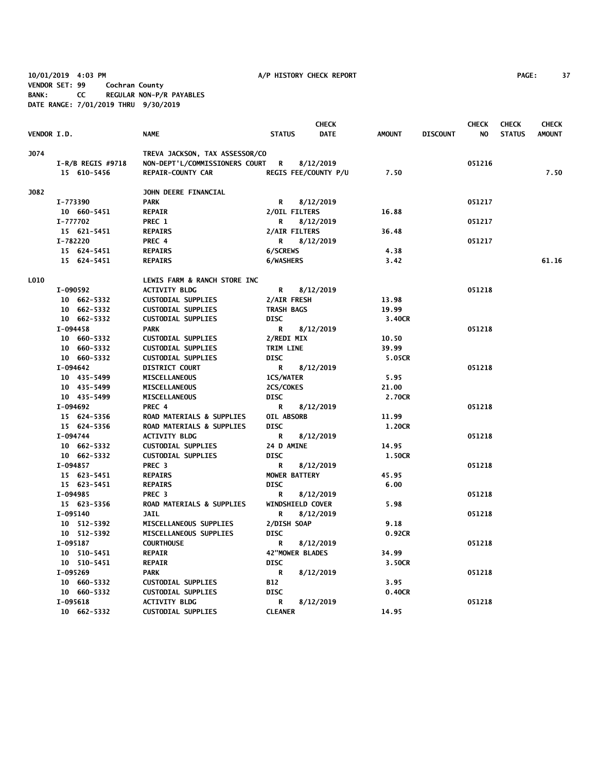**10/01/2019 4:03 PM A/P HISTORY CHECK REPORT PAGE: 37 VENDOR SET: 99 Cochran County BANK: CC REGULAR NON-P/R PAYABLES DATE RANGE: 7/01/2019 THRU 9/30/2019**

| <b>VENDOR I.D.</b> |                     | <b>NAME</b>                    | <b>STATUS</b>          | <b>CHECK</b><br><b>DATE</b> | <b>AMOUNT</b> | <b>DISCOUNT</b> | <b>CHECK</b><br>NO | <b>CHECK</b><br><b>STATUS</b> | <b>CHECK</b><br><b>AMOUNT</b> |
|--------------------|---------------------|--------------------------------|------------------------|-----------------------------|---------------|-----------------|--------------------|-------------------------------|-------------------------------|
| J074               |                     | TREVA JACKSON, TAX ASSESSOR/CO |                        |                             |               |                 |                    |                               |                               |
|                    | $I-R/B$ REGIS #9718 | NON-DEPT'L/COMMISSIONERS COURT | $\mathbf R$            | 8/12/2019                   |               |                 | 051216             |                               |                               |
|                    | 15 610-5456         | <b>REPAIR-COUNTY CAR</b>       |                        | REGIS FEE/COUNTY P/U        | 7.50          |                 |                    |                               | 7.50                          |
| J082               |                     | JOHN DEERE FINANCIAL           |                        |                             |               |                 |                    |                               |                               |
|                    | I-773390            | <b>PARK</b>                    | R                      | 8/12/2019                   |               |                 | 051217             |                               |                               |
|                    | 10 660-5451         | <b>REPAIR</b>                  | 2/OIL FILTERS          |                             | 16.88         |                 |                    |                               |                               |
|                    | I-777702            | PREC 1                         | R                      | 8/12/2019                   |               |                 | 051217             |                               |                               |
|                    | 15 621-5451         | <b>REPAIRS</b>                 | 2/AIR FILTERS          |                             | 36.48         |                 |                    |                               |                               |
|                    | I-782220            | PREC 4                         | R                      | 8/12/2019                   |               |                 | 051217             |                               |                               |
|                    | 15 624-5451         | <b>REPAIRS</b>                 | 6/SCREWS               |                             | 4.38          |                 |                    |                               |                               |
|                    | 15 624-5451         | <b>REPAIRS</b>                 | 6/WASHERS              |                             | 3.42          |                 |                    |                               | 61.16                         |
| <b>LO10</b>        |                     | LEWIS FARM & RANCH STORE INC   |                        |                             |               |                 |                    |                               |                               |
|                    | I-090592            | <b>ACTIVITY BLDG</b>           | R                      | 8/12/2019                   |               |                 | 051218             |                               |                               |
|                    | 10 662-5332         | <b>CUSTODIAL SUPPLIES</b>      | 2/AIR FRESH            |                             | 13.98         |                 |                    |                               |                               |
|                    | 10 662-5332         | <b>CUSTODIAL SUPPLIES</b>      | <b>TRASH BAGS</b>      |                             | 19.99         |                 |                    |                               |                               |
|                    | 10 662-5332         | <b>CUSTODIAL SUPPLIES</b>      | <b>DISC</b>            |                             | 3.40CR        |                 |                    |                               |                               |
|                    | I-094458            | <b>PARK</b>                    | R                      | 8/12/2019                   |               |                 | 051218             |                               |                               |
|                    | 10 660-5332         | <b>CUSTODIAL SUPPLIES</b>      | 2/REDI MIX             |                             | 10.50         |                 |                    |                               |                               |
|                    | 10 660-5332         | <b>CUSTODIAL SUPPLIES</b>      | TRIM LINE              |                             | 39.99         |                 |                    |                               |                               |
|                    | 10 660-5332         | <b>CUSTODIAL SUPPLIES</b>      | <b>DISC</b>            |                             | 5.05CR        |                 |                    |                               |                               |
|                    | I-094642            | <b>DISTRICT COURT</b>          | R                      | 8/12/2019                   |               |                 | 051218             |                               |                               |
|                    | 10 435-5499         | <b>MISCELLANEOUS</b>           | 1CS/WATER              |                             | 5.95          |                 |                    |                               |                               |
|                    | 10 435-5499         | <b>MISCELLANEOUS</b>           | 2CS/COKES              |                             | 21.00         |                 |                    |                               |                               |
|                    | 10 435-5499         | <b>MISCELLANEOUS</b>           | <b>DISC</b>            |                             | 2.70CR        |                 |                    |                               |                               |
|                    | I-094692            | PREC 4                         | R                      | 8/12/2019                   |               |                 | 051218             |                               |                               |
|                    | 15 624-5356         | ROAD MATERIALS & SUPPLIES      | OIL ABSORB             |                             | 11.99         |                 |                    |                               |                               |
|                    | 15 624-5356         | ROAD MATERIALS & SUPPLIES      | <b>DISC</b>            |                             | 1.20CR        |                 |                    |                               |                               |
|                    | I-094744            | <b>ACTIVITY BLDG</b>           | R                      | 8/12/2019                   |               |                 | 051218             |                               |                               |
|                    | 10 662-5332         | <b>CUSTODIAL SUPPLIES</b>      | 24 D AMINE             |                             | 14.95         |                 |                    |                               |                               |
|                    | 10 662-5332         | <b>CUSTODIAL SUPPLIES</b>      | <b>DISC</b>            |                             | 1.50CR        |                 |                    |                               |                               |
|                    | I-094857            | PREC <sub>3</sub>              | R                      | 8/12/2019                   |               |                 | 051218             |                               |                               |
|                    | 15 623-5451         | <b>REPAIRS</b>                 | <b>MOWER BATTERY</b>   |                             | 45.95         |                 |                    |                               |                               |
|                    | 15 623-5451         | <b>REPAIRS</b>                 | <b>DISC</b>            |                             | 6.00          |                 |                    |                               |                               |
|                    | I-094985            | PREC <sub>3</sub>              | R                      | 8/12/2019                   |               |                 | 051218             |                               |                               |
|                    | 15 623-5356         | ROAD MATERIALS & SUPPLIES      | WINDSHIELD COVER       |                             | 5.98          |                 |                    |                               |                               |
|                    | I-095140            | <b>JAIL</b>                    | R                      | 8/12/2019                   |               |                 | 051218             |                               |                               |
|                    | 10 512-5392         | MISCELLANEOUS SUPPLIES         | 2/DISH SOAP            |                             | 9.18          |                 |                    |                               |                               |
|                    | 10 512-5392         | MISCELLANEOUS SUPPLIES         | <b>DISC</b>            |                             | 0.92CR        |                 |                    |                               |                               |
|                    | I-095187            | <b>COURTHOUSE</b>              | R                      | 8/12/2019                   |               |                 | 051218             |                               |                               |
|                    | 10 510-5451         | <b>REPAIR</b>                  | <b>42"MOWER BLADES</b> |                             | 34.99         |                 |                    |                               |                               |
|                    | 10 510-5451         | <b>REPAIR</b>                  | <b>DISC</b>            |                             | 3.50CR        |                 |                    |                               |                               |
|                    | I-095269            | <b>PARK</b>                    | R                      | 8/12/2019                   |               |                 | 051218             |                               |                               |
|                    | 10 660-5332         | <b>CUSTODIAL SUPPLIES</b>      | <b>B12</b>             |                             | 3.95          |                 |                    |                               |                               |
|                    | 10 660-5332         | <b>CUSTODIAL SUPPLIES</b>      | <b>DISC</b>            |                             | 0.40CR        |                 |                    |                               |                               |
|                    | I-095618            | <b>ACTIVITY BLDG</b>           | R                      | 8/12/2019                   |               |                 | 051218             |                               |                               |
|                    | 10 662-5332         | <b>CUSTODIAL SUPPLIES</b>      | <b>CLEANER</b>         |                             | 14.95         |                 |                    |                               |                               |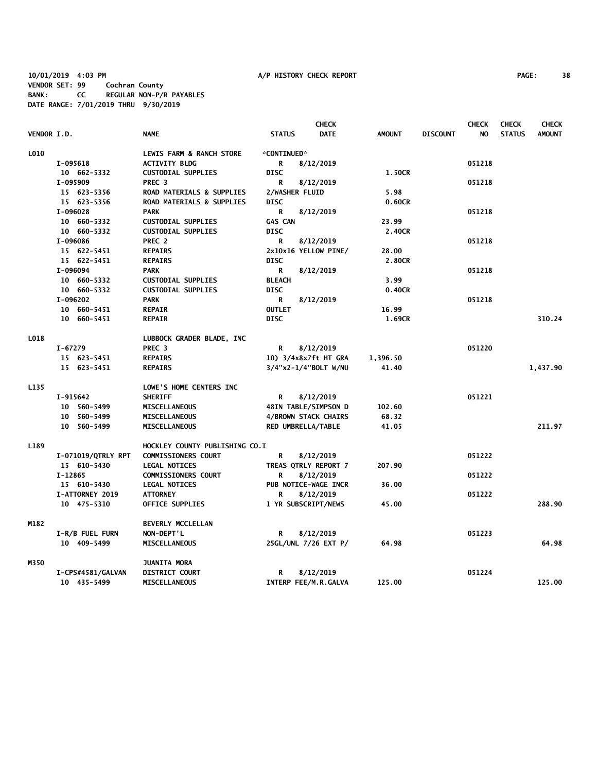**10/01/2019 4:03 PM A/P HISTORY CHECK REPORT PAGE: 38 VENDOR SET: 99 Cochran County BANK: CC REGULAR NON-P/R PAYABLES DATE RANGE: 7/01/2019 THRU 9/30/2019**

|                    |                    |                                      | <b>CHECK</b>                 |               |                 | <b>CHECK</b> | <b>CHECK</b>  | <b>CHECK</b>  |
|--------------------|--------------------|--------------------------------------|------------------------------|---------------|-----------------|--------------|---------------|---------------|
| <b>VENDOR I.D.</b> |                    | <b>NAME</b>                          | <b>DATE</b><br><b>STATUS</b> | <b>AMOUNT</b> | <b>DISCOUNT</b> | NO.          | <b>STATUS</b> | <b>AMOUNT</b> |
| L010               |                    | LEWIS FARM & RANCH STORE             | *CONTINUED*                  |               |                 |              |               |               |
|                    | I-095618           | <b>ACTIVITY BLDG</b>                 | 8/12/2019<br>R               |               |                 | 051218       |               |               |
|                    | 10 662-5332        | <b>CUSTODIAL SUPPLIES</b>            | <b>DISC</b>                  | 1.50CR        |                 |              |               |               |
|                    | I-095909           | PREC <sub>3</sub>                    | R<br>8/12/2019               |               |                 | 051218       |               |               |
|                    | 15 623-5356        | <b>ROAD MATERIALS &amp; SUPPLIES</b> | 2/WASHER FLUID               | 5.98          |                 |              |               |               |
|                    | 15 623-5356        | <b>ROAD MATERIALS &amp; SUPPLIES</b> | <b>DISC</b>                  | 0.60CR        |                 |              |               |               |
|                    | I-096028           | <b>PARK</b>                          | R<br>8/12/2019               |               |                 | 051218       |               |               |
|                    | 10 660-5332        | <b>CUSTODIAL SUPPLIES</b>            | <b>GAS CAN</b>               | 23.99         |                 |              |               |               |
|                    | 10 660-5332        | <b>CUSTODIAL SUPPLIES</b>            | <b>DISC</b>                  | 2.40CR        |                 |              |               |               |
|                    | I-096086           | PREC 2                               | 8/12/2019<br>R               |               |                 | 051218       |               |               |
|                    | 15 622-5451        | <b>REPAIRS</b>                       | 2x10x16 YELLOW PINE/         | 28.00         |                 |              |               |               |
|                    | 15 622-5451        | <b>REPAIRS</b>                       | <b>DISC</b>                  | 2.80CR        |                 |              |               |               |
|                    | I-096094           | PARK                                 | R<br>8/12/2019               |               |                 | 051218       |               |               |
|                    | 10 660-5332        | <b>CUSTODIAL SUPPLIES</b>            | <b>BLEACH</b>                | 3.99          |                 |              |               |               |
|                    | 10 660-5332        | <b>CUSTODIAL SUPPLIES</b>            | <b>DISC</b>                  | 0.40CR        |                 |              |               |               |
|                    | I-096202           | <b>PARK</b>                          | R<br>8/12/2019               |               |                 | 051218       |               |               |
|                    | 10 660-5451        | <b>REPAIR</b>                        | <b>OUTLET</b>                | 16.99         |                 |              |               |               |
|                    | 10 660-5451        | <b>REPAIR</b>                        | <b>DISC</b>                  | 1.69CR        |                 |              |               | 310.24        |
| L018               |                    | LUBBOCK GRADER BLADE, INC            |                              |               |                 |              |               |               |
|                    | I-67279            | PREC <sub>3</sub>                    | 8/12/2019<br>R               |               |                 | 051220       |               |               |
|                    | 15 623-5451        | <b>REPAIRS</b>                       | 10) 3/4x8x7ft HT GRA         | 1,396.50      |                 |              |               |               |
|                    | 15 623-5451        | <b>REPAIRS</b>                       | $3/4$ "x2-1/4"BOLT W/NU      | 41.40         |                 |              |               | 1,437.90      |
| L135               |                    | LOWE'S HOME CENTERS INC              |                              |               |                 |              |               |               |
|                    | I-915642           | <b>SHERIFF</b>                       | 8/12/2019<br>R               |               |                 | 051221       |               |               |
|                    | 10 560-5499        | <b>MISCELLANEOUS</b>                 | 48IN TABLE/SIMPSON D         | 102.60        |                 |              |               |               |
|                    | 10 560-5499        | <b>MISCELLANEOUS</b>                 | 4/BROWN STACK CHAIRS         | 68.32         |                 |              |               |               |
|                    | 10 560-5499        | MISCELLANEOUS                        | RED UMBRELLA/TABLE           | 41.05         |                 |              |               | 211.97        |
| L189               |                    | HOCKLEY COUNTY PUBLISHING CO.I       |                              |               |                 |              |               |               |
|                    | I-071019/QTRLY RPT | <b>COMMISSIONERS COURT</b>           | R<br>8/12/2019               |               |                 | 051222       |               |               |
|                    | 15 610-5430        | <b>LEGAL NOTICES</b>                 | TREAS QTRLY REPORT 7         | 207.90        |                 |              |               |               |
|                    | $I-12865$          | <b>COMMISSIONERS COURT</b>           | R<br>8/12/2019               |               |                 | 051222       |               |               |
|                    | 15 610-5430        | <b>LEGAL NOTICES</b>                 | PUB NOTICE-WAGE INCR         | 36.00         |                 |              |               |               |
|                    | I-ATTORNEY 2019    | <b>ATTORNEY</b>                      | R<br>8/12/2019               |               |                 | 051222       |               |               |
|                    | 10 475-5310        | OFFICE SUPPLIES                      | 1 YR SUBSCRIPT/NEWS          | 45.00         |                 |              |               | 288.90        |
| M182               |                    | BEVERLY MCCLELLAN                    |                              |               |                 |              |               |               |
|                    | I-R/B FUEL FURN    | NON-DEPT'L                           | 8/12/2019<br>R               |               |                 | 051223       |               |               |
|                    | 10 409-5499        | <b>MISCELLANEOUS</b>                 | 25GL/UNL 7/26 EXT P/         | 64.98         |                 |              |               | 64.98         |
| M350               |                    | <b>JUANITA MORA</b>                  |                              |               |                 |              |               |               |
|                    | I-CPS#4581/GALVAN  | <b>DISTRICT COURT</b>                | 8/12/2019<br>R               |               |                 | 051224       |               |               |
|                    | 10 435-5499        | <b>MISCELLANEOUS</b>                 | INTERP FEE/M.R.GALVA         | 125.00        |                 |              |               | 125.00        |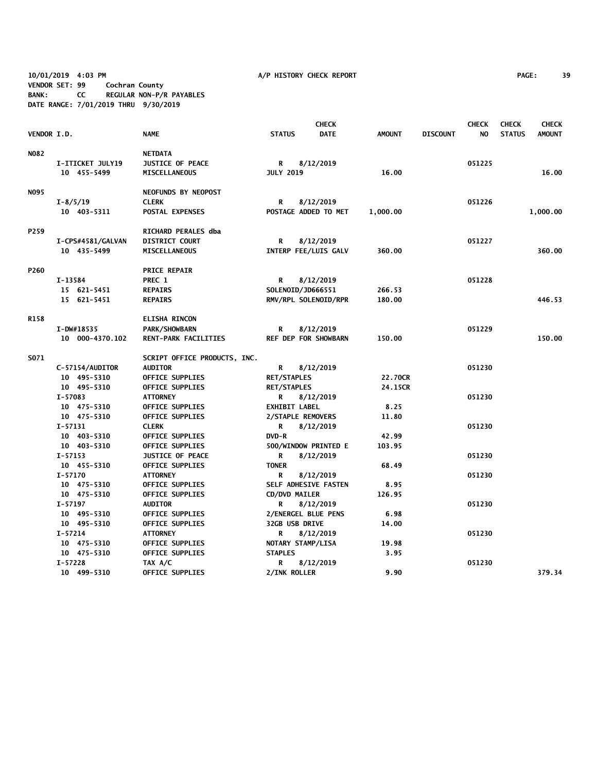**10/01/2019 4:03 PM A/P HISTORY CHECK REPORT PAGE: 39 VENDOR SET: 99 Cochran County BANK: CC REGULAR NON-P/R PAYABLES DATE RANGE: 7/01/2019 THRU 9/30/2019**

|                    | <b>CHECK</b>      |                              |                       |                             |               | <b>CHECK</b>    | <b>CHECK</b> | <b>CHECK</b>  |               |
|--------------------|-------------------|------------------------------|-----------------------|-----------------------------|---------------|-----------------|--------------|---------------|---------------|
| <b>VENDOR I.D.</b> |                   | <b>NAME</b>                  | <b>STATUS</b>         | <b>DATE</b>                 | <b>AMOUNT</b> | <b>DISCOUNT</b> | NO.          | <b>STATUS</b> | <b>AMOUNT</b> |
| <b>NO82</b>        |                   | <b>NETDATA</b>               |                       |                             |               |                 |              |               |               |
|                    | I-ITICKET JULY19  | <b>JUSTICE OF PEACE</b>      | R                     | 8/12/2019                   |               |                 | 051225       |               |               |
|                    | 10 455-5499       | <b>MISCELLANEOUS</b>         | <b>JULY 2019</b>      |                             | 16.00         |                 |              |               | 16.00         |
| NO95               |                   | NEOFUNDS BY NEOPOST          |                       |                             |               |                 |              |               |               |
|                    | $I - 8/5/19$      | <b>CLERK</b>                 | R                     | 8/12/2019                   |               |                 | 051226       |               |               |
|                    | 10 403-5311       | POSTAL EXPENSES              |                       | POSTAGE ADDED TO MET        | 1,000.00      |                 |              |               | 1,000.00      |
| P259               |                   | RICHARD PERALES dba          |                       |                             |               |                 |              |               |               |
|                    | I-CPS#4581/GALVAN | <b>DISTRICT COURT</b>        | R                     | 8/12/2019                   |               |                 | 051227       |               |               |
|                    | 10 435-5499       | <b>MISCELLANEOUS</b>         |                       | INTERP FEE/LUIS GALV        | 360.00        |                 |              |               | 360.00        |
| P260               |                   | <b>PRICE REPAIR</b>          |                       |                             |               |                 |              |               |               |
|                    | I-13584           | PREC 1                       | R                     | 8/12/2019                   |               |                 | 051228       |               |               |
|                    | 15 621-5451       | <b>REPAIRS</b>               | SOLENOID/JD666551     |                             | 266.53        |                 |              |               |               |
|                    | 15 621-5451       | <b>REPAIRS</b>               |                       | RMV/RPL SOLENOID/RPR        | 180.00        |                 |              |               | 446.53        |
| R158               |                   | <b>ELISHA RINCON</b>         |                       |                             |               |                 |              |               |               |
|                    | I-DW#18535        | PARK/SHOWBARN                | R                     | 8/12/2019                   |               |                 | 051229       |               |               |
|                    | 10 000-4370.102   | <b>RENT-PARK FACILITIES</b>  |                       | <b>REF DEP FOR SHOWBARN</b> | 150.00        |                 |              |               | 150.00        |
| S071               |                   | SCRIPT OFFICE PRODUCTS, INC. |                       |                             |               |                 |              |               |               |
|                    | C-57154/AUDITOR   | <b>AUDITOR</b>               | R                     | 8/12/2019                   |               |                 | 051230       |               |               |
|                    | 10 495-5310       | OFFICE SUPPLIES              | <b>RET/STAPLES</b>    |                             | 22.70CR       |                 |              |               |               |
|                    | 10 495-5310       | <b>OFFICE SUPPLIES</b>       | <b>RET/STAPLES</b>    |                             | 24.15CR       |                 |              |               |               |
|                    | $I - 57083$       | <b>ATTORNEY</b>              | R                     | 8/12/2019                   |               |                 | 051230       |               |               |
|                    | 10 475-5310       | OFFICE SUPPLIES              | <b>EXHIBIT LABEL</b>  |                             | 8.25          |                 |              |               |               |
|                    | 10 475-5310       | <b>OFFICE SUPPLIES</b>       | 2/STAPLE REMOVERS     |                             | 11.80         |                 |              |               |               |
|                    | $I-57131$         | <b>CLERK</b>                 | R                     | 8/12/2019                   |               |                 | 051230       |               |               |
|                    | 10 403-5310       | <b>OFFICE SUPPLIES</b>       | DVD-R                 |                             | 42.99         |                 |              |               |               |
|                    | 10 403-5310       | <b>OFFICE SUPPLIES</b>       |                       | 500/WINDOW PRINTED E        | 103.95        |                 |              |               |               |
|                    | I-57153           | <b>JUSTICE OF PEACE</b>      | R                     | 8/12/2019                   |               |                 | 051230       |               |               |
|                    | 10 455-5310       | <b>OFFICE SUPPLIES</b>       | <b>TONER</b>          |                             | 68.49         |                 |              |               |               |
|                    | I-57170           | <b>ATTORNEY</b>              | R                     | 8/12/2019                   |               |                 | 051230       |               |               |
|                    | 10 475-5310       | OFFICE SUPPLIES              |                       | SELF ADHESIVE FASTEN        | 8.95          |                 |              |               |               |
|                    | 10 475-5310       | <b>OFFICE SUPPLIES</b>       | <b>CD/DVD MAILER</b>  |                             | 126.95        |                 |              |               |               |
|                    | $I-57197$         | <b>AUDITOR</b>               | R                     | 8/12/2019                   |               |                 | 051230       |               |               |
|                    | 10 495-5310       | OFFICE SUPPLIES              | 2/ENERGEL BLUE PENS   |                             | 6.98          |                 |              |               |               |
|                    | 10 495-5310       | OFFICE SUPPLIES              | <b>32GB USB DRIVE</b> |                             | 14.00         |                 |              |               |               |
|                    | $I - 57214$       | <b>ATTORNEY</b>              | R                     | 8/12/2019                   |               |                 | 051230       |               |               |
|                    | 10 475-5310       | OFFICE SUPPLIES              | NOTARY STAMP/LISA     |                             | 19.98         |                 |              |               |               |
|                    | 10 475-5310       | OFFICE SUPPLIES              | <b>STAPLES</b>        |                             | 3.95          |                 |              |               |               |
|                    | I-57228           | TAX A/C                      | R                     | 8/12/2019                   |               |                 | 051230       |               |               |
|                    | 10 499-5310       | <b>OFFICE SUPPLIES</b>       | 2/INK ROLLER          |                             | 9.90          |                 |              |               | 379.34        |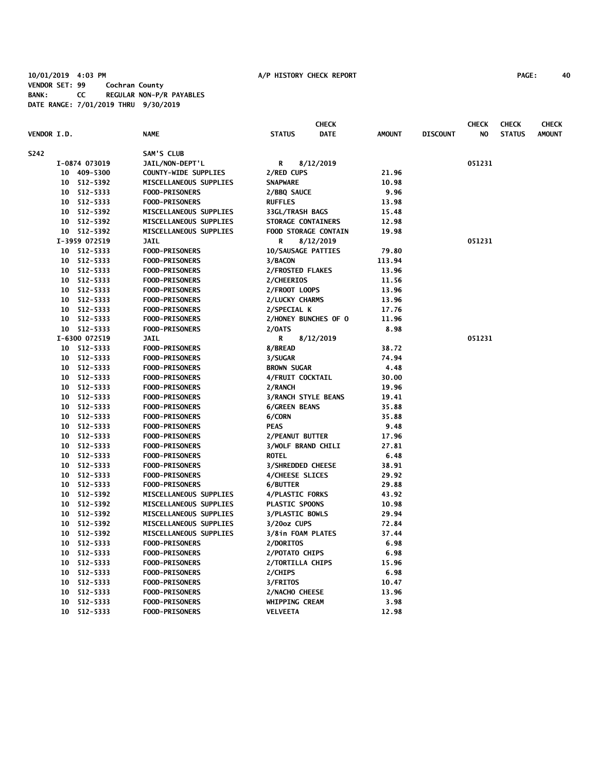|                    |    |               |                        |                           | <b>CHECK</b>                |               |                 | <b>CHECK</b> | <b>CHECK</b>  | <b>CHECK</b>  |
|--------------------|----|---------------|------------------------|---------------------------|-----------------------------|---------------|-----------------|--------------|---------------|---------------|
| <b>VENDOR I.D.</b> |    |               | <b>NAME</b>            | <b>STATUS</b>             | <b>DATE</b>                 | <b>AMOUNT</b> | <b>DISCOUNT</b> | NO           | <b>STATUS</b> | <b>AMOUNT</b> |
| S242               |    |               | SAM'S CLUB             |                           |                             |               |                 |              |               |               |
|                    |    | I-0874 073019 | JAIL/NON-DEPT'L        | R                         | 8/12/2019                   |               |                 | 051231       |               |               |
|                    |    | 10 409-5300   | COUNTY-WIDE SUPPLIES   | 2/RED CUPS                |                             | 21.96         |                 |              |               |               |
|                    |    | 10 512-5392   | MISCELLANEOUS SUPPLIES | <b>SNAPWARE</b>           |                             | 10.98         |                 |              |               |               |
|                    |    | 10 512-5333   | <b>FOOD-PRISONERS</b>  | 2/BBQ SAUCE               |                             | 9.96          |                 |              |               |               |
|                    |    | 10 512-5333   | <b>FOOD-PRISONERS</b>  | <b>RUFFLES</b>            |                             | 13.98         |                 |              |               |               |
|                    |    | 10 512-5392   | MISCELLANEOUS SUPPLIES | 33GL/TRASH BAGS           |                             | 15.48         |                 |              |               |               |
|                    |    | 10 512-5392   | MISCELLANEOUS SUPPLIES | STORAGE CONTAINERS        |                             | 12.98         |                 |              |               |               |
|                    |    | 10 512-5392   | MISCELLANEOUS SUPPLIES |                           | <b>FOOD STORAGE CONTAIN</b> | 19.98         |                 |              |               |               |
|                    |    | I-3959 072519 | <b>JAIL</b>            | R                         | 8/12/2019                   |               |                 | 051231       |               |               |
|                    |    | 10 512-5333   | <b>FOOD-PRISONERS</b>  | <b>10/SAUSAGE PATTIES</b> |                             | 79.80         |                 |              |               |               |
|                    |    | 10 512-5333   | <b>FOOD-PRISONERS</b>  | 3/BACON                   |                             | 113.94        |                 |              |               |               |
|                    |    | 10 512-5333   | <b>FOOD-PRISONERS</b>  | 2/FROSTED FLAKES          |                             | 13.96         |                 |              |               |               |
|                    |    | 10 512-5333   | <b>FOOD-PRISONERS</b>  | 2/CHEERIOS                |                             | 11.56         |                 |              |               |               |
|                    |    | 10 512-5333   | <b>FOOD-PRISONERS</b>  | 2/FROOT LOOPS             |                             | 13.96         |                 |              |               |               |
|                    |    | 10 512-5333   | <b>FOOD-PRISONERS</b>  | 2/LUCKY CHARMS            |                             | 13.96         |                 |              |               |               |
|                    |    | 10 512-5333   | <b>FOOD-PRISONERS</b>  | 2/SPECIAL K               |                             | 17.76         |                 |              |               |               |
|                    |    | 10 512-5333   | <b>FOOD-PRISONERS</b>  |                           | 2/HONEY BUNCHES OF 0        | 11.96         |                 |              |               |               |
|                    |    | 10 512-5333   | <b>FOOD-PRISONERS</b>  | 2/0ATS                    |                             | 8.98          |                 |              |               |               |
|                    |    | I-6300 072519 | <b>JAIL</b>            | R                         | 8/12/2019                   |               |                 | 051231       |               |               |
|                    |    | 10 512-5333   | <b>FOOD-PRISONERS</b>  | 8/BREAD                   |                             | 38.72         |                 |              |               |               |
|                    |    | 10 512-5333   | <b>FOOD-PRISONERS</b>  | 3/SUGAR                   |                             | 74.94         |                 |              |               |               |
|                    |    | 10 512-5333   | <b>FOOD-PRISONERS</b>  | <b>BROWN SUGAR</b>        |                             | 4.48          |                 |              |               |               |
|                    |    | 10 512-5333   | <b>FOOD-PRISONERS</b>  | 4/FRUIT COCKTAIL          |                             | 30.00         |                 |              |               |               |
|                    |    | 10 512-5333   | <b>FOOD-PRISONERS</b>  | 2/RANCH                   |                             | 19.96         |                 |              |               |               |
|                    |    | 10 512-5333   | <b>FOOD-PRISONERS</b>  | 3/RANCH STYLE BEANS       |                             | 19.41         |                 |              |               |               |
|                    |    | 10 512-5333   | <b>FOOD-PRISONERS</b>  | <b>6/GREEN BEANS</b>      |                             | 35.88         |                 |              |               |               |
|                    |    | 10 512-5333   | <b>FOOD-PRISONERS</b>  | 6/CORN                    |                             | 35.88         |                 |              |               |               |
|                    |    | 10 512-5333   | <b>FOOD-PRISONERS</b>  | <b>PEAS</b>               |                             | 9.48          |                 |              |               |               |
|                    |    | 10 512-5333   | <b>FOOD-PRISONERS</b>  | 2/PEANUT BUTTER           |                             | 17.96         |                 |              |               |               |
|                    |    | 10 512-5333   | <b>FOOD-PRISONERS</b>  | <b>3/WOLF BRAND CHILI</b> |                             | 27.81         |                 |              |               |               |
|                    |    | 10 512-5333   | <b>FOOD-PRISONERS</b>  | <b>ROTEL</b>              |                             | 6.48          |                 |              |               |               |
|                    |    | 10 512-5333   | <b>FOOD-PRISONERS</b>  | <b>3/SHREDDED CHEESE</b>  |                             | 38.91         |                 |              |               |               |
|                    |    | 10 512-5333   | <b>FOOD-PRISONERS</b>  | 4/CHEESE SLICES           |                             | 29.92         |                 |              |               |               |
|                    |    | 10 512-5333   | <b>FOOD-PRISONERS</b>  | 6/BUTTER                  |                             | 29.88         |                 |              |               |               |
|                    |    | 10 512-5392   | MISCELLANEOUS SUPPLIES | 4/PLASTIC FORKS           |                             | 43.92         |                 |              |               |               |
|                    |    | 10 512-5392   | MISCELLANEOUS SUPPLIES | PLASTIC SPOONS            |                             | 10.98         |                 |              |               |               |
|                    |    | 10 512-5392   | MISCELLANEOUS SUPPLIES | <b>3/PLASTIC BOWLS</b>    |                             | 29.94         |                 |              |               |               |
|                    |    | 10 512-5392   | MISCELLANEOUS SUPPLIES | 3/20oz CUPS               |                             | 72.84         |                 |              |               |               |
|                    |    | 10 512-5392   | MISCELLANEOUS SUPPLIES | 3/8in FOAM PLATES         |                             | 37.44         |                 |              |               |               |
|                    |    | 10 512-5333   | <b>FOOD-PRISONERS</b>  | 2/DORITOS                 |                             | 6.98          |                 |              |               |               |
|                    |    | 10 512-5333   | <b>FOOD-PRISONERS</b>  | 2/POTATO CHIPS            |                             | 6.98          |                 |              |               |               |
|                    |    | 10 512-5333   | <b>FOOD-PRISONERS</b>  | 2/TORTILLA CHIPS          |                             | 15.96         |                 |              |               |               |
|                    |    | 10 512-5333   | <b>FOOD-PRISONERS</b>  | 2/CHIPS                   |                             | 6.98          |                 |              |               |               |
|                    |    | 10 512-5333   | FOOD-PRISONERS         | 3/FRITOS                  |                             | 10.47         |                 |              |               |               |
|                    | 10 | 512-5333      | <b>FOOD-PRISONERS</b>  | 2/NACHO CHEESE            |                             | 13.96         |                 |              |               |               |
|                    | 10 | 512-5333      | <b>FOOD-PRISONERS</b>  | WHIPPING CREAM            |                             | 3.98          |                 |              |               |               |
|                    |    | 10 512-5333   | <b>FOOD-PRISONERS</b>  | VELVEETA                  |                             | 12.98         |                 |              |               |               |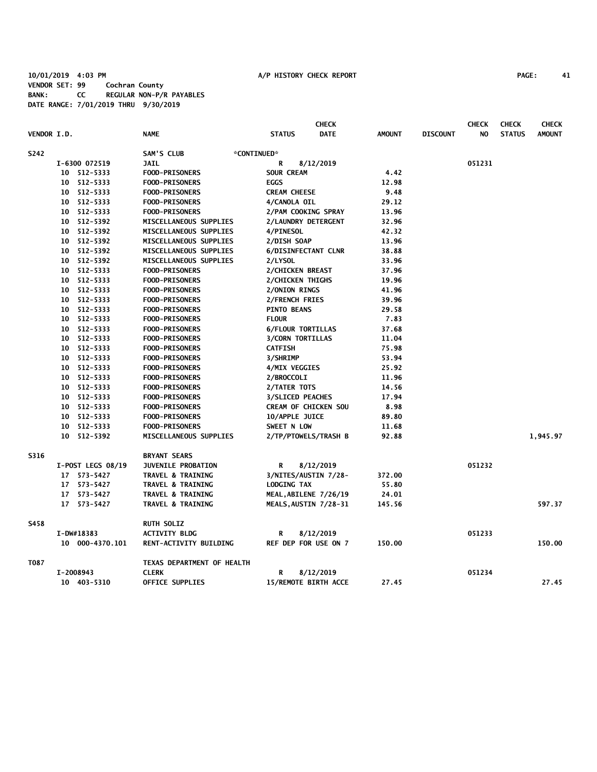## **10/01/2019 4:03 PM A/P HISTORY CHECK REPORT PAGE: 41 VENDOR SET: 99 Cochran County BANK: CC REGULAR NON-P/R PAYABLES DATE RANGE: 7/01/2019 THRU 9/30/2019**

|                    |                   |                              |                             | <b>CHECK</b> |               |                 | <b>CHECK</b> | <b>CHECK</b>  | <b>CHECK</b>  |
|--------------------|-------------------|------------------------------|-----------------------------|--------------|---------------|-----------------|--------------|---------------|---------------|
| <b>VENDOR I.D.</b> |                   | <b>NAME</b>                  | <b>STATUS</b>               | <b>DATE</b>  | <b>AMOUNT</b> | <b>DISCOUNT</b> | NO           | <b>STATUS</b> | <b>AMOUNT</b> |
| S242               |                   | SAM'S CLUB<br>*CONTINUED*    |                             |              |               |                 |              |               |               |
|                    | I-6300 072519     | <b>JAIL</b>                  | R                           | 8/12/2019    |               |                 | 051231       |               |               |
|                    | 10 512-5333       | <b>FOOD-PRISONERS</b>        | <b>SOUR CREAM</b>           |              | 4.42          |                 |              |               |               |
| 10                 | 512-5333          | <b>FOOD-PRISONERS</b>        | <b>EGGS</b>                 |              | 12.98         |                 |              |               |               |
| 10                 | 512-5333          | <b>FOOD-PRISONERS</b>        | <b>CREAM CHEESE</b>         |              | 9.48          |                 |              |               |               |
|                    | 10 512-5333       | <b>FOOD-PRISONERS</b>        | 4/CANOLA OIL                |              | 29.12         |                 |              |               |               |
|                    | 10 512-5333       | <b>FOOD-PRISONERS</b>        | 2/PAM COOKING SPRAY         |              | 13.96         |                 |              |               |               |
|                    | 10 512-5392       | MISCELLANEOUS SUPPLIES       | 2/LAUNDRY DETERGENT         |              | 32.96         |                 |              |               |               |
|                    | 10 512-5392       | MISCELLANEOUS SUPPLIES       | <b>4/PINESOL</b>            |              | 42.32         |                 |              |               |               |
|                    | 10 512-5392       | MISCELLANEOUS SUPPLIES       | 2/DISH SOAP                 |              | 13.96         |                 |              |               |               |
|                    | 10 512-5392       | MISCELLANEOUS SUPPLIES       | <b>6/DISINFECTANT CLNR</b>  |              | 38.88         |                 |              |               |               |
|                    | 10 512-5392       | MISCELLANEOUS SUPPLIES       | 2/LYSOL                     |              | 33.96         |                 |              |               |               |
|                    | 10 512-5333       | <b>FOOD-PRISONERS</b>        | 2/CHICKEN BREAST            |              | 37.96         |                 |              |               |               |
|                    | 10 512-5333       | <b>FOOD-PRISONERS</b>        | 2/CHICKEN THIGHS            |              | 19.96         |                 |              |               |               |
|                    | 10 512-5333       | <b>FOOD-PRISONERS</b>        | 2/ONION RINGS               |              | 41.96         |                 |              |               |               |
|                    | 10 512-5333       | <b>FOOD-PRISONERS</b>        | 2/FRENCH FRIES              |              | 39.96         |                 |              |               |               |
|                    | 10 512-5333       | <b>FOOD-PRISONERS</b>        | <b>PINTO BEANS</b>          |              | 29.58         |                 |              |               |               |
|                    | 10 512-5333       | <b>FOOD-PRISONERS</b>        | <b>FLOUR</b>                |              | 7.83          |                 |              |               |               |
|                    | 10 512-5333       | <b>FOOD-PRISONERS</b>        | <b>6/FLOUR TORTILLAS</b>    |              | 37.68         |                 |              |               |               |
|                    | 10 512-5333       | <b>FOOD-PRISONERS</b>        | <b>3/CORN TORTILLAS</b>     |              | 11.04         |                 |              |               |               |
|                    | 10 512-5333       | <b>FOOD-PRISONERS</b>        | <b>CATFISH</b>              |              | 75.98         |                 |              |               |               |
|                    | 10 512-5333       | <b>FOOD-PRISONERS</b>        | 3/SHRIMP                    |              | 53.94         |                 |              |               |               |
|                    | 10 512-5333       | <b>FOOD-PRISONERS</b>        | 4/MIX VEGGIES               |              | 25.92         |                 |              |               |               |
|                    | 10 512-5333       | <b>FOOD-PRISONERS</b>        | 2/BROCCOLI                  |              | 11.96         |                 |              |               |               |
|                    | 10 512-5333       | <b>FOOD-PRISONERS</b>        | 2/TATER TOTS                |              | 14.56         |                 |              |               |               |
|                    | 10 512-5333       | <b>FOOD-PRISONERS</b>        | <b>3/SLICED PEACHES</b>     |              | 17.94         |                 |              |               |               |
|                    | 10 512-5333       | <b>FOOD-PRISONERS</b>        | <b>CREAM OF CHICKEN SOU</b> |              | 8.98          |                 |              |               |               |
| 10                 | 512-5333          | <b>FOOD-PRISONERS</b>        | 10/APPLE JUICE              |              | 89.80         |                 |              |               |               |
| 10                 | 512-5333          | <b>FOOD-PRISONERS</b>        | SWEET N LOW                 |              | 11.68         |                 |              |               |               |
|                    | 10 512-5392       | MISCELLANEOUS SUPPLIES       | 2/TP/PTOWELS/TRASH B        |              | 92.88         |                 |              |               | 1,945.97      |
|                    |                   |                              |                             |              |               |                 |              |               |               |
| S316               |                   | <b>BRYANT SEARS</b>          |                             |              |               |                 |              |               |               |
|                    | I-POST LEGS 08/19 | JUVENILE PROBATION           | R                           | 8/12/2019    |               |                 | 051232       |               |               |
|                    | 17 573-5427       | <b>TRAVEL &amp; TRAINING</b> | 3/NITES/AUSTIN 7/28-        |              | 372.00        |                 |              |               |               |
|                    | 17 573-5427       | <b>TRAVEL &amp; TRAINING</b> | <b>LODGING TAX</b>          |              | 55.80         |                 |              |               |               |
|                    | 17 573-5427       | <b>TRAVEL &amp; TRAINING</b> | MEAL, ABILENE 7/26/19       |              | 24.01         |                 |              |               |               |
|                    | 17 573-5427       | TRAVEL & TRAINING            | MEALS, AUSTIN 7/28-31       |              | 145.56        |                 |              |               | 597.37        |
| S458               |                   | <b>RUTH SOLIZ</b>            |                             |              |               |                 |              |               |               |
|                    | I-DW#18383        | <b>ACTIVITY BLDG</b>         | R                           | 8/12/2019    |               |                 | 051233       |               |               |
|                    | 10 000-4370.101   | RENT-ACTIVITY BUILDING       | <b>REF DEP FOR USE ON 7</b> |              | 150.00        |                 |              |               | 150.00        |
| T087               |                   | TEXAS DEPARTMENT OF HEALTH   |                             |              |               |                 |              |               |               |
|                    | I-2008943         | <b>CLERK</b>                 | R                           | 8/12/2019    |               |                 | 051234       |               |               |
|                    | 10 403-5310       | <b>OFFICE SUPPLIES</b>       | 15/REMOTE BIRTH ACCE        |              | 27.45         |                 |              |               | 27.45         |
|                    |                   |                              |                             |              |               |                 |              |               |               |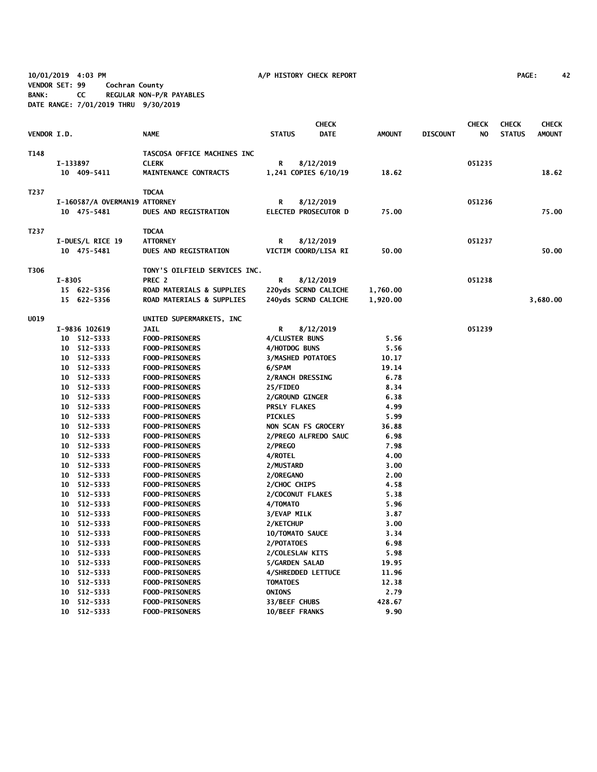**10/01/2019 4:03 PM A/P HISTORY CHECK REPORT PAGE: 42 VENDOR SET: 99 Cochran County BANK: CC REGULAR NON-P/R PAYABLES DATE RANGE: 7/01/2019 THRU 9/30/2019**

|             |        |                               |                               |                          | <b>CHECK</b>                |               |                 | <b>CHECK</b> | <b>CHECK</b>  | <b>CHECK</b>  |
|-------------|--------|-------------------------------|-------------------------------|--------------------------|-----------------------------|---------------|-----------------|--------------|---------------|---------------|
| VENDOR I.D. |        |                               | <b>NAME</b>                   | <b>STATUS</b>            | <b>DATE</b>                 | <b>AMOUNT</b> | <b>DISCOUNT</b> | NO           | <b>STATUS</b> | <b>AMOUNT</b> |
| T148        |        |                               | TASCOSA OFFICE MACHINES INC   |                          |                             |               |                 |              |               |               |
|             |        | I-133897                      | <b>CLERK</b>                  | R                        | 8/12/2019                   |               |                 | 051235       |               |               |
|             |        | 10 409-5411                   | MAINTENANCE CONTRACTS         |                          | 1,241 COPIES 6/10/19        | 18.62         |                 |              |               | 18.62         |
| T237        |        |                               | <b>TDCAA</b>                  |                          |                             |               |                 |              |               |               |
|             |        |                               |                               |                          |                             |               |                 |              |               |               |
|             |        | I-160587/A OVERMAN19 ATTORNEY |                               | R                        | 8/12/2019                   |               |                 | 051236       |               |               |
|             |        | 10 475-5481                   | <b>DUES AND REGISTRATION</b>  |                          | <b>ELECTED PROSECUTOR D</b> | 75.00         |                 |              |               | 75.00         |
| T237        |        |                               | <b>TDCAA</b>                  |                          |                             |               |                 |              |               |               |
|             |        | I-DUES/L RICE 19              | <b>ATTORNEY</b>               | R                        | 8/12/2019                   |               |                 | 051237       |               |               |
|             |        | 10 475-5481                   | DUES AND REGISTRATION         |                          | VICTIM COORD/LISA RI        | 50.00         |                 |              |               | 50.00         |
| T306        |        |                               | TONY'S OILFIELD SERVICES INC. |                          |                             |               |                 |              |               |               |
|             | I-8305 |                               | PREC <sub>2</sub>             | R                        | 8/12/2019                   |               |                 | 051238       |               |               |
|             |        | 15 622-5356                   | ROAD MATERIALS & SUPPLIES     |                          | 220yds SCRND CALICHE        | 1,760.00      |                 |              |               |               |
|             |        | 15 622-5356                   | ROAD MATERIALS & SUPPLIES     |                          | 240yds SCRND CALICHE        | 1,920.00      |                 |              |               | 3,680.00      |
|             |        |                               |                               |                          |                             |               |                 |              |               |               |
| <b>U019</b> |        |                               | UNITED SUPERMARKETS, INC      |                          |                             |               |                 |              |               |               |
|             |        | I-9836 102619                 | <b>JAIL</b>                   | R                        | 8/12/2019                   |               |                 | 051239       |               |               |
|             |        | 10 512-5333                   | <b>FOOD-PRISONERS</b>         | 4/CLUSTER BUNS           |                             | 5.56          |                 |              |               |               |
|             |        | 10 512-5333                   | <b>FOOD-PRISONERS</b>         | 4/HOTDOG BUNS            |                             | 5.56          |                 |              |               |               |
|             | 10     | 512-5333                      | <b>FOOD-PRISONERS</b>         | <b>3/MASHED POTATOES</b> |                             | 10.17         |                 |              |               |               |
|             | 10     | 512-5333                      | <b>FOOD-PRISONERS</b>         | 6/SPAM                   |                             | 19.14         |                 |              |               |               |
|             | 10     | 512-5333                      | <b>FOOD-PRISONERS</b>         | 2/RANCH DRESSING         |                             | 6.78          |                 |              |               |               |
|             | 10     | 512-5333                      | <b>FOOD-PRISONERS</b>         | 25/FIDEO                 |                             | 8.34          |                 |              |               |               |
|             |        | 10 512-5333                   | <b>FOOD-PRISONERS</b>         | 2/GROUND GINGER          |                             | 6.38          |                 |              |               |               |
|             | 10     | 512-5333                      | <b>FOOD-PRISONERS</b>         | <b>PRSLY FLAKES</b>      |                             | 4.99          |                 |              |               |               |
|             |        | 10 512-5333                   | <b>FOOD-PRISONERS</b>         | <b>PICKLES</b>           |                             | 5.99          |                 |              |               |               |
|             |        | 10 512-5333                   | <b>FOOD-PRISONERS</b>         | NON SCAN FS GROCERY      |                             | 36.88         |                 |              |               |               |
|             |        | 10 512-5333                   | <b>FOOD-PRISONERS</b>         |                          | 2/PREGO ALFREDO SAUC        | 6.98          |                 |              |               |               |
|             |        | 10 512-5333                   | <b>FOOD-PRISONERS</b>         | 2/PREGO                  |                             | 7.98          |                 |              |               |               |
|             |        | 10 512-5333                   | <b>FOOD-PRISONERS</b>         | 4/ROTEL                  |                             | 4.00          |                 |              |               |               |
|             | 10     | 512-5333                      | <b>FOOD-PRISONERS</b>         | 2/MUSTARD                |                             | 3.00          |                 |              |               |               |
|             |        | 10 512-5333                   | <b>FOOD-PRISONERS</b>         | 2/OREGANO                |                             | 2.00          |                 |              |               |               |
|             | 10     | 512-5333                      | FOOD-PRISONERS                | 2/CHOC CHIPS             |                             | 4.58          |                 |              |               |               |
|             |        | 10 512-5333                   | <b>FOOD-PRISONERS</b>         | 2/COCONUT FLAKES         |                             | 5.38          |                 |              |               |               |
|             | 10     | 512-5333                      | <b>FOOD-PRISONERS</b>         | 4/TOMATO                 |                             | 5.96          |                 |              |               |               |
|             |        | 10 512-5333                   | <b>FOOD-PRISONERS</b>         | 3/EVAP MILK              |                             | 3.87          |                 |              |               |               |
|             | 10     | 512-5333                      | <b>FOOD-PRISONERS</b>         | 2/KETCHUP                |                             | 3.00          |                 |              |               |               |
|             | 10     | 512-5333                      | <b>FOOD-PRISONERS</b>         | <b>10/TOMATO SAUCE</b>   |                             | 3.34          |                 |              |               |               |
|             | 10     | 512-5333                      | <b>FOOD-PRISONERS</b>         | 2/POTATOES               |                             | 6.98          |                 |              |               |               |
|             | 10     | 512-5333                      | <b>FOOD-PRISONERS</b>         | 2/COLESLAW KITS          |                             | 5.98          |                 |              |               |               |
|             | 10     | 512-5333                      | <b>FOOD-PRISONERS</b>         | 5/GARDEN SALAD           |                             | 19.95         |                 |              |               |               |
|             | 10     | 512-5333                      | <b>FOOD-PRISONERS</b>         | 4/SHREDDED LETTUCE       |                             | 11.96         |                 |              |               |               |
|             | 10     | 512-5333                      | <b>FOOD-PRISONERS</b>         | <b>TOMATOES</b>          |                             | 12.38         |                 |              |               |               |
|             | 10     | 512-5333                      | <b>FOOD-PRISONERS</b>         | <b>ONIONS</b>            |                             | 2.79          |                 |              |               |               |
|             | 10     | 512-5333                      | <b>FOOD-PRISONERS</b>         | 33/BEEF CHUBS            |                             | 428.67        |                 |              |               |               |
|             | 10     | 512-5333                      | <b>FOOD-PRISONERS</b>         | 10/BEEF FRANKS           |                             | 9.90          |                 |              |               |               |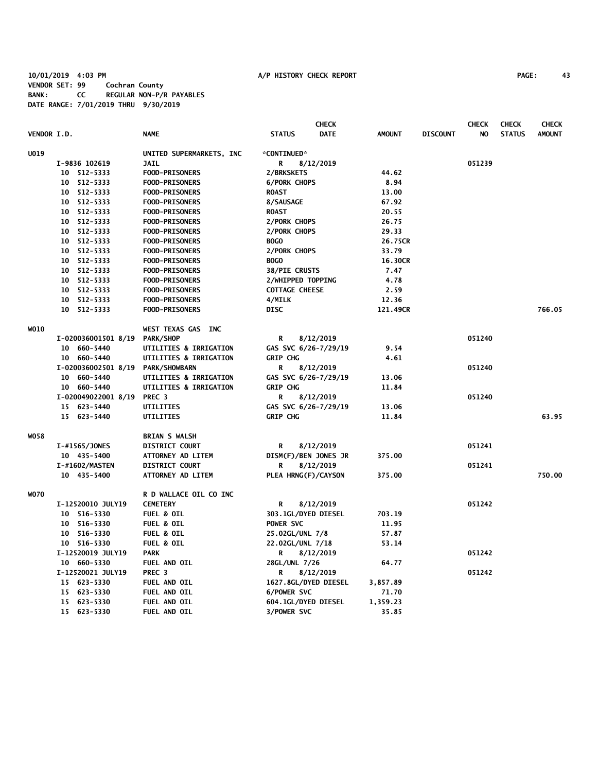## **10/01/2019 4:03 PM A/P HISTORY CHECK REPORT PAGE: 43 VENDOR SET: 99 Cochran County BANK: CC REGULAR NON-P/R PAYABLES DATE RANGE: 7/01/2019 THRU 9/30/2019**

|             |                     |                              | <b>CHECK</b>                 |               |                 | <b>CHECK</b> | <b>CHECK</b>  | <b>CHECK</b>  |
|-------------|---------------------|------------------------------|------------------------------|---------------|-----------------|--------------|---------------|---------------|
| VENDOR I.D. |                     | <b>NAME</b>                  | <b>DATE</b><br><b>STATUS</b> | <b>AMOUNT</b> | <b>DISCOUNT</b> | NO.          | <b>STATUS</b> | <b>AMOUNT</b> |
| U019        |                     | UNITED SUPERMARKETS, INC.    | *CONTINUED*                  |               |                 |              |               |               |
|             | I-9836 102619       | <b>JAIL</b>                  | 8/12/2019<br>R               |               |                 | 051239       |               |               |
|             | 10 512-5333         | <b>FOOD-PRISONERS</b>        | 2/BRKSKETS                   | 44.62         |                 |              |               |               |
|             | 10 512-5333         | <b>FOOD-PRISONERS</b>        | <b>6/PORK CHOPS</b>          | 8.94          |                 |              |               |               |
|             | 10 512-5333         | <b>FOOD-PRISONERS</b>        | <b>ROAST</b>                 | 13.00         |                 |              |               |               |
|             | 10 512-5333         | <b>FOOD-PRISONERS</b>        | 8/SAUSAGE                    | 67.92         |                 |              |               |               |
|             | 10 512-5333         | <b>FOOD-PRISONERS</b>        | <b>ROAST</b>                 | 20.55         |                 |              |               |               |
|             | 10 512-5333         | <b>FOOD-PRISONERS</b>        | 2/PORK CHOPS                 | 26.75         |                 |              |               |               |
|             | 10 512-5333         | <b>FOOD-PRISONERS</b>        | 2/PORK CHOPS                 | 29.33         |                 |              |               |               |
|             | 10 512-5333         | <b>FOOD-PRISONERS</b>        | <b>BOGO</b>                  | 26.75CR       |                 |              |               |               |
|             | 10 512-5333         | <b>FOOD-PRISONERS</b>        | 2/PORK CHOPS                 | 33.79         |                 |              |               |               |
|             | 10 512-5333         | <b>FOOD-PRISONERS</b>        | <b>BOGO</b>                  | 16.30CR       |                 |              |               |               |
|             | 10 512-5333         | <b>FOOD-PRISONERS</b>        | <b>38/PIE CRUSTS</b>         | 7.47          |                 |              |               |               |
|             | 10 512-5333         | <b>FOOD-PRISONERS</b>        | 2/WHIPPED TOPPING            | 4.78          |                 |              |               |               |
|             | 10 512-5333         | <b>FOOD-PRISONERS</b>        | <b>COTTAGE CHEESE</b>        | 2.59          |                 |              |               |               |
|             | 10 512-5333         | <b>FOOD-PRISONERS</b>        | 4/MILK                       | 12.36         |                 |              |               |               |
|             | 10 512-5333         | <b>FOOD-PRISONERS</b>        | DISC                         | 121.49CR      |                 |              |               | 766.05        |
| <b>WO10</b> |                     | WEST TEXAS GAS INC           |                              |               |                 |              |               |               |
|             | I-020036001501 8/19 | PARK/SHOP                    | R<br>8/12/2019               |               |                 | 051240       |               |               |
|             | 10 660-5440         | UTILITIES & IRRIGATION       | GAS SVC 6/26-7/29/19         | 9.54          |                 |              |               |               |
|             | 10 660-5440         | UTILITIES & IRRIGATION       | <b>GRIP CHG</b>              | 4.61          |                 |              |               |               |
|             | I-020036002501 8/19 | PARK/SHOWBARN                | R<br>8/12/2019               |               |                 | 051240       |               |               |
|             | 10 660-5440         | UTILITIES & IRRIGATION       | GAS SVC 6/26-7/29/19         | 13.06         |                 |              |               |               |
|             | 10 660-5440         | UTILITIES & IRRIGATION       | GRIP CHG                     | 11.84         |                 |              |               |               |
|             | I-020049022001 8/19 | PREC <sub>3</sub>            | R<br>8/12/2019               |               |                 | 051240       |               |               |
|             | 15 623-5440         | UTILITIES                    | GAS SVC 6/26-7/29/19         | 13.06         |                 |              |               |               |
|             | 15 623-5440         | UTILITIES                    | <b>GRIP CHG</b>              | 11.84         |                 |              |               | 63.95         |
| W058        |                     | <b>BRIAN S WALSH</b>         |                              |               |                 |              |               |               |
|             | I-#1565/JONES       | <b>DISTRICT COURT</b>        | R<br>8/12/2019               |               |                 | 051241       |               |               |
|             | 10 435-5400         | ATTORNEY AD LITEM            | DISM(F)/BEN JONES JR         | 375.00        |                 |              |               |               |
|             | I-#1602/MASTEN      | <b>DISTRICT COURT</b>        | 8/12/2019<br>R               |               |                 | 051241       |               |               |
|             | 10 435-5400         | ATTORNEY AD LITEM            | PLEA HRNG(F)/CAYSON          | 375.00        |                 |              |               | 750.00        |
| <b>WO70</b> |                     | R D WALLACE OIL CO INC       |                              |               |                 |              |               |               |
|             | I-12520010 JULY19   | <b>CEMETERY</b>              | R<br>8/12/2019               |               |                 | 051242       |               |               |
|             | 10 516-5330         | <b>FUEL &amp; OIL</b>        | 303.1GL/DYED DIESEL          | 703.19        |                 |              |               |               |
|             | 10 516-5330         | <b>FUEL &amp; OIL</b>        | POWER SVC                    | 11.95         |                 |              |               |               |
|             | 10 516-5330         | <b>FUEL &amp; OIL</b>        | 25.02GL/UNL 7/8              | 57.87         |                 |              |               |               |
|             | 10 516-5330         | <b>FUEL &amp; OIL</b>        | 22.02GL/UNL 7/18             | 53.14         |                 |              |               |               |
|             | I-12520019 JULY19   | <b>PARK</b>                  | 8/12/2019<br>R               |               |                 | 051242       |               |               |
|             | 10 660-5330         | FUEL AND OIL                 | 28GL/UNL 7/26                | 64.77         |                 |              |               |               |
|             | I-12520021 JULY19   | PREC <sub>3</sub>            | 8/12/2019<br>R               |               |                 | 051242       |               |               |
|             | 15 623-5330         | FUEL AND OIL                 | 1627.8GL/DYED DIESEL         | 3,857.89      |                 |              |               |               |
|             | 15 623-5330         | FUEL AND OIL<br>FUEL AND OIL | 6/POWER SVC                  | 71.70         |                 |              |               |               |
|             | 15 623-5330         |                              | 604.1GL/DYED DIESEL          | 1,359.23      |                 |              |               |               |
|             | 15 623-5330         | FUEL AND OIL                 | 3/POWER SVC                  | 35.85         |                 |              |               |               |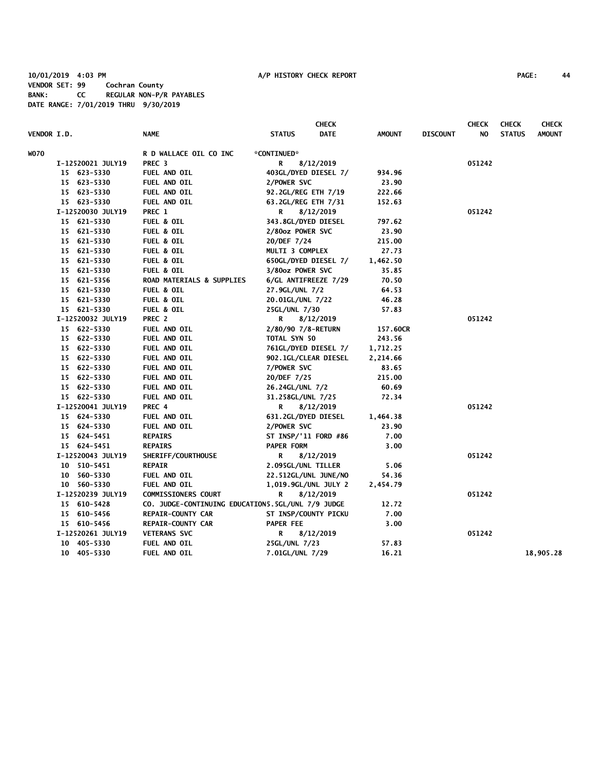## **10/01/2019 4:03 PM A/P HISTORY CHECK REPORT PAGE: 44 VENDOR SET: 99 Cochran County BANK: CC REGULAR NON-P/R PAYABLES DATE RANGE: 7/01/2019 THRU 9/30/2019**

| VENDOR I.D. |                   | <b>NAME</b>                                       | <b>STATUS</b>                      | <b>CHECK</b><br><b>DATE</b> | <b>AMOUNT</b> | <b>DISCOUNT</b> | <b>CHECK</b><br>NO. | <b>CHECK</b><br><b>STATUS</b> | <b>CHECK</b><br><b>AMOUNT</b> |
|-------------|-------------------|---------------------------------------------------|------------------------------------|-----------------------------|---------------|-----------------|---------------------|-------------------------------|-------------------------------|
| <b>WO70</b> |                   | R D WALLACE OIL CO INC                            | *CONTINUED*                        |                             |               |                 |                     |                               |                               |
|             | I-12520021 JULY19 | PREC <sub>3</sub>                                 | R                                  | 8/12/2019                   |               |                 | 051242              |                               |                               |
|             | 15 623-5330       | FUEL AND OIL                                      |                                    | 403GL/DYED DIESEL 7/        | 934.96        |                 |                     |                               |                               |
|             | 15 623-5330       | FUEL AND OIL                                      | 2/POWER SVC                        |                             | 23.90         |                 |                     |                               |                               |
|             | 15 623-5330       | FUEL AND OIL                                      | 92.2GL/REG ETH 7/19                |                             | 222.66        |                 |                     |                               |                               |
|             | 15 623-5330       | FUEL AND OIL                                      | 63.2GL/REG ETH 7/31                |                             | 152.63        |                 |                     |                               |                               |
|             | I-12520030 JULY19 | PREC 1                                            | R                                  | 8/12/2019                   |               |                 | 051242              |                               |                               |
|             | 15 621-5330       | <b>FUEL &amp; OIL</b>                             | 343.8GL/DYED DIESEL                |                             | 797.62        |                 |                     |                               |                               |
|             | 15 621-5330       | <b>FUEL &amp; OIL</b>                             | 2/80oz POWER SVC                   |                             | 23.90         |                 |                     |                               |                               |
|             | 15 621-5330       | <b>FUEL &amp; OIL</b>                             | 20/DEF 7/24                        |                             | 215.00        |                 |                     |                               |                               |
|             | 15 621-5330       | <b>FUEL &amp; OIL</b>                             | MULTI 3 COMPLEX                    |                             | 27.73         |                 |                     |                               |                               |
|             | 15 621-5330       | <b>FUEL &amp; OIL</b>                             |                                    | 650GL/DYED DIESEL 7/        | 1,462.50      |                 |                     |                               |                               |
|             | 15 621-5330       | <b>FUEL &amp; OIL</b>                             | 3/80oz POWER SVC                   |                             | 35.85         |                 |                     |                               |                               |
|             | 15 621-5356       | <b>ROAD MATERIALS &amp; SUPPLIES</b>              |                                    | 6/GL ANTIFREEZE 7/29        | 70.50         |                 |                     |                               |                               |
|             | 15 621-5330       | <b>FUEL &amp; OIL</b>                             | 27.9GL/UNL 7/2                     |                             | 64.53         |                 |                     |                               |                               |
|             | 15 621-5330       | <b>FUEL &amp; OIL</b>                             | 20.01GL/UNL 7/22                   |                             | 46.28         |                 |                     |                               |                               |
|             | 15 621-5330       | <b>FUEL &amp; OIL</b>                             | 25GL/UNL 7/30                      |                             | 57.83         |                 |                     |                               |                               |
|             | I-12520032 JULY19 | PREC 2                                            | R                                  | 8/12/2019                   |               |                 | 051242              |                               |                               |
|             | 15 622-5330       | FUEL AND OIL                                      |                                    |                             | 157.60CR      |                 |                     |                               |                               |
|             | 15 622-5330       | FUEL AND OIL                                      | 2/80/90 7/8-RETURN<br>TOTAL SYN 50 |                             | 243.56        |                 |                     |                               |                               |
|             | 15 622-5330       | FUEL AND OIL                                      |                                    | 761GL/DYED DIESEL 7/        | 1,712.25      |                 |                     |                               |                               |
|             | 15 622-5330       | FUEL AND OIL                                      |                                    | 902.1GL/CLEAR DIESEL        | 2,214.66      |                 |                     |                               |                               |
|             | 15 622-5330       | FUEL AND OIL                                      | 7/POWER SVC                        |                             | 83.65         |                 |                     |                               |                               |
|             | 15 622-5330       | FUEL AND OIL                                      | 20/DEF 7/25                        |                             | 215.00        |                 |                     |                               |                               |
|             | 15 622-5330       | FUEL AND OIL                                      | 26.24GL/UNL 7/2                    |                             | 60.69         |                 |                     |                               |                               |
|             | 15 622-5330       | FUEL AND OIL                                      | 31.258GL/UNL 7/25                  |                             | 72.34         |                 |                     |                               |                               |
|             | I-12520041 JULY19 | PREC 4                                            | R                                  | 8/12/2019                   |               |                 | 051242              |                               |                               |
|             | 15 624-5330       | FUEL AND OIL                                      | 631.2GL/DYED DIESEL                |                             | 1,464.38      |                 |                     |                               |                               |
|             | 15 624-5330       | FUEL AND OIL                                      | 2/POWER SVC                        |                             | 23.90         |                 |                     |                               |                               |
|             | 15 624-5451       | <b>REPAIRS</b>                                    |                                    | ST INSP/'11 FORD #86        | 7.00          |                 |                     |                               |                               |
|             | 15 624-5451       | <b>REPAIRS</b>                                    | <b>PAPER FORM</b>                  |                             | 3.00          |                 |                     |                               |                               |
|             | I-12520043 JULY19 | SHERIFF/COURTHOUSE                                | R                                  | 8/12/2019                   |               |                 | 051242              |                               |                               |
|             | 10 510-5451       | <b>REPAIR</b>                                     | 2.095GL/UNL TILLER                 |                             | 5.06          |                 |                     |                               |                               |
|             | 10 560-5330       | FUEL AND OIL                                      |                                    | 22.512GL/UNL JUNE/NO        | 54.36         |                 |                     |                               |                               |
|             | 10 560-5330       | FUEL AND OIL                                      |                                    | 1,019.9GL/UNL JULY 2        | 2,454.79      |                 |                     |                               |                               |
|             | I-12520239 JULY19 | <b>COMMISSIONERS COURT</b>                        | R                                  | 8/12/2019                   |               |                 | 051242              |                               |                               |
|             | 15 610-5428       | CO. JUDGE-CONTINUING EDUCATION5.5GL/UNL 7/9 JUDGE |                                    |                             | 12.72         |                 |                     |                               |                               |
|             | 15 610-5456       | <b>REPAIR-COUNTY CAR</b>                          |                                    | ST INSP/COUNTY PICKU        | 7.00          |                 |                     |                               |                               |
|             | 15 610-5456       | <b>REPAIR-COUNTY CAR</b>                          | <b>PAPER FEE</b>                   |                             | 3.00          |                 |                     |                               |                               |
|             | I-12520261 JULY19 | <b>VETERANS SVC</b>                               | R                                  | 8/12/2019                   |               |                 | 051242              |                               |                               |
|             | 10 405-5330       | FUEL AND OIL                                      | 25GL/UNL 7/23                      |                             | 57.83         |                 |                     |                               |                               |
|             | 10 405-5330       | <b>FUEL AND OIL</b>                               | 7.01GL/UNL 7/29                    |                             | 16.21         |                 |                     |                               | 18,905.28                     |
|             |                   |                                                   |                                    |                             |               |                 |                     |                               |                               |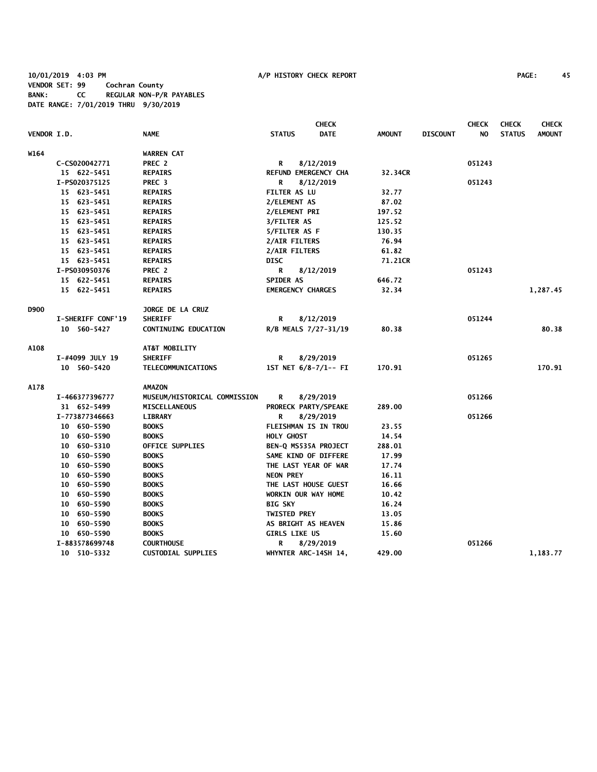**10/01/2019 4:03 PM A/P HISTORY CHECK REPORT PAGE: 45 VENDOR SET: 99 Cochran County BANK: CC REGULAR NON-P/R PAYABLES DATE RANGE: 7/01/2019 THRU 9/30/2019**

|             |                          |                                     |                          | <b>CHECK</b>         |               |                 | <b>CHECK</b> | <b>CHECK</b>  | <b>CHECK</b>  |
|-------------|--------------------------|-------------------------------------|--------------------------|----------------------|---------------|-----------------|--------------|---------------|---------------|
| VENDOR I.D. |                          | <b>NAME</b>                         | <b>STATUS</b>            | <b>DATE</b>          | <b>AMOUNT</b> | <b>DISCOUNT</b> | NO.          | <b>STATUS</b> | <b>AMOUNT</b> |
| W164        |                          | <b>WARREN CAT</b>                   |                          |                      |               |                 |              |               |               |
|             | C-CS020042771            | PREC 2                              | R                        | 8/12/2019            |               |                 | 051243       |               |               |
|             | 15 622-5451              | <b>REPAIRS</b>                      | REFUND EMERGENCY CHA     |                      | 32.34CR       |                 |              |               |               |
|             | I-PS020375125            | PREC <sub>3</sub>                   | R                        | 8/12/2019            |               |                 | 051243       |               |               |
|             | 15 623-5451              | <b>REPAIRS</b>                      | <b>FILTER AS LU</b>      |                      | 32.77         |                 |              |               |               |
|             | 15 623-5451              | <b>REPAIRS</b>                      | 2/ELEMENT AS             |                      | 87.02         |                 |              |               |               |
|             | 15 623-5451              | <b>REPAIRS</b>                      | 2/ELEMENT PRI            |                      | 197.52        |                 |              |               |               |
|             | 15 623-5451              | <b>REPAIRS</b>                      | 3/FILTER AS              |                      | 125.52        |                 |              |               |               |
|             | 15 623-5451              | <b>REPAIRS</b>                      | 5/FILTER AS F            |                      | 130.35        |                 |              |               |               |
|             | 15 623-5451              | <b>REPAIRS</b>                      | 2/AIR FILTERS            |                      | 76.94         |                 |              |               |               |
|             | 15 623-5451              | <b>REPAIRS</b>                      | 2/AIR FILTERS            |                      | 61.82         |                 |              |               |               |
|             | 15 623-5451              | <b>REPAIRS</b>                      | <b>DISC</b>              |                      | 71.21CR       |                 |              |               |               |
|             | I-PS030950376            | PREC <sub>2</sub>                   | R                        | 8/12/2019            |               |                 | 051243       |               |               |
|             | 15 622-5451              | <b>REPAIRS</b>                      | <b>SPIDER AS</b>         |                      | 646.72        |                 |              |               |               |
|             | 15 622-5451              | <b>REPAIRS</b>                      | <b>EMERGENCY CHARGES</b> |                      | 32.34         |                 |              |               | 1,287.45      |
| D900        |                          | JORGE DE LA CRUZ                    |                          |                      |               |                 |              |               |               |
|             | <b>I-SHERIFF CONF'19</b> | <b>SHERIFF</b>                      | R                        | 8/12/2019            |               |                 | 051244       |               |               |
|             | 10 560-5427              | <b>CONTINUING EDUCATION</b>         | R/B MEALS 7/27-31/19     |                      | 80.38         |                 |              |               | 80.38         |
| A108        |                          | AT&T MOBILITY                       |                          |                      |               |                 |              |               |               |
|             | I-#4099 JULY 19          | <b>SHERIFF</b>                      | R                        | 8/29/2019            |               |                 | 051265       |               |               |
|             | 10 560-5420              | <b>TELECOMMUNICATIONS</b>           |                          | 1ST NET 6/8-7/1-- FI | 170.91        |                 |              |               | 170.91        |
| A178        |                          | <b>AMAZON</b>                       |                          |                      |               |                 |              |               |               |
|             | I-466377396777           | <b>MUSEUM/HISTORICAL COMMISSION</b> | R                        | 8/29/2019            |               |                 | 051266       |               |               |
|             | 31 652-5499              | MISCELLANEOUS                       |                          | PRORECK PARTY/SPEAKE | 289.00        |                 |              |               |               |
|             | I-773877346663           | <b>LIBRARY</b>                      | R                        | 8/29/2019            |               |                 | 051266       |               |               |
|             | 10 650-5590              | <b>BOOKS</b>                        | FLEISHMAN IS IN TROU     |                      | 23.55         |                 |              |               |               |
|             | 10 650-5590              | <b>BOOKS</b>                        | <b>HOLY GHOST</b>        |                      | 14.54         |                 |              |               |               |
|             | 10 650-5310              | OFFICE SUPPLIES                     | BEN-Q MS535A PROJECT     |                      | 288.01        |                 |              |               |               |
|             | 10 650-5590              | <b>BOOKS</b>                        | SAME KIND OF DIFFERE     |                      | 17.99         |                 |              |               |               |
|             | 10 650-5590              | <b>BOOKS</b>                        | THE LAST YEAR OF WAR     |                      | 17.74         |                 |              |               |               |
|             | 10 650-5590              | <b>BOOKS</b>                        | <b>NEON PREY</b>         |                      | 16.11         |                 |              |               |               |
|             | 10 650-5590              | <b>BOOKS</b>                        | THE LAST HOUSE GUEST     |                      | 16.66         |                 |              |               |               |
|             | 10 650-5590              | <b>BOOKS</b>                        | WORKIN OUR WAY HOME      |                      | 10.42         |                 |              |               |               |
|             | 10 650-5590              | <b>BOOKS</b>                        | <b>BIG SKY</b>           |                      | 16.24         |                 |              |               |               |
|             | 10 650-5590              | <b>BOOKS</b>                        | <b>TWISTED PREY</b>      |                      | 13.05         |                 |              |               |               |
|             | 10 650-5590              | <b>BOOKS</b>                        | AS BRIGHT AS HEAVEN      |                      | 15.86         |                 |              |               |               |
|             | 10 650-5590              | <b>BOOKS</b>                        | <b>GIRLS LIKE US</b>     |                      | 15.60         |                 |              |               |               |
|             | I-883578699748           | <b>COURTHOUSE</b>                   | R                        | 8/29/2019            |               |                 | 051266       |               |               |
|             | 10 510-5332              | <b>CUSTODIAL SUPPLIES</b>           | WHYNTER ARC-14SH 14,     |                      | 429.00        |                 |              |               | 1,183.77      |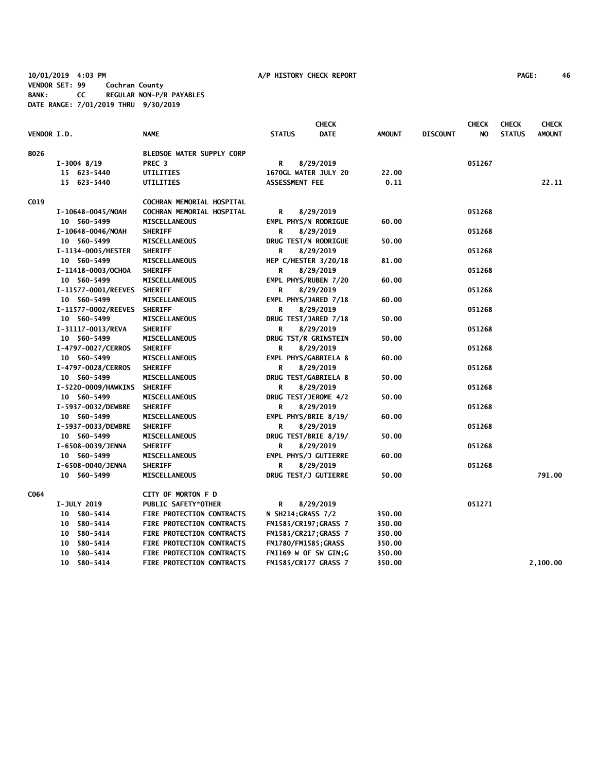**10/01/2019 4:03 PM A/P HISTORY CHECK REPORT PAGE: 46 VENDOR SET: 99 Cochran County BANK: CC REGULAR NON-P/R PAYABLES DATE RANGE: 7/01/2019 THRU 9/30/2019**

|                    |                             |                                  |                             | <b>CHECK</b> |               |                 | <b>CHECK</b> | <b>CHECK</b>  | <b>CHECK</b>  |
|--------------------|-----------------------------|----------------------------------|-----------------------------|--------------|---------------|-----------------|--------------|---------------|---------------|
| <b>VENDOR I.D.</b> |                             | <b>NAME</b>                      | <b>STATUS</b>               | <b>DATE</b>  | <b>AMOUNT</b> | <b>DISCOUNT</b> | NO.          | <b>STATUS</b> | <b>AMOUNT</b> |
| B026               |                             | <b>BLEDSOE WATER SUPPLY CORP</b> |                             |              |               |                 |              |               |               |
|                    | $I-3004$ 8/19               | PREC <sub>3</sub>                | R                           | 8/29/2019    |               |                 | 051267       |               |               |
|                    | 15 623-5440                 | UTILITIES                        | 1670GL WATER JULY 20        |              | 22.00         |                 |              |               |               |
|                    | 15 623-5440                 | UTILITIES                        | ASSESSMENT FEE              |              | 0.11          |                 |              |               | 22.11         |
| C019               |                             | COCHRAN MEMORIAL HOSPITAL        |                             |              |               |                 |              |               |               |
|                    | I-10648-0045/NOAH           | COCHRAN MEMORIAL HOSPITAL        | R                           | 8/29/2019    |               |                 | 051268       |               |               |
|                    | 10 560-5499                 | MISCELLANEOUS                    | EMPL PHYS/N RODRIGUE        |              | 60.00         |                 |              |               |               |
|                    | I-10648-0046/NOAH           | <b>SHERIFF</b>                   | R                           | 8/29/2019    |               |                 | 051268       |               |               |
|                    | 10 560-5499                 | <b>MISCELLANEOUS</b>             | DRUG TEST/N RODRIGUE        |              | 50.00         |                 |              |               |               |
|                    | I-1134-0005/HESTER          | <b>SHERIFF</b>                   | R                           | 8/29/2019    |               |                 | 051268       |               |               |
|                    | 10 560-5499                 | <b>MISCELLANEOUS</b>             | HEP C/HESTER 3/20/18        |              | 81.00         |                 |              |               |               |
|                    | I-11418-0003/OCHOA          | <b>SHERIFF</b>                   | R                           | 8/29/2019    |               |                 | 051268       |               |               |
|                    | 10 560-5499                 | <b>MISCELLANEOUS</b>             | EMPL PHYS/RUBEN 7/20        |              | 60.00         |                 |              |               |               |
|                    | I-11577-0001/REEVES         | <b>SHERIFF</b>                   | R                           | 8/29/2019    |               |                 | 051268       |               |               |
|                    | 10 560-5499                 | <b>MISCELLANEOUS</b>             | EMPL PHYS/JARED 7/18        |              | 60.00         |                 |              |               |               |
|                    | I-11577-0002/REEVES         | <b>SHERIFF</b>                   | R                           | 8/29/2019    |               |                 | 051268       |               |               |
|                    | 10 560-5499                 | MISCELLANEOUS                    | DRUG TEST/JARED 7/18        |              | 50.00         |                 |              |               |               |
|                    | I-31117-0013/REVA           | <b>SHERIFF</b>                   | R                           | 8/29/2019    |               |                 | 051268       |               |               |
|                    | 10 560-5499                 | <b>MISCELLANEOUS</b>             | DRUG TST/R GRINSTEIN        |              | 50.00         |                 |              |               |               |
|                    | I-4797-0027/CERROS          | <b>SHERIFF</b>                   | R                           | 8/29/2019    |               |                 | 051268       |               |               |
|                    | 10 560-5499                 | <b>MISCELLANEOUS</b>             | EMPL PHYS/GABRIELA 8        |              | 60.00         |                 |              |               |               |
|                    | I-4797-0028/CERROS          | <b>SHERIFF</b>                   | R                           | 8/29/2019    |               |                 | 051268       |               |               |
|                    | 10 560-5499                 | <b>MISCELLANEOUS</b>             | DRUG TEST/GABRIELA 8        |              | 50.00         |                 |              |               |               |
|                    | I-5220-0009/HAWKINS SHERIFF |                                  | R                           | 8/29/2019    |               |                 | 051268       |               |               |
|                    | 10 560-5499                 | <b>MISCELLANEOUS</b>             | DRUG TEST/JEROME 4/2        |              | 50.00         |                 |              |               |               |
|                    | I-5937-0032/DEWBRE          | <b>SHERIFF</b>                   | R                           | 8/29/2019    |               |                 | 051268       |               |               |
|                    | 10 560-5499                 | MISCELLANEOUS                    | EMPL PHYS/BRIE 8/19/        |              | 60.00         |                 |              |               |               |
|                    | I-5937-0033/DEWBRE          | <b>SHERIFF</b>                   | R                           | 8/29/2019    |               |                 | 051268       |               |               |
|                    | 10 560-5499                 | <b>MISCELLANEOUS</b>             | DRUG TEST/BRIE 8/19/        |              | 50.00         |                 |              |               |               |
|                    | I-6508-0039/JENNA           | <b>SHERIFF</b>                   | R                           | 8/29/2019    |               |                 | 051268       |               |               |
|                    | 10 560-5499                 | MISCELLANEOUS                    | EMPL PHYS/J GUTIERRE        |              | 60.00         |                 |              |               |               |
|                    | I-6508-0040/JENNA           | <b>SHERIFF</b>                   | R                           | 8/29/2019    |               |                 | 051268       |               |               |
|                    | 10 560-5499                 | <b>MISCELLANEOUS</b>             | DRUG TEST/J GUTIERRE        |              | 50.00         |                 |              |               | 791.00        |
| C064               |                             | CITY OF MORTON F D               |                             |              |               |                 |              |               |               |
|                    | <b>I-JULY 2019</b>          | PUBLIC SAFETY*OTHER              | R                           | 8/29/2019    |               |                 | 051271       |               |               |
|                    | 10 580-5414                 | FIRE PROTECTION CONTRACTS        | <b>N SH214;GRASS 7/2</b>    |              | 350.00        |                 |              |               |               |
|                    | 10 580-5414                 | FIRE PROTECTION CONTRACTS        | <b>FM1585/CR197;GRASS 7</b> |              | 350.00        |                 |              |               |               |
|                    | 10 580-5414                 | FIRE PROTECTION CONTRACTS        | FM1585/CR217;GRASS 7        |              | 350.00        |                 |              |               |               |
|                    | 10 580-5414                 | FIRE PROTECTION CONTRACTS        | FM1780/FM1585;GRASS         |              | 350.00        |                 |              |               |               |
|                    | 10 580-5414                 | FIRE PROTECTION CONTRACTS        | FM1169 W OF SW GIN;G        |              | 350.00        |                 |              |               |               |
|                    | 10 580-5414                 | FIRE PROTECTION CONTRACTS        | <b>FM1585/CR177 GRASS 7</b> |              | 350.00        |                 |              |               | 2,100.00      |
|                    |                             |                                  |                             |              |               |                 |              |               |               |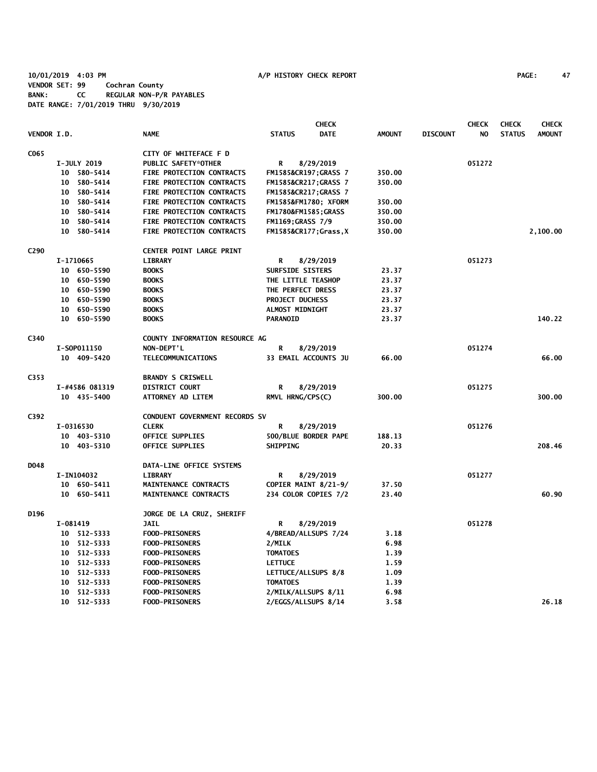**10/01/2019 4:03 PM A/P HISTORY CHECK REPORT PAGE: 47 VENDOR SET: 99 Cochran County BANK: CC REGULAR NON-P/R PAYABLES DATE RANGE: 7/01/2019 THRU 9/30/2019**

|                  |          |                    |                                  |                         | <b>CHECK</b>          |               |                 | <b>CHECK</b> | <b>CHECK</b>  | <b>CHECK</b>  |
|------------------|----------|--------------------|----------------------------------|-------------------------|-----------------------|---------------|-----------------|--------------|---------------|---------------|
| VENDOR I.D.      |          |                    | <b>NAME</b>                      | <b>STATUS</b>           | <b>DATE</b>           | <b>AMOUNT</b> | <b>DISCOUNT</b> | NO.          | <b>STATUS</b> | <b>AMOUNT</b> |
| C <sub>065</sub> |          |                    | CITY OF WHITEFACE F D            |                         |                       |               |                 |              |               |               |
|                  |          | <b>I-JULY 2019</b> | PUBLIC SAFETY*OTHER              | R                       | 8/29/2019             |               |                 | 051272       |               |               |
|                  |          | 10 580-5414        | <b>FIRE PROTECTION CONTRACTS</b> |                         | FM1585&CR197GRASS 7   | 350.00        |                 |              |               |               |
|                  |          | 10 580-5414        | <b>FIRE PROTECTION CONTRACTS</b> |                         | FM1585&CR217GRASS 7   | 350.00        |                 |              |               |               |
|                  |          | 10 580-5414        | FIRE PROTECTION CONTRACTS        | FM1585&CR217GRASS 7     |                       |               |                 |              |               |               |
|                  |          | 10 580-5414        | FIRE PROTECTION CONTRACTS        | FM1585&FM1780 XFORM     |                       | 350.00        |                 |              |               |               |
|                  |          | 10 580-5414        | FIRE PROTECTION CONTRACTS        | FM1780&FM1585GRASS      |                       | 350.00        |                 |              |               |               |
|                  |          | 10 580-5414        | <b>FIRE PROTECTION CONTRACTS</b> | <b>FM1169;GRASS 7/9</b> |                       | 350.00        |                 |              |               |               |
|                  |          | 10 580-5414        | FIRE PROTECTION CONTRACTS        |                         | FM1585&CR177 Grass, X | 350.00        |                 |              |               | 2,100.00      |
| C <sub>290</sub> |          |                    | CENTER POINT LARGE PRINT         |                         |                       |               |                 |              |               |               |
|                  |          | I-1710665          | <b>LIBRARY</b>                   | R                       | 8/29/2019             |               |                 | 051273       |               |               |
|                  |          | 10 650-5590        | <b>BOOKS</b>                     | SURFSIDE SISTERS        |                       | 23.37         |                 |              |               |               |
|                  |          | 10 650-5590        | <b>BOOKS</b>                     | THE LITTLE TEASHOP      |                       | 23.37         |                 |              |               |               |
|                  |          | 10 650-5590        | <b>BOOKS</b>                     | THE PERFECT DRESS       |                       | 23.37         |                 |              |               |               |
|                  |          | 10 650-5590        | <b>BOOKS</b>                     | <b>PROJECT DUCHESS</b>  |                       | 23.37         |                 |              |               |               |
|                  |          | 10 650-5590        | <b>BOOKS</b>                     | <b>ALMOST MIDNIGHT</b>  |                       | 23.37         |                 |              |               |               |
|                  |          | 10 650-5590        | <b>BOOKS</b>                     | <b>PARANOID</b>         |                       | 23.37         |                 |              |               | 140.22        |
| C340             |          |                    | COUNTY INFORMATION RESOURCE AG   |                         |                       |               |                 |              |               |               |
|                  |          | I-S0P011150        | NON-DEPT'L                       | R                       | 8/29/2019             |               |                 | 051274       |               |               |
|                  |          | 10 409-5420        | TELECOMMUNICATIONS               | 33 EMAIL ACCOUNTS JU    |                       | 66.00         |                 |              |               | 66.00         |
| C353             |          |                    | <b>BRANDY S CRISWELL</b>         |                         |                       |               |                 |              |               |               |
|                  |          | I-#4586 081319     | <b>DISTRICT COURT</b>            | R                       | 8/29/2019             |               |                 | 051275       |               |               |
|                  |          | 10 435-5400        | ATTORNEY AD LITEM                | RMVL HRNG/CPS(C)        |                       | 300.00        |                 |              |               | 300.00        |
| C392             |          |                    | CONDUENT GOVERNMENT RECORDS SV   |                         |                       |               |                 |              |               |               |
|                  |          | I-0316530          | <b>CLERK</b>                     | R                       | 8/29/2019             |               |                 | 051276       |               |               |
|                  |          | 10 403-5310        | <b>OFFICE SUPPLIES</b>           |                         | 500/BLUE BORDER PAPE  | 188.13        |                 |              |               |               |
|                  |          | 10 403-5310        | OFFICE SUPPLIES                  | <b>SHIPPING</b>         |                       | 20.33         |                 |              |               | 208.46        |
| D048             |          |                    | DATA-LINE OFFICE SYSTEMS         |                         |                       |               |                 |              |               |               |
|                  |          | I-IN104032         | <b>LIBRARY</b>                   | R                       | 8/29/2019             |               |                 | 051277       |               |               |
|                  |          | 10 650-5411        | MAINTENANCE CONTRACTS            |                         | COPIER MAINT 8/21-9/  | 37.50         |                 |              |               |               |
|                  |          | 10 650-5411        | MAINTENANCE CONTRACTS            |                         | 234 COLOR COPIES 7/2  | 23.40         |                 |              |               | 60.90         |
| D196             |          |                    | JORGE DE LA CRUZ, SHERIFF        |                         |                       |               |                 |              |               |               |
|                  | I-081419 |                    | <b>JAIL</b>                      | R                       | 8/29/2019             |               |                 | 051278       |               |               |
|                  |          | 10 512-5333        | <b>FOOD-PRISONERS</b>            |                         | 4/BREAD/ALLSUPS 7/24  | 3.18          |                 |              |               |               |
|                  |          | 10 512-5333        | <b>FOOD-PRISONERS</b>            | 2/MILK                  |                       | 6.98          |                 |              |               |               |
|                  |          | 10 512-5333        | <b>FOOD-PRISONERS</b>            | <b>TOMATOES</b>         |                       | 1.39          |                 |              |               |               |
|                  |          | 10 512-5333        | FOOD-PRISONERS                   | <b>LETTUCE</b>          |                       | 1.59          |                 |              |               |               |
|                  |          | 10 512-5333        | FOOD-PRISONERS                   | LETTUCE/ALLSUPS 8/8     |                       | 1.09          |                 |              |               |               |
|                  |          | 10 512-5333        | FOOD-PRISONERS                   | <b>TOMATOES</b>         |                       | 1.39          |                 |              |               |               |
|                  |          | 10 512-5333        | FOOD-PRISONERS                   | 2/MILK/ALLSUPS 8/11     |                       | 6.98          |                 |              |               |               |
|                  |          | 10 512-5333        | <b>FOOD-PRISONERS</b>            | 2/EGGS/ALLSUPS 8/14     |                       | 3.58          |                 |              |               | 26.18         |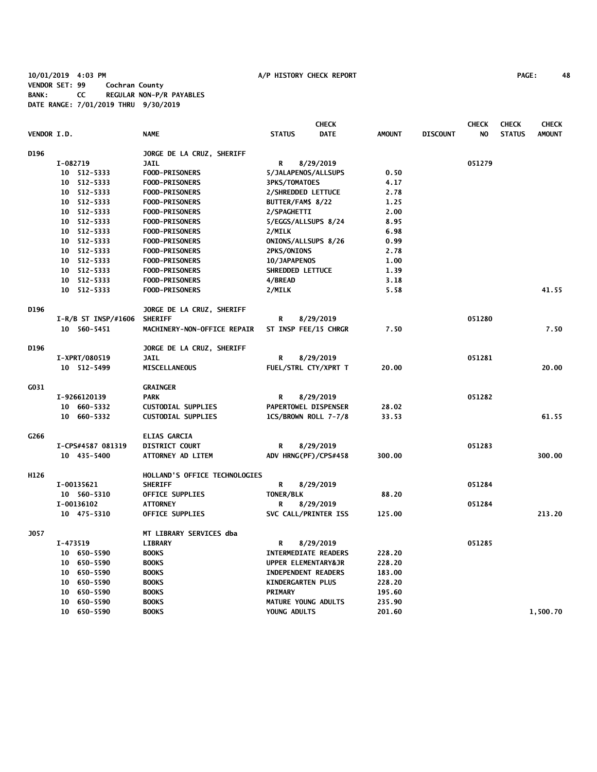**10/01/2019 4:03 PM A/P HISTORY CHECK REPORT PAGE: 48 VENDOR SET: 99 Cochran County BANK: CC REGULAR NON-P/R PAYABLES DATE RANGE: 7/01/2019 THRU 9/30/2019**

|                    |                       |                               | <b>CHECK</b>                 |               |                 | <b>CHECK</b> | <b>CHECK</b>  | <b>CHECK</b>  |
|--------------------|-----------------------|-------------------------------|------------------------------|---------------|-----------------|--------------|---------------|---------------|
| <b>VENDOR I.D.</b> |                       | <b>NAME</b>                   | <b>STATUS</b><br><b>DATE</b> | <b>AMOUNT</b> | <b>DISCOUNT</b> | NO.          | <b>STATUS</b> | <b>AMOUNT</b> |
| D196               |                       | JORGE DE LA CRUZ, SHERIFF     |                              |               |                 |              |               |               |
|                    | I-082719              | <b>JAIL</b>                   | 8/29/2019<br>R               |               |                 | 051279       |               |               |
|                    | 10 512-5333           | <b>FOOD-PRISONERS</b>         | 5/JALAPENOS/ALLSUPS          | 0.50          |                 |              |               |               |
|                    | 512-5333<br>10        | <b>FOOD-PRISONERS</b>         | <b>3PKS/TOMATOES</b>         | 4.17          |                 |              |               |               |
|                    | 10 512-5333           | <b>FOOD-PRISONERS</b>         | 2/SHREDDED LETTUCE           | 2.78          |                 |              |               |               |
|                    | 512-5333<br>10        | <b>FOOD-PRISONERS</b>         | BUTTER/FAM\$ 8/22            | 1.25          |                 |              |               |               |
|                    | 10 512-5333           | <b>FOOD-PRISONERS</b>         | 2/SPAGHETTI                  | 2.00          |                 |              |               |               |
|                    | 512-5333<br>10        | <b>FOOD-PRISONERS</b>         | 5/EGGS/ALLSUPS 8/24          | 8.95          |                 |              |               |               |
|                    | 10 512-5333           | <b>FOOD-PRISONERS</b>         | 2/MILK                       | 6.98          |                 |              |               |               |
|                    | 512-5333<br>10        | <b>FOOD-PRISONERS</b>         | ONIONS/ALLSUPS 8/26          | 0.99          |                 |              |               |               |
|                    | 10 512-5333           | <b>FOOD-PRISONERS</b>         | 2PKS/ONIONS                  | 2.78          |                 |              |               |               |
|                    | 10 512-5333           | <b>FOOD-PRISONERS</b>         | 10/JAPAPENOS                 | 1.00          |                 |              |               |               |
|                    | 10 512-5333           | <b>FOOD-PRISONERS</b>         | SHREDDED LETTUCE             | 1.39          |                 |              |               |               |
|                    | 10 512-5333           | FOOD-PRISONERS                | 4/BREAD                      | 3.18          |                 |              |               |               |
|                    |                       |                               |                              |               |                 |              |               | 41.55         |
|                    | 10 512-5333           | <b>FOOD-PRISONERS</b>         | 2/MILK                       | 5.58          |                 |              |               |               |
| D196               |                       | JORGE DE LA CRUZ, SHERIFF     |                              |               |                 |              |               |               |
|                    | $I-R/B$ ST INSP/#1606 | <b>SHERIFF</b>                | R<br>8/29/2019               |               |                 | 051280       |               |               |
|                    | 10 560-5451           | MACHINERY-NON-OFFICE REPAIR   | ST INSP FEE/15 CHRGR         | 7.50          |                 |              |               | 7.50          |
| D196               |                       | JORGE DE LA CRUZ, SHERIFF     |                              |               |                 |              |               |               |
|                    | I-XPRT/080519         | <b>JAIL</b>                   | R<br>8/29/2019               |               |                 | 051281       |               |               |
|                    | 10 512-5499           | <b>MISCELLANEOUS</b>          | FUEL/STRL CTY/XPRT T         | 20.00         |                 |              |               | 20.00         |
| G031               |                       | <b>GRAINGER</b>               |                              |               |                 |              |               |               |
|                    | I-9266120139          | <b>PARK</b>                   | 8/29/2019<br>R               |               |                 | 051282       |               |               |
|                    | 10 660-5332           | <b>CUSTODIAL SUPPLIES</b>     | PAPERTOWEL DISPENSER         | 28.02         |                 |              |               |               |
|                    | 10 660-5332           | <b>CUSTODIAL SUPPLIES</b>     | 1CS/BROWN ROLL 7-7/8         | 33.53         |                 |              |               | 61.55         |
|                    |                       |                               |                              |               |                 |              |               |               |
| G266               |                       | <b>ELIAS GARCIA</b>           |                              |               |                 |              |               |               |
|                    | I-CPS#4587 081319     | <b>DISTRICT COURT</b>         | 8/29/2019<br>R               |               |                 | 051283       |               |               |
|                    | 10 435-5400           | ATTORNEY AD LITEM             | ADV HRNG(PF)/CPS#458         | 300.00        |                 |              |               | 300.00        |
| H126               |                       | HOLLAND'S OFFICE TECHNOLOGIES |                              |               |                 |              |               |               |
|                    | I-00135621            | <b>SHERIFF</b>                | R<br>8/29/2019               |               |                 | 051284       |               |               |
|                    | 10 560-5310           | OFFICE SUPPLIES               | TONER/BLK                    | 88.20         |                 |              |               |               |
|                    | I-00136102            | <b>ATTORNEY</b>               | R<br>8/29/2019               |               |                 | 051284       |               |               |
|                    | 10 475-5310           | OFFICE SUPPLIES               | SVC CALL/PRINTER ISS         | 125.00        |                 |              |               | 213.20        |
| J057               |                       | MT LIBRARY SERVICES dba       |                              |               |                 |              |               |               |
|                    | I-473519              | <b>LIBRARY</b>                | R<br>8/29/2019               |               |                 | 051285       |               |               |
|                    | 10 650-5590           | <b>BOOKS</b>                  | <b>INTERMEDIATE READERS</b>  | 228.20        |                 |              |               |               |
|                    | 10 650-5590           | <b>BOOKS</b>                  | UPPER ELEMENTARY&JR          | 228.20        |                 |              |               |               |
|                    | 10 650-5590           | <b>BOOKS</b>                  | <b>INDEPENDENT READERS</b>   | 183.00        |                 |              |               |               |
|                    | 10 650-5590           | <b>BOOKS</b>                  | <b>KINDERGARTEN PLUS</b>     | 228.20        |                 |              |               |               |
|                    | 650-5590<br>10        | <b>BOOKS</b>                  | <b>PRIMARY</b>               | 195.60        |                 |              |               |               |
|                    | 10 650-5590           | <b>BOOKS</b>                  | MATURE YOUNG ADULTS          | 235.90        |                 |              |               |               |
|                    | 10 650-5590           | <b>BOOKS</b>                  | YOUNG ADULTS                 | 201.60        |                 |              |               | 1,500.70      |
|                    |                       |                               |                              |               |                 |              |               |               |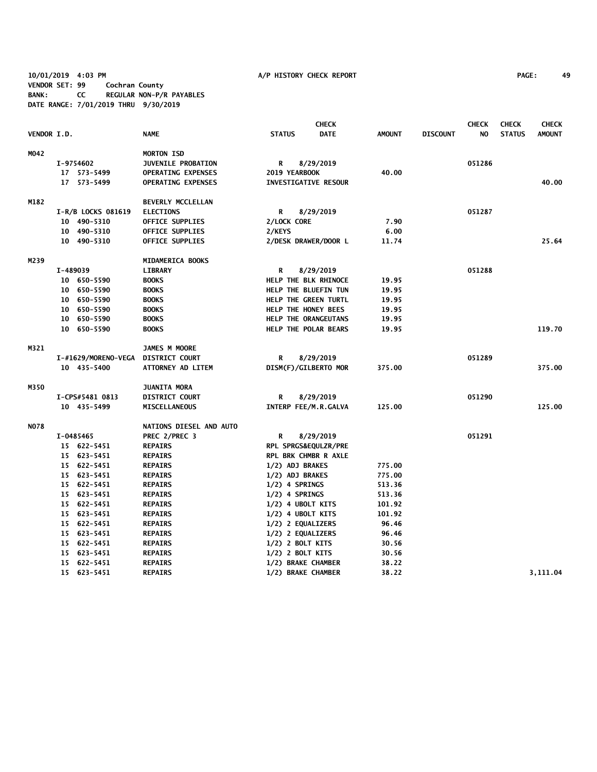**10/01/2019 4:03 PM A/P HISTORY CHECK REPORT PAGE: 49 VENDOR SET: 99 Cochran County BANK: CC REGULAR NON-P/R PAYABLES DATE RANGE: 7/01/2019 THRU 9/30/2019**

|                    |                     | <b>CHECK</b>              |                      |                             |               |                 | <b>CHECK</b> | <b>CHECK</b>  | <b>CHECK</b>  |
|--------------------|---------------------|---------------------------|----------------------|-----------------------------|---------------|-----------------|--------------|---------------|---------------|
| <b>VENDOR I.D.</b> |                     | <b>NAME</b>               | <b>STATUS</b>        | <b>DATE</b>                 | <b>AMOUNT</b> | <b>DISCOUNT</b> | NO           | <b>STATUS</b> | <b>AMOUNT</b> |
| MO42               |                     | <b>MORTON ISD</b>         |                      |                             |               |                 |              |               |               |
|                    | I-9754602           | <b>JUVENILE PROBATION</b> | R                    | 8/29/2019                   |               |                 | 051286       |               |               |
|                    | 17 573-5499         | <b>OPERATING EXPENSES</b> | 2019 YEARBOOK        |                             | 40.00         |                 |              |               |               |
|                    | 17 573-5499         | <b>OPERATING EXPENSES</b> |                      | <b>INVESTIGATIVE RESOUR</b> |               |                 |              |               | 40.00         |
| M182               |                     | <b>BEVERLY MCCLELLAN</b>  |                      |                             |               |                 |              |               |               |
|                    | I-R/B LOCKS 081619  | <b>ELECTIONS</b>          | R                    | 8/29/2019                   |               |                 | 051287       |               |               |
|                    | 10 490-5310         | OFFICE SUPPLIES           | 2/LOCK CORE          |                             | 7.90          |                 |              |               |               |
|                    | 10 490-5310         | OFFICE SUPPLIES           | 2/KEYS               |                             | 6.00          |                 |              |               |               |
|                    | 10 490-5310         | OFFICE SUPPLIES           |                      | 2/DESK DRAWER/DOOR L        | 11.74         |                 |              |               | 25.64         |
| M239               |                     | MIDAMERICA BOOKS          |                      |                             |               |                 |              |               |               |
|                    | I-489039            | <b>LIBRARY</b>            | R                    | 8/29/2019                   |               |                 | 051288       |               |               |
|                    | 10 650-5590         | <b>BOOKS</b>              |                      | HELP THE BLK RHINOCE        | 19.95         |                 |              |               |               |
|                    | 10 650-5590         | <b>BOOKS</b>              |                      | HELP THE BLUEFIN TUN        | 19.95         |                 |              |               |               |
|                    | 10 650-5590         | <b>BOOKS</b>              |                      | HELP THE GREEN TURTL        | 19.95         |                 |              |               |               |
|                    | 10 650-5590         | <b>BOOKS</b>              | HELP THE HONEY BEES  |                             | 19.95         |                 |              |               |               |
|                    | 10 650-5590         | <b>BOOKS</b>              |                      | HELP THE ORANGEUTANS        | 19.95         |                 |              |               |               |
|                    | 10 650-5590         | <b>BOOKS</b>              |                      | HELP THE POLAR BEARS        | 19.95         |                 |              |               | 119.70        |
| M321               |                     | JAMES M MOORE             |                      |                             |               |                 |              |               |               |
|                    | I-#1629/MORENO-VEGA | <b>DISTRICT COURT</b>     | R                    | 8/29/2019                   |               |                 | 051289       |               |               |
|                    | 10 435-5400         | ATTORNEY AD LITEM         |                      | DISM(F)/GILBERTO MOR        | 375.00        |                 |              |               | 375.00        |
| M350               |                     | <b>JUANITA MORA</b>       |                      |                             |               |                 |              |               |               |
|                    | I-CPS#5481 0813     | <b>DISTRICT COURT</b>     | R                    | 8/29/2019                   |               |                 | 051290       |               |               |
|                    | 10 435-5499         | <b>MISCELLANEOUS</b>      |                      | INTERP FEE/M.R.GALVA        | 125.00        |                 |              |               | 125.00        |
| <b>NO78</b>        |                     | NATIONS DIESEL AND AUTO   |                      |                             |               |                 |              |               |               |
|                    | I-0485465           | PREC 2/PREC 3             | R                    | 8/29/2019                   |               |                 | 051291       |               |               |
|                    | 15 622-5451         | <b>REPAIRS</b>            |                      | RPL SPRGS&EQULZR/PRE        |               |                 |              |               |               |
|                    | 15 623-5451         | <b>REPAIRS</b>            |                      | RPL BRK CHMBR R AXLE        |               |                 |              |               |               |
|                    | 15 622-5451         | <b>REPAIRS</b>            | 1/2) ADJ BRAKES      |                             | 775.00        |                 |              |               |               |
|                    | 15 623-5451         | <b>REPAIRS</b>            | 1/2) ADJ BRAKES      |                             | 775.00        |                 |              |               |               |
|                    | 15 622-5451         | <b>REPAIRS</b>            | $1/2$ ) 4 SPRINGS    |                             | 513.36        |                 |              |               |               |
|                    | 15 623-5451         | <b>REPAIRS</b>            | 1/2) 4 SPRINGS       |                             | 513.36        |                 |              |               |               |
|                    | 15 622-5451         | <b>REPAIRS</b>            | $1/2$ ) 4 UBOLT KITS |                             | 101.92        |                 |              |               |               |
|                    | 15 623-5451         | <b>REPAIRS</b>            | $1/2$ ) 4 UBOLT KITS |                             | 101.92        |                 |              |               |               |
|                    | 15 622-5451         | <b>REPAIRS</b>            | 1/2) 2 EQUALIZERS    |                             | 96.46         |                 |              |               |               |
|                    | 15 623-5451         | <b>REPAIRS</b>            | 1/2) 2 EQUALIZERS    |                             | 96.46         |                 |              |               |               |
|                    | 15 622-5451         | <b>REPAIRS</b>            | 1/2) 2 BOLT KITS     |                             | 30.56         |                 |              |               |               |
|                    | 15 623-5451         | <b>REPAIRS</b>            | $1/2$ ) 2 BOLT KITS  |                             | 30.56         |                 |              |               |               |
|                    | 15 622-5451         | <b>REPAIRS</b>            | 1/2) BRAKE CHAMBER   |                             | 38.22         |                 |              |               |               |
|                    | 15 623-5451         | <b>REPAIRS</b>            | 1/2) BRAKE CHAMBER   |                             | 38.22         |                 |              |               | 3,111.04      |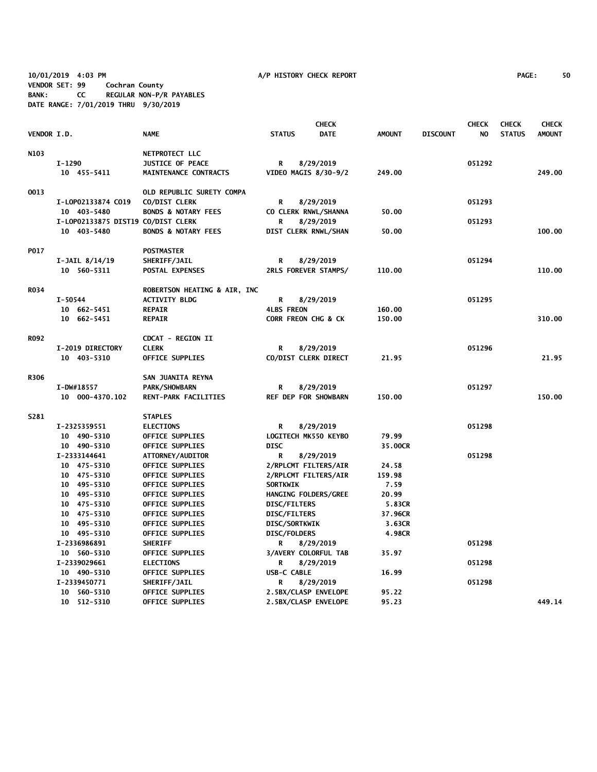**10/01/2019 4:03 PM A/P HISTORY CHECK REPORT PAGE: 50 VENDOR SET: 99 Cochran County BANK: CC REGULAR NON-P/R PAYABLES DATE RANGE: 7/01/2019 THRU 9/30/2019**

|                    |                                    |                                |                      | <b>CHECK</b> |               |                 | <b>CHECK</b> | <b>CHECK</b>  | <b>CHECK</b>  |
|--------------------|------------------------------------|--------------------------------|----------------------|--------------|---------------|-----------------|--------------|---------------|---------------|
| <b>VENDOR I.D.</b> |                                    | <b>NAME</b>                    | <b>STATUS</b>        | <b>DATE</b>  | <b>AMOUNT</b> | <b>DISCOUNT</b> | NO.          | <b>STATUS</b> | <b>AMOUNT</b> |
| N103               |                                    | NETPROTECT LLC                 |                      |              |               |                 |              |               |               |
|                    | I-1290                             | <b>JUSTICE OF PEACE</b>        | R                    | 8/29/2019    |               |                 | 051292       |               |               |
|                    | 10 455-5411                        | MAINTENANCE CONTRACTS          | VIDEO MAGIS 8/30-9/2 |              | 249.00        |                 |              |               | 249.00        |
| 0013               |                                    | OLD REPUBLIC SURETY COMPA      |                      |              |               |                 |              |               |               |
|                    | I-LOP02133874 CO19                 | CO/DIST CLERK                  | R                    | 8/29/2019    |               |                 | 051293       |               |               |
|                    | 10 403-5480                        | <b>BONDS &amp; NOTARY FEES</b> | CO CLERK RNWL/SHANNA |              | 50.00         |                 |              |               |               |
|                    | I-LOP02133875 DIST19 CO/DIST CLERK |                                | R                    | 8/29/2019    |               |                 | 051293       |               |               |
|                    | 10 403-5480                        | <b>BONDS &amp; NOTARY FEES</b> | DIST CLERK RNWL/SHAN |              | 50.00         |                 |              |               | 100.00        |
| P017               |                                    | <b>POSTMASTER</b>              |                      |              |               |                 |              |               |               |
|                    | $I-JAIL$ $8/14/19$                 | SHERIFF/JAIL                   | R                    | 8/29/2019    |               |                 | 051294       |               |               |
|                    | 10 560-5311                        | <b>POSTAL EXPENSES</b>         | 2RLS FOREVER STAMPS/ |              | 110.00        |                 |              |               | 110.00        |
| <b>RO34</b>        |                                    | ROBERTSON HEATING & AIR, INC   |                      |              |               |                 |              |               |               |
|                    | I-50544                            | <b>ACTIVITY BLDG</b>           | R                    | 8/29/2019    |               |                 | 051295       |               |               |
|                    | 10 662-5451                        | <b>REPAIR</b>                  | <b>4LBS FREON</b>    |              | 160.00        |                 |              |               |               |
|                    | 10 662-5451                        | <b>REPAIR</b>                  | CORR FREON CHG & CK  |              | 150.00        |                 |              |               | 310.00        |
| <b>RO92</b>        |                                    | <b>CDCAT - REGION II</b>       |                      |              |               |                 |              |               |               |
|                    | I-2019 DIRECTORY                   | <b>CLERK</b>                   | R                    | 8/29/2019    |               |                 | 051296       |               |               |
|                    | 10 403-5310                        | <b>OFFICE SUPPLIES</b>         | CO/DIST CLERK DIRECT |              | 21.95         |                 |              |               | 21.95         |
| R306               |                                    | SAN JUANITA REYNA              |                      |              |               |                 |              |               |               |
|                    | I-DW#18557                         | <b>PARK/SHOWBARN</b>           | R                    | 8/29/2019    |               |                 | 051297       |               |               |
|                    | 10 000-4370.102                    | RENT-PARK FACILITIES           | REF DEP FOR SHOWBARN |              | 150.00        |                 |              |               | 150.00        |
| S281               |                                    | <b>STAPLES</b>                 |                      |              |               |                 |              |               |               |
|                    | I-2325359551                       | <b>ELECTIONS</b>               | R                    | 8/29/2019    |               |                 | 051298       |               |               |
|                    | 10 490-5310                        | <b>OFFICE SUPPLIES</b>         | LOGITECH MK550 KEYBO |              | 79.99         |                 |              |               |               |
|                    | 10 490-5310                        | <b>OFFICE SUPPLIES</b>         | <b>DISC</b>          |              | 35.00CR       |                 |              |               |               |
|                    | I-2333144641                       | ATTORNEY/AUDITOR               | R                    | 8/29/2019    |               |                 | 051298       |               |               |
|                    | 10 475-5310                        | OFFICE SUPPLIES                | 2/RPLCMT FILTERS/AIR |              | 24.58         |                 |              |               |               |
|                    | 10 475-5310                        | <b>OFFICE SUPPLIES</b>         | 2/RPLCMT FILTERS/AIR |              | 159.98        |                 |              |               |               |
|                    | 10 495-5310                        | OFFICE SUPPLIES                | <b>SORTKWIK</b>      |              | 7.59          |                 |              |               |               |
|                    | 10 495-5310                        | OFFICE SUPPLIES                | HANGING FOLDERS/GREE |              | 20.99         |                 |              |               |               |
|                    | 10 475-5310                        | <b>OFFICE SUPPLIES</b>         | DISC/FILTERS         |              | 5.83CR        |                 |              |               |               |
|                    | 10 475-5310                        | OFFICE SUPPLIES                | <b>DISC/FILTERS</b>  |              | 37.96CR       |                 |              |               |               |
|                    | 10 495-5310                        | <b>OFFICE SUPPLIES</b>         | <b>DISC/SORTKWIK</b> |              | 3.63CR        |                 |              |               |               |
|                    | 10 495-5310                        | <b>OFFICE SUPPLIES</b>         | DISC/FOLDERS         |              | 4.98CR        |                 |              |               |               |
|                    | I-2336986891                       | <b>SHERIFF</b>                 | R                    | 8/29/2019    |               |                 | 051298       |               |               |
|                    | 10 560-5310                        | <b>OFFICE SUPPLIES</b>         | 3/AVERY COLORFUL TAB |              | 35.97         |                 |              |               |               |
|                    | I-2339029661                       | <b>ELECTIONS</b>               | R                    | 8/29/2019    |               |                 | 051298       |               |               |
|                    | 10 490-5310                        | OFFICE SUPPLIES                | USB-C CABLE          |              | 16.99         |                 |              |               |               |
|                    | I-2339450771                       | SHERIFF/JAIL                   | R                    | 8/29/2019    |               |                 | 051298       |               |               |
|                    | 10 560-5310                        | OFFICE SUPPLIES                | 2.5BX/CLASP ENVELOPE |              | 95.22         |                 |              |               |               |
|                    | 10 512-5310                        | OFFICE SUPPLIES                | 2.5BX/CLASP ENVELOPE |              | 95.23         |                 |              |               | 449.14        |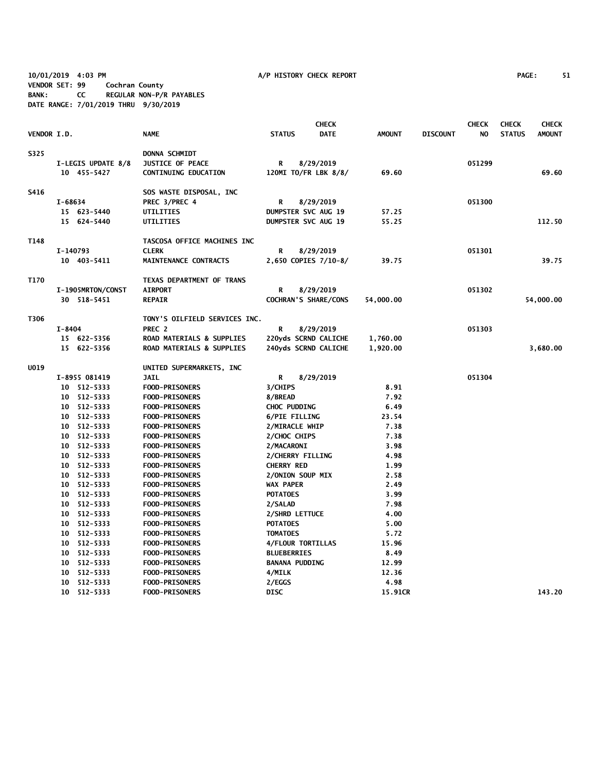**10/01/2019 4:03 PM A/P HISTORY CHECK REPORT PAGE: 51 VENDOR SET: 99 Cochran County BANK: CC REGULAR NON-P/R PAYABLES DATE RANGE: 7/01/2019 THRU 9/30/2019**

|             |            |                         |                                                |                       | <b>CHECK</b>               |               |                 | <b>CHECK</b> | <b>CHECK</b>  | <b>CHECK</b>  |
|-------------|------------|-------------------------|------------------------------------------------|-----------------------|----------------------------|---------------|-----------------|--------------|---------------|---------------|
| VENDOR I.D. |            |                         | <b>NAME</b>                                    | <b>STATUS</b>         | <b>DATE</b>                | <b>AMOUNT</b> | <b>DISCOUNT</b> | NO.          | <b>STATUS</b> | <b>AMOUNT</b> |
| S325        |            |                         | <b>DONNA SCHMIDT</b>                           |                       |                            |               |                 |              |               |               |
|             |            | I-LEGIS UPDATE 8/8      | JUSTICE OF PEACE                               | R                     | 8/29/2019                  |               |                 | 051299       |               |               |
|             |            | 10 455-5427             | <b>CONTINUING EDUCATION</b>                    |                       | 120MI TO/FR LBK 8/8/       | 69.60         |                 |              |               | 69.60         |
| S416        |            |                         | SOS WASTE DISPOSAL, INC                        |                       |                            |               |                 |              |               |               |
|             | I-68634    |                         | PREC 3/PREC 4                                  | R                     | 8/29/2019                  |               |                 | 051300       |               |               |
|             |            | 15 623-5440             | UTILITIES                                      |                       | <b>DUMPSTER SVC AUG 19</b> | 57.25         |                 |              |               |               |
|             |            | 15 624-5440             | UTILITIES                                      |                       | <b>DUMPSTER SVC AUG 19</b> | 55.25         |                 |              |               | 112.50        |
| T148        |            |                         | TASCOSA OFFICE MACHINES INC                    |                       |                            |               |                 |              |               |               |
|             | I-140793   |                         | <b>CLERK</b>                                   | R                     | 8/29/2019                  |               |                 | 051301       |               |               |
|             |            | 10 403-5411             | MAINTENANCE CONTRACTS                          |                       | 2,650 COPIES 7/10-8/       | 39.75         |                 |              |               | 39.75         |
| T170        |            |                         | TEXAS DEPARTMENT OF TRANS                      |                       |                            |               |                 |              |               |               |
|             |            | I-1905MRTON/CONST       | <b>AIRPORT</b>                                 | R                     | 8/29/2019                  |               |                 | 051302       |               |               |
|             |            | 30 518-5451             | <b>REPAIR</b>                                  |                       | COCHRAN'S SHARE/CONS       | 54,000.00     |                 |              |               | 54,000.00     |
| T306        |            |                         | TONY'S OILFIELD SERVICES INC.                  |                       |                            |               |                 |              |               |               |
|             | $I - 8404$ |                         | PREC <sub>2</sub>                              | R                     | 8/29/2019                  |               |                 | 051303       |               |               |
|             |            | 15 622-5356             | <b>ROAD MATERIALS &amp; SUPPLIES</b>           |                       | 220yds SCRND CALICHE       | 1,760.00      |                 |              |               |               |
|             |            | 15 622-5356             | ROAD MATERIALS & SUPPLIES                      |                       | 240yds SCRND CALICHE       | 1,920.00      |                 |              |               | 3,680.00      |
| <b>UO19</b> |            |                         | UNITED SUPERMARKETS, INC                       |                       |                            |               |                 |              |               |               |
|             |            | I-8955 081419           | <b>JAIL</b>                                    | R                     | 8/29/2019                  |               |                 | 051304       |               |               |
|             |            | 10 512-5333             | <b>FOOD-PRISONERS</b>                          | 3/CHIPS               |                            | 8.91          |                 |              |               |               |
|             |            | 10 512-5333             | <b>FOOD-PRISONERS</b>                          | 8/BREAD               |                            | 7.92          |                 |              |               |               |
|             |            | 10 512-5333             | <b>FOOD-PRISONERS</b>                          | CHOC PUDDING          |                            | 6.49          |                 |              |               |               |
|             |            | 10 512-5333             | <b>FOOD-PRISONERS</b>                          | 6/PIE FILLING         |                            | 23.54         |                 |              |               |               |
|             |            | 10 512-5333             | <b>FOOD-PRISONERS</b>                          | 2/MIRACLE WHIP        |                            | 7.38          |                 |              |               |               |
|             |            | 10 512-5333             | FOOD-PRISONERS                                 | 2/CHOC CHIPS          |                            | 7.38          |                 |              |               |               |
|             | 10         | 512-5333                | <b>FOOD-PRISONERS</b>                          | 2/MACARONI            |                            | 3.98          |                 |              |               |               |
|             |            | 10 512-5333             | <b>FOOD-PRISONERS</b>                          | 2/CHERRY FILLING      |                            | 4.98          |                 |              |               |               |
|             | 10         | 512-5333                | <b>FOOD-PRISONERS</b>                          | <b>CHERRY RED</b>     |                            | 1.99          |                 |              |               |               |
|             | 10         | 512-5333                | <b>FOOD-PRISONERS</b>                          | 2/ONION SOUP MIX      |                            | 2.58          |                 |              |               |               |
|             | 10         | 512-5333                | <b>FOOD-PRISONERS</b>                          | WAX PAPER             |                            | 2.49          |                 |              |               |               |
|             | 10         | 512-5333                | <b>FOOD-PRISONERS</b>                          | <b>POTATOES</b>       |                            | 3.99          |                 |              |               |               |
|             |            | 10 512-5333             | <b>FOOD-PRISONERS</b>                          | 2/SALAD               |                            | 7.98          |                 |              |               |               |
|             |            | 10 512-5333             | <b>FOOD-PRISONERS</b>                          | 2/SHRD LETTUCE        |                            | 4.00          |                 |              |               |               |
|             | 10         | 512-5333                | <b>FOOD-PRISONERS</b>                          | <b>POTATOES</b>       |                            | 5.00          |                 |              |               |               |
|             | 10         |                         |                                                | <b>TOMATOES</b>       |                            | 5.72          |                 |              |               |               |
|             |            | 512-5333<br>10 512-5333 | <b>FOOD-PRISONERS</b><br><b>FOOD-PRISONERS</b> |                       | 4/FLOUR TORTILLAS          | 15.96         |                 |              |               |               |
|             | 10         | 512-5333                | <b>FOOD-PRISONERS</b>                          | <b>BLUEBERRIES</b>    |                            | 8.49          |                 |              |               |               |
|             |            | 10 512-5333             | <b>FOOD-PRISONERS</b>                          | <b>BANANA PUDDING</b> |                            | 12.99         |                 |              |               |               |
|             | 10         | 512-5333                | <b>FOOD-PRISONERS</b>                          | 4/MILK                |                            | 12.36         |                 |              |               |               |
|             |            | 10 512-5333             | <b>FOOD-PRISONERS</b>                          | 2/EGGS                |                            | 4.98          |                 |              |               |               |
|             |            | 10 512-5333             | <b>FOOD-PRISONERS</b>                          | <b>DISC</b>           |                            | 15.91CR       |                 |              |               | 143.20        |
|             |            |                         |                                                |                       |                            |               |                 |              |               |               |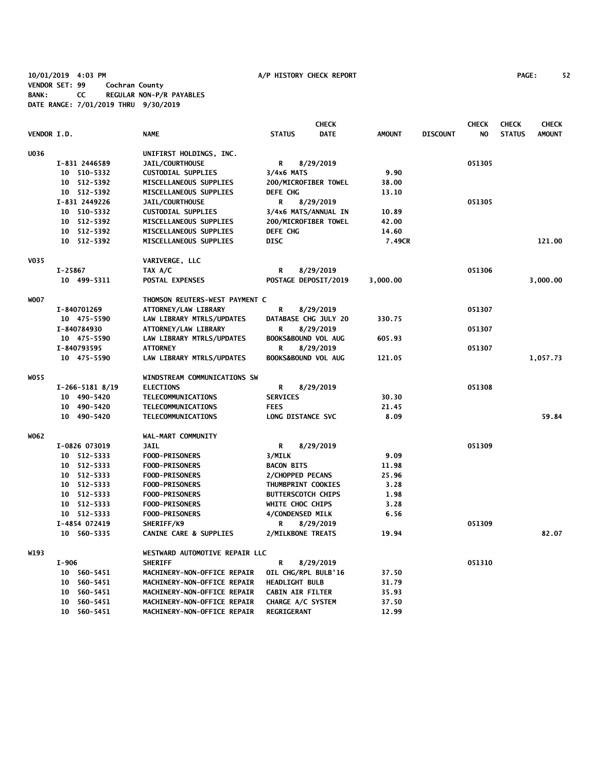**10/01/2019 4:03 PM A/P HISTORY CHECK REPORT PAGE: 52 VENDOR SET: 99 Cochran County BANK: CC REGULAR NON-P/R PAYABLES DATE RANGE: 7/01/2019 THRU 9/30/2019**

|                    |                             |                                   | <b>CHECK</b>                 |               |                 | <b>CHECK</b> | <b>CHECK</b>  | <b>CHECK</b>  |
|--------------------|-----------------------------|-----------------------------------|------------------------------|---------------|-----------------|--------------|---------------|---------------|
| <b>VENDOR I.D.</b> |                             | <b>NAME</b>                       | <b>STATUS</b><br><b>DATE</b> | <b>AMOUNT</b> | <b>DISCOUNT</b> | NO.          | <b>STATUS</b> | <b>AMOUNT</b> |
| U036               |                             | UNIFIRST HOLDINGS, INC.           |                              |               |                 |              |               |               |
|                    | I-831 2446589               | JAIL/COURTHOUSE                   | 8/29/2019<br>R               |               |                 | 051305       |               |               |
|                    | 10 510-5332                 | <b>CUSTODIAL SUPPLIES</b>         | $3/4x6$ MATS                 | 9.90          |                 |              |               |               |
|                    | 10 512-5392                 | MISCELLANEOUS SUPPLIES            | 200/MICROFIBER TOWEL         | 38.00         |                 |              |               |               |
|                    | 10 512-5392                 | MISCELLANEOUS SUPPLIES            | <b>DEFE CHG</b>              | 13.10         |                 |              |               |               |
|                    | I-831 2449226               | <b>JAIL/COURTHOUSE</b>            | R<br>8/29/2019               |               |                 | 051305       |               |               |
|                    | 10 510-5332                 | <b>CUSTODIAL SUPPLIES</b>         | 3/4x6 MATS/ANNUAL IN         | 10.89         |                 |              |               |               |
|                    | 10 512-5392                 | MISCELLANEOUS SUPPLIES            | 200/MICROFIBER TOWEL         | 42.00         |                 |              |               |               |
|                    | 10 512-5392                 | MISCELLANEOUS SUPPLIES            | DEFE CHG                     | 14.60         |                 |              |               |               |
|                    | 10 512-5392                 | MISCELLANEOUS SUPPLIES            | <b>DISC</b>                  | 7.49CR        |                 |              |               | 121.00        |
| <b>V035</b>        |                             | VARIVERGE, LLC                    |                              |               |                 |              |               |               |
|                    | I-25867                     | TAX A/C                           | R<br>8/29/2019               |               |                 | 051306       |               |               |
|                    | 10 499-5311                 | POSTAL EXPENSES                   | POSTAGE DEPOSIT/2019         | 3,000.00      |                 |              |               | 3,000.00      |
| <b>WOO7</b>        |                             | THOMSON REUTERS-WEST PAYMENT C    |                              |               |                 |              |               |               |
|                    | I-840701269                 | ATTORNEY/LAW LIBRARY              | R<br>8/29/2019               |               |                 | 051307       |               |               |
|                    | 10 475-5590                 | LAW LIBRARY MTRLS/UPDATES         | DATABASE CHG JULY 20         | 330.75        |                 |              |               |               |
|                    | I-840784930                 | ATTORNEY/LAW LIBRARY              | 8/29/2019<br>R               |               |                 | 051307       |               |               |
|                    | 10 475-5590                 | LAW LIBRARY MTRLS/UPDATES         | BOOKS&BOUND VOL AUG          | 605.93        |                 |              |               |               |
|                    | I-840793595                 | <b>ATTORNEY</b>                   | R<br>8/29/2019               |               |                 | 051307       |               |               |
|                    | 10 475-5590                 | LAW LIBRARY MTRLS/UPDATES         | BOOKS&BOUND VOL AUG          | 121.05        |                 |              |               | 1,057.73      |
| WO55               |                             | WINDSTREAM COMMUNICATIONS SW      |                              |               |                 |              |               |               |
|                    | $I-266-5181$ 8/19           | <b>ELECTIONS</b>                  | 8/29/2019<br>R               |               |                 | 051308       |               |               |
|                    | 10 490-5420                 | TELECOMMUNICATIONS                | <b>SERVICES</b>              | 30.30         |                 |              |               |               |
|                    | 10 490-5420                 | TELECOMMUNICATIONS                | <b>FEES</b>                  | 21.45         |                 |              |               |               |
|                    | 10 490-5420                 | TELECOMMUNICATIONS                | LONG DISTANCE SVC            | 8.09          |                 |              |               | 59.84         |
| W062               |                             | WAL-MART COMMUNITY                |                              |               |                 |              |               |               |
|                    | I-0826 073019               | <b>JAIL</b>                       | 8/29/2019<br>R               |               |                 | 051309       |               |               |
|                    | 10 512-5333                 | <b>FOOD-PRISONERS</b>             | 3/MILK                       | 9.09          |                 |              |               |               |
|                    | 10 512-5333                 | <b>FOOD-PRISONERS</b>             | <b>BACON BITS</b>            | 11.98         |                 |              |               |               |
|                    | 10 512-5333                 | <b>FOOD-PRISONERS</b>             | 2/CHOPPED PECANS             | 25.96         |                 |              |               |               |
|                    | 10 512-5333                 | <b>FOOD-PRISONERS</b>             | THUMBPRINT COOKIES           | 3.28          |                 |              |               |               |
|                    | 10 512-5333                 | <b>FOOD-PRISONERS</b>             | <b>BUTTERSCOTCH CHIPS</b>    | 1.98          |                 |              |               |               |
|                    | 10 512-5333                 | <b>FOOD-PRISONERS</b>             | WHITE CHOC CHIPS             | 3.28          |                 |              |               |               |
|                    | 10 512-5333                 | <b>FOOD-PRISONERS</b>             | 4/CONDENSED MILK             | 6.56          |                 |              |               |               |
|                    | I-4854 072419               | SHERIFF/K9                        | R<br>8/29/2019               |               |                 | 051309       |               |               |
|                    | 10 560-5335                 | <b>CANINE CARE &amp; SUPPLIES</b> | 2/MILKBONE TREATS            | 19.94         |                 |              |               | 82.07         |
| W193               |                             | WESTWARD AUTOMOTIVE REPAIR LLC    |                              |               |                 |              |               |               |
|                    | $I-906$                     | <b>SHERIFF</b>                    | R<br>8/29/2019               |               |                 | 051310       |               |               |
|                    | 10 560-5451                 | MACHINERY-NON-OFFICE REPAIR       | OIL CHG/RPL BULB'16          | 37.50         |                 |              |               |               |
|                    | 560-5451<br>10              | MACHINERY-NON-OFFICE REPAIR       | <b>HEADLIGHT BULB</b>        | 31.79         |                 |              |               |               |
|                    | 560-5451<br>10              | MACHINERY-NON-OFFICE REPAIR       | <b>CABIN AIR FILTER</b>      | 35.93         |                 |              |               |               |
|                    | 560-5451<br>10              | MACHINERY-NON-OFFICE REPAIR       | CHARGE A/C SYSTEM            | 37.50         |                 |              |               |               |
|                    | 10 <sup>°</sup><br>560-5451 | MACHINERY-NON-OFFICE REPAIR       | <b>REGRIGERANT</b>           | 12.99         |                 |              |               |               |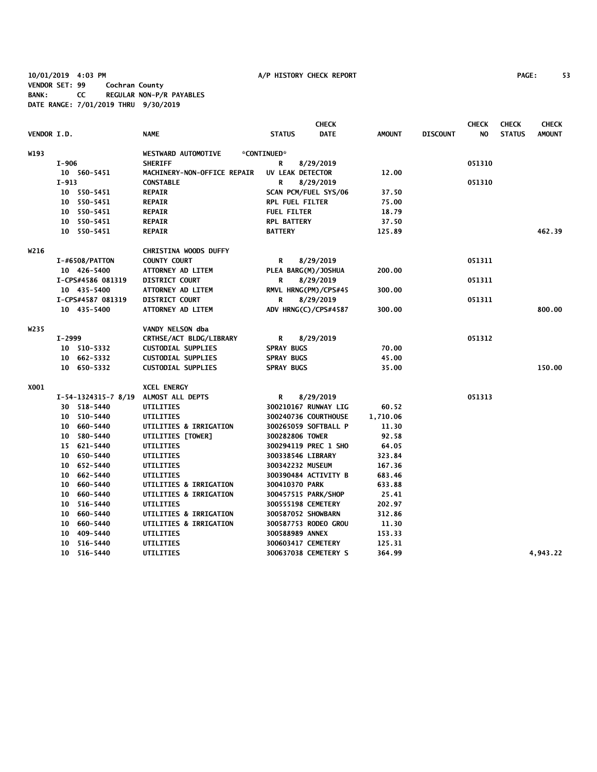## **10/01/2019 4:03 PM A/P HISTORY CHECK REPORT PAGE: 53 VENDOR SET: 99 Cochran County BANK: CC REGULAR NON-P/R PAYABLES DATE RANGE: 7/01/2019 THRU 9/30/2019**

|             |                     |                                   | <b>CHECK</b>           |             |               |                 | <b>CHECK</b> | <b>CHECK</b>  | <b>CHECK</b>  |
|-------------|---------------------|-----------------------------------|------------------------|-------------|---------------|-----------------|--------------|---------------|---------------|
| VENDOR I.D. |                     | <b>NAME</b>                       | <b>STATUS</b>          | <b>DATE</b> | <b>AMOUNT</b> | <b>DISCOUNT</b> | NO.          | <b>STATUS</b> | <b>AMOUNT</b> |
| W193        |                     | <b>WESTWARD AUTOMOTIVE</b>        | *CONTINUED*            |             |               |                 |              |               |               |
|             | I-906               | <b>SHERIFF</b>                    | R<br>8/29/2019         |             |               |                 | 051310       |               |               |
|             | 10 560-5451         | MACHINERY-NON-OFFICE REPAIR       | UV LEAK DETECTOR       |             | 12.00         |                 |              |               |               |
|             | $I-913$             | <b>CONSTABLE</b>                  | R<br>8/29/2019         |             |               |                 | 051310       |               |               |
|             | 10 550-5451         | <b>REPAIR</b>                     | SCAN PCM/FUEL SYS/06   |             | 37.50         |                 |              |               |               |
|             | 10 550-5451         | <b>REPAIR</b>                     | <b>RPL FUEL FILTER</b> |             | 75.00         |                 |              |               |               |
|             | 10 550-5451         | <b>REPAIR</b>                     | <b>FUEL FILTER</b>     |             | 18.79         |                 |              |               |               |
|             | 10 550-5451         | <b>REPAIR</b>                     | <b>RPL BATTERY</b>     |             | 37.50         |                 |              |               |               |
|             | 10 550-5451         | <b>REPAIR</b>                     | <b>BATTERY</b>         |             | 125.89        |                 |              |               | 462.39        |
| W216        |                     | CHRISTINA WOODS DUFFY             |                        |             |               |                 |              |               |               |
|             | I-#6508/PATTON      | <b>COUNTY COURT</b>               | R<br>8/29/2019         |             |               |                 | 051311       |               |               |
|             | 10 426-5400         | <b>ATTORNEY AD LITEM</b>          | PLEA BARG(M)/JOSHUA    |             | 200.00        |                 |              |               |               |
|             | I-CPS#4586 081319   | <b>DISTRICT COURT</b>             | R<br>8/29/2019         |             |               |                 | 051311       |               |               |
|             | 10 435-5400         | <b>ATTORNEY AD LITEM</b>          | RMVL HRNG(PM)/CPS#45   |             | 300.00        |                 |              |               |               |
|             | I-CPS#4587 081319   | <b>DISTRICT COURT</b>             | R<br>8/29/2019         |             |               |                 | 051311       |               |               |
|             | 10 435-5400         | ATTORNEY AD LITEM                 | ADV HRNG(C)/CPS#4587   |             | 300.00        |                 |              |               | 800.00        |
| W235        |                     | VANDY NELSON dba                  |                        |             |               |                 |              |               |               |
|             | I-2999              | CRTHSE/ACT BLDG/LIBRARY           | R<br>8/29/2019         |             |               |                 | 051312       |               |               |
|             | 10 510-5332         | <b>CUSTODIAL SUPPLIES</b>         | <b>SPRAY BUGS</b>      |             | 70.00         |                 |              |               |               |
|             | 10 662-5332         | <b>CUSTODIAL SUPPLIES</b>         | SPRAY BUGS             |             | 45.00         |                 |              |               |               |
|             | 10 650-5332         | <b>CUSTODIAL SUPPLIES</b>         | <b>SPRAY BUGS</b>      |             | 35.00         |                 |              |               | 150.00        |
| X001        |                     | <b>XCEL ENERGY</b>                |                        |             |               |                 |              |               |               |
|             | I-54-1324315-7 8/19 | ALMOST ALL DEPTS                  | 8/29/2019<br>R         |             |               |                 | 051313       |               |               |
|             | 30 518-5440         | UTILITIES                         | 300210167 RUNWAY LIG   |             | 60.52         |                 |              |               |               |
|             | 10 510-5440         | UTILITIES                         | 300240736 COURTHOUSE   |             | 1,710.06      |                 |              |               |               |
|             | 10 660-5440         | <b>UTILITIES &amp; IRRIGATION</b> | 300265059 SOFTBALL P   |             | 11.30         |                 |              |               |               |
|             | 10 580-5440         | UTILITIES [TOWER]                 | 300282806 TOWER        |             | 92.58         |                 |              |               |               |
|             | 15 621-5440         | UTILITIES                         | 300294119 PREC 1 SHO   |             | 64.05         |                 |              |               |               |
|             | 10 650-5440         | UTILITIES                         | 300338546 LIBRARY      |             | 323.84        |                 |              |               |               |
|             | 10 652-5440         | UTILITIES                         | 300342232 MUSEUM       |             | 167.36        |                 |              |               |               |
|             | 10 662-5440         | UTILITIES                         | 300390484 ACTIVITY B   |             | 683.46        |                 |              |               |               |
|             | 10 660-5440         | <b>UTILITIES &amp; IRRIGATION</b> | 300410370 PARK         |             | 633.88        |                 |              |               |               |
|             | 10 660-5440         | <b>UTILITIES &amp; IRRIGATION</b> | 300457515 PARK/SHOP    |             | 25.41         |                 |              |               |               |
|             | 10 516-5440         | UTILITIES                         | 300555198 CEMETERY     |             | 202.97        |                 |              |               |               |
|             | 660-5440<br>10      | <b>UTILITIES &amp; IRRIGATION</b> | 300587052 SHOWBARN     |             | 312.86        |                 |              |               |               |
|             | 10 660-5440         | <b>UTILITIES &amp; IRRIGATION</b> | 300587753 RODEO GROU   |             | 11.30         |                 |              |               |               |
|             | 10 409-5440         | UTILITIES                         | 300588989 ANNEX        |             | 153.33        |                 |              |               |               |
|             | 10 516-5440         | UTILITIES                         | 300603417 CEMETERY     |             | 125.31        |                 |              |               |               |
|             | 10 516-5440         | UTILITIES                         | 300637038 CEMETERY S   |             | 364.99        |                 |              |               | 4,943.22      |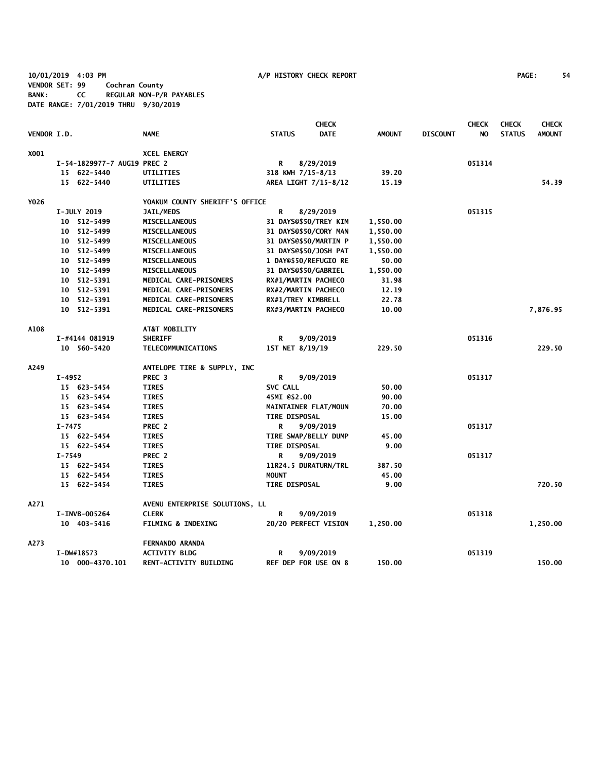**10/01/2019 4:03 PM A/P HISTORY CHECK REPORT PAGE: 54 VENDOR SET: 99 Cochran County BANK: CC REGULAR NON-P/R PAYABLES DATE RANGE: 7/01/2019 THRU 9/30/2019**

|             |               |                             |                                |                 | <b>CHECK</b>                 |               |                 | <b>CHECK</b> | <b>CHECK</b>  | <b>CHECK</b>  |
|-------------|---------------|-----------------------------|--------------------------------|-----------------|------------------------------|---------------|-----------------|--------------|---------------|---------------|
| VENDOR I.D. |               |                             | <b>NAME</b>                    | <b>STATUS</b>   | <b>DATE</b>                  | <b>AMOUNT</b> | <b>DISCOUNT</b> | NO           | <b>STATUS</b> | <b>AMOUNT</b> |
| X001        |               |                             | <b>XCEL ENERGY</b>             |                 |                              |               |                 |              |               |               |
|             |               | I-54-1829977-7 AUG19 PREC 2 |                                | R               | 8/29/2019                    |               |                 | 051314       |               |               |
|             |               | 15 622-5440                 | <b>UTILITIES</b>               |                 | 318 KWH 7/15-8/13            | 39.20         |                 |              |               |               |
|             |               | 15 622-5440                 | UTILITIES                      |                 | AREA LIGHT 7/15-8/12         | 15.19         |                 |              |               | 54.39         |
| Y026        |               |                             | YOAKUM COUNTY SHERIFF'S OFFICE |                 |                              |               |                 |              |               |               |
|             | I-JULY 2019   |                             | JAIL/MEDS                      | R               | 8/29/2019                    |               |                 | 051315       |               |               |
|             |               | 10 512-5499                 | MISCELLANEOUS                  |                 | 31 DAYS@\$50/TREY KIM        | 1,550.00      |                 |              |               |               |
|             |               | 10 512-5499                 | <b>MISCELLANEOUS</b>           |                 | 31 DAYS@\$50/CORY MAN        | 1,550.00      |                 |              |               |               |
|             |               | 10 512-5499                 | <b>MISCELLANEOUS</b>           |                 | <b>31 DAYS@\$50/MARTIN P</b> | 1,550.00      |                 |              |               |               |
|             |               | 10 512-5499                 | <b>MISCELLANEOUS</b>           |                 | 31 DAYS@\$50/JOSH PAT        | 1,550.00      |                 |              |               |               |
|             |               | 10 512-5499                 | <b>MISCELLANEOUS</b>           |                 | 1 DAY@\$50/REFUGIO RE        | 50.00         |                 |              |               |               |
|             |               | 10 512-5499                 | <b>MISCELLANEOUS</b>           |                 | <b>31 DAYS@\$50/GABRIEL</b>  | 1,550.00      |                 |              |               |               |
|             |               | 10 512-5391                 | MEDICAL CARE-PRISONERS         |                 | RX#1/MARTIN PACHECO          | 31.98         |                 |              |               |               |
|             |               | 10 512-5391                 | MEDICAL CARE-PRISONERS         |                 | RX#2/MARTIN PACHECO          | 12.19         |                 |              |               |               |
|             |               | 10 512-5391                 | MEDICAL CARE-PRISONERS         |                 | RX#1/TREY KIMBRELL           | 22.78         |                 |              |               |               |
|             |               | 10 512-5391                 | MEDICAL CARE-PRISONERS         |                 | RX#3/MARTIN PACHECO          | 10.00         |                 |              |               | 7,876.95      |
| A108        |               |                             | AT&T MOBILITY                  |                 |                              |               |                 |              |               |               |
|             |               | I-#4144 081919              | <b>SHERIFF</b>                 | R               | 9/09/2019                    |               |                 | 051316       |               |               |
|             |               | 10 560-5420                 | TELECOMMUNICATIONS             |                 | 1ST NET 8/19/19              | 229.50        |                 |              |               | 229.50        |
| A249        |               |                             | ANTELOPE TIRE & SUPPLY, INC    |                 |                              |               |                 |              |               |               |
|             | $I-4952$      |                             | PREC <sub>3</sub>              | R               | 9/09/2019                    |               |                 | 051317       |               |               |
|             |               | 15 623-5454                 | <b>TIRES</b>                   | <b>SVC CALL</b> |                              | 50.00         |                 |              |               |               |
|             |               | 15 623-5454                 | <b>TIRES</b>                   | 45MI @\$2.00    |                              | 90.00         |                 |              |               |               |
|             |               | 15 623-5454                 | <b>TIRES</b>                   |                 | MAINTAINER FLAT/MOUN         | 70.00         |                 |              |               |               |
|             |               | 15 623-5454                 | <b>TIRES</b>                   |                 | <b>TIRE DISPOSAL</b>         | 15.00         |                 |              |               |               |
|             | I-7475        |                             | PREC 2                         | R               | 9/09/2019                    |               |                 | 051317       |               |               |
|             |               | 15 622-5454                 | <b>TIRES</b>                   |                 | TIRE SWAP/BELLY DUMP         | 45.00         |                 |              |               |               |
|             |               | 15 622-5454                 | <b>TIRES</b>                   |                 | <b>TIRE DISPOSAL</b>         | 9.00          |                 |              |               |               |
|             | $I - 7549$    |                             | PREC 2                         | R               | 9/09/2019                    |               |                 | 051317       |               |               |
|             |               | 15 622-5454                 | <b>TIRES</b>                   |                 | 11R24.5 DURATURN/TRL         | 387.50        |                 |              |               |               |
|             |               | 15 622-5454                 | <b>TIRES</b>                   | <b>MOUNT</b>    |                              | 45.00         |                 |              |               |               |
|             |               | 15 622-5454                 | <b>TIRES</b>                   |                 | <b>TIRE DISPOSAL</b>         | 9.00          |                 |              |               | 720.50        |
| A271        |               |                             | AVENU ENTERPRISE SOLUTIONS, LL |                 |                              |               |                 |              |               |               |
|             | I-INVB-005264 |                             | <b>CLERK</b>                   | R               | 9/09/2019                    |               |                 | 051318       |               |               |
|             |               | 10 403-5416                 | <b>FILMING &amp; INDEXING</b>  |                 | 20/20 PERFECT VISION         | 1,250.00      |                 |              |               | 1,250.00      |
| A273        |               |                             | <b>FERNANDO ARANDA</b>         |                 |                              |               |                 |              |               |               |
|             | I-DW#18573    |                             | <b>ACTIVITY BLDG</b>           | R               | 9/09/2019                    |               |                 | 051319       |               |               |
|             |               | 10 000-4370.101             | RENT-ACTIVITY BUILDING         |                 | <b>REF DEP FOR USE ON 8</b>  | 150.00        |                 |              |               | 150.00        |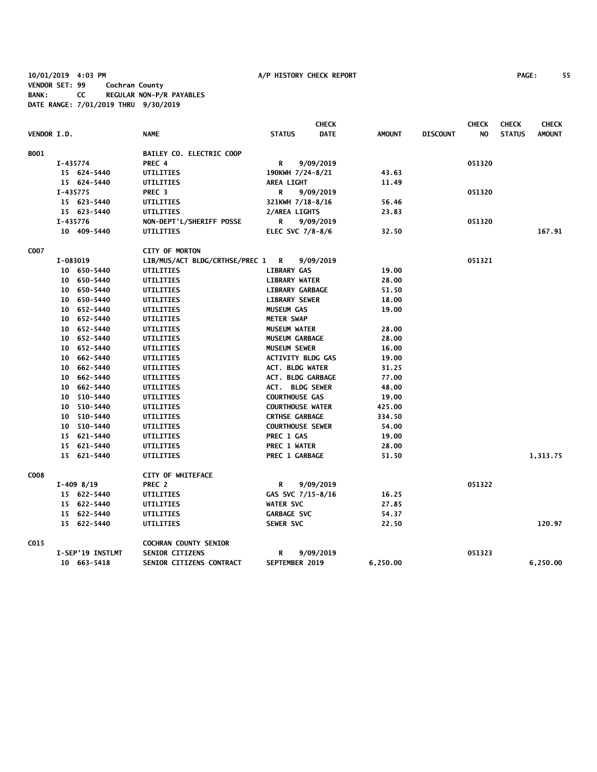**10/01/2019 4:03 PM A/P HISTORY CHECK REPORT PAGE: 55 VENDOR SET: 99 Cochran County BANK: CC REGULAR NON-P/R PAYABLES DATE RANGE: 7/01/2019 THRU 9/30/2019**

|             |          |                  |                                |                          | <b>CHECK</b> |               |                 | <b>CHECK</b> | <b>CHECK</b>  | <b>CHECK</b>  |
|-------------|----------|------------------|--------------------------------|--------------------------|--------------|---------------|-----------------|--------------|---------------|---------------|
| VENDOR I.D. |          |                  | <b>NAME</b>                    | <b>STATUS</b>            | <b>DATE</b>  | <b>AMOUNT</b> | <b>DISCOUNT</b> | NO.          | <b>STATUS</b> | <b>AMOUNT</b> |
| B001        |          |                  | BAILEY CO. ELECTRIC COOP       |                          |              |               |                 |              |               |               |
|             | I-435774 |                  | PREC 4                         | R                        | 9/09/2019    |               |                 | 051320       |               |               |
|             |          | 15 624-5440      | UTILITIES                      | 190KWH 7/24-8/21         |              | 43.63         |                 |              |               |               |
|             |          | 15 624-5440      | UTILITIES                      | <b>AREA LIGHT</b>        |              | 11.49         |                 |              |               |               |
|             | I-435775 |                  | PREC <sub>3</sub>              | R                        | 9/09/2019    |               |                 | 051320       |               |               |
|             |          | 15 623-5440      | UTILITIES                      | 321KWH 7/18-8/16         |              | 56.46         |                 |              |               |               |
|             |          | 15 623-5440      | UTILITIES                      | 2/AREA LIGHTS            |              | 23.83         |                 |              |               |               |
|             | I-435776 |                  | NON-DEPT'L/SHERIFF POSSE       | R                        | 9/09/2019    |               |                 | 051320       |               |               |
|             |          | 10 409-5440      | UTILITIES                      | ELEC SVC 7/8-8/6         |              | 32.50         |                 |              |               | 167.91        |
| C007        |          |                  | <b>CITY OF MORTON</b>          |                          |              |               |                 |              |               |               |
|             | I-083019 |                  | LIB/MUS/ACT BLDG/CRTHSE/PREC 1 | $\overline{\mathbf{R}}$  | 9/09/2019    |               |                 | 051321       |               |               |
|             |          | 10 650-5440      | UTILITIES                      | <b>LIBRARY GAS</b>       |              | 19.00         |                 |              |               |               |
|             |          | 10 650-5440      | UTILITIES                      | <b>LIBRARY WATER</b>     |              | 28.00         |                 |              |               |               |
|             |          | 10 650-5440      | UTILITIES                      | <b>LIBRARY GARBAGE</b>   |              | 51.50         |                 |              |               |               |
|             |          | 10 650-5440      | UTILITIES                      | <b>LIBRARY SEWER</b>     |              | 18.00         |                 |              |               |               |
|             |          | 10 652-5440      | UTILITIES                      | <b>MUSEUM GAS</b>        |              | 19.00         |                 |              |               |               |
|             |          | 10 652-5440      | UTILITIES                      | <b>METER SWAP</b>        |              |               |                 |              |               |               |
|             |          | 10 652-5440      | UTILITIES                      | <b>MUSEUM WATER</b>      |              | 28.00         |                 |              |               |               |
|             |          | 10 652-5440      | UTILITIES                      | MUSEUM GARBAGE           |              | 28.00         |                 |              |               |               |
|             |          | 10 652-5440      | UTILITIES                      | MUSEUM SEWER             |              | 16.00         |                 |              |               |               |
|             |          | 10 662-5440      | UTILITIES                      | <b>ACTIVITY BLDG GAS</b> |              | 19.00         |                 |              |               |               |
|             |          | 10 662-5440      | UTILITIES                      | <b>ACT. BLDG WATER</b>   |              | 31.25         |                 |              |               |               |
|             |          | 10 662-5440      | UTILITIES                      | <b>ACT. BLDG GARBAGE</b> |              | 77.00         |                 |              |               |               |
|             |          | 10 662-5440      | UTILITIES                      | <b>ACT. BLDG SEWER</b>   |              | 48.00         |                 |              |               |               |
|             |          | 10 510-5440      | UTILITIES                      | <b>COURTHOUSE GAS</b>    |              | 19.00         |                 |              |               |               |
|             |          | 10 510-5440      | UTILITIES                      | <b>COURTHOUSE WATER</b>  |              | 425.00        |                 |              |               |               |
|             |          | 10 510-5440      | UTILITIES                      | <b>CRTHSE GARBAGE</b>    |              | 334.50        |                 |              |               |               |
|             |          | 10 510-5440      | UTILITIES                      | <b>COURTHOUSE SEWER</b>  |              | 54.00         |                 |              |               |               |
|             |          | 15 621-5440      | UTILITIES                      | PREC 1 GAS               |              | 19.00         |                 |              |               |               |
|             |          | 15 621-5440      | UTILITIES                      | <b>PREC 1 WATER</b>      |              | 28.00         |                 |              |               |               |
|             |          | 15 621-5440      | UTILITIES                      | PREC 1 GARBAGE           |              | 51.50         |                 |              |               | 1,313.75      |
| C008        |          |                  | CITY OF WHITEFACE              |                          |              |               |                 |              |               |               |
|             |          | $I-409$ 8/19     | PREC 2                         | R                        | 9/09/2019    |               |                 | 051322       |               |               |
|             |          | 15 622-5440      | UTILITIES                      | GAS SVC 7/15-8/16        |              | 16.25         |                 |              |               |               |
|             |          | 15 622-5440      | UTILITIES                      | <b>WATER SVC</b>         |              | 27.85         |                 |              |               |               |
|             |          | 15 622-5440      | UTILITIES                      | <b>GARBAGE SVC</b>       |              | 54.37         |                 |              |               |               |
|             |          | 15 622-5440      | UTILITIES                      | SEWER SVC                |              | 22.50         |                 |              |               | 120.97        |
| C015        |          |                  | <b>COCHRAN COUNTY SENIOR</b>   |                          |              |               |                 |              |               |               |
|             |          | I-SEP'19 INSTLMT | SENIOR CITIZENS                | R                        | 9/09/2019    |               |                 | 051323       |               |               |
|             |          | 10 663-5418      | SENIOR CITIZENS CONTRACT       | SEPTEMBER 2019           |              | 6,250.00      |                 |              |               | 6,250.00      |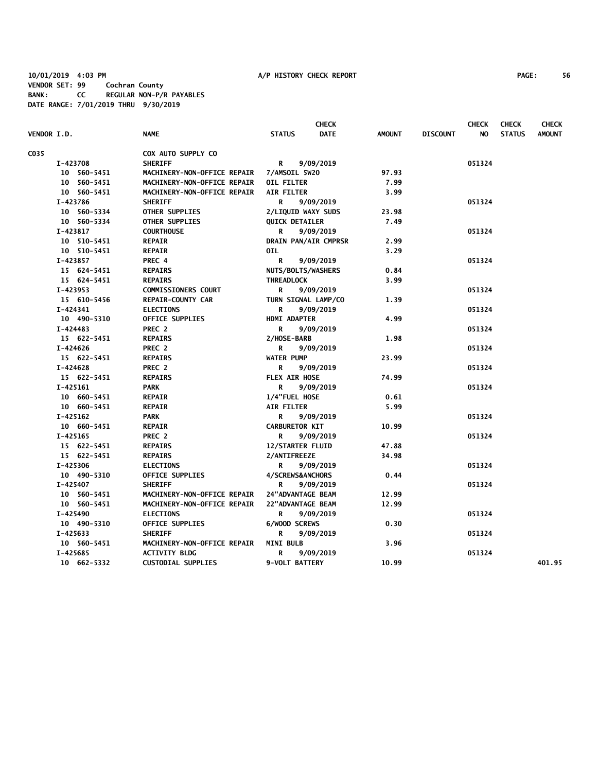| VENDOR I.D. |             | <b>NAME</b>                 | <b>STATUS</b>           | <b>CHECK</b><br><b>DATE</b> | <b>AMOUNT</b> | <b>DISCOUNT</b> | <b>CHECK</b><br>NO. | <b>CHECK</b><br><b>STATUS</b> | <b>CHECK</b><br><b>AMOUNT</b> |
|-------------|-------------|-----------------------------|-------------------------|-----------------------------|---------------|-----------------|---------------------|-------------------------------|-------------------------------|
|             |             |                             |                         |                             |               |                 |                     |                               |                               |
| C035        |             | COX AUTO SUPPLY CO          |                         |                             |               |                 |                     |                               |                               |
|             | I-423708    | <b>SHERIFF</b>              | R                       | 9/09/2019                   |               |                 | 051324              |                               |                               |
|             | 10 560-5451 | MACHINERY-NON-OFFICE REPAIR | 7/AMSOIL 5W20           |                             | 97.93         |                 |                     |                               |                               |
|             | 10 560-5451 | MACHINERY-NON-OFFICE REPAIR | <b>OIL FILTER</b>       |                             | 7.99          |                 |                     |                               |                               |
|             | 10 560-5451 | MACHINERY-NON-OFFICE REPAIR | <b>AIR FILTER</b>       |                             | 3.99          |                 |                     |                               |                               |
|             | I-423786    | <b>SHERIFF</b>              | R                       | 9/09/2019                   |               |                 | 051324              |                               |                               |
|             | 10 560-5334 | <b>OTHER SUPPLIES</b>       | 2/LIQUID WAXY SUDS      |                             | 23.98         |                 |                     |                               |                               |
|             | 10 560-5334 | OTHER SUPPLIES              | <b>QUICK DETAILER</b>   |                             | 7.49          |                 |                     |                               |                               |
|             | I-423817    | <b>COURTHOUSE</b>           | R                       | 9/09/2019                   |               |                 | 051324              |                               |                               |
|             | 10 510-5451 | <b>REPAIR</b>               | DRAIN PAN/AIR CMPRSR    |                             | 2.99          |                 |                     |                               |                               |
|             | 10 510-5451 | <b>REPAIR</b>               | OIL.                    |                             | 3.29          |                 |                     |                               |                               |
|             | I-423857    | PREC 4                      | R                       | 9/09/2019                   |               |                 | 051324              |                               |                               |
|             | 15 624-5451 | <b>REPAIRS</b>              | NUTS/BOLTS/WASHERS      |                             | 0.84          |                 |                     |                               |                               |
|             | 15 624-5451 | <b>REPAIRS</b>              | THREADLOCK              |                             | 3.99          |                 |                     |                               |                               |
|             | I-423953    | <b>COMMISSIONERS COURT</b>  | R                       | 9/09/2019                   |               |                 | 051324              |                               |                               |
|             | 15 610-5456 | <b>REPAIR-COUNTY CAR</b>    | TURN SIGNAL LAMP/CO     |                             | 1.39          |                 |                     |                               |                               |
|             | I-424341    | <b>ELECTIONS</b>            | R                       | 9/09/2019                   |               |                 | 051324              |                               |                               |
|             | 10 490-5310 | <b>OFFICE SUPPLIES</b>      | <b>HDMI ADAPTER</b>     |                             | 4.99          |                 |                     |                               |                               |
|             | I-424483    | PREC 2                      | R                       | 9/09/2019                   |               |                 | 051324              |                               |                               |
|             | 15 622-5451 | <b>REPAIRS</b>              | 2/HOSE-BARB             |                             | 1.98          |                 |                     |                               |                               |
|             | I-424626    | PREC 2                      | R                       | 9/09/2019                   |               |                 | 051324              |                               |                               |
|             | 15 622-5451 | <b>REPAIRS</b>              | <b>WATER PUMP</b>       |                             | 23.99         |                 |                     |                               |                               |
|             | I-424628    | PREC 2                      | R                       | 9/09/2019                   |               |                 | 051324              |                               |                               |
|             | 15 622-5451 | <b>REPAIRS</b>              | FLEX AIR HOSE           |                             | 74.99         |                 |                     |                               |                               |
|             | $I-425161$  | <b>PARK</b>                 | R                       | 9/09/2019                   |               |                 | 051324              |                               |                               |
|             | 10 660-5451 | <b>REPAIR</b>               | 1/4"FUEL HOSE           |                             | 0.61          |                 |                     |                               |                               |
|             | 10 660-5451 | <b>REPAIR</b>               | <b>AIR FILTER</b>       |                             | 5.99          |                 |                     |                               |                               |
|             | $I-425162$  | <b>PARK</b>                 | R                       | 9/09/2019                   |               |                 | 051324              |                               |                               |
|             | 10 660-5451 | <b>REPAIR</b>               | <b>CARBURETOR KIT</b>   |                             | 10.99         |                 |                     |                               |                               |
|             | I-425165    | PREC 2                      | R                       | 9/09/2019                   |               |                 | 051324              |                               |                               |
|             | 15 622-5451 | <b>REPAIRS</b>              | <b>12/STARTER FLUID</b> |                             | 47.88         |                 |                     |                               |                               |
|             | 15 622-5451 | <b>REPAIRS</b>              | 2/ANTIFREEZE            |                             | 34.98         |                 |                     |                               |                               |
|             | I-425306    | <b>ELECTIONS</b>            | R                       | 9/09/2019                   |               |                 | 051324              |                               |                               |
|             | 10 490-5310 | <b>OFFICE SUPPLIES</b>      | 4/SCREWS&ANCHORS        |                             | 0.44          |                 |                     |                               |                               |
|             | I-425407    | <b>SHERIFF</b>              | R                       | 9/09/2019                   |               |                 | 051324              |                               |                               |
|             | 10 560-5451 | MACHINERY-NON-OFFICE REPAIR | 24"ADVANTAGE BEAM       |                             | 12.99         |                 |                     |                               |                               |
|             | 10 560-5451 | MACHINERY-NON-OFFICE REPAIR | 22"ADVANTAGE BEAM       |                             | 12.99         |                 |                     |                               |                               |
|             | I-425490    | <b>ELECTIONS</b>            | R                       | 9/09/2019                   |               |                 | 051324              |                               |                               |
|             | 10 490-5310 | <b>OFFICE SUPPLIES</b>      | 6/WOOD SCREWS           |                             | 0.30          |                 |                     |                               |                               |
|             | I-425633    | <b>SHERIFF</b>              | R                       | 9/09/2019                   |               |                 | 051324              |                               |                               |
|             | 10 560-5451 | MACHINERY-NON-OFFICE REPAIR | <b>MINI BULB</b>        |                             | 3.96          |                 |                     |                               |                               |
|             | I-425685    | <b>ACTIVITY BLDG</b>        | R                       | 9/09/2019                   |               |                 | 051324              |                               |                               |
|             | 10 662-5332 | <b>CUSTODIAL SUPPLIES</b>   | 9-VOLT BATTERY          |                             | 10.99         |                 |                     |                               | 401.95                        |
|             |             |                             |                         |                             |               |                 |                     |                               |                               |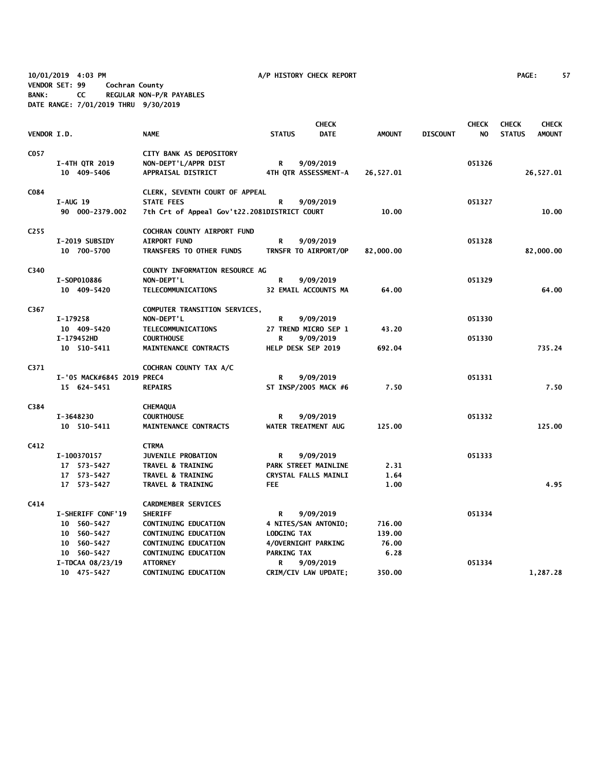**10/01/2019 4:03 PM A/P HISTORY CHECK REPORT PAGE: 57 VENDOR SET: 99 Cochran County BANK: CC REGULAR NON-P/R PAYABLES DATE RANGE: 7/01/2019 THRU 9/30/2019**

|                    |                            |                                              |                    | <b>CHECK</b>                |               |                 | <b>CHECK</b> | <b>CHECK</b>  | <b>CHECK</b>  |
|--------------------|----------------------------|----------------------------------------------|--------------------|-----------------------------|---------------|-----------------|--------------|---------------|---------------|
| <b>VENDOR I.D.</b> |                            | <b>NAME</b>                                  | <b>STATUS</b>      | DATE                        | <b>AMOUNT</b> | <b>DISCOUNT</b> | NO.          | <b>STATUS</b> | <b>AMOUNT</b> |
| C057               |                            | CITY BANK AS DEPOSITORY                      |                    |                             |               |                 |              |               |               |
|                    | <b>I-4TH QTR 2019</b>      | NON-DEPT'L/APPR DIST                         | R                  | 9/09/2019                   |               |                 | 051326       |               |               |
|                    | 10 409-5406                | APPRAISAL DISTRICT                           |                    | 4TH QTR ASSESSMENT-A        | 26,527.01     |                 |              |               | 26,527.01     |
|                    |                            |                                              |                    |                             |               |                 |              |               |               |
| C084               |                            | CLERK, SEVENTH COURT OF APPEAL               |                    |                             |               |                 |              |               |               |
|                    | <b>I-AUG 19</b>            | <b>STATE FEES</b>                            | R                  | 9/09/2019                   |               |                 | 051327       |               |               |
|                    | 90 000-2379.002            | 7th Crt of Appeal Gov't22.2081DISTRICT COURT |                    |                             | 10.00         |                 |              |               | 10.00         |
| C <sub>255</sub>   |                            | COCHRAN COUNTY AIRPORT FUND                  |                    |                             |               |                 |              |               |               |
|                    | I-2019 SUBSIDY             | <b>AIRPORT FUND</b>                          | R                  | 9/09/2019                   |               |                 | 051328       |               |               |
|                    | 10 700-5700                | TRANSFERS TO OTHER FUNDS                     |                    | TRNSFR TO AIRPORT/OP        | 82,000.00     |                 |              |               | 82,000.00     |
| C340               |                            | COUNTY INFORMATION RESOURCE AG               |                    |                             |               |                 |              |               |               |
|                    | I-S0P010886                | NON-DEPT'L                                   | R                  | 9/09/2019                   |               |                 | 051329       |               |               |
|                    | 10 409-5420                | TELECOMMUNICATIONS                           |                    | 32 EMAIL ACCOUNTS MA        | 64.00         |                 |              |               | 64.00         |
|                    |                            |                                              |                    |                             |               |                 |              |               |               |
| C367               |                            | COMPUTER TRANSITION SERVICES,                |                    |                             |               |                 |              |               |               |
|                    | I-179258                   | NON-DEPT'L                                   | R                  | 9/09/2019                   |               |                 | 051330       |               |               |
|                    | 10 409-5420                | TELECOMMUNICATIONS                           |                    | 27 TREND MICRO SEP 1        | 43.20         |                 |              |               |               |
|                    | I-179452HD                 | <b>COURTHOUSE</b>                            | R                  | 9/09/2019                   |               |                 | 051330       |               |               |
|                    | 10 510-5411                | MAINTENANCE CONTRACTS                        |                    | HELP DESK SEP 2019          | 692.04        |                 |              |               | 735.24        |
| C371               |                            | COCHRAN COUNTY TAX A/C                       |                    |                             |               |                 |              |               |               |
|                    | I-'05 MACK#6845 2019 PREC4 |                                              | R                  | 9/09/2019                   |               |                 | 051331       |               |               |
|                    | 15 624-5451                | <b>REPAIRS</b>                               |                    | ST INSP/2005 MACK #6        | 7.50          |                 |              |               | 7.50          |
| C384               |                            | <b>CHEMAQUA</b>                              |                    |                             |               |                 |              |               |               |
|                    | I-3648230                  | <b>COURTHOUSE</b>                            | R                  | 9/09/2019                   |               |                 | 051332       |               |               |
|                    | 10 510-5411                | MAINTENANCE CONTRACTS                        |                    | WATER TREATMENT AUG         | 125.00        |                 |              |               | 125.00        |
|                    |                            |                                              |                    |                             |               |                 |              |               |               |
| C412               |                            | <b>CTRMA</b>                                 |                    |                             |               |                 |              |               |               |
|                    | I-100370157                | <b>JUVENILE PROBATION</b>                    | R                  | 9/09/2019                   |               |                 | 051333       |               |               |
|                    | 17 573-5427                | <b>TRAVEL &amp; TRAINING</b>                 |                    | PARK STREET MAINLINE        | 2.31          |                 |              |               |               |
|                    | 17 573-5427                | <b>TRAVEL &amp; TRAINING</b>                 |                    | <b>CRYSTAL FALLS MAINLI</b> | 1.64          |                 |              |               |               |
|                    | 17 573-5427                | <b>TRAVEL &amp; TRAINING</b>                 | <b>FEE</b>         |                             | 1.00          |                 |              |               | 4.95          |
| C414               |                            | <b>CARDMEMBER SERVICES</b>                   |                    |                             |               |                 |              |               |               |
|                    | I-SHERIFF CONF'19          | <b>SHERIFF</b>                               | R                  | 9/09/2019                   |               |                 | 051334       |               |               |
|                    | 10 560-5427                | CONTINUING EDUCATION                         |                    | 4 NITES/SAN ANTONIO;        | 716.00        |                 |              |               |               |
|                    | 10 560-5427                | CONTINUING EDUCATION                         | LODGING TAX        |                             | 139.00        |                 |              |               |               |
|                    | 10 560-5427                | <b>CONTINUING EDUCATION</b>                  |                    | 4/OVERNIGHT PARKING         | 76.00         |                 |              |               |               |
|                    | 10 560-5427                | <b>CONTINUING EDUCATION</b>                  | <b>PARKING TAX</b> |                             | 6.28          |                 |              |               |               |
|                    | I-TDCAA 08/23/19           | <b>ATTORNEY</b>                              | R                  | 9/09/2019                   |               |                 | 051334       |               |               |
|                    | 10 475-5427                | <b>CONTINUING EDUCATION</b>                  |                    | CRIM/CIV LAW UPDATE;        | 350.00        |                 |              |               | 1,287.28      |
|                    |                            |                                              |                    |                             |               |                 |              |               |               |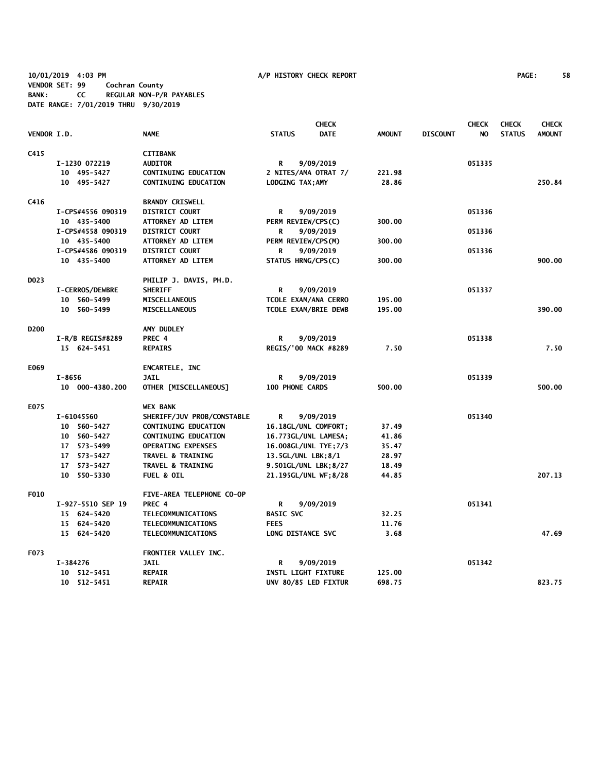**10/01/2019 4:03 PM A/P HISTORY CHECK REPORT PAGE: 58 VENDOR SET: 99 Cochran County BANK: CC REGULAR NON-P/R PAYABLES DATE RANGE: 7/01/2019 THRU 9/30/2019**

|                  |            |                                  |                                            |                  | <b>CHECK</b>                |               |                 | <b>CHECK</b> | <b>CHECK</b>  | <b>CHECK</b>  |
|------------------|------------|----------------------------------|--------------------------------------------|------------------|-----------------------------|---------------|-----------------|--------------|---------------|---------------|
| VENDOR I.D.      |            |                                  | <b>NAME</b>                                | <b>STATUS</b>    | <b>DATE</b>                 | <b>AMOUNT</b> | <b>DISCOUNT</b> | NO           | <b>STATUS</b> | <b>AMOUNT</b> |
| C415             |            |                                  | <b>CITIBANK</b>                            |                  |                             |               |                 |              |               |               |
|                  |            | I-1230 072219                    | <b>AUDITOR</b>                             | R                | 9/09/2019                   |               |                 | 051335       |               |               |
|                  |            | 10 495-5427                      | <b>CONTINUING EDUCATION</b>                |                  | 2 NITES/AMA OTRAT 7/        | 221.98        |                 |              |               |               |
|                  |            | 10 495-5427                      | <b>CONTINUING EDUCATION</b>                |                  | LODGING TAX; AMY            | 28.86         |                 |              |               | 250.84        |
| C416             |            |                                  | <b>BRANDY CRISWELL</b>                     |                  |                             |               |                 |              |               |               |
|                  |            |                                  |                                            |                  |                             |               |                 | 051336       |               |               |
|                  |            | I-CPS#4556 090319                | <b>DISTRICT COURT</b><br>ATTORNEY AD LITEM | R                | 9/09/2019                   | 300.00        |                 |              |               |               |
|                  |            | 10 435-5400<br>I-CPS#4558 090319 | <b>DISTRICT COURT</b>                      | R                | PERM REVIEW/CPS(C)          |               |                 | 051336       |               |               |
|                  |            |                                  |                                            |                  | 9/09/2019                   |               |                 |              |               |               |
|                  |            | 10 435-5400                      | <b>ATTORNEY AD LITEM</b>                   |                  | PERM REVIEW/CPS(M)          | 300.00        |                 |              |               |               |
|                  |            | I-CPS#4586 090319                | <b>DISTRICT COURT</b>                      | R                | 9/09/2019                   |               |                 | 051336       |               |               |
|                  |            | 10 435-5400                      | ATTORNEY AD LITEM                          |                  | STATUS HRNG/CPS(C)          | 300.00        |                 |              |               | 900.00        |
| D <sub>023</sub> |            |                                  | PHILIP J. DAVIS, PH.D.                     |                  |                             |               |                 |              |               |               |
|                  |            | <b>I-CERROS/DEWBRE</b>           | <b>SHERIFF</b>                             | R                | 9/09/2019                   |               |                 | 051337       |               |               |
|                  |            | 10 560-5499                      | <b>MISCELLANEOUS</b>                       |                  | TCOLE EXAM/ANA CERRO        | 195.00        |                 |              |               |               |
|                  |            | 10 560-5499                      | MISCELLANEOUS                              |                  | <b>TCOLE EXAM/BRIE DEWB</b> | 195.00        |                 |              |               | 390.00        |
| D <sub>200</sub> |            |                                  | AMY DUDLEY                                 |                  |                             |               |                 |              |               |               |
|                  |            | I-R/B REGIS#8289                 | PREC 4                                     | R                | 9/09/2019                   |               |                 | 051338       |               |               |
|                  |            | 15 624-5451                      | <b>REPAIRS</b>                             |                  | REGIS/'00 MACK #8289        | 7.50          |                 |              |               | 7.50          |
|                  |            |                                  |                                            |                  |                             |               |                 |              |               |               |
| E069             |            |                                  | ENCARTELE, INC                             |                  |                             |               |                 |              |               |               |
|                  | $I - 8656$ |                                  | <b>JAIL</b>                                | R                | 9/09/2019                   |               |                 | 051339       |               |               |
|                  |            | 10 000-4380.200                  | OTHER [MISCELLANEOUS]                      |                  | 100 PHONE CARDS             | 500.00        |                 |              |               | 500.00        |
| E075             |            |                                  | <b>WEX BANK</b>                            |                  |                             |               |                 |              |               |               |
|                  |            | I-61045560                       | SHERIFF/JUV PROB/CONSTABLE                 | R                | 9/09/2019                   |               |                 | 051340       |               |               |
|                  |            | 10 560-5427                      | CONTINUING EDUCATION                       |                  | 16.18GL/UNL COMFORT;        | 37.49         |                 |              |               |               |
|                  |            | 10 560-5427                      | <b>CONTINUING EDUCATION</b>                |                  | 16.773GL/UNL LAMESA;        | 41.86         |                 |              |               |               |
|                  |            | 17 573-5499                      | <b>OPERATING EXPENSES</b>                  |                  | 16.008GL/UNL TYE; 7/3       | 35.47         |                 |              |               |               |
|                  |            | 17 573-5427                      | TRAVEL & TRAINING                          |                  | 13.5GL/UNL LBK;8/1          | 28.97         |                 |              |               |               |
|                  |            | 17 573-5427                      | <b>TRAVEL &amp; TRAINING</b>               |                  | 9.501GL/UNL LBK;8/27        | 18.49         |                 |              |               |               |
|                  |            | 10 550-5330                      | <b>FUEL &amp; OIL</b>                      |                  | 21.195GL/UNL WF;8/28        | 44.85         |                 |              |               | 207.13        |
| F010             |            |                                  | FIVE-AREA TELEPHONE CO-OP                  |                  |                             |               |                 |              |               |               |
|                  |            | I-927-5510 SEP 19                | PREC 4                                     | R                | 9/09/2019                   |               |                 | 051341       |               |               |
|                  |            | 15 624-5420                      | TELECOMMUNICATIONS                         | <b>BASIC SVC</b> |                             | 32.25         |                 |              |               |               |
|                  |            | 15 624-5420                      | <b>TELECOMMUNICATIONS</b>                  | <b>FEES</b>      |                             | 11.76         |                 |              |               |               |
|                  |            | 15 624-5420                      | <b>TELECOMMUNICATIONS</b>                  |                  | LONG DISTANCE SVC           | 3.68          |                 |              |               | 47.69         |
| F073             |            |                                  |                                            |                  |                             |               |                 |              |               |               |
|                  |            |                                  | FRONTIER VALLEY INC.                       |                  |                             |               |                 |              |               |               |
|                  | I-384276   |                                  | <b>JAIL</b>                                | R                | 9/09/2019                   |               |                 | 051342       |               |               |
|                  |            | 10 512-5451                      | <b>REPAIR</b>                              |                  | INSTL LIGHT FIXTURE         | 125.00        |                 |              |               |               |
|                  |            | 10 512-5451                      | <b>REPAIR</b>                              |                  | UNV 80/85 LED FIXTUR        | 698.75        |                 |              |               | 823.75        |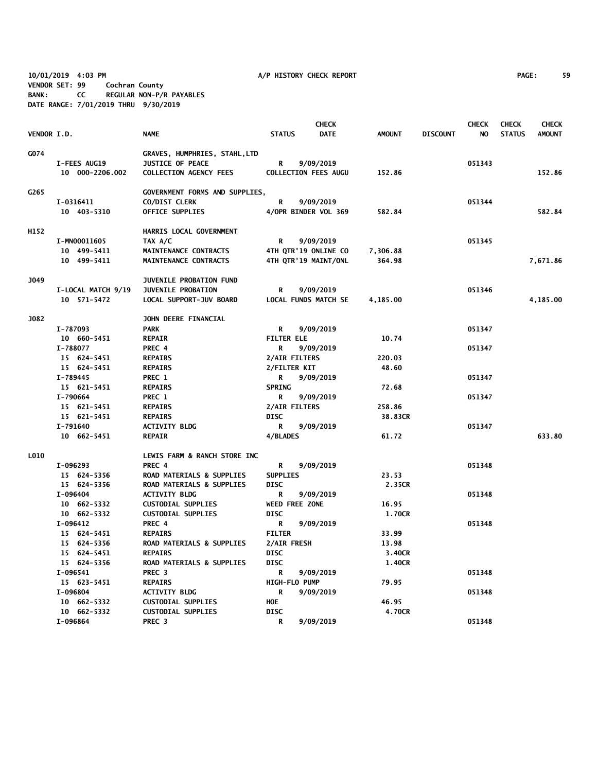**10/01/2019 4:03 PM A/P HISTORY CHECK REPORT PAGE: 59 VENDOR SET: 99 Cochran County BANK: CC REGULAR NON-P/R PAYABLES DATE RANGE: 7/01/2019 THRU 9/30/2019**

|             |                    |                                |                   | <b>CHECK</b>                |               |                 | <b>CHECK</b> | <b>CHECK</b>  | <b>CHECK</b>  |
|-------------|--------------------|--------------------------------|-------------------|-----------------------------|---------------|-----------------|--------------|---------------|---------------|
| VENDOR I.D. |                    | <b>NAME</b>                    | <b>STATUS</b>     | <b>DATE</b>                 | <b>AMOUNT</b> | <b>DISCOUNT</b> | NO.          | <b>STATUS</b> | <b>AMOUNT</b> |
|             |                    |                                |                   |                             |               |                 |              |               |               |
| G074        |                    | GRAVES, HUMPHRIES, STAHL, LTD  |                   |                             |               |                 |              |               |               |
|             | I-FEES AUG19       | <b>JUSTICE OF PEACE</b>        | R                 | 9/09/2019                   |               |                 | 051343       |               |               |
|             | 10 000-2206.002    | <b>COLLECTION AGENCY FEES</b>  |                   | <b>COLLECTION FEES AUGU</b> | 152.86        |                 |              |               | 152.86        |
|             |                    |                                |                   |                             |               |                 |              |               |               |
| G265        |                    | GOVERNMENT FORMS AND SUPPLIES, |                   |                             |               |                 |              |               |               |
|             | I-0316411          | CO/DIST CLERK                  | R                 | 9/09/2019                   |               |                 | 051344       |               |               |
|             | 10 403-5310        | <b>OFFICE SUPPLIES</b>         |                   | 4/OPR BINDER VOL 369        | 582.84        |                 |              |               | 582.84        |
| H152        |                    | HARRIS LOCAL GOVERNMENT        |                   |                             |               |                 |              |               |               |
|             | I-MN00011605       | TAX A/C                        | R                 | 9/09/2019                   |               |                 | 051345       |               |               |
|             | 10 499-5411        | MAINTENANCE CONTRACTS          |                   | 4TH QTR'19 ONLINE CO        | 7,306.88      |                 |              |               |               |
|             | 10 499-5411        | MAINTENANCE CONTRACTS          |                   | 4TH QTR'19 MAINT/ONL        | 364.98        |                 |              |               | 7,671.86      |
|             |                    |                                |                   |                             |               |                 |              |               |               |
| J049        |                    | JUVENILE PROBATION FUND        |                   |                             |               |                 |              |               |               |
|             | I-LOCAL MATCH 9/19 | JUVENILE PROBATION             | R                 | 9/09/2019                   |               |                 | 051346       |               |               |
|             | 10 571-5472        | LOCAL SUPPORT-JUV BOARD        |                   | LOCAL FUNDS MATCH SE        | 4,185.00      |                 |              |               | 4,185.00      |
|             |                    |                                |                   |                             |               |                 |              |               |               |
| <b>J082</b> |                    | JOHN DEERE FINANCIAL           |                   |                             |               |                 |              |               |               |
|             | I-787093           | <b>PARK</b>                    | R                 | 9/09/2019                   |               |                 | 051347       |               |               |
|             | 10 660-5451        | <b>REPAIR</b>                  | <b>FILTER ELE</b> |                             | 10.74         |                 |              |               |               |
|             | I-788077           | PREC 4                         | R                 | 9/09/2019                   |               |                 | 051347       |               |               |
|             | 15 624-5451        | <b>REPAIRS</b>                 | 2/AIR FILTERS     |                             | 220.03        |                 |              |               |               |
|             | 15 624-5451        | <b>REPAIRS</b>                 | 2/FILTER KIT      |                             | 48.60         |                 |              |               |               |
|             | I-789445           | PREC 1                         | R                 | 9/09/2019                   |               |                 | 051347       |               |               |
|             | 15 621-5451        | <b>REPAIRS</b>                 | <b>SPRING</b>     |                             | 72.68         |                 |              |               |               |
|             | I-790664           | PREC 1                         | R                 | 9/09/2019                   |               |                 | 051347       |               |               |
|             | 15 621-5451        | <b>REPAIRS</b>                 | 2/AIR FILTERS     |                             | 258.86        |                 |              |               |               |
|             | 15 621-5451        | <b>REPAIRS</b>                 | <b>DISC</b>       |                             | 38.83CR       |                 |              |               |               |
|             | I-791640           | <b>ACTIVITY BLDG</b>           | R                 | 9/09/2019                   |               |                 | 051347       |               |               |
|             | 10 662-5451        | <b>REPAIR</b>                  | 4/BLADES          |                             | 61.72         |                 |              |               | 633.80        |
|             |                    |                                |                   |                             |               |                 |              |               |               |
| L010        |                    | LEWIS FARM & RANCH STORE INC   |                   |                             |               |                 |              |               |               |
|             | I-096293           | PREC 4                         | R                 | 9/09/2019                   |               |                 | 051348       |               |               |
|             | 15 624-5356        | ROAD MATERIALS & SUPPLIES      | <b>SUPPLIES</b>   |                             | 23.53         |                 |              |               |               |
|             | 15 624-5356        | ROAD MATERIALS & SUPPLIES      | <b>DISC</b>       |                             | 2.35CR        |                 |              |               |               |
|             | I-096404           | <b>ACTIVITY BLDG</b>           | R                 | 9/09/2019                   |               |                 | 051348       |               |               |
|             | 10 662-5332        | <b>CUSTODIAL SUPPLIES</b>      |                   | WEED FREE ZONE              | 16.95         |                 |              |               |               |
|             | 10 662-5332        | <b>CUSTODIAL SUPPLIES</b>      | <b>DISC</b>       |                             | 1.70CR        |                 |              |               |               |
|             | I-096412           | PREC 4                         | R                 | 9/09/2019                   |               |                 | 051348       |               |               |
|             | 15 624-5451        | <b>REPAIRS</b>                 | <b>FILTER</b>     |                             | 33.99         |                 |              |               |               |
|             | 15 624-5356        | ROAD MATERIALS & SUPPLIES      | 2/AIR FRESH       |                             | 13.98         |                 |              |               |               |
|             | 15 624-5451        | <b>REPAIRS</b>                 | <b>DISC</b>       |                             | 3.40CR        |                 |              |               |               |
|             | 15 624-5356        | ROAD MATERIALS & SUPPLIES      | <b>DISC</b>       |                             | 1.40CR        |                 |              |               |               |
|             | I-096541           | PREC <sub>3</sub>              | R                 | 9/09/2019                   |               |                 | 051348       |               |               |
|             | 15 623-5451        | <b>REPAIRS</b>                 | HIGH-FLO PUMP     |                             | 79.95         |                 |              |               |               |
|             | I-096804           | <b>ACTIVITY BLDG</b>           | R                 | 9/09/2019                   |               |                 | 051348       |               |               |
|             | 10 662-5332        | <b>CUSTODIAL SUPPLIES</b>      | HOE               |                             | 46.95         |                 |              |               |               |
|             | 10 662-5332        | <b>CUSTODIAL SUPPLIES</b>      | <b>DISC</b>       |                             | 4.70CR        |                 |              |               |               |
|             | I-096864           | PREC <sub>3</sub>              | R                 | 9/09/2019                   |               |                 | 051348       |               |               |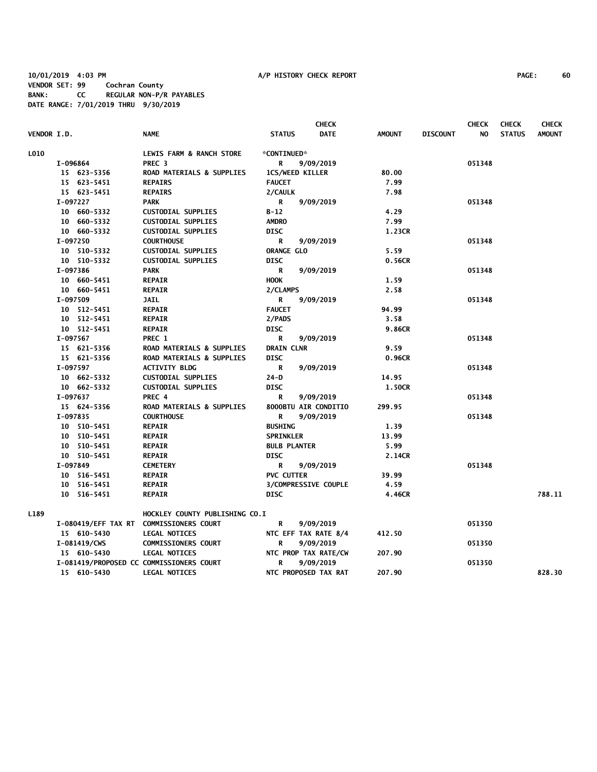| <b>VENDOR I.D.</b> |              | <b>NAME</b>                              | <b>STATUS</b>          | <b>CHECK</b><br><b>DATE</b> | <b>AMOUNT</b> | <b>DISCOUNT</b> | <b>CHECK</b><br>NO. | <b>CHECK</b><br><b>STATUS</b> | <b>CHECK</b><br><b>AMOUNT</b> |
|--------------------|--------------|------------------------------------------|------------------------|-----------------------------|---------------|-----------------|---------------------|-------------------------------|-------------------------------|
| <b>LO10</b>        |              | LEWIS FARM & RANCH STORE                 | *CONTINUED*            |                             |               |                 |                     |                               |                               |
|                    | I-096864     | PREC <sub>3</sub>                        | R                      | 9/09/2019                   |               |                 | 051348              |                               |                               |
|                    | 15 623-5356  | ROAD MATERIALS & SUPPLIES                | <b>1CS/WEED KILLER</b> |                             | 80.00         |                 |                     |                               |                               |
|                    | 15 623-5451  | <b>REPAIRS</b>                           | <b>FAUCET</b>          |                             | 7.99          |                 |                     |                               |                               |
|                    | 15 623-5451  | <b>REPAIRS</b>                           | 2/CAULK                |                             | 7.98          |                 |                     |                               |                               |
|                    | I-097227     | <b>PARK</b>                              | R                      | 9/09/2019                   |               |                 | 051348              |                               |                               |
|                    | 10 660-5332  | <b>CUSTODIAL SUPPLIES</b>                | $B-12$                 |                             | 4.29          |                 |                     |                               |                               |
|                    | 10 660-5332  | <b>CUSTODIAL SUPPLIES</b>                | <b>AMDRO</b>           |                             | 7.99          |                 |                     |                               |                               |
|                    | 10 660-5332  | <b>CUSTODIAL SUPPLIES</b>                | <b>DISC</b>            |                             | 1.23CR        |                 |                     |                               |                               |
|                    | I-097250     | <b>COURTHOUSE</b>                        | R                      | 9/09/2019                   |               |                 | 051348              |                               |                               |
|                    | 10 510-5332  | <b>CUSTODIAL SUPPLIES</b>                | <b>ORANGE GLO</b>      |                             | 5.59          |                 |                     |                               |                               |
|                    | 10 510-5332  | <b>CUSTODIAL SUPPLIES</b>                | <b>DISC</b>            |                             | 0.56CR        |                 |                     |                               |                               |
|                    | I-097386     | <b>PARK</b>                              | R                      | 9/09/2019                   |               |                 | 051348              |                               |                               |
|                    | 10 660-5451  | <b>REPAIR</b>                            | <b>HOOK</b>            |                             | 1.59          |                 |                     |                               |                               |
|                    | 10 660-5451  | <b>REPAIR</b>                            | 2/CLAMPS               |                             | 2.58          |                 |                     |                               |                               |
|                    | I-097509     | <b>JAIL</b>                              | R                      | 9/09/2019                   |               |                 | 051348              |                               |                               |
|                    | 10 512-5451  | <b>REPAIR</b>                            | <b>FAUCET</b>          |                             | 94.99         |                 |                     |                               |                               |
|                    | 10 512-5451  | <b>REPAIR</b>                            | 2/PADS                 |                             | 3.58          |                 |                     |                               |                               |
|                    | 10 512-5451  | <b>REPAIR</b>                            | <b>DISC</b>            |                             | 9.86CR        |                 |                     |                               |                               |
|                    | I-097567     | PREC 1                                   | R                      | 9/09/2019                   |               |                 | 051348              |                               |                               |
|                    | 15 621-5356  | ROAD MATERIALS & SUPPLIES                | <b>DRAIN CLNR</b>      |                             | 9.59          |                 |                     |                               |                               |
|                    | 15 621-5356  | ROAD MATERIALS & SUPPLIES                | <b>DISC</b>            |                             | 0.96CR        |                 |                     |                               |                               |
|                    | I-097597     | <b>ACTIVITY BLDG</b>                     | R                      | 9/09/2019                   |               |                 | 051348              |                               |                               |
|                    | 10 662-5332  | <b>CUSTODIAL SUPPLIES</b>                | $24-D$                 |                             | 14.95         |                 |                     |                               |                               |
|                    | 10 662-5332  | <b>CUSTODIAL SUPPLIES</b>                | <b>DISC</b>            |                             | 1.50CR        |                 |                     |                               |                               |
|                    | I-097637     | PREC 4                                   | R                      | 9/09/2019                   |               |                 | 051348              |                               |                               |
|                    | 15 624-5356  | ROAD MATERIALS & SUPPLIES                |                        | 8000BTU AIR CONDITIO        | 299.95        |                 |                     |                               |                               |
|                    | I-097835     | <b>COURTHOUSE</b>                        | R                      | 9/09/2019                   |               |                 | 051348              |                               |                               |
|                    | 10 510-5451  | <b>REPAIR</b>                            | <b>BUSHING</b>         |                             | 1.39          |                 |                     |                               |                               |
|                    | 10 510-5451  | <b>REPAIR</b>                            | <b>SPRINKLER</b>       |                             | 13.99         |                 |                     |                               |                               |
|                    | 10 510-5451  | <b>REPAIR</b>                            | <b>BULB PLANTER</b>    |                             | 5.99          |                 |                     |                               |                               |
|                    | 10 510-5451  | <b>REPAIR</b>                            | <b>DISC</b>            |                             | 2.14CR        |                 |                     |                               |                               |
|                    | I-097849     | <b>CEMETERY</b>                          | R                      | 9/09/2019                   |               |                 | 051348              |                               |                               |
|                    | 10 516-5451  | <b>REPAIR</b>                            | <b>PVC CUTTER</b>      |                             | 39.99         |                 |                     |                               |                               |
|                    | 10 516-5451  | <b>REPAIR</b>                            |                        | 3/COMPRESSIVE COUPLE        | 4.59          |                 |                     |                               |                               |
|                    | 10 516-5451  | <b>REPAIR</b>                            | <b>DISC</b>            |                             | 4.46CR        |                 |                     |                               | 788.11                        |
| L189               |              | HOCKLEY COUNTY PUBLISHING CO.I           |                        |                             |               |                 |                     |                               |                               |
|                    |              | I-080419/EFF TAX RT COMMISSIONERS COURT  | R                      | 9/09/2019                   |               |                 | 051350              |                               |                               |
|                    | 15 610-5430  | <b>LEGAL NOTICES</b>                     |                        | NTC EFF TAX RATE 8/4        | 412.50        |                 |                     |                               |                               |
|                    | I-081419/CWS | <b>COMMISSIONERS COURT</b>               | R                      | 9/09/2019                   |               |                 | 051350              |                               |                               |
|                    | 15 610-5430  | <b>LEGAL NOTICES</b>                     |                        | NTC PROP TAX RATE/CW        | 207.90        |                 |                     |                               |                               |
|                    |              | I-081419/PROPOSED CC COMMISSIONERS COURT | R                      | 9/09/2019                   |               |                 | 051350              |                               |                               |
|                    | 15 610-5430  | <b>LEGAL NOTICES</b>                     |                        | NTC PROPOSED TAX RAT        | 207.90        |                 |                     |                               | 828.30                        |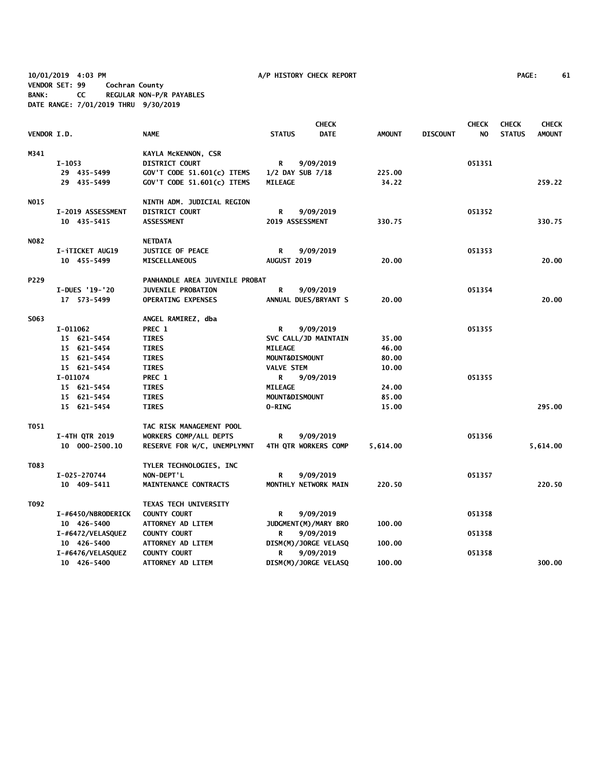**10/01/2019 4:03 PM A/P HISTORY CHECK REPORT PAGE: 61 VENDOR SET: 99 Cochran County BANK: CC REGULAR NON-P/R PAYABLES DATE RANGE: 7/01/2019 THRU 9/30/2019**

|             |                       |                                | <b>CHECK</b>                 |               |                 | <b>CHECK</b> | <b>CHECK</b>  | <b>CHECK</b>  |
|-------------|-----------------------|--------------------------------|------------------------------|---------------|-----------------|--------------|---------------|---------------|
| VENDOR I.D. |                       | <b>NAME</b>                    | <b>STATUS</b><br><b>DATE</b> | <b>AMOUNT</b> | <b>DISCOUNT</b> | NO.          | <b>STATUS</b> | <b>AMOUNT</b> |
| M341        |                       | KAYLA MCKENNON, CSR            |                              |               |                 |              |               |               |
|             | $I-1053$              | <b>DISTRICT COURT</b>          | 9/09/2019<br>R               |               |                 | 051351       |               |               |
|             | 29 435-5499           | GOV'T CODE 51.601(c) ITEMS     | 1/2 DAY SUB 7/18             | 225.00        |                 |              |               |               |
|             | 29 435-5499           | GOV'T CODE 51.601(c) ITEMS     | <b>MILEAGE</b>               | 34.22         |                 |              |               | 259.22        |
| NO15        |                       | NINTH ADM. JUDICIAL REGION     |                              |               |                 |              |               |               |
|             | I-2019 ASSESSMENT     | <b>DISTRICT COURT</b>          | 9/09/2019<br>R               |               |                 | 051352       |               |               |
|             | 10 435-5415           | <b>ASSESSMENT</b>              | 2019 ASSESSMENT              | 330.75        |                 |              |               | 330.75        |
| N082        |                       | <b>NETDATA</b>                 |                              |               |                 |              |               |               |
|             | I-iTICKET AUG19       | <b>JUSTICE OF PEACE</b>        | R<br>9/09/2019               |               |                 | 051353       |               |               |
|             | 10 455-5499           | <b>MISCELLANEOUS</b>           | AUGUST 2019                  | 20.00         |                 |              |               | 20.00         |
| P229        |                       | PANHANDLE AREA JUVENILE PROBAT |                              |               |                 |              |               |               |
|             | I-DUES '19-'20        | <b>JUVENILE PROBATION</b>      | R<br>9/09/2019               |               |                 | 051354       |               |               |
|             | 17 573-5499           | <b>OPERATING EXPENSES</b>      | ANNUAL DUES/BRYANT S         | 20.00         |                 |              |               | 20.00         |
| S063        |                       | ANGEL RAMIREZ, dba             |                              |               |                 |              |               |               |
|             | I-011062              | PREC 1                         | R<br>9/09/2019               |               |                 | 051355       |               |               |
|             | 15 621-5454           | <b>TIRES</b>                   | SVC CALL/JD MAINTAIN         | 35.00         |                 |              |               |               |
|             | 15 621-5454           | <b>TIRES</b>                   | <b>MILEAGE</b>               | 46.00         |                 |              |               |               |
|             | 15 621-5454           | <b>TIRES</b>                   | MOUNT&DISMOUNT               | 80.00         |                 |              |               |               |
|             | 15 621-5454           | <b>TIRES</b>                   | <b>VALVE STEM</b>            | 10.00         |                 |              |               |               |
|             | I-011074              | PREC 1                         | 9/09/2019<br>R               |               |                 | 051355       |               |               |
|             | 15 621-5454           | <b>TIRES</b>                   | <b>MILEAGE</b>               | 24.00         |                 |              |               |               |
|             | 15 621-5454           | <b>TIRES</b>                   | MOUNT&DISMOUNT               | 85.00         |                 |              |               |               |
|             | 15 621-5454           | <b>TIRES</b>                   | <b>O-RING</b>                | 15.00         |                 |              |               | 295.00        |
| T051        |                       | TAC RISK MANAGEMENT POOL       |                              |               |                 |              |               |               |
|             | <b>I-4TH QTR 2019</b> | WORKERS COMP/ALL DEPTS         | 9/09/2019<br>R               |               |                 | 051356       |               |               |
|             | 10 000-2500.10        | RESERVE FOR W/C, UNEMPLYMNT    | 4TH QTR WORKERS COMP         | 5,614.00      |                 |              |               | 5,614.00      |
| T083        |                       | TYLER TECHNOLOGIES, INC        |                              |               |                 |              |               |               |
|             | I-025-270744          | NON-DEPT'L                     | 9/09/2019<br>R               |               |                 | 051357       |               |               |
|             | 10 409-5411           | MAINTENANCE CONTRACTS          | MONTHLY NETWORK MAIN         | 220.50        |                 |              |               | 220.50        |
| T092        |                       | TEXAS TECH UNIVERSITY          |                              |               |                 |              |               |               |
|             | I-#6450/NBRODERICK    | <b>COUNTY COURT</b>            | 9/09/2019<br>R               |               |                 | 051358       |               |               |
|             | 10 426-5400           | ATTORNEY AD LITEM              | JUDGMENT (M) / MARY BRO      | 100.00        |                 |              |               |               |
|             | I-#6472/VELASQUEZ     | <b>COUNTY COURT</b>            | 9/09/2019<br>R               |               |                 | 051358       |               |               |
|             | 10 426-5400           | ATTORNEY AD LITEM              | DISM(M)/JORGE VELASQ         | 100.00        |                 |              |               |               |
|             | I-#6476/VELASQUEZ     | <b>COUNTY COURT</b>            | 9/09/2019<br>R               |               |                 | 051358       |               |               |
|             | 10 426-5400           | ATTORNEY AD LITEM              | DISM(M)/JORGE VELASQ         | 100.00        |                 |              |               | 300.00        |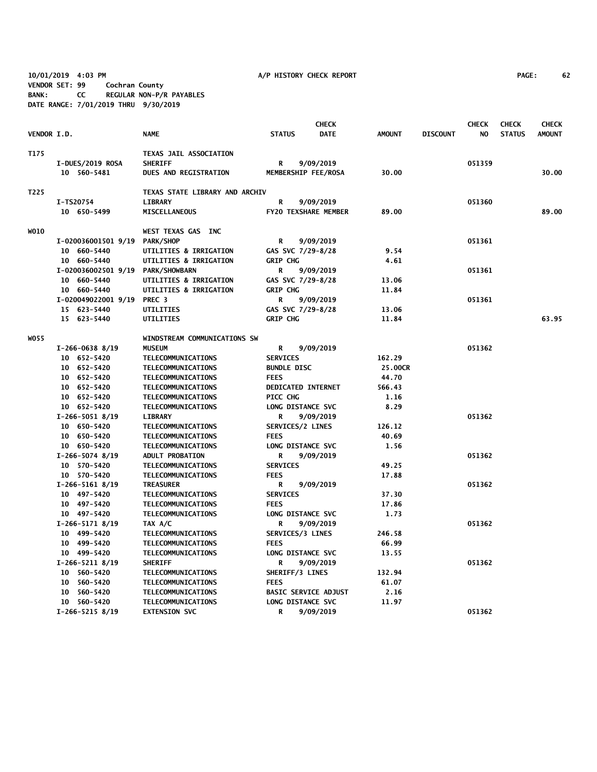**10/01/2019 4:03 PM A/P HISTORY CHECK REPORT PAGE: 62 VENDOR SET: 99 Cochran County BANK: CC REGULAR NON-P/R PAYABLES DATE RANGE: 7/01/2019 THRU 9/30/2019**

| <b>VENDOR I.D.</b> |                                 | <b>NAME</b>                              | <b>STATUS</b>               | <b>CHECK</b><br><b>DATE</b> | <b>AMOUNT</b> | <b>DISCOUNT</b> | <b>CHECK</b><br>NO. | <b>CHECK</b><br><b>STATUS</b> | <b>CHECK</b><br><b>AMOUNT</b> |
|--------------------|---------------------------------|------------------------------------------|-----------------------------|-----------------------------|---------------|-----------------|---------------------|-------------------------------|-------------------------------|
|                    |                                 |                                          |                             |                             |               |                 |                     |                               |                               |
| T175               |                                 | TEXAS JAIL ASSOCIATION<br><b>SHERIFF</b> |                             |                             |               |                 | 051359              |                               |                               |
|                    | I-DUES/2019 ROSA<br>10 560-5481 | <b>DUES AND REGISTRATION</b>             | R                           | 9/09/2019                   | 30.00         |                 |                     |                               | 30.00                         |
|                    |                                 |                                          | MEMBERSHIP FEE/ROSA         |                             |               |                 |                     |                               |                               |
| T225               |                                 | TEXAS STATE LIBRARY AND ARCHIV           |                             |                             |               |                 |                     |                               |                               |
|                    | I-TS20754                       | <b>LIBRARY</b>                           | R                           | 9/09/2019                   |               |                 | 051360              |                               |                               |
|                    | 10 650-5499                     | <b>MISCELLANEOUS</b>                     | FY20 TEXSHARE MEMBER        |                             | 89.00         |                 |                     |                               | 89.00                         |
| WO10               |                                 | WEST TEXAS GAS INC                       |                             |                             |               |                 |                     |                               |                               |
|                    | I-020036001501 9/19             | <b>PARK/SHOP</b>                         | R                           | 9/09/2019                   |               |                 | 051361              |                               |                               |
|                    | 10 660-5440                     | UTILITIES & IRRIGATION                   | GAS SVC 7/29-8/28           |                             | 9.54          |                 |                     |                               |                               |
|                    | 10 660-5440                     | UTILITIES & IRRIGATION                   | <b>GRIP CHG</b>             |                             | 4.61          |                 |                     |                               |                               |
|                    | I-020036002501 9/19             | <b>PARK/SHOWBARN</b>                     | R                           | 9/09/2019                   |               |                 | 051361              |                               |                               |
|                    | 10 660-5440                     | UTILITIES & IRRIGATION                   | GAS SVC 7/29-8/28           |                             | 13.06         |                 |                     |                               |                               |
|                    | 10 660-5440                     | UTILITIES & IRRIGATION                   | <b>GRIP CHG</b>             |                             | 11.84         |                 |                     |                               |                               |
|                    | I-020049022001 9/19             | PREC <sub>3</sub>                        | R                           | 9/09/2019                   |               |                 | 051361              |                               |                               |
|                    | 15 623-5440                     | UTILITIES                                | GAS SVC 7/29-8/28           |                             | 13.06         |                 |                     |                               |                               |
|                    | 15 623-5440                     | UTILITIES                                | <b>GRIP CHG</b>             |                             | 11.84         |                 |                     |                               | 63.95                         |
| WO 55              |                                 | WINDSTREAM COMMUNICATIONS SW             |                             |                             |               |                 |                     |                               |                               |
|                    | $I-266-0638$ 8/19               | <b>MUSEUM</b>                            | R                           | 9/09/2019                   |               |                 | 051362              |                               |                               |
|                    | 10 652-5420                     | TELECOMMUNICATIONS                       | <b>SERVICES</b>             |                             | 162.29        |                 |                     |                               |                               |
|                    | 10 652-5420                     | TELECOMMUNICATIONS                       | <b>BUNDLE DISC</b>          |                             | 25.00CR       |                 |                     |                               |                               |
|                    | 10 652-5420                     | TELECOMMUNICATIONS                       | <b>FEES</b>                 |                             | 44.70         |                 |                     |                               |                               |
|                    | 10 652-5420                     | TELECOMMUNICATIONS                       | <b>DEDICATED INTERNET</b>   |                             | 566.43        |                 |                     |                               |                               |
|                    | 10 652-5420                     | TELECOMMUNICATIONS                       | PICC CHG                    |                             | 1.16          |                 |                     |                               |                               |
|                    | 10 652-5420                     | TELECOMMUNICATIONS                       | LONG DISTANCE SVC           |                             | 8.29          |                 |                     |                               |                               |
|                    | $I-266-5051$ 8/19               | <b>LIBRARY</b>                           | R                           | 9/09/2019                   |               |                 | 051362              |                               |                               |
|                    | 10 650-5420                     | TELECOMMUNICATIONS                       | SERVICES/2 LINES            |                             | 126.12        |                 |                     |                               |                               |
|                    | 10 650-5420                     | TELECOMMUNICATIONS                       | <b>FEES</b>                 |                             | 40.69         |                 |                     |                               |                               |
|                    | 10 650-5420                     | TELECOMMUNICATIONS                       | LONG DISTANCE SVC           |                             | 1.56          |                 |                     |                               |                               |
|                    | $I-266-5074$ 8/19               | <b>ADULT PROBATION</b>                   | R                           | 9/09/2019                   |               |                 | 051362              |                               |                               |
|                    | 10 570-5420                     | TELECOMMUNICATIONS                       | <b>SERVICES</b>             |                             | 49.25         |                 |                     |                               |                               |
|                    | 10 570-5420                     | TELECOMMUNICATIONS                       | <b>FEES</b>                 |                             | 17.88         |                 |                     |                               |                               |
|                    | $I-266-5161$ 8/19               | <b>TREASURER</b>                         | R                           | 9/09/2019                   |               |                 | 051362              |                               |                               |
|                    | 10 497-5420                     | TELECOMMUNICATIONS                       | <b>SERVICES</b>             |                             | 37.30         |                 |                     |                               |                               |
|                    | 10 497-5420                     | TELECOMMUNICATIONS                       | <b>FEES</b>                 |                             | 17.86         |                 |                     |                               |                               |
|                    | 10 497-5420                     | TELECOMMUNICATIONS                       | LONG DISTANCE SVC           |                             | 1.73          |                 |                     |                               |                               |
|                    | $I-266-5171$ 8/19               | TAX A/C                                  | R                           | 9/09/2019                   |               |                 | 051362              |                               |                               |
|                    | 10 499-5420                     | TELECOMMUNICATIONS                       | SERVICES/3 LINES            |                             | 246.58        |                 |                     |                               |                               |
|                    | 10 499-5420                     | TELECOMMUNICATIONS                       | <b>FEES</b>                 |                             | 66.99         |                 |                     |                               |                               |
|                    | 10 499-5420                     | TELECOMMUNICATIONS                       | LONG DISTANCE SVC           |                             | 13.55         |                 |                     |                               |                               |
|                    | $I-266-5211$ 8/19               | <b>SHERIFF</b>                           | R                           | 9/09/2019                   |               |                 | 051362              |                               |                               |
|                    | 10 560-5420                     | TELECOMMUNICATIONS                       | SHERIFF/3 LINES             |                             | 132.94        |                 |                     |                               |                               |
|                    | 10 560-5420                     | TELECOMMUNICATIONS                       | <b>FEES</b>                 |                             | 61.07         |                 |                     |                               |                               |
|                    | 10 560-5420                     | <b>TELECOMMUNICATIONS</b>                | <b>BASIC SERVICE ADJUST</b> |                             | 2.16          |                 |                     |                               |                               |
|                    | 10 560-5420                     | TELECOMMUNICATIONS                       | LONG DISTANCE SVC           |                             | 11.97         |                 |                     |                               |                               |
|                    | $I-266-5215$ 8/19               | <b>EXTENSION SVC</b>                     | R                           | 9/09/2019                   |               |                 | 051362              |                               |                               |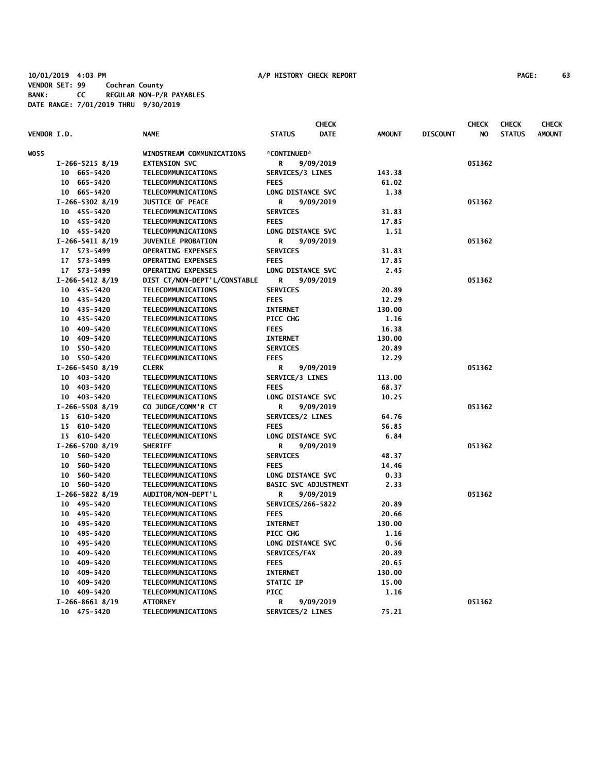|                    |                   |                              |                             | <b>CHECK</b> |               |                 | <b>CHECK</b> | <b>CHECK</b>  | <b>CHECK</b>  |
|--------------------|-------------------|------------------------------|-----------------------------|--------------|---------------|-----------------|--------------|---------------|---------------|
| <b>VENDOR I.D.</b> |                   | <b>NAME</b>                  | <b>STATUS</b>               | <b>DATE</b>  | <b>AMOUNT</b> | <b>DISCOUNT</b> | NO           | <b>STATUS</b> | <b>AMOUNT</b> |
| WO55               |                   | WINDSTREAM COMMUNICATIONS    | *CONTINUED*                 |              |               |                 |              |               |               |
|                    | $I-266-5215$ 8/19 | <b>EXTENSION SVC</b>         | R                           | 9/09/2019    |               |                 | 051362       |               |               |
|                    | 10 665-5420       | TELECOMMUNICATIONS           | SERVICES/3 LINES            |              | 143.38        |                 |              |               |               |
|                    | 10 665-5420       | TELECOMMUNICATIONS           | <b>FEES</b>                 |              | 61.02         |                 |              |               |               |
|                    | 10 665-5420       | TELECOMMUNICATIONS           | LONG DISTANCE SVC           |              | 1.38          |                 |              |               |               |
|                    | $I-266-5302$ 8/19 | <b>JUSTICE OF PEACE</b>      | R                           | 9/09/2019    |               |                 | 051362       |               |               |
|                    | 10 455-5420       | TELECOMMUNICATIONS           | <b>SERVICES</b>             |              | 31.83         |                 |              |               |               |
|                    | 10 455-5420       | TELECOMMUNICATIONS           | <b>FEES</b>                 |              | 17.85         |                 |              |               |               |
|                    | 10 455-5420       | TELECOMMUNICATIONS           | LONG DISTANCE SVC           |              | 1.51          |                 |              |               |               |
|                    | $I-266-5411$ 8/19 | <b>JUVENILE PROBATION</b>    | R                           | 9/09/2019    |               |                 | 051362       |               |               |
|                    | 17 573-5499       | <b>OPERATING EXPENSES</b>    | <b>SERVICES</b>             |              | 31.83         |                 |              |               |               |
|                    | 17 573-5499       | <b>OPERATING EXPENSES</b>    | <b>FEES</b>                 |              | 17.85         |                 |              |               |               |
|                    | 17 573-5499       | <b>OPERATING EXPENSES</b>    | LONG DISTANCE SVC           |              | 2.45          |                 |              |               |               |
|                    | $I-266-5412$ 8/19 | DIST CT/NON-DEPT'L/CONSTABLE | R                           | 9/09/2019    |               |                 | 051362       |               |               |
|                    |                   |                              | <b>SERVICES</b>             |              |               |                 |              |               |               |
|                    | 10 435-5420       | TELECOMMUNICATIONS           |                             |              | 20.89         |                 |              |               |               |
|                    | 10 435-5420       | TELECOMMUNICATIONS           | <b>FEES</b>                 |              | 12.29         |                 |              |               |               |
|                    | 10 435-5420       | TELECOMMUNICATIONS           | <b>INTERNET</b>             |              | 130.00        |                 |              |               |               |
|                    | 10 435-5420       | TELECOMMUNICATIONS           | PICC CHG                    |              | 1.16          |                 |              |               |               |
|                    | 10 409-5420       | TELECOMMUNICATIONS           | <b>FEES</b>                 |              | 16.38         |                 |              |               |               |
|                    | 10 409-5420       | TELECOMMUNICATIONS           | <b>INTERNET</b>             |              | 130.00        |                 |              |               |               |
|                    | 10 550-5420       | TELECOMMUNICATIONS           | <b>SERVICES</b>             |              | 20.89         |                 |              |               |               |
|                    | 10 550-5420       | TELECOMMUNICATIONS           | <b>FEES</b>                 |              | 12.29         |                 |              |               |               |
|                    | $I-266-5450$ 8/19 | <b>CLERK</b>                 | R                           | 9/09/2019    |               |                 | 051362       |               |               |
|                    | 10 403-5420       | TELECOMMUNICATIONS           | SERVICE/3 LINES             |              | 113.00        |                 |              |               |               |
|                    | 10 403-5420       | TELECOMMUNICATIONS           | <b>FEES</b>                 |              | 68.37         |                 |              |               |               |
|                    | 10 403-5420       | TELECOMMUNICATIONS           | LONG DISTANCE SVC           |              | 10.25         |                 |              |               |               |
|                    | $I-266-5508$ 8/19 | CO JUDGE/COMM'R CT           | R                           | 9/09/2019    |               |                 | 051362       |               |               |
|                    | 15 610-5420       | TELECOMMUNICATIONS           | SERVICES/2 LINES            |              | 64.76         |                 |              |               |               |
|                    | 15 610-5420       | TELECOMMUNICATIONS           | <b>FEES</b>                 |              | 56.85         |                 |              |               |               |
|                    | 15 610-5420       | TELECOMMUNICATIONS           | LONG DISTANCE SVC           |              | 6.84          |                 |              |               |               |
|                    | $I-266-5700$ 8/19 | <b>SHERIFF</b>               | R                           | 9/09/2019    |               |                 | 051362       |               |               |
|                    | 10 560-5420       | TELECOMMUNICATIONS           | <b>SERVICES</b>             |              | 48.37         |                 |              |               |               |
|                    | 10 560-5420       | TELECOMMUNICATIONS           | <b>FEES</b>                 |              | 14.46         |                 |              |               |               |
|                    | 10 560-5420       | TELECOMMUNICATIONS           | LONG DISTANCE SVC           |              | 0.33          |                 |              |               |               |
|                    | 10 560-5420       | TELECOMMUNICATIONS           | <b>BASIC SVC ADJUSTMENT</b> |              | 2.33          |                 |              |               |               |
|                    | $I-266-5822$ 8/19 | AUDITOR/NON-DEPT'L           | R                           | 9/09/2019    |               |                 | 051362       |               |               |
|                    | 10 495-5420       | TELECOMMUNICATIONS           | SERVICES/266-5822           |              | 20.89         |                 |              |               |               |
|                    | 10 495-5420       | TELECOMMUNICATIONS           | <b>FEES</b>                 |              | 20.66         |                 |              |               |               |
|                    | 10 495-5420       | TELECOMMUNICATIONS           | <b>INTERNET</b>             |              | 130.00        |                 |              |               |               |
|                    | 10 495-5420       | TELECOMMUNICATIONS           | PICC CHG                    |              | 1.16          |                 |              |               |               |
|                    | 10 495-5420       | TELECOMMUNICATIONS           | LONG DISTANCE SVC           |              | 0.56          |                 |              |               |               |
|                    | 10 409-5420       | TELECOMMUNICATIONS           | <b>SERVICES/FAX</b>         |              | 20.89         |                 |              |               |               |
|                    | 10 409-5420       | TELECOMMUNICATIONS           | <b>FEES</b>                 |              | 20.65         |                 |              |               |               |
|                    | 10 409-5420       | TELECOMMUNICATIONS           | <b>INTERNET</b>             |              | 130.00        |                 |              |               |               |
|                    | 10 409-5420       | TELECOMMUNICATIONS           | STATIC IP                   |              | 15.00         |                 |              |               |               |
|                    | 10 409-5420       | TELECOMMUNICATIONS           | <b>PICC</b>                 |              | 1.16          |                 |              |               |               |
|                    | $I-266-8661$ 8/19 | <b>ATTORNEY</b>              | R                           | 9/09/2019    |               |                 | 051362       |               |               |
|                    | 10 475-5420       | TELECOMMUNICATIONS           | SERVICES/2 LINES            |              | 75.21         |                 |              |               |               |
|                    |                   |                              |                             |              |               |                 |              |               |               |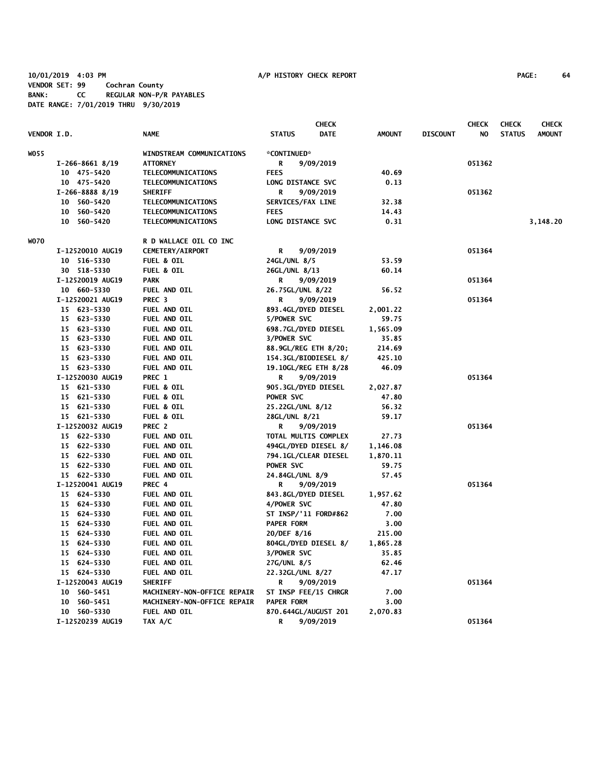# **10/01/2019 4:03 PM A/P HISTORY CHECK REPORT PAGE: 64 VENDOR SET: 99 Cochran County BANK: CC REGULAR NON-P/R PAYABLES DATE RANGE: 7/01/2019 THRU 9/30/2019**

|                    |                   |                             | <b>CHECK</b>                 |               |                 | <b>CHECK</b> | <b>CHECK</b>  | <b>CHECK</b>  |
|--------------------|-------------------|-----------------------------|------------------------------|---------------|-----------------|--------------|---------------|---------------|
| <b>VENDOR I.D.</b> |                   | <b>NAME</b>                 | <b>STATUS</b><br><b>DATE</b> | <b>AMOUNT</b> | <b>DISCOUNT</b> | NO           | <b>STATUS</b> | <b>AMOUNT</b> |
| WO 55              |                   | WINDSTREAM COMMUNICATIONS   | *CONTINUED*                  |               |                 |              |               |               |
|                    | $I-266-8661$ 8/19 | <b>ATTORNEY</b>             | R<br>9/09/2019               |               |                 | 051362       |               |               |
|                    | 10 475-5420       | TELECOMMUNICATIONS          | <b>FEES</b>                  | 40.69         |                 |              |               |               |
|                    | 10 475-5420       | TELECOMMUNICATIONS          | LONG DISTANCE SVC            | 0.13          |                 |              |               |               |
|                    | $I-266-8888$ 8/19 | <b>SHERIFF</b>              | R<br>9/09/2019               |               |                 | 051362       |               |               |
|                    | 10 560-5420       | TELECOMMUNICATIONS          | SERVICES/FAX LINE            | 32.38         |                 |              |               |               |
|                    | 10 560-5420       | TELECOMMUNICATIONS          | <b>FEES</b>                  | 14.43         |                 |              |               |               |
|                    | 10 560-5420       | TELECOMMUNICATIONS          | LONG DISTANCE SVC            | 0.31          |                 |              |               | 3,148.20      |
| WO70               |                   | R D WALLACE OIL CO INC      |                              |               |                 |              |               |               |
|                    | I-12520010 AUG19  | CEMETERY/AIRPORT            | 9/09/2019<br>R               |               |                 | 051364       |               |               |
|                    | 10 516-5330       | <b>FUEL &amp; OIL</b>       | 24GL/UNL 8/5                 | 53.59         |                 |              |               |               |
|                    | 30 518-5330       | <b>FUEL &amp; OIL</b>       | 26GL/UNL 8/13                | 60.14         |                 |              |               |               |
|                    | I-12520019 AUG19  | <b>PARK</b>                 | R<br>9/09/2019               |               |                 | 051364       |               |               |
|                    | 10 660-5330       | FUEL AND OIL                | 26.75GL/UNL 8/22             | 56.52         |                 |              |               |               |
|                    | I-12520021 AUG19  | PREC <sub>3</sub>           | R<br>9/09/2019               |               |                 | 051364       |               |               |
|                    | 15 623-5330       | FUEL AND OIL                | 893.4GL/DYED DIESEL          | 2,001.22      |                 |              |               |               |
|                    | 15 623-5330       | FUEL AND OIL                | 5/POWER SVC                  | 59.75         |                 |              |               |               |
|                    | 15 623-5330       | FUEL AND OIL                | 698.7GL/DYED DIESEL          | 1,565.09      |                 |              |               |               |
|                    | 15 623-5330       | FUEL AND OIL                | 3/POWER SVC                  | 35.85         |                 |              |               |               |
|                    | 15 623-5330       | FUEL AND OIL                | 88.9GL/REG ETH 8/20;         | 214.69        |                 |              |               |               |
|                    | 15 623-5330       | FUEL AND OIL                | 154.3GL/BIODIESEL 8/         | 425.10        |                 |              |               |               |
|                    | 15 623-5330       | FUEL AND OIL                | 19.10GL/REG ETH 8/28         | 46.09         |                 |              |               |               |
|                    | I-12520030 AUG19  | PREC 1                      | R<br>9/09/2019               |               |                 | 051364       |               |               |
|                    | 15 621-5330       | <b>FUEL &amp; OIL</b>       | 905.3GL/DYED DIESEL          | 2,027.87      |                 |              |               |               |
|                    | 15 621-5330       | <b>FUEL &amp; OIL</b>       | POWER SVC                    | 47.80         |                 |              |               |               |
|                    | 15 621-5330       | FUEL & OIL                  | 25.22GL/UNL 8/12             | 56.32         |                 |              |               |               |
|                    | 15 621-5330       | <b>FUEL &amp; OIL</b>       | 28GL/UNL 8/21                | 59.17         |                 |              |               |               |
|                    | I-12520032 AUG19  | PREC 2                      | R<br>9/09/2019               |               |                 | 051364       |               |               |
|                    | 15 622-5330       | FUEL AND OIL                | TOTAL MULTIS COMPLEX         | 27.73         |                 |              |               |               |
|                    | 15 622-5330       | FUEL AND OIL                | 494GL/DYED DIESEL 8/         | 1,146.08      |                 |              |               |               |
|                    | 15 622-5330       | FUEL AND OIL                | 794.1GL/CLEAR DIESEL         | 1,870.11      |                 |              |               |               |
|                    | 15 622-5330       | FUEL AND OIL                | POWER SVC                    | 59.75         |                 |              |               |               |
|                    | 15 622-5330       | FUEL AND OIL                | 24.84GL/UNL 8/9              | 57.45         |                 |              |               |               |
|                    | I-12520041 AUG19  | PREC 4                      | R<br>9/09/2019               |               |                 | 051364       |               |               |
|                    | 15 624-5330       | FUEL AND OIL                | 843.8GL/DYED DIESEL          | 1,957.62      |                 |              |               |               |
|                    | 15 624-5330       | FUEL AND OIL                | 4/POWER SVC                  | 47.80         |                 |              |               |               |
|                    | 15 624-5330       | FUEL AND OIL                | ST INSP/'11 FORD#862         | 7.00          |                 |              |               |               |
|                    | 15 624-5330       | FUEL AND OIL                | <b>PAPER FORM</b>            | 3.00          |                 |              |               |               |
|                    | 15 624-5330       | FUEL AND OIL                | 20/DEF 8/16                  | 215.00        |                 |              |               |               |
|                    | 15 624-5330       | FUEL AND OIL                | 804GL/DYED DIESEL 8/         | 1,865.28      |                 |              |               |               |
|                    | 15 624-5330       | FUEL AND OIL                | 3/POWER SVC                  | 35.85         |                 |              |               |               |
|                    | 15 624-5330       | FUEL AND OIL                | 27G/UNL 8/5                  | 62.46         |                 |              |               |               |
|                    | 15 624-5330       | FUEL AND OIL                | 22.32GL/UNL 8/27             | 47.17         |                 |              |               |               |
|                    | I-12520043 AUG19  | <b>SHERIFF</b>              | 9/09/2019<br>R               |               |                 | 051364       |               |               |
|                    | 10 560-5451       | MACHINERY-NON-OFFICE REPAIR | ST INSP FEE/15 CHRGR         | 7.00          |                 |              |               |               |
|                    | 10 560-5451       | MACHINERY-NON-OFFICE REPAIR | <b>PAPER FORM</b>            | 3.00          |                 |              |               |               |
|                    | 10 560-5330       | FUEL AND OIL                | 870.644GL/AUGUST 201         | 2,070.83      |                 |              |               |               |
|                    | I-12520239 AUG19  | TAX A/C                     | 9/09/2019<br>R               |               |                 | 051364       |               |               |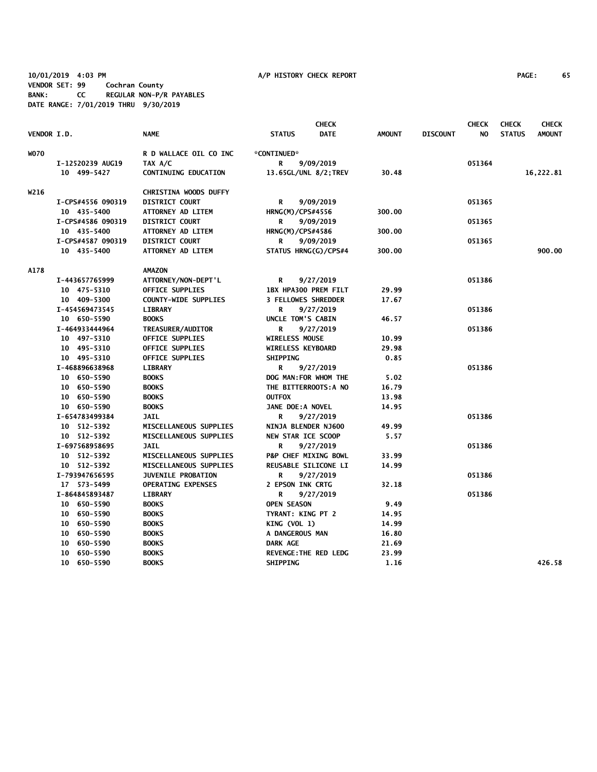## **10/01/2019 4:03 PM A/P HISTORY CHECK REPORT PAGE: 65 VENDOR SET: 99 Cochran County BANK: CC REGULAR NON-P/R PAYABLES DATE RANGE: 7/01/2019 THRU 9/30/2019**

|                    |                   |                              |                            | <b>CHECK</b>                 |               |                 | <b>CHECK</b> | <b>CHECK</b>  | <b>CHECK</b>  |
|--------------------|-------------------|------------------------------|----------------------------|------------------------------|---------------|-----------------|--------------|---------------|---------------|
| <b>VENDOR I.D.</b> |                   | <b>NAME</b>                  | <b>STATUS</b>              | <b>DATE</b>                  | <b>AMOUNT</b> | <b>DISCOUNT</b> | NO.          | <b>STATUS</b> | <b>AMOUNT</b> |
| <b>WO70</b>        |                   | R D WALLACE OIL CO INC       | *CONTINUED*                |                              |               |                 |              |               |               |
|                    | I-12520239 AUG19  | TAX A/C                      | R                          | 9/09/2019                    |               |                 | 051364       |               |               |
|                    | 10 499-5427       | <b>CONTINUING EDUCATION</b>  |                            | 13.65GL/UNL 8/2; TREV        | 30.48         |                 |              |               | 16,222.81     |
| W216               |                   | <b>CHRISTINA WOODS DUFFY</b> |                            |                              |               |                 |              |               |               |
|                    | I-CPS#4556 090319 | <b>DISTRICT COURT</b>        | R                          | 9/09/2019                    |               |                 | 051365       |               |               |
|                    | 10 435-5400       | ATTORNEY AD LITEM            | HRNG(M)/CPS#4556           |                              | 300.00        |                 |              |               |               |
|                    | I-CPS#4586 090319 | <b>DISTRICT COURT</b>        | R                          | 9/09/2019                    |               |                 | 051365       |               |               |
|                    | 10 435-5400       | ATTORNEY AD LITEM            | <b>HRNG(M)/CPS#4586</b>    |                              | 300.00        |                 |              |               |               |
|                    | I-CPS#4587 090319 | <b>DISTRICT COURT</b>        | R                          | 9/09/2019                    |               |                 | 051365       |               |               |
|                    | 10 435-5400       | ATTORNEY AD LITEM            |                            | STATUS HRNG(G)/CPS#4         | 300.00        |                 |              |               | 900.00        |
| <b>A178</b>        |                   | <b>AMAZON</b>                |                            |                              |               |                 |              |               |               |
|                    | I-443657765999    | ATTORNEY/NON-DEPT'L          | R                          | 9/27/2019                    |               |                 | 051386       |               |               |
|                    | 10 475-5310       | OFFICE SUPPLIES              |                            | 1BX HPA300 PREM FILT         | 29.99         |                 |              |               |               |
|                    | 10 409-5300       | <b>COUNTY-WIDE SUPPLIES</b>  | <b>3 FELLOWES SHREDDER</b> |                              | 17.67         |                 |              |               |               |
|                    | I-454569473545    | <b>LIBRARY</b>               | R                          | 9/27/2019                    |               |                 | 051386       |               |               |
|                    | 10 650-5590       | <b>BOOKS</b>                 | UNCLE TOM'S CABIN          |                              | 46.57         |                 |              |               |               |
|                    | I-464933444964    | TREASURER/AUDITOR            | R                          | 9/27/2019                    |               |                 | 051386       |               |               |
|                    | 10 497-5310       | <b>OFFICE SUPPLIES</b>       | WIRELESS MOUSE             |                              | 10.99         |                 |              |               |               |
|                    | 10 495-5310       | <b>OFFICE SUPPLIES</b>       | <b>WIRELESS KEYBOARD</b>   |                              | 29.98         |                 |              |               |               |
|                    | 10 495-5310       | <b>OFFICE SUPPLIES</b>       | <b>SHIPPING</b>            |                              | 0.85          |                 |              |               |               |
|                    | I-468896638968    | <b>LIBRARY</b>               | R                          | 9/27/2019                    |               |                 | 051386       |               |               |
|                    | 10 650-5590       | <b>BOOKS</b>                 |                            | DOG MAN: FOR WHOM THE        | 5.02          |                 |              |               |               |
|                    | 10 650-5590       | <b>BOOKS</b>                 |                            | THE BITTERROOTS: A NO        | 16.79         |                 |              |               |               |
|                    | 10 650-5590       | <b>BOOKS</b>                 | <b>OUTFOX</b>              |                              | 13.98         |                 |              |               |               |
|                    | 10 650-5590       | <b>BOOKS</b>                 | JANE DOE: A NOVEL          |                              | 14.95         |                 |              |               |               |
|                    | I-654783499384    | <b>JAIL</b>                  | R                          | 9/27/2019                    |               |                 | 051386       |               |               |
|                    | 10 512-5392       | MISCELLANEOUS SUPPLIES       | NINJA BLENDER NJ600        |                              | 49.99         |                 |              |               |               |
|                    | 10 512-5392       | MISCELLANEOUS SUPPLIES       | NEW STAR ICE SCOOP         |                              | 5.57          |                 |              |               |               |
|                    | I-697568958695    | <b>JAIL</b>                  | R                          | 9/27/2019                    |               |                 | 051386       |               |               |
|                    | 10 512-5392       | MISCELLANEOUS SUPPLIES       |                            | P&P CHEF MIXING BOWL         | 33.99         |                 |              |               |               |
|                    | 10 512-5392       | MISCELLANEOUS SUPPLIES       |                            | REUSABLE SILICONE LI         | 14.99         |                 |              |               |               |
|                    | I-793947656595    | <b>JUVENILE PROBATION</b>    | R                          | 9/27/2019                    |               |                 | 051386       |               |               |
|                    | 17 573-5499       | <b>OPERATING EXPENSES</b>    | 2 EPSON INK CRTG           |                              | 32.18         |                 |              |               |               |
|                    | I-864845893487    | <b>LIBRARY</b>               | R                          | 9/27/2019                    |               |                 | 051386       |               |               |
|                    | 10 650-5590       | <b>BOOKS</b>                 | <b>OPEN SEASON</b>         |                              | 9.49          |                 |              |               |               |
|                    | 10 650-5590       | <b>BOOKS</b>                 | TYRANT: KING PT 2          |                              | 14.95         |                 |              |               |               |
|                    | 10 650-5590       | <b>BOOKS</b>                 | KING (VOL 1)               |                              | 14.99         |                 |              |               |               |
|                    | 10 650-5590       | <b>BOOKS</b>                 | A DANGEROUS MAN            |                              | 16.80         |                 |              |               |               |
|                    | 10 650-5590       | <b>BOOKS</b>                 | DARK AGE                   |                              | 21.69         |                 |              |               |               |
|                    | 10 650-5590       | <b>BOOKS</b>                 |                            | <b>REVENGE: THE RED LEDG</b> | 23.99         |                 |              |               |               |
|                    | 10 650-5590       | <b>BOOKS</b>                 | <b>SHIPPING</b>            |                              | 1.16          |                 |              |               | 426.58        |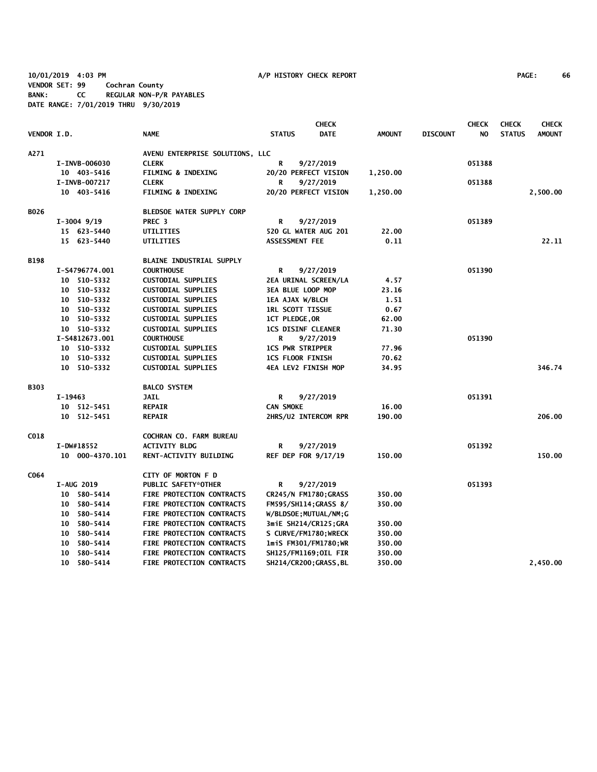**10/01/2019 4:03 PM A/P HISTORY CHECK REPORT PAGE: 66 VENDOR SET: 99 Cochran County BANK: CC REGULAR NON-P/R PAYABLES DATE RANGE: 7/01/2019 THRU 9/30/2019**

| <b>PAGE:</b> | 66 |
|--------------|----|
|--------------|----|

|             |                   |                                  |                               | <b>CHECK</b>          |               |                 | <b>CHECK</b> | <b>CHECK</b>  | <b>CHECK</b>  |
|-------------|-------------------|----------------------------------|-------------------------------|-----------------------|---------------|-----------------|--------------|---------------|---------------|
| VENDOR I.D. |                   | <b>NAME</b>                      | <b>STATUS</b>                 | <b>DATE</b>           | <b>AMOUNT</b> | <b>DISCOUNT</b> | NO           | <b>STATUS</b> | <b>AMOUNT</b> |
| A271        |                   | AVENU ENTERPRISE SOLUTIONS, LLC  |                               |                       |               |                 |              |               |               |
|             | I-INVB-006030     | <b>CLERK</b>                     | R                             | 9/27/2019             |               |                 | 051388       |               |               |
|             | 10 403-5416       | <b>FILMING &amp; INDEXING</b>    | 20/20 PERFECT VISION          |                       | 1,250.00      |                 |              |               |               |
|             | I-INVB-007217     | <b>CLERK</b>                     | R                             | 9/27/2019             |               |                 | 051388       |               |               |
|             | 10 403-5416       | <b>FILMING &amp; INDEXING</b>    | 20/20 PERFECT VISION          |                       | 1,250.00      |                 |              |               | 2,500.00      |
| <b>BO26</b> |                   | <b>BLEDSOE WATER SUPPLY CORP</b> |                               |                       |               |                 |              |               |               |
|             | $I-3004$ 9/19     | PREC <sub>3</sub>                | R                             | 9/27/2019             |               |                 | 051389       |               |               |
|             | 15 623-5440       | UTILITIES                        | 520 GL WATER AUG 201          |                       | 22.00         |                 |              |               |               |
|             | 15 623-5440       | UTILITIES                        | ASSESSMENT FEE                |                       | 0.11          |                 |              |               | 22.11         |
| <b>B198</b> |                   | <b>BLAINE INDUSTRIAL SUPPLY</b>  |                               |                       |               |                 |              |               |               |
|             | I-S4796774.001    | <b>COURTHOUSE</b>                | R                             | 9/27/2019             |               |                 | 051390       |               |               |
|             | 10 510-5332       | <b>CUSTODIAL SUPPLIES</b>        | 2EA URINAL SCREEN/LA          |                       | 4.57          |                 |              |               |               |
|             | 10 510-5332       | <b>CUSTODIAL SUPPLIES</b>        | 3EA BLUE LOOP MOP             |                       | 23.16         |                 |              |               |               |
|             | 10 510-5332       | <b>CUSTODIAL SUPPLIES</b>        | <b>1EA AJAX W/BLCH</b>        |                       | 1.51          |                 |              |               |               |
|             | 10 510-5332       | <b>CUSTODIAL SUPPLIES</b>        | <b>IRL SCOTT TISSUE</b>       |                       | 0.67          |                 |              |               |               |
|             | 10 510-5332       | <b>CUSTODIAL SUPPLIES</b>        | 1CT PLEDGE, OR                |                       | 62.00         |                 |              |               |               |
|             | 10 510-5332       | <b>CUSTODIAL SUPPLIES</b>        | <b>1CS DISINF CLEANER</b>     |                       | 71.30         |                 |              |               |               |
|             | I-S4812673.001    | <b>COURTHOUSE</b>                | R<br>9/27/2019                |                       |               |                 | 051390       |               |               |
|             | 10 510-5332       | <b>CUSTODIAL SUPPLIES</b>        | <b>ICS PWR STRIPPER</b>       |                       | 77.96         |                 |              |               |               |
|             | 10 510-5332       | <b>CUSTODIAL SUPPLIES</b>        | <b>1CS FLOOR FINISH</b>       |                       | 70.62         |                 |              |               |               |
|             | 10 510-5332       | <b>CUSTODIAL SUPPLIES</b>        | <b>4EA LEV2 FINISH MOP</b>    |                       | 34.95         |                 |              |               | 346.74        |
| <b>B303</b> |                   | <b>BALCO SYSTEM</b>              |                               |                       |               |                 |              |               |               |
|             | I-19463           | <b>JAIL</b>                      | R                             | 9/27/2019             |               |                 | 051391       |               |               |
|             | 10 512-5451       | <b>REPAIR</b>                    | <b>CAN SMOKE</b>              |                       | 16.00         |                 |              |               |               |
|             | 10 512-5451       | <b>REPAIR</b>                    | 2HRS/U2 INTERCOM RPR          |                       | 190.00        |                 |              |               | 206.00        |
| C018        |                   | <b>COCHRAN CO. FARM BUREAU</b>   |                               |                       |               |                 |              |               |               |
|             | I-DW#18552        | <b>ACTIVITY BLDG</b>             | R                             | 9/27/2019             |               |                 | 051392       |               |               |
|             | 10 000-4370.101   | RENT-ACTIVITY BUILDING           | <b>REF DEP FOR 9/17/19</b>    |                       | 150.00        |                 |              |               | 150.00        |
| C064        |                   | CITY OF MORTON F D               |                               |                       |               |                 |              |               |               |
|             | <b>I-AUG 2019</b> | <b>PUBLIC SAFETY*OTHER</b>       | R                             | 9/27/2019             |               |                 | 051393       |               |               |
|             | 10 580-5414       | FIRE PROTECTION CONTRACTS        | CR245/N FM1780; GRASS         |                       | 350.00        |                 |              |               |               |
|             | 10 580-5414       | FIRE PROTECTION CONTRACTS        | FM595/SH114; GRASS 8/         |                       | 350.00        |                 |              |               |               |
|             | 10 580-5414       | FIRE PROTECTION CONTRACTS        | W/BLDSOE; MUTUAL/NM; G        |                       |               |                 |              |               |               |
|             | 10 580-5414       | FIRE PROTECTION CONTRACTS        |                               | 3miE SH214/CR125;GRA  | 350.00        |                 |              |               |               |
|             | 10 580-5414       | FIRE PROTECTION CONTRACTS        |                               | S CURVE/FM1780; WRECK | 350.00        |                 |              |               |               |
|             | 10 580-5414       | FIRE PROTECTION CONTRACTS        | 1miS FM301/FM1780;WR          |                       | 350.00        |                 |              |               |               |
|             | 580-5414<br>10    | FIRE PROTECTION CONTRACTS        |                               | SH125/FM1169;OIL FIR  | 350.00        |                 |              |               |               |
|             | 10 580-5414       | FIRE PROTECTION CONTRACTS        | <b>SH214/CR200; GRASS, BL</b> |                       | 350.00        |                 |              |               | 2,450.00      |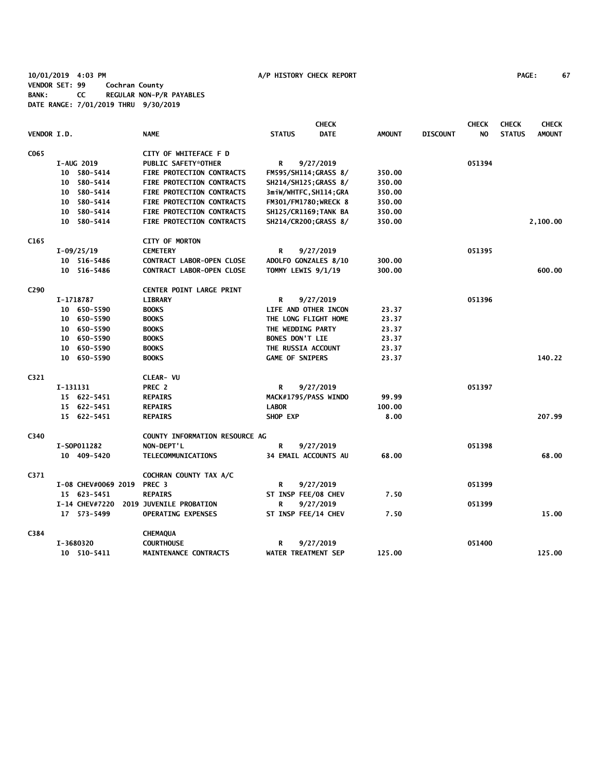**10/01/2019 4:03 PM A/P HISTORY CHECK REPORT PAGE: 67 VENDOR SET: 99 Cochran County BANK: CC REGULAR NON-P/R PAYABLES DATE RANGE: 7/01/2019 THRU 9/30/2019**

|                  |          |                     |                                  |                             | <b>CHECK</b>          |               |                 | <b>CHECK</b> | <b>CHECK</b>  | <b>CHECK</b>  |
|------------------|----------|---------------------|----------------------------------|-----------------------------|-----------------------|---------------|-----------------|--------------|---------------|---------------|
| VENDOR I.D.      |          |                     | <b>NAME</b>                      | <b>STATUS</b>               | <b>DATE</b>           | <b>AMOUNT</b> | <b>DISCOUNT</b> | NO.          | <b>STATUS</b> | <b>AMOUNT</b> |
| C <sub>065</sub> |          |                     | CITY OF WHITEFACE F D            |                             |                       |               |                 |              |               |               |
|                  |          | <b>I-AUG 2019</b>   | PUBLIC SAFETY*OTHER              | R                           | 9/27/2019             |               |                 | 051394       |               |               |
|                  |          | 10 580-5414         | FIRE PROTECTION CONTRACTS        | FM595/SH114; GRASS 8/       |                       | 350.00        |                 |              |               |               |
|                  |          | 10 580-5414         | FIRE PROTECTION CONTRACTS        |                             | SH214/SH125; GRASS 8/ | 350.00        |                 |              |               |               |
|                  |          | 10 580-5414         | FIRE PROTECTION CONTRACTS        |                             | 3miW/WHTFC,SH114;GRA  | 350.00        |                 |              |               |               |
|                  |          | 10 580-5414         | FIRE PROTECTION CONTRACTS        | FM301/FM1780; WRECK 8       |                       | 350.00        |                 |              |               |               |
|                  |          | 10 580-5414         | FIRE PROTECTION CONTRACTS        | SH125/CR1169; TANK BA       |                       | 350.00        |                 |              |               |               |
|                  |          | 10 580-5414         | FIRE PROTECTION CONTRACTS        |                             | SH214/CR200; GRASS 8/ | 350.00        |                 |              |               | 2,100.00      |
| C <sub>165</sub> |          |                     | <b>CITY OF MORTON</b>            |                             |                       |               |                 |              |               |               |
|                  |          | $I-09/25/19$        | <b>CEMETERY</b>                  | R                           | 9/27/2019             |               |                 | 051395       |               |               |
|                  |          | 10 516-5486         | <b>CONTRACT LABOR-OPEN CLOSE</b> |                             | ADOLFO GONZALES 8/10  | 300.00        |                 |              |               |               |
|                  |          | 10 516-5486         | <b>CONTRACT LABOR-OPEN CLOSE</b> | TOMMY LEWIS 9/1/19          |                       | 300.00        |                 |              |               | 600.00        |
| C <sub>290</sub> |          |                     | <b>CENTER POINT LARGE PRINT</b>  |                             |                       |               |                 |              |               |               |
|                  |          | I-1718787           | <b>LIBRARY</b>                   | R                           | 9/27/2019             |               |                 | 051396       |               |               |
|                  |          | 10 650-5590         | <b>BOOKS</b>                     | LIFE AND OTHER INCON        |                       | 23.37         |                 |              |               |               |
|                  |          | 10 650-5590         | <b>BOOKS</b>                     | THE LONG FLIGHT HOME        |                       | 23.37         |                 |              |               |               |
|                  |          | 10 650-5590         | <b>BOOKS</b>                     | THE WEDDING PARTY           |                       | 23.37         |                 |              |               |               |
|                  |          | 10 650-5590         | <b>BOOKS</b>                     | <b>BONES DON'T LIE</b>      |                       | 23.37         |                 |              |               |               |
|                  |          | 10 650-5590         | <b>BOOKS</b>                     | THE RUSSIA ACCOUNT          |                       | 23.37         |                 |              |               |               |
|                  |          | 10 650-5590         | <b>BOOKS</b>                     | <b>GAME OF SNIPERS</b>      |                       | 23.37         |                 |              |               | 140.22        |
| C <sub>321</sub> |          |                     | CLEAR- VU                        |                             |                       |               |                 |              |               |               |
|                  | I-131131 |                     | PREC 2                           | R                           | 9/27/2019             |               |                 | 051397       |               |               |
|                  |          | 15 622-5451         | <b>REPAIRS</b>                   | MACK#1795/PASS WINDO        |                       | 99.99         |                 |              |               |               |
|                  |          | 15 622-5451         | <b>REPAIRS</b>                   | <b>LABOR</b>                |                       | 100.00        |                 |              |               |               |
|                  |          | 15 622-5451         | <b>REPAIRS</b>                   | SHOP EXP                    |                       | 8.00          |                 |              |               | 207.99        |
| C340             |          |                     | COUNTY INFORMATION RESOURCE AG   |                             |                       |               |                 |              |               |               |
|                  |          | I-S0P011282         | NON-DEPT'L                       | R                           | 9/27/2019             |               |                 | 051398       |               |               |
|                  |          | 10 409-5420         | <b>TELECOMMUNICATIONS</b>        | <b>34 EMAIL ACCOUNTS AU</b> |                       | 68.00         |                 |              |               | 68.00         |
| C371             |          |                     | COCHRAN COUNTY TAX A/C           |                             |                       |               |                 |              |               |               |
|                  |          | I-08 CHEV#0069 2019 | PREC <sub>3</sub>                | R                           | 9/27/2019             |               |                 | 051399       |               |               |
|                  |          | 15 623-5451         | <b>REPAIRS</b>                   | ST INSP FEE/08 CHEV         |                       | 7.50          |                 |              |               |               |
|                  |          | I-14 CHEV#7220      | <b>2019 JUVENILE PROBATION</b>   | R                           | 9/27/2019             |               |                 | 051399       |               |               |
|                  |          | 17 573-5499         | <b>OPERATING EXPENSES</b>        | ST INSP FEE/14 CHEV         |                       | 7.50          |                 |              |               | 15.00         |
| C384             |          |                     | <b>CHEMAQUA</b>                  |                             |                       |               |                 |              |               |               |
|                  |          | I-3680320           | <b>COURTHOUSE</b>                | R                           | 9/27/2019             |               |                 | 051400       |               |               |
|                  |          | 10 510-5411         | MAINTENANCE CONTRACTS            | WATER TREATMENT SEP         |                       | 125.00        |                 |              |               | 125.00        |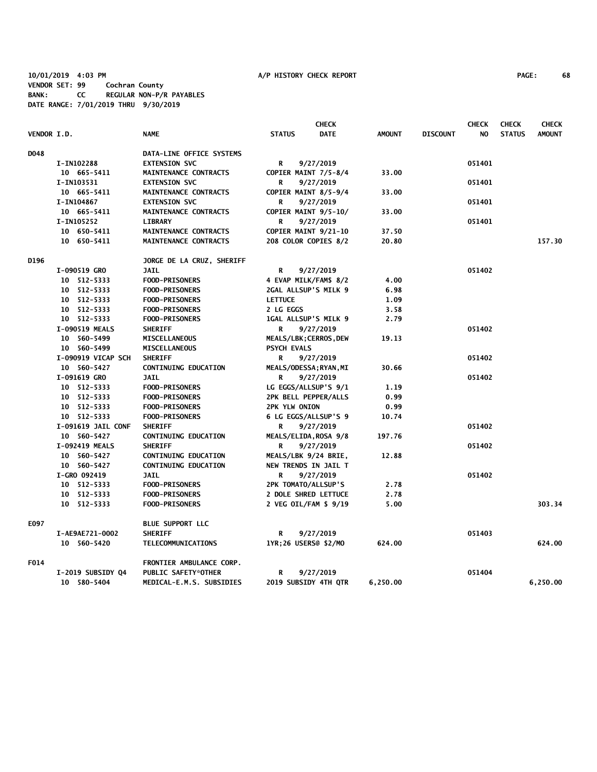**10/01/2019 4:03 PM A/P HISTORY CHECK REPORT PAGE: 68 VENDOR SET: 99 Cochran County BANK: CC REGULAR NON-P/R PAYABLES DATE RANGE: 7/01/2019 THRU 9/30/2019**

|             |                    |                             | <b>CHECK</b>                |                        |               |                 | <b>CHECK</b> | <b>CHECK</b>  | <b>CHECK</b>  |
|-------------|--------------------|-----------------------------|-----------------------------|------------------------|---------------|-----------------|--------------|---------------|---------------|
| VENDOR I.D. |                    | <b>NAME</b>                 | <b>STATUS</b>               | <b>DATE</b>            | <b>AMOUNT</b> | <b>DISCOUNT</b> | NO.          | <b>STATUS</b> | <b>AMOUNT</b> |
| D048        |                    | DATA-LINE OFFICE SYSTEMS    |                             |                        |               |                 |              |               |               |
|             | I-IN102288         | <b>EXTENSION SVC</b>        | R                           | 9/27/2019              |               |                 | 051401       |               |               |
|             | 10 665-5411        | MAINTENANCE CONTRACTS       | COPIER MAINT 7/5-8/4        |                        | 33.00         |                 |              |               |               |
|             | I-IN103531         | <b>EXTENSION SVC</b>        | R                           | 9/27/2019              |               |                 | 051401       |               |               |
|             | 10 665-5411        | MAINTENANCE CONTRACTS       |                             | COPIER MAINT 8/5-9/4   | 33.00         |                 |              |               |               |
|             | I-IN104867         | <b>EXTENSION SVC</b>        | R                           | 9/27/2019              |               |                 | 051401       |               |               |
|             | 10 665-5411        | MAINTENANCE CONTRACTS       |                             | COPIER MAINT 9/5-10/   | 33.00         |                 |              |               |               |
|             | I-IN105252         | <b>LIBRARY</b>              | R                           | 9/27/2019              |               |                 | 051401       |               |               |
|             | 10 650-5411        | MAINTENANCE CONTRACTS       |                             | COPIER MAINT 9/21-10   | 37.50         |                 |              |               |               |
|             | 10 650-5411        | MAINTENANCE CONTRACTS       |                             | 208 COLOR COPIES 8/2   | 20.80         |                 |              |               | 157.30        |
| D196        |                    | JORGE DE LA CRUZ, SHERIFF   |                             |                        |               |                 |              |               |               |
|             | I-090519 GRO       | <b>JAIL</b>                 | R                           | 9/27/2019              |               |                 | 051402       |               |               |
|             | 10 512-5333        | <b>FOOD-PRISONERS</b>       | 4 EVAP MILK/FAM\$ 8/2       |                        | 4.00          |                 |              |               |               |
|             | 10 512-5333        | <b>FOOD-PRISONERS</b>       | 2GAL ALLSUP'S MILK 9        |                        | 6.98          |                 |              |               |               |
|             | 10 512-5333        | <b>FOOD-PRISONERS</b>       | <b>LETTUCE</b>              |                        | 1.09          |                 |              |               |               |
|             | 10 512-5333        | <b>FOOD-PRISONERS</b>       | 2 LG EGGS                   |                        | 3.58          |                 |              |               |               |
|             | 10 512-5333        | <b>FOOD-PRISONERS</b>       | <b>1GAL ALLSUP'S MILK 9</b> |                        | 2.79          |                 |              |               |               |
|             | I-090519 MEALS     | <b>SHERIFF</b>              | R                           | 9/27/2019              |               |                 | 051402       |               |               |
|             | 10 560-5499        | MISCELLANEOUS               |                             | MEALS/LBK; CERROS, DEW | 19.13         |                 |              |               |               |
|             | 10 560-5499        | <b>MISCELLANEOUS</b>        | <b>PSYCH EVALS</b>          |                        |               |                 |              |               |               |
|             | I-090919 VICAP SCH | <b>SHERIFF</b>              | R                           | 9/27/2019              |               |                 | 051402       |               |               |
|             | 10 560-5427        | <b>CONTINUING EDUCATION</b> |                             | MEALS/ODESSA; RYAN, MI | 30.66         |                 |              |               |               |
|             | I-091619 GRO       | <b>JAIL</b>                 | R                           | 9/27/2019              |               |                 | 051402       |               |               |
|             | 10 512-5333        | <b>FOOD-PRISONERS</b>       | LG EGGS/ALLSUP'S 9/1        |                        | 1.19          |                 |              |               |               |
|             | 10 512-5333        | <b>FOOD-PRISONERS</b>       | 2PK BELL PEPPER/ALLS        |                        | 0.99          |                 |              |               |               |
|             | 10 512-5333        | <b>FOOD-PRISONERS</b>       | 2PK YLW ONION               |                        | 0.99          |                 |              |               |               |
|             | 10 512-5333        | <b>FOOD-PRISONERS</b>       |                             | 6 LG EGGS/ALLSUP'S 9   | 10.74         |                 |              |               |               |
|             | I-091619 JAIL CONF | <b>SHERIFF</b>              | R                           | 9/27/2019              |               |                 | 051402       |               |               |
|             | 10 560-5427        | CONTINUING EDUCATION        | MEALS/ELIDA, ROSA 9/8       |                        | 197.76        |                 |              |               |               |
|             | I-092419 MEALS     | <b>SHERIFF</b>              | R                           | 9/27/2019              |               |                 | 051402       |               |               |
|             | 10 560-5427        | <b>CONTINUING EDUCATION</b> | MEALS/LBK 9/24 BRIE,        |                        | 12.88         |                 |              |               |               |
|             | 10 560-5427        | <b>CONTINUING EDUCATION</b> |                             | NEW TRENDS IN JAIL T   |               |                 |              |               |               |
|             | I-GRO 092419       | <b>JAIL</b>                 | R                           | 9/27/2019              |               |                 | 051402       |               |               |
|             | 10 512-5333        | FOOD-PRISONERS              | 2PK TOMATO/ALLSUP'S         |                        | 2.78          |                 |              |               |               |
|             | 10 512-5333        | <b>FOOD-PRISONERS</b>       | 2 DOLE SHRED LETTUCE        |                        | 2.78          |                 |              |               |               |
|             | 10 512-5333        | <b>FOOD-PRISONERS</b>       | 2 VEG OIL/FAM \$ 9/19       |                        | 5.00          |                 |              |               | 303.34        |
| E097        |                    | <b>BLUE SUPPORT LLC</b>     |                             |                        |               |                 |              |               |               |
|             | I-AE9AE721-0002    | <b>SHERIFF</b>              | R                           | 9/27/2019              |               |                 | 051403       |               |               |
|             | 10 560-5420        | <b>TELECOMMUNICATIONS</b>   | 1YR:26 USERS@ \$2/MO        |                        | 624.00        |                 |              |               | 624.00        |
| F014        |                    | FRONTIER AMBULANCE CORP.    |                             |                        |               |                 |              |               |               |
|             | I-2019 SUBSIDY Q4  | PUBLIC SAFETY*OTHER         | R                           | 9/27/2019              |               |                 | 051404       |               |               |
|             | 10 580-5404        | MEDICAL-E.M.S. SUBSIDIES    | 2019 SUBSIDY 4TH QTR        |                        | 6,250.00      |                 |              |               | 6,250.00      |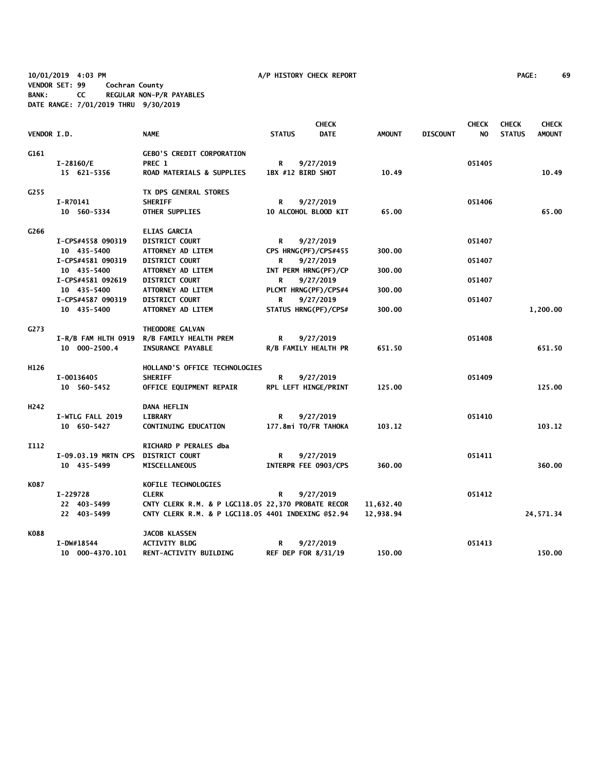**10/01/2019 4:03 PM A/P HISTORY CHECK REPORT PAGE: 69 VENDOR SET: 99 Cochran County BANK: CC REGULAR NON-P/R PAYABLES DATE RANGE: 7/01/2019 THRU 9/30/2019**

|                  |                                    |                                                     | <b>CHECK</b>      |                            |               |                 | <b>CHECK</b><br><b>CHECK</b> |               |               |
|------------------|------------------------------------|-----------------------------------------------------|-------------------|----------------------------|---------------|-----------------|------------------------------|---------------|---------------|
| VENDOR I.D.      |                                    | <b>NAME</b>                                         | <b>STATUS</b>     | <b>DATE</b>                | <b>AMOUNT</b> | <b>DISCOUNT</b> | NO.                          | <b>STATUS</b> | <b>AMOUNT</b> |
| G161             |                                    | <b>GEBO'S CREDIT CORPORATION</b>                    |                   |                            |               |                 |                              |               |               |
|                  | I-28160/E                          | PREC 1                                              | R                 | 9/27/2019                  |               |                 | 051405                       |               |               |
|                  | 15 621-5356                        | <b>ROAD MATERIALS &amp; SUPPLIES</b>                | 1BX #12 BIRD SHOT |                            | 10.49         |                 |                              |               | 10.49         |
| G255             |                                    | TX DPS GENERAL STORES                               |                   |                            |               |                 |                              |               |               |
|                  | I-R70141                           | <b>SHERIFF</b>                                      | R                 | 9/27/2019                  |               |                 | 051406                       |               |               |
|                  | 10 560-5334                        | <b>OTHER SUPPLIES</b>                               |                   | 10 ALCOHOL BLOOD KIT       | 65.00         |                 |                              |               | 65.00         |
| G266             |                                    | <b>ELIAS GARCIA</b>                                 |                   |                            |               |                 |                              |               |               |
|                  | I-CPS#4558 090319                  | <b>DISTRICT COURT</b>                               | R                 | 9/27/2019                  |               |                 | 051407                       |               |               |
|                  | 10 435-5400                        | ATTORNEY AD LITEM                                   |                   | CPS HRNG(PF)/CPS#455       | 300.00        |                 |                              |               |               |
|                  | I-CPS#4581 090319                  | <b>DISTRICT COURT</b>                               | R                 | 9/27/2019                  |               |                 | 051407                       |               |               |
|                  | 10 435-5400                        | ATTORNEY AD LITEM                                   |                   | INT PERM HRNG(PF)/CP       | 300.00        |                 |                              |               |               |
|                  | I-CPS#4581 092619                  | <b>DISTRICT COURT</b>                               | R                 | 9/27/2019                  |               |                 | 051407                       |               |               |
|                  | 10 435-5400                        | ATTORNEY AD LITEM                                   |                   | PLCMT HRNG(PF)/CPS#4       | 300.00        |                 |                              |               |               |
|                  | I-CPS#4587 090319                  | <b>DISTRICT COURT</b>                               | R                 | 9/27/2019                  |               |                 | 051407                       |               |               |
|                  | 10 435-5400                        | <b>ATTORNEY AD LITEM</b>                            |                   | STATUS HRNG(PF)/CPS#       | 300.00        |                 |                              |               | 1,200.00      |
| G273             |                                    | THEODORE GALVAN                                     |                   |                            |               |                 |                              |               |               |
|                  | I-R/B FAM HLTH 0919                | R/B FAMILY HEALTH PREM                              | R                 | 9/27/2019                  |               |                 | 051408                       |               |               |
|                  | 10 000-2500.4                      | <b>INSURANCE PAYABLE</b>                            |                   | R/B FAMILY HEALTH PR       | 651.50        |                 |                              |               | 651.50        |
| H126             |                                    | HOLLAND'S OFFICE TECHNOLOGIES                       |                   |                            |               |                 |                              |               |               |
|                  | I-00136405                         | <b>SHERIFF</b>                                      | R                 | 9/27/2019                  |               |                 | 051409                       |               |               |
|                  | 10 560-5452                        | OFFICE EQUIPMENT REPAIR                             |                   | RPL LEFT HINGE/PRINT       | 125.00        |                 |                              |               | 125.00        |
| H <sub>242</sub> |                                    | <b>DANA HEFLIN</b>                                  |                   |                            |               |                 |                              |               |               |
|                  | I-WTLG FALL 2019                   | <b>LIBRARY</b>                                      | R                 | 9/27/2019                  |               |                 | 051410                       |               |               |
|                  | 10 650-5427                        | <b>CONTINUING EDUCATION</b>                         |                   | 177.8mi TO/FR TAHOKA       | 103.12        |                 |                              |               | 103.12        |
| <b>I112</b>      |                                    | <b>RICHARD P PERALES dba</b>                        |                   |                            |               |                 |                              |               |               |
|                  | I-09.03.19 MRTN CPS DISTRICT COURT |                                                     | R                 | 9/27/2019                  |               |                 | 051411                       |               |               |
|                  | 10 435-5499                        | <b>MISCELLANEOUS</b>                                |                   | INTERPR FEE 0903/CPS       | 360.00        |                 |                              |               | 360.00        |
| K087             |                                    | KOFILE TECHNOLOGIES                                 |                   |                            |               |                 |                              |               |               |
|                  | I-229728                           | <b>CLERK</b>                                        | R                 | 9/27/2019                  |               |                 | 051412                       |               |               |
|                  | 22 403-5499                        | CNTY CLERK R.M. & P LGC118.05 22,370 PROBATE RECOR  |                   |                            | 11,632.40     |                 |                              |               |               |
|                  | 22 403-5499                        | CNTY CLERK R.M. & P LGC118.05 4401 INDEXING @\$2.94 |                   |                            | 12,938.94     |                 |                              |               | 24,571.34     |
| K088             |                                    | <b>JACOB KLASSEN</b>                                |                   |                            |               |                 |                              |               |               |
|                  | I-DW#18544                         | <b>ACTIVITY BLDG</b>                                | R                 | 9/27/2019                  |               |                 | 051413                       |               |               |
|                  | 10 000-4370.101                    | RENT-ACTIVITY BUILDING                              |                   | <b>REF DEP FOR 8/31/19</b> | 150.00        |                 |                              |               | 150.00        |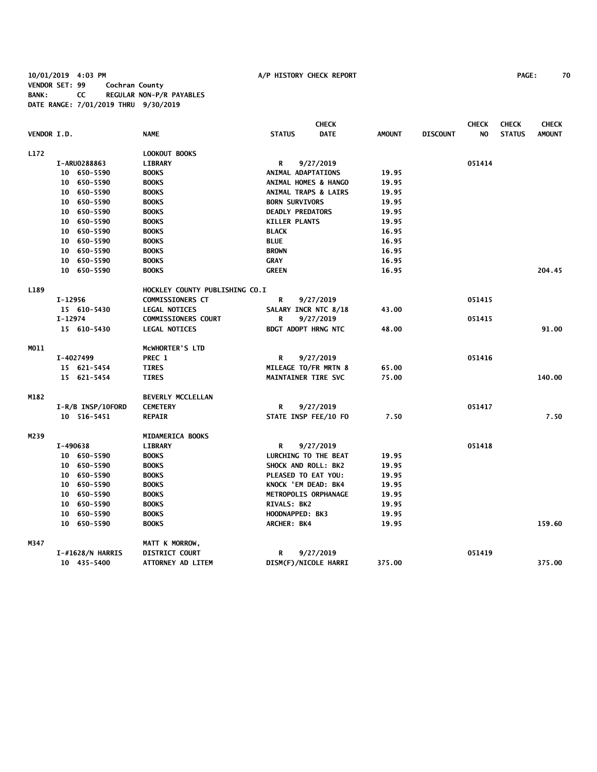## **10/01/2019 4:03 PM A/P HISTORY CHECK REPORT PAGE: 70 VENDOR SET: 99 Cochran County BANK: CC REGULAR NON-P/R PAYABLES DATE RANGE: 7/01/2019 THRU 9/30/2019**

|             |                   |                                |                                 | <b>CHECK</b>                 |                 | <b>CHECK</b> | <b>CHECK</b>  | <b>CHECK</b>  |
|-------------|-------------------|--------------------------------|---------------------------------|------------------------------|-----------------|--------------|---------------|---------------|
| VENDOR I.D. |                   | <b>NAME</b>                    | <b>STATUS</b>                   | <b>DATE</b><br><b>AMOUNT</b> | <b>DISCOUNT</b> | NO.          | <b>STATUS</b> | <b>AMOUNT</b> |
| L172        |                   | LOOKOUT BOOKS                  |                                 |                              |                 |              |               |               |
|             | I-ARU0288863      | <b>LIBRARY</b>                 | R                               | 9/27/2019                    |                 | 051414       |               |               |
|             | 10 650-5590       | <b>BOOKS</b>                   | ANIMAL ADAPTATIONS              | 19.95                        |                 |              |               |               |
|             | 10 650-5590       | <b>BOOKS</b>                   | ANIMAL HOMES & HANGO            | 19.95                        |                 |              |               |               |
|             | 10 650-5590       | <b>BOOKS</b>                   | <b>ANIMAL TRAPS &amp; LAIRS</b> | 19.95                        |                 |              |               |               |
|             | 10 650-5590       | <b>BOOKS</b>                   | <b>BORN SURVIVORS</b>           | 19.95                        |                 |              |               |               |
|             | 10 650-5590       | <b>BOOKS</b>                   | <b>DEADLY PREDATORS</b>         | 19.95                        |                 |              |               |               |
|             | 10 650-5590       | <b>BOOKS</b>                   | <b>KILLER PLANTS</b>            | 19.95                        |                 |              |               |               |
|             | 10 650-5590       | <b>BOOKS</b>                   | <b>BLACK</b>                    | 16.95                        |                 |              |               |               |
|             | 10 650-5590       | <b>BOOKS</b>                   | <b>BLUE</b>                     | 16.95                        |                 |              |               |               |
|             | 10 650-5590       | <b>BOOKS</b>                   | <b>BROWN</b>                    | 16.95                        |                 |              |               |               |
|             | 10 650-5590       | <b>BOOKS</b>                   | <b>GRAY</b>                     | 16.95                        |                 |              |               |               |
|             | 10 650-5590       | <b>BOOKS</b>                   | <b>GREEN</b>                    | 16.95                        |                 |              |               | 204.45        |
| L189        |                   | HOCKLEY COUNTY PUBLISHING CO.I |                                 |                              |                 |              |               |               |
|             | I-12956           | <b>COMMISSIONERS CT</b>        | R<br>9/27/2019                  |                              |                 | 051415       |               |               |
|             | 15 610-5430       | <b>LEGAL NOTICES</b>           | SALARY INCR NTC 8/18            | 43.00                        |                 |              |               |               |
|             | I-12974           | <b>COMMISSIONERS COURT</b>     | R<br>9/27/2019                  |                              |                 | 051415       |               |               |
|             | 15 610-5430       | <b>LEGAL NOTICES</b>           | <b>BDGT ADOPT HRNG NTC</b>      | 48.00                        |                 |              |               | 91.00         |
| MO11        |                   | MCWHORTER'S LTD                |                                 |                              |                 |              |               |               |
|             | I-4027499         | PREC 1                         | R<br>9/27/2019                  |                              |                 | 051416       |               |               |
|             | 15 621-5454       | <b>TIRES</b>                   | MILEAGE TO/FR MRTN 8            | 65.00                        |                 |              |               |               |
|             | 15 621-5454       | <b>TIRES</b>                   | <b>MAINTAINER TIRE SVC</b>      | 75.00                        |                 |              |               | 140.00        |
| M182        |                   | <b>BEVERLY MCCLELLAN</b>       |                                 |                              |                 |              |               |               |
|             | I-R/B INSP/10FORD | <b>CEMETERY</b>                | R<br>9/27/2019                  |                              |                 | 051417       |               |               |
|             | 10 516-5451       | <b>REPAIR</b>                  | STATE INSP FEE/10 FO            | 7.50                         |                 |              |               | 7.50          |
| M239        |                   | MIDAMERICA BOOKS               |                                 |                              |                 |              |               |               |
|             | I-490638          | LIBRARY                        | R<br>9/27/2019                  |                              |                 | 051418       |               |               |
|             | 10 650-5590       | <b>BOOKS</b>                   | LURCHING TO THE BEAT            | 19.95                        |                 |              |               |               |
|             | 10 650-5590       | <b>BOOKS</b>                   | SHOCK AND ROLL: BK2             | 19.95                        |                 |              |               |               |
|             | 10 650-5590       | <b>BOOKS</b>                   | PLEASED TO EAT YOU:             | 19.95                        |                 |              |               |               |
|             | 10 650-5590       | <b>BOOKS</b>                   | KNOCK 'EM DEAD: BK4             | 19.95                        |                 |              |               |               |
|             | 10 650-5590       | <b>BOOKS</b>                   | METROPOLIS ORPHANAGE            | 19.95                        |                 |              |               |               |
|             | 10 650-5590       | <b>BOOKS</b>                   | RIVALS: BK2                     | 19.95                        |                 |              |               |               |
|             | 10 650-5590       | <b>BOOKS</b>                   | HOODNAPPED: BK3                 | 19.95                        |                 |              |               |               |
|             | 10 650-5590       | <b>BOOKS</b>                   | ARCHER: BK4                     | 19.95                        |                 |              |               | 159.60        |
| M347        |                   | MATT K MORROW,                 |                                 |                              |                 |              |               |               |
|             | I-#1628/N HARRIS  | <b>DISTRICT COURT</b>          | 9/27/2019<br>R                  |                              |                 | 051419       |               |               |
|             | 10 435-5400       | ATTORNEY AD LITEM              | DISM(F)/NICOLE HARRI            | 375.00                       |                 |              |               | 375.00        |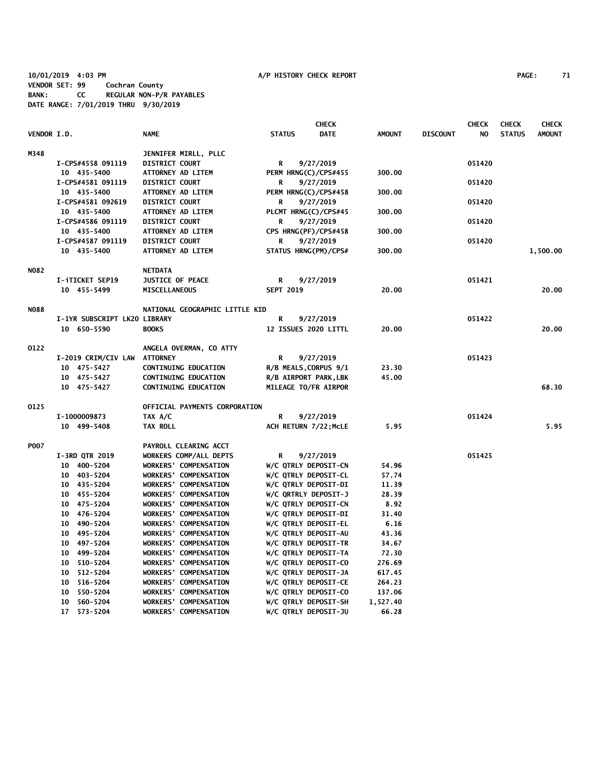**10/01/2019 4:03 PM A/P HISTORY CHECK REPORT PAGE: 71 VENDOR SET: 99 Cochran County BANK: CC REGULAR NON-P/R PAYABLES DATE RANGE: 7/01/2019 THRU 9/30/2019**

|             |                              |                                |                       | <b>CHECK</b>         |               |                 | <b>CHECK</b> | <b>CHECK</b>  | <b>CHECK</b>  |
|-------------|------------------------------|--------------------------------|-----------------------|----------------------|---------------|-----------------|--------------|---------------|---------------|
| VENDOR I.D. |                              | <b>NAME</b>                    | <b>STATUS</b>         | <b>DATE</b>          | <b>AMOUNT</b> | <b>DISCOUNT</b> | NO.          | <b>STATUS</b> | <b>AMOUNT</b> |
| M348        |                              | JENNIFER MIRLL, PLLC           |                       |                      |               |                 |              |               |               |
|             | I-CPS#4558 091119            | <b>DISTRICT COURT</b>          | R                     | 9/27/2019            |               |                 | 051420       |               |               |
|             | 10 435-5400                  | ATTORNEY AD LITEM              | PERM HRNG(C)/CPS#455  |                      | 300.00        |                 |              |               |               |
|             | I-CPS#4581 091119            | <b>DISTRICT COURT</b>          | R                     | 9/27/2019            |               |                 | 051420       |               |               |
|             | 10 435-5400                  | ATTORNEY AD LITEM              | PERM HRNG(C)/CPS#458  |                      | 300.00        |                 |              |               |               |
|             | I-CPS#4581 092619            | <b>DISTRICT COURT</b>          | R                     | 9/27/2019            |               |                 | 051420       |               |               |
|             | 10 435-5400                  | ATTORNEY AD LITEM              | PLCMT HRNG(C)/CPS#45  |                      | 300.00        |                 |              |               |               |
|             | I-CPS#4586 091119            | <b>DISTRICT COURT</b>          | R                     | 9/27/2019            |               |                 | 051420       |               |               |
|             | 10 435-5400                  | ATTORNEY AD LITEM              | CPS HRNG(PF)/CPS#458  |                      | 300.00        |                 |              |               |               |
|             | I-CPS#4587 091119            | <b>DISTRICT COURT</b>          | R                     | 9/27/2019            |               |                 | 051420       |               |               |
|             | 10 435-5400                  | ATTORNEY AD LITEM              | STATUS HRNG(PM)/CPS#  |                      | 300.00        |                 |              |               | 1,500.00      |
| <b>NO82</b> |                              | <b>NETDATA</b>                 |                       |                      |               |                 |              |               |               |
|             | I-iTICKET SEP19              | JUSTICE OF PEACE               | R                     | 9/27/2019            |               |                 | 051421       |               |               |
|             | 10 455-5499                  | <b>MISCELLANEOUS</b>           | <b>SEPT 2019</b>      |                      | 20.00         |                 |              |               | 20.00         |
|             |                              |                                |                       |                      |               |                 |              |               |               |
| <b>NO88</b> |                              | NATIONAL GEOGRAPHIC LITTLE KID |                       |                      |               |                 |              |               |               |
|             | I-1YR SUBSCRIPT LK20 LIBRARY |                                | R                     | 9/27/2019            |               |                 | 051422       |               |               |
|             | 10 650-5590                  | <b>BOOKS</b>                   |                       | 12 ISSUES 2020 LITTL | 20.00         |                 |              |               | 20.00         |
| 0122        |                              | ANGELA OVERMAN, CO ATTY        |                       |                      |               |                 |              |               |               |
|             | I-2019 CRIM/CIV LAW          | <b>ATTORNEY</b>                | R                     | 9/27/2019            |               |                 | 051423       |               |               |
|             | 10 475-5427                  | CONTINUING EDUCATION           | R/B MEALS, CORPUS 9/1 |                      | 23.30         |                 |              |               |               |
|             | 10 475-5427                  | <b>CONTINUING EDUCATION</b>    | R/B AIRPORT PARK, LBK |                      | 45.00         |                 |              |               |               |
|             | 10 475-5427                  | <b>CONTINUING EDUCATION</b>    | MILEAGE TO/FR AIRPOR  |                      |               |                 |              |               | 68.30         |
| 0125        |                              | OFFICIAL PAYMENTS CORPORATION  |                       |                      |               |                 |              |               |               |
|             | I-1000009873                 | TAX A/C                        | R                     | 9/27/2019            |               |                 | 051424       |               |               |
|             | 10 499-5408                  | <b>TAX ROLL</b>                | ACH RETURN 7/22; MCLE |                      | 5.95          |                 |              |               | 5.95          |
| <b>P007</b> |                              | PAYROLL CLEARING ACCT          |                       |                      |               |                 |              |               |               |
|             | <b>I-3RD QTR 2019</b>        | WORKERS COMP/ALL DEPTS         | R                     | 9/27/2019            |               |                 | 051425       |               |               |
|             | 10 400-5204                  | <b>WORKERS' COMPENSATION</b>   | W/C QTRLY DEPOSIT-CN  |                      | 54.96         |                 |              |               |               |
|             | 10 403-5204                  | <b>WORKERS' COMPENSATION</b>   | W/C QTRLY DEPOSIT-CL  |                      | 57.74         |                 |              |               |               |
|             | 10 435-5204                  | <b>WORKERS' COMPENSATION</b>   | W/C QTRLY DEPOSIT-DI  |                      | 11.39         |                 |              |               |               |
|             | 10 455-5204                  | <b>WORKERS' COMPENSATION</b>   | W/C QRTRLY DEPOSIT-J  |                      | 28.39         |                 |              |               |               |
|             | 10 475-5204                  | <b>WORKERS' COMPENSATION</b>   | W/C QTRLY DEPOSIT-CN  |                      | 8.92          |                 |              |               |               |
|             | 10 476-5204                  | <b>WORKERS' COMPENSATION</b>   | W/C QTRLY DEPOSIT-DI  |                      | 31.40         |                 |              |               |               |
|             | 10 490-5204                  | <b>WORKERS' COMPENSATION</b>   | W/C QTRLY DEPOSIT-EL  |                      | 6.16          |                 |              |               |               |
|             | 10 495-5204                  | <b>WORKERS' COMPENSATION</b>   | W/C QTRLY DEPOSIT-AU  |                      | 43.36         |                 |              |               |               |
|             | 10 497-5204                  | <b>WORKERS' COMPENSATION</b>   | W/C QTRLY DEPOSIT-TR  |                      | 34.67         |                 |              |               |               |
|             | 10 499-5204                  | <b>WORKERS' COMPENSATION</b>   | W/C QTRLY DEPOSIT-TA  |                      | 72.30         |                 |              |               |               |
|             | 10 510-5204                  | <b>WORKERS' COMPENSATION</b>   | W/C QTRLY DEPOSIT-CO  |                      | 276.69        |                 |              |               |               |
|             | 10 512-5204                  | <b>WORKERS' COMPENSATION</b>   | W/C QTRLY DEPOSIT-JA  |                      | 617.45        |                 |              |               |               |
|             | 10 516-5204                  | <b>WORKERS' COMPENSATION</b>   | W/C QTRLY DEPOSIT-CE  |                      | 264.23        |                 |              |               |               |
|             | 10 550-5204                  | <b>WORKERS' COMPENSATION</b>   | W/C QTRLY DEPOSIT-CO  |                      | 137.06        |                 |              |               |               |
|             | 10 560-5204                  | <b>WORKERS' COMPENSATION</b>   | W/C QTRLY DEPOSIT-SH  |                      | 1,527.40      |                 |              |               |               |
|             | 17 573-5204                  | <b>WORKERS' COMPENSATION</b>   | W/C QTRLY DEPOSIT-JU  |                      | 66.28         |                 |              |               |               |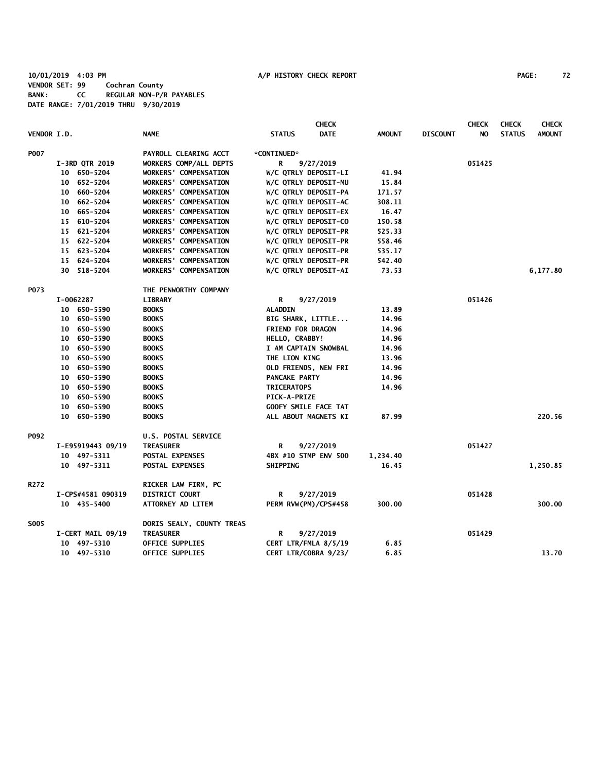**10/01/2019 4:03 PM A/P HISTORY CHECK REPORT PAGE: 72 VENDOR SET: 99 Cochran County BANK: CC REGULAR NON-P/R PAYABLES DATE RANGE: 7/01/2019 THRU 9/30/2019**

|                    |                   |                   |                              |                          | <b>CHECK</b>         |               |                 | <b>CHECK</b> | <b>CHECK</b>  | <b>CHECK</b>  |
|--------------------|-------------------|-------------------|------------------------------|--------------------------|----------------------|---------------|-----------------|--------------|---------------|---------------|
| <b>VENDOR I.D.</b> |                   |                   | <b>NAME</b>                  | <b>STATUS</b>            | <b>DATE</b>          | <b>AMOUNT</b> | <b>DISCOUNT</b> | NO.          | <b>STATUS</b> | <b>AMOUNT</b> |
| <b>P007</b>        |                   |                   | PAYROLL CLEARING ACCT        | *CONTINUED*              |                      |               |                 |              |               |               |
|                    |                   | I-3RD QTR 2019    | WORKERS COMP/ALL DEPTS       | R                        | 9/27/2019            |               |                 | 051425       |               |               |
|                    |                   | 10 650-5204       | <b>WORKERS' COMPENSATION</b> |                          | W/C QTRLY DEPOSIT-LI | 41.94         |                 |              |               |               |
|                    |                   | 10 652-5204       | <b>WORKERS' COMPENSATION</b> |                          | W/C QTRLY DEPOSIT-MU | 15.84         |                 |              |               |               |
|                    |                   | 10 660-5204       | <b>WORKERS' COMPENSATION</b> |                          | W/C QTRLY DEPOSIT-PA | 171.57        |                 |              |               |               |
|                    |                   | 10 662-5204       | WORKERS' COMPENSATION        |                          | W/C QTRLY DEPOSIT-AC | 308.11        |                 |              |               |               |
|                    |                   | 10 665-5204       | <b>WORKERS' COMPENSATION</b> |                          | W/C QTRLY DEPOSIT-EX | 16.47         |                 |              |               |               |
|                    |                   | 15 610-5204       | <b>WORKERS' COMPENSATION</b> |                          | W/C QTRLY DEPOSIT-CO | 150.58        |                 |              |               |               |
|                    |                   | 15 621-5204       | <b>WORKERS' COMPENSATION</b> |                          | W/C QTRLY DEPOSIT-PR | 525.33        |                 |              |               |               |
|                    |                   | 15 622-5204       | <b>WORKERS' COMPENSATION</b> |                          | W/C QTRLY DEPOSIT-PR | 558.46        |                 |              |               |               |
|                    |                   | 15 623-5204       | <b>WORKERS' COMPENSATION</b> |                          | W/C QTRLY DEPOSIT-PR | 535.17        |                 |              |               |               |
|                    |                   | 15 624-5204       | WORKERS' COMPENSATION        |                          | W/C QTRLY DEPOSIT-PR | 542.40        |                 |              |               |               |
|                    |                   | 30 518-5204       | <b>WORKERS' COMPENSATION</b> |                          | W/C QTRLY DEPOSIT-AI | 73.53         |                 |              |               | 6,177.80      |
| P073               |                   |                   | THE PENWORTHY COMPANY        |                          |                      |               |                 |              |               |               |
|                    |                   | I-0062287         | <b>LIBRARY</b>               | R                        | 9/27/2019            |               |                 | 051426       |               |               |
|                    |                   | 10 650-5590       | <b>BOOKS</b>                 | <b>ALADDIN</b>           |                      | 13.89         |                 |              |               |               |
|                    |                   | 10 650-5590       | <b>BOOKS</b>                 |                          | BIG SHARK, LITTLE    | 14.96         |                 |              |               |               |
|                    |                   | 10 650-5590       | <b>BOOKS</b>                 | <b>FRIEND FOR DRAGON</b> |                      | 14.96         |                 |              |               |               |
|                    |                   | 10 650-5590       | <b>BOOKS</b>                 | HELLO, CRABBY!           |                      | 14.96         |                 |              |               |               |
|                    |                   | 10 650-5590       | <b>BOOKS</b>                 |                          | I AM CAPTAIN SNOWBAL | 14.96         |                 |              |               |               |
|                    |                   | 10 650-5590       | <b>BOOKS</b>                 | THE LION KING            |                      | 13.96         |                 |              |               |               |
|                    |                   | 10 650-5590       | <b>BOOKS</b>                 |                          | OLD FRIENDS, NEW FRI | 14.96         |                 |              |               |               |
|                    |                   | 10 650-5590       | <b>BOOKS</b>                 | PANCAKE PARTY            |                      | 14.96         |                 |              |               |               |
|                    |                   | 10 650-5590       | <b>BOOKS</b>                 | <b>TRICERATOPS</b>       |                      | 14.96         |                 |              |               |               |
|                    |                   | 10 650-5590       | <b>BOOKS</b>                 | <b>PICK-A-PRIZE</b>      |                      |               |                 |              |               |               |
|                    |                   | 10 650-5590       | <b>BOOKS</b>                 |                          | GOOFY SMILE FACE TAT |               |                 |              |               |               |
|                    |                   | 10 650-5590       | <b>BOOKS</b>                 |                          | ALL ABOUT MAGNETS KI | 87.99         |                 |              |               | 220.56        |
| P092               |                   |                   | U.S. POSTAL SERVICE          |                          |                      |               |                 |              |               |               |
|                    |                   | I-E95919443 09/19 | <b>TREASURER</b>             | R                        | 9/27/2019            |               |                 | 051427       |               |               |
|                    |                   | 10 497-5311       | POSTAL EXPENSES              |                          | 4BX #10 STMP ENV 500 | 1,234.40      |                 |              |               |               |
|                    |                   | 10 497-5311       | POSTAL EXPENSES              | <b>SHIPPING</b>          |                      | 16.45         |                 |              |               | 1,250.85      |
| R272               |                   |                   | RICKER LAW FIRM, PC          |                          |                      |               |                 |              |               |               |
|                    | I-CPS#4581 090319 |                   | <b>DISTRICT COURT</b>        | R                        | 9/27/2019            |               |                 | 051428       |               |               |
|                    |                   | 10 435-5400       | ATTORNEY AD LITEM            |                          | PERM RVW(PM)/CPS#458 | 300.00        |                 |              |               | 300.00        |
| <b>SO05</b>        |                   |                   | DORIS SEALY, COUNTY TREAS    |                          |                      |               |                 |              |               |               |
|                    |                   | I-CERT MAIL 09/19 | <b>TREASURER</b>             | R                        | 9/27/2019            |               |                 | 051429       |               |               |
|                    |                   | 10 497-5310       | OFFICE SUPPLIES              |                          | CERT LTR/FMLA 8/5/19 | 6.85          |                 |              |               |               |
|                    |                   | 10 497-5310       | OFFICE SUPPLIES              |                          | CERT LTR/COBRA 9/23/ | 6.85          |                 |              |               | 13.70         |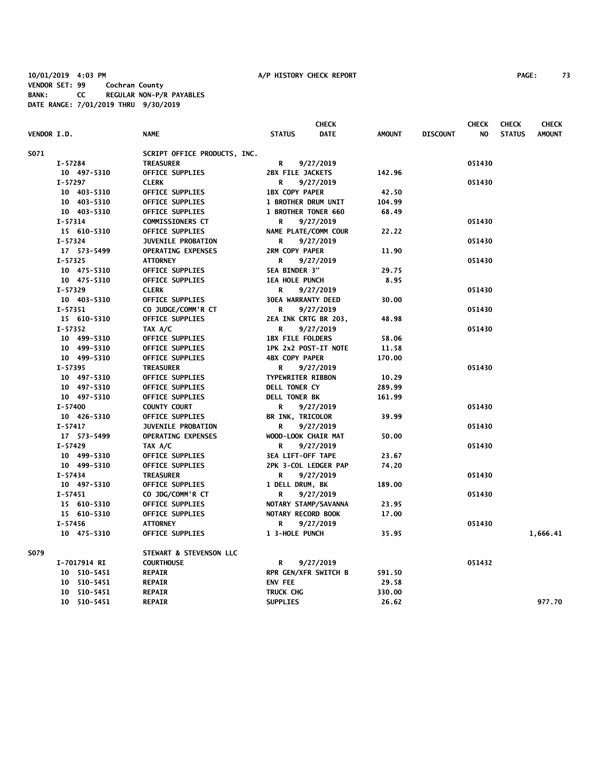|                    |              |                              |                            | <b>CHECK</b>         |               |                 | <b>CHECK</b> | <b>CHECK</b>  | <b>CHECK</b>  |
|--------------------|--------------|------------------------------|----------------------------|----------------------|---------------|-----------------|--------------|---------------|---------------|
| <b>VENDOR I.D.</b> |              | <b>NAME</b>                  | <b>STATUS</b>              | <b>DATE</b>          | <b>AMOUNT</b> | <b>DISCOUNT</b> | NO           | <b>STATUS</b> | <b>AMOUNT</b> |
| S071               |              | SCRIPT OFFICE PRODUCTS, INC. |                            |                      |               |                 |              |               |               |
|                    | I-57284      | <b>TREASURER</b>             | R                          | 9/27/2019            |               |                 | 051430       |               |               |
|                    | 10 497-5310  | <b>OFFICE SUPPLIES</b>       | 2BX FILE JACKETS           |                      | 142.96        |                 |              |               |               |
|                    | $I - 57297$  | <b>CLERK</b>                 | R                          | 9/27/2019            |               |                 | 051430       |               |               |
|                    | 10 403-5310  | OFFICE SUPPLIES              | <b>1BX COPY PAPER</b>      |                      | 42.50         |                 |              |               |               |
|                    | 10 403-5310  | OFFICE SUPPLIES              | <b>1 BROTHER DRUM UNIT</b> |                      | 104.99        |                 |              |               |               |
|                    | 10 403-5310  | OFFICE SUPPLIES              | 1 BROTHER TONER 660        |                      | 68.49         |                 |              |               |               |
|                    | $I - 57314$  | COMMISSIONERS CT             | R                          | 9/27/2019            |               |                 | 051430       |               |               |
|                    | 15 610-5310  | <b>OFFICE SUPPLIES</b>       |                            | NAME PLATE/COMM COUR | 22.22         |                 |              |               |               |
|                    | I-57324      | <b>JUVENILE PROBATION</b>    | R                          | 9/27/2019            |               |                 | 051430       |               |               |
|                    | 17 573-5499  | <b>OPERATING EXPENSES</b>    | 2RM COPY PAPER             |                      | 11.90         |                 |              |               |               |
|                    | $I - 57325$  | <b>ATTORNEY</b>              | R                          | 9/27/2019            |               |                 | 051430       |               |               |
|                    | 10 475-5310  | <b>OFFICE SUPPLIES</b>       | <b>5EA BINDER 3"</b>       |                      | 29.75         |                 |              |               |               |
|                    | 10 475-5310  | <b>OFFICE SUPPLIES</b>       | <b>1EA HOLE PUNCH</b>      |                      | 8.95          |                 |              |               |               |
|                    | $I-57329$    | <b>CLERK</b>                 | R                          | 9/27/2019            |               |                 | 051430       |               |               |
|                    | 10 403-5310  | <b>OFFICE SUPPLIES</b>       | 30EA WARRANTY DEED         |                      | 30.00         |                 |              |               |               |
|                    | I-57351      | CO JUDGE/COMM'R CT           | R                          | 9/27/2019            |               |                 | 051430       |               |               |
|                    | 15 610-5310  | <b>OFFICE SUPPLIES</b>       |                            | 2EA INK CRTG BR 203, | 48.98         |                 |              |               |               |
|                    | I-57352      | TAX A/C                      | R                          | 9/27/2019            |               |                 | 051430       |               |               |
|                    | 10 499-5310  | OFFICE SUPPLIES              | <b>1BX FILE FOLDERS</b>    |                      | 58.06         |                 |              |               |               |
|                    | 10 499-5310  | <b>OFFICE SUPPLIES</b>       |                            | 1PK 2x2 POST-IT NOTE | 11.58         |                 |              |               |               |
|                    | 10 499-5310  | <b>OFFICE SUPPLIES</b>       | <b>4BX COPY PAPER</b>      |                      | 170.00        |                 |              |               |               |
|                    | I-57395      | <b>TREASURER</b>             | R                          | 9/27/2019            |               |                 | 051430       |               |               |
|                    | 10 497-5310  | OFFICE SUPPLIES              | <b>TYPEWRITER RIBBON</b>   |                      | 10.29         |                 |              |               |               |
|                    | 10 497-5310  | <b>OFFICE SUPPLIES</b>       | <b>DELL TONER CY</b>       |                      | 289.99        |                 |              |               |               |
|                    | 10 497-5310  | OFFICE SUPPLIES              | <b>DELL TONER BK</b>       |                      | 161.99        |                 |              |               |               |
|                    | $I - 57400$  | <b>COUNTY COURT</b>          | R                          | 9/27/2019            |               |                 | 051430       |               |               |
|                    | 10 426-5310  | <b>OFFICE SUPPLIES</b>       | BR INK, TRICOLOR           |                      | 39.99         |                 |              |               |               |
|                    | $I - 57417$  | <b>JUVENILE PROBATION</b>    | R                          | 9/27/2019            |               |                 | 051430       |               |               |
|                    | 17 573-5499  | <b>OPERATING EXPENSES</b>    | WOOD-LOOK CHAIR MAT        |                      | 50.00         |                 |              |               |               |
|                    | I-57429      | TAX A/C                      | R                          | 9/27/2019            |               |                 | 051430       |               |               |
|                    | 10 499-5310  | OFFICE SUPPLIES              | 3EA LIFT-OFF TAPE          |                      | 23.67         |                 |              |               |               |
|                    | 10 499-5310  | OFFICE SUPPLIES              |                            | 2PK 3-COL LEDGER PAP | 74.20         |                 |              |               |               |
|                    | $I - 57434$  | <b>TREASURER</b>             | R                          | 9/27/2019            |               |                 | 051430       |               |               |
|                    | 10 497-5310  | <b>OFFICE SUPPLIES</b>       | 1 DELL DRUM, BK            |                      | 189.00        |                 |              |               |               |
|                    | $I - 57451$  | CO JDG/COMM'R CT             | R                          | 9/27/2019            |               |                 | 051430       |               |               |
|                    | 15 610-5310  | <b>OFFICE SUPPLIES</b>       |                            | NOTARY STAMP/SAVANNA | 23.95         |                 |              |               |               |
|                    | 15 610-5310  | OFFICE SUPPLIES              | NOTARY RECORD BOOK         |                      | 17.00         |                 |              |               |               |
|                    | I-57456      | <b>ATTORNEY</b>              | R                          | 9/27/2019            |               |                 | 051430       |               |               |
|                    | 10 475-5310  | <b>OFFICE SUPPLIES</b>       | 1 3-HOLE PUNCH             |                      | 35.95         |                 |              |               | 1,666.41      |
| S079               |              | STEWART & STEVENSON LLC      |                            |                      |               |                 |              |               |               |
|                    | I-7017914 RI | <b>COURTHOUSE</b>            | R                          | 9/27/2019            |               |                 | 051432       |               |               |
|                    | 10 510-5451  | <b>REPAIR</b>                |                            | RPR GEN/XFR SWITCH B | 591.50        |                 |              |               |               |
|                    | 10 510-5451  | <b>REPAIR</b>                | ENV FEE                    |                      | 29.58         |                 |              |               |               |
|                    | 10 510-5451  | <b>REPAIR</b>                | TRUCK CHG                  |                      | 330.00        |                 |              |               |               |
|                    | 10 510-5451  | <b>REPAIR</b>                | <b>SUPPLIES</b>            |                      | 26.62         |                 |              |               | 977.70        |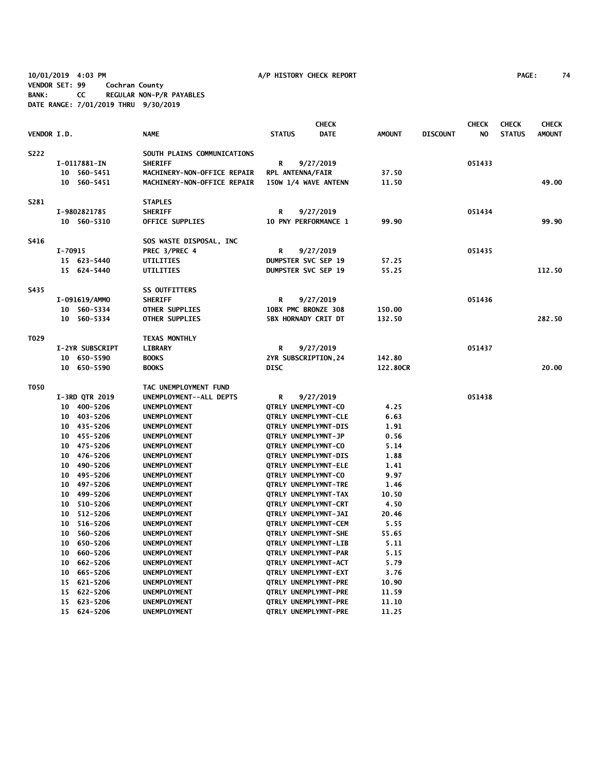**10/01/2019 4:03 PM A/P HISTORY CHECK REPORT PAGE: 74 VENDOR SET: 99 Cochran County BANK: CC REGULAR NON-P/R PAYABLES DATE RANGE: 7/01/2019 THRU 9/30/2019**

|             |                 |                             |                            | <b>CHECK</b>                |               |                 | <b>CHECK</b>   | <b>CHECK</b>  | <b>CHECK</b>  |
|-------------|-----------------|-----------------------------|----------------------------|-----------------------------|---------------|-----------------|----------------|---------------|---------------|
| VENDOR I.D. |                 | <b>NAME</b>                 | <b>STATUS</b>              | <b>DATE</b>                 | <b>AMOUNT</b> | <b>DISCOUNT</b> | N <sub>O</sub> | <b>STATUS</b> | <b>AMOUNT</b> |
| <b>S222</b> |                 | SOUTH PLAINS COMMUNICATIONS |                            |                             |               |                 |                |               |               |
|             | I-0117881-IN    | <b>SHERIFF</b>              | R                          | 9/27/2019                   |               |                 | 051433         |               |               |
|             | 10 560-5451     | MACHINERY-NON-OFFICE REPAIR | RPL ANTENNA/FAIR           |                             | 37.50         |                 |                |               |               |
|             | 10 560-5451     | MACHINERY-NON-OFFICE REPAIR |                            | 150W 1/4 WAVE ANTENN        | 11.50         |                 |                |               | 49.00         |
| S281        |                 | <b>STAPLES</b>              |                            |                             |               |                 |                |               |               |
|             | I-9802821785    | <b>SHERIFF</b>              | R                          | 9/27/2019                   |               |                 | 051434         |               |               |
|             | 10 560-5310     | OFFICE SUPPLIES             |                            | 10 PNY PERFORMANCE 1        | 99.90         |                 |                |               | 99.90         |
| S416        |                 | SOS WASTE DISPOSAL, INC     |                            |                             |               |                 |                |               |               |
|             | I-70915         | PREC 3/PREC 4               | R                          | 9/27/2019                   |               |                 | 051435         |               |               |
|             | 15 623-5440     | UTILITIES                   | DUMPSTER SVC SEP 19        |                             | 57.25         |                 |                |               |               |
|             | 15 624-5440     | <b>UTILITIES</b>            | <b>DUMPSTER SVC SEP 19</b> |                             | 55.25         |                 |                |               | 112.50        |
| S435        |                 | <b>SS OUTFITTERS</b>        |                            |                             |               |                 |                |               |               |
|             | I-091619/AMMO   | <b>SHERIFF</b>              | R                          | 9/27/2019                   |               |                 | 051436         |               |               |
|             | 10 560-5334     | OTHER SUPPLIES              | 10BX PMC BRONZE 308        |                             | 150.00        |                 |                |               |               |
|             | 10 560-5334     | <b>OTHER SUPPLIES</b>       | <b>5BX HORNADY CRIT DT</b> |                             | 132.50        |                 |                |               | 282.50        |
| T029        |                 | <b>TEXAS MONTHLY</b>        |                            |                             |               |                 |                |               |               |
|             | I-2YR SUBSCRIPT | <b>LIBRARY</b>              | R                          | 9/27/2019                   |               |                 | 051437         |               |               |
|             | 10 650-5590     | <b>BOOKS</b>                | 2YR SUBSCRIPTION, 24       |                             | 142.80        |                 |                |               |               |
|             | 10 650-5590     | <b>BOOKS</b>                | DISC                       |                             | 122.80CR      |                 |                |               | 20.00         |
| <b>T050</b> |                 | TAC UNEMPLOYMENT FUND       |                            |                             |               |                 |                |               |               |
|             | I-3RD QTR 2019  | UNEMPLOYMENT--ALL DEPTS     | R                          | 9/27/2019                   |               |                 | 051438         |               |               |
|             | 10 400-5206     | <b>UNEMPLOYMENT</b>         | QTRLY UNEMPLYMNT-CO        |                             | 4.25          |                 |                |               |               |
|             | 10 403-5206     | <b>UNEMPLOYMENT</b>         |                            | QTRLY UNEMPLYMNT-CLE        | 6.63          |                 |                |               |               |
|             | 10 435-5206     | <b>UNEMPLOYMENT</b>         |                            | QTRLY UNEMPLYMNT-DIS        | 1.91          |                 |                |               |               |
|             | 10 455-5206     | UNEMPLOYMENT                | QTRLY UNEMPLYMNT-JP        |                             | 0.56          |                 |                |               |               |
|             | 10 475-5206     | UNEMPLOYMENT                | QTRLY UNEMPLYMNT-CO        |                             | 5.14          |                 |                |               |               |
|             | 10 476-5206     | <b>UNEMPLOYMENT</b>         | QTRLY UNEMPLYMNT-DIS       |                             | 1.88          |                 |                |               |               |
|             | 10<br>490-5206  | <b>UNEMPLOYMENT</b>         | QTRLY UNEMPLYMNT-ELE       |                             | 1.41          |                 |                |               |               |
|             | 10 495-5206     | <b>UNEMPLOYMENT</b>         | QTRLY UNEMPLYMNT-CO        |                             | 9.97          |                 |                |               |               |
|             | 497-5206<br>10  | <b>UNEMPLOYMENT</b>         |                            | <b>QTRLY UNEMPLYMNT-TRE</b> | 1.46          |                 |                |               |               |
|             | 10 499-5206     | <b>UNEMPLOYMENT</b>         |                            | QTRLY UNEMPLYMNT-TAX        | 10.50         |                 |                |               |               |
|             | 510-5206<br>10  | UNEMPLOYMENT                |                            | QTRLY UNEMPLYMNT-CRT        | 4.50          |                 |                |               |               |
|             | 10<br>512-5206  | UNEMPLOYMENT                |                            | QTRLY UNEMPLYMNT-JAI        | 20.46         |                 |                |               |               |
|             | 516-5206<br>10  | <b>UNEMPLOYMENT</b>         |                            | QTRLY UNEMPLYMNT-CEM        | 5.55          |                 |                |               |               |
|             | 560-5206<br>10  | <b>UNEMPLOYMENT</b>         |                            | <b>QTRLY UNEMPLYMNT-SHE</b> | 55.65         |                 |                |               |               |
|             | 10<br>650-5206  | UNEMPLOYMENT                | QTRLY UNEMPLYMNT-LIB       |                             | 5.11          |                 |                |               |               |
|             | 660-5206<br>10  | UNEMPLOYMENT                |                            | QTRLY UNEMPLYMNT-PAR        | 5.15          |                 |                |               |               |
|             | 662-5206<br>10  | <b>UNEMPLOYMENT</b>         |                            | QTRLY UNEMPLYMNT-ACT        | 5.79          |                 |                |               |               |
|             | 10<br>665–5206  | <b>UNEMPLOYMENT</b>         |                            | QTRLY UNEMPLYMNT-EXT        | 3.76          |                 |                |               |               |
|             | 15 621-5206     | UNEMPLOYMENT                |                            | QTRLY UNEMPLYMNT-PRE        | 10.90         |                 |                |               |               |
|             | 15 622-5206     | UNEMPLOYMENT                |                            | QTRLY UNEMPLYMNT-PRE        | 11.59         |                 |                |               |               |
|             | 15 623-5206     | UNEMPLOYMENT                |                            | <b>QTRLY UNEMPLYMNT-PRE</b> | 11.10         |                 |                |               |               |
|             | 15 624-5206     | UNEMPLOYMENT                |                            | <b>QTRLY UNEMPLYMNT-PRE</b> | 11.25         |                 |                |               |               |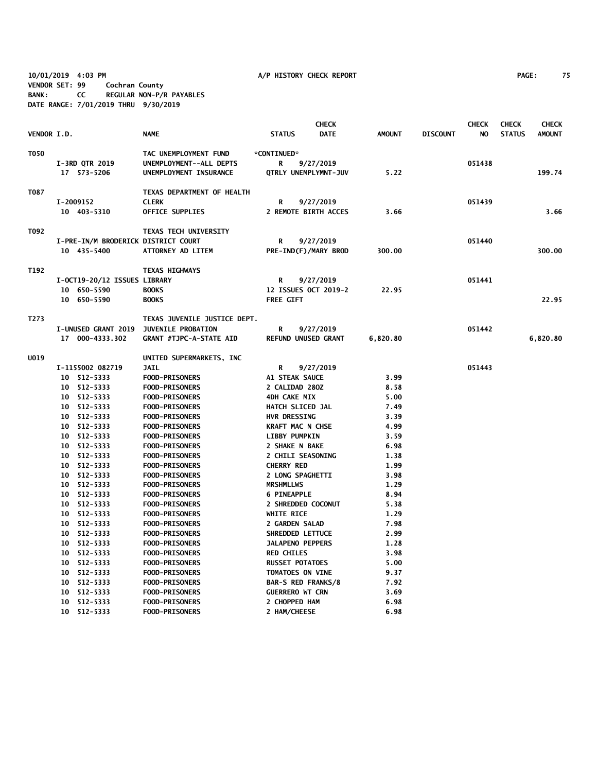**10/01/2019 4:03 PM A/P HISTORY CHECK REPORT PAGE: 75 VENDOR SET: 99 Cochran County BANK: CC REGULAR NON-P/R PAYABLES DATE RANGE: 7/01/2019 THRU 9/30/2019**

|                    |                                     |                                        |                         | <b>CHECK</b>               |               |                 | <b>CHECK</b> | <b>CHECK</b>  | <b>CHECK</b>  |
|--------------------|-------------------------------------|----------------------------------------|-------------------------|----------------------------|---------------|-----------------|--------------|---------------|---------------|
| <b>VENDOR I.D.</b> |                                     | <b>NAME</b>                            | <b>STATUS</b>           | <b>DATE</b>                | <b>AMOUNT</b> | <b>DISCOUNT</b> | NO.          | <b>STATUS</b> | <b>AMOUNT</b> |
| T050               |                                     | TAC UNEMPLOYMENT FUND                  | *CONTINUED*             |                            |               |                 |              |               |               |
|                    | I-3RD QTR 2019                      | UNEMPLOYMENT--ALL DEPTS                | R                       | 9/27/2019                  |               |                 | 051438       |               |               |
|                    | 17 573-5206                         | UNEMPLOYMENT INSURANCE                 |                         | QTRLY UNEMPLYMNT-JUV       | 5.22          |                 |              |               | 199.74        |
| T087               |                                     | TEXAS DEPARTMENT OF HEALTH             |                         |                            |               |                 |              |               |               |
|                    | I-2009152                           | <b>CLERK</b>                           | R                       | 9/27/2019                  |               |                 | 051439       |               |               |
|                    | 10 403-5310                         | <b>OFFICE SUPPLIES</b>                 |                         | 2 REMOTE BIRTH ACCES       | 3.66          |                 |              |               | 3.66          |
| T092               |                                     | TEXAS TECH UNIVERSITY                  |                         |                            |               |                 |              |               |               |
|                    | I-PRE-IN/M BRODERICK DISTRICT COURT |                                        | R                       | 9/27/2019                  |               |                 | 051440       |               |               |
|                    | 10 435-5400                         | ATTORNEY AD LITEM                      |                         | PRE-IND(F)/MARY BROD       | 300.00        |                 |              |               | 300.00        |
| T192               |                                     | <b>TEXAS HIGHWAYS</b>                  |                         |                            |               |                 |              |               |               |
|                    | I-OCT19-20/12 ISSUES LIBRARY        |                                        | R                       | 9/27/2019                  |               |                 | 051441       |               |               |
|                    | 10 650-5590                         | <b>BOOKS</b>                           |                         | 12 ISSUES OCT 2019-2       | 22.95         |                 |              |               |               |
|                    | 10 650-5590                         | <b>BOOKS</b>                           | <b>FREE GIFT</b>        |                            |               |                 |              |               | 22.95         |
| T273               |                                     | TEXAS JUVENILE JUSTICE DEPT.           |                         |                            |               |                 |              |               |               |
|                    |                                     | I-UNUSED GRANT 2019 JUVENILE PROBATION | R                       | 9/27/2019                  |               |                 | 051442       |               |               |
|                    | 17 000-4333.302                     | <b>GRANT #TJPC-A-STATE AID</b>         |                         | <b>REFUND UNUSED GRANT</b> | 6,820.80      |                 |              |               | 6,820.80      |
| U019               |                                     | UNITED SUPERMARKETS, INC               |                         |                            |               |                 |              |               |               |
|                    | I-1155002 082719                    | <b>JAIL</b>                            | R                       | 9/27/2019                  |               |                 | 051443       |               |               |
|                    | 10 512-5333                         | <b>FOOD-PRISONERS</b>                  | A1 STEAK SAUCE          |                            | 3.99          |                 |              |               |               |
|                    | 10 512-5333                         | <b>FOOD-PRISONERS</b>                  | 2 CALIDAD 280Z          |                            | 8.58          |                 |              |               |               |
|                    | 10 512-5333                         | <b>FOOD-PRISONERS</b>                  | 4DH CAKE MIX            |                            | 5.00          |                 |              |               |               |
|                    | 10 512-5333                         | <b>FOOD-PRISONERS</b>                  | HATCH SLICED JAL        |                            | 7.49          |                 |              |               |               |
|                    | 10 512-5333                         | <b>FOOD-PRISONERS</b>                  | <b>HVR DRESSING</b>     |                            | 3.39          |                 |              |               |               |
|                    | 10 512-5333                         | <b>FOOD-PRISONERS</b>                  | <b>KRAFT MAC N CHSE</b> |                            | 4.99          |                 |              |               |               |
|                    | 10 512-5333                         | <b>FOOD-PRISONERS</b>                  | <b>LIBBY PUMPKIN</b>    |                            | 3.59          |                 |              |               |               |
|                    | 10 512-5333                         | <b>FOOD-PRISONERS</b>                  | 2 SHAKE N BAKE          |                            | 6.98          |                 |              |               |               |
|                    | 10 512-5333                         | <b>FOOD-PRISONERS</b>                  |                         | 2 CHILI SEASONING          | 1.38          |                 |              |               |               |
|                    | 10 512-5333                         | <b>FOOD-PRISONERS</b>                  | <b>CHERRY RED</b>       |                            | 1.99          |                 |              |               |               |
|                    | 10 512-5333                         | <b>FOOD-PRISONERS</b>                  |                         | 2 LONG SPAGHETTI           | 3.98          |                 |              |               |               |
|                    | 10 512-5333                         | <b>FOOD-PRISONERS</b>                  | <b>MRSHMLLWS</b>        |                            | 1.29          |                 |              |               |               |
|                    | 10 512-5333                         | <b>FOOD-PRISONERS</b>                  | <b>6 PINEAPPLE</b>      |                            | 8.94          |                 |              |               |               |
|                    | 10 512-5333                         | <b>FOOD-PRISONERS</b>                  |                         | 2 SHREDDED COCONUT         | 5.38          |                 |              |               |               |
|                    | 10 512-5333                         | <b>FOOD-PRISONERS</b>                  | WHITE RICE              |                            | 1.29          |                 |              |               |               |
|                    | 10 512-5333                         | <b>FOOD-PRISONERS</b>                  | 2 GARDEN SALAD          |                            | 7.98          |                 |              |               |               |
|                    | 10 512-5333                         | <b>FOOD-PRISONERS</b>                  |                         | SHREDDED LETTUCE           | 2.99          |                 |              |               |               |
|                    | 10 512-5333                         | <b>FOOD-PRISONERS</b>                  |                         | <b>JALAPENO PEPPERS</b>    | 1.28          |                 |              |               |               |
|                    | 10 512-5333                         | <b>FOOD-PRISONERS</b>                  | <b>RED CHILES</b>       |                            | 3.98          |                 |              |               |               |
|                    | 10 512-5333                         | <b>FOOD-PRISONERS</b>                  | <b>RUSSET POTATOES</b>  |                            | 5.00          |                 |              |               |               |
|                    | 10 512-5333                         | <b>FOOD-PRISONERS</b>                  | TOMATOES ON VINE        |                            | 9.37          |                 |              |               |               |
|                    | 10 512-5333                         | <b>FOOD-PRISONERS</b>                  |                         | <b>BAR-S RED FRANKS/8</b>  | 7.92          |                 |              |               |               |
|                    | 10 512-5333                         | <b>FOOD-PRISONERS</b>                  | <b>GUERRERO WT CRN</b>  |                            | 3.69          |                 |              |               |               |
|                    | 10 512-5333                         | <b>FOOD-PRISONERS</b>                  | 2 CHOPPED HAM           |                            | 6.98          |                 |              |               |               |
|                    | 10 512-5333                         | <b>FOOD-PRISONERS</b>                  | 2 HAM/CHEESE            |                            | 6.98          |                 |              |               |               |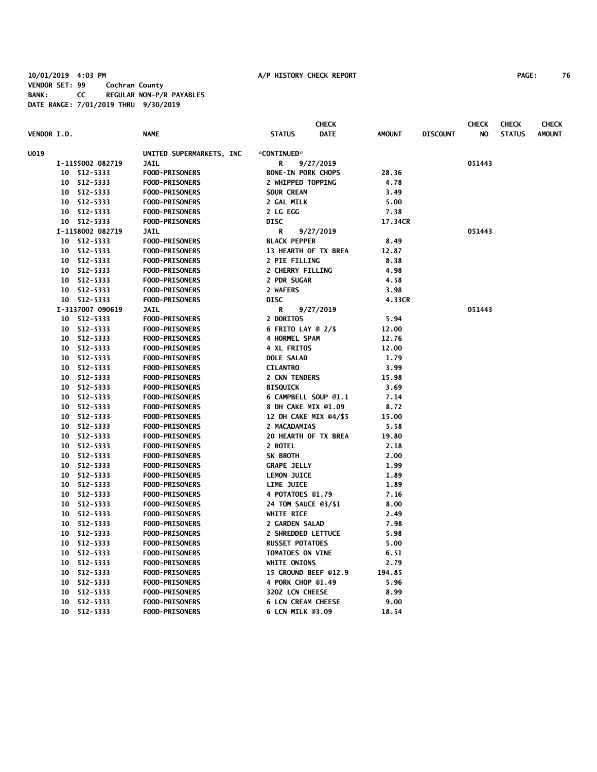### **10/01/2019 4:03 PM A/P HISTORY CHECK REPORT PAGE: 76 VENDOR SET: 99 Cochran County BANK: CC REGULAR NON-P/R PAYABLES DATE RANGE: 7/01/2019 THRU 9/30/2019**

|                    |    |                  |                          |                           | <b>CHECK</b> |               |                 | <b>CHECK</b> | <b>CHECK</b>  | <b>CHECK</b>  |
|--------------------|----|------------------|--------------------------|---------------------------|--------------|---------------|-----------------|--------------|---------------|---------------|
| <b>VENDOR I.D.</b> |    |                  | <b>NAME</b>              | <b>STATUS</b>             | <b>DATE</b>  | <b>AMOUNT</b> | <b>DISCOUNT</b> | NO           | <b>STATUS</b> | <b>AMOUNT</b> |
| U019               |    |                  | UNITED SUPERMARKETS, INC | *CONTINUED*               |              |               |                 |              |               |               |
|                    |    | I-1155002 082719 | <b>JAIL</b>              | R                         | 9/27/2019    |               |                 | 051443       |               |               |
|                    |    | 10 512-5333      | <b>FOOD-PRISONERS</b>    | <b>BONE-IN PORK CHOPS</b> |              | 28.36         |                 |              |               |               |
|                    |    | 10 512-5333      | <b>FOOD-PRISONERS</b>    | 2 WHIPPED TOPPING         |              | 4.78          |                 |              |               |               |
|                    |    | 10 512-5333      | FOOD-PRISONERS           | <b>SOUR CREAM</b>         |              | 3.49          |                 |              |               |               |
|                    |    | 10 512-5333      | <b>FOOD-PRISONERS</b>    | 2 GAL MILK                |              | 5.00          |                 |              |               |               |
|                    |    | 10 512-5333      | <b>FOOD-PRISONERS</b>    | 2 LG EGG                  |              | 7.38          |                 |              |               |               |
|                    |    | 10 512-5333      | <b>FOOD-PRISONERS</b>    | <b>DISC</b>               |              | 17.34CR       |                 |              |               |               |
|                    |    | I-1158002 082719 | <b>JAIL</b>              | R                         | 9/27/2019    |               |                 | 051443       |               |               |
|                    |    | 10 512-5333      | <b>FOOD-PRISONERS</b>    | <b>BLACK PEPPER</b>       |              | 8.49          |                 |              |               |               |
|                    |    | 10 512-5333      | <b>FOOD-PRISONERS</b>    | 13 HEARTH OF TX BREA      |              | 12.87         |                 |              |               |               |
|                    |    | 10 512-5333      | <b>FOOD-PRISONERS</b>    | 2 PIE FILLING             |              | 8.38          |                 |              |               |               |
|                    |    | 10 512-5333      | <b>FOOD-PRISONERS</b>    | 2 CHERRY FILLING          |              | 4.98          |                 |              |               |               |
|                    |    | 10 512-5333      | <b>FOOD-PRISONERS</b>    | 2 PDR SUGAR               |              | 4.58          |                 |              |               |               |
|                    |    | 10 512-5333      | <b>FOOD-PRISONERS</b>    | 2 WAFERS                  |              | 3.98          |                 |              |               |               |
|                    |    | 10 512-5333      | <b>FOOD-PRISONERS</b>    | <b>DISC</b>               |              | 4.33CR        |                 |              |               |               |
|                    |    | I-3137007 090619 | <b>JAIL</b>              | R                         | 9/27/2019    |               |                 | 051443       |               |               |
|                    |    | 10 512-5333      | <b>FOOD-PRISONERS</b>    | 2 DORITOS                 |              | 5.94          |                 |              |               |               |
|                    |    | 10 512-5333      | <b>FOOD-PRISONERS</b>    | <b>6 FRITO LAY @ 2/\$</b> |              | 12.00         |                 |              |               |               |
|                    |    | 10 512-5333      | <b>FOOD-PRISONERS</b>    | 4 HORMEL SPAM             |              | 12.76         |                 |              |               |               |
|                    |    | 10 512-5333      | <b>FOOD-PRISONERS</b>    | <b>4 XL FRITOS</b>        |              | 12.00         |                 |              |               |               |
|                    |    | 10 512-5333      | <b>FOOD-PRISONERS</b>    | <b>DOLE SALAD</b>         |              | 1.79          |                 |              |               |               |
|                    |    | 10 512-5333      | <b>FOOD-PRISONERS</b>    | <b>CILANTRO</b>           |              | 3.99          |                 |              |               |               |
|                    |    | 10 512-5333      | <b>FOOD-PRISONERS</b>    | 2 CKN TENDERS             |              | 15.98         |                 |              |               |               |
|                    |    | 10 512-5333      | <b>FOOD-PRISONERS</b>    | <b>BISQUICK</b>           |              | 3.69          |                 |              |               |               |
|                    |    | 10 512-5333      | <b>FOOD-PRISONERS</b>    | 6 CAMPBELL SOUP @1.1      |              | 7.14          |                 |              |               |               |
|                    |    | 10 512-5333      | <b>FOOD-PRISONERS</b>    | 8 DH CAKE MIX @1.09       |              | 8.72          |                 |              |               |               |
|                    |    | 10 512-5333      | <b>FOOD-PRISONERS</b>    | 12 DH CAKE MIX @4/\$5     |              | 15.00         |                 |              |               |               |
|                    |    | 10 512-5333      | <b>FOOD-PRISONERS</b>    | 2 MACADAMIAS              |              | 5.58          |                 |              |               |               |
|                    |    | 10 512-5333      | <b>FOOD-PRISONERS</b>    | 20 HEARTH OF TX BREA      |              | 19.80         |                 |              |               |               |
|                    |    | 10 512-5333      | <b>FOOD-PRISONERS</b>    | 2 ROTEL                   |              | 2.18          |                 |              |               |               |
|                    |    | 10 512-5333      | <b>FOOD-PRISONERS</b>    | SK BROTH                  |              | 2.00          |                 |              |               |               |
|                    |    | 10 512-5333      | <b>FOOD-PRISONERS</b>    | <b>GRAPE JELLY</b>        |              | 1.99          |                 |              |               |               |
|                    |    | 10 512-5333      | <b>FOOD-PRISONERS</b>    | <b>LEMON JUICE</b>        |              | 1.89          |                 |              |               |               |
|                    |    | 10 512-5333      | <b>FOOD-PRISONERS</b>    | LIME JUICE                |              | 1.89          |                 |              |               |               |
|                    |    | 10 512-5333      | <b>FOOD-PRISONERS</b>    | 4 POTATOES @1.79          |              | 7.16          |                 |              |               |               |
|                    |    | 10 512-5333      | <b>FOOD-PRISONERS</b>    | 24 TOM SAUCE 03/\$1       |              | 8.00          |                 |              |               |               |
|                    |    | 10 512-5333      | <b>FOOD-PRISONERS</b>    | <b>WHITE RICE</b>         |              | 2.49          |                 |              |               |               |
|                    |    | 10 512-5333      | <b>FOOD-PRISONERS</b>    | 2 GARDEN SALAD            |              | 7.98          |                 |              |               |               |
|                    |    | 10 512-5333      | <b>FOOD-PRISONERS</b>    | 2 SHREDDED LETTUCE        |              | 5.98          |                 |              |               |               |
|                    |    | 10 512-5333      | <b>FOOD-PRISONERS</b>    | <b>RUSSET POTATOES</b>    |              | 5.00          |                 |              |               |               |
|                    |    | 10 512-5333      | <b>FOOD-PRISONERS</b>    | TOMATOES ON VINE          |              | 6.51          |                 |              |               |               |
|                    |    | 10 512-5333      | <b>FOOD-PRISONERS</b>    | WHITE ONIONS              |              | 2.79          |                 |              |               |               |
|                    |    | 10 512-5333      | <b>FOOD-PRISONERS</b>    | 15 GROUND BEEF @12.9      |              | 194.85        |                 |              |               |               |
|                    | 10 | 512-5333         | <b>FOOD-PRISONERS</b>    | 4 PORK CHOP @1.49         |              | 5.96          |                 |              |               |               |
|                    | 10 | 512-5333         | <b>FOOD-PRISONERS</b>    | 320Z LCN CHEESE           |              | 8.99          |                 |              |               |               |
|                    | 10 | 512-5333         | <b>FOOD-PRISONERS</b>    | <b>6 LCN CREAM CHEESE</b> |              | 9.00          |                 |              |               |               |
|                    |    | 10 512-5333      | <b>FOOD-PRISONERS</b>    | 6 LCN MILK @3.09          |              | 18.54         |                 |              |               |               |
|                    |    |                  |                          |                           |              |               |                 |              |               |               |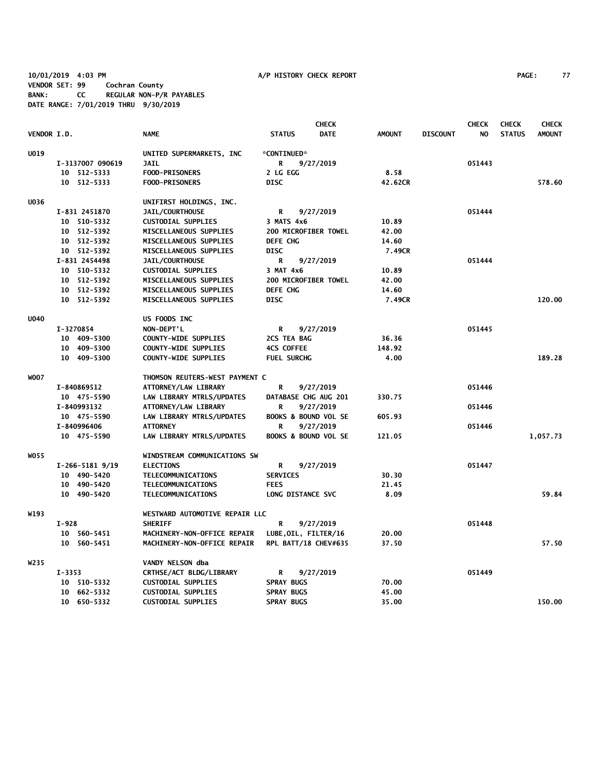**10/01/2019 4:03 PM A/P HISTORY CHECK REPORT PAGE: 77 VENDOR SET: 99 Cochran County BANK: CC REGULAR NON-P/R PAYABLES DATE RANGE: 7/01/2019 THRU 9/30/2019**

|             |                              |                                                     |                                 | <b>CHECK</b> |               |                 | <b>CHECK</b> | <b>CHECK</b>  | <b>CHECK</b>  |
|-------------|------------------------------|-----------------------------------------------------|---------------------------------|--------------|---------------|-----------------|--------------|---------------|---------------|
| VENDOR I.D. |                              | <b>NAME</b>                                         | <b>STATUS</b>                   | <b>DATE</b>  | <b>AMOUNT</b> | <b>DISCOUNT</b> | NO           | <b>STATUS</b> | <b>AMOUNT</b> |
| <b>U019</b> |                              | UNITED SUPERMARKETS, INC                            | *CONTINUED*                     |              |               |                 |              |               |               |
|             | I-3137007 090619             | <b>JAIL</b>                                         | R                               | 9/27/2019    |               |                 | 051443       |               |               |
|             | 10 512-5333                  | FOOD-PRISONERS                                      | 2 LG EGG                        |              | 8.58          |                 |              |               |               |
|             | 10 512-5333                  | <b>FOOD-PRISONERS</b>                               | <b>DISC</b>                     |              | 42.62CR       |                 |              |               | 578.60        |
|             |                              |                                                     |                                 |              |               |                 |              |               |               |
| <b>U036</b> |                              | UNIFIRST HOLDINGS, INC.                             |                                 |              |               |                 |              |               |               |
|             | I-831 2451870<br>10 510-5332 | <b>JAIL/COURTHOUSE</b><br><b>CUSTODIAL SUPPLIES</b> | R<br>3 MATS 4x6                 | 9/27/2019    | 10.89         |                 | 051444       |               |               |
|             | 10 512-5392                  | MISCELLANEOUS SUPPLIES                              | 200 MICROFIBER TOWEL            |              | 42.00         |                 |              |               |               |
|             | 10 512-5392                  | MISCELLANEOUS SUPPLIES                              | <b>DEFE CHG</b>                 |              | 14.60         |                 |              |               |               |
|             | 10 512-5392                  | MISCELLANEOUS SUPPLIES                              | <b>DISC</b>                     |              | 7.49CR        |                 |              |               |               |
|             | I-831 2454498                | JAIL/COURTHOUSE                                     | R                               | 9/27/2019    |               |                 | 051444       |               |               |
|             | 10 510-5332                  | <b>CUSTODIAL SUPPLIES</b>                           | 3 MAT 4x6                       |              | 10.89         |                 |              |               |               |
|             | 10 512-5392                  | MISCELLANEOUS SUPPLIES                              | 200 MICROFIBER TOWEL            |              | 42.00         |                 |              |               |               |
|             | 10 512-5392                  | MISCELLANEOUS SUPPLIES                              | <b>DEFE CHG</b>                 |              | 14.60         |                 |              |               |               |
|             | 10 512-5392                  | MISCELLANEOUS SUPPLIES                              | <b>DISC</b>                     |              | 7.49CR        |                 |              |               | 120.00        |
| <b>U040</b> |                              | US FOODS INC                                        |                                 |              |               |                 |              |               |               |
|             | I-3270854                    | NON-DEPT'L                                          | R                               | 9/27/2019    |               |                 | 051445       |               |               |
|             | 10 409-5300                  | <b>COUNTY-WIDE SUPPLIES</b>                         | 2CS TEA BAG                     |              | 36.36         |                 |              |               |               |
|             | 10 409-5300                  | <b>COUNTY-WIDE SUPPLIES</b>                         | <b>4CS COFFEE</b>               |              | 148.92        |                 |              |               |               |
|             | 10 409-5300                  | <b>COUNTY-WIDE SUPPLIES</b>                         | <b>FUEL SURCHG</b>              |              | 4.00          |                 |              |               | 189.28        |
| <b>WOO7</b> |                              | THOMSON REUTERS-WEST PAYMENT C                      |                                 |              |               |                 |              |               |               |
|             | I-840869512                  | ATTORNEY/LAW LIBRARY                                | R                               | 9/27/2019    |               |                 | 051446       |               |               |
|             | 10 475-5590                  | LAW LIBRARY MTRLS/UPDATES                           | DATABASE CHG AUG 201            |              | 330.75        |                 |              |               |               |
|             | I-840993132                  | ATTORNEY/LAW LIBRARY                                | R                               | 9/27/2019    |               |                 | 051446       |               |               |
|             | 10 475-5590                  | LAW LIBRARY MTRLS/UPDATES                           | BOOKS & BOUND VOL SE            |              | 605.93        |                 |              |               |               |
|             | I-840996406                  | <b>ATTORNEY</b>                                     | R                               | 9/27/2019    |               |                 | 051446       |               |               |
|             | 10 475-5590                  | LAW LIBRARY MTRLS/UPDATES                           | <b>BOOKS &amp; BOUND VOL SE</b> |              | 121.05        |                 |              |               | 1,057.73      |
| WO55        |                              | WINDSTREAM COMMUNICATIONS SW                        |                                 |              |               |                 |              |               |               |
|             | $I-266-51819/19$             | <b>ELECTIONS</b>                                    | R                               | 9/27/2019    |               |                 | 051447       |               |               |
|             | 10 490-5420                  | TELECOMMUNICATIONS                                  | <b>SERVICES</b>                 |              | 30.30         |                 |              |               |               |
|             | 10 490-5420                  | TELECOMMUNICATIONS                                  | <b>FEES</b>                     |              | 21.45         |                 |              |               |               |
|             | 10 490-5420                  | TELECOMMUNICATIONS                                  | LONG DISTANCE SVC               |              | 8.09          |                 |              |               | 59.84         |
| W193        |                              | WESTWARD AUTOMOTIVE REPAIR LLC                      |                                 |              |               |                 |              |               |               |
|             | $I-928$                      | <b>SHERIFF</b>                                      | R                               | 9/27/2019    |               |                 | 051448       |               |               |
|             | 10 560-5451                  | MACHINERY-NON-OFFICE REPAIR                         | LUBE, OIL, FILTER/16            |              | 20.00         |                 |              |               |               |
|             | 10 560-5451                  | MACHINERY-NON-OFFICE REPAIR                         | RPL BATT/18 CHEV#635            |              | 37.50         |                 |              |               | 57.50         |
| W235        |                              | VANDY NELSON dba                                    |                                 |              |               |                 |              |               |               |
|             | $I - 3353$                   | CRTHSE/ACT BLDG/LIBRARY                             | R                               | 9/27/2019    |               |                 | 051449       |               |               |
|             | 10 510-5332                  | <b>CUSTODIAL SUPPLIES</b>                           | <b>SPRAY BUGS</b>               |              | 70.00         |                 |              |               |               |
|             | 10 662-5332                  | <b>CUSTODIAL SUPPLIES</b>                           | <b>SPRAY BUGS</b>               |              | 45.00         |                 |              |               |               |
|             | 10 650-5332                  | <b>CUSTODIAL SUPPLIES</b>                           | <b>SPRAY BUGS</b>               |              | 35.00         |                 |              |               | 150.00        |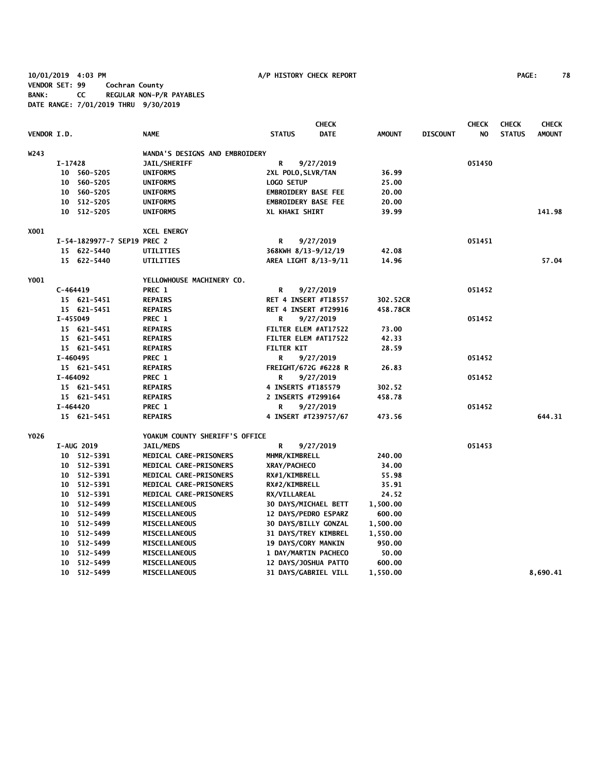**10/01/2019 4:03 PM A/P HISTORY CHECK REPORT PAGE: 78 VENDOR SET: 99 Cochran County BANK: CC REGULAR NON-P/R PAYABLES DATE RANGE: 7/01/2019 THRU 9/30/2019**

|                    |            |                             |                                |                            | <b>CHECK</b>                |               |                 | <b>CHECK</b> | <b>CHECK</b>  | <b>CHECK</b>  |
|--------------------|------------|-----------------------------|--------------------------------|----------------------------|-----------------------------|---------------|-----------------|--------------|---------------|---------------|
| <b>VENDOR I.D.</b> |            |                             | <b>NAME</b>                    | <b>STATUS</b>              | DATE                        | <b>AMOUNT</b> | <b>DISCOUNT</b> | NO.          | <b>STATUS</b> | <b>AMOUNT</b> |
| W243               |            |                             | WANDA'S DESIGNS AND EMBROIDERY |                            |                             |               |                 |              |               |               |
|                    | $I-17428$  |                             | JAIL/SHERIFF                   | R                          | 9/27/2019                   |               |                 | 051450       |               |               |
|                    | 10         | 560-5205                    | <b>UNIFORMS</b>                | 2XL POLO, SLVR/TAN         |                             | 36.99         |                 |              |               |               |
|                    |            | 10 560-5205                 | <b>UNIFORMS</b>                | <b>LOGO SETUP</b>          |                             | 25.00         |                 |              |               |               |
|                    |            | 10 560-5205                 | <b>UNIFORMS</b>                | <b>EMBROIDERY BASE FEE</b> |                             | 20.00         |                 |              |               |               |
|                    | 10         | 512-5205                    | <b>UNIFORMS</b>                | <b>EMBROIDERY BASE FEE</b> |                             | 20.00         |                 |              |               |               |
|                    |            | 10 512-5205                 | UNIFORMS                       | XL KHAKI SHIRT             |                             | 39.99         |                 |              |               | 141.98        |
| X001               |            |                             | <b>XCEL ENERGY</b>             |                            |                             |               |                 |              |               |               |
|                    |            | I-54-1829977-7 SEP19 PREC 2 |                                | R                          | 9/27/2019                   |               |                 | 051451       |               |               |
|                    |            | 15 622-5440                 | UTILITIES                      | 368KWH 8/13-9/12/19        |                             | 42.08         |                 |              |               |               |
|                    |            | 15 622-5440                 | UTILITIES                      |                            | AREA LIGHT 8/13-9/11        | 14.96         |                 |              |               | 57.04         |
| Y001               |            |                             | YELLOWHOUSE MACHINERY CO.      |                            |                             |               |                 |              |               |               |
|                    | $C-464419$ |                             | PREC 1                         | R                          | 9/27/2019                   |               |                 | 051452       |               |               |
|                    |            | 15 621-5451                 | <b>REPAIRS</b>                 |                            | RET 4 INSERT #T18557        | 302.52CR      |                 |              |               |               |
|                    |            | 15 621-5451                 | <b>REPAIRS</b>                 |                            | <b>RET 4 INSERT #T29916</b> | 458.78CR      |                 |              |               |               |
|                    | I-455049   |                             | PREC 1                         | R                          | 9/27/2019                   |               |                 | 051452       |               |               |
|                    |            | 15 621-5451                 | <b>REPAIRS</b>                 |                            | FILTER ELEM #AT17522        | 73.00         |                 |              |               |               |
|                    |            | 15 621-5451                 | <b>REPAIRS</b>                 |                            | FILTER ELEM #AT17522        | 42.33         |                 |              |               |               |
|                    |            | 15 621-5451                 | <b>REPAIRS</b>                 | <b>FILTER KIT</b>          |                             | 28.59         |                 |              |               |               |
|                    | $I-460495$ |                             | PREC 1                         | R                          | 9/27/2019                   |               |                 | 051452       |               |               |
|                    |            | 15 621-5451                 | <b>REPAIRS</b>                 |                            | FREIGHT/672G #6228 R        | 26.83         |                 |              |               |               |
|                    | I-464092   |                             | PREC 1                         | R                          | 9/27/2019                   |               |                 | 051452       |               |               |
|                    |            | 15 621-5451                 | <b>REPAIRS</b>                 | 4 INSERTS #T185579         |                             | 302.52        |                 |              |               |               |
|                    |            | 15 621-5451                 | <b>REPAIRS</b>                 | 2 INSERTS #T299164         |                             | 458.78        |                 |              |               |               |
|                    | I-464420   |                             | PREC 1                         | R                          | 9/27/2019                   |               |                 | 051452       |               |               |
|                    |            | 15 621-5451                 | <b>REPAIRS</b>                 |                            | 4 INSERT #T239757/67        | 473.56        |                 |              |               | 644.31        |
| Y026               |            |                             | YOAKUM COUNTY SHERIFF'S OFFICE |                            |                             |               |                 |              |               |               |
|                    |            | <b>I-AUG 2019</b>           | <b>JAIL/MEDS</b>               | R                          | 9/27/2019                   |               |                 | 051453       |               |               |
|                    |            | 10 512-5391                 | MEDICAL CARE-PRISONERS         | <b>MHMR/KIMBRELL</b>       |                             | 240.00        |                 |              |               |               |
|                    |            | 10 512-5391                 | MEDICAL CARE-PRISONERS         | XRAY/PACHECO               |                             | 34.00         |                 |              |               |               |
|                    |            | 10 512-5391                 | MEDICAL CARE-PRISONERS         | RX#1/KIMBRELL              |                             | 55.98         |                 |              |               |               |
|                    |            | 10 512-5391                 | MEDICAL CARE-PRISONERS         | RX#2/KIMBRELL              |                             | 35.91         |                 |              |               |               |
|                    |            | 10 512-5391                 | MEDICAL CARE-PRISONERS         | RX/VILLAREAL               |                             | 24.52         |                 |              |               |               |
|                    |            | 10 512-5499                 | <b>MISCELLANEOUS</b>           |                            | <b>30 DAYS/MICHAEL BETT</b> | 1,500.00      |                 |              |               |               |
|                    |            | 10 512-5499                 | <b>MISCELLANEOUS</b>           |                            | 12 DAYS/PEDRO ESPARZ        | 600.00        |                 |              |               |               |
|                    |            | 10 512-5499                 | <b>MISCELLANEOUS</b>           |                            | <b>30 DAYS/BILLY GONZAL</b> | 1,500.00      |                 |              |               |               |
|                    |            | 10 512-5499                 | <b>MISCELLANEOUS</b>           |                            | <b>31 DAYS/TREY KIMBREL</b> | 1,550.00      |                 |              |               |               |
|                    |            | 10 512-5499                 | MISCELLANEOUS                  | 19 DAYS/CORY MANKIN        |                             | 950.00        |                 |              |               |               |
|                    |            | 10 512-5499                 | <b>MISCELLANEOUS</b>           |                            | 1 DAY/MARTIN PACHECO        | 50.00         |                 |              |               |               |
|                    | 10         | 512-5499                    | <b>MISCELLANEOUS</b>           |                            | 12 DAYS/JOSHUA PATTO        | 600.00        |                 |              |               |               |
|                    |            | 10 512-5499                 | <b>MISCELLANEOUS</b>           |                            | <b>31 DAYS/GABRIEL VILL</b> | 1,550.00      |                 |              |               | 8,690.41      |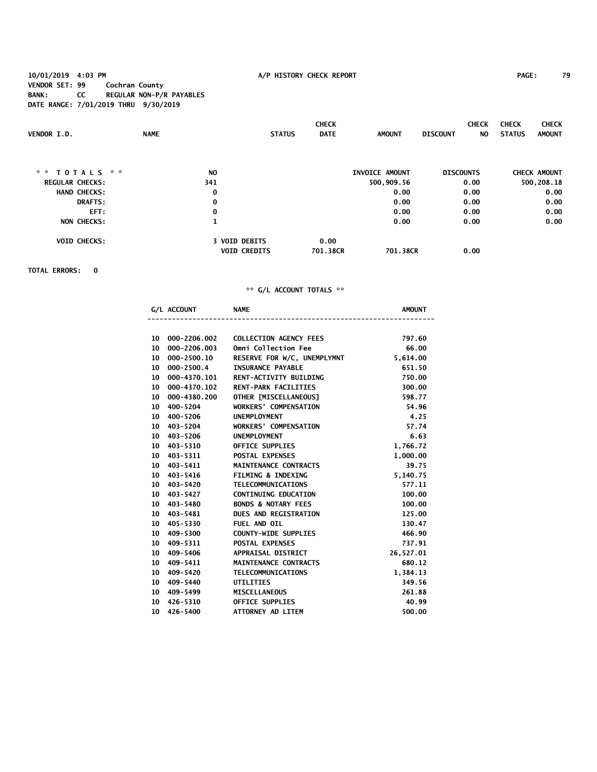**10/01/2019 4:03 PM A/P HISTORY CHECK REPORT PAGE: 79 VENDOR SET: 99 Cochran County BANK: CC REGULAR NON-P/R PAYABLES DATE RANGE: 7/01/2019 THRU 9/30/2019**

|                        |                |                      | <b>CHECK</b> |                |                  | <b>CHECK</b> | <b>CHECK</b>  | <b>CHECK</b>        |
|------------------------|----------------|----------------------|--------------|----------------|------------------|--------------|---------------|---------------------|
| VENDOR I.D.            | <b>NAME</b>    | <b>STATUS</b>        | <b>DATE</b>  | <b>AMOUNT</b>  | <b>DISCOUNT</b>  | NO.          | <b>STATUS</b> | <b>AMOUNT</b>       |
|                        |                |                      |              |                |                  |              |               |                     |
| * *<br>TOTALS * *      | N <sub>0</sub> |                      |              | INVOICE AMOUNT | <b>DISCOUNTS</b> |              |               | <b>CHECK AMOUNT</b> |
| <b>REGULAR CHECKS:</b> | 341            |                      |              | 500,909.56     | 0.00             |              |               | 500,208.18          |
| <b>HAND CHECKS:</b>    | 0              |                      |              | 0.00           | 0.00             |              |               | 0.00                |
| <b>DRAFTS:</b>         | 0              |                      |              | 0.00           | 0.00             |              |               | 0.00                |
| EFT:                   | 0              |                      |              | 0.00           | 0.00             |              |               | 0.00                |
| <b>NON CHECKS:</b>     | $\mathbf{1}$   |                      |              | 0.00           | 0.00             |              |               | 0.00                |
| <b>VOID CHECKS:</b>    |                | <b>3 VOID DEBITS</b> | 0.00         |                |                  |              |               |                     |
|                        |                | <b>VOID CREDITS</b>  | 701.38CR     | 701.38CR       | 0.00             |              |               |                     |

**TOTAL ERRORS: 0**

| <b>AMOUNT</b> | <b>NAME</b>                    | G/L ACCOUNT    |                  |
|---------------|--------------------------------|----------------|------------------|
|               |                                |                |                  |
| 797.60        | <b>COLLECTION AGENCY FEES</b>  | 000-2206.002   | 10 <sup>10</sup> |
| 66.00         | <b>Omni Collection Fee</b>     | 000-2206.003   | 10 <sup>°</sup>  |
| 5,614.00      | RESERVE FOR W/C, UNEMPLYMNT    | 000-2500.10    | 10               |
| 651.50        | <b>INSURANCE PAYABLE</b>       | $000 - 2500.4$ | 10               |
| 750.00        | RENT-ACTIVITY BUILDING         | 000-4370.101   | 10               |
| 300.00        | <b>RENT-PARK FACILITIES</b>    | 000-4370.102   | 10 <sup>°</sup>  |
| 598.77        | OTHER [MISCELLANEOUS]          | 000-4380.200   | 10               |
| 54.96         | <b>WORKERS' COMPENSATION</b>   | 400-5204       | 10               |
| 4.25          | <b>UNEMPLOYMENT</b>            | 10 400-5206    |                  |
| 57.74         | <b>WORKERS' COMPENSATION</b>   | 403-5204       | 10 <sup>°</sup>  |
| 6.63          | <b>UNEMPLOYMENT</b>            | 403-5206       | 10 <sup>°</sup>  |
| 1,766.72      | <b>OFFICE SUPPLIES</b>         | 403-5310       | 10 <sup>°</sup>  |
| 1,000.00      | <b>POSTAL EXPENSES</b>         | 10 403-5311    |                  |
| 39.75         | <b>MAINTENANCE CONTRACTS</b>   | 403-5411       | 10               |
| 5,140.75      | <b>FILMING &amp; INDEXING</b>  | 403-5416       | 10               |
| 577.11        | <b>TELECOMMUNICATIONS</b>      | 10 403-5420    |                  |
| 100.00        | <b>CONTINUING EDUCATION</b>    | 403-5427       | 10 <sup>10</sup> |
| 100.00        | <b>BONDS &amp; NOTARY FEES</b> | 403-5480       | 10               |
| 125.00        | <b>DUES AND REGISTRATION</b>   | 10 403-5481    |                  |
| 130.47        | FUEL AND OIL                   | 405-5330       | 10 <sup>°</sup>  |
| 466.90        | <b>COUNTY-WIDE SUPPLIES</b>    | 409-5300       | 10 <sup>10</sup> |
| 737.91        | <b>POSTAL EXPENSES</b>         | 409-5311       | 10               |
| 26,527.01     | <b>APPRAISAL DISTRICT</b>      | 409-5406       | 10               |
| 680.12        | <b>MAINTENANCE CONTRACTS</b>   | 409-5411       | 10               |
| 1,384.13      | <b>TELECOMMUNICATIONS</b>      | 409-5420       | 10               |
| 349.56        | <b>UTILITIES</b>               | 409-5440       | 10 <sup>°</sup>  |
| 261.88        | <b>MISCELLANEOUS</b>           | 409-5499       | 10 <sup>°</sup>  |
| 40.99         | <b>OFFICE SUPPLIES</b>         | 426-5310       | 10               |
| 500.00        | ATTORNEY AD LITEM              | 426-5400       | 10 <sup>°</sup>  |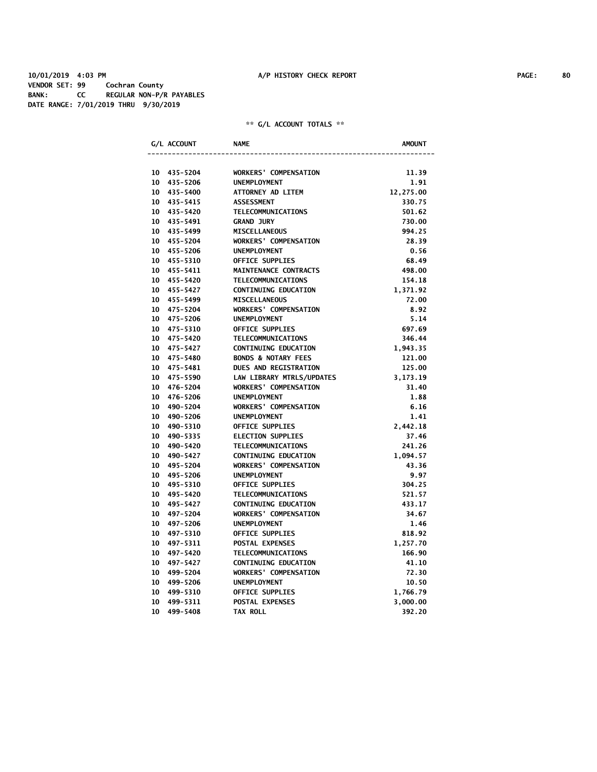| 10 435-5204              | <b>WORKERS' COMPENSATION</b>   | 11.39     |
|--------------------------|--------------------------------|-----------|
| 10<br>435-5206           | <b>UNEMPLOYMENT</b>            | 1.91      |
| 10<br>435-5400           | ATTORNEY AD LITEM              | 12,275.00 |
| 10<br>435-5415           | <b>ASSESSMENT</b>              | 330.75    |
| 435-5420<br>10           | <b>TELECOMMUNICATIONS</b>      | 501.62    |
| 10<br>435-5491           | <b>GRAND JURY</b>              | 730.00    |
| 435-5499<br>10           | <b>MISCELLANEOUS</b>           | 994.25    |
| 10<br>455-5204           | <b>WORKERS' COMPENSATION</b>   | 28.39     |
| 10<br>455-5206           | <b>UNEMPLOYMENT</b>            | 0.56      |
| 10<br>455-5310           | OFFICE SUPPLIES                | 68.49     |
| 10<br>455-5411           | MAINTENANCE CONTRACTS          | 498.00    |
| 10<br>455-5420           | <b>TELECOMMUNICATIONS</b>      | 154.18    |
| 10<br>455-5427           | <b>CONTINUING EDUCATION</b>    | 1,371.92  |
| 10<br>455-5499           | <b>MISCELLANEOUS</b>           | 72.00     |
| 10<br>475-5204           | <b>WORKERS' COMPENSATION</b>   | 8.92      |
| 10<br>475-5206           | <b>UNEMPLOYMENT</b>            | 5.14      |
| 10<br>475-5310           | <b>OFFICE SUPPLIES</b>         | 697.69    |
| 10<br>475-5420           | <b>TELECOMMUNICATIONS</b>      | 346.44    |
| 475-5427<br>10           | <b>CONTINUING EDUCATION</b>    | 1,943.35  |
| 10<br>475-5480           | <b>BONDS &amp; NOTARY FEES</b> | 121.00    |
| 10<br>475-5481           | <b>DUES AND REGISTRATION</b>   | 125.00    |
| 10<br>475-5590           | LAW LIBRARY MTRLS/UPDATES      | 3,173.19  |
| 476-5204<br>10           | <b>WORKERS' COMPENSATION</b>   | 31.40     |
| $10^{\circ}$<br>476-5206 | <b>UNEMPLOYMENT</b>            | 1.88      |
| 10<br>490-5204           | <b>WORKERS' COMPENSATION</b>   | 6.16      |
| 10<br>490-5206           | <b>UNEMPLOYMENT</b>            | 1.41      |
| 10<br>490-5310           | <b>OFFICE SUPPLIES</b>         | 2,442.18  |
| 490-5335<br>10           | <b>ELECTION SUPPLIES</b>       | 37.46     |
| 490-5420<br>10           | <b>TELECOMMUNICATIONS</b>      | 241.26    |
| 10<br>490-5427           | <b>CONTINUING EDUCATION</b>    | 1,094.57  |
| 10<br>495-5204           | <b>WORKERS' COMPENSATION</b>   | 43.36     |
| 495-5206<br>10           | <b>UNEMPLOYMENT</b>            | 9.97      |
| 495-5310<br>10           | <b>OFFICE SUPPLIES</b>         | 304.25    |
| 10<br>495-5420           | <b>TELECOMMUNICATIONS</b>      | 521.57    |
| 10<br>495-5427           | <b>CONTINUING EDUCATION</b>    | 433.17    |
| 10<br>497-5204           | <b>WORKERS' COMPENSATION</b>   | 34.67     |
| 10<br>497-5206           | <b>UNEMPLOYMENT</b>            | 1.46      |
| 10<br>497-5310           | OFFICE SUPPLIES                | 818.92    |
| 10<br>497-5311           | POSTAL EXPENSES                | 1,257.70  |
| 10<br>497-5420           | <b>TELECOMMUNICATIONS</b>      | 166.90    |
| 10<br>497-5427           | <b>CONTINUING EDUCATION</b>    | 41.10     |
| 10<br>499-5204           | <b>WORKERS' COMPENSATION</b>   | 72.30     |
| 10<br>499-5206           | <b>UNEMPLOYMENT</b>            | 10.50     |
| 499-5310<br>10           | <b>OFFICE SUPPLIES</b>         | 1,766.79  |
| 10<br>499-5311           | <b>POSTAL EXPENSES</b>         | 3,000.00  |
| 10<br>499-5408           | <b>TAX ROLL</b>                | 392.20    |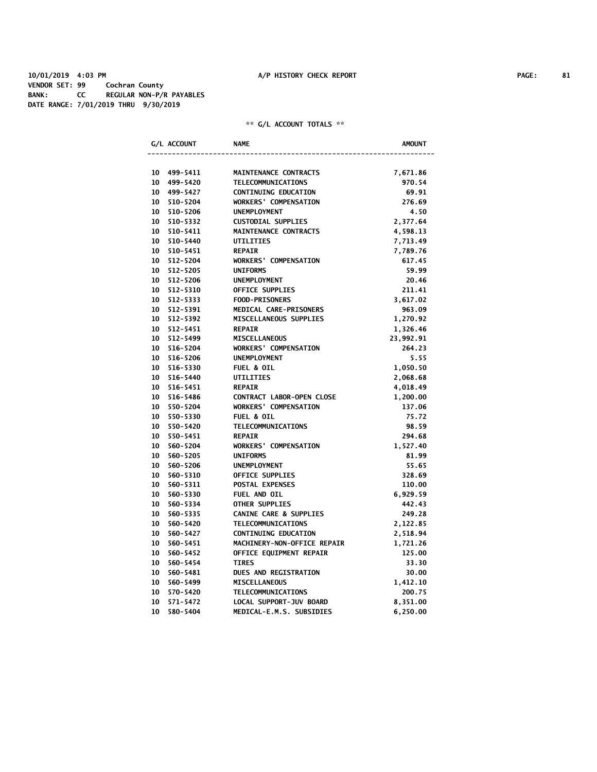**10/01/2019 4:03 PM A/P HISTORY CHECK REPORT PAGE: 81 VENDOR SET: 99 Cochran County BANK: CC REGULAR NON-P/R PAYABLES DATE RANGE: 7/01/2019 THRU 9/30/2019**

|    | G/L ACCOUNT | <b>NAME</b>                       | <b>AMOUNT</b> |
|----|-------------|-----------------------------------|---------------|
|    |             |                                   |               |
|    | 10 499-5411 | MAINTENANCE CONTRACTS             | 7,671.86      |
|    | 10 499-5420 | <b>TELECOMMUNICATIONS</b>         | 970.54        |
|    | 10 499-5427 | <b>CONTINUING EDUCATION</b>       | 69.91         |
|    | 10 510-5204 | <b>WORKERS' COMPENSATION</b>      | 276.69        |
|    | 10 510-5206 | <b>UNEMPLOYMENT</b>               | 4.50          |
|    | 10 510-5332 | <b>CUSTODIAL SUPPLIES</b>         | 2,377.64      |
|    | 10 510-5411 | MAINTENANCE CONTRACTS             | 4,598.13      |
|    | 10 510-5440 | <b>UTILITIES</b>                  | 7,713.49      |
|    | 10 510-5451 | <b>REPAIR</b>                     | 7,789.76      |
|    | 10 512-5204 | <b>WORKERS' COMPENSATION</b>      | 617.45        |
|    | 10 512-5205 | <b>UNIFORMS</b>                   | 59.99         |
|    | 10 512-5206 | <b>UNEMPLOYMENT</b>               | 20.46         |
|    | 10 512-5310 | <b>OFFICE SUPPLIES</b>            | 211.41        |
|    | 10 512-5333 | <b>FOOD-PRISONERS</b>             | 3,617.02      |
|    | 10 512-5391 | MEDICAL CARE-PRISONERS            | 963.09        |
|    | 10 512-5392 | MISCELLANEOUS SUPPLIES            | 1,270.92      |
|    | 10 512-5451 | <b>REPAIR</b>                     | 1,326.46      |
|    | 10 512-5499 | <b>MISCELLANEOUS</b>              | 23,992.91     |
|    | 10 516-5204 | <b>WORKERS' COMPENSATION</b>      | 264.23        |
|    | 10 516-5206 | <b>UNEMPLOYMENT</b>               | 5.55          |
|    | 10 516-5330 | FUEL & OIL                        | 1,050.50      |
|    | 10 516-5440 | <b>UTILITIES</b>                  | 2,068.68      |
|    | 10 516-5451 | <b>REPAIR</b>                     | 4,018.49      |
|    | 10 516-5486 | CONTRACT LABOR-OPEN CLOSE         | 1,200.00      |
|    | 10 550-5204 | <b>WORKERS' COMPENSATION</b>      | 137.06        |
|    | 10 550-5330 | <b>FUEL &amp; OIL</b>             | 75.72         |
|    | 10 550-5420 | TELECOMMUNICATIONS                | 98.59         |
|    | 10 550-5451 | <b>REPAIR</b>                     | 294.68        |
|    | 10 560-5204 | WORKERS' COMPENSATION             | 1,527.40      |
|    | 10 560-5205 | <b>UNIFORMS</b>                   | 81.99         |
|    | 10 560-5206 | UNEMPLOYMENT                      | 55.65         |
|    | 10 560-5310 | OFFICE SUPPLIES                   | 328.69        |
|    | 10 560-5311 | POSTAL EXPENSES                   | 110.00        |
|    | 10 560-5330 | FUEL AND OIL                      | 6,929.59      |
|    | 10 560-5334 | <b>OTHER SUPPLIES</b>             | 442.43        |
|    | 10 560-5335 | <b>CANINE CARE &amp; SUPPLIES</b> | 249.28        |
|    | 10 560-5420 | <b>TELECOMMUNICATIONS</b>         | 2,122.85      |
|    | 10 560-5427 | <b>CONTINUING EDUCATION</b>       | 2,518.94      |
|    | 10 560-5451 | MACHINERY-NON-OFFICE REPAIR       | 1,721.26      |
|    | 10 560-5452 | OFFICE EQUIPMENT REPAIR           | 125.00        |
| 10 | 560-5454    | <b>TIRES</b>                      | 33.30         |
|    | 10 560-5481 | <b>DUES AND REGISTRATION</b>      | 30.00         |
|    | 10 560-5499 | <b>MISCELLANEOUS</b>              | 1,412.10      |
| 10 | 570-5420    | <b>TELECOMMUNICATIONS</b>         | 200.75        |
| 10 | 571-5472    | LOCAL SUPPORT-JUV BOARD           | 8,351.00      |
| 10 | 580-5404    | MEDICAL-E.M.S. SUBSIDIES          | 6,250.00      |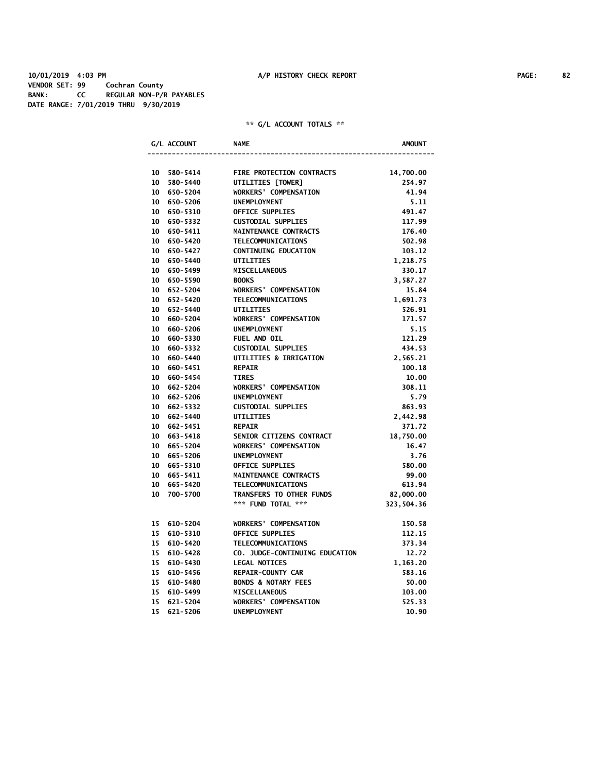|    | G/L ACCOUNT | <b>NAME</b>                    | <b>AMOUNT</b> |
|----|-------------|--------------------------------|---------------|
|    |             |                                |               |
|    | 10 580-5414 | FIRE PROTECTION CONTRACTS      | 14,700.00     |
| 10 | 580-5440    | UTILITIES [TOWER]              | 254.97        |
|    | 10 650-5204 | <b>WORKERS' COMPENSATION</b>   | 41.94         |
|    | 10 650-5206 | <b>UNEMPLOYMENT</b>            | 5.11          |
|    | 10 650-5310 | <b>OFFICE SUPPLIES</b>         | 491.47        |
|    | 10 650-5332 | <b>CUSTODIAL SUPPLIES</b>      | 117.99        |
|    | 10 650-5411 | MAINTENANCE CONTRACTS          | 176.40        |
|    | 10 650-5420 | <b>TELECOMMUNICATIONS</b>      | 502.98        |
|    | 10 650-5427 | <b>CONTINUING EDUCATION</b>    | 103.12        |
|    | 10 650-5440 | <b>UTILITIES</b>               | 1,218.75      |
|    | 10 650-5499 | <b>MISCELLANEOUS</b>           | 330.17        |
|    | 10 650-5590 | <b>BOOKS</b>                   | 3,587.27      |
|    | 10 652-5204 | <b>WORKERS' COMPENSATION</b>   | 15.84         |
|    | 10 652-5420 | <b>TELECOMMUNICATIONS</b>      | 1,691.73      |
|    | 10 652-5440 | <b>UTILITIES</b>               | 526.91        |
|    | 10 660-5204 | <b>WORKERS' COMPENSATION</b>   | 171.57        |
|    | 10 660-5206 | <b>UNEMPLOYMENT</b>            | 5.15          |
| 10 | 660-5330    | FUEL AND OIL                   | 121.29        |
|    | 10 660-5332 | <b>CUSTODIAL SUPPLIES</b>      | 434.53        |
|    | 10 660-5440 | UTILITIES & IRRIGATION         | 2,565.21      |
|    | 10 660-5451 | <b>REPAIR</b>                  | 100.18        |
|    | 10 660-5454 | <b>TIRES</b>                   | 10.00         |
| 10 | 662-5204    | <b>WORKERS' COMPENSATION</b>   | 308.11        |
| 10 | 662-5206    | <b>UNEMPLOYMENT</b>            | 5.79          |
|    | 10 662-5332 | <b>CUSTODIAL SUPPLIES</b>      | 863.93        |
|    | 10 662-5440 | <b>UTILITIES</b>               | 2,442.98      |
|    | 10 662-5451 | <b>REPAIR</b>                  | 371.72        |
|    | 10 663-5418 | SENIOR CITIZENS CONTRACT       | 18,750.00     |
|    | 10 665-5204 | <b>WORKERS' COMPENSATION</b>   | 16.47         |
|    | 10 665-5206 | UNEMPLOYMENT                   | 3.76          |
|    | 10 665-5310 | <b>OFFICE SUPPLIES</b>         | 580.00        |
|    | 10 665-5411 | MAINTENANCE CONTRACTS          | 99.00         |
|    | 10 665-5420 | <b>TELECOMMUNICATIONS</b>      | 613.94        |
| 10 | 700-5700    | TRANSFERS TO OTHER FUNDS       | 82,000.00     |
|    |             | *** FUND TOTAL ***             | 323,504.36    |
|    |             |                                |               |
|    | 15 610-5204 | <b>WORKERS' COMPENSATION</b>   | 150.58        |
| 15 | 610-5310    | <b>OFFICE SUPPLIES</b>         | 112.15        |
| 15 | 610-5420    | TELECOMMUNICATIONS             | 373.34        |
| 15 | 610-5428    | CO. JUDGE-CONTINUING EDUCATION | 12.72         |
| 15 | 610-5430    | <b>LEGAL NOTICES</b>           | 1,163.20      |
| 15 | 610-5456    | <b>REPAIR-COUNTY CAR</b>       | 583.16        |
| 15 | 610-5480    | <b>BONDS &amp; NOTARY FEES</b> | 50.00         |
| 15 | 610-5499    | <b>MISCELLANEOUS</b>           | 103.00        |
| 15 | 621-5204    | <b>WORKERS' COMPENSATION</b>   | 525.33        |
| 15 | 621-5206    | <b>UNEMPLOYMENT</b>            | 10.90         |
|    |             |                                |               |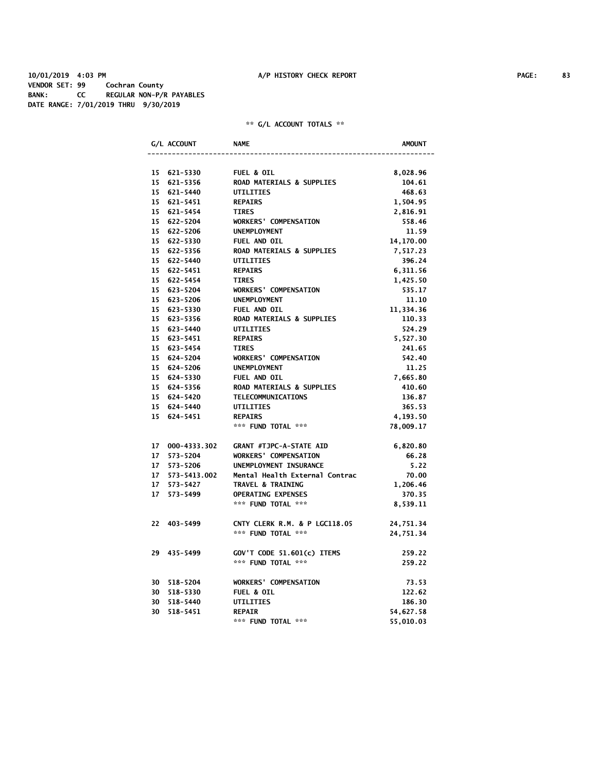|  | G/L ACCOUNT     | <b>NAME</b>                          | AMOUNT    |
|--|-----------------|--------------------------------------|-----------|
|  |                 |                                      |           |
|  | 15 621-5330     | <b>FUEL &amp; OIL</b>                | 8,028.96  |
|  | 15 621-5356     | <b>ROAD MATERIALS &amp; SUPPLIES</b> | 104.61    |
|  | 15 621-5440     | <b>UTILITIES</b>                     | 468.63    |
|  | 15 621-5451     | <b>REPAIRS</b>                       | 1,504.95  |
|  | 15 621-5454     | <b>TIRES</b>                         | 2,816.91  |
|  | 15 622-5204     | <b>WORKERS' COMPENSATION</b>         | 558.46    |
|  | 15 622-5206     | <b>UNEMPLOYMENT</b>                  | 11.59     |
|  | 15 622-5330     | FUEL AND OIL                         | 14,170.00 |
|  | 15 622-5356     | ROAD MATERIALS & SUPPLIES            | 7,517.23  |
|  | 15 622-5440     | <b>UTILITIES</b>                     | 396.24    |
|  | 15 622-5451     | <b>REPAIRS</b>                       | 6,311.56  |
|  | 15 622-5454     | <b>TIRES</b>                         | 1,425.50  |
|  | 15 623-5204     | <b>WORKERS' COMPENSATION</b>         | 535.17    |
|  | 15 623-5206     | <b>UNEMPLOYMENT</b>                  | 11.10     |
|  | 15 623-5330     | <b>FUEL AND OIL</b>                  | 11,334.36 |
|  | 15 623-5356     | <b>ROAD MATERIALS &amp; SUPPLIES</b> | 110.33    |
|  | 15 623-5440     | <b>UTILITIES</b>                     | 524.29    |
|  | 15 623-5451     | <b>REPAIRS</b>                       | 5,527.30  |
|  | 15 623-5454     | <b>TIRES</b>                         | 241.65    |
|  | 15 624-5204     | <b>WORKERS' COMPENSATION</b>         | 542.40    |
|  | 15 624-5206     | <b>UNEMPLOYMENT</b>                  | 11.25     |
|  | 15 624-5330     | <b>FUEL AND OIL</b>                  | 7,665.80  |
|  | 15 624-5356     | <b>ROAD MATERIALS &amp; SUPPLIES</b> | 410.60    |
|  | 15 624-5420     | TELECOMMUNICATIONS                   | 136.87    |
|  | 15 624-5440     | UTILITIES                            | 365.53    |
|  | 15 624-5451     | <b>REPAIRS</b>                       | 4,193.50  |
|  |                 | *** FUND TOTAL ***                   | 78,009.17 |
|  |                 |                                      |           |
|  | 17 000-4333.302 | <b>GRANT #TJPC-A-STATE AID</b>       | 6,820.80  |
|  | 17 573-5204     | <b>WORKERS' COMPENSATION</b>         | 66.28     |
|  | 17 573-5206     | UNEMPLOYMENT INSURANCE               | 5.22      |
|  | 17 573-5413.002 | Mental Health External Contrac       | 70.00     |
|  | 17 573-5427     | <b>TRAVEL &amp; TRAINING</b>         | 1,206.46  |
|  | 17 573-5499     | <b>OPERATING EXPENSES</b>            | 370.35    |
|  |                 | *** FUND TOTAL ***                   | 8,539.11  |
|  | 22 403-5499     | CNTY CLERK R.M. & P LGC118.05        | 24,751.34 |
|  |                 | *** FUND TOTAL ***                   | 24,751.34 |
|  | 29 435-5499     | GOV'T CODE 51.601(c) ITEMS           | 259.22    |
|  |                 | *** FUND TOTAL ***                   | 259.22    |
|  | 30 518-5204     | <b>WORKERS' COMPENSATION</b>         | 73.53     |
|  | 30 518-5330     | <b>FUEL &amp; OIL</b>                | 122.62    |
|  | 30 518-5440     | <b>UTILITIES</b>                     | 186.30    |
|  | 30 518-5451     | <b>REPAIR</b>                        | 54,627.58 |
|  |                 | *** FUND TOTAL ***                   | 55,010.03 |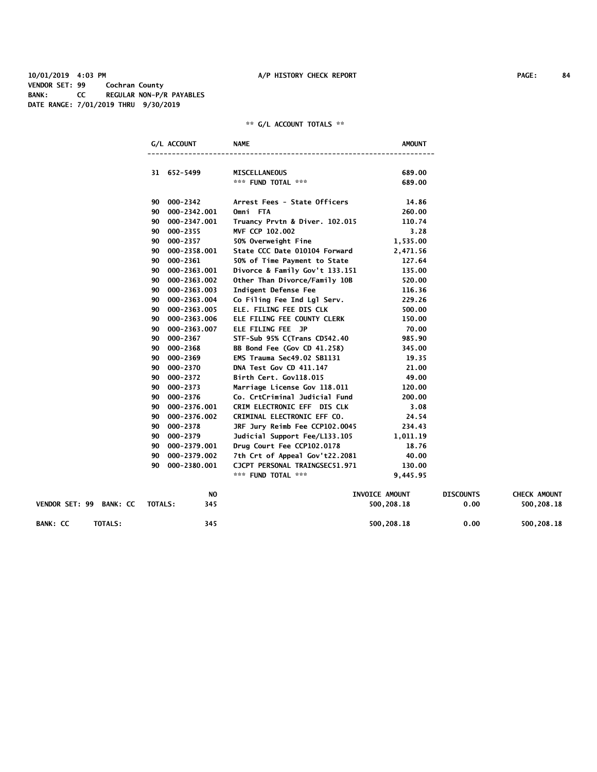**10/01/2019 4:03 PM A/P HISTORY CHECK REPORT PAGE: 84 VENDOR SET: 99 Cochran County BANK: CC REGULAR NON-P/R PAYABLES DATE RANGE: 7/01/2019 THRU 9/30/2019**

|                            | G/L ACCOUNT        | <b>NAME</b>                    | AMOUNT         |                  |                     |
|----------------------------|--------------------|--------------------------------|----------------|------------------|---------------------|
|                            | 31 652-5499        | <b>MISCELLANEOUS</b>           | 689.00         |                  |                     |
|                            |                    | *** FUND TOTAL ***             | 689.00         |                  |                     |
|                            | 90 000-2342        | Arrest Fees - State Officers   | 14.86          |                  |                     |
|                            | 90 000-2342.001    | Omni FTA                       | 260.00         |                  |                     |
|                            | 90<br>000-2347.001 | Truancy Prvtn & Diver. 102.015 | 110.74         |                  |                     |
|                            | 000-2355<br>90     | MVF CCP 102.002                | 3.28           |                  |                     |
|                            | 000-2357<br>90     | 50% Overweight Fine            | 1,535.00       |                  |                     |
|                            | 000-2358.001<br>90 | State CCC Date 010104 Forward  | 2,471.56       |                  |                     |
|                            | 000-2361<br>90     | 50% of Time Payment to State   | 127.64         |                  |                     |
|                            | 000-2363.001<br>90 | Divorce & Family Gov't 133.151 | 135.00         |                  |                     |
|                            | 000-2363.002<br>90 | Other Than Divorce/Family 10B  | 520.00         |                  |                     |
|                            | 000-2363.003<br>90 | Indigent Defense Fee           | 116.36         |                  |                     |
|                            | 000-2363.004<br>90 | Co Filing Fee Ind Lgl Serv.    | 229.26         |                  |                     |
|                            | 90<br>000-2363.005 | ELE. FILING FEE DIS CLK        | 500.00         |                  |                     |
|                            | 000-2363.006<br>90 | ELE FILING FEE COUNTY CLERK    | 150.00         |                  |                     |
|                            | 000-2363.007<br>90 | ELE FILING FEE JP              | 70.00          |                  |                     |
|                            | 000-2367<br>90     | STF-Sub 95% C(Trans CD542.40   | 985.90         |                  |                     |
|                            | 000-2368<br>90     | BB Bond Fee (Gov CD 41.258)    | 345.00         |                  |                     |
|                            | 000-2369<br>90     | EMS Trauma Sec49.02 SB1131     | 19.35          |                  |                     |
|                            | 90<br>000-2370     | DNA Test Gov CD 411.147        | 21.00          |                  |                     |
|                            | 000-2372<br>90     | Birth Cert. Gov118.015         | 49.00          |                  |                     |
|                            | 90<br>000-2373     | Marriage License Gov 118.011   | 120.00         |                  |                     |
|                            | 000-2376<br>90     | Co. CrtCriminal Judicial Fund  | 200.00         |                  |                     |
|                            | 000-2376.001<br>90 | CRIM ELECTRONIC EFF DIS CLK    | 3.08           |                  |                     |
|                            | 000-2376.002<br>90 | CRIMINAL ELECTRONIC EFF CO.    | 24.54          |                  |                     |
|                            | 000-2378<br>90     | JRF Jury Reimb Fee CCP102.0045 | 234.43         |                  |                     |
|                            | 000-2379<br>90     | Judicial Support Fee/L133.105  | 1,011.19       |                  |                     |
|                            | 000-2379.001<br>90 | Drug Court Fee CCP102.0178     | 18.76          |                  |                     |
|                            | 000-2379.002<br>90 | 7th Crt of Appeal Gov't22.2081 | 40.00          |                  |                     |
|                            | 90<br>000-2380.001 | CJCPT PERSONAL TRAINGSEC51.971 | 130.00         |                  |                     |
|                            |                    | *** FUND TOTAL ***             | 9,445.95       |                  |                     |
|                            | NO                 |                                | INVOICE AMOUNT | <b>DISCOUNTS</b> | <b>CHECK AMOUNT</b> |
| VENDOR SET: 99 BANK: CC    | TOTALS:<br>345     |                                | 500,208.18     | 0.00             | 500,208.18          |
| <b>BANK: CC</b><br>TOTALS: | 345                |                                | 500,208.18     | 0.00             | 500,208.18          |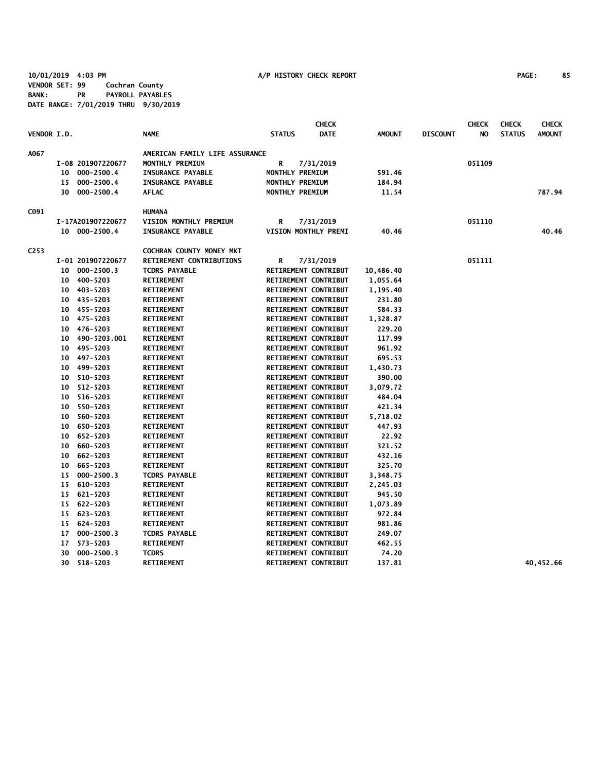**10/01/2019 4:03 PM A/P HISTORY CHECK REPORT PAGE: 85 VENDOR SET: 99 Cochran County BANK: PR PAYROLL PAYABLES DATE RANGE: 7/01/2019 THRU 9/30/2019**

|                    |    |                   |                                |                 | <b>CHECK</b>         |               |                 | <b>CHECK</b> | <b>CHECK</b>  | <b>CHECK</b>  |
|--------------------|----|-------------------|--------------------------------|-----------------|----------------------|---------------|-----------------|--------------|---------------|---------------|
| <b>VENDOR I.D.</b> |    |                   | <b>NAME</b>                    | <b>STATUS</b>   | <b>DATE</b>          | <b>AMOUNT</b> | <b>DISCOUNT</b> | NO.          | <b>STATUS</b> | <b>AMOUNT</b> |
| A067               |    |                   | AMERICAN FAMILY LIFE ASSURANCE |                 |                      |               |                 |              |               |               |
|                    |    | I-08 201907220677 | MONTHLY PREMIUM                | R               | 7/31/2019            |               |                 | 051109       |               |               |
|                    |    | 10 000-2500.4     | <b>INSURANCE PAYABLE</b>       | MONTHLY PREMIUM |                      | 591.46        |                 |              |               |               |
|                    |    | 15 000-2500.4     | <b>INSURANCE PAYABLE</b>       | MONTHLY PREMIUM |                      | 184.94        |                 |              |               |               |
|                    |    | 30 000-2500.4     | <b>AFLAC</b>                   | MONTHLY PREMIUM |                      | 11.54         |                 |              |               | 787.94        |
| C091               |    |                   | <b>HUMANA</b>                  |                 |                      |               |                 |              |               |               |
|                    |    | I-17A201907220677 | VISION MONTHLY PREMIUM         | R               | 7/31/2019            |               |                 | 051110       |               |               |
|                    |    | 10 000-2500.4     | <b>INSURANCE PAYABLE</b>       |                 | VISION MONTHLY PREMI | 40.46         |                 |              |               | 40.46         |
| C <sub>253</sub>   |    |                   | COCHRAN COUNTY MONEY MKT       |                 |                      |               |                 |              |               |               |
|                    |    | I-01 201907220677 | RETIREMENT CONTRIBUTIONS       | R               | 7/31/2019            |               |                 | 051111       |               |               |
|                    |    | 10 000-2500.3     | <b>TCDRS PAYABLE</b>           |                 | RETIREMENT CONTRIBUT | 10,486.40     |                 |              |               |               |
|                    |    | 10 400-5203       | <b>RETIREMENT</b>              |                 | RETIREMENT CONTRIBUT | 1,055.64      |                 |              |               |               |
|                    | 10 | 403-5203          | <b>RETIREMENT</b>              |                 | RETIREMENT CONTRIBUT | 1,195.40      |                 |              |               |               |
|                    | 10 | 435-5203          | <b>RETIREMENT</b>              |                 | RETIREMENT CONTRIBUT | 231.80        |                 |              |               |               |
|                    |    | 10 455-5203       | <b>RETIREMENT</b>              |                 | RETIREMENT CONTRIBUT | 584.33        |                 |              |               |               |
|                    | 10 | 475-5203          | <b>RETIREMENT</b>              |                 | RETIREMENT CONTRIBUT | 1,328.87      |                 |              |               |               |
|                    | 10 | 476-5203          | <b>RETIREMENT</b>              |                 | RETIREMENT CONTRIBUT | 229.20        |                 |              |               |               |
|                    | 10 | 490-5203.001      | <b>RETIREMENT</b>              |                 | RETIREMENT CONTRIBUT | 117.99        |                 |              |               |               |
|                    | 10 | 495-5203          | <b>RETIREMENT</b>              |                 | RETIREMENT CONTRIBUT | 961.92        |                 |              |               |               |
|                    | 10 | 497-5203          | <b>RETIREMENT</b>              |                 | RETIREMENT CONTRIBUT | 695.53        |                 |              |               |               |
|                    | 10 | 499-5203          | <b>RETIREMENT</b>              |                 | RETIREMENT CONTRIBUT | 1,430.73      |                 |              |               |               |
|                    | 10 | 510-5203          | <b>RETIREMENT</b>              |                 | RETIREMENT CONTRIBUT | 390.00        |                 |              |               |               |
|                    | 10 | 512-5203          | <b>RETIREMENT</b>              |                 | RETIREMENT CONTRIBUT | 3,079.72      |                 |              |               |               |
|                    | 10 | 516-5203          | <b>RETIREMENT</b>              |                 | RETIREMENT CONTRIBUT | 484.04        |                 |              |               |               |
|                    | 10 | 550-5203          | <b>RETIREMENT</b>              |                 | RETIREMENT CONTRIBUT | 421.34        |                 |              |               |               |
|                    | 10 | 560-5203          | <b>RETIREMENT</b>              |                 | RETIREMENT CONTRIBUT | 5,718.02      |                 |              |               |               |
|                    | 10 | 650-5203          | <b>RETIREMENT</b>              |                 | RETIREMENT CONTRIBUT | 447.93        |                 |              |               |               |
|                    |    | 10 652-5203       | <b>RETIREMENT</b>              |                 | RETIREMENT CONTRIBUT | 22.92         |                 |              |               |               |
|                    |    | 10 660-5203       | <b>RETIREMENT</b>              |                 | RETIREMENT CONTRIBUT | 321.52        |                 |              |               |               |
|                    |    | 10 662-5203       | <b>RETIREMENT</b>              |                 | RETIREMENT CONTRIBUT | 432.16        |                 |              |               |               |
|                    | 10 | 665-5203          | <b>RETIREMENT</b>              |                 | RETIREMENT CONTRIBUT | 325.70        |                 |              |               |               |
|                    | 15 | $000 - 2500.3$    | <b>TCDRS PAYABLE</b>           |                 | RETIREMENT CONTRIBUT | 3,348.75      |                 |              |               |               |
|                    |    | 15 610-5203       | <b>RETIREMENT</b>              |                 | RETIREMENT CONTRIBUT | 2,245.03      |                 |              |               |               |
|                    |    | 15 621-5203       | <b>RETIREMENT</b>              |                 | RETIREMENT CONTRIBUT | 945.50        |                 |              |               |               |
|                    |    | 15 622-5203       | <b>RETIREMENT</b>              |                 | RETIREMENT CONTRIBUT | 1,073.89      |                 |              |               |               |
|                    |    | 15 623-5203       | <b>RETIREMENT</b>              |                 | RETIREMENT CONTRIBUT | 972.84        |                 |              |               |               |
|                    |    | 15 624-5203       | <b>RETIREMENT</b>              |                 | RETIREMENT CONTRIBUT | 981.86        |                 |              |               |               |
|                    | 17 | $000 - 2500.3$    | <b>TCDRS PAYABLE</b>           |                 | RETIREMENT CONTRIBUT | 249.07        |                 |              |               |               |
|                    | 17 | 573-5203          | <b>RETIREMENT</b>              |                 | RETIREMENT CONTRIBUT | 462.55        |                 |              |               |               |
|                    | 30 | $000 - 2500.3$    | <b>TCDRS</b>                   |                 | RETIREMENT CONTRIBUT | 74.20         |                 |              |               |               |
|                    | 30 | 518-5203          | <b>RETIREMENT</b>              |                 | RETIREMENT CONTRIBUT | 137.81        |                 |              |               | 40,452.66     |
|                    |    |                   |                                |                 |                      |               |                 |              |               |               |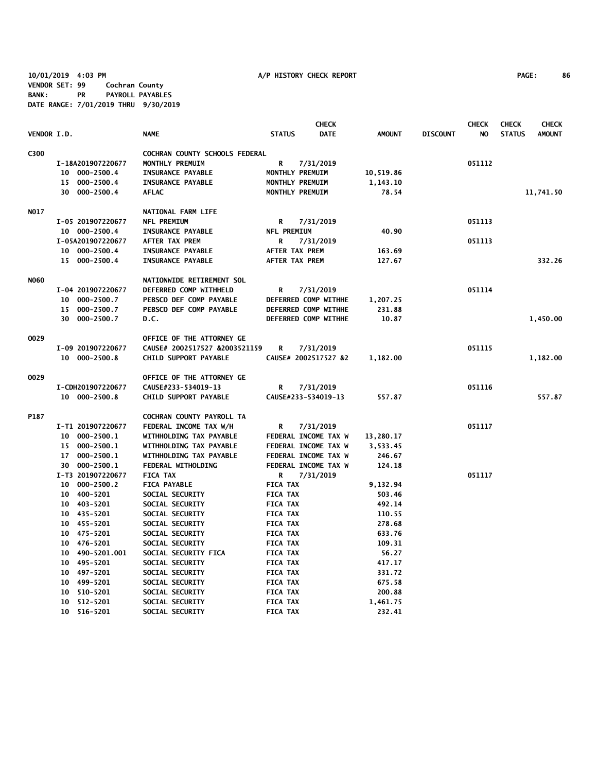**10/01/2019 4:03 PM A/P HISTORY CHECK REPORT PAGE: 86 VENDOR SET: 99 Cochran County BANK: PR PAYROLL PAYABLES DATE RANGE: 7/01/2019 THRU 9/30/2019**

|             |                       |                                |                       | <b>CHECK</b>         |               |                 | <b>CHECK</b> | <b>CHECK</b>  | <b>CHECK</b>  |
|-------------|-----------------------|--------------------------------|-----------------------|----------------------|---------------|-----------------|--------------|---------------|---------------|
| VENDOR I.D. |                       | <b>NAME</b>                    | <b>STATUS</b>         | <b>DATE</b>          | <b>AMOUNT</b> | <b>DISCOUNT</b> | NO.          | <b>STATUS</b> | <b>AMOUNT</b> |
| C300        |                       | COCHRAN COUNTY SCHOOLS FEDERAL |                       |                      |               |                 |              |               |               |
|             | I-18A201907220677     | MONTHLY PREMUIM                | R                     | 7/31/2019            |               |                 | 051112       |               |               |
|             | 10 000-2500.4         | <b>INSURANCE PAYABLE</b>       |                       | MONTHLY PREMUIM      | 10,519.86     |                 |              |               |               |
|             | 15 000-2500.4         | INSURANCE PAYABLE              |                       | MONTHLY PREMUIM      | 1,143.10      |                 |              |               |               |
|             | 30 000-2500.4         | <b>AFLAC</b>                   |                       | MONTHLY PREMUIM      | 78.54         |                 |              |               | 11,741.50     |
| NO17        |                       | NATIONAL FARM LIFE             |                       |                      |               |                 |              |               |               |
|             | I-05 201907220677     | NFL PREMIUM                    | R                     | 7/31/2019            |               |                 | 051113       |               |               |
|             | 10 000-2500.4         | <b>INSURANCE PAYABLE</b>       | NFL PREMIUM           |                      | 40.90         |                 |              |               |               |
|             | I-05A201907220677     | <b>AFTER TAX PREM</b>          | R                     | 7/31/2019            |               |                 | 051113       |               |               |
|             | 10 000-2500.4         | <b>INSURANCE PAYABLE</b>       | <b>AFTER TAX PREM</b> |                      | 163.69        |                 |              |               |               |
|             | 15 000-2500.4         | <b>INSURANCE PAYABLE</b>       | <b>AFTER TAX PREM</b> |                      | 127.67        |                 |              |               | 332.26        |
| <b>NO60</b> |                       | NATIONWIDE RETIREMENT SOL      |                       |                      |               |                 |              |               |               |
|             | I-04 201907220677     | DEFERRED COMP WITHHELD         | R                     | 7/31/2019            |               |                 | 051114       |               |               |
|             | 000-2500.7<br>$10-10$ | PEBSCO DEF COMP PAYABLE        |                       | DEFERRED COMP WITHHE | 1,207.25      |                 |              |               |               |
|             | 000-2500.7<br>15      | PEBSCO DEF COMP PAYABLE        |                       | DEFERRED COMP WITHHE | 231.88        |                 |              |               |               |
|             | 30 000-2500.7         | D.C.                           |                       | DEFERRED COMP WITHHE | 10.87         |                 |              |               | 1,450.00      |
|             |                       |                                |                       |                      |               |                 |              |               |               |
| 0029        |                       | OFFICE OF THE ATTORNEY GE      |                       |                      |               |                 |              |               |               |
|             | I-09 201907220677     | CAUSE# 2002517527 &2003521159  | R                     | 7/31/2019            |               |                 | 051115       |               |               |
|             | 10 000-2500.8         | CHILD SUPPORT PAYABLE          |                       | CAUSE# 2002517527 &2 | 1,182.00      |                 |              |               | 1,182.00      |
| 0029        |                       | OFFICE OF THE ATTORNEY GE      |                       |                      |               |                 |              |               |               |
|             | I-CDH201907220677     | CAUSE#233-534019-13            | R                     | 7/31/2019            |               |                 | 051116       |               |               |
|             | 10 000-2500.8         | CHILD SUPPORT PAYABLE          |                       | CAUSE#233-534019-13  | 557.87        |                 |              |               | 557.87        |
| P187        |                       | COCHRAN COUNTY PAYROLL TA      |                       |                      |               |                 |              |               |               |
|             | I-T1 201907220677     | FEDERAL INCOME TAX W/H         | R                     | 7/31/2019            |               |                 | 051117       |               |               |
|             | 10 000-2500.1         | WITHHOLDING TAX PAYABLE        |                       | FEDERAL INCOME TAX W | 13,280.17     |                 |              |               |               |
|             | 15 000-2500.1         | WITHHOLDING TAX PAYABLE        |                       | FEDERAL INCOME TAX W | 3,533.45      |                 |              |               |               |
|             | 17 000-2500.1         | WITHHOLDING TAX PAYABLE        |                       | FEDERAL INCOME TAX W | 246.67        |                 |              |               |               |
|             | 30 000-2500.1         | FEDERAL WITHOLDING             |                       | FEDERAL INCOME TAX W | 124.18        |                 |              |               |               |
|             | I-T3 201907220677     | <b>FICA TAX</b>                | R                     | 7/31/2019            |               |                 | 051117       |               |               |
|             | 10 000-2500.2         | <b>FICA PAYABLE</b>            | <b>FICA TAX</b>       |                      | 9,132.94      |                 |              |               |               |
|             | 10 400-5201           | SOCIAL SECURITY                | <b>FICA TAX</b>       |                      | 503.46        |                 |              |               |               |
|             | 10 403-5201           | SOCIAL SECURITY                | <b>FICA TAX</b>       |                      | 492.14        |                 |              |               |               |
|             | 10 435-5201           | SOCIAL SECURITY                | <b>FICA TAX</b>       |                      | 110.55        |                 |              |               |               |
|             | 10 455-5201           | SOCIAL SECURITY                | <b>FICA TAX</b>       |                      | 278.68        |                 |              |               |               |
|             | 10 475-5201           | SOCIAL SECURITY                | <b>FICA TAX</b>       |                      | 633.76        |                 |              |               |               |
|             | 10 476-5201           | SOCIAL SECURITY                | <b>FICA TAX</b>       |                      | 109.31        |                 |              |               |               |
|             | 10 490-5201.001       | SOCIAL SECURITY FICA           | <b>FICA TAX</b>       |                      | 56.27         |                 |              |               |               |
|             | 10 495-5201           | SOCIAL SECURITY                | <b>FICA TAX</b>       |                      | 417.17        |                 |              |               |               |
|             | 10 497-5201           | SOCIAL SECURITY                | <b>FICA TAX</b>       |                      | 331.72        |                 |              |               |               |
|             | 10 499-5201           | SOCIAL SECURITY                | <b>FICA TAX</b>       |                      | 675.58        |                 |              |               |               |
|             | 10 510-5201           | SOCIAL SECURITY                | <b>FICA TAX</b>       |                      | 200.88        |                 |              |               |               |
|             | 10 512-5201           | SOCIAL SECURITY                | <b>FICA TAX</b>       |                      | 1,461.75      |                 |              |               |               |
|             | 10 516-5201           | SOCIAL SECURITY                | <b>FICA TAX</b>       |                      | 232.41        |                 |              |               |               |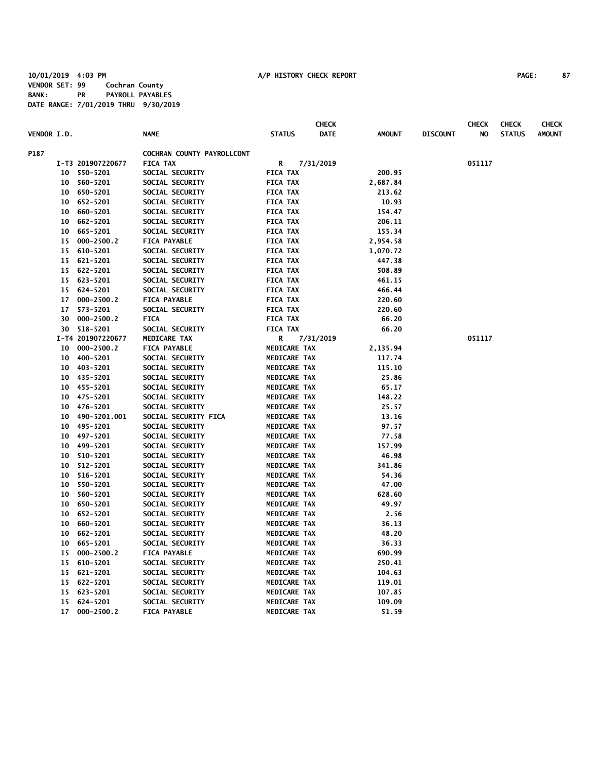|                    |                 |                   |                            |                     | <b>CHECK</b> |               |                 | <b>CHECK</b> | <b>CHECK</b>  | <b>CHECK</b>  |
|--------------------|-----------------|-------------------|----------------------------|---------------------|--------------|---------------|-----------------|--------------|---------------|---------------|
| <b>VENDOR I.D.</b> |                 |                   | <b>NAME</b>                | <b>STATUS</b>       | <b>DATE</b>  | <b>AMOUNT</b> | <b>DISCOUNT</b> | NO           | <b>STATUS</b> | <b>AMOUNT</b> |
| P187               |                 |                   | COCHRAN COUNTY PAYROLLCONT |                     |              |               |                 |              |               |               |
|                    |                 | I-T3 201907220677 | <b>FICA TAX</b>            | R                   | 7/31/2019    |               |                 | 051117       |               |               |
|                    |                 | 10 550-5201       | SOCIAL SECURITY            | <b>FICA TAX</b>     |              | 200.95        |                 |              |               |               |
|                    | 10 <sub>1</sub> | 560-5201          | SOCIAL SECURITY            | <b>FICA TAX</b>     |              | 2,687.84      |                 |              |               |               |
|                    |                 | 10 650-5201       | SOCIAL SECURITY            | <b>FICA TAX</b>     |              | 213.62        |                 |              |               |               |
|                    | 10              | 652-5201          | SOCIAL SECURITY            | <b>FICA TAX</b>     |              | 10.93         |                 |              |               |               |
|                    | 10              | 660-5201          | SOCIAL SECURITY            | <b>FICA TAX</b>     |              | 154.47        |                 |              |               |               |
|                    | 10              | 662-5201          | SOCIAL SECURITY            | <b>FICA TAX</b>     |              | 206.11        |                 |              |               |               |
|                    | 10              | 665-5201          | SOCIAL SECURITY            | <b>FICA TAX</b>     |              | 155.34        |                 |              |               |               |
|                    | 15              | $000 - 2500.2$    | <b>FICA PAYABLE</b>        | <b>FICA TAX</b>     |              | 2,954.58      |                 |              |               |               |
|                    | 15              | 610-5201          | SOCIAL SECURITY            | <b>FICA TAX</b>     |              | 1,070.72      |                 |              |               |               |
|                    | 15              | 621-5201          | SOCIAL SECURITY            | <b>FICA TAX</b>     |              | 447.38        |                 |              |               |               |
|                    | 15              | 622-5201          | SOCIAL SECURITY            | <b>FICA TAX</b>     |              | 508.89        |                 |              |               |               |
|                    |                 | 15 623-5201       | SOCIAL SECURITY            | <b>FICA TAX</b>     |              | 461.15        |                 |              |               |               |
|                    | 15              | 624-5201          | SOCIAL SECURITY            | <b>FICA TAX</b>     |              | 466.44        |                 |              |               |               |
|                    | 17              | $000 - 2500.2$    | <b>FICA PAYABLE</b>        | <b>FICA TAX</b>     |              | 220.60        |                 |              |               |               |
|                    | 17              | 573-5201          | SOCIAL SECURITY            | <b>FICA TAX</b>     |              | 220.60        |                 |              |               |               |
|                    | 30              | $000 - 2500.2$    | <b>FICA</b>                | <b>FICA TAX</b>     |              | 66.20         |                 |              |               |               |
|                    |                 | 30 518-5201       | SOCIAL SECURITY            | <b>FICA TAX</b>     |              | 66.20         |                 |              |               |               |
|                    |                 | I-T4 201907220677 | MEDICARE TAX               | R                   | 7/31/2019    |               |                 | 051117       |               |               |
|                    | 10              | $000 - 2500.2$    | <b>FICA PAYABLE</b>        | MEDICARE TAX        |              | 2,135.94      |                 |              |               |               |
|                    | 10              | 400-5201          | SOCIAL SECURITY            | <b>MEDICARE TAX</b> |              | 117.74        |                 |              |               |               |
|                    | 10              | 403-5201          | SOCIAL SECURITY            | MEDICARE TAX        |              | 115.10        |                 |              |               |               |
|                    |                 | 10 435-5201       | SOCIAL SECURITY            | MEDICARE TAX        |              | 25.86         |                 |              |               |               |
|                    |                 | 10 455-5201       | SOCIAL SECURITY            | MEDICARE TAX        |              | 65.17         |                 |              |               |               |
|                    | 10              | 475-5201          | SOCIAL SECURITY            | MEDICARE TAX        |              | 148.22        |                 |              |               |               |
|                    |                 | 10 476-5201       | SOCIAL SECURITY            | MEDICARE TAX        |              | 25.57         |                 |              |               |               |
|                    | 10              | 490-5201.001      | SOCIAL SECURITY FICA       | MEDICARE TAX        |              | 13.16         |                 |              |               |               |
|                    | 10 <sub>1</sub> | 495-5201          | SOCIAL SECURITY            | MEDICARE TAX        |              | 97.57         |                 |              |               |               |
|                    | 10              | 497-5201          | SOCIAL SECURITY            | MEDICARE TAX        |              | 77.58         |                 |              |               |               |
|                    | 10              | 499-5201          | SOCIAL SECURITY            | MEDICARE TAX        |              | 157.99        |                 |              |               |               |
|                    | 10              | 510-5201          | SOCIAL SECURITY            | MEDICARE TAX        |              | 46.98         |                 |              |               |               |
|                    | 10              | 512-5201          | SOCIAL SECURITY            | MEDICARE TAX        |              | 341.86        |                 |              |               |               |
|                    | 10              | 516-5201          | SOCIAL SECURITY            | MEDICARE TAX        |              | 54.36         |                 |              |               |               |
|                    | 10              | 550-5201          | SOCIAL SECURITY            | MEDICARE TAX        |              | 47.00         |                 |              |               |               |
|                    | 10              | 560-5201          | SOCIAL SECURITY            | MEDICARE TAX        |              | 628.60        |                 |              |               |               |
|                    | 10              | 650-5201          | SOCIAL SECURITY            | MEDICARE TAX        |              | 49.97         |                 |              |               |               |
|                    | 10              | 652-5201          | SOCIAL SECURITY            | MEDICARE TAX        |              | 2.56          |                 |              |               |               |
|                    | 10              | 660-5201          | SOCIAL SECURITY            | MEDICARE TAX        |              | 36.13         |                 |              |               |               |
|                    | 10              | 662-5201          | SOCIAL SECURITY            | MEDICARE TAX        |              | 48.20         |                 |              |               |               |
|                    | 10              | 665-5201          | SOCIAL SECURITY            | MEDICARE TAX        |              | 36.33         |                 |              |               |               |
|                    | 15              | $000 - 2500.2$    | <b>FICA PAYABLE</b>        | MEDICARE TAX        |              | 690.99        |                 |              |               |               |
|                    | 15              | 610-5201          | SOCIAL SECURITY            | MEDICARE TAX        |              | 250.41        |                 |              |               |               |
|                    | 15              | 621-5201          | SOCIAL SECURITY            | MEDICARE TAX        |              | 104.63        |                 |              |               |               |
|                    | 15              | 622-5201          | SOCIAL SECURITY            | MEDICARE TAX        |              | 119.01        |                 |              |               |               |
|                    | 15              | 623-5201          | SOCIAL SECURITY            | MEDICARE TAX        |              | 107.85        |                 |              |               |               |
|                    | 15              | 624-5201          | SOCIAL SECURITY            | MEDICARE TAX        |              | 109.09        |                 |              |               |               |
|                    | 17              | $000 - 2500.2$    | <b>FICA PAYABLE</b>        | <b>MEDICARE TAX</b> |              | 51.59         |                 |              |               |               |
|                    |                 |                   |                            |                     |              |               |                 |              |               |               |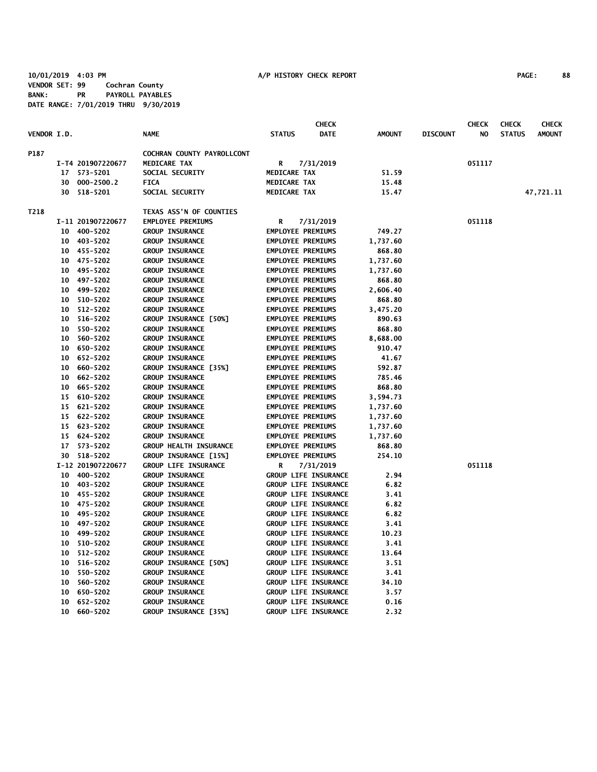**10/01/2019 4:03 PM A/P HISTORY CHECK REPORT PAGE: 88 VENDOR SET: 99 Cochran County BANK: PR PAYROLL PAYABLES DATE RANGE: 7/01/2019 THRU 9/30/2019**

|                    |         |                   |                               |                          | <b>CHECK</b>                |               |                 | <b>CHECK</b> | <b>CHECK</b>  | <b>CHECK</b>  |
|--------------------|---------|-------------------|-------------------------------|--------------------------|-----------------------------|---------------|-----------------|--------------|---------------|---------------|
| <b>VENDOR I.D.</b> |         |                   | <b>NAME</b>                   | <b>STATUS</b>            | <b>DATE</b>                 | <b>AMOUNT</b> | <b>DISCOUNT</b> | NO.          | <b>STATUS</b> | <b>AMOUNT</b> |
| P187               |         |                   | COCHRAN COUNTY PAYROLLCONT    |                          |                             |               |                 |              |               |               |
|                    |         | I-T4 201907220677 | <b>MEDICARE TAX</b>           | R                        | 7/31/2019                   |               |                 | 051117       |               |               |
|                    |         | 17 573-5201       | SOCIAL SECURITY               | MEDICARE TAX             |                             | 51.59         |                 |              |               |               |
|                    |         | 30 000-2500.2     | <b>FICA</b>                   | MEDICARE TAX             |                             | 15.48         |                 |              |               |               |
|                    |         | 30 518-5201       | SOCIAL SECURITY               | MEDICARE TAX             |                             | 15.47         |                 |              |               | 47,721.11     |
| T218               |         |                   | TEXAS ASS'N OF COUNTIES       |                          |                             |               |                 |              |               |               |
|                    |         | I-11 201907220677 | <b>EMPLOYEE PREMIUMS</b>      | R                        | 7/31/2019                   |               |                 | 051118       |               |               |
|                    |         | 10 400-5202       | <b>GROUP INSURANCE</b>        | <b>EMPLOYEE PREMIUMS</b> |                             | 749.27        |                 |              |               |               |
|                    |         | 10 403-5202       | <b>GROUP INSURANCE</b>        | <b>EMPLOYEE PREMIUMS</b> |                             | 1,737.60      |                 |              |               |               |
|                    |         | 10 455-5202       | <b>GROUP INSURANCE</b>        | <b>EMPLOYEE PREMIUMS</b> |                             | 868.80        |                 |              |               |               |
|                    |         | 10 475-5202       | <b>GROUP INSURANCE</b>        | <b>EMPLOYEE PREMIUMS</b> |                             | 1,737.60      |                 |              |               |               |
|                    |         | 10 495-5202       | <b>GROUP INSURANCE</b>        | <b>EMPLOYEE PREMIUMS</b> |                             | 1,737.60      |                 |              |               |               |
|                    |         | 10 497-5202       | <b>GROUP INSURANCE</b>        | <b>EMPLOYEE PREMIUMS</b> |                             | 868.80        |                 |              |               |               |
|                    |         | 10 499-5202       | <b>GROUP INSURANCE</b>        | <b>EMPLOYEE PREMIUMS</b> |                             | 2,606.40      |                 |              |               |               |
|                    |         | 10 510-5202       | <b>GROUP INSURANCE</b>        | <b>EMPLOYEE PREMIUMS</b> |                             | 868.80        |                 |              |               |               |
|                    |         | 10 512-5202       | <b>GROUP INSURANCE</b>        | <b>EMPLOYEE PREMIUMS</b> |                             | 3,475.20      |                 |              |               |               |
|                    |         | 10 516-5202       | GROUP INSURANCE [50%]         | <b>EMPLOYEE PREMIUMS</b> |                             | 890.63        |                 |              |               |               |
|                    |         | 10 550-5202       | <b>GROUP INSURANCE</b>        | <b>EMPLOYEE PREMIUMS</b> |                             | 868.80        |                 |              |               |               |
|                    |         | 10 560-5202       | <b>GROUP INSURANCE</b>        | <b>EMPLOYEE PREMIUMS</b> |                             | 8,688.00      |                 |              |               |               |
|                    |         | 10 650-5202       | <b>GROUP INSURANCE</b>        | <b>EMPLOYEE PREMIUMS</b> |                             | 910.47        |                 |              |               |               |
|                    |         | 10 652-5202       | <b>GROUP INSURANCE</b>        | <b>EMPLOYEE PREMIUMS</b> |                             | 41.67         |                 |              |               |               |
|                    |         | 10 660-5202       | GROUP INSURANCE [35%]         | <b>EMPLOYEE PREMIUMS</b> |                             | 592.87        |                 |              |               |               |
|                    |         | 10 662-5202       | <b>GROUP INSURANCE</b>        | <b>EMPLOYEE PREMIUMS</b> |                             | 785.46        |                 |              |               |               |
|                    |         | 10 665-5202       | <b>GROUP INSURANCE</b>        | <b>EMPLOYEE PREMIUMS</b> |                             | 868.80        |                 |              |               |               |
|                    |         | 15 610-5202       | <b>GROUP INSURANCE</b>        | <b>EMPLOYEE PREMIUMS</b> |                             | 3,594.73      |                 |              |               |               |
|                    |         | 15 621-5202       | <b>GROUP INSURANCE</b>        | <b>EMPLOYEE PREMIUMS</b> |                             | 1,737.60      |                 |              |               |               |
|                    |         | 15 622-5202       | <b>GROUP INSURANCE</b>        | <b>EMPLOYEE PREMIUMS</b> |                             | 1,737.60      |                 |              |               |               |
|                    |         | 15 623-5202       | <b>GROUP INSURANCE</b>        | <b>EMPLOYEE PREMIUMS</b> |                             | 1,737.60      |                 |              |               |               |
|                    |         | 15 624-5202       | <b>GROUP INSURANCE</b>        | <b>EMPLOYEE PREMIUMS</b> |                             | 1,737.60      |                 |              |               |               |
|                    |         | 17 573-5202       | <b>GROUP HEALTH INSURANCE</b> | <b>EMPLOYEE PREMIUMS</b> |                             | 868.80        |                 |              |               |               |
|                    |         | 30 518-5202       | GROUP INSURANCE [15%]         | <b>EMPLOYEE PREMIUMS</b> |                             | 254.10        |                 |              |               |               |
|                    |         | I-12 201907220677 | <b>GROUP LIFE INSURANCE</b>   | R                        | 7/31/2019                   |               |                 | 051118       |               |               |
|                    |         | 10 400-5202       | <b>GROUP INSURANCE</b>        |                          | GROUP LIFE INSURANCE        | 2.94          |                 |              |               |               |
|                    |         | 10 403-5202       | <b>GROUP INSURANCE</b>        |                          | GROUP LIFE INSURANCE        | 6.82          |                 |              |               |               |
|                    |         | 10 455-5202       | <b>GROUP INSURANCE</b>        |                          | GROUP LIFE INSURANCE        | 3.41          |                 |              |               |               |
|                    |         | 10 475-5202       | <b>GROUP INSURANCE</b>        |                          | GROUP LIFE INSURANCE        | 6.82          |                 |              |               |               |
|                    |         | 10 495-5202       | <b>GROUP INSURANCE</b>        |                          | GROUP LIFE INSURANCE        | 6.82          |                 |              |               |               |
|                    |         | 10 497-5202       | <b>GROUP INSURANCE</b>        |                          | GROUP LIFE INSURANCE        | 3.41          |                 |              |               |               |
|                    |         | 10 499-5202       | <b>GROUP INSURANCE</b>        |                          | GROUP LIFE INSURANCE        | 10.23         |                 |              |               |               |
|                    |         | 10 510-5202       | <b>GROUP INSURANCE</b>        |                          | GROUP LIFE INSURANCE        | 3.41          |                 |              |               |               |
|                    |         | 10 512-5202       | <b>GROUP INSURANCE</b>        |                          | GROUP LIFE INSURANCE        | 13.64         |                 |              |               |               |
|                    |         | 10 516-5202       | GROUP INSURANCE [50%]         |                          | GROUP LIFE INSURANCE        | 3.51          |                 |              |               |               |
|                    |         | 10 550-5202       | <b>GROUP INSURANCE</b>        |                          | GROUP LIFE INSURANCE        | 3.41          |                 |              |               |               |
|                    |         | 10 560-5202       | <b>GROUP INSURANCE</b>        |                          | GROUP LIFE INSURANCE        | 34.10         |                 |              |               |               |
|                    | 10      | 650-5202          | <b>GROUP INSURANCE</b>        |                          | GROUP LIFE INSURANCE        | 3.57          |                 |              |               |               |
|                    |         | 10 652-5202       | <b>GROUP INSURANCE</b>        |                          | GROUP LIFE INSURANCE        | 0.16          |                 |              |               |               |
|                    | $10-10$ | 660-5202          | GROUP INSURANCE [35%]         |                          | <b>GROUP LIFE INSURANCE</b> | 2.32          |                 |              |               |               |
|                    |         |                   |                               |                          |                             |               |                 |              |               |               |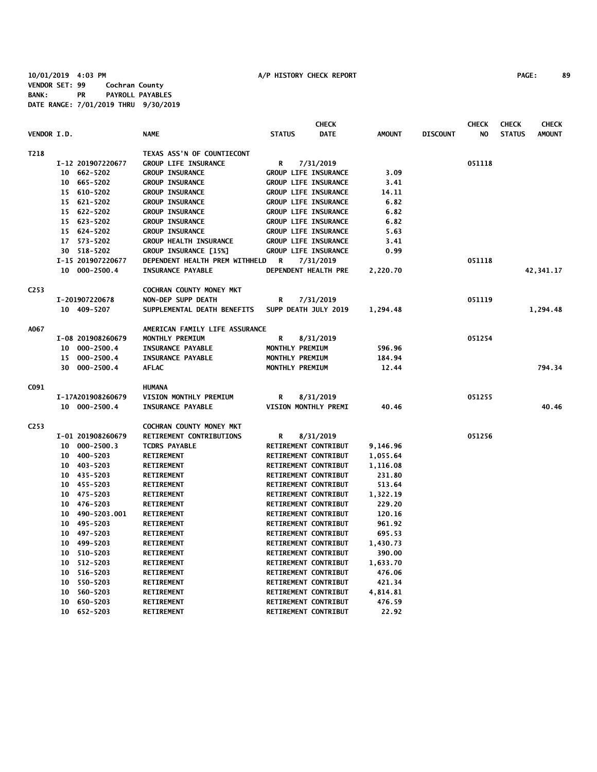|                    |                    |                                 | <b>CHECK</b>                 |               |                 | <b>CHECK</b> | <b>CHECK</b>  | <b>CHECK</b>  |
|--------------------|--------------------|---------------------------------|------------------------------|---------------|-----------------|--------------|---------------|---------------|
| <b>VENDOR I.D.</b> |                    | <b>NAME</b>                     | <b>DATE</b><br><b>STATUS</b> | <b>AMOUNT</b> | <b>DISCOUNT</b> | NO.          | <b>STATUS</b> | <b>AMOUNT</b> |
| T218               |                    | TEXAS ASS'N OF COUNTIECONT      |                              |               |                 |              |               |               |
|                    | I-12 201907220677  | <b>GROUP LIFE INSURANCE</b>     | R<br>7/31/2019               |               |                 | 051118       |               |               |
|                    | 10 662-5202        | <b>GROUP INSURANCE</b>          | GROUP LIFE INSURANCE         | 3.09          |                 |              |               |               |
|                    | 10 665-5202        | <b>GROUP INSURANCE</b>          | <b>GROUP LIFE INSURANCE</b>  | 3.41          |                 |              |               |               |
|                    | 15 610-5202        | <b>GROUP INSURANCE</b>          | <b>GROUP LIFE INSURANCE</b>  | 14.11         |                 |              |               |               |
|                    | 15 621-5202        | <b>GROUP INSURANCE</b>          | <b>GROUP LIFE INSURANCE</b>  | 6.82          |                 |              |               |               |
|                    | 15 622-5202        | <b>GROUP INSURANCE</b>          | <b>GROUP LIFE INSURANCE</b>  | 6.82          |                 |              |               |               |
|                    | 15 623-5202        | <b>GROUP INSURANCE</b>          | <b>GROUP LIFE INSURANCE</b>  | 6.82          |                 |              |               |               |
|                    | 15 624-5202        | <b>GROUP INSURANCE</b>          | <b>GROUP LIFE INSURANCE</b>  | 5.63          |                 |              |               |               |
|                    | 17 573-5202        | <b>GROUP HEALTH INSURANCE</b>   | <b>GROUP LIFE INSURANCE</b>  | 3.41          |                 |              |               |               |
|                    | 30 518-5202        | GROUP INSURANCE [15%]           | <b>GROUP LIFE INSURANCE</b>  | 0.99          |                 |              |               |               |
|                    | I-15 201907220677  | DEPENDENT HEALTH PREM WITHHELD  | R<br>7/31/2019               |               |                 | 051118       |               |               |
|                    | 10 000-2500.4      | <b>INSURANCE PAYABLE</b>        | DEPENDENT HEALTH PRE         | 2,220.70      |                 |              |               | 42,341.17     |
| C253               |                    | <b>COCHRAN COUNTY MONEY MKT</b> |                              |               |                 |              |               |               |
|                    | I-201907220678     | NON-DEP SUPP DEATH              | R<br>7/31/2019               |               |                 | 051119       |               |               |
|                    | 10 409-5207        | SUPPLEMENTAL DEATH BENEFITS     | SUPP DEATH JULY 2019         | 1,294.48      |                 |              |               | 1,294.48      |
| A067               |                    | AMERICAN FAMILY LIFE ASSURANCE  |                              |               |                 |              |               |               |
|                    | I-08 201908260679  | MONTHLY PREMIUM                 | R<br>8/31/2019               |               |                 | 051254       |               |               |
|                    | 10 000-2500.4      | <b>INSURANCE PAYABLE</b>        | MONTHLY PREMIUM              | 596.96        |                 |              |               |               |
|                    | 15 000-2500.4      | <b>INSURANCE PAYABLE</b>        | MONTHLY PREMIUM              | 184.94        |                 |              |               |               |
|                    | 30 000-2500.4      | <b>AFLAC</b>                    | MONTHLY PREMIUM              | 12.44         |                 |              |               | 794.34        |
| C091               |                    | <b>HUMANA</b>                   |                              |               |                 |              |               |               |
|                    | I-17A201908260679  | VISION MONTHLY PREMIUM          | R<br>8/31/2019               |               |                 | 051255       |               |               |
|                    | 10 000-2500.4      | <b>INSURANCE PAYABLE</b>        | VISION MONTHLY PREMI         | 40.46         |                 |              |               | 40.46         |
| C <sub>253</sub>   |                    | COCHRAN COUNTY MONEY MKT        |                              |               |                 |              |               |               |
|                    | I-01 201908260679  | RETIREMENT CONTRIBUTIONS        | R<br>8/31/2019               |               |                 | 051256       |               |               |
|                    | 10 000-2500.3      | <b>TCDRS PAYABLE</b>            | RETIREMENT CONTRIBUT         | 9,146.96      |                 |              |               |               |
|                    | 10 400-5203        | <b>RETIREMENT</b>               | RETIREMENT CONTRIBUT         | 1,055.64      |                 |              |               |               |
|                    | 10 403-5203        | <b>RETIREMENT</b>               | RETIREMENT CONTRIBUT         | 1,116.08      |                 |              |               |               |
|                    | 10 435-5203        | <b>RETIREMENT</b>               | RETIREMENT CONTRIBUT         | 231.80        |                 |              |               |               |
|                    | 10 455-5203        | <b>RETIREMENT</b>               | RETIREMENT CONTRIBUT         | 513.64        |                 |              |               |               |
|                    | 475-5203<br>10     | <b>RETIREMENT</b>               | RETIREMENT CONTRIBUT         | 1,322.19      |                 |              |               |               |
|                    | 476-5203<br>10     | <b>RETIREMENT</b>               | RETIREMENT CONTRIBUT         | 229.20        |                 |              |               |               |
|                    | 490-5203.001<br>10 | <b>RETIREMENT</b>               | RETIREMENT CONTRIBUT         | 120.16        |                 |              |               |               |
|                    | 495-5203<br>10     | <b>RETIREMENT</b>               | RETIREMENT CONTRIBUT         | 961.92        |                 |              |               |               |
|                    | 497-5203<br>10     | <b>RETIREMENT</b>               | RETIREMENT CONTRIBUT         | 695.53        |                 |              |               |               |
|                    | 499-5203<br>10     | <b>RETIREMENT</b>               | RETIREMENT CONTRIBUT         | 1,430.73      |                 |              |               |               |
|                    | 10 510-5203        | <b>RETIREMENT</b>               | RETIREMENT CONTRIBUT         | 390.00        |                 |              |               |               |
|                    | 512-5203<br>10     | <b>RETIREMENT</b>               | RETIREMENT CONTRIBUT         | 1,633.70      |                 |              |               |               |
|                    | 516-5203<br>10     | <b>RETIREMENT</b>               | RETIREMENT CONTRIBUT         | 476.06        |                 |              |               |               |
|                    | 550-5203<br>10     | <b>RETIREMENT</b>               | RETIREMENT CONTRIBUT         | 421.34        |                 |              |               |               |
|                    | 560-5203<br>10     | <b>RETIREMENT</b>               | RETIREMENT CONTRIBUT         | 4,814.81      |                 |              |               |               |
|                    | 650-5203<br>10     | <b>RETIREMENT</b>               | RETIREMENT CONTRIBUT         | 476.59        |                 |              |               |               |
|                    | 652-5203<br>10     | <b>RETIREMENT</b>               | RETIREMENT CONTRIBUT         | 22.92         |                 |              |               |               |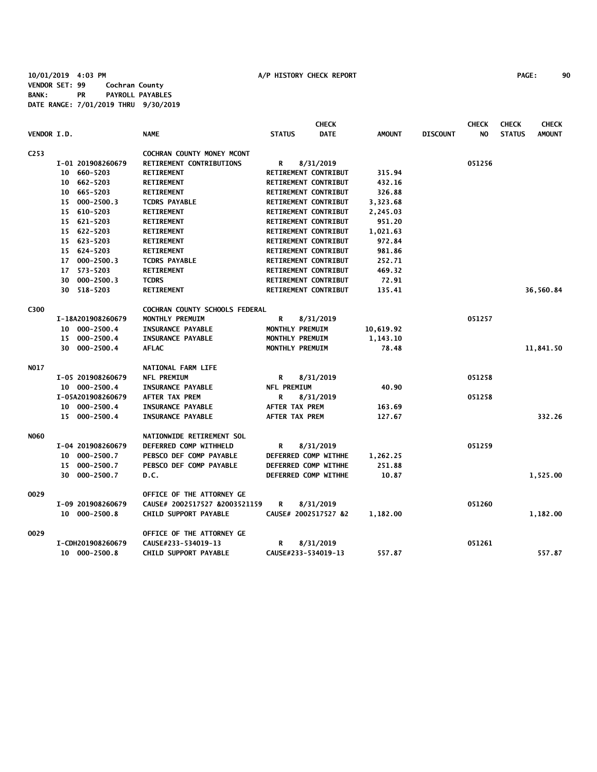|                    |    |                   |                                |                             | <b>CHECK</b> |               |                 | <b>CHECK</b>   | <b>CHECK</b>  | <b>CHECK</b>  |
|--------------------|----|-------------------|--------------------------------|-----------------------------|--------------|---------------|-----------------|----------------|---------------|---------------|
| <b>VENDOR I.D.</b> |    |                   | <b>NAME</b>                    | <b>STATUS</b>               | <b>DATE</b>  | <b>AMOUNT</b> | <b>DISCOUNT</b> | N <sub>O</sub> | <b>STATUS</b> | <b>AMOUNT</b> |
| C <sub>253</sub>   |    |                   | COCHRAN COUNTY MONEY MCONT     |                             |              |               |                 |                |               |               |
|                    |    | I-01 201908260679 | RETIREMENT CONTRIBUTIONS       | R                           | 8/31/2019    |               |                 | 051256         |               |               |
|                    |    | 10 660-5203       | <b>RETIREMENT</b>              | RETIREMENT CONTRIBUT        |              | 315.94        |                 |                |               |               |
|                    |    | 10 662-5203       | RETIREMENT                     | <b>RETIREMENT CONTRIBUT</b> |              | 432.16        |                 |                |               |               |
|                    |    | 10 665-5203       | <b>RETIREMENT</b>              | RETIREMENT CONTRIBUT        |              | 326.88        |                 |                |               |               |
|                    |    | 15 000-2500.3     | <b>TCDRS PAYABLE</b>           | RETIREMENT CONTRIBUT        |              | 3,323.68      |                 |                |               |               |
|                    |    | 15 610-5203       | <b>RETIREMENT</b>              | RETIREMENT CONTRIBUT        |              | 2,245.03      |                 |                |               |               |
|                    |    | 15 621-5203       | <b>RETIREMENT</b>              | RETIREMENT CONTRIBUT        |              | 951.20        |                 |                |               |               |
|                    |    | 15 622-5203       | <b>RETIREMENT</b>              | RETIREMENT CONTRIBUT        |              | 1,021.63      |                 |                |               |               |
|                    |    | 15 623-5203       | <b>RETIREMENT</b>              | RETIREMENT CONTRIBUT        |              | 972.84        |                 |                |               |               |
|                    |    | 15 624-5203       | <b>RETIREMENT</b>              | RETIREMENT CONTRIBUT        |              | 981.86        |                 |                |               |               |
|                    |    | 17 000-2500.3     | <b>TCDRS PAYABLE</b>           | RETIREMENT CONTRIBUT        |              | 252.71        |                 |                |               |               |
|                    |    | 17 573-5203       | <b>RETIREMENT</b>              | RETIREMENT CONTRIBUT        |              | 469.32        |                 |                |               |               |
|                    | 30 | 000-2500.3        | <b>TCDRS</b>                   | RETIREMENT CONTRIBUT        |              | 72.91         |                 |                |               |               |
|                    |    | 30 518-5203       | <b>RETIREMENT</b>              | RETIREMENT CONTRIBUT        |              | 135.41        |                 |                |               | 36,560.84     |
| C300               |    |                   | COCHRAN COUNTY SCHOOLS FEDERAL |                             |              |               |                 |                |               |               |
|                    |    | I-18A201908260679 | MONTHLY PREMUIM                | R                           | 8/31/2019    |               |                 | 051257         |               |               |
|                    |    | 10 000-2500.4     | <b>INSURANCE PAYABLE</b>       | MONTHLY PREMUIM             |              | 10,619.92     |                 |                |               |               |
|                    |    | 15 000-2500.4     | <b>INSURANCE PAYABLE</b>       | MONTHLY PREMUIM             |              | 1,143.10      |                 |                |               |               |
|                    |    | 30 000-2500.4     | <b>AFLAC</b>                   | MONTHLY PREMUIM             |              | 78.48         |                 |                |               | 11,841.50     |
| <b>NO17</b>        |    |                   | NATIONAL FARM LIFE             |                             |              |               |                 |                |               |               |
|                    |    | I-05 201908260679 | <b>NFL PREMIUM</b>             | R                           | 8/31/2019    |               |                 | 051258         |               |               |
|                    |    | 10 000-2500.4     | <b>INSURANCE PAYABLE</b>       | <b>NFL PREMIUM</b>          |              | 40.90         |                 |                |               |               |
|                    |    | I-05A201908260679 | <b>AFTER TAX PREM</b>          | R                           | 8/31/2019    |               |                 | 051258         |               |               |
|                    |    | 10 000-2500.4     | <b>INSURANCE PAYABLE</b>       | <b>AFTER TAX PREM</b>       |              | 163.69        |                 |                |               |               |
|                    |    | 15 000-2500.4     | <b>INSURANCE PAYABLE</b>       | <b>AFTER TAX PREM</b>       |              | 127.67        |                 |                |               | 332.26        |
| <b>NO60</b>        |    |                   | NATIONWIDE RETIREMENT SOL      |                             |              |               |                 |                |               |               |
|                    |    | I-04 201908260679 | DEFERRED COMP WITHHELD         | R                           | 8/31/2019    |               |                 | 051259         |               |               |
|                    |    | 10 000-2500.7     | PEBSCO DEF COMP PAYABLE        | DEFERRED COMP WITHHE        |              | 1,262.25      |                 |                |               |               |
|                    |    | 15 000-2500.7     | PEBSCO DEF COMP PAYABLE        | DEFERRED COMP WITHHE        |              | 251.88        |                 |                |               |               |
|                    |    | 30 000-2500.7     | D.C.                           | DEFERRED COMP WITHHE        |              | 10.87         |                 |                |               | 1,525.00      |
| 0029               |    |                   | OFFICE OF THE ATTORNEY GE      |                             |              |               |                 |                |               |               |
|                    |    | I-09 201908260679 | CAUSE# 2002517527 &2003521159  | R                           | 8/31/2019    |               |                 | 051260         |               |               |
|                    |    | 10 000-2500.8     | CHILD SUPPORT PAYABLE          | CAUSE# 2002517527 &2        |              | 1,182.00      |                 |                |               | 1,182.00      |
| 0029               |    |                   | OFFICE OF THE ATTORNEY GE      |                             |              |               |                 |                |               |               |
|                    |    | I-CDH201908260679 | CAUSE#233-534019-13            | R                           | 8/31/2019    |               |                 | 051261         |               |               |
|                    |    | 10 000-2500.8     | CHILD SUPPORT PAYABLE          | CAUSE#233-534019-13         |              | 557.87        |                 |                |               | 557.87        |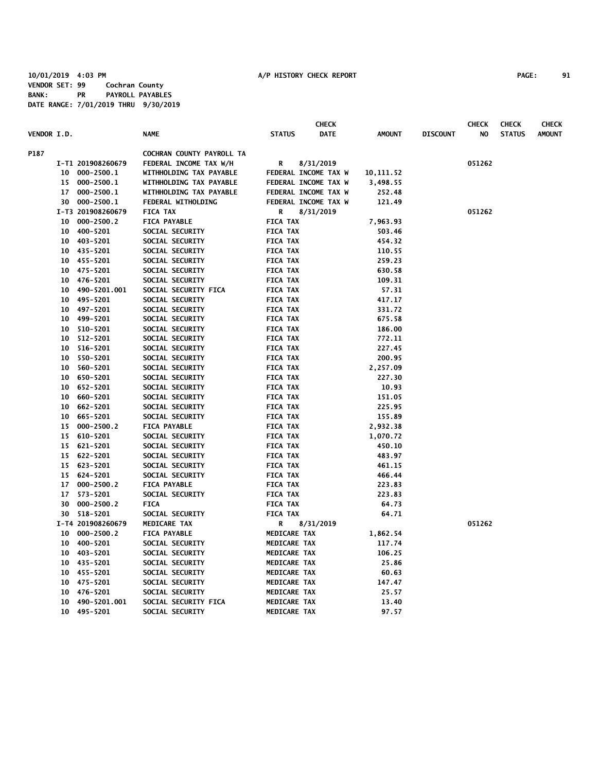|                    |                 |                   |                           |                 | <b>CHECK</b>         |               |                 | <b>CHECK</b> | <b>CHECK</b>  | <b>CHECK</b>  |
|--------------------|-----------------|-------------------|---------------------------|-----------------|----------------------|---------------|-----------------|--------------|---------------|---------------|
| <b>VENDOR I.D.</b> |                 |                   | <b>NAME</b>               | <b>STATUS</b>   | <b>DATE</b>          | <b>AMOUNT</b> | <b>DISCOUNT</b> | NO           | <b>STATUS</b> | <b>AMOUNT</b> |
| P187               |                 |                   | COCHRAN COUNTY PAYROLL TA |                 |                      |               |                 |              |               |               |
|                    |                 | I-T1 201908260679 | FEDERAL INCOME TAX W/H    | R               | 8/31/2019            |               |                 | 051262       |               |               |
|                    |                 | 10 000-2500.1     | WITHHOLDING TAX PAYABLE   |                 | FEDERAL INCOME TAX W | 10,111.52     |                 |              |               |               |
|                    |                 | 15 000-2500.1     | WITHHOLDING TAX PAYABLE   |                 | FEDERAL INCOME TAX W | 3,498.55      |                 |              |               |               |
|                    |                 | 17 000-2500.1     | WITHHOLDING TAX PAYABLE   |                 | FEDERAL INCOME TAX W | 252.48        |                 |              |               |               |
|                    |                 | 30 000-2500.1     | FEDERAL WITHOLDING        |                 | FEDERAL INCOME TAX W | 121.49        |                 |              |               |               |
|                    |                 | I-T3 201908260679 | <b>FICA TAX</b>           | R               | 8/31/2019            |               |                 | 051262       |               |               |
|                    | 10              | $000 - 2500.2$    | <b>FICA PAYABLE</b>       | <b>FICA TAX</b> |                      | 7,963.93      |                 |              |               |               |
|                    | 10              | 400-5201          | SOCIAL SECURITY           | <b>FICA TAX</b> |                      | 503.46        |                 |              |               |               |
|                    | 10              | 403-5201          | SOCIAL SECURITY           | <b>FICA TAX</b> |                      | 454.32        |                 |              |               |               |
|                    | 10              | 435-5201          | SOCIAL SECURITY           | <b>FICA TAX</b> |                      | 110.55        |                 |              |               |               |
|                    |                 | 10 455-5201       | SOCIAL SECURITY           | <b>FICA TAX</b> |                      | 259.23        |                 |              |               |               |
|                    |                 | 10 475-5201       | SOCIAL SECURITY           | <b>FICA TAX</b> |                      | 630.58        |                 |              |               |               |
|                    | 10              | 476-5201          | SOCIAL SECURITY           | <b>FICA TAX</b> |                      | 109.31        |                 |              |               |               |
|                    | 10              | 490-5201.001      | SOCIAL SECURITY FICA      | <b>FICA TAX</b> |                      | 57.31         |                 |              |               |               |
|                    | 10              | 495-5201          | SOCIAL SECURITY           | <b>FICA TAX</b> |                      | 417.17        |                 |              |               |               |
|                    |                 | 10 497-5201       | SOCIAL SECURITY           | <b>FICA TAX</b> |                      | 331.72        |                 |              |               |               |
|                    | 10              | 499-5201          | SOCIAL SECURITY           | <b>FICA TAX</b> |                      | 675.58        |                 |              |               |               |
|                    |                 | 10 510-5201       | SOCIAL SECURITY           | <b>FICA TAX</b> |                      | 186.00        |                 |              |               |               |
|                    | 10              | 512-5201          | SOCIAL SECURITY           | <b>FICA TAX</b> |                      | 772.11        |                 |              |               |               |
|                    | 10              | 516-5201          | SOCIAL SECURITY           | <b>FICA TAX</b> |                      | 227.45        |                 |              |               |               |
|                    | 10              | 550-5201          | SOCIAL SECURITY           | <b>FICA TAX</b> |                      | 200.95        |                 |              |               |               |
|                    | 10              | 560-5201          | SOCIAL SECURITY           | <b>FICA TAX</b> |                      | 2,257.09      |                 |              |               |               |
|                    |                 | 10 650-5201       | SOCIAL SECURITY           | <b>FICA TAX</b> |                      | 227.30        |                 |              |               |               |
|                    |                 | 10 652-5201       | SOCIAL SECURITY           | <b>FICA TAX</b> |                      | 10.93         |                 |              |               |               |
|                    | 10 <sub>1</sub> | 660-5201          | SOCIAL SECURITY           | <b>FICA TAX</b> |                      | 151.05        |                 |              |               |               |
|                    | 10              | 662-5201          | SOCIAL SECURITY           | <b>FICA TAX</b> |                      | 225.95        |                 |              |               |               |
|                    |                 | 10 665-5201       | SOCIAL SECURITY           | <b>FICA TAX</b> |                      | 155.89        |                 |              |               |               |
|                    |                 | 15 000-2500.2     | <b>FICA PAYABLE</b>       | <b>FICA TAX</b> |                      | 2,932.38      |                 |              |               |               |
|                    |                 | 15 610-5201       | SOCIAL SECURITY           | <b>FICA TAX</b> |                      | 1,070.72      |                 |              |               |               |
|                    |                 | 15 621-5201       | SOCIAL SECURITY           | <b>FICA TAX</b> |                      | 450.10        |                 |              |               |               |
|                    | 15              | 622-5201          | SOCIAL SECURITY           | <b>FICA TAX</b> |                      | 483.97        |                 |              |               |               |
|                    | 15              | 623-5201          | SOCIAL SECURITY           | <b>FICA TAX</b> |                      | 461.15        |                 |              |               |               |
|                    | 15              | 624-5201          | SOCIAL SECURITY           | <b>FICA TAX</b> |                      | 466.44        |                 |              |               |               |
|                    | 17              | $000 - 2500.2$    | <b>FICA PAYABLE</b>       | <b>FICA TAX</b> |                      | 223.83        |                 |              |               |               |
|                    | 17              | 573-5201          | SOCIAL SECURITY           | <b>FICA TAX</b> |                      | 223.83        |                 |              |               |               |
|                    | 30              | $000 - 2500.2$    | <b>FICA</b>               | <b>FICA TAX</b> |                      | 64.73         |                 |              |               |               |
|                    |                 | 30 518-5201       | SOCIAL SECURITY           | <b>FICA TAX</b> |                      | 64.71         |                 |              |               |               |
|                    |                 | I-T4 201908260679 | MEDICARE TAX              | R               | 8/31/2019            |               |                 | 051262       |               |               |
|                    | $10-10$         | $000 - 2500.2$    | <b>FICA PAYABLE</b>       | MEDICARE TAX    |                      | 1,862.54      |                 |              |               |               |
|                    | 10              | 400-5201          | SOCIAL SECURITY           | MEDICARE TAX    |                      | 117.74        |                 |              |               |               |
|                    | $10-10$         | 403-5201          | SOCIAL SECURITY           | MEDICARE TAX    |                      | 106.25        |                 |              |               |               |
|                    |                 | 10 435-5201       | SOCIAL SECURITY           | MEDICARE TAX    |                      | 25.86         |                 |              |               |               |
|                    |                 | 10 455-5201       | SOCIAL SECURITY           | MEDICARE TAX    |                      | 60.63         |                 |              |               |               |
|                    | 10              | 475-5201          | SOCIAL SECURITY           | MEDICARE TAX    |                      | 147.47        |                 |              |               |               |
|                    | 10              | 476-5201          | SOCIAL SECURITY           | MEDICARE TAX    |                      | 25.57         |                 |              |               |               |
|                    | 10              | 490-5201.001      | SOCIAL SECURITY FICA      | MEDICARE TAX    |                      | 13.40         |                 |              |               |               |
|                    | 10              | 495-5201          | SOCIAL SECURITY           | MEDICARE TAX    |                      | 97.57         |                 |              |               |               |
|                    |                 |                   |                           |                 |                      |               |                 |              |               |               |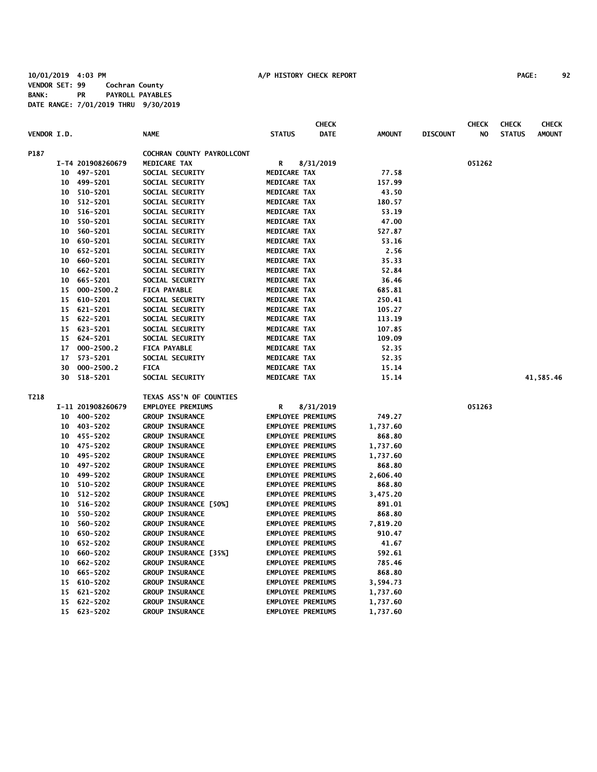|             |    |                   |                            |                          | <b>CHECK</b> |               |                 | <b>CHECK</b> | <b>CHECK</b>  | <b>CHECK</b>  |
|-------------|----|-------------------|----------------------------|--------------------------|--------------|---------------|-----------------|--------------|---------------|---------------|
| VENDOR I.D. |    |                   | <b>NAME</b>                | <b>STATUS</b>            | <b>DATE</b>  | <b>AMOUNT</b> | <b>DISCOUNT</b> | NO           | <b>STATUS</b> | <b>AMOUNT</b> |
| P187        |    |                   | COCHRAN COUNTY PAYROLLCONT |                          |              |               |                 |              |               |               |
|             |    | I-T4 201908260679 | <b>MEDICARE TAX</b>        | R                        | 8/31/2019    |               |                 | 051262       |               |               |
|             | 10 | 497-5201          | SOCIAL SECURITY            | MEDICARE TAX             |              | 77.58         |                 |              |               |               |
|             | 10 | 499-5201          | SOCIAL SECURITY            | MEDICARE TAX             |              | 157.99        |                 |              |               |               |
|             | 10 | 510-5201          | SOCIAL SECURITY            | MEDICARE TAX             |              | 43.50         |                 |              |               |               |
|             | 10 | 512-5201          | SOCIAL SECURITY            | MEDICARE TAX             |              | 180.57        |                 |              |               |               |
|             | 10 | 516-5201          | SOCIAL SECURITY            | MEDICARE TAX             |              | 53.19         |                 |              |               |               |
|             | 10 | 550-5201          | SOCIAL SECURITY            | MEDICARE TAX             |              | 47.00         |                 |              |               |               |
|             | 10 | 560-5201          | SOCIAL SECURITY            | MEDICARE TAX             |              | 527.87        |                 |              |               |               |
|             | 10 | 650-5201          | SOCIAL SECURITY            | MEDICARE TAX             |              | 53.16         |                 |              |               |               |
|             | 10 | 652-5201          | SOCIAL SECURITY            | MEDICARE TAX             |              | 2.56          |                 |              |               |               |
|             | 10 | 660-5201          | SOCIAL SECURITY            | MEDICARE TAX             |              | 35.33         |                 |              |               |               |
|             | 10 | 662-5201          | SOCIAL SECURITY            | MEDICARE TAX             |              | 52.84         |                 |              |               |               |
|             | 10 | 665-5201          | SOCIAL SECURITY            | MEDICARE TAX             |              | 36.46         |                 |              |               |               |
|             | 15 | 000-2500.2        | <b>FICA PAYABLE</b>        | MEDICARE TAX             |              | 685.81        |                 |              |               |               |
|             | 15 | 610-5201          | SOCIAL SECURITY            | MEDICARE TAX             |              | 250.41        |                 |              |               |               |
|             |    | 15 621-5201       | SOCIAL SECURITY            | MEDICARE TAX             |              | 105.27        |                 |              |               |               |
|             |    | 15 622-5201       | SOCIAL SECURITY            | MEDICARE TAX             |              | 113.19        |                 |              |               |               |
|             |    | 15 623-5201       | SOCIAL SECURITY            | MEDICARE TAX             |              | 107.85        |                 |              |               |               |
|             |    | 15 624-5201       | SOCIAL SECURITY            | MEDICARE TAX             |              | 109.09        |                 |              |               |               |
|             | 17 | $000 - 2500.2$    | <b>FICA PAYABLE</b>        | <b>MEDICARE TAX</b>      |              | 52.35         |                 |              |               |               |
|             | 17 | 573-5201          | SOCIAL SECURITY            | MEDICARE TAX             |              | 52.35         |                 |              |               |               |
|             | 30 | $000 - 2500.2$    | <b>FICA</b>                | MEDICARE TAX             |              | 15.14         |                 |              |               |               |
|             | 30 | 518-5201          | SOCIAL SECURITY            | <b>MEDICARE TAX</b>      |              | 15.14         |                 |              |               | 41,585.46     |
| T218        |    |                   | TEXAS ASS'N OF COUNTIES    |                          |              |               |                 |              |               |               |
|             |    | I-11 201908260679 | <b>EMPLOYEE PREMIUMS</b>   | R                        | 8/31/2019    |               |                 | 051263       |               |               |
|             | 10 | 400-5202          | <b>GROUP INSURANCE</b>     | <b>EMPLOYEE PREMIUMS</b> |              | 749.27        |                 |              |               |               |
|             |    | 10 403-5202       | <b>GROUP INSURANCE</b>     | <b>EMPLOYEE PREMIUMS</b> |              | 1,737.60      |                 |              |               |               |
|             | 10 | 455-5202          | <b>GROUP INSURANCE</b>     | <b>EMPLOYEE PREMIUMS</b> |              | 868.80        |                 |              |               |               |
|             | 10 | 475-5202          | <b>GROUP INSURANCE</b>     | <b>EMPLOYEE PREMIUMS</b> |              | 1,737.60      |                 |              |               |               |
|             | 10 | 495-5202          | <b>GROUP INSURANCE</b>     | <b>EMPLOYEE PREMIUMS</b> |              | 1,737.60      |                 |              |               |               |
|             | 10 | 497-5202          | <b>GROUP INSURANCE</b>     | <b>EMPLOYEE PREMIUMS</b> |              | 868.80        |                 |              |               |               |
|             | 10 | 499-5202          | <b>GROUP INSURANCE</b>     | <b>EMPLOYEE PREMIUMS</b> |              | 2,606.40      |                 |              |               |               |
|             | 10 | 510-5202          | <b>GROUP INSURANCE</b>     | <b>EMPLOYEE PREMIUMS</b> |              | 868.80        |                 |              |               |               |
|             | 10 | 512-5202          | <b>GROUP INSURANCE</b>     | <b>EMPLOYEE PREMIUMS</b> |              | 3,475.20      |                 |              |               |               |
|             | 10 | 516-5202          | GROUP INSURANCE [50%]      | <b>EMPLOYEE PREMIUMS</b> |              | 891.01        |                 |              |               |               |
|             | 10 | 550-5202          | <b>GROUP INSURANCE</b>     | <b>EMPLOYEE PREMIUMS</b> |              | 868.80        |                 |              |               |               |
|             | 10 | 560-5202          | <b>GROUP INSURANCE</b>     | <b>EMPLOYEE PREMIUMS</b> |              | 7,819.20      |                 |              |               |               |
|             | 10 | 650-5202          | <b>GROUP INSURANCE</b>     | <b>EMPLOYEE PREMIUMS</b> |              | 910.47        |                 |              |               |               |
|             | 10 | 652-5202          | <b>GROUP INSURANCE</b>     | <b>EMPLOYEE PREMIUMS</b> |              | 41.67         |                 |              |               |               |
|             | 10 | 660-5202          | GROUP INSURANCE [35%]      | <b>EMPLOYEE PREMIUMS</b> |              | 592.61        |                 |              |               |               |
|             | 10 | 662-5202          | <b>GROUP INSURANCE</b>     | <b>EMPLOYEE PREMIUMS</b> |              | 785.46        |                 |              |               |               |
|             | 10 | 665-5202          | <b>GROUP INSURANCE</b>     | <b>EMPLOYEE PREMIUMS</b> |              | 868.80        |                 |              |               |               |
|             |    | 15 610-5202       | <b>GROUP INSURANCE</b>     | <b>EMPLOYEE PREMIUMS</b> |              | 3,594.73      |                 |              |               |               |
|             |    | 15 621-5202       | <b>GROUP INSURANCE</b>     | <b>EMPLOYEE PREMIUMS</b> |              | 1,737.60      |                 |              |               |               |
|             |    | 15 622-5202       | <b>GROUP INSURANCE</b>     | <b>EMPLOYEE PREMIUMS</b> |              | 1,737.60      |                 |              |               |               |
|             |    | 15 623-5202       | <b>GROUP INSURANCE</b>     | <b>EMPLOYEE PREMIUMS</b> |              | 1,737.60      |                 |              |               |               |
|             |    |                   |                            |                          |              |               |                 |              |               |               |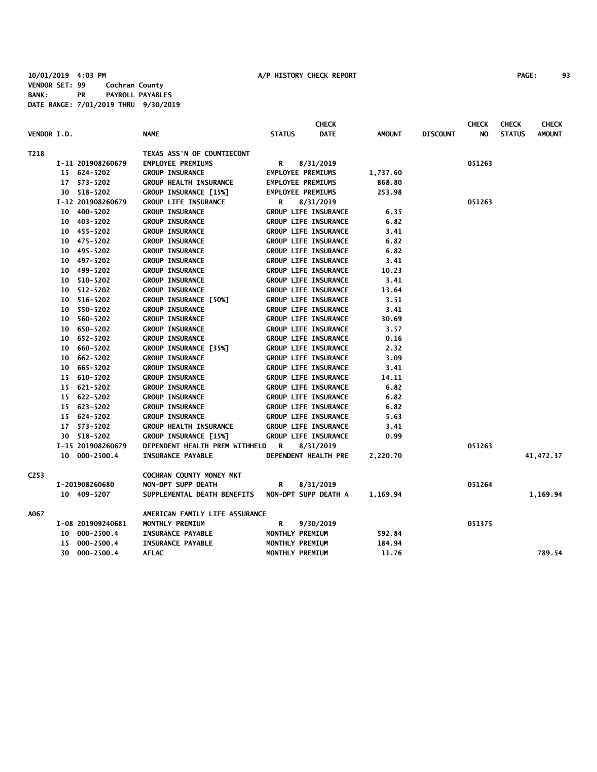| VENDOR I.D.      |                   | <b>NAME</b>                    | <b>STATUS</b>               | <b>CHECK</b><br><b>DATE</b> | <b>AMOUNT</b> | <b>DISCOUNT</b> | <b>CHECK</b><br>NO | <b>CHECK</b><br><b>STATUS</b> | <b>CHECK</b><br><b>AMOUNT</b> |
|------------------|-------------------|--------------------------------|-----------------------------|-----------------------------|---------------|-----------------|--------------------|-------------------------------|-------------------------------|
|                  |                   |                                |                             |                             |               |                 |                    |                               |                               |
| T218             |                   | TEXAS ASS'N OF COUNTIECONT     |                             |                             |               |                 |                    |                               |                               |
|                  | I-11 201908260679 | <b>EMPLOYEE PREMIUMS</b>       | R                           | 8/31/2019                   |               |                 | 051263             |                               |                               |
|                  | 15 624-5202       | <b>GROUP INSURANCE</b>         | <b>EMPLOYEE PREMIUMS</b>    |                             | 1,737.60      |                 |                    |                               |                               |
|                  | 17 573-5202       | <b>GROUP HEALTH INSURANCE</b>  | <b>EMPLOYEE PREMIUMS</b>    |                             | 868.80        |                 |                    |                               |                               |
|                  | 30 518-5202       | GROUP INSURANCE [15%]          | <b>EMPLOYEE PREMIUMS</b>    |                             | 253.98        |                 |                    |                               |                               |
|                  | I-12 201908260679 | <b>GROUP LIFE INSURANCE</b>    | R                           | 8/31/2019                   |               |                 | 051263             |                               |                               |
| 10               | 400-5202          | <b>GROUP INSURANCE</b>         | GROUP LIFE INSURANCE        |                             | 6.35          |                 |                    |                               |                               |
|                  | 10 403-5202       | <b>GROUP INSURANCE</b>         | <b>GROUP LIFE INSURANCE</b> |                             | 6.82          |                 |                    |                               |                               |
|                  | 10 455-5202       | <b>GROUP INSURANCE</b>         | <b>GROUP LIFE INSURANCE</b> |                             | 3.41          |                 |                    |                               |                               |
|                  | 10 475-5202       | <b>GROUP INSURANCE</b>         | GROUP LIFE INSURANCE        |                             | 6.82          |                 |                    |                               |                               |
|                  | 10 495-5202       | <b>GROUP INSURANCE</b>         | <b>GROUP LIFE INSURANCE</b> |                             | 6.82          |                 |                    |                               |                               |
|                  | 10 497-5202       | <b>GROUP INSURANCE</b>         | <b>GROUP LIFE INSURANCE</b> |                             | 3.41          |                 |                    |                               |                               |
| 10               | 499-5202          | <b>GROUP INSURANCE</b>         | <b>GROUP LIFE INSURANCE</b> |                             | 10.23         |                 |                    |                               |                               |
|                  | 10 510-5202       | <b>GROUP INSURANCE</b>         | <b>GROUP LIFE INSURANCE</b> |                             | 3.41          |                 |                    |                               |                               |
| 10               | 512-5202          | <b>GROUP INSURANCE</b>         | <b>GROUP LIFE INSURANCE</b> |                             | 13.64         |                 |                    |                               |                               |
| 10               | 516-5202          | GROUP INSURANCE [50%]          | <b>GROUP LIFE INSURANCE</b> |                             | 3.51          |                 |                    |                               |                               |
|                  | 10 550-5202       | <b>GROUP INSURANCE</b>         | <b>GROUP LIFE INSURANCE</b> |                             | 3.41          |                 |                    |                               |                               |
| 10               | 560-5202          | <b>GROUP INSURANCE</b>         | <b>GROUP LIFE INSURANCE</b> |                             | 30.69         |                 |                    |                               |                               |
|                  | 10 650-5202       | <b>GROUP INSURANCE</b>         | <b>GROUP LIFE INSURANCE</b> |                             | 3.57          |                 |                    |                               |                               |
|                  | 10 652-5202       | <b>GROUP INSURANCE</b>         | GROUP LIFE INSURANCE        |                             | 0.16          |                 |                    |                               |                               |
|                  | 10 660-5202       | GROUP INSURANCE [35%]          | <b>GROUP LIFE INSURANCE</b> |                             | 2.32          |                 |                    |                               |                               |
|                  | 10 662-5202       | <b>GROUP INSURANCE</b>         | <b>GROUP LIFE INSURANCE</b> |                             | 3.09          |                 |                    |                               |                               |
|                  | 10 665-5202       | <b>GROUP INSURANCE</b>         | GROUP LIFE INSURANCE        |                             | 3.41          |                 |                    |                               |                               |
| 15               | 610-5202          | <b>GROUP INSURANCE</b>         | <b>GROUP LIFE INSURANCE</b> |                             | 14.11         |                 |                    |                               |                               |
|                  | 15 621-5202       | <b>GROUP INSURANCE</b>         | <b>GROUP LIFE INSURANCE</b> |                             | 6.82          |                 |                    |                               |                               |
|                  | 15 622-5202       | <b>GROUP INSURANCE</b>         | <b>GROUP LIFE INSURANCE</b> |                             | 6.82          |                 |                    |                               |                               |
|                  | 15 623-5202       | <b>GROUP INSURANCE</b>         | <b>GROUP LIFE INSURANCE</b> |                             | 6.82          |                 |                    |                               |                               |
|                  | 15 624-5202       | <b>GROUP INSURANCE</b>         | <b>GROUP LIFE INSURANCE</b> |                             | 5.63          |                 |                    |                               |                               |
|                  | 17 573-5202       | <b>GROUP HEALTH INSURANCE</b>  | <b>GROUP LIFE INSURANCE</b> |                             | 3.41          |                 |                    |                               |                               |
|                  | 30 518-5202       | GROUP INSURANCE [15%]          | <b>GROUP LIFE INSURANCE</b> |                             | 0.99          |                 |                    |                               |                               |
|                  | I-15 201908260679 | DEPENDENT HEALTH PREM WITHHELD | R                           | 8/31/2019                   |               |                 | 051263             |                               |                               |
|                  | 10 000-2500.4     | <b>INSURANCE PAYABLE</b>       | DEPENDENT HEALTH PRE        |                             | 2,220.70      |                 |                    |                               | 41,472.37                     |
|                  |                   |                                |                             |                             |               |                 |                    |                               |                               |
| C <sub>253</sub> |                   | COCHRAN COUNTY MONEY MKT       |                             |                             |               |                 |                    |                               |                               |
|                  | I-201908260680    | NON-DPT SUPP DEATH             | R                           | 8/31/2019                   |               |                 | 051264             |                               |                               |
|                  | 10 409-5207       | SUPPLEMENTAL DEATH BENEFITS    | NON-DPT SUPP DEATH A        |                             | 1,169.94      |                 |                    |                               | 1,169.94                      |
|                  |                   |                                |                             |                             |               |                 |                    |                               |                               |
| A067             |                   | AMERICAN FAMILY LIFE ASSURANCE |                             |                             |               |                 |                    |                               |                               |
|                  | I-08 201909240681 | MONTHLY PREMIUM                | R                           | 9/30/2019                   |               |                 | 051375             |                               |                               |
| 10               | $000 - 2500.4$    | <b>INSURANCE PAYABLE</b>       | MONTHLY PREMIUM             |                             | 592.84        |                 |                    |                               |                               |
| 15               | 000-2500.4        | <b>INSURANCE PAYABLE</b>       | MONTHLY PREMIUM             |                             | 184.94        |                 |                    |                               |                               |
| 30               | $000 - 2500.4$    | <b>AFLAC</b>                   | MONTHLY PREMIUM             |                             | 11.76         |                 |                    |                               | 789.54                        |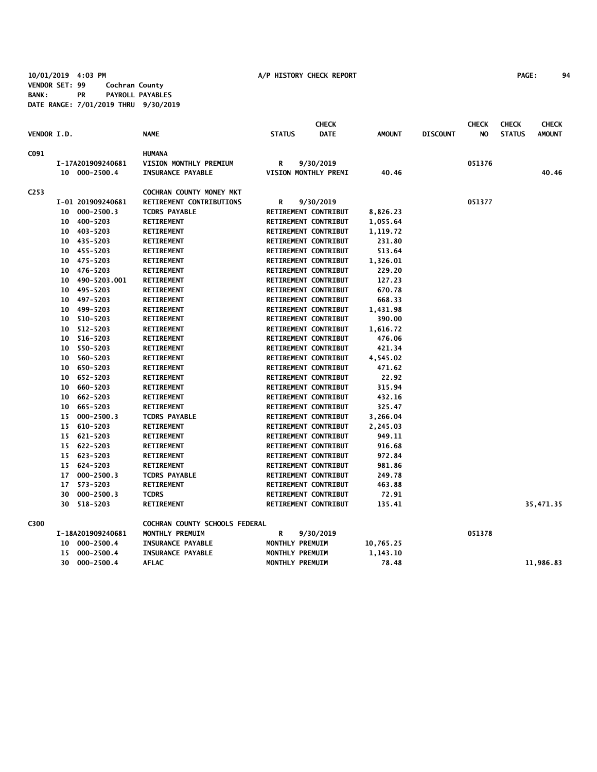**10/01/2019 4:03 PM A/P HISTORY CHECK REPORT PAGE: 94 VENDOR SET: 99 Cochran County BANK: PR PAYROLL PAYABLES DATE RANGE: 7/01/2019 THRU 9/30/2019**

|                    |                 |                   |                                |                 | <b>CHECK</b>                |               |                 | <b>CHECK</b> | <b>CHECK</b>  | <b>CHECK</b>  |
|--------------------|-----------------|-------------------|--------------------------------|-----------------|-----------------------------|---------------|-----------------|--------------|---------------|---------------|
| <b>VENDOR I.D.</b> |                 |                   | <b>NAME</b>                    | <b>STATUS</b>   | <b>DATE</b>                 | <b>AMOUNT</b> | <b>DISCOUNT</b> | NO           | <b>STATUS</b> | <b>AMOUNT</b> |
| C091               |                 |                   | <b>HUMANA</b>                  |                 |                             |               |                 |              |               |               |
|                    |                 | I-17A201909240681 | VISION MONTHLY PREMIUM         | R               | 9/30/2019                   |               |                 | 051376       |               |               |
|                    |                 | 10 000-2500.4     | <b>INSURANCE PAYABLE</b>       |                 | VISION MONTHLY PREMI        | 40.46         |                 |              |               | 40.46         |
| C253               |                 |                   | COCHRAN COUNTY MONEY MKT       |                 |                             |               |                 |              |               |               |
|                    |                 | I-01 201909240681 | RETIREMENT CONTRIBUTIONS       | R               | 9/30/2019                   |               |                 | 051377       |               |               |
|                    |                 | 10 000-2500.3     | <b>TCDRS PAYABLE</b>           |                 | RETIREMENT CONTRIBUT        | 8,826.23      |                 |              |               |               |
|                    |                 | 10 400-5203       | <b>RETIREMENT</b>              |                 | RETIREMENT CONTRIBUT        | 1,055.64      |                 |              |               |               |
|                    | 10              | 403-5203          | <b>RETIREMENT</b>              |                 | RETIREMENT CONTRIBUT        | 1,119.72      |                 |              |               |               |
|                    |                 | 10 435-5203       | <b>RETIREMENT</b>              |                 | RETIREMENT CONTRIBUT        | 231.80        |                 |              |               |               |
|                    |                 | 10 455-5203       | <b>RETIREMENT</b>              |                 | RETIREMENT CONTRIBUT        | 513.64        |                 |              |               |               |
|                    |                 | 10 475-5203       | <b>RETIREMENT</b>              |                 | RETIREMENT CONTRIBUT        | 1,326.01      |                 |              |               |               |
|                    |                 | 10 476-5203       | <b>RETIREMENT</b>              |                 | RETIREMENT CONTRIBUT        | 229.20        |                 |              |               |               |
|                    |                 | 10 490-5203.001   | <b>RETIREMENT</b>              |                 | RETIREMENT CONTRIBUT        | 127.23        |                 |              |               |               |
|                    | 10              | 495-5203          | <b>RETIREMENT</b>              |                 | RETIREMENT CONTRIBUT        | 670.78        |                 |              |               |               |
|                    | 10              | 497-5203          | <b>RETIREMENT</b>              |                 | RETIREMENT CONTRIBUT        | 668.33        |                 |              |               |               |
|                    | 10              | 499-5203          | <b>RETIREMENT</b>              |                 | RETIREMENT CONTRIBUT        | 1,431.98      |                 |              |               |               |
|                    | 10              | 510-5203          | <b>RETIREMENT</b>              |                 | RETIREMENT CONTRIBUT        | 390.00        |                 |              |               |               |
|                    | 10              | 512-5203          | <b>RETIREMENT</b>              |                 | RETIREMENT CONTRIBUT        | 1,616.72      |                 |              |               |               |
|                    | 10              | 516-5203          | <b>RETIREMENT</b>              |                 | RETIREMENT CONTRIBUT        | 476.06        |                 |              |               |               |
|                    | 10              | 550-5203          | <b>RETIREMENT</b>              |                 | RETIREMENT CONTRIBUT        | 421.34        |                 |              |               |               |
|                    | 10              | 560-5203          | <b>RETIREMENT</b>              |                 | RETIREMENT CONTRIBUT        | 4,545.02      |                 |              |               |               |
|                    | 10              | 650-5203          | <b>RETIREMENT</b>              |                 | RETIREMENT CONTRIBUT        | 471.62        |                 |              |               |               |
|                    |                 | 10 652-5203       | <b>RETIREMENT</b>              |                 | <b>RETIREMENT CONTRIBUT</b> | 22.92         |                 |              |               |               |
|                    |                 | 10 660-5203       | <b>RETIREMENT</b>              |                 | RETIREMENT CONTRIBUT        | 315.94        |                 |              |               |               |
|                    | 10 <sub>1</sub> | 662-5203          | <b>RETIREMENT</b>              |                 | RETIREMENT CONTRIBUT        | 432.16        |                 |              |               |               |
|                    |                 | 10 665-5203       | <b>RETIREMENT</b>              |                 | RETIREMENT CONTRIBUT        | 325.47        |                 |              |               |               |
|                    |                 | 15 000-2500.3     | <b>TCDRS PAYABLE</b>           |                 | RETIREMENT CONTRIBUT        | 3,266.04      |                 |              |               |               |
|                    |                 | 15 610-5203       | <b>RETIREMENT</b>              |                 | RETIREMENT CONTRIBUT        | 2,245.03      |                 |              |               |               |
|                    |                 | 15 621-5203       | <b>RETIREMENT</b>              |                 | RETIREMENT CONTRIBUT        | 949.11        |                 |              |               |               |
|                    |                 | 15 622-5203       | <b>RETIREMENT</b>              |                 | RETIREMENT CONTRIBUT        | 916.68        |                 |              |               |               |
|                    |                 | 15 623-5203       | <b>RETIREMENT</b>              |                 | RETIREMENT CONTRIBUT        | 972.84        |                 |              |               |               |
|                    |                 | 15 624-5203       | <b>RETIREMENT</b>              |                 | RETIREMENT CONTRIBUT        | 981.86        |                 |              |               |               |
|                    | 17              | $000 - 2500.3$    | <b>TCDRS PAYABLE</b>           |                 | RETIREMENT CONTRIBUT        | 249.78        |                 |              |               |               |
|                    | 17              | 573-5203          | <b>RETIREMENT</b>              |                 | RETIREMENT CONTRIBUT        | 463.88        |                 |              |               |               |
|                    | 30              | $000 - 2500.3$    | <b>TCDRS</b>                   |                 | RETIREMENT CONTRIBUT        | 72.91         |                 |              |               |               |
|                    | 30              | 518-5203          | <b>RETIREMENT</b>              |                 | <b>RETIREMENT CONTRIBUT</b> | 135.41        |                 |              |               | 35,471.35     |
|                    |                 |                   |                                |                 |                             |               |                 |              |               |               |
| C300               |                 |                   | COCHRAN COUNTY SCHOOLS FEDERAL |                 |                             |               |                 |              |               |               |
|                    |                 | I-18A201909240681 | MONTHLY PREMUIM                | R               | 9/30/2019                   |               |                 | 051378       |               |               |
|                    |                 | 10 000-2500.4     | <b>INSURANCE PAYABLE</b>       | MONTHLY PREMUIM |                             | 10,765.25     |                 |              |               |               |
|                    | 15              | $000 - 2500.4$    | <b>INSURANCE PAYABLE</b>       | MONTHLY PREMUIM |                             | 1,143.10      |                 |              |               |               |
|                    | 30              | $000 - 2500.4$    | <b>AFLAC</b>                   | MONTHLY PREMUIM |                             | 78.48         |                 |              |               | 11,986.83     |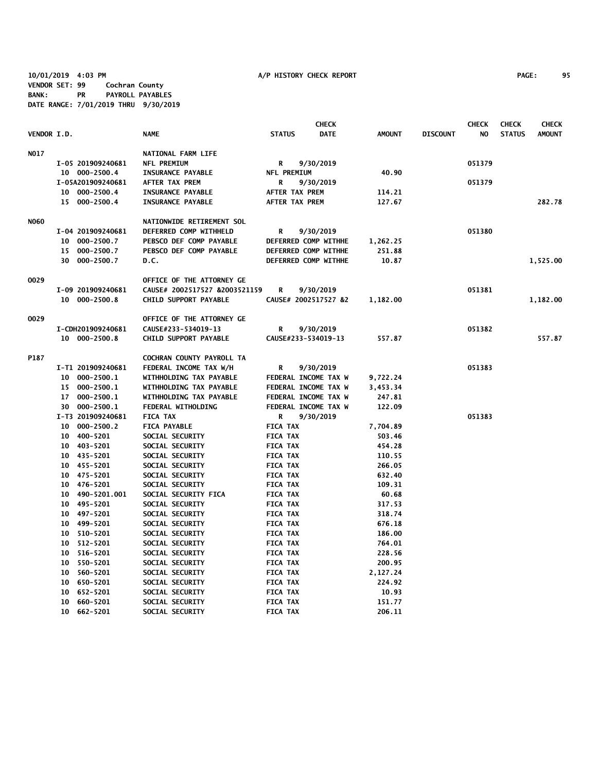**10/01/2019 4:03 PM A/P HISTORY CHECK REPORT PAGE: 95 VENDOR SET: 99 Cochran County BANK: PR PAYROLL PAYABLES DATE RANGE: 7/01/2019 THRU 9/30/2019**

|                    |                   |                               |                      | <b>CHECK</b> |               |                 | <b>CHECK</b> | <b>CHECK</b>  | <b>CHECK</b>  |
|--------------------|-------------------|-------------------------------|----------------------|--------------|---------------|-----------------|--------------|---------------|---------------|
| <b>VENDOR I.D.</b> |                   | <b>NAME</b>                   | <b>STATUS</b>        | <b>DATE</b>  | <b>AMOUNT</b> | <b>DISCOUNT</b> | NO.          | <b>STATUS</b> | <b>AMOUNT</b> |
| NO17               |                   | <b>NATIONAL FARM LIFE</b>     |                      |              |               |                 |              |               |               |
|                    | I-05 201909240681 | <b>NFL PREMIUM</b>            | R                    | 9/30/2019    |               |                 | 051379       |               |               |
|                    | 10 000-2500.4     | <b>INSURANCE PAYABLE</b>      | NFL PREMIUM          |              | 40.90         |                 |              |               |               |
|                    | I-05A201909240681 | AFTER TAX PREM                | R                    | 9/30/2019    |               |                 | 051379       |               |               |
|                    | 10 000-2500.4     | <b>INSURANCE PAYABLE</b>      | AFTER TAX PREM       |              | 114.21        |                 |              |               |               |
|                    | 15 000-2500.4     | <b>INSURANCE PAYABLE</b>      | AFTER TAX PREM       |              | 127.67        |                 |              |               | 282.78        |
| <b>NO60</b>        |                   | NATIONWIDE RETIREMENT SOL     |                      |              |               |                 |              |               |               |
|                    | I-04 201909240681 | DEFERRED COMP WITHHELD        | R                    | 9/30/2019    |               |                 | 051380       |               |               |
|                    | 10 000-2500.7     | PEBSCO DEF COMP PAYABLE       | DEFERRED COMP WITHHE |              | 1,262.25      |                 |              |               |               |
|                    | 15 000-2500.7     | PEBSCO DEF COMP PAYABLE       | DEFERRED COMP WITHHE |              | 251.88        |                 |              |               |               |
|                    | 30 000-2500.7     | D.C.                          | DEFERRED COMP WITHHE |              | 10.87         |                 |              |               | 1,525.00      |
| 0029               |                   | OFFICE OF THE ATTORNEY GE     |                      |              |               |                 |              |               |               |
|                    | I-09 201909240681 | CAUSE# 2002517527 &2003521159 | R                    | 9/30/2019    |               |                 | 051381       |               |               |
|                    | 10 000-2500.8     | CHILD SUPPORT PAYABLE         | CAUSE# 2002517527 &2 |              | 1,182.00      |                 |              |               | 1,182.00      |
| 0029               |                   | OFFICE OF THE ATTORNEY GE     |                      |              |               |                 |              |               |               |
|                    | I-CDH201909240681 | CAUSE#233-534019-13           | R                    | 9/30/2019    |               |                 | 051382       |               |               |
|                    | 10 000-2500.8     | CHILD SUPPORT PAYABLE         | CAUSE#233-534019-13  |              | 557.87        |                 |              |               | 557.87        |
| P187               |                   | COCHRAN COUNTY PAYROLL TA     |                      |              |               |                 |              |               |               |
|                    | I-T1 201909240681 | FEDERAL INCOME TAX W/H        | R                    | 9/30/2019    |               |                 | 051383       |               |               |
|                    | 10 000-2500.1     | WITHHOLDING TAX PAYABLE       | FEDERAL INCOME TAX W |              | 9,722.24      |                 |              |               |               |
|                    | 15 000-2500.1     | WITHHOLDING TAX PAYABLE       | FEDERAL INCOME TAX W |              | 3,453.34      |                 |              |               |               |
|                    | 17 000-2500.1     | WITHHOLDING TAX PAYABLE       | FEDERAL INCOME TAX W |              | 247.81        |                 |              |               |               |
|                    | 30 000-2500.1     | FEDERAL WITHOLDING            | FEDERAL INCOME TAX W |              | 122.09        |                 |              |               |               |
|                    | I-T3 201909240681 | <b>FICA TAX</b>               | R                    | 9/30/2019    |               |                 | 051383       |               |               |
|                    | 10 000-2500.2     | <b>FICA PAYABLE</b>           | <b>FICA TAX</b>      |              | 7,704.89      |                 |              |               |               |
|                    | 10 400-5201       | SOCIAL SECURITY               | <b>FICA TAX</b>      |              | 503.46        |                 |              |               |               |
|                    | 10 403-5201       | SOCIAL SECURITY               | <b>FICA TAX</b>      |              | 454.28        |                 |              |               |               |
|                    | 10 435-5201       | <b>SOCIAL SECURITY</b>        | <b>FICA TAX</b>      |              | 110.55        |                 |              |               |               |
|                    | 455-5201<br>10    | SOCIAL SECURITY               | <b>FICA TAX</b>      |              | 266.05        |                 |              |               |               |
|                    | 10 475-5201       | SOCIAL SECURITY               | <b>FICA TAX</b>      |              | 632.40        |                 |              |               |               |
|                    | 10 476-5201       | SOCIAL SECURITY               | <b>FICA TAX</b>      |              | 109.31        |                 |              |               |               |
|                    | 10 490-5201.001   | SOCIAL SECURITY FICA          | <b>FICA TAX</b>      |              | 60.68         |                 |              |               |               |
|                    | 10 495-5201       | SOCIAL SECURITY               | <b>FICA TAX</b>      |              | 317.53        |                 |              |               |               |
|                    | 10 497-5201       | SOCIAL SECURITY               | <b>FICA TAX</b>      |              | 318.74        |                 |              |               |               |
|                    | 10 499-5201       | SOCIAL SECURITY               | <b>FICA TAX</b>      |              | 676.18        |                 |              |               |               |
|                    | 510-5201<br>10    | SOCIAL SECURITY               | <b>FICA TAX</b>      |              | 186.00        |                 |              |               |               |
|                    | 512-5201<br>10    | SOCIAL SECURITY               | <b>FICA TAX</b>      |              | 764.01        |                 |              |               |               |
|                    | 10<br>516-5201    | SOCIAL SECURITY               | <b>FICA TAX</b>      |              | 228.56        |                 |              |               |               |
|                    | 10<br>550-5201    | SOCIAL SECURITY               | <b>FICA TAX</b>      |              | 200.95        |                 |              |               |               |
|                    | 10<br>560-5201    | SOCIAL SECURITY               | <b>FICA TAX</b>      |              | 2,127.24      |                 |              |               |               |
|                    | 10 650-5201       | SOCIAL SECURITY               | <b>FICA TAX</b>      |              | 224.92        |                 |              |               |               |
|                    | 652-5201<br>10    | SOCIAL SECURITY               | <b>FICA TAX</b>      |              | 10.93         |                 |              |               |               |
|                    | 10 660-5201       | SOCIAL SECURITY               | <b>FICA TAX</b>      |              | 151.77        |                 |              |               |               |
|                    | 10 662-5201       | <b>SOCIAL SECURITY</b>        | <b>FICA TAX</b>      |              | 206.11        |                 |              |               |               |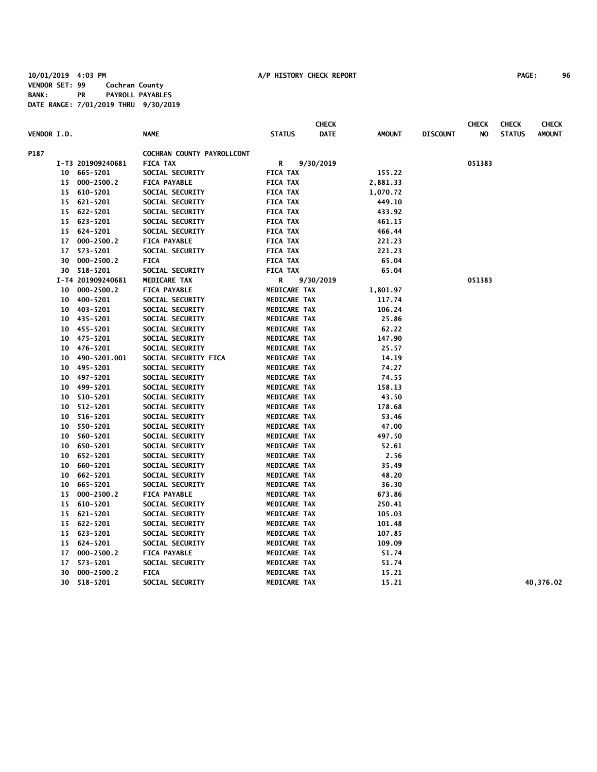|                    |                 |                   |                            |                     | <b>CHECK</b> |               |                 | <b>CHECK</b> | <b>CHECK</b>  | <b>CHECK</b>  |
|--------------------|-----------------|-------------------|----------------------------|---------------------|--------------|---------------|-----------------|--------------|---------------|---------------|
| <b>VENDOR I.D.</b> |                 |                   | <b>NAME</b>                | <b>STATUS</b>       | <b>DATE</b>  | <b>AMOUNT</b> | <b>DISCOUNT</b> | NO           | <b>STATUS</b> | <b>AMOUNT</b> |
| P187               |                 |                   | COCHRAN COUNTY PAYROLLCONT |                     |              |               |                 |              |               |               |
|                    |                 | I-T3 201909240681 | <b>FICA TAX</b>            | R                   | 9/30/2019    |               |                 | 051383       |               |               |
|                    |                 | 10 665-5201       | SOCIAL SECURITY            | <b>FICA TAX</b>     |              | 155.22        |                 |              |               |               |
|                    |                 | 15 000-2500.2     | <b>FICA PAYABLE</b>        | <b>FICA TAX</b>     |              | 2,881.33      |                 |              |               |               |
|                    |                 | 15 610-5201       | SOCIAL SECURITY            | <b>FICA TAX</b>     |              | 1,070.72      |                 |              |               |               |
|                    |                 | 15 621-5201       | SOCIAL SECURITY            | <b>FICA TAX</b>     |              | 449.10        |                 |              |               |               |
|                    |                 | 15 622-5201       | SOCIAL SECURITY            | <b>FICA TAX</b>     |              | 433.92        |                 |              |               |               |
|                    |                 | 15 623-5201       | SOCIAL SECURITY            | <b>FICA TAX</b>     |              | 461.15        |                 |              |               |               |
|                    |                 | 15 624-5201       | SOCIAL SECURITY            | <b>FICA TAX</b>     |              | 466.44        |                 |              |               |               |
|                    | 17              | $000 - 2500.2$    | <b>FICA PAYABLE</b>        | <b>FICA TAX</b>     |              | 221.23        |                 |              |               |               |
|                    | 17              | 573-5201          | SOCIAL SECURITY            | <b>FICA TAX</b>     |              | 221.23        |                 |              |               |               |
|                    |                 | 30 000-2500.2     | <b>FICA</b>                | <b>FICA TAX</b>     |              | 65.04         |                 |              |               |               |
|                    |                 | 30 518-5201       | SOCIAL SECURITY            | <b>FICA TAX</b>     |              | 65.04         |                 |              |               |               |
|                    |                 | I-T4 201909240681 | MEDICARE TAX               | R                   | 9/30/2019    |               |                 | 051383       |               |               |
|                    |                 | 10 000-2500.2     | <b>FICA PAYABLE</b>        | MEDICARE TAX        |              | 1,801.97      |                 |              |               |               |
|                    |                 | 10 400-5201       | SOCIAL SECURITY            | MEDICARE TAX        |              | 117.74        |                 |              |               |               |
|                    |                 | 10 403-5201       | SOCIAL SECURITY            | MEDICARE TAX        |              | 106.24        |                 |              |               |               |
|                    |                 | 10 435-5201       | SOCIAL SECURITY            | MEDICARE TAX        |              | 25.86         |                 |              |               |               |
|                    |                 | 10 455-5201       | SOCIAL SECURITY            | MEDICARE TAX        |              | 62.22         |                 |              |               |               |
|                    |                 | 10 475-5201       | SOCIAL SECURITY            | MEDICARE TAX        |              | 147.90        |                 |              |               |               |
|                    | 10              | 476-5201          | SOCIAL SECURITY            | MEDICARE TAX        |              | 25.57         |                 |              |               |               |
|                    | 10              | 490-5201.001      | SOCIAL SECURITY FICA       | MEDICARE TAX        |              | 14.19         |                 |              |               |               |
|                    |                 | 10 495-5201       | SOCIAL SECURITY            | MEDICARE TAX        |              | 74.27         |                 |              |               |               |
|                    |                 | 10 497-5201       | SOCIAL SECURITY            | MEDICARE TAX        |              | 74.55         |                 |              |               |               |
|                    |                 | 10 499-5201       | SOCIAL SECURITY            | MEDICARE TAX        |              | 158.13        |                 |              |               |               |
|                    |                 | 10 510-5201       | SOCIAL SECURITY            | MEDICARE TAX        |              | 43.50         |                 |              |               |               |
|                    | 10              | 512-5201          | SOCIAL SECURITY            | MEDICARE TAX        |              | 178.68        |                 |              |               |               |
|                    | 10              | 516-5201          | SOCIAL SECURITY            | MEDICARE TAX        |              | 53.46         |                 |              |               |               |
|                    | 10              | 550-5201          | SOCIAL SECURITY            | MEDICARE TAX        |              | 47.00         |                 |              |               |               |
|                    | 10 <sub>1</sub> | 560-5201          | SOCIAL SECURITY            | MEDICARE TAX        |              | 497.50        |                 |              |               |               |
|                    | 10              | 650-5201          | SOCIAL SECURITY            | MEDICARE TAX        |              | 52.61         |                 |              |               |               |
|                    | 10              | 652-5201          | SOCIAL SECURITY            | MEDICARE TAX        |              | 2.56          |                 |              |               |               |
|                    | 10              | 660-5201          | SOCIAL SECURITY            | MEDICARE TAX        |              | 35.49         |                 |              |               |               |
|                    | 10              | 662-5201          | SOCIAL SECURITY            | MEDICARE TAX        |              | 48.20         |                 |              |               |               |
|                    | 10              | 665-5201          | SOCIAL SECURITY            | MEDICARE TAX        |              | 36.30         |                 |              |               |               |
|                    | 15              | $000 - 2500.2$    | <b>FICA PAYABLE</b>        | MEDICARE TAX        |              | 673.86        |                 |              |               |               |
|                    |                 | 15 610-5201       | SOCIAL SECURITY            | <b>MEDICARE TAX</b> |              | 250.41        |                 |              |               |               |
|                    |                 | 15 621-5201       | SOCIAL SECURITY            | <b>MEDICARE TAX</b> |              | 105.03        |                 |              |               |               |
|                    |                 | 15 622-5201       | SOCIAL SECURITY            | <b>MEDICARE TAX</b> |              | 101.48        |                 |              |               |               |
|                    |                 | 15 623-5201       | SOCIAL SECURITY            | MEDICARE TAX        |              | 107.85        |                 |              |               |               |
|                    |                 | 15 624-5201       | SOCIAL SECURITY            | <b>MEDICARE TAX</b> |              | 109.09        |                 |              |               |               |
|                    | 17              | $000 - 2500.2$    | <b>FICA PAYABLE</b>        | <b>MEDICARE TAX</b> |              | 51.74         |                 |              |               |               |
|                    | 17              | 573-5201          | SOCIAL SECURITY            | <b>MEDICARE TAX</b> |              | 51.74         |                 |              |               |               |
|                    | 30              | $000 - 2500.2$    | <b>FICA</b>                | <b>MEDICARE TAX</b> |              | 15.21         |                 |              |               |               |
|                    | 30              | 518-5201          | SOCIAL SECURITY            | <b>MEDICARE TAX</b> |              | 15.21         |                 |              |               | 40,376.02     |
|                    |                 |                   |                            |                     |              |               |                 |              |               |               |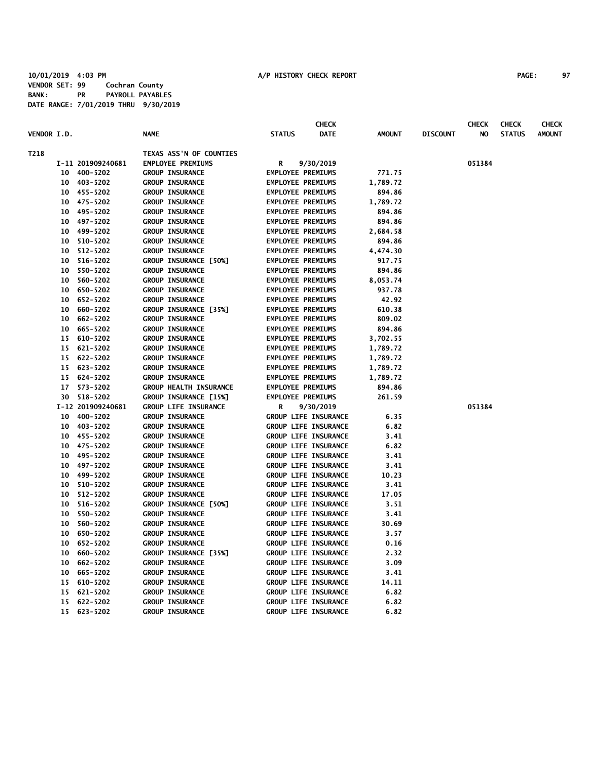|                    |                 |                   |                               |                          | <b>CHECK</b>                |               |                 | <b>CHECK</b> | <b>CHECK</b>  | <b>CHECK</b>  |
|--------------------|-----------------|-------------------|-------------------------------|--------------------------|-----------------------------|---------------|-----------------|--------------|---------------|---------------|
| <b>VENDOR I.D.</b> |                 |                   | <b>NAME</b>                   | <b>STATUS</b>            | <b>DATE</b>                 | <b>AMOUNT</b> | <b>DISCOUNT</b> | NO.          | <b>STATUS</b> | <b>AMOUNT</b> |
| T218               |                 |                   | TEXAS ASS'N OF COUNTIES       |                          |                             |               |                 |              |               |               |
|                    |                 | I-11 201909240681 | <b>EMPLOYEE PREMIUMS</b>      | R                        | 9/30/2019                   |               |                 | 051384       |               |               |
|                    |                 | 10 400-5202       | <b>GROUP INSURANCE</b>        | <b>EMPLOYEE PREMIUMS</b> |                             | 771.75        |                 |              |               |               |
|                    |                 | 10 403-5202       | <b>GROUP INSURANCE</b>        | <b>EMPLOYEE PREMIUMS</b> |                             | 1,789.72      |                 |              |               |               |
|                    |                 | 10 455-5202       | <b>GROUP INSURANCE</b>        | <b>EMPLOYEE PREMIUMS</b> |                             | 894.86        |                 |              |               |               |
|                    |                 | 10 475-5202       | <b>GROUP INSURANCE</b>        | <b>EMPLOYEE PREMIUMS</b> |                             | 1,789.72      |                 |              |               |               |
|                    |                 | 10 495-5202       | <b>GROUP INSURANCE</b>        | <b>EMPLOYEE PREMIUMS</b> |                             | 894.86        |                 |              |               |               |
|                    |                 | 10 497-5202       | <b>GROUP INSURANCE</b>        | <b>EMPLOYEE PREMIUMS</b> |                             | 894.86        |                 |              |               |               |
|                    |                 | 10 499-5202       | <b>GROUP INSURANCE</b>        | <b>EMPLOYEE PREMIUMS</b> |                             | 2,684.58      |                 |              |               |               |
|                    |                 | 10 510-5202       | <b>GROUP INSURANCE</b>        | <b>EMPLOYEE PREMIUMS</b> |                             | 894.86        |                 |              |               |               |
|                    |                 | 10 512-5202       | <b>GROUP INSURANCE</b>        | <b>EMPLOYEE PREMIUMS</b> |                             | 4,474.30      |                 |              |               |               |
|                    | 10 <sub>1</sub> | 516-5202          | GROUP INSURANCE [50%]         | <b>EMPLOYEE PREMIUMS</b> |                             | 917.75        |                 |              |               |               |
|                    |                 | 10 550-5202       | <b>GROUP INSURANCE</b>        | <b>EMPLOYEE PREMIUMS</b> |                             | 894.86        |                 |              |               |               |
|                    |                 | 10 560-5202       | <b>GROUP INSURANCE</b>        | <b>EMPLOYEE PREMIUMS</b> |                             | 8,053.74      |                 |              |               |               |
|                    |                 | 10 650-5202       | <b>GROUP INSURANCE</b>        | <b>EMPLOYEE PREMIUMS</b> |                             | 937.78        |                 |              |               |               |
|                    | $10-10$         | 652-5202          | <b>GROUP INSURANCE</b>        | <b>EMPLOYEE PREMIUMS</b> |                             | 42.92         |                 |              |               |               |
|                    | 10              | 660-5202          | GROUP INSURANCE [35%]         | <b>EMPLOYEE PREMIUMS</b> |                             | 610.38        |                 |              |               |               |
|                    | 10              | 662-5202          | <b>GROUP INSURANCE</b>        | <b>EMPLOYEE PREMIUMS</b> |                             | 809.02        |                 |              |               |               |
|                    | 10              | 665-5202          | <b>GROUP INSURANCE</b>        | <b>EMPLOYEE PREMIUMS</b> |                             | 894.86        |                 |              |               |               |
|                    |                 | 15 610-5202       | <b>GROUP INSURANCE</b>        | <b>EMPLOYEE PREMIUMS</b> |                             | 3,702.55      |                 |              |               |               |
|                    |                 | 15 621-5202       | <b>GROUP INSURANCE</b>        | <b>EMPLOYEE PREMIUMS</b> |                             | 1,789.72      |                 |              |               |               |
|                    |                 | 15 622-5202       | <b>GROUP INSURANCE</b>        | <b>EMPLOYEE PREMIUMS</b> |                             | 1,789.72      |                 |              |               |               |
|                    |                 | 15 623-5202       | <b>GROUP INSURANCE</b>        | <b>EMPLOYEE PREMIUMS</b> |                             | 1,789.72      |                 |              |               |               |
|                    |                 | 15 624-5202       | <b>GROUP INSURANCE</b>        | <b>EMPLOYEE PREMIUMS</b> |                             | 1,789.72      |                 |              |               |               |
|                    |                 | 17 573-5202       | <b>GROUP HEALTH INSURANCE</b> | <b>EMPLOYEE PREMIUMS</b> |                             | 894.86        |                 |              |               |               |
|                    |                 | 30 518-5202       | GROUP INSURANCE [15%]         | <b>EMPLOYEE PREMIUMS</b> |                             | 261.59        |                 |              |               |               |
|                    |                 | I-12 201909240681 | <b>GROUP LIFE INSURANCE</b>   | R                        | 9/30/2019                   |               |                 | 051384       |               |               |
|                    |                 | 10 400-5202       | <b>GROUP INSURANCE</b>        |                          | <b>GROUP LIFE INSURANCE</b> | 6.35          |                 |              |               |               |
|                    |                 | 10 403-5202       | <b>GROUP INSURANCE</b>        |                          | <b>GROUP LIFE INSURANCE</b> | 6.82          |                 |              |               |               |
|                    |                 | 10 455-5202       | <b>GROUP INSURANCE</b>        |                          | GROUP LIFE INSURANCE        | 3.41          |                 |              |               |               |
|                    |                 | 10 475-5202       | <b>GROUP INSURANCE</b>        |                          | <b>GROUP LIFE INSURANCE</b> | 6.82          |                 |              |               |               |
|                    |                 | 10 495-5202       | <b>GROUP INSURANCE</b>        |                          | GROUP LIFE INSURANCE        | 3.41          |                 |              |               |               |
|                    | 10              | 497-5202          | <b>GROUP INSURANCE</b>        |                          | <b>GROUP LIFE INSURANCE</b> | 3.41          |                 |              |               |               |
|                    | 10              | 499-5202          | <b>GROUP INSURANCE</b>        |                          | <b>GROUP LIFE INSURANCE</b> | 10.23         |                 |              |               |               |
|                    |                 | 10 510-5202       | <b>GROUP INSURANCE</b>        |                          | <b>GROUP LIFE INSURANCE</b> | 3.41          |                 |              |               |               |
|                    |                 | 10 512-5202       | <b>GROUP INSURANCE</b>        |                          | GROUP LIFE INSURANCE        | 17.05         |                 |              |               |               |
|                    |                 | 10 516-5202       | GROUP INSURANCE [50%]         |                          | GROUP LIFE INSURANCE        | 3.51          |                 |              |               |               |
|                    |                 | 10 550-5202       | <b>GROUP INSURANCE</b>        |                          | GROUP LIFE INSURANCE        | 3.41          |                 |              |               |               |
|                    |                 | 10 560-5202       | <b>GROUP INSURANCE</b>        |                          | GROUP LIFE INSURANCE        | 30.69         |                 |              |               |               |
|                    |                 | 10 650-5202       | <b>GROUP INSURANCE</b>        |                          | <b>GROUP LIFE INSURANCE</b> | 3.57          |                 |              |               |               |
|                    | $10-10$         | 652-5202          | <b>GROUP INSURANCE</b>        |                          | GROUP LIFE INSURANCE        | 0.16          |                 |              |               |               |
|                    | 10              | 660-5202          | GROUP INSURANCE [35%]         |                          | <b>GROUP LIFE INSURANCE</b> | 2.32          |                 |              |               |               |
|                    |                 | 10 662-5202       | <b>GROUP INSURANCE</b>        |                          | <b>GROUP LIFE INSURANCE</b> | 3.09          |                 |              |               |               |
|                    |                 | 10 665-5202       | <b>GROUP INSURANCE</b>        |                          | GROUP LIFE INSURANCE        | 3.41          |                 |              |               |               |
|                    |                 | 15 610-5202       | <b>GROUP INSURANCE</b>        |                          | GROUP LIFE INSURANCE        | 14.11         |                 |              |               |               |
|                    |                 | 15 621-5202       | <b>GROUP INSURANCE</b>        |                          | GROUP LIFE INSURANCE        | 6.82          |                 |              |               |               |
|                    |                 | 15 622-5202       | <b>GROUP INSURANCE</b>        |                          | GROUP LIFE INSURANCE        | 6.82          |                 |              |               |               |
|                    |                 | 15 623-5202       | <b>GROUP INSURANCE</b>        |                          | <b>GROUP LIFE INSURANCE</b> | 6.82          |                 |              |               |               |
|                    |                 |                   |                               |                          |                             |               |                 |              |               |               |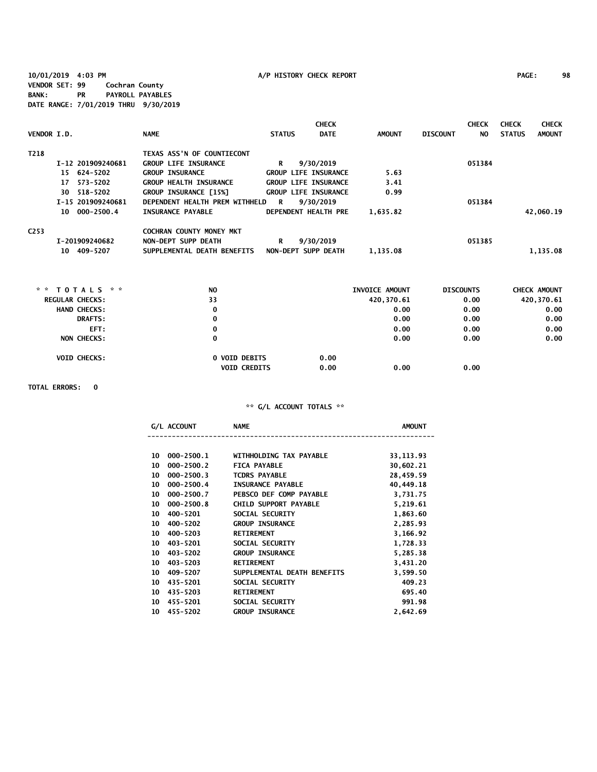**10/01/2019 4:03 PM A/P HISTORY CHECK REPORT PAGE: 98 VENDOR SET: 99 Cochran County BANK: PR PAYROLL PAYABLES DATE RANGE: 7/01/2019 THRU 9/30/2019**

| VENDOR I.D.      |                   | <b>NAME</b>                     | <b>STATUS</b> | <b>CHECK</b><br><b>DATE</b> | <b>AMOUNT</b> | <b>DISCOUNT</b> | <b>CHECK</b><br>NO. | <b>CHECK</b><br><b>STATUS</b> | <b>CHECK</b><br><b>AMOUNT</b> |
|------------------|-------------------|---------------------------------|---------------|-----------------------------|---------------|-----------------|---------------------|-------------------------------|-------------------------------|
| T218             |                   | TEXAS ASS'N OF COUNTIECONT      |               |                             |               |                 |                     |                               |                               |
|                  | I-12 201909240681 | <b>GROUP LIFE INSURANCE</b>     | R             | 9/30/2019                   |               |                 | 051384              |                               |                               |
|                  | 15 624-5202       | <b>GROUP INSURANCE</b>          |               | <b>GROUP LIFE INSURANCE</b> | 5.63          |                 |                     |                               |                               |
|                  | 17 573-5202       | <b>GROUP HEALTH INSURANCE</b>   |               | <b>GROUP LIFE INSURANCE</b> | 3.41          |                 |                     |                               |                               |
|                  | 30 518-5202       | GROUP INSURANCE [15%]           |               | <b>GROUP LIFE INSURANCE</b> | 0.99          |                 |                     |                               |                               |
|                  | I-15 201909240681 | DEPENDENT HEALTH PREM WITHHELD  | R             | 9/30/2019                   |               |                 | 051384              |                               |                               |
|                  | 10 000-2500.4     | <b>INSURANCE PAYABLE</b>        |               | DEPENDENT HEALTH PRE        | 1,635.82      |                 |                     |                               | 42,060.19                     |
| C <sub>253</sub> |                   | <b>COCHRAN COUNTY MONEY MKT</b> |               |                             |               |                 |                     |                               |                               |
|                  | I-201909240682    | NON-DEPT SUPP DEATH             | R             | 9/30/2019                   |               |                 | 051385              |                               |                               |
|                  | 10 409-5207       | SUPPLEMENTAL DEATH BENEFITS     |               | NON-DEPT SUPP DEATH         | 1.135.08      |                 |                     |                               | 1.135.08                      |

| * * $TOTALS$ * *       | N <sub>O</sub>                              | INVOICE AMOUNT       | <b>DISCOUNTS</b> | <b>CHECK AMOUNT</b> |
|------------------------|---------------------------------------------|----------------------|------------------|---------------------|
| <b>REGULAR CHECKS:</b> | 33                                          | 420,370.61           | 0.00             | 420,370.61          |
| <b>HAND CHECKS:</b>    | 0                                           | 0.00                 | 0.00             | 0.00                |
| <b>DRAFTS:</b>         | 0                                           | 0.00                 | 0.00             | 0.00                |
| EFT:                   | 0                                           | 0.00                 | 0.00             | 0.00                |
| <b>NON CHECKS:</b>     | 0                                           | 0.00                 | 0.00             | 0.00                |
| <b>VOID CHECKS:</b>    | <b>0 VOID DEBITS</b><br><b>VOID CREDITS</b> | 0.00<br>0.00<br>0.00 | 0.00             |                     |

**TOTAL ERRORS: 0**

|    | G/L ACCOUNT    | <b>NAME</b>                  | <b>AMOUNT</b> |
|----|----------------|------------------------------|---------------|
| 10 | $000 - 2500.1$ | WITHHOLDING TAX PAYABLE      | 33, 113.93    |
| 10 | $000 - 2500.2$ | <b>FICA PAYABLE</b>          | 30,602.21     |
| 10 | $000 - 2500.3$ | <b>TCDRS PAYABLE</b>         | 28,459.59     |
| 10 | $000 - 2500.4$ | <b>INSURANCE PAYABLE</b>     | 40,449.18     |
|    | $000 - 2500.7$ | PEBSCO DEF COMP PAYABLE      |               |
| 10 |                |                              | 3,731.75      |
| 10 | $000 - 2500.8$ | <b>CHILD SUPPORT PAYABLE</b> | 5,219.61      |
| 10 | 400-5201       | SOCIAL SECURITY              | 1,863.60      |
| 10 | 400-5202       | <b>GROUP INSURANCE</b>       | 2,285.93      |
| 10 | $400 - 5203$   | <b>RETIREMENT</b>            | 3,166.92      |
| 10 | $403 - 5201$   | SOCIAL SECURITY              | 1,728.33      |
| 10 | 403-5202       | <b>GROUP INSURANCE</b>       | 5,285.38      |
| 10 | 403-5203       | <b>RETIREMENT</b>            | 3,431.20      |
| 10 | 409-5207       | SUPPLEMENTAL DEATH BENEFITS  | 3,599.50      |
| 10 | 435-5201       | SOCIAL SECURITY              | 409.23        |
| 10 | 435-5203       | <b>RETIREMENT</b>            | 695.40        |
| 10 | 455-5201       | SOCIAL SECURITY              | 991.98        |
| 10 | 455-5202       | <b>GROUP INSURANCE</b>       | 2.642.69      |
|    |                |                              |               |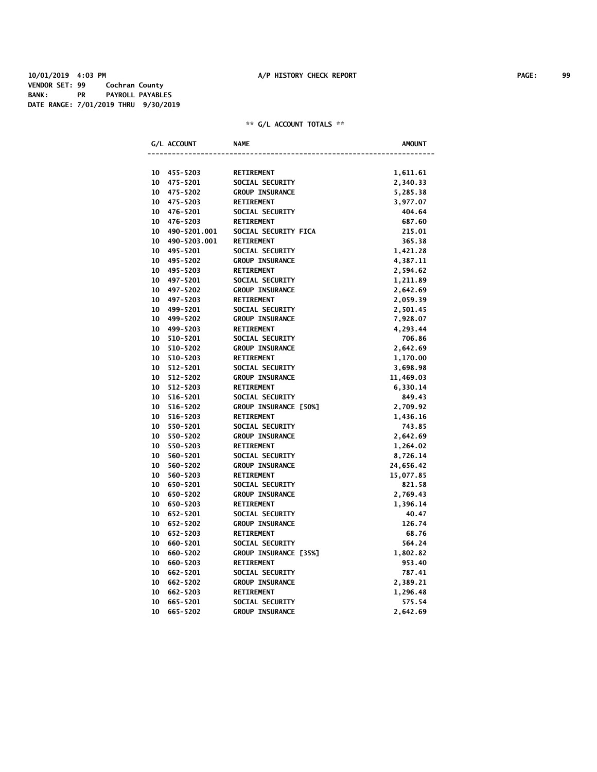**10/01/2019 4:03 PM A/P HISTORY CHECK REPORT PAGE: 99 VENDOR SET: 99 Cochran County BANK: PR PAYROLL PAYABLES DATE RANGE: 7/01/2019 THRU 9/30/2019**

|    | G/L ACCOUNT     | <b>NAME</b>            | <b>AMOUNT</b> |
|----|-----------------|------------------------|---------------|
|    |                 |                        |               |
|    | 10 455-5203     | <b>RETIREMENT</b>      | 1,611.61      |
| 10 | 475-5201        | SOCIAL SECURITY        | 2,340.33      |
| 10 | 475-5202        | <b>GROUP INSURANCE</b> | 5,285.38      |
| 10 | 475-5203        | <b>RETIREMENT</b>      | 3,977.07      |
| 10 | 476-5201        | SOCIAL SECURITY        | 404.64        |
|    | 10 476-5203     | <b>RETIREMENT</b>      | 687.60        |
|    | 10 490-5201.001 | SOCIAL SECURITY FICA   | 215.01        |
|    | 10 490-5203.001 | <b>RETIREMENT</b>      | 365.38        |
|    | 10 495-5201     | SOCIAL SECURITY        | 1,421.28      |
|    | 10 495-5202     | <b>GROUP INSURANCE</b> | 4,387.11      |
| 10 | 495-5203        | <b>RETIREMENT</b>      | 2,594.62      |
| 10 | 497-5201        | SOCIAL SECURITY        | 1,211.89      |
| 10 | 497-5202        | <b>GROUP INSURANCE</b> | 2,642.69      |
| 10 | 497-5203        | <b>RETIREMENT</b>      | 2,059.39      |
| 10 | 499-5201        | SOCIAL SECURITY        | 2,501.45      |
| 10 | 499-5202        | <b>GROUP INSURANCE</b> | 7,928.07      |
| 10 | 499-5203        | <b>RETIREMENT</b>      | 4,293.44      |
| 10 | 510-5201        | SOCIAL SECURITY        | 706.86        |
| 10 | 510-5202        | <b>GROUP INSURANCE</b> | 2,642.69      |
| 10 | 510-5203        | <b>RETIREMENT</b>      | 1,170.00      |
| 10 | 512-5201        | SOCIAL SECURITY        | 3,698.98      |
| 10 | 512-5202        | <b>GROUP INSURANCE</b> | 11,469.03     |
| 10 | 512-5203        | <b>RETIREMENT</b>      | 6,330.14      |
| 10 | 516-5201        | SOCIAL SECURITY        | 849.43        |
| 10 | 516-5202        | GROUP INSURANCE [50%]  | 2,709.92      |
| 10 | 516-5203        | <b>RETIREMENT</b>      | 1,436.16      |
| 10 | 550-5201        | SOCIAL SECURITY        | 743.85        |
| 10 | 550-5202        | <b>GROUP INSURANCE</b> | 2,642.69      |
| 10 | 550-5203        | <b>RETIREMENT</b>      | 1,264.02      |
| 10 | 560-5201        | SOCIAL SECURITY        | 8,726.14      |
| 10 | 560-5202        | <b>GROUP INSURANCE</b> | 24,656.42     |
| 10 | 560-5203        | <b>RETIREMENT</b>      | 15,077.85     |
| 10 | 650-5201        | SOCIAL SECURITY        | 821.58        |
|    | 10 650-5202     | <b>GROUP INSURANCE</b> | 2,769.43      |
| 10 | 650-5203        | <b>RETIREMENT</b>      | 1,396.14      |
| 10 | 652-5201        | SOCIAL SECURITY        | 40.47         |
| 10 | 652-5202        | <b>GROUP INSURANCE</b> | 126.74        |
| 10 | 652-5203        | <b>RETIREMENT</b>      | 68.76         |
| 10 | 660-5201        | SOCIAL SECURITY        | 564.24        |
| 10 | 660-5202        | GROUP INSURANCE [35%]  | 1,802.82      |
| 10 | 660-5203        | <b>RETIREMENT</b>      | 953.40        |
| 10 | 662-5201        | SOCIAL SECURITY        | 787.41        |
| 10 | 662-5202        | <b>GROUP INSURANCE</b> | 2,389.21      |
| 10 | 662-5203        | <b>RETIREMENT</b>      | 1,296.48      |
| 10 | 665-5201        | SOCIAL SECURITY        | 575.54        |
| 10 | 665-5202        | <b>GROUP INSURANCE</b> | 2,642.69      |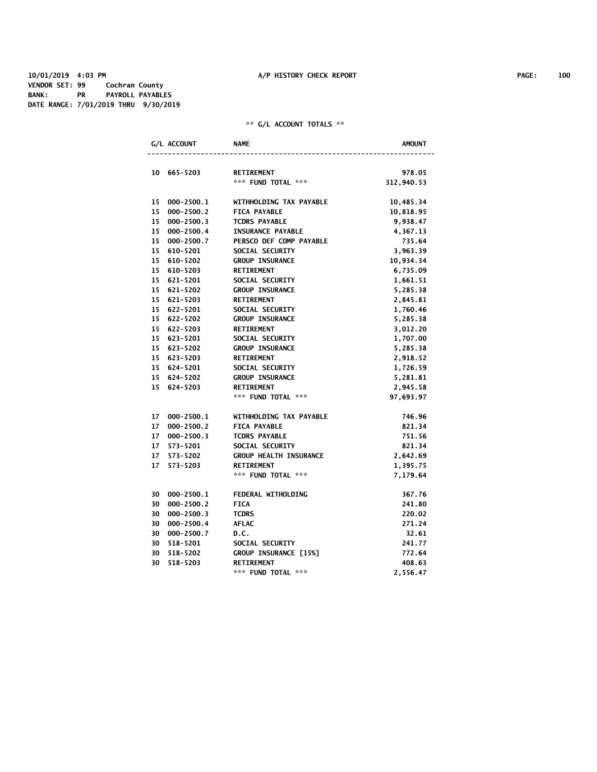|    | G/L ACCOUNT    | <b>NAME</b>                             | <b>AMOUNT</b> |
|----|----------------|-----------------------------------------|---------------|
|    |                |                                         |               |
|    | 10 665-5203    | <b>RETIREMENT</b><br>*** FUND TOTAL *** | 978.05        |
|    |                |                                         | 312,940.53    |
| 15 | $000 - 2500.1$ | WITHHOLDING TAX PAYABLE                 | 10,485.34     |
| 15 | $000 - 2500.2$ | <b>FICA PAYABLE</b>                     | 10,818.95     |
| 15 | $000 - 2500.3$ | <b>TCDRS PAYABLE</b>                    | 9,938.47      |
| 15 | $000 - 2500.4$ | <b>INSURANCE PAYABLE</b>                | 4,367.13      |
|    | 15 000-2500.7  | PEBSCO DEF COMP PAYABLE                 | 735.64        |
|    | 15 610-5201    | SOCIAL SECURITY                         | 3,963.39      |
|    | 15 610-5202    | <b>GROUP INSURANCE</b>                  | 10,934.34     |
|    | 15 610-5203    | <b>RETIREMENT</b>                       | 6,735.09      |
|    | 15 621-5201    | SOCIAL SECURITY                         | 1,661.51      |
|    | 15 621-5202    | <b>GROUP INSURANCE</b>                  | 5,285.38      |
|    | 15 621-5203    | <b>RETIREMENT</b>                       | 2,845.81      |
|    | 15 622-5201    | SOCIAL SECURITY                         | 1,760.46      |
|    | 15 622-5202    | <b>GROUP INSURANCE</b>                  | 5,285.38      |
|    | 15 622-5203    | <b>RETIREMENT</b>                       | 3,012.20      |
|    | 15 623-5201    | SOCIAL SECURITY                         | 1,707.00      |
|    | 15 623-5202    | <b>GROUP INSURANCE</b>                  | 5,285.38      |
|    | 15 623-5203    | <b>RETIREMENT</b>                       | 2,918.52      |
|    | 15 624-5201    | SOCIAL SECURITY                         | 1,726.59      |
|    | 15 624-5202    | <b>GROUP INSURANCE</b>                  | 5,281.81      |
|    | 15 624-5203    | <b>RETIREMENT</b>                       | 2,945.58      |
|    |                | *** FUND TOTAL ***                      | 97,693.97     |
|    |                |                                         |               |
| 17 | $000 - 2500.1$ | WITHHOLDING TAX PAYABLE                 | 746.96        |
| 17 | $000 - 2500.2$ | <b>FICA PAYABLE</b>                     | 821.34        |
| 17 | $000 - 2500.3$ | <b>TCDRS PAYABLE</b>                    | 751.56        |
| 17 | 573-5201       | SOCIAL SECURITY                         | 821.34        |
|    | 17 573-5202    | <b>GROUP HEALTH INSURANCE</b>           | 2,642.69      |
| 17 | 573-5203       | <b>RETIREMENT</b>                       | 1,395.75      |
|    |                | *** FUND TOTAL ***                      | 7,179.64      |
|    | 30 000-2500.1  | FEDERAL WITHOLDING                      | 367.76        |
|    | 30 000-2500.2  | <b>FICA</b>                             | 241.80        |
| 30 | $000 - 2500.3$ | <b>TCDRS</b>                            | 220.02        |
|    | 30 000-2500.4  | <b>AFLAC</b>                            | 271.24        |
| 30 | $000 - 2500.7$ | D.C.                                    | 32.61         |
| 30 | 518-5201       | SOCIAL SECURITY                         | 241.77        |
| 30 | 518-5202       | GROUP INSURANCE [15%]                   | 772.64        |
| 30 | 518-5203       | <b>RETIREMENT</b>                       | 408.63        |
|    |                | *** FUND TOTAL ***                      | 2,556.47      |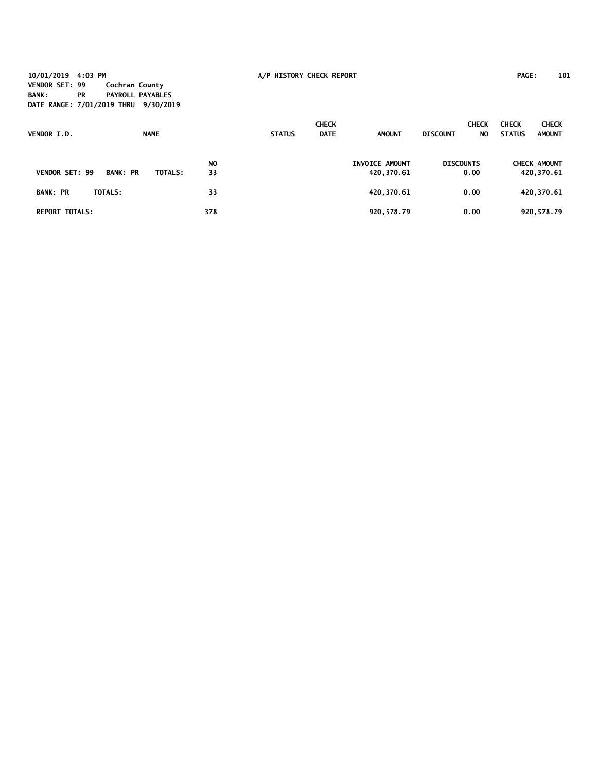**10/01/2019 4:03 PM A/P HISTORY CHECK REPORT PAGE: 101 VENDOR SET: 99 Cochran County BANK: PR PAYROLL PAYABLES DATE RANGE: 7/01/2019 THRU 9/30/2019**

| VENDOR I.D.           | <b>NAME</b>     |                |           | <b>STATUS</b> | <b>CHECK</b><br><b>DATE</b> | <b>AMOUNT</b>                | <b>DISCOUNT</b>  | <b>CHECK</b><br>NO. | <b>CHECK</b><br><b>STATUS</b> | <b>CHECK</b><br><b>AMOUNT</b>     |
|-----------------------|-----------------|----------------|-----------|---------------|-----------------------------|------------------------------|------------------|---------------------|-------------------------------|-----------------------------------|
| <b>VENDOR SET: 99</b> | <b>BANK: PR</b> | <b>TOTALS:</b> | NO.<br>33 |               |                             | INVOICE AMOUNT<br>420,370.61 | <b>DISCOUNTS</b> | 0.00                |                               | <b>CHECK AMOUNT</b><br>420,370.61 |
| <b>BANK: PR</b>       | <b>TOTALS:</b>  |                | 33        |               |                             | 420,370.61                   |                  | 0.00                |                               | 420,370.61                        |
| <b>REPORT TOTALS:</b> |                 |                | 378       |               |                             | 920,578.79                   |                  | 0.00                |                               | 920,578.79                        |